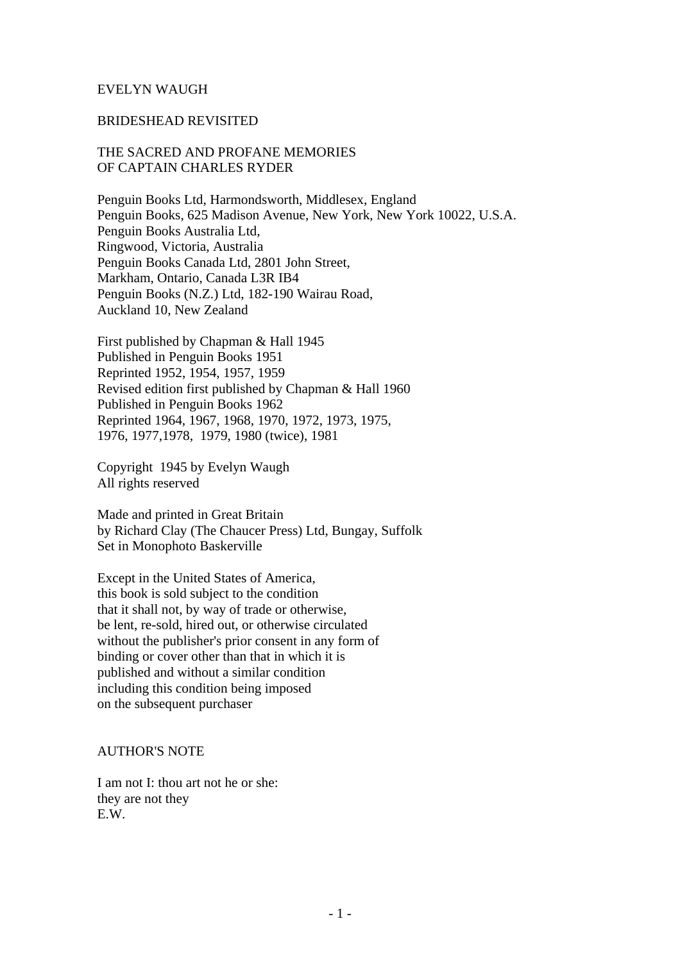### EVELYN WAUGH

### BRIDESHEAD REVISITED

## THE SACRED AND PROFANE MEMORIES OF CAPTAIN CHARLES RYDER

Penguin Books Ltd, Harmondsworth, Middlesex, England Penguin Books, 625 Madison Avenue, New York, New York 10022, U.S.A. Penguin Books Australia Ltd, Ringwood, Victoria, Australia Penguin Books Canada Ltd, 2801 John Street, Markham, Ontario, Canada L3R IB4 Penguin Books (N.Z.) Ltd, 182-190 Wairau Road, Auckland 10, New Zealand

First published by Chapman & Hall 1945 Published in Penguin Books 1951 Reprinted 1952, 1954, 1957, 1959 Revised edition first published by Chapman & Hall 1960 Published in Penguin Books 1962 Reprinted 1964, 1967, 1968, 1970, 1972, 1973, 1975, 1976, 1977,1978, 1979, 1980 (twice), 1981

Copyright 1945 by Evelyn Waugh All rights reserved

Made and printed in Great Britain by Richard Clay (The Chaucer Press) Ltd, Bungay, Suffolk Set in Monophoto Baskerville

Except in the United States of America, this book is sold subject to the condition that it shall not, by way of trade or otherwise, be lent, re-sold, hired out, or otherwise circulated without the publisher's prior consent in any form of binding or cover other than that in which it is published and without a similar condition including this condition being imposed on the subsequent purchaser

#### AUTHOR'S NOTE

I am not I: thou art not he or she: they are not they E.W.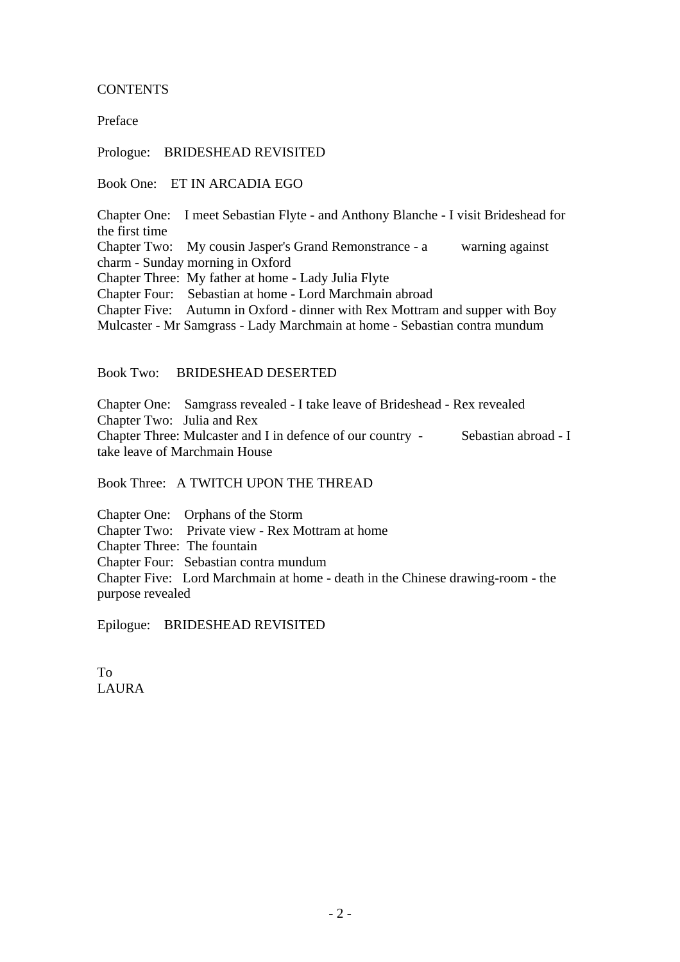# **CONTENTS**

Preface

Prologue: BRIDESHEAD REVISITED

Book One: ET IN ARCADIA EGO

Chapter One: I meet Sebastian Flyte - and Anthony Blanche - I visit Brideshead for the first time Chapter Two: My cousin Jasper's Grand Remonstrance - a warning against charm - Sunday morning in Oxford Chapter Three: My father at home - Lady Julia Flyte Chapter Four: Sebastian at home - Lord Marchmain abroad Chapter Five: Autumn in Oxford - dinner with Rex Mottram and supper with Boy Mulcaster - Mr Samgrass - Lady Marchmain at home - Sebastian contra mundum

# Book Two: BRIDESHEAD DESERTED

Chapter One: Samgrass revealed - I take leave of Brideshead - Rex revealed Chapter Two: Julia and Rex Chapter Three: Mulcaster and I in defence of our country - Sebastian abroad - I take leave of Marchmain House

Book Three: A TWITCH UPON THE THREAD

Chapter One: Orphans of the Storm Chapter Two: Private view - Rex Mottram at home Chapter Three: The fountain Chapter Four: Sebastian contra mundum Chapter Five: Lord Marchmain at home - death in the Chinese drawing-room - the purpose revealed

Epilogue: BRIDESHEAD REVISITED

To LAURA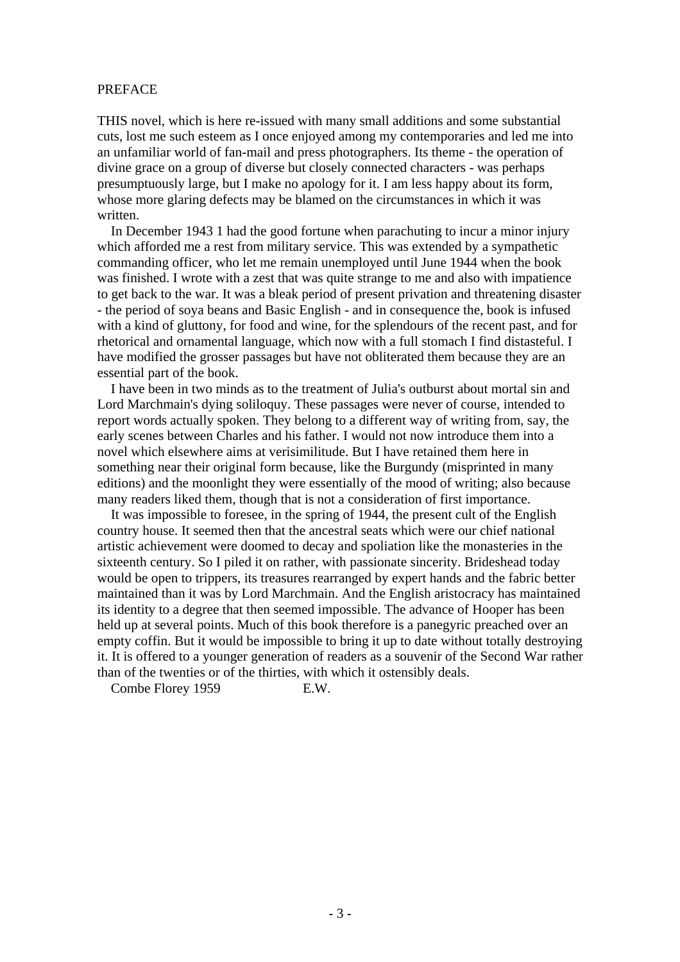### PREFACE

THIS novel, which is here re-issued with many small additions and some substantial cuts, lost me such esteem as I once enjoyed among my contemporaries and led me into an unfamiliar world of fan-mail and press photographers. Its theme - the operation of divine grace on a group of diverse but closely connected characters - was perhaps presumptuously large, but I make no apology for it. I am less happy about its form, whose more glaring defects may be blamed on the circumstances in which it was written.

 In December 1943 1 had the good fortune when parachuting to incur a minor injury which afforded me a rest from military service. This was extended by a sympathetic commanding officer, who let me remain unemployed until June 1944 when the book was finished. I wrote with a zest that was quite strange to me and also with impatience to get back to the war. It was a bleak period of present privation and threatening disaster - the period of soya beans and Basic English - and in consequence the, book is infused with a kind of gluttony, for food and wine, for the splendours of the recent past, and for rhetorical and ornamental language, which now with a full stomach I find distasteful. I have modified the grosser passages but have not obliterated them because they are an essential part of the book.

 I have been in two minds as to the treatment of Julia's outburst about mortal sin and Lord Marchmain's dying soliloquy. These passages were never of course, intended to report words actually spoken. They belong to a different way of writing from, say, the early scenes between Charles and his father. I would not now introduce them into a novel which elsewhere aims at verisimilitude. But I have retained them here in something near their original form because, like the Burgundy (misprinted in many editions) and the moonlight they were essentially of the mood of writing; also because many readers liked them, though that is not a consideration of first importance.

 It was impossible to foresee, in the spring of 1944, the present cult of the English country house. It seemed then that the ancestral seats which were our chief national artistic achievement were doomed to decay and spoliation like the monasteries in the sixteenth century. So I piled it on rather, with passionate sincerity. Brideshead today would be open to trippers, its treasures rearranged by expert hands and the fabric better maintained than it was by Lord Marchmain. And the English aristocracy has maintained its identity to a degree that then seemed impossible. The advance of Hooper has been held up at several points. Much of this book therefore is a panegyric preached over an empty coffin. But it would be impossible to bring it up to date without totally destroying it. It is offered to a younger generation of readers as a souvenir of the Second War rather than of the twenties or of the thirties, with which it ostensibly deals.

Combe Florey 1959 E.W.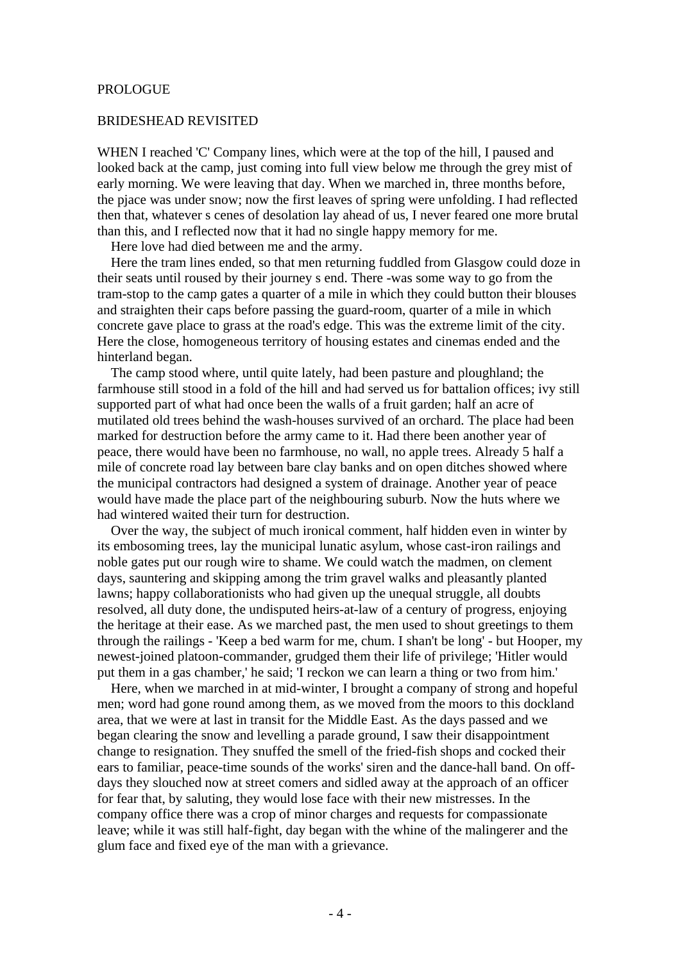#### PROLOGUE

### BRIDESHEAD REVISITED

WHEN I reached 'C' Company lines, which were at the top of the hill, I paused and looked back at the camp, just coming into full view below me through the grey mist of early morning. We were leaving that day. When we marched in, three months before, the pjace was under snow; now the first leaves of spring were unfolding. I had reflected then that, whatever s cenes of desolation lay ahead of us, I never feared one more brutal than this, and I reflected now that it had no single happy memory for me.

Here love had died between me and the army.

 Here the tram lines ended, so that men returning fuddled from Glasgow could doze in their seats until roused by their journey s end. There -was some way to go from the tram-stop to the camp gates a quarter of a mile in which they could button their blouses and straighten their caps before passing the guard-room, quarter of a mile in which concrete gave place to grass at the road's edge. This was the extreme limit of the city. Here the close, homogeneous territory of housing estates and cinemas ended and the hinterland began.

 The camp stood where, until quite lately, had been pasture and ploughland; the farmhouse still stood in a fold of the hill and had served us for battalion offices; ivy still supported part of what had once been the walls of a fruit garden; half an acre of mutilated old trees behind the wash-houses survived of an orchard. The place had been marked for destruction before the army came to it. Had there been another year of peace, there would have been no farmhouse, no wall, no apple trees. Already 5 half a mile of concrete road lay between bare clay banks and on open ditches showed where the municipal contractors had designed a system of drainage. Another year of peace would have made the place part of the neighbouring suburb. Now the huts where we had wintered waited their turn for destruction.

 Over the way, the subject of much ironical comment, half hidden even in winter by its embosoming trees, lay the municipal lunatic asylum, whose cast-iron railings and noble gates put our rough wire to shame. We could watch the madmen, on clement days, sauntering and skipping among the trim gravel walks and pleasantly planted lawns; happy collaborationists who had given up the unequal struggle, all doubts resolved, all duty done, the undisputed heirs-at-law of a century of progress, enjoying the heritage at their ease. As we marched past, the men used to shout greetings to them through the railings - 'Keep a bed warm for me, chum. I shan't be long' - but Hooper, my newest-joined platoon-commander, grudged them their life of privilege; 'Hitler would put them in a gas chamber,' he said; 'I reckon we can learn a thing or two from him.'

 Here, when we marched in at mid-winter, I brought a company of strong and hopeful men; word had gone round among them, as we moved from the moors to this dockland area, that we were at last in transit for the Middle East. As the days passed and we began clearing the snow and levelling a parade ground, I saw their disappointment change to resignation. They snuffed the smell of the fried-fish shops and cocked their ears to familiar, peace-time sounds of the works' siren and the dance-hall band. On offdays they slouched now at street comers and sidled away at the approach of an officer for fear that, by saluting, they would lose face with their new mistresses. In the company office there was a crop of minor charges and requests for compassionate leave; while it was still half-fight, day began with the whine of the malingerer and the glum face and fixed eye of the man with a grievance.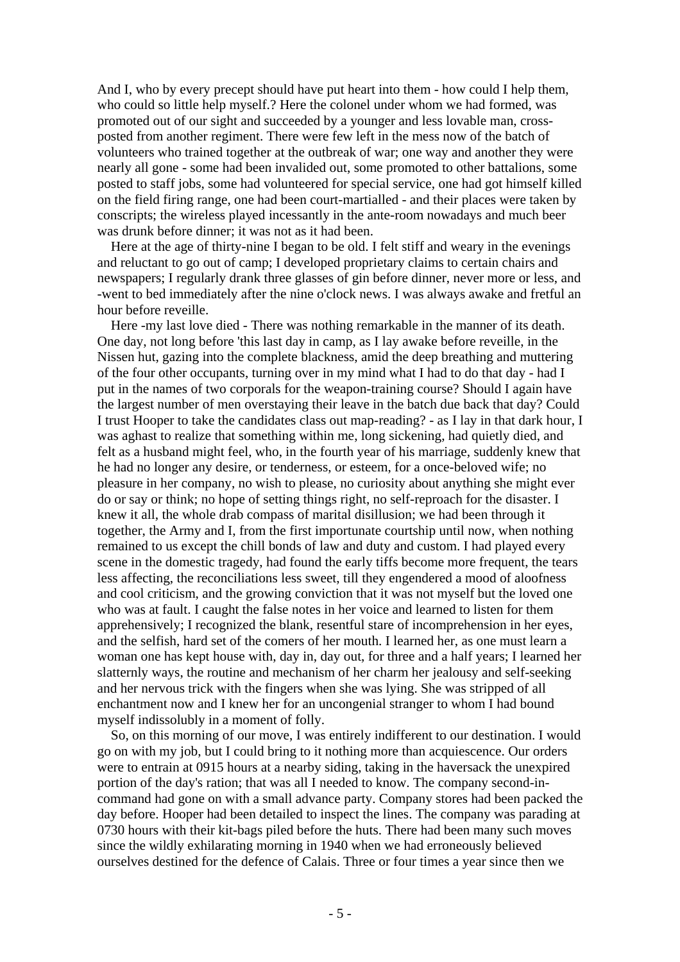And I, who by every precept should have put heart into them - how could I help them, who could so little help myself.? Here the colonel under whom we had formed, was promoted out of our sight and succeeded by a younger and less lovable man, crossposted from another regiment. There were few left in the mess now of the batch of volunteers who trained together at the outbreak of war; one way and another they were nearly all gone - some had been invalided out, some promoted to other battalions, some posted to staff jobs, some had volunteered for special service, one had got himself killed on the field firing range, one had been court-martialled - and their places were taken by conscripts; the wireless played incessantly in the ante-room nowadays and much beer was drunk before dinner; it was not as it had been.

 Here at the age of thirty-nine I began to be old. I felt stiff and weary in the evenings and reluctant to go out of camp; I developed proprietary claims to certain chairs and newspapers; I regularly drank three glasses of gin before dinner, never more or less, and -went to bed immediately after the nine o'clock news. I was always awake and fretful an hour before reveille.

 Here -my last love died - There was nothing remarkable in the manner of its death. One day, not long before 'this last day in camp, as I lay awake before reveille, in the Nissen hut, gazing into the complete blackness, amid the deep breathing and muttering of the four other occupants, turning over in my mind what I had to do that day - had I put in the names of two corporals for the weapon-training course? Should I again have the largest number of men overstaying their leave in the batch due back that day? Could I trust Hooper to take the candidates class out map-reading? - as I lay in that dark hour, I was aghast to realize that something within me, long sickening, had quietly died, and felt as a husband might feel, who, in the fourth year of his marriage, suddenly knew that he had no longer any desire, or tenderness, or esteem, for a once-beloved wife; no pleasure in her company, no wish to please, no curiosity about anything she might ever do or say or think; no hope of setting things right, no self-reproach for the disaster. I knew it all, the whole drab compass of marital disillusion; we had been through it together, the Army and I, from the first importunate courtship until now, when nothing remained to us except the chill bonds of law and duty and custom. I had played every scene in the domestic tragedy, had found the early tiffs become more frequent, the tears less affecting, the reconciliations less sweet, till they engendered a mood of aloofness and cool criticism, and the growing conviction that it was not myself but the loved one who was at fault. I caught the false notes in her voice and learned to listen for them apprehensively; I recognized the blank, resentful stare of incomprehension in her eyes, and the selfish, hard set of the comers of her mouth. I learned her, as one must learn a woman one has kept house with, day in, day out, for three and a half years; I learned her slatternly ways, the routine and mechanism of her charm her jealousy and self-seeking and her nervous trick with the fingers when she was lying. She was stripped of all enchantment now and I knew her for an uncongenial stranger to whom I had bound myself indissolubly in a moment of folly.

 So, on this morning of our move, I was entirely indifferent to our destination. I would go on with my job, but I could bring to it nothing more than acquiescence. Our orders were to entrain at 0915 hours at a nearby siding, taking in the haversack the unexpired portion of the day's ration; that was all I needed to know. The company second-incommand had gone on with a small advance party. Company stores had been packed the day before. Hooper had been detailed to inspect the lines. The company was parading at 0730 hours with their kit-bags piled before the huts. There had been many such moves since the wildly exhilarating morning in 1940 when we had erroneously believed ourselves destined for the defence of Calais. Three or four times a year since then we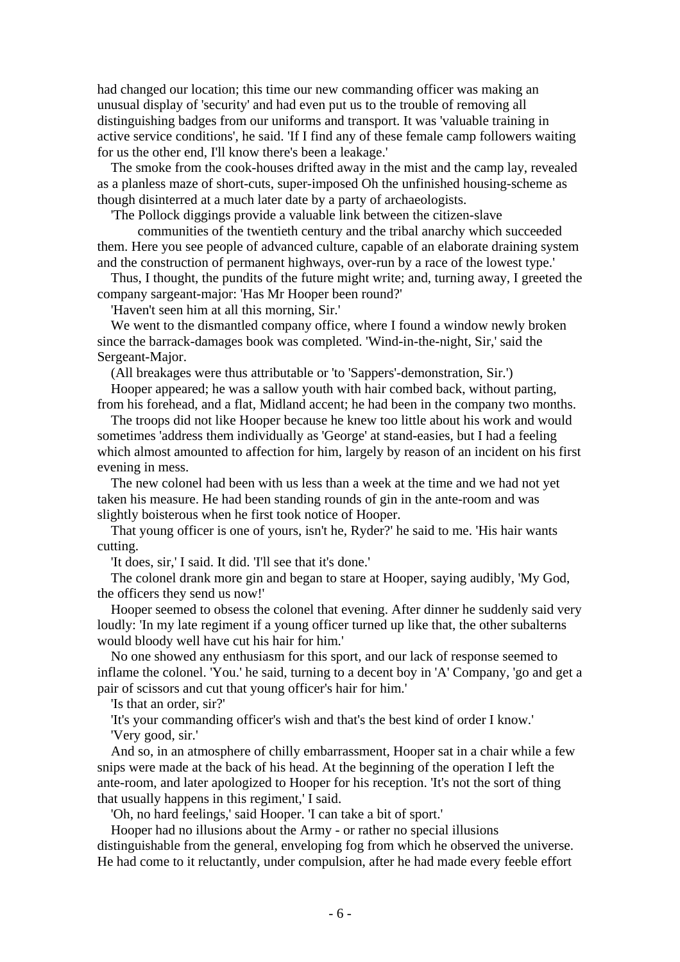had changed our location; this time our new commanding officer was making an unusual display of 'security' and had even put us to the trouble of removing all distinguishing badges from our uniforms and transport. It was 'valuable training in active service conditions', he said. 'If I find any of these female camp followers waiting for us the other end, I'll know there's been a leakage.'

 The smoke from the cook-houses drifted away in the mist and the camp lay, revealed as a planless maze of short-cuts, super-imposed Oh the unfinished housing-scheme as though disinterred at a much later date by a party of archaeologists.

'The Pollock diggings provide a valuable link between the citizen-slave

 communities of the twentieth century and the tribal anarchy which succeeded them. Here you see people of advanced culture, capable of an elaborate draining system and the construction of permanent highways, over-run by a race of the lowest type.'

 Thus, I thought, the pundits of the future might write; and, turning away, I greeted the company sargeant-major: 'Has Mr Hooper been round?'

'Haven't seen him at all this morning, Sir.'

 We went to the dismantled company office, where I found a window newly broken since the barrack-damages book was completed. 'Wind-in-the-night, Sir,' said the Sergeant-Major.

(All breakages were thus attributable or 'to 'Sappers'-demonstration, Sir.')

 Hooper appeared; he was a sallow youth with hair combed back, without parting, from his forehead, and a flat, Midland accent; he had been in the company two months.

 The troops did not like Hooper because he knew too little about his work and would sometimes 'address them individually as 'George' at stand-easies, but I had a feeling which almost amounted to affection for him, largely by reason of an incident on his first evening in mess.

 The new colonel had been with us less than a week at the time and we had not yet taken his measure. He had been standing rounds of gin in the ante-room and was slightly boisterous when he first took notice of Hooper.

 That young officer is one of yours, isn't he, Ryder?' he said to me. 'His hair wants cutting.

'It does, sir,' I said. It did. 'I'll see that it's done.'

 The colonel drank more gin and began to stare at Hooper, saying audibly, 'My God, the officers they send us now!'

 Hooper seemed to obsess the colonel that evening. After dinner he suddenly said very loudly: 'In my late regiment if a young officer turned up like that, the other subalterns would bloody well have cut his hair for him.'

 No one showed any enthusiasm for this sport, and our lack of response seemed to inflame the colonel. 'You.' he said, turning to a decent boy in 'A' Company, 'go and get a pair of scissors and cut that young officer's hair for him.'

'Is that an order, sir?'

 'It's your commanding officer's wish and that's the best kind of order I know.' 'Very good, sir.'

 And so, in an atmosphere of chilly embarrassment, Hooper sat in a chair while a few snips were made at the back of his head. At the beginning of the operation I left the ante-room, and later apologized to Hooper for his reception. 'It's not the sort of thing that usually happens in this regiment,' I said.

'Oh, no hard feelings,' said Hooper. 'I can take a bit of sport.'

Hooper had no illusions about the Army - or rather no special illusions

distinguishable from the general, enveloping fog from which he observed the universe. He had come to it reluctantly, under compulsion, after he had made every feeble effort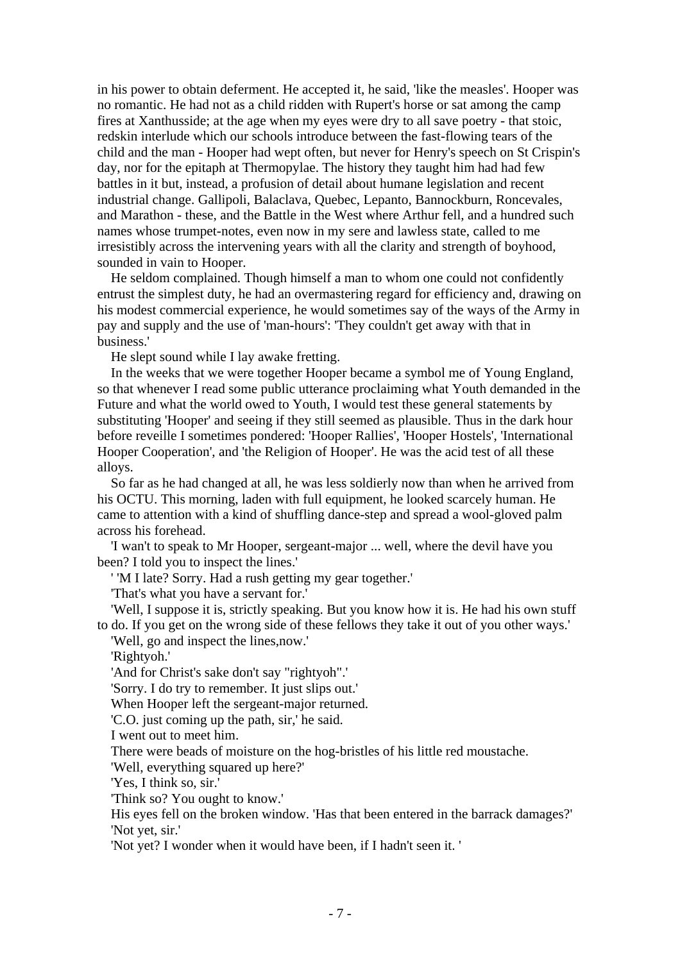in his power to obtain deferment. He accepted it, he said, 'like the measles'. Hooper was no romantic. He had not as a child ridden with Rupert's horse or sat among the camp fires at Xanthusside; at the age when my eyes were dry to all save poetry - that stoic, redskin interlude which our schools introduce between the fast-flowing tears of the child and the man - Hooper had wept often, but never for Henry's speech on St Crispin's day, nor for the epitaph at Thermopylae. The history they taught him had had few battles in it but, instead, a profusion of detail about humane legislation and recent industrial change. Gallipoli, Balaclava, Quebec, Lepanto, Bannockburn, Roncevales, and Marathon - these, and the Battle in the West where Arthur fell, and a hundred such names whose trumpet-notes, even now in my sere and lawless state, called to me irresistibly across the intervening years with all the clarity and strength of boyhood, sounded in vain to Hooper.

 He seldom complained. Though himself a man to whom one could not confidently entrust the simplest duty, he had an overmastering regard for efficiency and, drawing on his modest commercial experience, he would sometimes say of the ways of the Army in pay and supply and the use of 'man-hours': 'They couldn't get away with that in business.'

He slept sound while I lay awake fretting.

 In the weeks that we were together Hooper became a symbol me of Young England, so that whenever I read some public utterance proclaiming what Youth demanded in the Future and what the world owed to Youth, I would test these general statements by substituting 'Hooper' and seeing if they still seemed as plausible. Thus in the dark hour before reveille I sometimes pondered: 'Hooper Rallies', 'Hooper Hostels', 'International Hooper Cooperation', and 'the Religion of Hooper'. He was the acid test of all these alloys.

 So far as he had changed at all, he was less soldierly now than when he arrived from his OCTU. This morning, laden with full equipment, he looked scarcely human. He came to attention with a kind of shuffling dance-step and spread a wool-gloved palm across his forehead.

 'I wan't to speak to Mr Hooper, sergeant-major ... well, where the devil have you been? I told you to inspect the lines.'

' 'M I late? Sorry. Had a rush getting my gear together.'

'That's what you have a servant for.'

 'Well, I suppose it is, strictly speaking. But you know how it is. He had his own stuff to do. If you get on the wrong side of these fellows they take it out of you other ways.'

'Well, go and inspect the lines,now.'

'Rightyoh.'

'And for Christ's sake don't say "rightyoh".'

'Sorry. I do try to remember. It just slips out.'

When Hooper left the sergeant-major returned.

'C.O. just coming up the path, sir,' he said.

I went out to meet him.

There were beads of moisture on the hog-bristles of his little red moustache.

'Well, everything squared up here?'

'Yes, I think so, sir.'

'Think so? You ought to know.'

 His eyes fell on the broken window. 'Has that been entered in the barrack damages?' 'Not yet, sir.'

'Not yet? I wonder when it would have been, if I hadn't seen it. '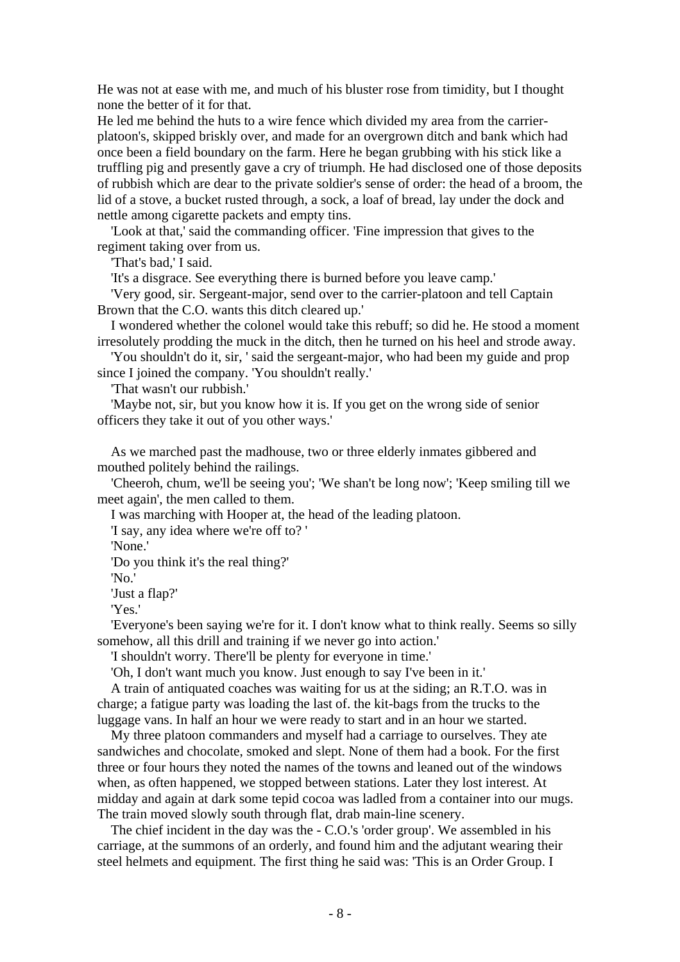He was not at ease with me, and much of his bluster rose from timidity, but I thought none the better of it for that.

He led me behind the huts to a wire fence which divided my area from the carrierplatoon's, skipped briskly over, and made for an overgrown ditch and bank which had once been a field boundary on the farm. Here he began grubbing with his stick like a truffling pig and presently gave a cry of triumph. He had disclosed one of those deposits of rubbish which are dear to the private soldier's sense of order: the head of a broom, the lid of a stove, a bucket rusted through, a sock, a loaf of bread, lay under the dock and nettle among cigarette packets and empty tins.

 'Look at that,' said the commanding officer. 'Fine impression that gives to the regiment taking over from us.

'That's bad,' I said.

'It's a disgrace. See everything there is burned before you leave camp.'

 'Very good, sir. Sergeant-major, send over to the carrier-platoon and tell Captain Brown that the C.O. wants this ditch cleared up.'

 I wondered whether the colonel would take this rebuff; so did he. He stood a moment irresolutely prodding the muck in the ditch, then he turned on his heel and strode away.

 'You shouldn't do it, sir, ' said the sergeant-major, who had been my guide and prop since I joined the company. 'You shouldn't really.'

'That wasn't our rubbish.'

 'Maybe not, sir, but you know how it is. If you get on the wrong side of senior officers they take it out of you other ways.'

 As we marched past the madhouse, two or three elderly inmates gibbered and mouthed politely behind the railings.

 'Cheeroh, chum, we'll be seeing you'; 'We shan't be long now'; 'Keep smiling till we meet again', the men called to them.

I was marching with Hooper at, the head of the leading platoon.

'I say, any idea where we're off to? '

'None.'

'Do you think it's the real thing?'

'No.'

'Just a flap?'

'Yes.'

 'Everyone's been saying we're for it. I don't know what to think really. Seems so silly somehow, all this drill and training if we never go into action.'

'I shouldn't worry. There'll be plenty for everyone in time.'

'Oh, I don't want much you know. Just enough to say I've been in it.'

 A train of antiquated coaches was waiting for us at the siding; an R.T.O. was in charge; a fatigue party was loading the last of. the kit-bags from the trucks to the luggage vans. In half an hour we were ready to start and in an hour we started.

 My three platoon commanders and myself had a carriage to ourselves. They ate sandwiches and chocolate, smoked and slept. None of them had a book. For the first three or four hours they noted the names of the towns and leaned out of the windows when, as often happened, we stopped between stations. Later they lost interest. At midday and again at dark some tepid cocoa was ladled from a container into our mugs. The train moved slowly south through flat, drab main-line scenery.

 The chief incident in the day was the - C.O.'s 'order group'. We assembled in his carriage, at the summons of an orderly, and found him and the adjutant wearing their steel helmets and equipment. The first thing he said was: 'This is an Order Group. I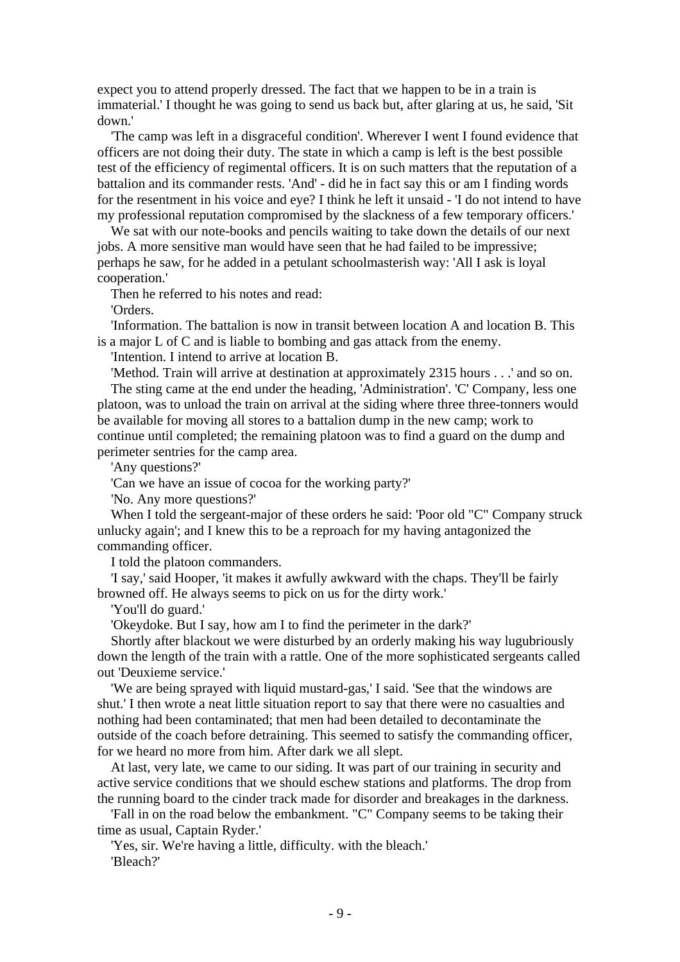expect you to attend properly dressed. The fact that we happen to be in a train is immaterial.' I thought he was going to send us back but, after glaring at us, he said, 'Sit down.'

 'The camp was left in a disgraceful condition'. Wherever I went I found evidence that officers are not doing their duty. The state in which a camp is left is the best possible test of the efficiency of regimental officers. It is on such matters that the reputation of a battalion and its commander rests. 'And' - did he in fact say this or am I finding words for the resentment in his voice and eye? I think he left it unsaid - 'I do not intend to have my professional reputation compromised by the slackness of a few temporary officers.'

 We sat with our note-books and pencils waiting to take down the details of our next jobs. A more sensitive man would have seen that he had failed to be impressive; perhaps he saw, for he added in a petulant schoolmasterish way: 'All I ask is loyal cooperation.'

Then he referred to his notes and read:

'Orders.

 'Information. The battalion is now in transit between location A and location B. This is a major L of C and is liable to bombing and gas attack from the enemy.

'Intention. I intend to arrive at location B.

'Method. Train will arrive at destination at approximately 2315 hours . . .' and so on.

 The sting came at the end under the heading, 'Administration'. 'C' Company, less one platoon, was to unload the train on arrival at the siding where three three-tonners would be available for moving all stores to a battalion dump in the new camp; work to continue until completed; the remaining platoon was to find a guard on the dump and perimeter sentries for the camp area.

'Any questions?'

'Can we have an issue of cocoa for the working party?'

'No. Any more questions?'

 When I told the sergeant-major of these orders he said: 'Poor old "C" Company struck unlucky again'; and I knew this to be a reproach for my having antagonized the commanding officer.

I told the platoon commanders.

 'I say,' said Hooper, 'it makes it awfully awkward with the chaps. They'll be fairly browned off. He always seems to pick on us for the dirty work.'

'You'll do guard.'

'Okeydoke. But I say, how am I to find the perimeter in the dark?'

 Shortly after blackout we were disturbed by an orderly making his way lugubriously down the length of the train with a rattle. One of the more sophisticated sergeants called out 'Deuxieme service.'

 'We are being sprayed with liquid mustard-gas,' I said. 'See that the windows are shut.' I then wrote a neat little situation report to say that there were no casualties and nothing had been contaminated; that men had been detailed to decontaminate the outside of the coach before detraining. This seemed to satisfy the commanding officer, for we heard no more from him. After dark we all slept.

 At last, very late, we came to our siding. It was part of our training in security and active service conditions that we should eschew stations and platforms. The drop from the running board to the cinder track made for disorder and breakages in the darkness.

 'Fall in on the road below the embankment. "C" Company seems to be taking their time as usual, Captain Ryder.'

 'Yes, sir. We're having a little, difficulty. with the bleach.' 'Bleach?'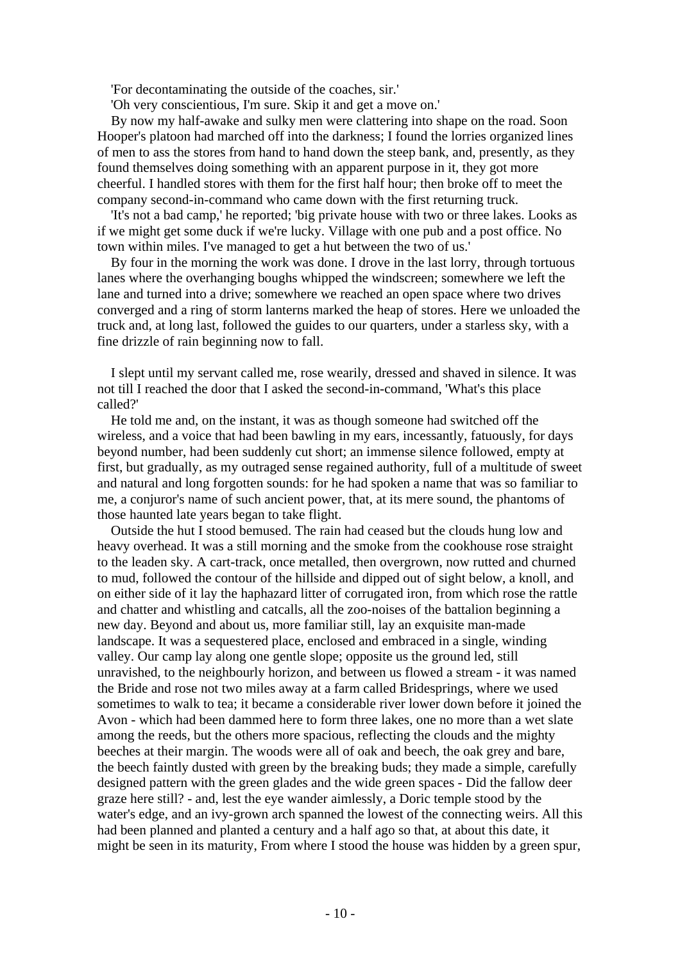'For decontaminating the outside of the coaches, sir.'

'Oh very conscientious, I'm sure. Skip it and get a move on.'

 By now my half-awake and sulky men were clattering into shape on the road. Soon Hooper's platoon had marched off into the darkness; I found the lorries organized lines of men to ass the stores from hand to hand down the steep bank, and, presently, as they found themselves doing something with an apparent purpose in it, they got more cheerful. I handled stores with them for the first half hour; then broke off to meet the company second-in-command who came down with the first returning truck.

 'It's not a bad camp,' he reported; 'big private house with two or three lakes. Looks as if we might get some duck if we're lucky. Village with one pub and a post office. No town within miles. I've managed to get a hut between the two of us.'

 By four in the morning the work was done. I drove in the last lorry, through tortuous lanes where the overhanging boughs whipped the windscreen; somewhere we left the lane and turned into a drive; somewhere we reached an open space where two drives converged and a ring of storm lanterns marked the heap of stores. Here we unloaded the truck and, at long last, followed the guides to our quarters, under a starless sky, with a fine drizzle of rain beginning now to fall.

 I slept until my servant called me, rose wearily, dressed and shaved in silence. It was not till I reached the door that I asked the second-in-command, 'What's this place called?'

 He told me and, on the instant, it was as though someone had switched off the wireless, and a voice that had been bawling in my ears, incessantly, fatuously, for days beyond number, had been suddenly cut short; an immense silence followed, empty at first, but gradually, as my outraged sense regained authority, full of a multitude of sweet and natural and long forgotten sounds: for he had spoken a name that was so familiar to me, a conjuror's name of such ancient power, that, at its mere sound, the phantoms of those haunted late years began to take flight.

 Outside the hut I stood bemused. The rain had ceased but the clouds hung low and heavy overhead. It was a still morning and the smoke from the cookhouse rose straight to the leaden sky. A cart-track, once metalled, then overgrown, now rutted and churned to mud, followed the contour of the hillside and dipped out of sight below, a knoll, and on either side of it lay the haphazard litter of corrugated iron, from which rose the rattle and chatter and whistling and catcalls, all the zoo-noises of the battalion beginning a new day. Beyond and about us, more familiar still, lay an exquisite man-made landscape. It was a sequestered place, enclosed and embraced in a single, winding valley. Our camp lay along one gentle slope; opposite us the ground led, still unravished, to the neighbourly horizon, and between us flowed a stream - it was named the Bride and rose not two miles away at a farm called Bridesprings, where we used sometimes to walk to tea; it became a considerable river lower down before it joined the Avon - which had been dammed here to form three lakes, one no more than a wet slate among the reeds, but the others more spacious, reflecting the clouds and the mighty beeches at their margin. The woods were all of oak and beech, the oak grey and bare, the beech faintly dusted with green by the breaking buds; they made a simple, carefully designed pattern with the green glades and the wide green spaces - Did the fallow deer graze here still? - and, lest the eye wander aimlessly, a Doric temple stood by the water's edge, and an ivy-grown arch spanned the lowest of the connecting weirs. All this had been planned and planted a century and a half ago so that, at about this date, it might be seen in its maturity, From where I stood the house was hidden by a green spur,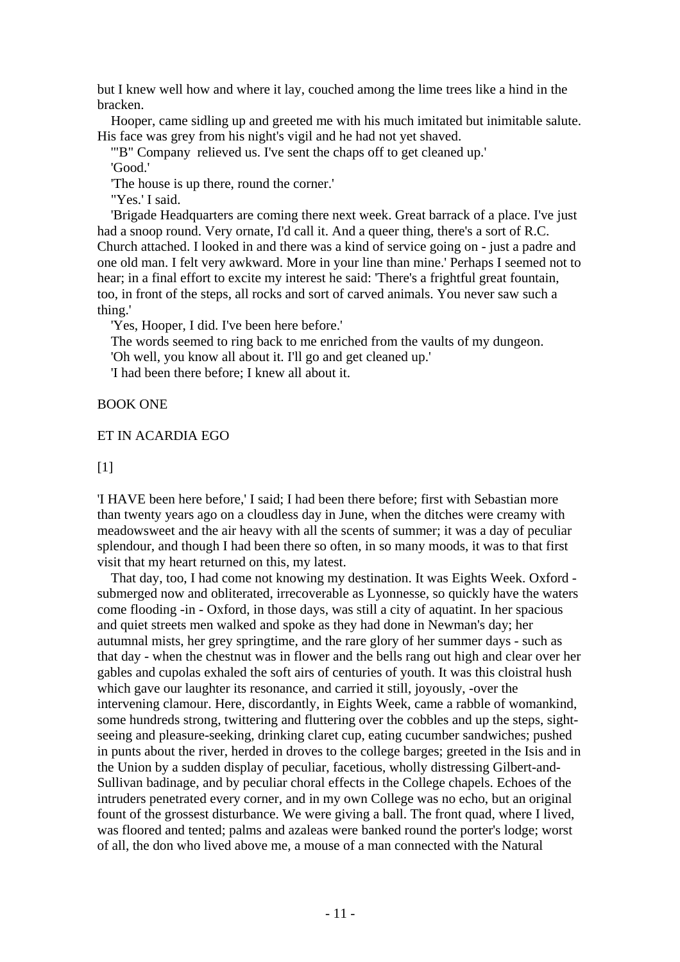but I knew well how and where it lay, couched among the lime trees like a hind in the bracken.

 Hooper, came sidling up and greeted me with his much imitated but inimitable salute. His face was grey from his night's vigil and he had not yet shaved.

'"B" Company relieved us. I've sent the chaps off to get cleaned up.'

'Good.'

'The house is up there, round the corner.'

"Yes.' I said.

 'Brigade Headquarters are coming there next week. Great barrack of a place. I've just had a snoop round. Very ornate, I'd call it. And a queer thing, there's a sort of R.C. Church attached. I looked in and there was a kind of service going on - just a padre and one old man. I felt very awkward. More in your line than mine.' Perhaps I seemed not to hear; in a final effort to excite my interest he said: 'There's a frightful great fountain, too, in front of the steps, all rocks and sort of carved animals. You never saw such a thing.'

'Yes, Hooper, I did. I've been here before.'

The words seemed to ring back to me enriched from the vaults of my dungeon.

'Oh well, you know all about it. I'll go and get cleaned up.'

'I had been there before; I knew all about it.

BOOK ONE

# ET IN ACARDIA EGO

[1]

'I HAVE been here before,' I said; I had been there before; first with Sebastian more than twenty years ago on a cloudless day in June, when the ditches were creamy with meadowsweet and the air heavy with all the scents of summer; it was a day of peculiar splendour, and though I had been there so often, in so many moods, it was to that first visit that my heart returned on this, my latest.

 That day, too, I had come not knowing my destination. It was Eights Week. Oxford submerged now and obliterated, irrecoverable as Lyonnesse, so quickly have the waters come flooding -in - Oxford, in those days, was still a city of aquatint. In her spacious and quiet streets men walked and spoke as they had done in Newman's day; her autumnal mists, her grey springtime, and the rare glory of her summer days - such as that day - when the chestnut was in flower and the bells rang out high and clear over her gables and cupolas exhaled the soft airs of centuries of youth. It was this cloistral hush which gave our laughter its resonance, and carried it still, joyously, -over the intervening clamour. Here, discordantly, in Eights Week, came a rabble of womankind, some hundreds strong, twittering and fluttering over the cobbles and up the steps, sightseeing and pleasure-seeking, drinking claret cup, eating cucumber sandwiches; pushed in punts about the river, herded in droves to the college barges; greeted in the Isis and in the Union by a sudden display of peculiar, facetious, wholly distressing Gilbert-and-Sullivan badinage, and by peculiar choral effects in the College chapels. Echoes of the intruders penetrated every corner, and in my own College was no echo, but an original fount of the grossest disturbance. We were giving a ball. The front quad, where I lived, was floored and tented; palms and azaleas were banked round the porter's lodge; worst of all, the don who lived above me, a mouse of a man connected with the Natural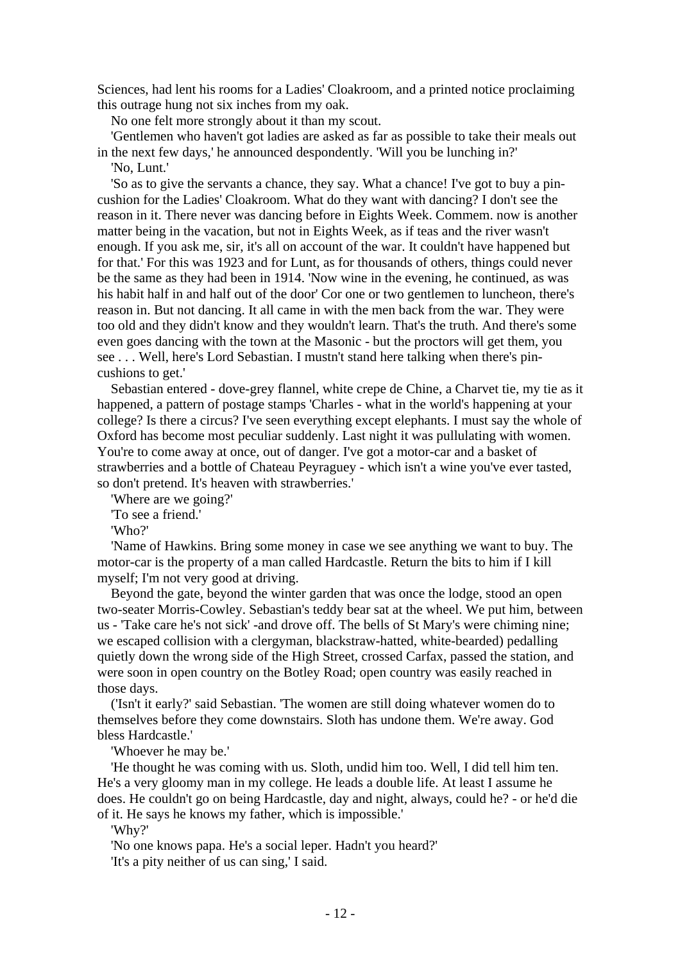Sciences, had lent his rooms for a Ladies' Cloakroom, and a printed notice proclaiming this outrage hung not six inches from my oak.

No one felt more strongly about it than my scout.

 'Gentlemen who haven't got ladies are asked as far as possible to take their meals out in the next few days,' he announced despondently. 'Will you be lunching in?'

'No, Lunt.'

 'So as to give the servants a chance, they say. What a chance! I've got to buy a pincushion for the Ladies' Cloakroom. What do they want with dancing? I don't see the reason in it. There never was dancing before in Eights Week. Commem. now is another matter being in the vacation, but not in Eights Week, as if teas and the river wasn't enough. If you ask me, sir, it's all on account of the war. It couldn't have happened but for that.' For this was 1923 and for Lunt, as for thousands of others, things could never be the same as they had been in 1914. 'Now wine in the evening, he continued, as was his habit half in and half out of the door' Cor one or two gentlemen to luncheon, there's reason in. But not dancing. It all came in with the men back from the war. They were too old and they didn't know and they wouldn't learn. That's the truth. And there's some even goes dancing with the town at the Masonic - but the proctors will get them, you see . . . Well, here's Lord Sebastian. I mustn't stand here talking when there's pincushions to get.'

 Sebastian entered - dove-grey flannel, white crepe de Chine, a Charvet tie, my tie as it happened, a pattern of postage stamps 'Charles - what in the world's happening at your college? Is there a circus? I've seen everything except elephants. I must say the whole of Oxford has become most peculiar suddenly. Last night it was pullulating with women. You're to come away at once, out of danger. I've got a motor-car and a basket of strawberries and a bottle of Chateau Peyraguey - which isn't a wine you've ever tasted, so don't pretend. It's heaven with strawberries.'

'Where are we going?'

'To see a friend.'

'Who?'

 'Name of Hawkins. Bring some money in case we see anything we want to buy. The motor-car is the property of a man called Hardcastle. Return the bits to him if I kill myself; I'm not very good at driving.

 Beyond the gate, beyond the winter garden that was once the lodge, stood an open two-seater Morris-Cowley. Sebastian's teddy bear sat at the wheel. We put him, between us - 'Take care he's not sick' -and drove off. The bells of St Mary's were chiming nine; we escaped collision with a clergyman, blackstraw-hatted, white-bearded) pedalling quietly down the wrong side of the High Street, crossed Carfax, passed the station, and were soon in open country on the Botley Road; open country was easily reached in those days.

 ('Isn't it early?' said Sebastian. 'The women are still doing whatever women do to themselves before they come downstairs. Sloth has undone them. We're away. God bless Hardcastle.'

'Whoever he may be.'

 'He thought he was coming with us. Sloth, undid him too. Well, I did tell him ten. He's a very gloomy man in my college. He leads a double life. At least I assume he does. He couldn't go on being Hardcastle, day and night, always, could he? - or he'd die of it. He says he knows my father, which is impossible.'

'Why?'

'No one knows papa. He's a social leper. Hadn't you heard?'

'It's a pity neither of us can sing,' I said.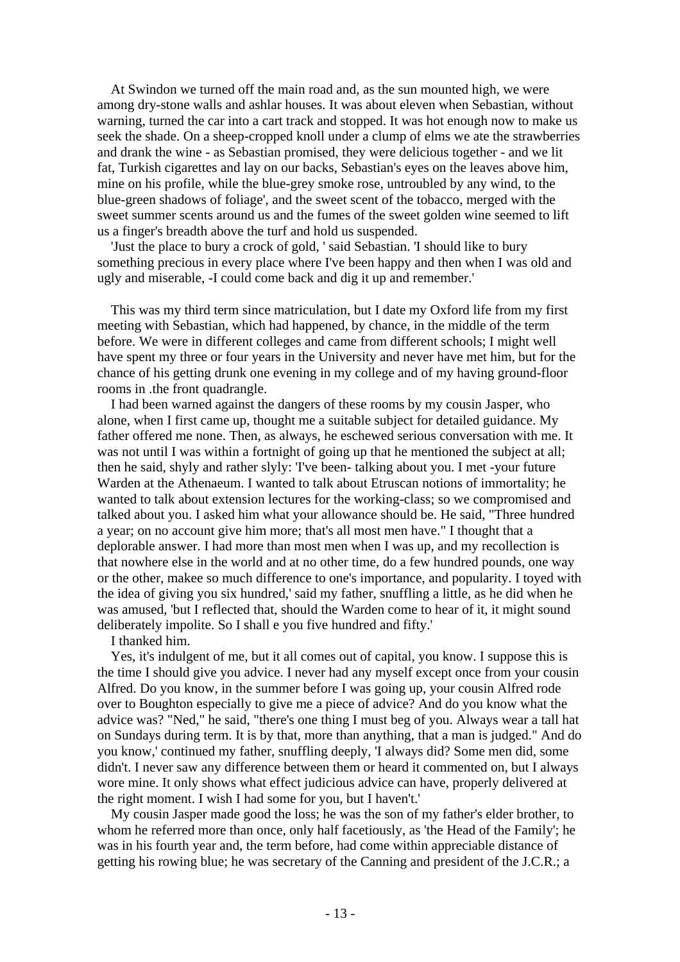At Swindon we turned off the main road and, as the sun mounted high, we were among dry-stone walls and ashlar houses. It was about eleven when Sebastian, without warning, turned the car into a cart track and stopped. It was hot enough now to make us seek the shade. On a sheep-cropped knoll under a clump of elms we ate the strawberries and drank the wine - as Sebastian promised, they were delicious together - and we lit fat, Turkish cigarettes and lay on our backs, Sebastian's eyes on the leaves above him, mine on his profile, while the blue-grey smoke rose, untroubled by any wind, to the blue-green shadows of foliage', and the sweet scent of the tobacco, merged with the sweet summer scents around us and the fumes of the sweet golden wine seemed to lift us a finger's breadth above the turf and hold us suspended.

 'Just the place to bury a crock of gold, ' said Sebastian. 'I should like to bury something precious in every place where I've been happy and then when I was old and ugly and miserable, -I could come back and dig it up and remember.'

 This was my third term since matriculation, but I date my Oxford life from my first meeting with Sebastian, which had happened, by chance, in the middle of the term before. We were in different colleges and came from different schools; I might well have spent my three or four years in the University and never have met him, but for the chance of his getting drunk one evening in my college and of my having ground-floor rooms in .the front quadrangle.

 I had been warned against the dangers of these rooms by my cousin Jasper, who alone, when I first came up, thought me a suitable subject for detailed guidance. My father offered me none. Then, as always, he eschewed serious conversation with me. It was not until I was within a fortnight of going up that he mentioned the subject at all; then he said, shyly and rather slyly: 'I've been- talking about you. I met -your future Warden at the Athenaeum. I wanted to talk about Etruscan notions of immortality; he wanted to talk about extension lectures for the working-class; so we compromised and talked about you. I asked him what your allowance should be. He said, "Three hundred a year; on no account give him more; that's all most men have." I thought that a deplorable answer. I had more than most men when I was up, and my recollection is that nowhere else in the world and at no other time, do a few hundred pounds, one way or the other, makee so much difference to one's importance, and popularity. I toyed with the idea of giving you six hundred,' said my father, snuffling a little, as he did when he was amused, 'but I reflected that, should the Warden come to hear of it, it might sound deliberately impolite. So I shall e you five hundred and fifty.'

I thanked him.

 Yes, it's indulgent of me, but it all comes out of capital, you know. I suppose this is the time I should give you advice. I never had any myself except once from your cousin Alfred. Do you know, in the summer before I was going up, your cousin Alfred rode over to Boughton especially to give me a piece of advice? And do you know what the advice was? "Ned," he said, "there's one thing I must beg of you. Always wear a tall hat on Sundays during term. It is by that, more than anything, that a man is judged." And do you know,' continued my father, snuffling deeply, 'I always did? Some men did, some didn't. I never saw any difference between them or heard it commented on, but I always wore mine. It only shows what effect judicious advice can have, properly delivered at the right moment. I wish I had some for you, but I haven't.'

 My cousin Jasper made good the loss; he was the son of my father's elder brother, to whom he referred more than once, only half facetiously, as 'the Head of the Family'; he was in his fourth year and, the term before, had come within appreciable distance of getting his rowing blue; he was secretary of the Canning and president of the J.C.R.; a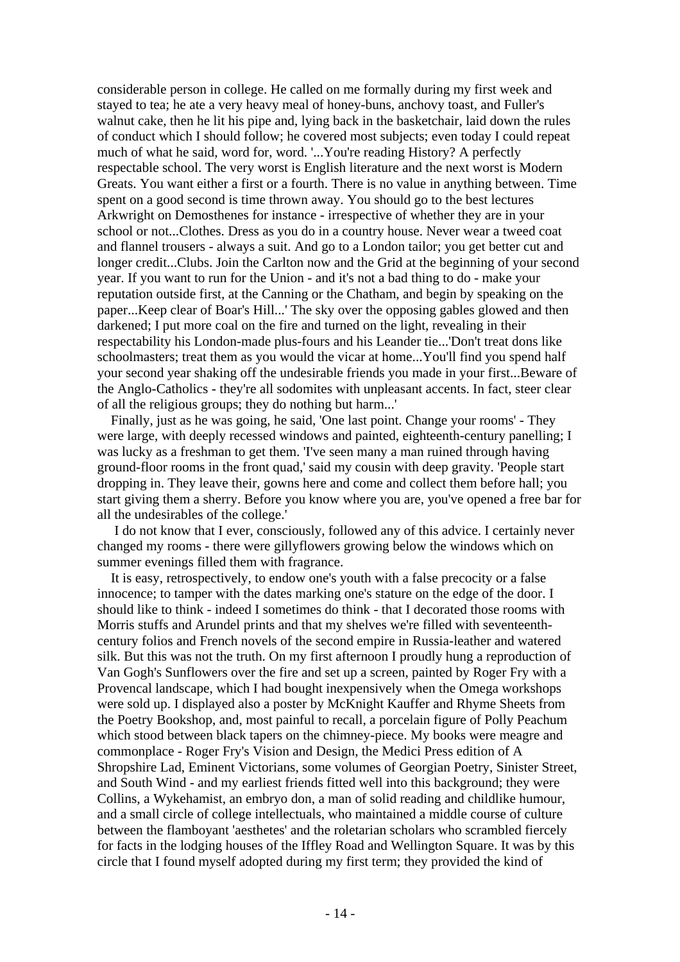considerable person in college. He called on me formally during my first week and stayed to tea; he ate a very heavy meal of honey-buns, anchovy toast, and Fuller's walnut cake, then he lit his pipe and, lying back in the basketchair, laid down the rules of conduct which I should follow; he covered most subjects; even today I could repeat much of what he said, word for, word. '...You're reading History? A perfectly respectable school. The very worst is English literature and the next worst is Modern Greats. You want either a first or a fourth. There is no value in anything between. Time spent on a good second is time thrown away. You should go to the best lectures Arkwright on Demosthenes for instance - irrespective of whether they are in your school or not...Clothes. Dress as you do in a country house. Never wear a tweed coat and flannel trousers - always a suit. And go to a London tailor; you get better cut and longer credit...Clubs. Join the Carlton now and the Grid at the beginning of your second year. If you want to run for the Union - and it's not a bad thing to do - make your reputation outside first, at the Canning or the Chatham, and begin by speaking on the paper...Keep clear of Boar's Hill...' The sky over the opposing gables glowed and then darkened; I put more coal on the fire and turned on the light, revealing in their respectability his London-made plus-fours and his Leander tie...'Don't treat dons like schoolmasters; treat them as you would the vicar at home...You'll find you spend half your second year shaking off the undesirable friends you made in your first...Beware of the Anglo-Catholics - they're all sodomites with unpleasant accents. In fact, steer clear of all the religious groups; they do nothing but harm...'

Finally, just as he was going, he said, 'One last point. Change your rooms' - They were large, with deeply recessed windows and painted, eighteenth-century panelling; I was lucky as a freshman to get them. Tve seen many a man ruined through having ground-floor rooms in the front quad,' said my cousin with deep gravity. 'People start dropping in. They leave their, gowns here and come and collect them before hall; you start giving them a sherry. Before you know where you are, you've opened a free bar for all the undesirables of the college.'

 I do not know that I ever, consciously, followed any of this advice. I certainly never changed my rooms - there were gillyflowers growing below the windows which on summer evenings filled them with fragrance.

 It is easy, retrospectively, to endow one's youth with a false precocity or a false innocence; to tamper with the dates marking one's stature on the edge of the door. I should like to think - indeed I sometimes do think - that I decorated those rooms with Morris stuffs and Arundel prints and that my shelves we're filled with seventeenthcentury folios and French novels of the second empire in Russia-leather and watered silk. But this was not the truth. On my first afternoon I proudly hung a reproduction of Van Gogh's Sunflowers over the fire and set up a screen, painted by Roger Fry with a Provencal landscape, which I had bought inexpensively when the Omega workshops were sold up. I displayed also a poster by McKnight Kauffer and Rhyme Sheets from the Poetry Bookshop, and, most painful to recall, a porcelain figure of Polly Peachum which stood between black tapers on the chimney-piece. My books were meagre and commonplace - Roger Fry's Vision and Design, the Medici Press edition of A Shropshire Lad, Eminent Victorians, some volumes of Georgian Poetry, Sinister Street, and South Wind - and my earliest friends fitted well into this background; they were Collins, a Wykehamist, an embryo don, a man of solid reading and childlike humour, and a small circle of college intellectuals, who maintained a middle course of culture between the flamboyant 'aesthetes' and the roletarian scholars who scrambled fiercely for facts in the lodging houses of the Iffley Road and Wellington Square. It was by this circle that I found myself adopted during my first term; they provided the kind of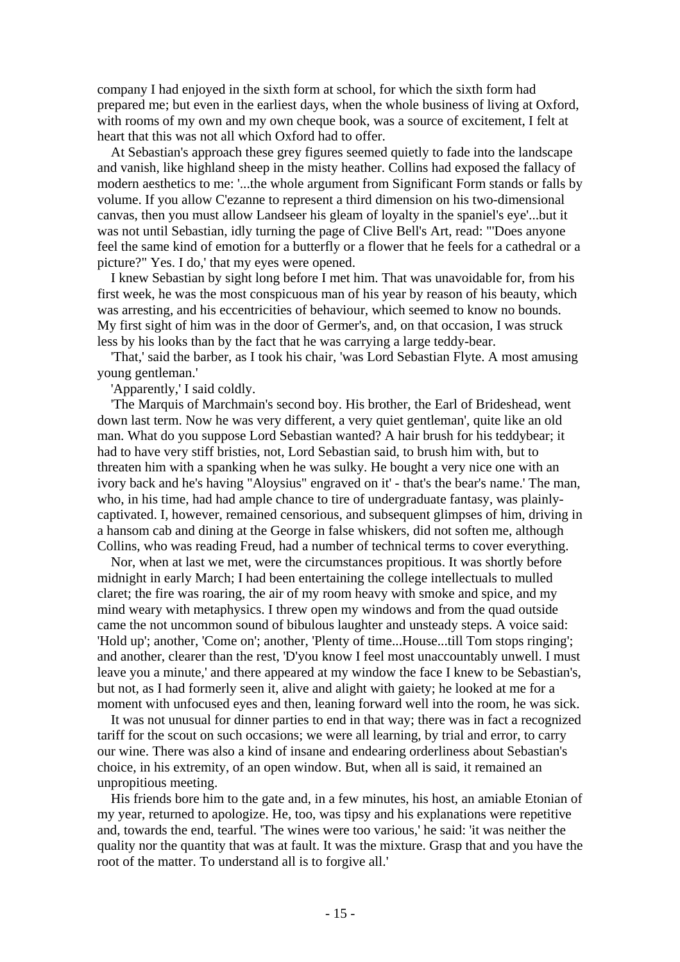company I had enjoyed in the sixth form at school, for which the sixth form had prepared me; but even in the earliest days, when the whole business of living at Oxford, with rooms of my own and my own cheque book, was a source of excitement, I felt at heart that this was not all which Oxford had to offer.

 At Sebastian's approach these grey figures seemed quietly to fade into the landscape and vanish, like highland sheep in the misty heather. Collins had exposed the fallacy of modern aesthetics to me: '...the whole argument from Significant Form stands or falls by volume. If you allow C'ezanne to represent a third dimension on his two-dimensional canvas, then you must allow Landseer his gleam of loyalty in the spaniel's eye'...but it was not until Sebastian, idly turning the page of Clive Bell's Art, read: "'Does anyone feel the same kind of emotion for a butterfly or a flower that he feels for a cathedral or a picture?" Yes. I do,' that my eyes were opened.

 I knew Sebastian by sight long before I met him. That was unavoidable for, from his first week, he was the most conspicuous man of his year by reason of his beauty, which was arresting, and his eccentricities of behaviour, which seemed to know no bounds. My first sight of him was in the door of Germer's, and, on that occasion, I was struck less by his looks than by the fact that he was carrying a large teddy-bear.

 'That,' said the barber, as I took his chair, 'was Lord Sebastian Flyte. A most amusing young gentleman.'

'Apparently,' I said coldly.

 'The Marquis of Marchmain's second boy. His brother, the Earl of Brideshead, went down last term. Now he was very different, a very quiet gentleman', quite like an old man. What do you suppose Lord Sebastian wanted? A hair brush for his teddybear; it had to have very stiff bristies, not, Lord Sebastian said, to brush him with, but to threaten him with a spanking when he was sulky. He bought a very nice one with an ivory back and he's having "Aloysius" engraved on it' - that's the bear's name.' The man, who, in his time, had had ample chance to tire of undergraduate fantasy, was plainlycaptivated. I, however, remained censorious, and subsequent glimpses of him, driving in a hansom cab and dining at the George in false whiskers, did not soften me, although Collins, who was reading Freud, had a number of technical terms to cover everything.

 Nor, when at last we met, were the circumstances propitious. It was shortly before midnight in early March; I had been entertaining the college intellectuals to mulled claret; the fire was roaring, the air of my room heavy with smoke and spice, and my mind weary with metaphysics. I threw open my windows and from the quad outside came the not uncommon sound of bibulous laughter and unsteady steps. A voice said: 'Hold up'; another, 'Come on'; another, 'Plenty of time...House...till Tom stops ringing'; and another, clearer than the rest, 'D'you know I feel most unaccountably unwell. I must leave you a minute,' and there appeared at my window the face I knew to be Sebastian's, but not, as I had formerly seen it, alive and alight with gaiety; he looked at me for a moment with unfocused eyes and then, leaning forward well into the room, he was sick.

 It was not unusual for dinner parties to end in that way; there was in fact a recognized tariff for the scout on such occasions; we were all learning, by trial and error, to carry our wine. There was also a kind of insane and endearing orderliness about Sebastian's choice, in his extremity, of an open window. But, when all is said, it remained an unpropitious meeting.

 His friends bore him to the gate and, in a few minutes, his host, an amiable Etonian of my year, returned to apologize. He, too, was tipsy and his explanations were repetitive and, towards the end, tearful. 'The wines were too various,' he said: 'it was neither the quality nor the quantity that was at fault. It was the mixture. Grasp that and you have the root of the matter. To understand all is to forgive all.'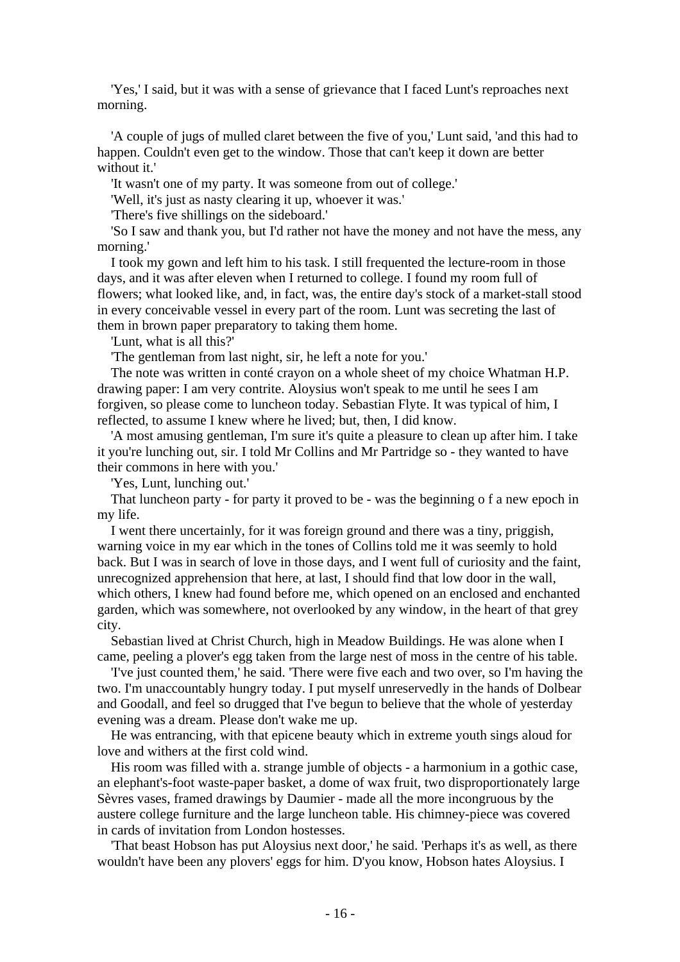'Yes,' I said, but it was with a sense of grievance that I faced Lunt's reproaches next morning.

 'A couple of jugs of mulled claret between the five of you,' Lunt said, 'and this had to happen. Couldn't even get to the window. Those that can't keep it down are better without it.'

'It wasn't one of my party. It was someone from out of college.'

'Well, it's just as nasty clearing it up, whoever it was.'

'There's five shillings on the sideboard.'

 'So I saw and thank you, but I'd rather not have the money and not have the mess, any morning.'

 I took my gown and left him to his task. I still frequented the lecture-room in those days, and it was after eleven when I returned to college. I found my room full of flowers; what looked like, and, in fact, was, the entire day's stock of a market-stall stood in every conceivable vessel in every part of the room. Lunt was secreting the last of them in brown paper preparatory to taking them home.

'Lunt, what is all this?'

'The gentleman from last night, sir, he left a note for you.'

 The note was written in conté crayon on a whole sheet of my choice Whatman H.P. drawing paper: I am very contrite. Aloysius won't speak to me until he sees I am forgiven, so please come to luncheon today. Sebastian Flyte. It was typical of him, I reflected, to assume I knew where he lived; but, then, I did know.

 'A most amusing gentleman, I'm sure it's quite a pleasure to clean up after him. I take it you're lunching out, sir. I told Mr Collins and Mr Partridge so - they wanted to have their commons in here with you.'

'Yes, Lunt, lunching out.'

 That luncheon party - for party it proved to be - was the beginning o f a new epoch in my life.

 I went there uncertainly, for it was foreign ground and there was a tiny, priggish, warning voice in my ear which in the tones of Collins told me it was seemly to hold back. But I was in search of love in those days, and I went full of curiosity and the faint, unrecognized apprehension that here, at last, I should find that low door in the wall, which others, I knew had found before me, which opened on an enclosed and enchanted garden, which was somewhere, not overlooked by any window, in the heart of that grey city.

 Sebastian lived at Christ Church, high in Meadow Buildings. He was alone when I came, peeling a plover's egg taken from the large nest of moss in the centre of his table.

 'I've just counted them,' he said. 'There were five each and two over, so I'm having the two. I'm unaccountably hungry today. I put myself unreservedly in the hands of Dolbear and Goodall, and feel so drugged that I've begun to believe that the whole of yesterday evening was a dream. Please don't wake me up.

 He was entrancing, with that epicene beauty which in extreme youth sings aloud for love and withers at the first cold wind.

 His room was filled with a. strange jumble of objects - a harmonium in a gothic case, an elephant's-foot waste-paper basket, a dome of wax fruit, two disproportionately large Sèvres vases, framed drawings by Daumier - made all the more incongruous by the austere college furniture and the large luncheon table. His chimney-piece was covered in cards of invitation from London hostesses.

 'That beast Hobson has put Aloysius next door,' he said. 'Perhaps it's as well, as there wouldn't have been any plovers' eggs for him. D'you know, Hobson hates Aloysius. I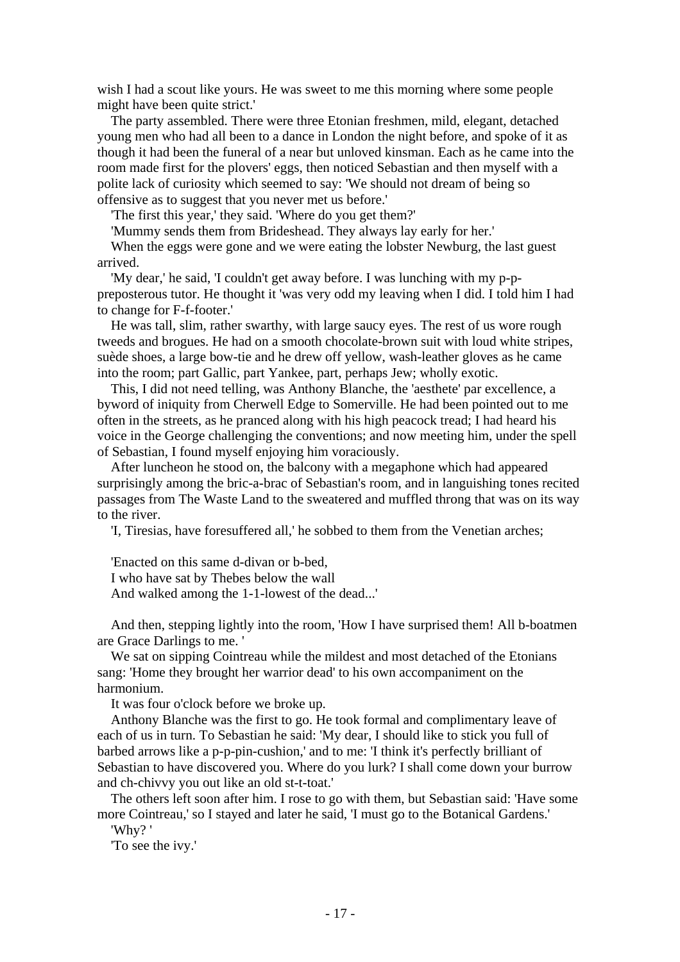wish I had a scout like yours. He was sweet to me this morning where some people might have been quite strict.'

 The party assembled. There were three Etonian freshmen, mild, elegant, detached young men who had all been to a dance in London the night before, and spoke of it as though it had been the funeral of a near but unloved kinsman. Each as he came into the room made first for the plovers' eggs, then noticed Sebastian and then myself with a polite lack of curiosity which seemed to say: 'We should not dream of being so offensive as to suggest that you never met us before.'

'The first this year,' they said. 'Where do you get them?'

'Mummy sends them from Brideshead. They always lay early for her.'

When the eggs were gone and we were eating the lobster Newburg, the last guest arrived.

 'My dear,' he said, 'I couldn't get away before. I was lunching with my p-ppreposterous tutor. He thought it 'was very odd my leaving when I did. I told him I had to change for F-f-footer.'

 He was tall, slim, rather swarthy, with large saucy eyes. The rest of us wore rough tweeds and brogues. He had on a smooth chocolate-brown suit with loud white stripes, suède shoes, a large bow-tie and he drew off yellow, wash-leather gloves as he came into the room; part Gallic, part Yankee, part, perhaps Jew; wholly exotic.

 This, I did not need telling, was Anthony Blanche, the 'aesthete' par excellence, a byword of iniquity from Cherwell Edge to Somerville. He had been pointed out to me often in the streets, as he pranced along with his high peacock tread; I had heard his voice in the George challenging the conventions; and now meeting him, under the spell of Sebastian, I found myself enjoying him voraciously.

 After luncheon he stood on, the balcony with a megaphone which had appeared surprisingly among the bric-a-brac of Sebastian's room, and in languishing tones recited passages from The Waste Land to the sweatered and muffled throng that was on its way to the river.

'I, Tiresias, have foresuffered all,' he sobbed to them from the Venetian arches;

 'Enacted on this same d-divan or b-bed, I who have sat by Thebes below the wall And walked among the 1-1-lowest of the dead...'

 And then, stepping lightly into the room, 'How I have surprised them! All b-boatmen are Grace Darlings to me. '

We sat on sipping Cointreau while the mildest and most detached of the Etonians sang: 'Home they brought her warrior dead' to his own accompaniment on the harmonium.

It was four o'clock before we broke up.

 Anthony Blanche was the first to go. He took formal and complimentary leave of each of us in turn. To Sebastian he said: 'My dear, I should like to stick you full of barbed arrows like a p-p-pin-cushion,' and to me: 'I think it's perfectly brilliant of Sebastian to have discovered you. Where do you lurk? I shall come down your burrow and ch-chivvy you out like an old st-t-toat.'

 The others left soon after him. I rose to go with them, but Sebastian said: 'Have some more Cointreau,' so I stayed and later he said, 'I must go to the Botanical Gardens.'

'Why? '

'To see the ivy.'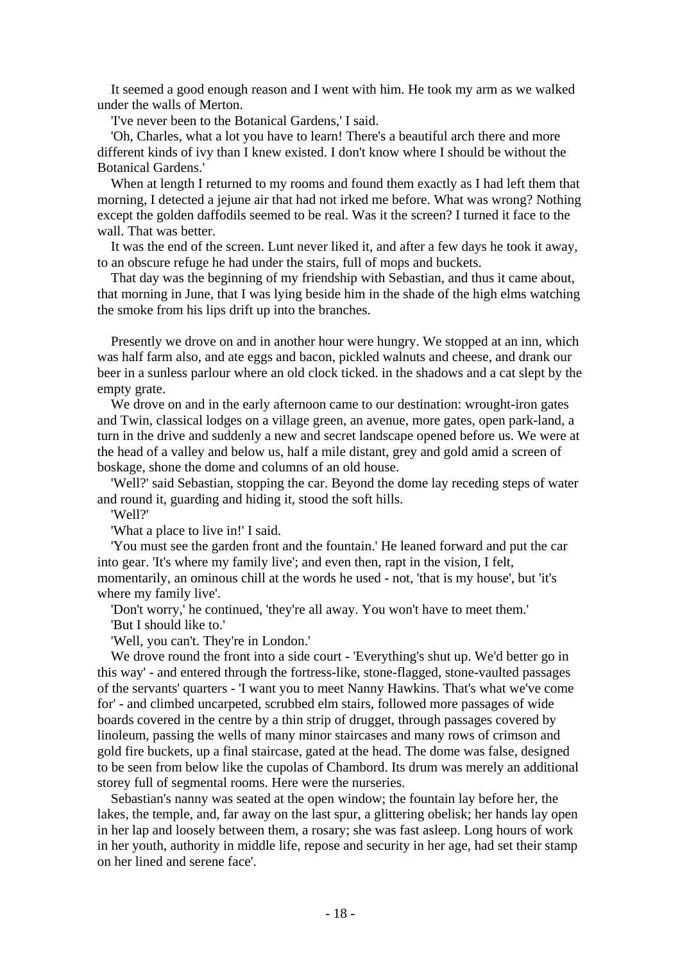It seemed a good enough reason and I went with him. He took my arm as we walked under the walls of Merton.

'I've never been to the Botanical Gardens,' I said.

 'Oh, Charles, what a lot you have to learn! There's a beautiful arch there and more different kinds of ivy than I knew existed. I don't know where I should be without the Botanical Gardens.'

 When at length I returned to my rooms and found them exactly as I had left them that morning, I detected a jejune air that had not irked me before. What was wrong? Nothing except the golden daffodils seemed to be real. Was it the screen? I turned it face to the wall. That was better.

 It was the end of the screen. Lunt never liked it, and after a few days he took it away, to an obscure refuge he had under the stairs, full of mops and buckets.

 That day was the beginning of my friendship with Sebastian, and thus it came about, that morning in June, that I was lying beside him in the shade of the high elms watching the smoke from his lips drift up into the branches.

 Presently we drove on and in another hour were hungry. We stopped at an inn, which was half farm also, and ate eggs and bacon, pickled walnuts and cheese, and drank our beer in a sunless parlour where an old clock ticked. in the shadows and a cat slept by the empty grate.

We drove on and in the early afternoon came to our destination: wrought-iron gates and Twin, classical lodges on a village green, an avenue, more gates, open park-land, a turn in the drive and suddenly a new and secret landscape opened before us. We were at the head of a valley and below us, half a mile distant, grey and gold amid a screen of boskage, shone the dome and columns of an old house.

 'Well?' said Sebastian, stopping the car. Beyond the dome lay receding steps of water and round it, guarding and hiding it, stood the soft hills.

'Well?'

'What a place to live in!' I said.

 'You must see the garden front and the fountain.' He leaned forward and put the car into gear. 'It's where my family live'; and even then, rapt in the vision, I felt, momentarily, an ominous chill at the words he used - not, 'that is my house', but 'it's where my family live'.

'Don't worry,' he continued, 'they're all away. You won't have to meet them.'

'But I should like to.'

'Well, you can't. They're in London.'

We drove round the front into a side court - 'Everything's shut up. We'd better go in this way' - and entered through the fortress-like, stone-flagged, stone-vaulted passages of the servants' quarters - 'I want you to meet Nanny Hawkins. That's what we've come for' - and climbed uncarpeted, scrubbed elm stairs, followed more passages of wide boards covered in the centre by a thin strip of drugget, through passages covered by linoleum, passing the wells of many minor staircases and many rows of crimson and gold fire buckets, up a final staircase, gated at the head. The dome was false, designed to be seen from below like the cupolas of Chambord. Its drum was merely an additional storey full of segmental rooms. Here were the nurseries.

 Sebastian's nanny was seated at the open window; the fountain lay before her, the lakes, the temple, and, far away on the last spur, a glittering obelisk; her hands lay open in her lap and loosely between them, a rosary; she was fast asleep. Long hours of work in her youth, authority in middle life, repose and security in her age, had set their stamp on her lined and serene face'.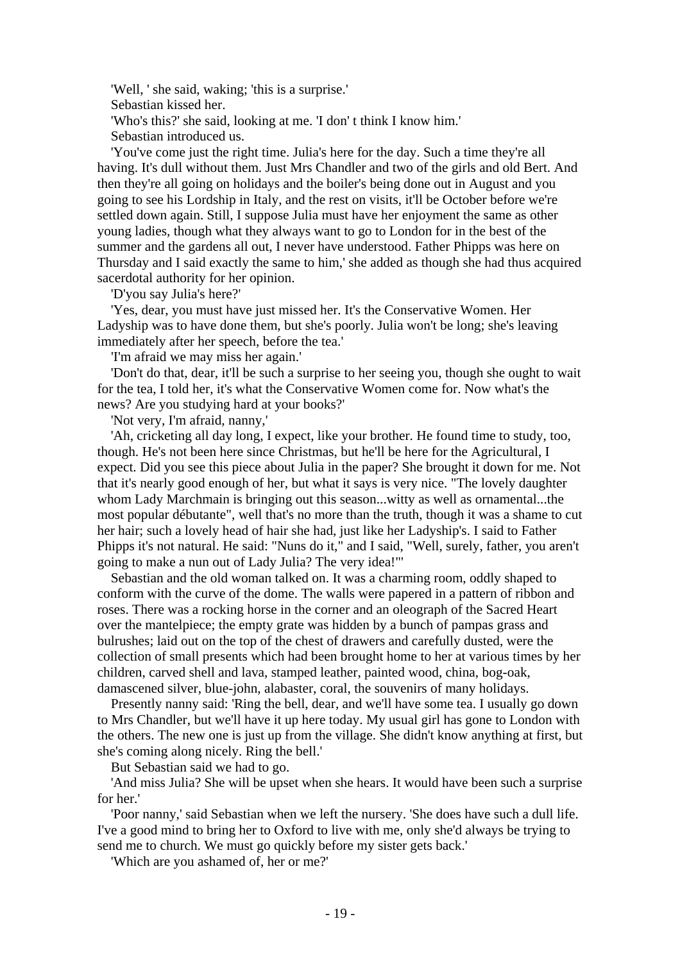'Well, ' she said, waking; 'this is a surprise.'

Sebastian kissed her.

'Who's this?' she said, looking at me. 'I don' t think I know him.'

Sebastian introduced us.

 'You've come just the right time. Julia's here for the day. Such a time they're all having. It's dull without them. Just Mrs Chandler and two of the girls and old Bert. And then they're all going on holidays and the boiler's being done out in August and you going to see his Lordship in Italy, and the rest on visits, it'll be October before we're settled down again. Still, I suppose Julia must have her enjoyment the same as other young ladies, though what they always want to go to London for in the best of the summer and the gardens all out, I never have understood. Father Phipps was here on Thursday and I said exactly the same to him,' she added as though she had thus acquired sacerdotal authority for her opinion.

'D'you say Julia's here?'

 'Yes, dear, you must have just missed her. It's the Conservative Women. Her Ladyship was to have done them, but she's poorly. Julia won't be long; she's leaving immediately after her speech, before the tea.'

'I'm afraid we may miss her again.'

 'Don't do that, dear, it'll be such a surprise to her seeing you, though she ought to wait for the tea, I told her, it's what the Conservative Women come for. Now what's the news? Are you studying hard at your books?'

'Not very, I'm afraid, nanny,'

 'Ah, cricketing all day long, I expect, like your brother. He found time to study, too, though. He's not been here since Christmas, but he'll be here for the Agricultural, I expect. Did you see this piece about Julia in the paper? She brought it down for me. Not that it's nearly good enough of her, but what it says is very nice. "The lovely daughter whom Lady Marchmain is bringing out this season...witty as well as ornamental...the most popular débutante", well that's no more than the truth, though it was a shame to cut her hair; such a lovely head of hair she had, just like her Ladyship's. I said to Father Phipps it's not natural. He said: "Nuns do it," and I said, "Well, surely, father, you aren't going to make a nun out of Lady Julia? The very idea!"'

 Sebastian and the old woman talked on. It was a charming room, oddly shaped to conform with the curve of the dome. The walls were papered in a pattern of ribbon and roses. There was a rocking horse in the corner and an oleograph of the Sacred Heart over the mantelpiece; the empty grate was hidden by a bunch of pampas grass and bulrushes; laid out on the top of the chest of drawers and carefully dusted, were the collection of small presents which had been brought home to her at various times by her children, carved shell and lava, stamped leather, painted wood, china, bog-oak, damascened silver, blue-john, alabaster, coral, the souvenirs of many holidays.

 Presently nanny said: 'Ring the bell, dear, and we'll have some tea. I usually go down to Mrs Chandler, but we'll have it up here today. My usual girl has gone to London with the others. The new one is just up from the village. She didn't know anything at first, but she's coming along nicely. Ring the bell.'

But Sebastian said we had to go.

 'And miss Julia? She will be upset when she hears. It would have been such a surprise for her<sup>'</sup>

 'Poor nanny,' said Sebastian when we left the nursery. 'She does have such a dull life. I've a good mind to bring her to Oxford to live with me, only she'd always be trying to send me to church. We must go quickly before my sister gets back.'

'Which are you ashamed of, her or me?'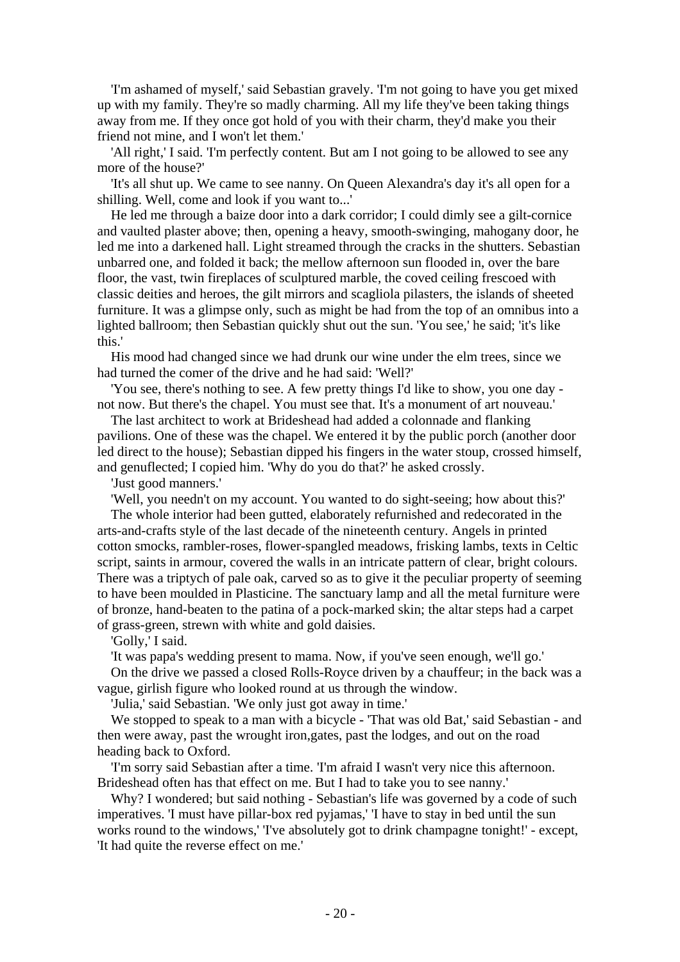'I'm ashamed of myself,' said Sebastian gravely. 'I'm not going to have you get mixed up with my family. They're so madly charming. All my life they've been taking things away from me. If they once got hold of you with their charm, they'd make you their friend not mine, and I won't let them.'

 'All right,' I said. 'I'm perfectly content. But am I not going to be allowed to see any more of the house?'

 'It's all shut up. We came to see nanny. On Queen Alexandra's day it's all open for a shilling. Well, come and look if you want to...'

 He led me through a baize door into a dark corridor; I could dimly see a gilt-cornice and vaulted plaster above; then, opening a heavy, smooth-swinging, mahogany door, he led me into a darkened hall. Light streamed through the cracks in the shutters. Sebastian unbarred one, and folded it back; the mellow afternoon sun flooded in, over the bare floor, the vast, twin fireplaces of sculptured marble, the coved ceiling frescoed with classic deities and heroes, the gilt mirrors and scagliola pilasters, the islands of sheeted furniture. It was a glimpse only, such as might be had from the top of an omnibus into a lighted ballroom; then Sebastian quickly shut out the sun. 'You see,' he said; 'it's like this.'

 His mood had changed since we had drunk our wine under the elm trees, since we had turned the comer of the drive and he had said: 'Well?'

 'You see, there's nothing to see. A few pretty things I'd like to show, you one day not now. But there's the chapel. You must see that. It's a monument of art nouveau.'

 The last architect to work at Brideshead had added a colonnade and flanking pavilions. One of these was the chapel. We entered it by the public porch (another door led direct to the house); Sebastian dipped his fingers in the water stoup, crossed himself, and genuflected; I copied him. 'Why do you do that?' he asked crossly.

'Just good manners.'

'Well, you needn't on my account. You wanted to do sight-seeing; how about this?'

 The whole interior had been gutted, elaborately refurnished and redecorated in the arts-and-crafts style of the last decade of the nineteenth century. Angels in printed cotton smocks, rambler-roses, flower-spangled meadows, frisking lambs, texts in Celtic script, saints in armour, covered the walls in an intricate pattern of clear, bright colours. There was a triptych of pale oak, carved so as to give it the peculiar property of seeming to have been moulded in Plasticine. The sanctuary lamp and all the metal furniture were of bronze, hand-beaten to the patina of a pock-marked skin; the altar steps had a carpet of grass-green, strewn with white and gold daisies.

'Golly,' I said.

'It was papa's wedding present to mama. Now, if you've seen enough, we'll go.'

 On the drive we passed a closed Rolls-Royce driven by a chauffeur; in the back was a vague, girlish figure who looked round at us through the window.

'Julia,' said Sebastian. 'We only just got away in time.'

We stopped to speak to a man with a bicycle - 'That was old Bat,' said Sebastian - and then were away, past the wrought iron,gates, past the lodges, and out on the road heading back to Oxford.

 'I'm sorry said Sebastian after a time. 'I'm afraid I wasn't very nice this afternoon. Brideshead often has that effect on me. But I had to take you to see nanny.'

Why? I wondered; but said nothing - Sebastian's life was governed by a code of such imperatives. 'I must have pillar-box red pyjamas,' 'I have to stay in bed until the sun works round to the windows,' 'I've absolutely got to drink champagne tonight!' - except, 'It had quite the reverse effect on me.'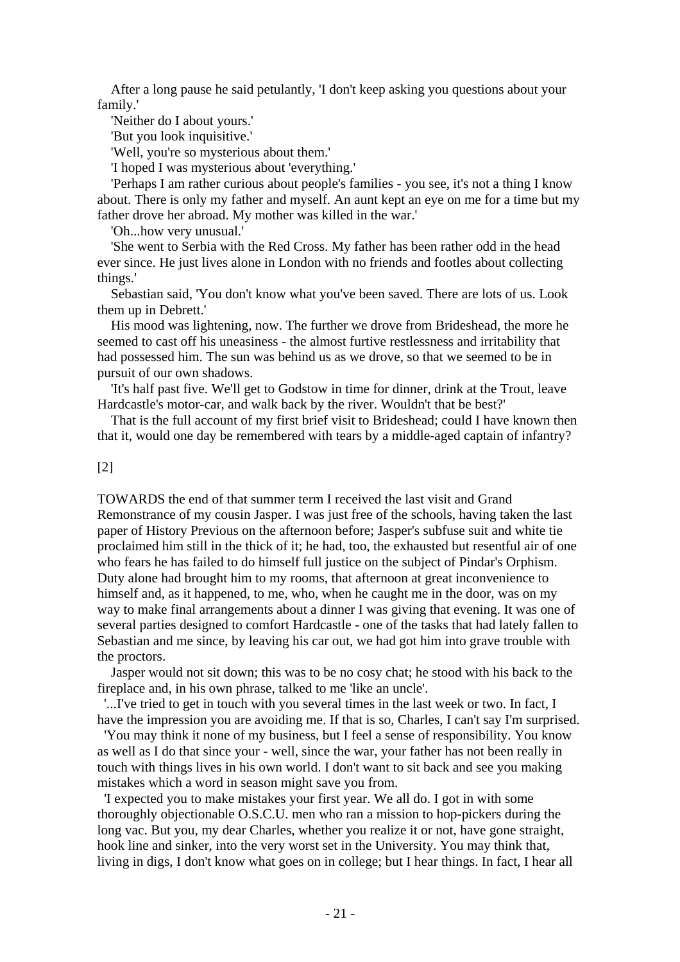After a long pause he said petulantly, 'I don't keep asking you questions about your family.'

'Neither do I about yours.'

'But you look inquisitive.'

'Well, you're so mysterious about them.'

'I hoped I was mysterious about 'everything.'

 'Perhaps I am rather curious about people's families - you see, it's not a thing I know about. There is only my father and myself. An aunt kept an eye on me for a time but my father drove her abroad. My mother was killed in the war.'

'Oh...how very unusual.'

 'She went to Serbia with the Red Cross. My father has been rather odd in the head ever since. He just lives alone in London with no friends and footles about collecting things.'

 Sebastian said, 'You don't know what you've been saved. There are lots of us. Look them up in Debrett.'

 His mood was lightening, now. The further we drove from Brideshead, the more he seemed to cast off his uneasiness - the almost furtive restlessness and irritability that had possessed him. The sun was behind us as we drove, so that we seemed to be in pursuit of our own shadows.

 'It's half past five. We'll get to Godstow in time for dinner, drink at the Trout, leave Hardcastle's motor-car, and walk back by the river. Wouldn't that be best?'

 That is the full account of my first brief visit to Brideshead; could I have known then that it, would one day be remembered with tears by a middle-aged captain of infantry?

## [2]

TOWARDS the end of that summer term I received the last visit and Grand Remonstrance of my cousin Jasper. I was just free of the schools, having taken the last paper of History Previous on the afternoon before; Jasper's subfuse suit and white tie proclaimed him still in the thick of it; he had, too, the exhausted but resentful air of one who fears he has failed to do himself full justice on the subject of Pindar's Orphism. Duty alone had brought him to my rooms, that afternoon at great inconvenience to himself and, as it happened, to me, who, when he caught me in the door, was on my way to make final arrangements about a dinner I was giving that evening. It was one of several parties designed to comfort Hardcastle - one of the tasks that had lately fallen to Sebastian and me since, by leaving his car out, we had got him into grave trouble with the proctors.

 Jasper would not sit down; this was to be no cosy chat; he stood with his back to the fireplace and, in his own phrase, talked to me 'like an uncle'.

 '...I've tried to get in touch with you several times in the last week or two. In fact, I have the impression you are avoiding me. If that is so, Charles, I can't say I'm surprised.

 'You may think it none of my business, but I feel a sense of responsibility. You know as well as I do that since your - well, since the war, your father has not been really in touch with things lives in his own world. I don't want to sit back and see you making mistakes which a word in season might save you from.

 'I expected you to make mistakes your first year. We all do. I got in with some thoroughly objectionable O.S.C.U. men who ran a mission to hop-pickers during the long vac. But you, my dear Charles, whether you realize it or not, have gone straight, hook line and sinker, into the very worst set in the University. You may think that, living in digs, I don't know what goes on in college; but I hear things. In fact, I hear all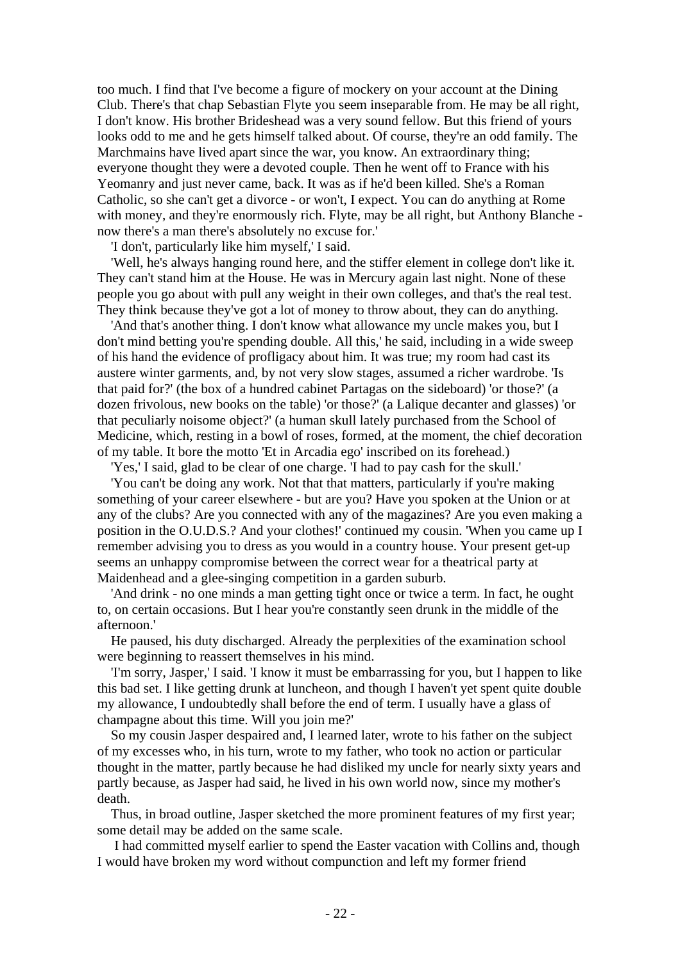too much. I find that I've become a figure of mockery on your account at the Dining Club. There's that chap Sebastian Flyte you seem inseparable from. He may be all right, I don't know. His brother Brideshead was a very sound fellow. But this friend of yours looks odd to me and he gets himself talked about. Of course, they're an odd family. The Marchmains have lived apart since the war, you know. An extraordinary thing; everyone thought they were a devoted couple. Then he went off to France with his Yeomanry and just never came, back. It was as if he'd been killed. She's a Roman Catholic, so she can't get a divorce - or won't, I expect. You can do anything at Rome with money, and they're enormously rich. Flyte, may be all right, but Anthony Blanche now there's a man there's absolutely no excuse for.'

'I don't, particularly like him myself,' I said.

 'Well, he's always hanging round here, and the stiffer element in college don't like it. They can't stand him at the House. He was in Mercury again last night. None of these people you go about with pull any weight in their own colleges, and that's the real test. They think because they've got a lot of money to throw about, they can do anything.

 'And that's another thing. I don't know what allowance my uncle makes you, but I don't mind betting you're spending double. All this,' he said, including in a wide sweep of his hand the evidence of profligacy about him. It was true; my room had cast its austere winter garments, and, by not very slow stages, assumed a richer wardrobe. 'Is that paid for?' (the box of a hundred cabinet Partagas on the sideboard) 'or those?' (a dozen frivolous, new books on the table) 'or those?' (a Lalique decanter and glasses) 'or that peculiarly noisome object?' (a human skull lately purchased from the School of Medicine, which, resting in a bowl of roses, formed, at the moment, the chief decoration of my table. It bore the motto 'Et in Arcadia ego' inscribed on its forehead.)

'Yes,' I said, glad to be clear of one charge. 'I had to pay cash for the skull.'

 'You can't be doing any work. Not that that matters, particularly if you're making something of your career elsewhere - but are you? Have you spoken at the Union or at any of the clubs? Are you connected with any of the magazines? Are you even making a position in the O.U.D.S.? And your clothes!' continued my cousin. 'When you came up I remember advising you to dress as you would in a country house. Your present get-up seems an unhappy compromise between the correct wear for a theatrical party at Maidenhead and a glee-singing competition in a garden suburb.

 'And drink - no one minds a man getting tight once or twice a term. In fact, he ought to, on certain occasions. But I hear you're constantly seen drunk in the middle of the afternoon.'

 He paused, his duty discharged. Already the perplexities of the examination school were beginning to reassert themselves in his mind.

 'I'm sorry, Jasper,' I said. 'I know it must be embarrassing for you, but I happen to like this bad set. I like getting drunk at luncheon, and though I haven't yet spent quite double my allowance, I undoubtedly shall before the end of term. I usually have a glass of champagne about this time. Will you join me?'

 So my cousin Jasper despaired and, I learned later, wrote to his father on the subject of my excesses who, in his turn, wrote to my father, who took no action or particular thought in the matter, partly because he had disliked my uncle for nearly sixty years and partly because, as Jasper had said, he lived in his own world now, since my mother's death.

 Thus, in broad outline, Jasper sketched the more prominent features of my first year; some detail may be added on the same scale.

 I had committed myself earlier to spend the Easter vacation with Collins and, though I would have broken my word without compunction and left my former friend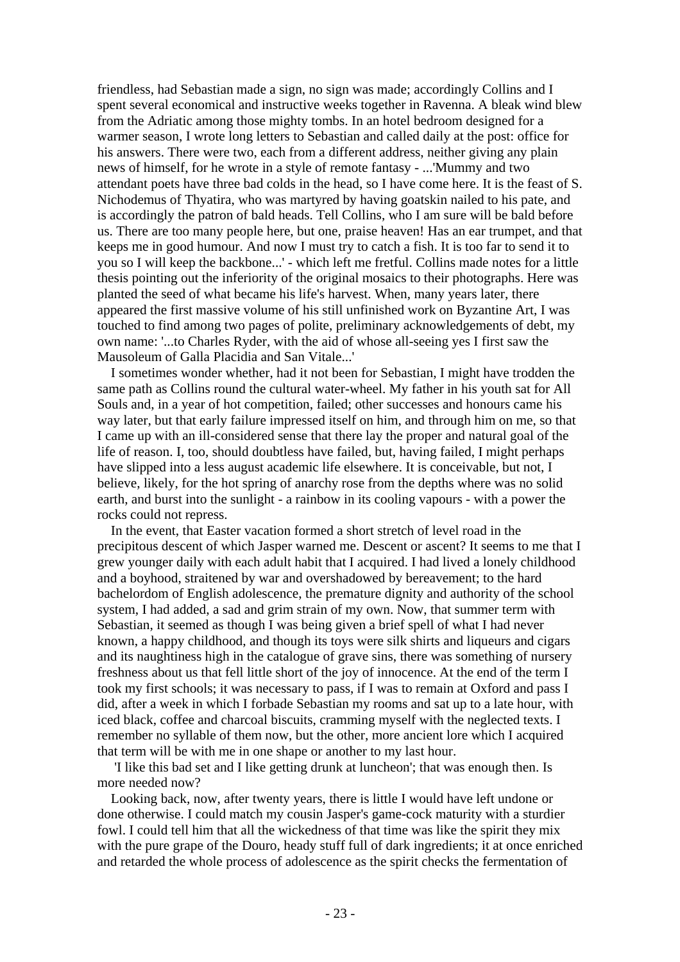friendless, had Sebastian made a sign, no sign was made; accordingly Collins and I spent several economical and instructive weeks together in Ravenna. A bleak wind blew from the Adriatic among those mighty tombs. In an hotel bedroom designed for a warmer season, I wrote long letters to Sebastian and called daily at the post: office for his answers. There were two, each from a different address, neither giving any plain news of himself, for he wrote in a style of remote fantasy - ...'Mummy and two attendant poets have three bad colds in the head, so I have come here. It is the feast of S. Nichodemus of Thyatira, who was martyred by having goatskin nailed to his pate, and is accordingly the patron of bald heads. Tell Collins, who I am sure will be bald before us. There are too many people here, but one, praise heaven! Has an ear trumpet, and that keeps me in good humour. And now I must try to catch a fish. It is too far to send it to you so I will keep the backbone...' - which left me fretful. Collins made notes for a little thesis pointing out the inferiority of the original mosaics to their photographs. Here was planted the seed of what became his life's harvest. When, many years later, there appeared the first massive volume of his still unfinished work on Byzantine Art, I was touched to find among two pages of polite, preliminary acknowledgements of debt, my own name: '...to Charles Ryder, with the aid of whose all-seeing yes I first saw the Mausoleum of Galla Placidia and San Vitale...'

 I sometimes wonder whether, had it not been for Sebastian, I might have trodden the same path as Collins round the cultural water-wheel. My father in his youth sat for All Souls and, in a year of hot competition, failed; other successes and honours came his way later, but that early failure impressed itself on him, and through him on me, so that I came up with an ill-considered sense that there lay the proper and natural goal of the life of reason. I, too, should doubtless have failed, but, having failed, I might perhaps have slipped into a less august academic life elsewhere. It is conceivable, but not, I believe, likely, for the hot spring of anarchy rose from the depths where was no solid earth, and burst into the sunlight - a rainbow in its cooling vapours - with a power the rocks could not repress.

 In the event, that Easter vacation formed a short stretch of level road in the precipitous descent of which Jasper warned me. Descent or ascent? It seems to me that I grew younger daily with each adult habit that I acquired. I had lived a lonely childhood and a boyhood, straitened by war and overshadowed by bereavement; to the hard bachelordom of English adolescence, the premature dignity and authority of the school system, I had added, a sad and grim strain of my own. Now, that summer term with Sebastian, it seemed as though I was being given a brief spell of what I had never known, a happy childhood, and though its toys were silk shirts and liqueurs and cigars and its naughtiness high in the catalogue of grave sins, there was something of nursery freshness about us that fell little short of the joy of innocence. At the end of the term I took my first schools; it was necessary to pass, if I was to remain at Oxford and pass I did, after a week in which I forbade Sebastian my rooms and sat up to a late hour, with iced black, coffee and charcoal biscuits, cramming myself with the neglected texts. I remember no syllable of them now, but the other, more ancient lore which I acquired that term will be with me in one shape or another to my last hour.

 'I like this bad set and I like getting drunk at luncheon'; that was enough then. Is more needed now?

 Looking back, now, after twenty years, there is little I would have left undone or done otherwise. I could match my cousin Jasper's game-cock maturity with a sturdier fowl. I could tell him that all the wickedness of that time was like the spirit they mix with the pure grape of the Douro, heady stuff full of dark ingredients; it at once enriched and retarded the whole process of adolescence as the spirit checks the fermentation of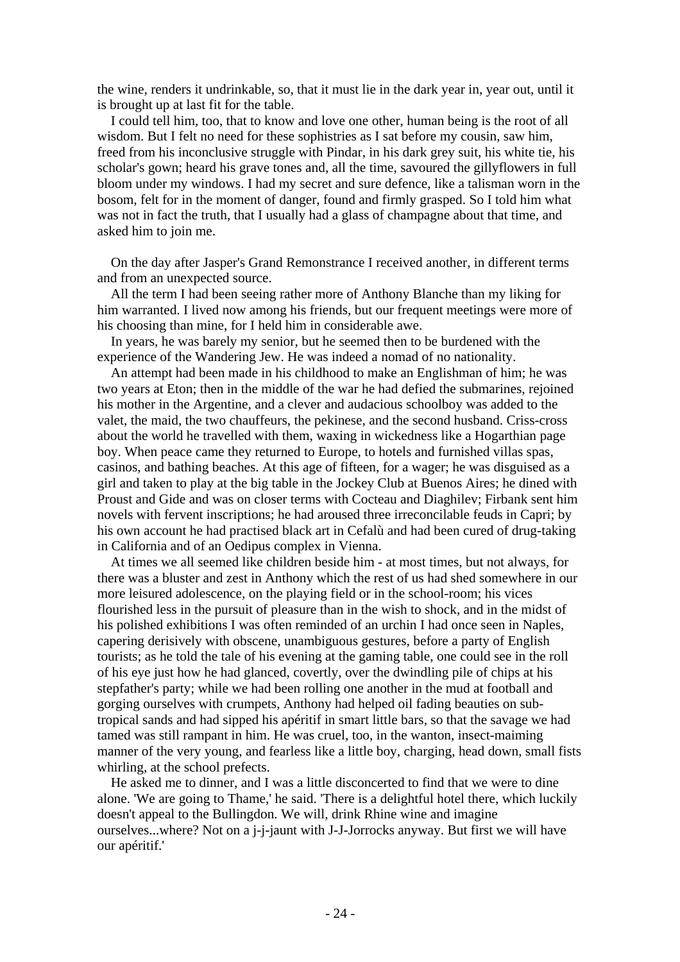the wine, renders it undrinkable, so, that it must lie in the dark year in, year out, until it is brought up at last fit for the table.

 I could tell him, too, that to know and love one other, human being is the root of all wisdom. But I felt no need for these sophistries as I sat before my cousin, saw him, freed from his inconclusive struggle with Pindar, in his dark grey suit, his white tie, his scholar's gown; heard his grave tones and, all the time, savoured the gillyflowers in full bloom under my windows. I had my secret and sure defence, like a talisman worn in the bosom, felt for in the moment of danger, found and firmly grasped. So I told him what was not in fact the truth, that I usually had a glass of champagne about that time, and asked him to join me.

 On the day after Jasper's Grand Remonstrance I received another, in different terms and from an unexpected source.

 All the term I had been seeing rather more of Anthony Blanche than my liking for him warranted. I lived now among his friends, but our frequent meetings were more of his choosing than mine, for I held him in considerable awe.

 In years, he was barely my senior, but he seemed then to be burdened with the experience of the Wandering Jew. He was indeed a nomad of no nationality.

 An attempt had been made in his childhood to make an Englishman of him; he was two years at Eton; then in the middle of the war he had defied the submarines, rejoined his mother in the Argentine, and a clever and audacious schoolboy was added to the valet, the maid, the two chauffeurs, the pekinese, and the second husband. Criss-cross about the world he travelled with them, waxing in wickedness like a Hogarthian page boy. When peace came they returned to Europe, to hotels and furnished villas spas, casinos, and bathing beaches. At this age of fifteen, for a wager; he was disguised as a girl and taken to play at the big table in the Jockey Club at Buenos Aires; he dined with Proust and Gide and was on closer terms with Cocteau and Diaghilev; Firbank sent him novels with fervent inscriptions; he had aroused three irreconcilable feuds in Capri; by his own account he had practised black art in Cefalù and had been cured of drug-taking in California and of an Oedipus complex in Vienna.

 At times we all seemed like children beside him - at most times, but not always, for there was a bluster and zest in Anthony which the rest of us had shed somewhere in our more leisured adolescence, on the playing field or in the school-room; his vices flourished less in the pursuit of pleasure than in the wish to shock, and in the midst of his polished exhibitions I was often reminded of an urchin I had once seen in Naples, capering derisively with obscene, unambiguous gestures, before a party of English tourists; as he told the tale of his evening at the gaming table, one could see in the roll of his eye just how he had glanced, covertly, over the dwindling pile of chips at his stepfather's party; while we had been rolling one another in the mud at football and gorging ourselves with crumpets, Anthony had helped oil fading beauties on subtropical sands and had sipped his apéritif in smart little bars, so that the savage we had tamed was still rampant in him. He was cruel, too, in the wanton, insect-maiming manner of the very young, and fearless like a little boy, charging, head down, small fists whirling, at the school prefects.

 He asked me to dinner, and I was a little disconcerted to find that we were to dine alone. 'We are going to Thame,' he said. 'There is a delightful hotel there, which luckily doesn't appeal to the Bullingdon. We will, drink Rhine wine and imagine ourselves...where? Not on a j-j-jaunt with J-J-Jorrocks anyway. But first we will have our apéritif.'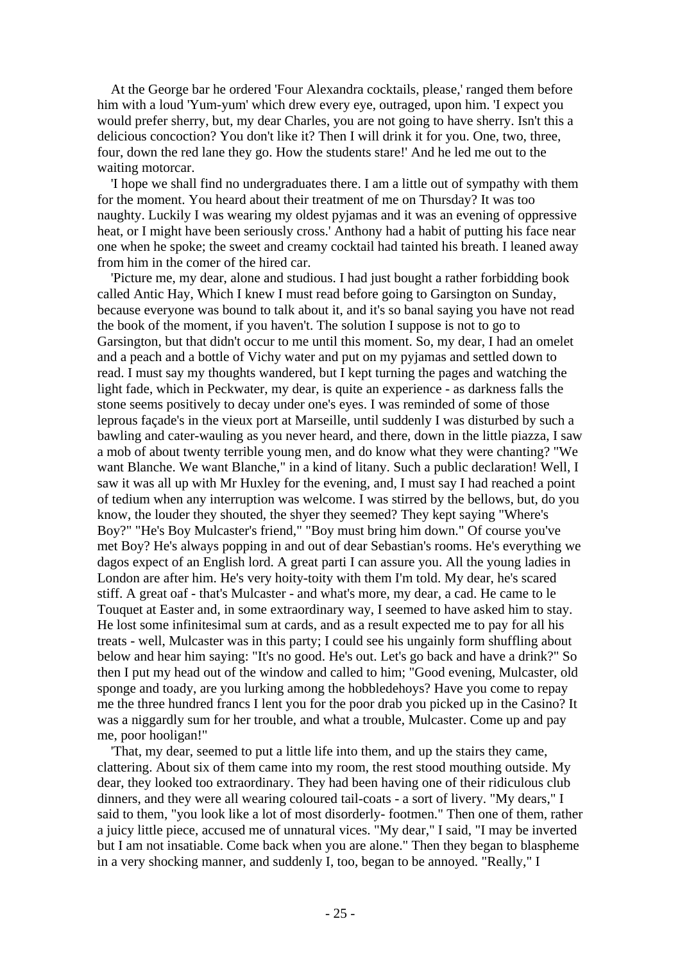At the George bar he ordered 'Four Alexandra cocktails, please,' ranged them before him with a loud 'Yum-yum' which drew every eye, outraged, upon him. 'I expect you would prefer sherry, but, my dear Charles, you are not going to have sherry. Isn't this a delicious concoction? You don't like it? Then I will drink it for you. One, two, three, four, down the red lane they go. How the students stare!' And he led me out to the waiting motorcar.

 'I hope we shall find no undergraduates there. I am a little out of sympathy with them for the moment. You heard about their treatment of me on Thursday? It was too naughty. Luckily I was wearing my oldest pyjamas and it was an evening of oppressive heat, or I might have been seriously cross.' Anthony had a habit of putting his face near one when he spoke; the sweet and creamy cocktail had tainted his breath. I leaned away from him in the comer of the hired car.

 'Picture me, my dear, alone and studious. I had just bought a rather forbidding book called Antic Hay, Which I knew I must read before going to Garsington on Sunday, because everyone was bound to talk about it, and it's so banal saying you have not read the book of the moment, if you haven't. The solution I suppose is not to go to Garsington, but that didn't occur to me until this moment. So, my dear, I had an omelet and a peach and a bottle of Vichy water and put on my pyjamas and settled down to read. I must say my thoughts wandered, but I kept turning the pages and watching the light fade, which in Peckwater, my dear, is quite an experience - as darkness falls the stone seems positively to decay under one's eyes. I was reminded of some of those leprous façade's in the vieux port at Marseille, until suddenly I was disturbed by such a bawling and cater-wauling as you never heard, and there, down in the little piazza, I saw a mob of about twenty terrible young men, and do know what they were chanting? "We want Blanche. We want Blanche," in a kind of litany. Such a public declaration! Well, I saw it was all up with Mr Huxley for the evening, and, I must say I had reached a point of tedium when any interruption was welcome. I was stirred by the bellows, but, do you know, the louder they shouted, the shyer they seemed? They kept saying "Where's Boy?" "He's Boy Mulcaster's friend," "Boy must bring him down." Of course you've met Boy? He's always popping in and out of dear Sebastian's rooms. He's everything we dagos expect of an English lord. A great parti I can assure you. All the young ladies in London are after him. He's very hoity-toity with them I'm told. My dear, he's scared stiff. A great oaf - that's Mulcaster - and what's more, my dear, a cad. He came to le Touquet at Easter and, in some extraordinary way, I seemed to have asked him to stay. He lost some infinitesimal sum at cards, and as a result expected me to pay for all his treats - well, Mulcaster was in this party; I could see his ungainly form shuffling about below and hear him saying: "It's no good. He's out. Let's go back and have a drink?" So then I put my head out of the window and called to him; "Good evening, Mulcaster, old sponge and toady, are you lurking among the hobbledehoys? Have you come to repay me the three hundred francs I lent you for the poor drab you picked up in the Casino? It was a niggardly sum for her trouble, and what a trouble, Mulcaster. Come up and pay me, poor hooligan!"

 'That, my dear, seemed to put a little life into them, and up the stairs they came, clattering. About six of them came into my room, the rest stood mouthing outside. My dear, they looked too extraordinary. They had been having one of their ridiculous club dinners, and they were all wearing coloured tail-coats - a sort of livery. "My dears," I said to them, "you look like a lot of most disorderly- footmen." Then one of them, rather a juicy little piece, accused me of unnatural vices. "My dear," I said, "I may be inverted but I am not insatiable. Come back when you are alone." Then they began to blaspheme in a very shocking manner, and suddenly I, too, began to be annoyed. "Really," I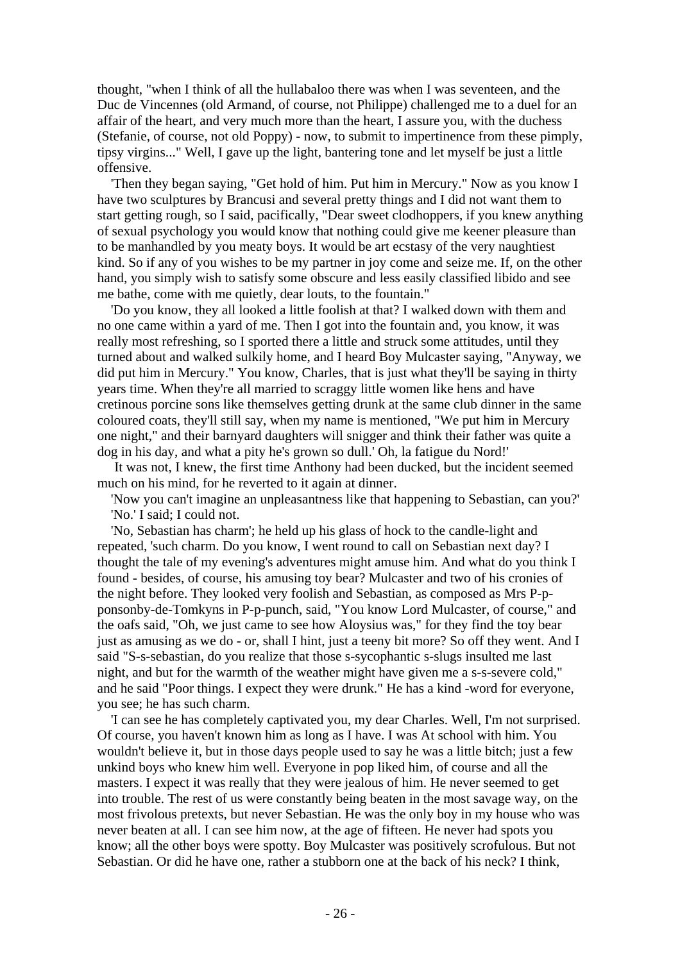thought, "when I think of all the hullabaloo there was when I was seventeen, and the Duc de Vincennes (old Armand, of course, not Philippe) challenged me to a duel for an affair of the heart, and very much more than the heart, I assure you, with the duchess (Stefanie, of course, not old Poppy) - now, to submit to impertinence from these pimply, tipsy virgins..." Well, I gave up the light, bantering tone and let myself be just a little offensive.

 'Then they began saying, "Get hold of him. Put him in Mercury." Now as you know I have two sculptures by Brancusi and several pretty things and I did not want them to start getting rough, so I said, pacifically, "Dear sweet clodhoppers, if you knew anything of sexual psychology you would know that nothing could give me keener pleasure than to be manhandled by you meaty boys. It would be art ecstasy of the very naughtiest kind. So if any of you wishes to be my partner in joy come and seize me. If, on the other hand, you simply wish to satisfy some obscure and less easily classified libido and see me bathe, come with me quietly, dear louts, to the fountain."

 'Do you know, they all looked a little foolish at that? I walked down with them and no one came within a yard of me. Then I got into the fountain and, you know, it was really most refreshing, so I sported there a little and struck some attitudes, until they turned about and walked sulkily home, and I heard Boy Mulcaster saying, "Anyway, we did put him in Mercury." You know, Charles, that is just what they'll be saying in thirty years time. When they're all married to scraggy little women like hens and have cretinous porcine sons like themselves getting drunk at the same club dinner in the same coloured coats, they'll still say, when my name is mentioned, "We put him in Mercury one night," and their barnyard daughters will snigger and think their father was quite a dog in his day, and what a pity he's grown so dull.' Oh, la fatigue du Nord!'

 It was not, I knew, the first time Anthony had been ducked, but the incident seemed much on his mind, for he reverted to it again at dinner.

 'Now you can't imagine an unpleasantness like that happening to Sebastian, can you?' 'No.' I said; I could not.

 'No, Sebastian has charm'; he held up his glass of hock to the candle-light and repeated, 'such charm. Do you know, I went round to call on Sebastian next day? I thought the tale of my evening's adventures might amuse him. And what do you think I found - besides, of course, his amusing toy bear? Mulcaster and two of his cronies of the night before. They looked very foolish and Sebastian, as composed as Mrs P-pponsonby-de-Tomkyns in P-p-punch, said, "You know Lord Mulcaster, of course," and the oafs said, "Oh, we just came to see how Aloysius was," for they find the toy bear just as amusing as we do - or, shall I hint, just a teeny bit more? So off they went. And I said "S-s-sebastian, do you realize that those s-sycophantic s-slugs insulted me last night, and but for the warmth of the weather might have given me a s-s-severe cold," and he said "Poor things. I expect they were drunk." He has a kind -word for everyone, you see; he has such charm.

 'I can see he has completely captivated you, my dear Charles. Well, I'm not surprised. Of course, you haven't known him as long as I have. I was At school with him. You wouldn't believe it, but in those days people used to say he was a little bitch; just a few unkind boys who knew him well. Everyone in pop liked him, of course and all the masters. I expect it was really that they were jealous of him. He never seemed to get into trouble. The rest of us were constantly being beaten in the most savage way, on the most frivolous pretexts, but never Sebastian. He was the only boy in my house who was never beaten at all. I can see him now, at the age of fifteen. He never had spots you know; all the other boys were spotty. Boy Mulcaster was positively scrofulous. But not Sebastian. Or did he have one, rather a stubborn one at the back of his neck? I think,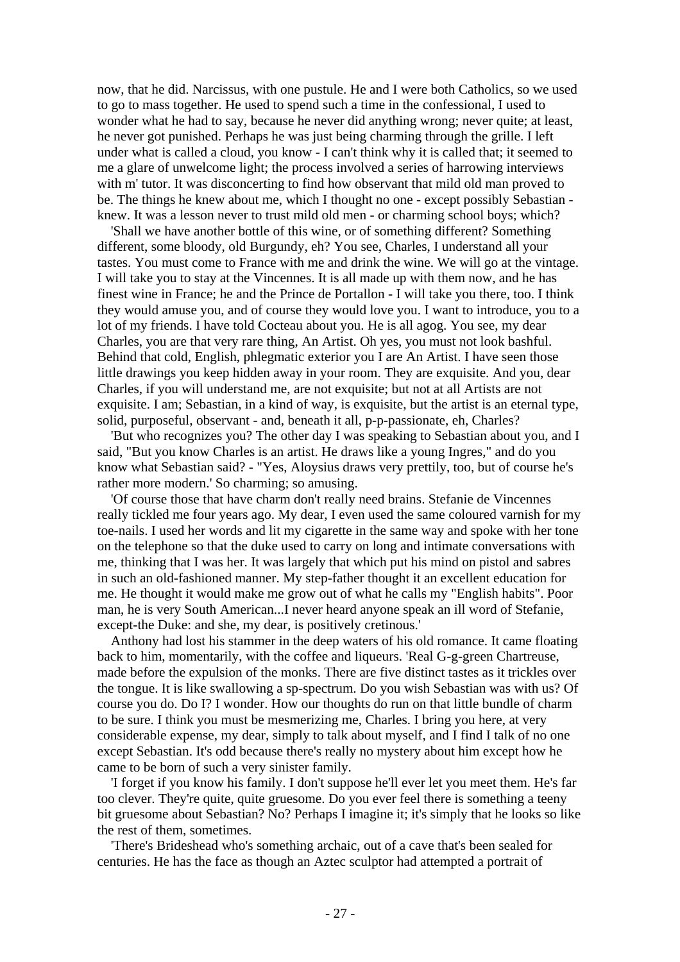now, that he did. Narcissus, with one pustule. He and I were both Catholics, so we used to go to mass together. He used to spend such a time in the confessional, I used to wonder what he had to say, because he never did anything wrong; never quite; at least, he never got punished. Perhaps he was just being charming through the grille. I left under what is called a cloud, you know - I can't think why it is called that; it seemed to me a glare of unwelcome light; the process involved a series of harrowing interviews with m' tutor. It was disconcerting to find how observant that mild old man proved to be. The things he knew about me, which I thought no one - except possibly Sebastian knew. It was a lesson never to trust mild old men - or charming school boys; which?

 'Shall we have another bottle of this wine, or of something different? Something different, some bloody, old Burgundy, eh? You see, Charles, I understand all your tastes. You must come to France with me and drink the wine. We will go at the vintage. I will take you to stay at the Vincennes. It is all made up with them now, and he has finest wine in France; he and the Prince de Portallon - I will take you there, too. I think they would amuse you, and of course they would love you. I want to introduce, you to a lot of my friends. I have told Cocteau about you. He is all agog. You see, my dear Charles, you are that very rare thing, An Artist. Oh yes, you must not look bashful. Behind that cold, English, phlegmatic exterior you I are An Artist. I have seen those little drawings you keep hidden away in your room. They are exquisite. And you, dear Charles, if you will understand me, are not exquisite; but not at all Artists are not exquisite. I am; Sebastian, in a kind of way, is exquisite, but the artist is an eternal type, solid, purposeful, observant - and, beneath it all, p-p-passionate, eh, Charles?

 'But who recognizes you? The other day I was speaking to Sebastian about you, and I said, "But you know Charles is an artist. He draws like a young Ingres," and do you know what Sebastian said? - "Yes, Aloysius draws very prettily, too, but of course he's rather more modern.' So charming; so amusing.

 'Of course those that have charm don't really need brains. Stefanie de Vincennes really tickled me four years ago. My dear, I even used the same coloured varnish for my toe-nails. I used her words and lit my cigarette in the same way and spoke with her tone on the telephone so that the duke used to carry on long and intimate conversations with me, thinking that I was her. It was largely that which put his mind on pistol and sabres in such an old-fashioned manner. My step-father thought it an excellent education for me. He thought it would make me grow out of what he calls my "English habits". Poor man, he is very South American...I never heard anyone speak an ill word of Stefanie, except-the Duke: and she, my dear, is positively cretinous.'

 Anthony had lost his stammer in the deep waters of his old romance. It came floating back to him, momentarily, with the coffee and liqueurs. 'Real G-g-green Chartreuse, made before the expulsion of the monks. There are five distinct tastes as it trickles over the tongue. It is like swallowing a sp-spectrum. Do you wish Sebastian was with us? Of course you do. Do I? I wonder. How our thoughts do run on that little bundle of charm to be sure. I think you must be mesmerizing me, Charles. I bring you here, at very considerable expense, my dear, simply to talk about myself, and I find I talk of no one except Sebastian. It's odd because there's really no mystery about him except how he came to be born of such a very sinister family.

 'I forget if you know his family. I don't suppose he'll ever let you meet them. He's far too clever. They're quite, quite gruesome. Do you ever feel there is something a teeny bit gruesome about Sebastian? No? Perhaps I imagine it; it's simply that he looks so like the rest of them, sometimes.

 'There's Brideshead who's something archaic, out of a cave that's been sealed for centuries. He has the face as though an Aztec sculptor had attempted a portrait of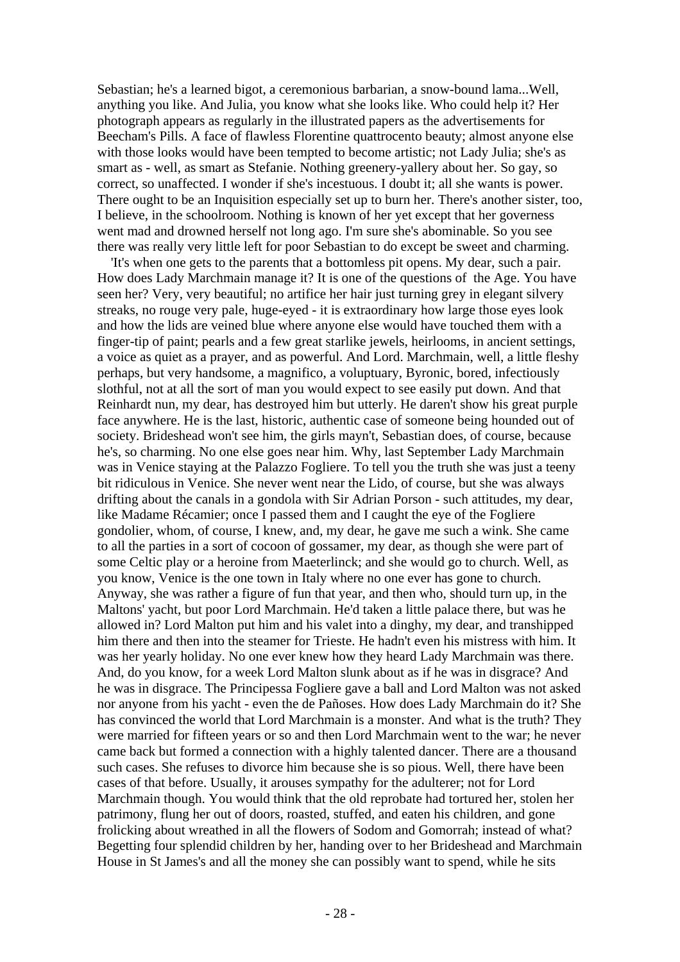Sebastian; he's a learned bigot, a ceremonious barbarian, a snow-bound lama...Well, anything you like. And Julia, you know what she looks like. Who could help it? Her photograph appears as regularly in the illustrated papers as the advertisements for Beecham's Pills. A face of flawless Florentine quattrocento beauty; almost anyone else with those looks would have been tempted to become artistic; not Lady Julia; she's as smart as - well, as smart as Stefanie. Nothing greenery-yallery about her. So gay, so correct, so unaffected. I wonder if she's incestuous. I doubt it; all she wants is power. There ought to be an Inquisition especially set up to burn her. There's another sister, too, I believe, in the schoolroom. Nothing is known of her yet except that her governess went mad and drowned herself not long ago. I'm sure she's abominable. So you see there was really very little left for poor Sebastian to do except be sweet and charming.

 'It's when one gets to the parents that a bottomless pit opens. My dear, such a pair. How does Lady Marchmain manage it? It is one of the questions of the Age. You have seen her? Very, very beautiful; no artifice her hair just turning grey in elegant silvery streaks, no rouge very pale, huge-eyed - it is extraordinary how large those eyes look and how the lids are veined blue where anyone else would have touched them with a finger-tip of paint; pearls and a few great starlike jewels, heirlooms, in ancient settings, a voice as quiet as a prayer, and as powerful. And Lord. Marchmain, well, a little fleshy perhaps, but very handsome, a magnifico, a voluptuary, Byronic, bored, infectiously slothful, not at all the sort of man you would expect to see easily put down. And that Reinhardt nun, my dear, has destroyed him but utterly. He daren't show his great purple face anywhere. He is the last, historic, authentic case of someone being hounded out of society. Brideshead won't see him, the girls mayn't, Sebastian does, of course, because he's, so charming. No one else goes near him. Why, last September Lady Marchmain was in Venice staying at the Palazzo Fogliere. To tell you the truth she was just a teeny bit ridiculous in Venice. She never went near the Lido, of course, but she was always drifting about the canals in a gondola with Sir Adrian Porson - such attitudes, my dear, like Madame Récamier; once I passed them and I caught the eye of the Fogliere gondolier, whom, of course, I knew, and, my dear, he gave me such a wink. She came to all the parties in a sort of cocoon of gossamer, my dear, as though she were part of some Celtic play or a heroine from Maeterlinck; and she would go to church. Well, as you know, Venice is the one town in Italy where no one ever has gone to church. Anyway, she was rather a figure of fun that year, and then who, should turn up, in the Maltons' yacht, but poor Lord Marchmain. He'd taken a little palace there, but was he allowed in? Lord Malton put him and his valet into a dinghy, my dear, and transhipped him there and then into the steamer for Trieste. He hadn't even his mistress with him. It was her yearly holiday. No one ever knew how they heard Lady Marchmain was there. And, do you know, for a week Lord Malton slunk about as if he was in disgrace? And he was in disgrace. The Principessa Fogliere gave a ball and Lord Malton was not asked nor anyone from his yacht - even the de Pañoses. How does Lady Marchmain do it? She has convinced the world that Lord Marchmain is a monster. And what is the truth? They were married for fifteen years or so and then Lord Marchmain went to the war; he never came back but formed a connection with a highly talented dancer. There are a thousand such cases. She refuses to divorce him because she is so pious. Well, there have been cases of that before. Usually, it arouses sympathy for the adulterer; not for Lord Marchmain though. You would think that the old reprobate had tortured her, stolen her patrimony, flung her out of doors, roasted, stuffed, and eaten his children, and gone frolicking about wreathed in all the flowers of Sodom and Gomorrah; instead of what? Begetting four splendid children by her, handing over to her Brideshead and Marchmain House in St James's and all the money she can possibly want to spend, while he sits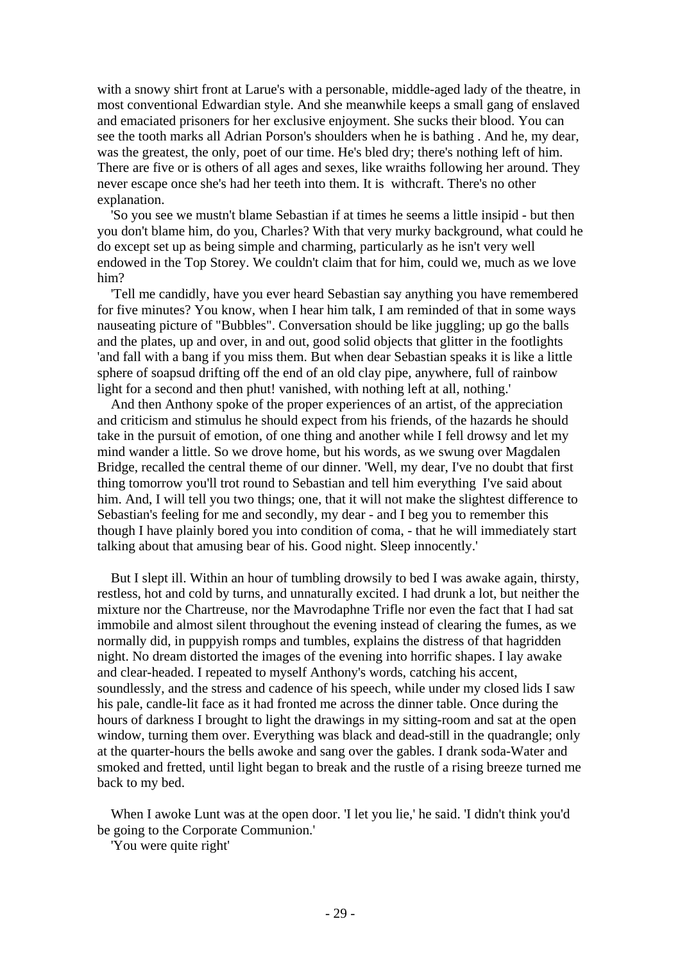with a snowy shirt front at Larue's with a personable, middle-aged lady of the theatre, in most conventional Edwardian style. And she meanwhile keeps a small gang of enslaved and emaciated prisoners for her exclusive enjoyment. She sucks their blood. You can see the tooth marks all Adrian Porson's shoulders when he is bathing . And he, my dear, was the greatest, the only, poet of our time. He's bled dry; there's nothing left of him. There are five or is others of all ages and sexes, like wraiths following her around. They never escape once she's had her teeth into them. It is withcraft. There's no other explanation.

 'So you see we mustn't blame Sebastian if at times he seems a little insipid - but then you don't blame him, do you, Charles? With that very murky background, what could he do except set up as being simple and charming, particularly as he isn't very well endowed in the Top Storey. We couldn't claim that for him, could we, much as we love him?

 'Tell me candidly, have you ever heard Sebastian say anything you have remembered for five minutes? You know, when I hear him talk, I am reminded of that in some ways nauseating picture of "Bubbles". Conversation should be like juggling; up go the balls and the plates, up and over, in and out, good solid objects that glitter in the footlights 'and fall with a bang if you miss them. But when dear Sebastian speaks it is like a little sphere of soapsud drifting off the end of an old clay pipe, anywhere, full of rainbow light for a second and then phut! vanished, with nothing left at all, nothing.'

 And then Anthony spoke of the proper experiences of an artist, of the appreciation and criticism and stimulus he should expect from his friends, of the hazards he should take in the pursuit of emotion, of one thing and another while I fell drowsy and let my mind wander a little. So we drove home, but his words, as we swung over Magdalen Bridge, recalled the central theme of our dinner. 'Well, my dear, I've no doubt that first thing tomorrow you'll trot round to Sebastian and tell him everything I've said about him. And, I will tell you two things; one, that it will not make the slightest difference to Sebastian's feeling for me and secondly, my dear - and I beg you to remember this though I have plainly bored you into condition of coma, - that he will immediately start talking about that amusing bear of his. Good night. Sleep innocently.'

 But I slept ill. Within an hour of tumbling drowsily to bed I was awake again, thirsty, restless, hot and cold by turns, and unnaturally excited. I had drunk a lot, but neither the mixture nor the Chartreuse, nor the Mavrodaphne Trifle nor even the fact that I had sat immobile and almost silent throughout the evening instead of clearing the fumes, as we normally did, in puppyish romps and tumbles, explains the distress of that hagridden night. No dream distorted the images of the evening into horrific shapes. I lay awake and clear-headed. I repeated to myself Anthony's words, catching his accent, soundlessly, and the stress and cadence of his speech, while under my closed lids I saw his pale, candle-lit face as it had fronted me across the dinner table. Once during the hours of darkness I brought to light the drawings in my sitting-room and sat at the open window, turning them over. Everything was black and dead-still in the quadrangle; only at the quarter-hours the bells awoke and sang over the gables. I drank soda-Water and smoked and fretted, until light began to break and the rustle of a rising breeze turned me back to my bed.

 When I awoke Lunt was at the open door. 'I let you lie,' he said. 'I didn't think you'd be going to the Corporate Communion.'

'You were quite right'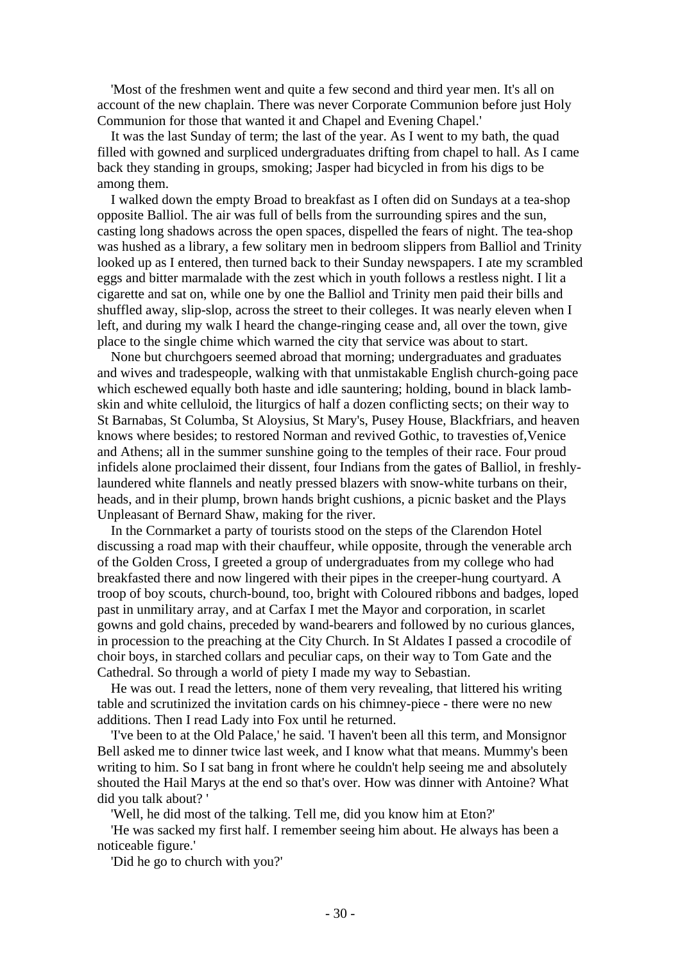'Most of the freshmen went and quite a few second and third year men. It's all on account of the new chaplain. There was never Corporate Communion before just Holy Communion for those that wanted it and Chapel and Evening Chapel.'

 It was the last Sunday of term; the last of the year. As I went to my bath, the quad filled with gowned and surpliced undergraduates drifting from chapel to hall. As I came back they standing in groups, smoking; Jasper had bicycled in from his digs to be among them.

 I walked down the empty Broad to breakfast as I often did on Sundays at a tea-shop opposite Balliol. The air was full of bells from the surrounding spires and the sun, casting long shadows across the open spaces, dispelled the fears of night. The tea-shop was hushed as a library, a few solitary men in bedroom slippers from Balliol and Trinity looked up as I entered, then turned back to their Sunday newspapers. I ate my scrambled eggs and bitter marmalade with the zest which in youth follows a restless night. I lit a cigarette and sat on, while one by one the Balliol and Trinity men paid their bills and shuffled away, slip-slop, across the street to their colleges. It was nearly eleven when I left, and during my walk I heard the change-ringing cease and, all over the town, give place to the single chime which warned the city that service was about to start.

 None but churchgoers seemed abroad that morning; undergraduates and graduates and wives and tradespeople, walking with that unmistakable English church-going pace which eschewed equally both haste and idle sauntering; holding, bound in black lambskin and white celluloid, the liturgics of half a dozen conflicting sects; on their way to St Barnabas, St Columba, St Aloysius, St Mary's, Pusey House, Blackfriars, and heaven knows where besides; to restored Norman and revived Gothic, to travesties of,Venice and Athens; all in the summer sunshine going to the temples of their race. Four proud infidels alone proclaimed their dissent, four Indians from the gates of Balliol, in freshlylaundered white flannels and neatly pressed blazers with snow-white turbans on their, heads, and in their plump, brown hands bright cushions, a picnic basket and the Plays Unpleasant of Bernard Shaw, making for the river.

 In the Cornmarket a party of tourists stood on the steps of the Clarendon Hotel discussing a road map with their chauffeur, while opposite, through the venerable arch of the Golden Cross, I greeted a group of undergraduates from my college who had breakfasted there and now lingered with their pipes in the creeper-hung courtyard. A troop of boy scouts, church-bound, too, bright with Coloured ribbons and badges, loped past in unmilitary array, and at Carfax I met the Mayor and corporation, in scarlet gowns and gold chains, preceded by wand-bearers and followed by no curious glances, in procession to the preaching at the City Church. In St Aldates I passed a crocodile of choir boys, in starched collars and peculiar caps, on their way to Tom Gate and the Cathedral. So through a world of piety I made my way to Sebastian.

 He was out. I read the letters, none of them very revealing, that littered his writing table and scrutinized the invitation cards on his chimney-piece - there were no new additions. Then I read Lady into Fox until he returned.

 'I've been to at the Old Palace,' he said. 'I haven't been all this term, and Monsignor Bell asked me to dinner twice last week, and I know what that means. Mummy's been writing to him. So I sat bang in front where he couldn't help seeing me and absolutely shouted the Hail Marys at the end so that's over. How was dinner with Antoine? What did you talk about? '

'Well, he did most of the talking. Tell me, did you know him at Eton?'

 'He was sacked my first half. I remember seeing him about. He always has been a noticeable figure.'

'Did he go to church with you?'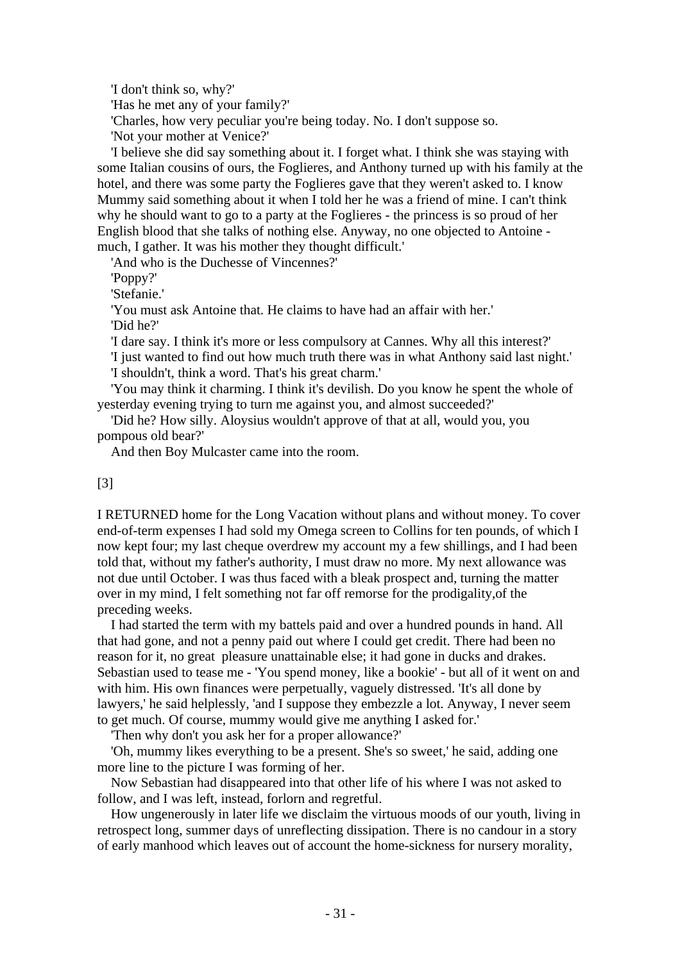'I don't think so, why?'

'Has he met any of your family?'

'Charles, how very peculiar you're being today. No. I don't suppose so.

'Not your mother at Venice?'

 'I believe she did say something about it. I forget what. I think she was staying with some Italian cousins of ours, the Foglieres, and Anthony turned up with his family at the hotel, and there was some party the Foglieres gave that they weren't asked to. I know Mummy said something about it when I told her he was a friend of mine. I can't think why he should want to go to a party at the Foglieres - the princess is so proud of her English blood that she talks of nothing else. Anyway, no one objected to Antoine much, I gather. It was his mother they thought difficult.'

'And who is the Duchesse of Vincennes?'

'Poppy?'

'Stefanie.'

'You must ask Antoine that. He claims to have had an affair with her.'

'Did he?'

'I dare say. I think it's more or less compulsory at Cannes. Why all this interest?'

 'I just wanted to find out how much truth there was in what Anthony said last night.' 'I shouldn't, think a word. That's his great charm.'

 'You may think it charming. I think it's devilish. Do you know he spent the whole of yesterday evening trying to turn me against you, and almost succeeded?'

 'Did he? How silly. Aloysius wouldn't approve of that at all, would you, you pompous old bear?'

And then Boy Mulcaster came into the room.

## [3]

I RETURNED home for the Long Vacation without plans and without money. To cover end-of-term expenses I had sold my Omega screen to Collins for ten pounds, of which I now kept four; my last cheque overdrew my account my a few shillings, and I had been told that, without my father's authority, I must draw no more. My next allowance was not due until October. I was thus faced with a bleak prospect and, turning the matter over in my mind, I felt something not far off remorse for the prodigality,of the preceding weeks.

 I had started the term with my battels paid and over a hundred pounds in hand. All that had gone, and not a penny paid out where I could get credit. There had been no reason for it, no great pleasure unattainable else; it had gone in ducks and drakes. Sebastian used to tease me - 'You spend money, like a bookie' - but all of it went on and with him. His own finances were perpetually, vaguely distressed. 'It's all done by lawyers,' he said helplessly, 'and I suppose they embezzle a lot. Anyway, I never seem to get much. Of course, mummy would give me anything I asked for.'

'Then why don't you ask her for a proper allowance?'

 'Oh, mummy likes everything to be a present. She's so sweet,' he said, adding one more line to the picture I was forming of her.

 Now Sebastian had disappeared into that other life of his where I was not asked to follow, and I was left, instead, forlorn and regretful.

 How ungenerously in later life we disclaim the virtuous moods of our youth, living in retrospect long, summer days of unreflecting dissipation. There is no candour in a story of early manhood which leaves out of account the home-sickness for nursery morality,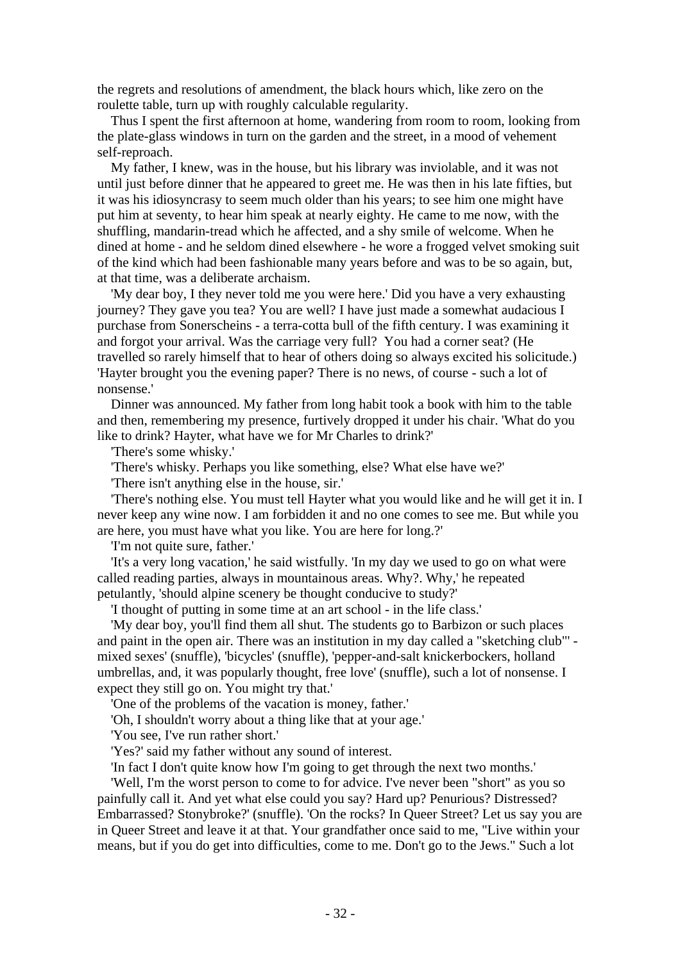the regrets and resolutions of amendment, the black hours which, like zero on the roulette table, turn up with roughly calculable regularity.

 Thus I spent the first afternoon at home, wandering from room to room, looking from the plate-glass windows in turn on the garden and the street, in a mood of vehement self-reproach.

 My father, I knew, was in the house, but his library was inviolable, and it was not until just before dinner that he appeared to greet me. He was then in his late fifties, but it was his idiosyncrasy to seem much older than his years; to see him one might have put him at seventy, to hear him speak at nearly eighty. He came to me now, with the shuffling, mandarin-tread which he affected, and a shy smile of welcome. When he dined at home - and he seldom dined elsewhere - he wore a frogged velvet smoking suit of the kind which had been fashionable many years before and was to be so again, but, at that time, was a deliberate archaism.

 'My dear boy, I they never told me you were here.' Did you have a very exhausting journey? They gave you tea? You are well? I have just made a somewhat audacious I purchase from Sonerscheins - a terra-cotta bull of the fifth century. I was examining it and forgot your arrival. Was the carriage very full? You had a corner seat? (He travelled so rarely himself that to hear of others doing so always excited his solicitude.) 'Hayter brought you the evening paper? There is no news, of course - such a lot of nonsense.'

 Dinner was announced. My father from long habit took a book with him to the table and then, remembering my presence, furtively dropped it under his chair. 'What do you like to drink? Hayter, what have we for Mr Charles to drink?'

'There's some whisky.'

'There's whisky. Perhaps you like something, else? What else have we?'

'There isn't anything else in the house, sir.'

 'There's nothing else. You must tell Hayter what you would like and he will get it in. I never keep any wine now. I am forbidden it and no one comes to see me. But while you are here, you must have what you like. You are here for long.?'

'I'm not quite sure, father.'

 'It's a very long vacation,' he said wistfully. 'In my day we used to go on what were called reading parties, always in mountainous areas. Why?. Why,' he repeated petulantly, 'should alpine scenery be thought conducive to study?'

'I thought of putting in some time at an art school - in the life class.'

 'My dear boy, you'll find them all shut. The students go to Barbizon or such places and paint in the open air. There was an institution in my day called a "sketching club"' mixed sexes' (snuffle), 'bicycles' (snuffle), 'pepper-and-salt knickerbockers, holland umbrellas, and, it was popularly thought, free love' (snuffle), such a lot of nonsense. I expect they still go on. You might try that.'

'One of the problems of the vacation is money, father.'

'Oh, I shouldn't worry about a thing like that at your age.'

'You see, I've run rather short.'

'Yes?' said my father without any sound of interest.

'In fact I don't quite know how I'm going to get through the next two months.'

 'Well, I'm the worst person to come to for advice. I've never been "short" as you so painfully call it. And yet what else could you say? Hard up? Penurious? Distressed? Embarrassed? Stonybroke?' (snuffle). 'On the rocks? In Queer Street? Let us say you are in Queer Street and leave it at that. Your grandfather once said to me, "Live within your means, but if you do get into difficulties, come to me. Don't go to the Jews." Such a lot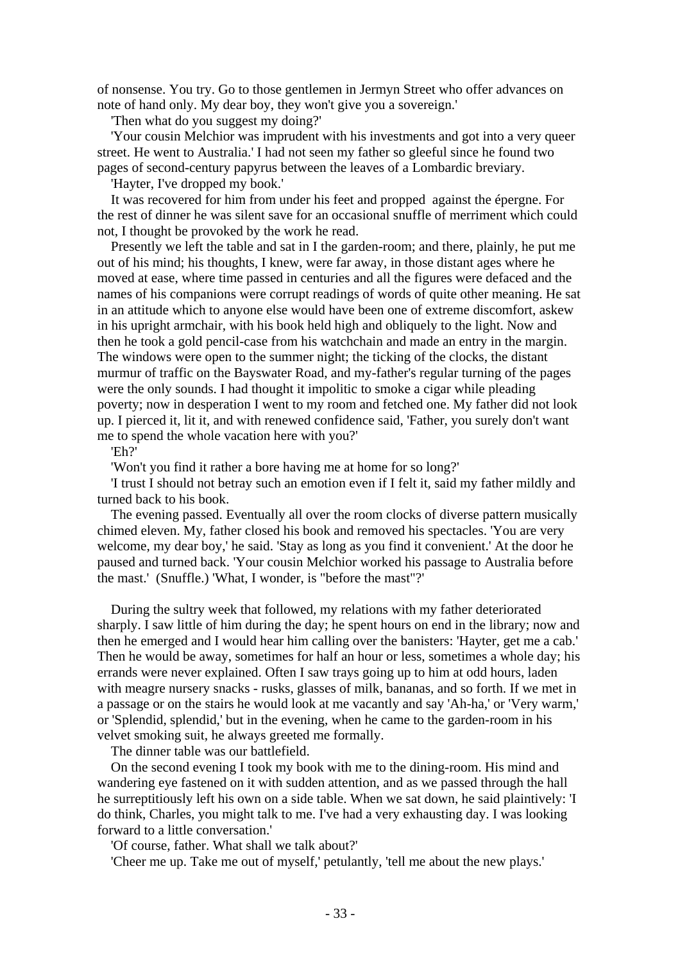of nonsense. You try. Go to those gentlemen in Jermyn Street who offer advances on note of hand only. My dear boy, they won't give you a sovereign.'

'Then what do you suggest my doing?'

 'Your cousin Melchior was imprudent with his investments and got into a very queer street. He went to Australia.' I had not seen my father so gleeful since he found two pages of second-century papyrus between the leaves of a Lombardic breviary.

'Hayter, I've dropped my book.'

 It was recovered for him from under his feet and propped against the épergne. For the rest of dinner he was silent save for an occasional snuffle of merriment which could not, I thought be provoked by the work he read.

 Presently we left the table and sat in I the garden-room; and there, plainly, he put me out of his mind; his thoughts, I knew, were far away, in those distant ages where he moved at ease, where time passed in centuries and all the figures were defaced and the names of his companions were corrupt readings of words of quite other meaning. He sat in an attitude which to anyone else would have been one of extreme discomfort, askew in his upright armchair, with his book held high and obliquely to the light. Now and then he took a gold pencil-case from his watchchain and made an entry in the margin. The windows were open to the summer night; the ticking of the clocks, the distant murmur of traffic on the Bayswater Road, and my-father's regular turning of the pages were the only sounds. I had thought it impolitic to smoke a cigar while pleading poverty; now in desperation I went to my room and fetched one. My father did not look up. I pierced it, lit it, and with renewed confidence said, 'Father, you surely don't want me to spend the whole vacation here with you?'

#### 'Eh?'

'Won't you find it rather a bore having me at home for so long?'

 'I trust I should not betray such an emotion even if I felt it, said my father mildly and turned back to his book.

 The evening passed. Eventually all over the room clocks of diverse pattern musically chimed eleven. My, father closed his book and removed his spectacles. 'You are very welcome, my dear boy,' he said. 'Stay as long as you find it convenient.' At the door he paused and turned back. 'Your cousin Melchior worked his passage to Australia before the mast.' (Snuffle.) 'What, I wonder, is "before the mast"?'

 During the sultry week that followed, my relations with my father deteriorated sharply. I saw little of him during the day; he spent hours on end in the library; now and then he emerged and I would hear him calling over the banisters: 'Hayter, get me a cab.' Then he would be away, sometimes for half an hour or less, sometimes a whole day; his errands were never explained. Often I saw trays going up to him at odd hours, laden with meagre nursery snacks - rusks, glasses of milk, bananas, and so forth. If we met in a passage or on the stairs he would look at me vacantly and say 'Ah-ha,' or 'Very warm,' or 'Splendid, splendid,' but in the evening, when he came to the garden-room in his velvet smoking suit, he always greeted me formally.

The dinner table was our battlefield.

 On the second evening I took my book with me to the dining-room. His mind and wandering eye fastened on it with sudden attention, and as we passed through the hall he surreptitiously left his own on a side table. When we sat down, he said plaintively: 'I do think, Charles, you might talk to me. I've had a very exhausting day. I was looking forward to a little conversation.'

'Of course, father. What shall we talk about?'

'Cheer me up. Take me out of myself,' petulantly, 'tell me about the new plays.'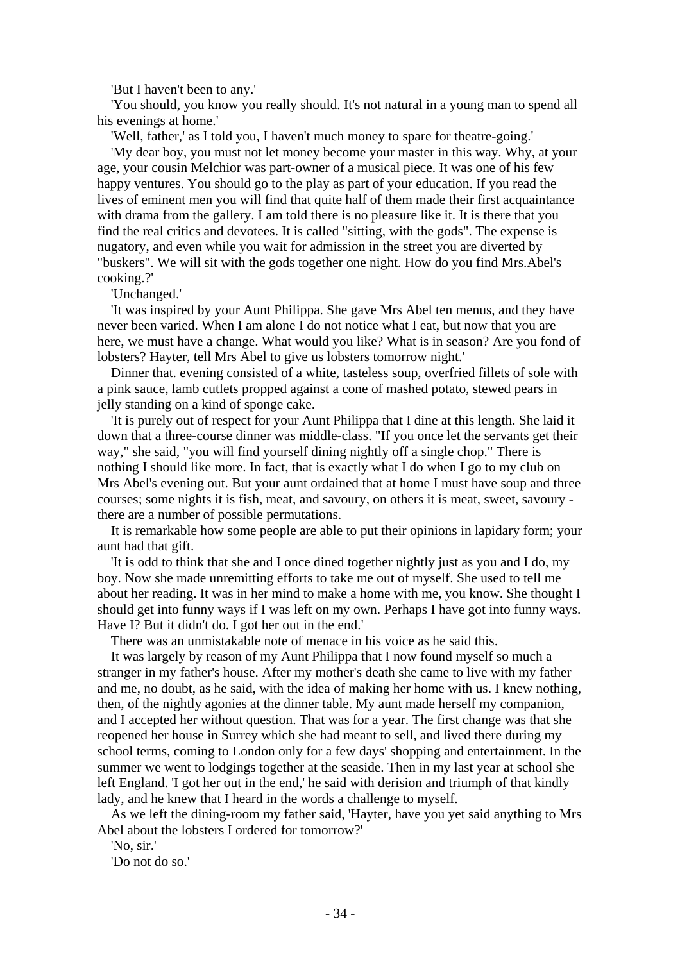'But I haven't been to any.'

 'You should, you know you really should. It's not natural in a young man to spend all his evenings at home.'

 'Well, father,' as I told you, I haven't much money to spare for theatre-going.' 'My dear boy, you must not let money become your master in this way. Why, at your age, your cousin Melchior was part-owner of a musical piece. It was one of his few happy ventures. You should go to the play as part of your education. If you read the lives of eminent men you will find that quite half of them made their first acquaintance with drama from the gallery. I am told there is no pleasure like it. It is there that you find the real critics and devotees. It is called "sitting, with the gods". The expense is nugatory, and even while you wait for admission in the street you are diverted by "buskers". We will sit with the gods together one night. How do you find Mrs.Abel's cooking.?'

'Unchanged.'

 'It was inspired by your Aunt Philippa. She gave Mrs Abel ten menus, and they have never been varied. When I am alone I do not notice what I eat, but now that you are here, we must have a change. What would you like? What is in season? Are you fond of lobsters? Hayter, tell Mrs Abel to give us lobsters tomorrow night.'

 Dinner that. evening consisted of a white, tasteless soup, overfried fillets of sole with a pink sauce, lamb cutlets propped against a cone of mashed potato, stewed pears in jelly standing on a kind of sponge cake.

 'It is purely out of respect for your Aunt Philippa that I dine at this length. She laid it down that a three-course dinner was middle-class. "If you once let the servants get their way," she said, "you will find yourself dining nightly off a single chop." There is nothing I should like more. In fact, that is exactly what I do when I go to my club on Mrs Abel's evening out. But your aunt ordained that at home I must have soup and three courses; some nights it is fish, meat, and savoury, on others it is meat, sweet, savoury there are a number of possible permutations.

 It is remarkable how some people are able to put their opinions in lapidary form; your aunt had that gift.

 'It is odd to think that she and I once dined together nightly just as you and I do, my boy. Now she made unremitting efforts to take me out of myself. She used to tell me about her reading. It was in her mind to make a home with me, you know. She thought I should get into funny ways if I was left on my own. Perhaps I have got into funny ways. Have I? But it didn't do. I got her out in the end.'

There was an unmistakable note of menace in his voice as he said this.

 It was largely by reason of my Aunt Philippa that I now found myself so much a stranger in my father's house. After my mother's death she came to live with my father and me, no doubt, as he said, with the idea of making her home with us. I knew nothing, then, of the nightly agonies at the dinner table. My aunt made herself my companion, and I accepted her without question. That was for a year. The first change was that she reopened her house in Surrey which she had meant to sell, and lived there during my school terms, coming to London only for a few days' shopping and entertainment. In the summer we went to lodgings together at the seaside. Then in my last year at school she left England. 'I got her out in the end,' he said with derision and triumph of that kindly lady, and he knew that I heard in the words a challenge to myself.

 As we left the dining-room my father said, 'Hayter, have you yet said anything to Mrs Abel about the lobsters I ordered for tomorrow?'

'No, sir.'

'Do not do so.'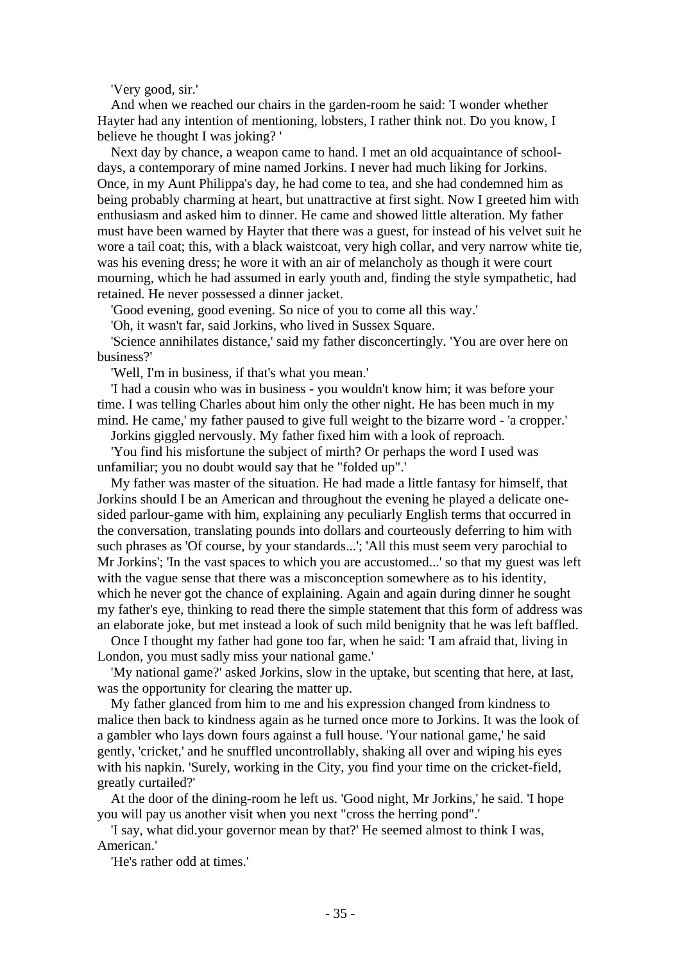'Very good, sir.'

 And when we reached our chairs in the garden-room he said: 'I wonder whether Hayter had any intention of mentioning, lobsters, I rather think not. Do you know, I believe he thought I was joking? '

 Next day by chance, a weapon came to hand. I met an old acquaintance of schooldays, a contemporary of mine named Jorkins. I never had much liking for Jorkins. Once, in my Aunt Philippa's day, he had come to tea, and she had condemned him as being probably charming at heart, but unattractive at first sight. Now I greeted him with enthusiasm and asked him to dinner. He came and showed little alteration. My father must have been warned by Hayter that there was a guest, for instead of his velvet suit he wore a tail coat; this, with a black waistcoat, very high collar, and very narrow white tie, was his evening dress; he wore it with an air of melancholy as though it were court mourning, which he had assumed in early youth and, finding the style sympathetic, had retained. He never possessed a dinner jacket.

'Good evening, good evening. So nice of you to come all this way.'

'Oh, it wasn't far, said Jorkins, who lived in Sussex Square.

 'Science annihilates distance,' said my father disconcertingly. 'You are over here on business?'

'Well, I'm in business, if that's what you mean.'

 'I had a cousin who was in business - you wouldn't know him; it was before your time. I was telling Charles about him only the other night. He has been much in my mind. He came,' my father paused to give full weight to the bizarre word - 'a cropper.'

Jorkins giggled nervously. My father fixed him with a look of reproach.

 'You find his misfortune the subject of mirth? Or perhaps the word I used was unfamiliar; you no doubt would say that he "folded up".'

 My father was master of the situation. He had made a little fantasy for himself, that Jorkins should I be an American and throughout the evening he played a delicate onesided parlour-game with him, explaining any peculiarly English terms that occurred in the conversation, translating pounds into dollars and courteously deferring to him with such phrases as 'Of course, by your standards...'; 'All this must seem very parochial to Mr Jorkins'; 'In the vast spaces to which you are accustomed...' so that my guest was left with the vague sense that there was a misconception somewhere as to his identity, which he never got the chance of explaining. Again and again during dinner he sought my father's eye, thinking to read there the simple statement that this form of address was an elaborate joke, but met instead a look of such mild benignity that he was left baffled.

 Once I thought my father had gone too far, when he said: 'I am afraid that, living in London, you must sadly miss your national game.'

 'My national game?' asked Jorkins, slow in the uptake, but scenting that here, at last, was the opportunity for clearing the matter up.

 My father glanced from him to me and his expression changed from kindness to malice then back to kindness again as he turned once more to Jorkins. It was the look of a gambler who lays down fours against a full house. 'Your national game,' he said gently, 'cricket,' and he snuffled uncontrollably, shaking all over and wiping his eyes with his napkin. 'Surely, working in the City, you find your time on the cricket-field, greatly curtailed?'

 At the door of the dining-room he left us. 'Good night, Mr Jorkins,' he said. 'I hope you will pay us another visit when you next "cross the herring pond".'

 'I say, what did.your governor mean by that?' He seemed almost to think I was, American.'

'He's rather odd at times.'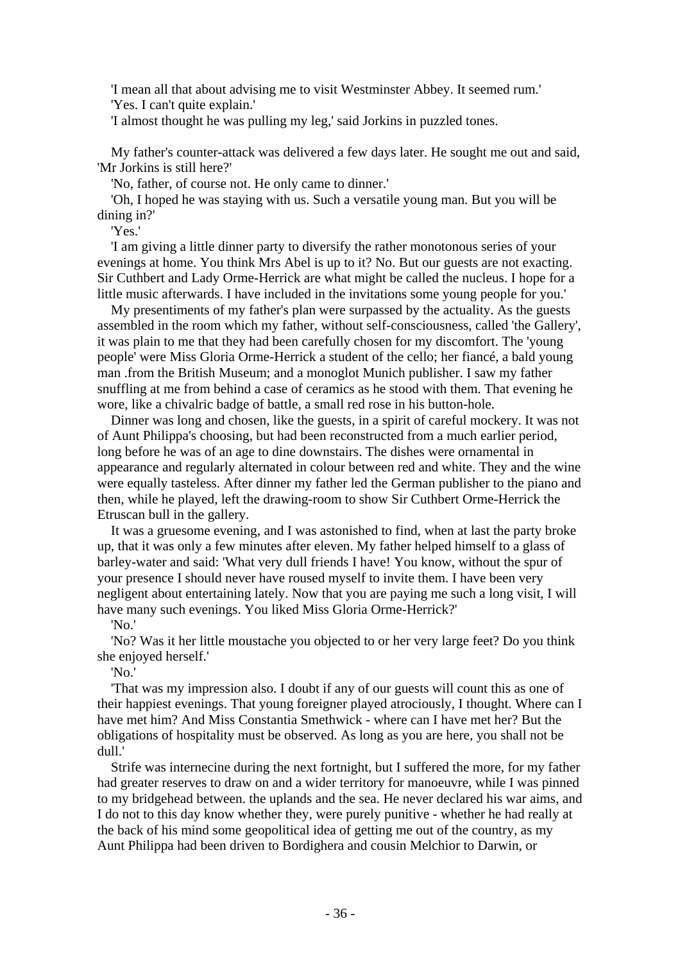'I mean all that about advising me to visit Westminster Abbey. It seemed rum.' 'Yes. I can't quite explain.'

'I almost thought he was pulling my leg,' said Jorkins in puzzled tones.

 My father's counter-attack was delivered a few days later. He sought me out and said, 'Mr Jorkins is still here?'

'No, father, of course not. He only came to dinner.'

 'Oh, I hoped he was staying with us. Such a versatile young man. But you will be dining in?'

'Yes.'

 'I am giving a little dinner party to diversify the rather monotonous series of your evenings at home. You think Mrs Abel is up to it? No. But our guests are not exacting. Sir Cuthbert and Lady Orme-Herrick are what might be called the nucleus. I hope for a little music afterwards. I have included in the invitations some young people for you.'

 My presentiments of my father's plan were surpassed by the actuality. As the guests assembled in the room which my father, without self-consciousness, called 'the Gallery', it was plain to me that they had been carefully chosen for my discomfort. The 'young people' were Miss Gloria Orme-Herrick a student of the cello; her fiancé, a bald young man .from the British Museum; and a monoglot Munich publisher. I saw my father snuffling at me from behind a case of ceramics as he stood with them. That evening he wore, like a chivalric badge of battle, a small red rose in his button-hole.

 Dinner was long and chosen, like the guests, in a spirit of careful mockery. It was not of Aunt Philippa's choosing, but had been reconstructed from a much earlier period, long before he was of an age to dine downstairs. The dishes were ornamental in appearance and regularly alternated in colour between red and white. They and the wine were equally tasteless. After dinner my father led the German publisher to the piano and then, while he played, left the drawing-room to show Sir Cuthbert Orme-Herrick the Etruscan bull in the gallery.

 It was a gruesome evening, and I was astonished to find, when at last the party broke up, that it was only a few minutes after eleven. My father helped himself to a glass of barley-water and said: 'What very dull friends I have! You know, without the spur of your presence I should never have roused myself to invite them. I have been very negligent about entertaining lately. Now that you are paying me such a long visit, I will have many such evenings. You liked Miss Gloria Orme-Herrick?'

'No.'

 'No? Was it her little moustache you objected to or her very large feet? Do you think she enjoyed herself.'

'No.'

 'That was my impression also. I doubt if any of our guests will count this as one of their happiest evenings. That young foreigner played atrociously, I thought. Where can I have met him? And Miss Constantia Smethwick - where can I have met her? But the obligations of hospitality must be observed. As long as you are here, you shall not be dull.'

 Strife was internecine during the next fortnight, but I suffered the more, for my father had greater reserves to draw on and a wider territory for manoeuvre, while I was pinned to my bridgehead between. the uplands and the sea. He never declared his war aims, and I do not to this day know whether they, were purely punitive - whether he had really at the back of his mind some geopolitical idea of getting me out of the country, as my Aunt Philippa had been driven to Bordighera and cousin Melchior to Darwin, or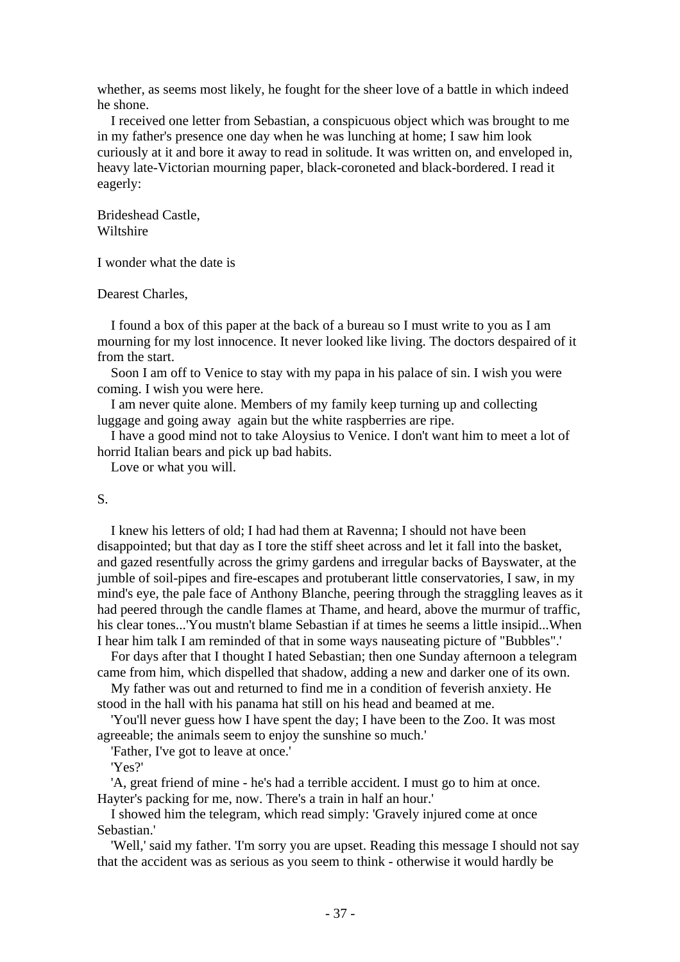whether, as seems most likely, he fought for the sheer love of a battle in which indeed he shone.

 I received one letter from Sebastian, a conspicuous object which was brought to me in my father's presence one day when he was lunching at home; I saw him look curiously at it and bore it away to read in solitude. It was written on, and enveloped in, heavy late-Victorian mourning paper, black-coroneted and black-bordered. I read it eagerly:

Brideshead Castle, **Wiltshire** 

I wonder what the date is

Dearest Charles,

 I found a box of this paper at the back of a bureau so I must write to you as I am mourning for my lost innocence. It never looked like living. The doctors despaired of it from the start.

 Soon I am off to Venice to stay with my papa in his palace of sin. I wish you were coming. I wish you were here.

 I am never quite alone. Members of my family keep turning up and collecting luggage and going away again but the white raspberries are ripe.

 I have a good mind not to take Aloysius to Venice. I don't want him to meet a lot of horrid Italian bears and pick up bad habits.

Love or what you will.

## S.

 I knew his letters of old; I had had them at Ravenna; I should not have been disappointed; but that day as I tore the stiff sheet across and let it fall into the basket, and gazed resentfully across the grimy gardens and irregular backs of Bayswater, at the jumble of soil-pipes and fire-escapes and protuberant little conservatories, I saw, in my mind's eye, the pale face of Anthony Blanche, peering through the straggling leaves as it had peered through the candle flames at Thame, and heard, above the murmur of traffic, his clear tones...'You mustn't blame Sebastian if at times he seems a little insipid...When I hear him talk I am reminded of that in some ways nauseating picture of "Bubbles".'

 For days after that I thought I hated Sebastian; then one Sunday afternoon a telegram came from him, which dispelled that shadow, adding a new and darker one of its own.

 My father was out and returned to find me in a condition of feverish anxiety. He stood in the hall with his panama hat still on his head and beamed at me.

 'You'll never guess how I have spent the day; I have been to the Zoo. It was most agreeable; the animals seem to enjoy the sunshine so much.'

'Father, I've got to leave at once.'

'Yes?'

 'A, great friend of mine - he's had a terrible accident. I must go to him at once. Hayter's packing for me, now. There's a train in half an hour.'

 I showed him the telegram, which read simply: 'Gravely injured come at once Sebastian.'

 'Well,' said my father. 'I'm sorry you are upset. Reading this message I should not say that the accident was as serious as you seem to think - otherwise it would hardly be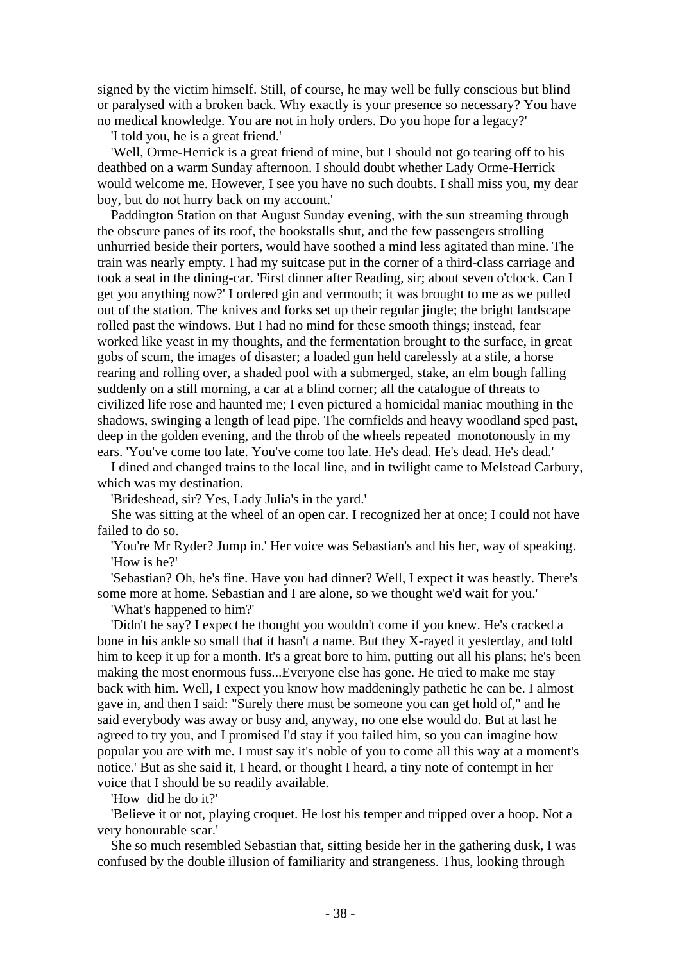signed by the victim himself. Still, of course, he may well be fully conscious but blind or paralysed with a broken back. Why exactly is your presence so necessary? You have no medical knowledge. You are not in holy orders. Do you hope for a legacy?'

'I told you, he is a great friend.'

 'Well, Orme-Herrick is a great friend of mine, but I should not go tearing off to his deathbed on a warm Sunday afternoon. I should doubt whether Lady Orme-Herrick would welcome me. However, I see you have no such doubts. I shall miss you, my dear boy, but do not hurry back on my account.'

 Paddington Station on that August Sunday evening, with the sun streaming through the obscure panes of its roof, the bookstalls shut, and the few passengers strolling unhurried beside their porters, would have soothed a mind less agitated than mine. The train was nearly empty. I had my suitcase put in the corner of a third-class carriage and took a seat in the dining-car. 'First dinner after Reading, sir; about seven o'clock. Can I get you anything now?' I ordered gin and vermouth; it was brought to me as we pulled out of the station. The knives and forks set up their regular jingle; the bright landscape rolled past the windows. But I had no mind for these smooth things; instead, fear worked like yeast in my thoughts, and the fermentation brought to the surface, in great gobs of scum, the images of disaster; a loaded gun held carelessly at a stile, a horse rearing and rolling over, a shaded pool with a submerged, stake, an elm bough falling suddenly on a still morning, a car at a blind corner; all the catalogue of threats to civilized life rose and haunted me; I even pictured a homicidal maniac mouthing in the shadows, swinging a length of lead pipe. The cornfields and heavy woodland sped past, deep in the golden evening, and the throb of the wheels repeated monotonously in my ears. 'You've come too late. You've come too late. He's dead. He's dead. He's dead.'

 I dined and changed trains to the local line, and in twilight came to Melstead Carbury, which was my destination.

'Brideshead, sir? Yes, Lady Julia's in the yard.'

 She was sitting at the wheel of an open car. I recognized her at once; I could not have failed to do so.

 'You're Mr Ryder? Jump in.' Her voice was Sebastian's and his her, way of speaking. 'How is he?'

 'Sebastian? Oh, he's fine. Have you had dinner? Well, I expect it was beastly. There's some more at home. Sebastian and I are alone, so we thought we'd wait for you.'

'What's happened to him?'

 'Didn't he say? I expect he thought you wouldn't come if you knew. He's cracked a bone in his ankle so small that it hasn't a name. But they X-rayed it yesterday, and told him to keep it up for a month. It's a great bore to him, putting out all his plans; he's been making the most enormous fuss...Everyone else has gone. He tried to make me stay back with him. Well, I expect you know how maddeningly pathetic he can be. I almost gave in, and then I said: "Surely there must be someone you can get hold of," and he said everybody was away or busy and, anyway, no one else would do. But at last he agreed to try you, and I promised I'd stay if you failed him, so you can imagine how popular you are with me. I must say it's noble of you to come all this way at a moment's notice.' But as she said it, I heard, or thought I heard, a tiny note of contempt in her voice that I should be so readily available.

'How did he do it?'

 'Believe it or not, playing croquet. He lost his temper and tripped over a hoop. Not a very honourable scar.'

 She so much resembled Sebastian that, sitting beside her in the gathering dusk, I was confused by the double illusion of familiarity and strangeness. Thus, looking through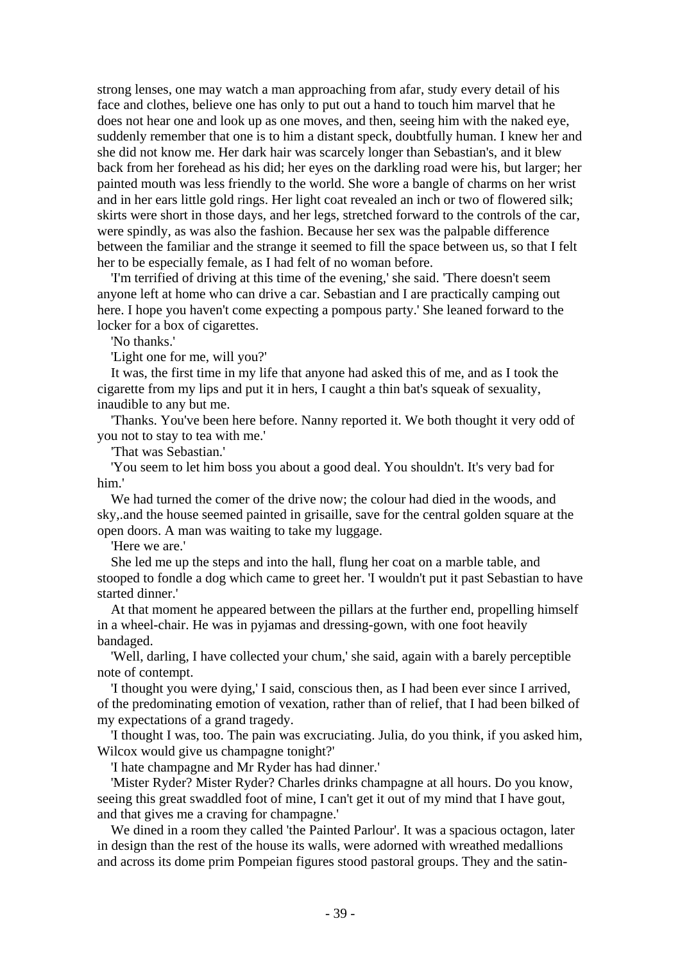strong lenses, one may watch a man approaching from afar, study every detail of his face and clothes, believe one has only to put out a hand to touch him marvel that he does not hear one and look up as one moves, and then, seeing him with the naked eye, suddenly remember that one is to him a distant speck, doubtfully human. I knew her and she did not know me. Her dark hair was scarcely longer than Sebastian's, and it blew back from her forehead as his did; her eyes on the darkling road were his, but larger; her painted mouth was less friendly to the world. She wore a bangle of charms on her wrist and in her ears little gold rings. Her light coat revealed an inch or two of flowered silk; skirts were short in those days, and her legs, stretched forward to the controls of the car, were spindly, as was also the fashion. Because her sex was the palpable difference between the familiar and the strange it seemed to fill the space between us, so that I felt her to be especially female, as I had felt of no woman before.

 'I'm terrified of driving at this time of the evening,' she said. 'There doesn't seem anyone left at home who can drive a car. Sebastian and I are practically camping out here. I hope you haven't come expecting a pompous party.' She leaned forward to the locker for a box of cigarettes.

'No thanks.'

'Light one for me, will you?'

 It was, the first time in my life that anyone had asked this of me, and as I took the cigarette from my lips and put it in hers, I caught a thin bat's squeak of sexuality, inaudible to any but me.

 'Thanks. You've been here before. Nanny reported it. We both thought it very odd of you not to stay to tea with me.'

'That was Sebastian.'

 'You seem to let him boss you about a good deal. You shouldn't. It's very bad for him.'

 We had turned the comer of the drive now; the colour had died in the woods, and sky,.and the house seemed painted in grisaille, save for the central golden square at the open doors. A man was waiting to take my luggage.

'Here we are.'

 She led me up the steps and into the hall, flung her coat on a marble table, and stooped to fondle a dog which came to greet her. 'I wouldn't put it past Sebastian to have started dinner.'

 At that moment he appeared between the pillars at the further end, propelling himself in a wheel-chair. He was in pyjamas and dressing-gown, with one foot heavily bandaged.

 'Well, darling, I have collected your chum,' she said, again with a barely perceptible note of contempt.

 'I thought you were dying,' I said, conscious then, as I had been ever since I arrived, of the predominating emotion of vexation, rather than of relief, that I had been bilked of my expectations of a grand tragedy.

 'I thought I was, too. The pain was excruciating. Julia, do you think, if you asked him, Wilcox would give us champagne tonight?'

'I hate champagne and Mr Ryder has had dinner.'

 'Mister Ryder? Mister Ryder? Charles drinks champagne at all hours. Do you know, seeing this great swaddled foot of mine, I can't get it out of my mind that I have gout, and that gives me a craving for champagne.'

 We dined in a room they called 'the Painted Parlour'. It was a spacious octagon, later in design than the rest of the house its walls, were adorned with wreathed medallions and across its dome prim Pompeian figures stood pastoral groups. They and the satin-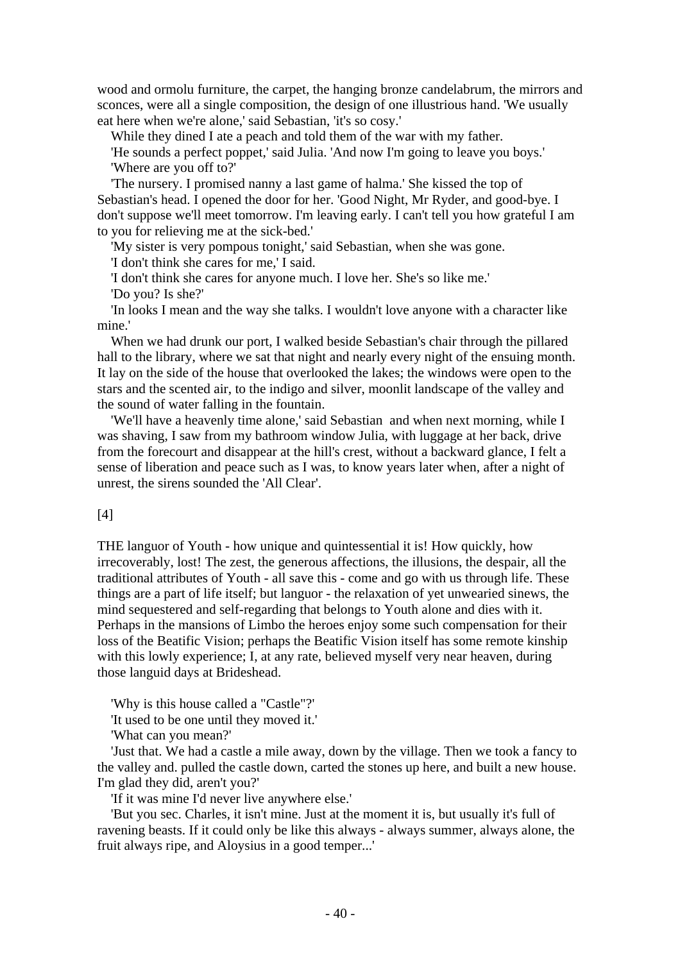wood and ormolu furniture, the carpet, the hanging bronze candelabrum, the mirrors and sconces, were all a single composition, the design of one illustrious hand. 'We usually eat here when we're alone,' said Sebastian, 'it's so cosy.'

 While they dined I ate a peach and told them of the war with my father. 'He sounds a perfect poppet,' said Julia. 'And now I'm going to leave you boys.'

'Where are you off to?'

 'The nursery. I promised nanny a last game of halma.' She kissed the top of Sebastian's head. I opened the door for her. 'Good Night, Mr Ryder, and good-bye. I don't suppose we'll meet tomorrow. I'm leaving early. I can't tell you how grateful I am to you for relieving me at the sick-bed.'

'My sister is very pompous tonight,' said Sebastian, when she was gone.

'I don't think she cares for me,' I said.

 'I don't think she cares for anyone much. I love her. She's so like me.' 'Do you? Is she?'

 'In looks I mean and the way she talks. I wouldn't love anyone with a character like mine.'

 When we had drunk our port, I walked beside Sebastian's chair through the pillared hall to the library, where we sat that night and nearly every night of the ensuing month. It lay on the side of the house that overlooked the lakes; the windows were open to the stars and the scented air, to the indigo and silver, moonlit landscape of the valley and the sound of water falling in the fountain.

 'We'll have a heavenly time alone,' said Sebastian and when next morning, while I was shaving, I saw from my bathroom window Julia, with luggage at her back, drive from the forecourt and disappear at the hill's crest, without a backward glance, I felt a sense of liberation and peace such as I was, to know years later when, after a night of unrest, the sirens sounded the 'All Clear'.

## [4]

THE languor of Youth - how unique and quintessential it is! How quickly, how irrecoverably, lost! The zest, the generous affections, the illusions, the despair, all the traditional attributes of Youth - all save this - come and go with us through life. These things are a part of life itself; but languor - the relaxation of yet unwearied sinews, the mind sequestered and self-regarding that belongs to Youth alone and dies with it. Perhaps in the mansions of Limbo the heroes enjoy some such compensation for their loss of the Beatific Vision; perhaps the Beatific Vision itself has some remote kinship with this lowly experience; I, at any rate, believed myself very near heaven, during those languid days at Brideshead.

'Why is this house called a "Castle"?'

'It used to be one until they moved it.'

'What can you mean?'

 'Just that. We had a castle a mile away, down by the village. Then we took a fancy to the valley and. pulled the castle down, carted the stones up here, and built a new house. I'm glad they did, aren't you?'

'If it was mine I'd never live anywhere else.'

 'But you sec. Charles, it isn't mine. Just at the moment it is, but usually it's full of ravening beasts. If it could only be like this always - always summer, always alone, the fruit always ripe, and Aloysius in a good temper...'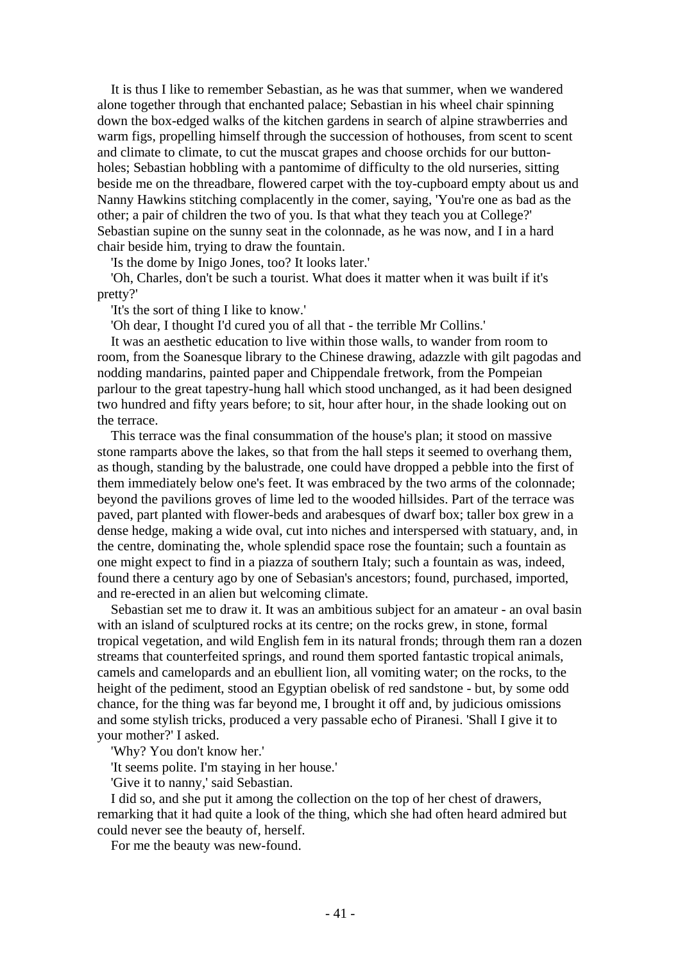It is thus I like to remember Sebastian, as he was that summer, when we wandered alone together through that enchanted palace; Sebastian in his wheel chair spinning down the box-edged walks of the kitchen gardens in search of alpine strawberries and warm figs, propelling himself through the succession of hothouses, from scent to scent and climate to climate, to cut the muscat grapes and choose orchids for our buttonholes; Sebastian hobbling with a pantomime of difficulty to the old nurseries, sitting beside me on the threadbare, flowered carpet with the toy-cupboard empty about us and Nanny Hawkins stitching complacently in the comer, saying, 'You're one as bad as the other; a pair of children the two of you. Is that what they teach you at College?' Sebastian supine on the sunny seat in the colonnade, as he was now, and I in a hard chair beside him, trying to draw the fountain.

'Is the dome by Inigo Jones, too? It looks later.'

 'Oh, Charles, don't be such a tourist. What does it matter when it was built if it's pretty?'

'It's the sort of thing I like to know.'

'Oh dear, I thought I'd cured you of all that - the terrible Mr Collins.'

 It was an aesthetic education to live within those walls, to wander from room to room, from the Soanesque library to the Chinese drawing, adazzle with gilt pagodas and nodding mandarins, painted paper and Chippendale fretwork, from the Pompeian parlour to the great tapestry-hung hall which stood unchanged, as it had been designed two hundred and fifty years before; to sit, hour after hour, in the shade looking out on the terrace.

 This terrace was the final consummation of the house's plan; it stood on massive stone ramparts above the lakes, so that from the hall steps it seemed to overhang them, as though, standing by the balustrade, one could have dropped a pebble into the first of them immediately below one's feet. It was embraced by the two arms of the colonnade; beyond the pavilions groves of lime led to the wooded hillsides. Part of the terrace was paved, part planted with flower-beds and arabesques of dwarf box; taller box grew in a dense hedge, making a wide oval, cut into niches and interspersed with statuary, and, in the centre, dominating the, whole splendid space rose the fountain; such a fountain as one might expect to find in a piazza of southern Italy; such a fountain as was, indeed, found there a century ago by one of Sebasian's ancestors; found, purchased, imported, and re-erected in an alien but welcoming climate.

 Sebastian set me to draw it. It was an ambitious subject for an amateur - an oval basin with an island of sculptured rocks at its centre; on the rocks grew, in stone, formal tropical vegetation, and wild English fem in its natural fronds; through them ran a dozen streams that counterfeited springs, and round them sported fantastic tropical animals, camels and camelopards and an ebullient lion, all vomiting water; on the rocks, to the height of the pediment, stood an Egyptian obelisk of red sandstone - but, by some odd chance, for the thing was far beyond me, I brought it off and, by judicious omissions and some stylish tricks, produced a very passable echo of Piranesi. 'Shall I give it to your mother?' I asked.

'Why? You don't know her.'

'It seems polite. I'm staying in her house.'

'Give it to nanny,' said Sebastian.

 I did so, and she put it among the collection on the top of her chest of drawers, remarking that it had quite a look of the thing, which she had often heard admired but could never see the beauty of, herself.

For me the beauty was new-found.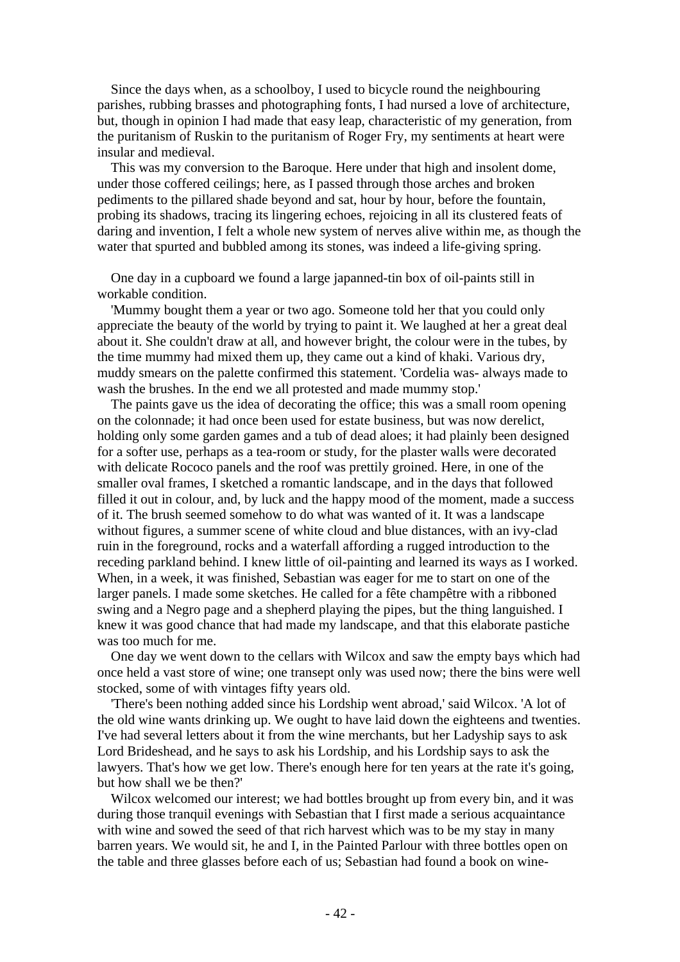Since the days when, as a schoolboy, I used to bicycle round the neighbouring parishes, rubbing brasses and photographing fonts, I had nursed a love of architecture, but, though in opinion I had made that easy leap, characteristic of my generation, from the puritanism of Ruskin to the puritanism of Roger Fry, my sentiments at heart were insular and medieval.

 This was my conversion to the Baroque. Here under that high and insolent dome, under those coffered ceilings; here, as I passed through those arches and broken pediments to the pillared shade beyond and sat, hour by hour, before the fountain, probing its shadows, tracing its lingering echoes, rejoicing in all its clustered feats of daring and invention, I felt a whole new system of nerves alive within me, as though the water that spurted and bubbled among its stones, was indeed a life-giving spring.

 One day in a cupboard we found a large japanned-tin box of oil-paints still in workable condition.

 'Mummy bought them a year or two ago. Someone told her that you could only appreciate the beauty of the world by trying to paint it. We laughed at her a great deal about it. She couldn't draw at all, and however bright, the colour were in the tubes, by the time mummy had mixed them up, they came out a kind of khaki. Various dry, muddy smears on the palette confirmed this statement. 'Cordelia was- always made to wash the brushes. In the end we all protested and made mummy stop.'

 The paints gave us the idea of decorating the office; this was a small room opening on the colonnade; it had once been used for estate business, but was now derelict, holding only some garden games and a tub of dead aloes; it had plainly been designed for a softer use, perhaps as a tea-room or study, for the plaster walls were decorated with delicate Rococo panels and the roof was prettily groined. Here, in one of the smaller oval frames, I sketched a romantic landscape, and in the days that followed filled it out in colour, and, by luck and the happy mood of the moment, made a success of it. The brush seemed somehow to do what was wanted of it. It was a landscape without figures, a summer scene of white cloud and blue distances, with an ivy-clad ruin in the foreground, rocks and a waterfall affording a rugged introduction to the receding parkland behind. I knew little of oil-painting and learned its ways as I worked. When, in a week, it was finished, Sebastian was eager for me to start on one of the larger panels. I made some sketches. He called for a fête champêtre with a ribboned swing and a Negro page and a shepherd playing the pipes, but the thing languished. I knew it was good chance that had made my landscape, and that this elaborate pastiche was too much for me.

 One day we went down to the cellars with Wilcox and saw the empty bays which had once held a vast store of wine; one transept only was used now; there the bins were well stocked, some of with vintages fifty years old.

 'There's been nothing added since his Lordship went abroad,' said Wilcox. 'A lot of the old wine wants drinking up. We ought to have laid down the eighteens and twenties. I've had several letters about it from the wine merchants, but her Ladyship says to ask Lord Brideshead, and he says to ask his Lordship, and his Lordship says to ask the lawyers. That's how we get low. There's enough here for ten years at the rate it's going, but how shall we be then?'

 Wilcox welcomed our interest; we had bottles brought up from every bin, and it was during those tranquil evenings with Sebastian that I first made a serious acquaintance with wine and sowed the seed of that rich harvest which was to be my stay in many barren years. We would sit, he and I, in the Painted Parlour with three bottles open on the table and three glasses before each of us; Sebastian had found a book on wine-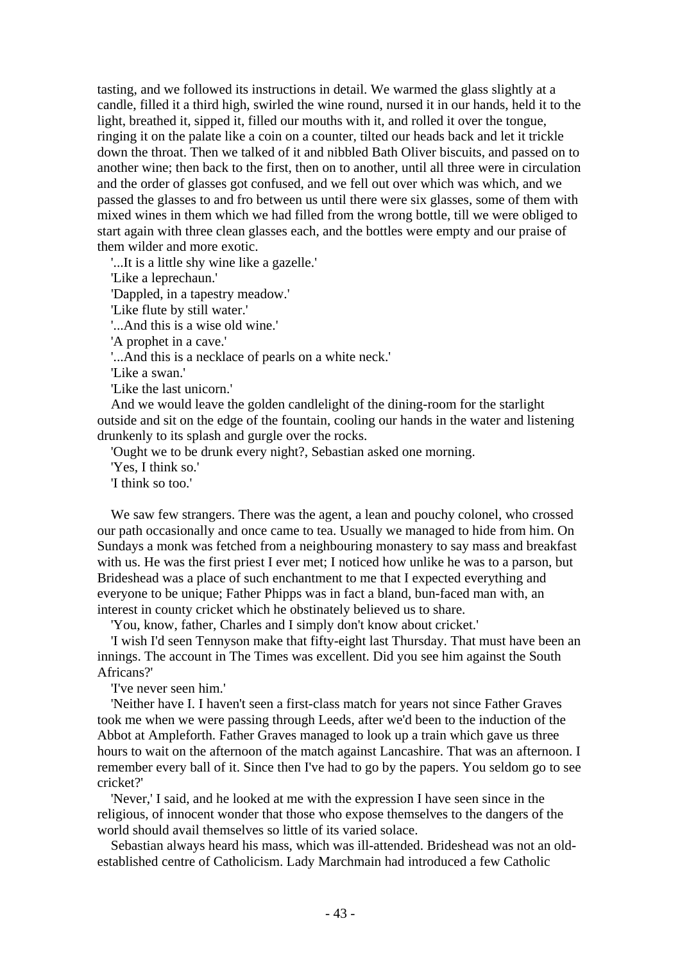tasting, and we followed its instructions in detail. We warmed the glass slightly at a candle, filled it a third high, swirled the wine round, nursed it in our hands, held it to the light, breathed it, sipped it, filled our mouths with it, and rolled it over the tongue, ringing it on the palate like a coin on a counter, tilted our heads back and let it trickle down the throat. Then we talked of it and nibbled Bath Oliver biscuits, and passed on to another wine; then back to the first, then on to another, until all three were in circulation and the order of glasses got confused, and we fell out over which was which, and we passed the glasses to and fro between us until there were six glasses, some of them with mixed wines in them which we had filled from the wrong bottle, till we were obliged to start again with three clean glasses each, and the bottles were empty and our praise of them wilder and more exotic.

'...It is a little shy wine like a gazelle.'

'Like a leprechaun.'

'Dappled, in a tapestry meadow.'

'Like flute by still water.'

'...And this is a wise old wine.'

'A prophet in a cave.'

'...And this is a necklace of pearls on a white neck.'

'Like a swan.'

'Like the last unicorn.'

 And we would leave the golden candlelight of the dining-room for the starlight outside and sit on the edge of the fountain, cooling our hands in the water and listening drunkenly to its splash and gurgle over the rocks.

'Ought we to be drunk every night?, Sebastian asked one morning.

'Yes, I think so.'

'I think so too.'

 We saw few strangers. There was the agent, a lean and pouchy colonel, who crossed our path occasionally and once came to tea. Usually we managed to hide from him. On Sundays a monk was fetched from a neighbouring monastery to say mass and breakfast with us. He was the first priest I ever met; I noticed how unlike he was to a parson, but Brideshead was a place of such enchantment to me that I expected everything and everyone to be unique; Father Phipps was in fact a bland, bun-faced man with, an interest in county cricket which he obstinately believed us to share.

'You, know, father, Charles and I simply don't know about cricket.'

 'I wish I'd seen Tennyson make that fifty-eight last Thursday. That must have been an innings. The account in The Times was excellent. Did you see him against the South Africans?'

'I've never seen him.'

 'Neither have I. I haven't seen a first-class match for years not since Father Graves took me when we were passing through Leeds, after we'd been to the induction of the Abbot at Ampleforth. Father Graves managed to look up a train which gave us three hours to wait on the afternoon of the match against Lancashire. That was an afternoon. I remember every ball of it. Since then I've had to go by the papers. You seldom go to see cricket?'

 'Never,' I said, and he looked at me with the expression I have seen since in the religious, of innocent wonder that those who expose themselves to the dangers of the world should avail themselves so little of its varied solace.

 Sebastian always heard his mass, which was ill-attended. Brideshead was not an oldestablished centre of Catholicism. Lady Marchmain had introduced a few Catholic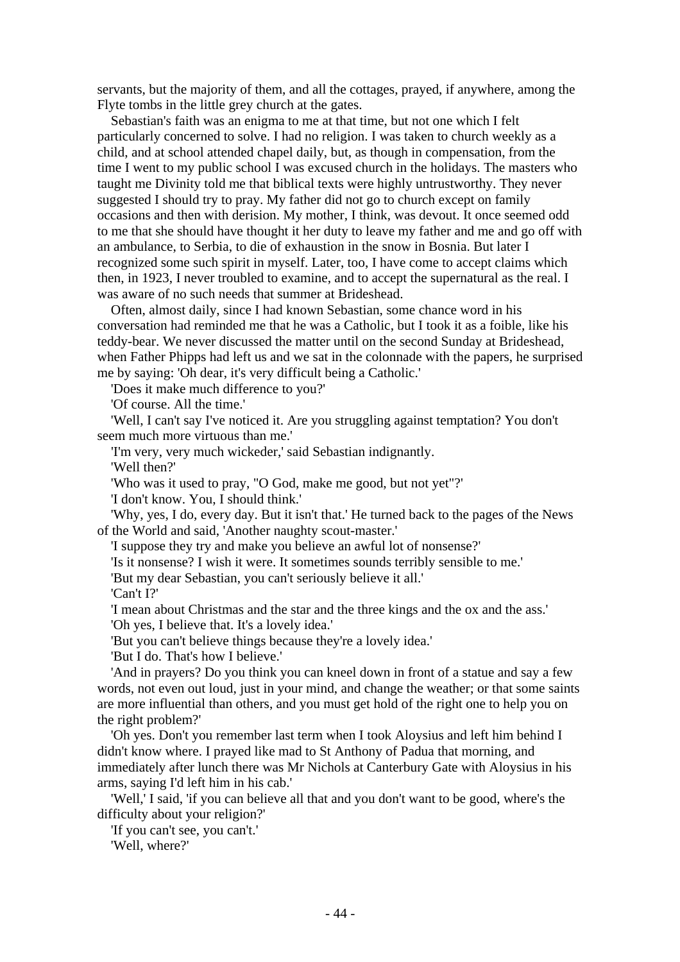servants, but the majority of them, and all the cottages, prayed, if anywhere, among the Flyte tombs in the little grey church at the gates.

 Sebastian's faith was an enigma to me at that time, but not one which I felt particularly concerned to solve. I had no religion. I was taken to church weekly as a child, and at school attended chapel daily, but, as though in compensation, from the time I went to my public school I was excused church in the holidays. The masters who taught me Divinity told me that biblical texts were highly untrustworthy. They never suggested I should try to pray. My father did not go to church except on family occasions and then with derision. My mother, I think, was devout. It once seemed odd to me that she should have thought it her duty to leave my father and me and go off with an ambulance, to Serbia, to die of exhaustion in the snow in Bosnia. But later I recognized some such spirit in myself. Later, too, I have come to accept claims which then, in 1923, I never troubled to examine, and to accept the supernatural as the real. I was aware of no such needs that summer at Brideshead.

 Often, almost daily, since I had known Sebastian, some chance word in his conversation had reminded me that he was a Catholic, but I took it as a foible, like his teddy-bear. We never discussed the matter until on the second Sunday at Brideshead, when Father Phipps had left us and we sat in the colonnade with the papers, he surprised me by saying: 'Oh dear, it's very difficult being a Catholic.'

'Does it make much difference to you?'

'Of course. All the time.'

 'Well, I can't say I've noticed it. Are you struggling against temptation? You don't seem much more virtuous than me.'

'I'm very, very much wickeder,' said Sebastian indignantly.

'Well then?'

'Who was it used to pray, "O God, make me good, but not yet"?'

'I don't know. You, I should think.'

 'Why, yes, I do, every day. But it isn't that.' He turned back to the pages of the News of the World and said, 'Another naughty scout-master.'

'I suppose they try and make you believe an awful lot of nonsense?'

'Is it nonsense? I wish it were. It sometimes sounds terribly sensible to me.'

'But my dear Sebastian, you can't seriously believe it all.'

'Can't I?'

'I mean about Christmas and the star and the three kings and the ox and the ass.'

'Oh yes, I believe that. It's a lovely idea.'

'But you can't believe things because they're a lovely idea.'

'But I do. That's how I believe.'

 'And in prayers? Do you think you can kneel down in front of a statue and say a few words, not even out loud, just in your mind, and change the weather; or that some saints are more influential than others, and you must get hold of the right one to help you on the right problem?'

 'Oh yes. Don't you remember last term when I took Aloysius and left him behind I didn't know where. I prayed like mad to St Anthony of Padua that morning, and immediately after lunch there was Mr Nichols at Canterbury Gate with Aloysius in his arms, saying I'd left him in his cab.'

 'Well,' I said, 'if you can believe all that and you don't want to be good, where's the difficulty about your religion?'

'If you can't see, you can't.'

'Well, where?'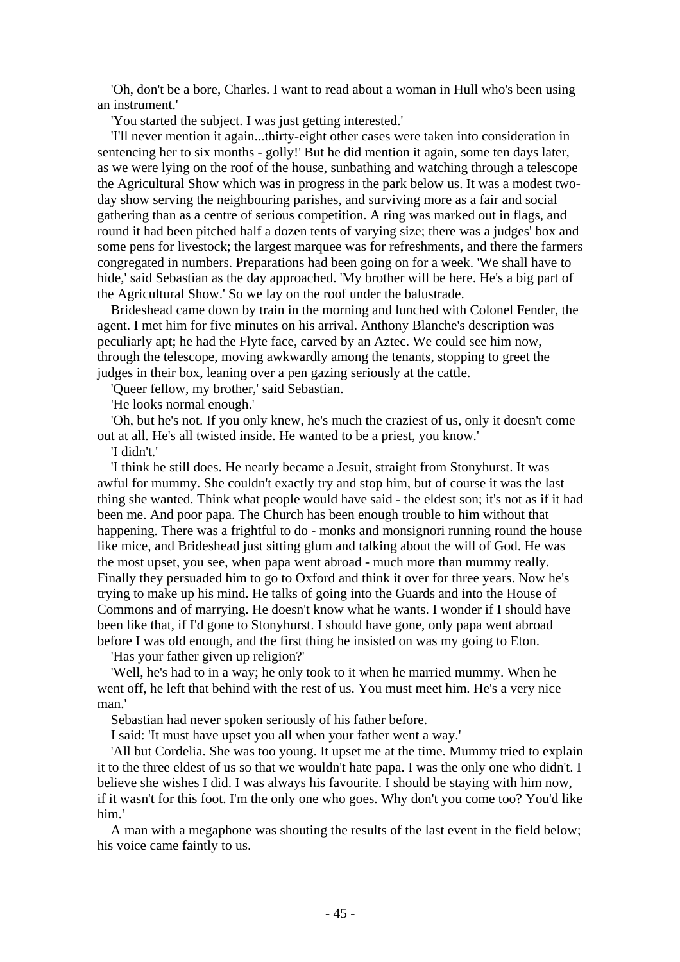'Oh, don't be a bore, Charles. I want to read about a woman in Hull who's been using an instrument.'

'You started the subject. I was just getting interested.'

 'I'll never mention it again...thirty-eight other cases were taken into consideration in sentencing her to six months - golly!' But he did mention it again, some ten days later, as we were lying on the roof of the house, sunbathing and watching through a telescope the Agricultural Show which was in progress in the park below us. It was a modest twoday show serving the neighbouring parishes, and surviving more as a fair and social gathering than as a centre of serious competition. A ring was marked out in flags, and round it had been pitched half a dozen tents of varying size; there was a judges' box and some pens for livestock; the largest marquee was for refreshments, and there the farmers congregated in numbers. Preparations had been going on for a week. 'We shall have to hide,' said Sebastian as the day approached. 'My brother will be here. He's a big part of the Agricultural Show.' So we lay on the roof under the balustrade.

 Brideshead came down by train in the morning and lunched with Colonel Fender, the agent. I met him for five minutes on his arrival. Anthony Blanche's description was peculiarly apt; he had the Flyte face, carved by an Aztec. We could see him now, through the telescope, moving awkwardly among the tenants, stopping to greet the judges in their box, leaning over a pen gazing seriously at the cattle.

'Queer fellow, my brother,' said Sebastian.

'He looks normal enough.'

 'Oh, but he's not. If you only knew, he's much the craziest of us, only it doesn't come out at all. He's all twisted inside. He wanted to be a priest, you know.'

'I didn't.'

 'I think he still does. He nearly became a Jesuit, straight from Stonyhurst. It was awful for mummy. She couldn't exactly try and stop him, but of course it was the last thing she wanted. Think what people would have said - the eldest son; it's not as if it had been me. And poor papa. The Church has been enough trouble to him without that happening. There was a frightful to do - monks and monsignori running round the house like mice, and Brideshead just sitting glum and talking about the will of God. He was the most upset, you see, when papa went abroad - much more than mummy really. Finally they persuaded him to go to Oxford and think it over for three years. Now he's trying to make up his mind. He talks of going into the Guards and into the House of Commons and of marrying. He doesn't know what he wants. I wonder if I should have been like that, if I'd gone to Stonyhurst. I should have gone, only papa went abroad before I was old enough, and the first thing he insisted on was my going to Eton.

'Has your father given up religion?'

 'Well, he's had to in a way; he only took to it when he married mummy. When he went off, he left that behind with the rest of us. You must meet him. He's a very nice man.'

Sebastian had never spoken seriously of his father before.

I said: 'It must have upset you all when your father went a way.'

 'All but Cordelia. She was too young. It upset me at the time. Mummy tried to explain it to the three eldest of us so that we wouldn't hate papa. I was the only one who didn't. I believe she wishes I did. I was always his favourite. I should be staying with him now, if it wasn't for this foot. I'm the only one who goes. Why don't you come too? You'd like him.'

 A man with a megaphone was shouting the results of the last event in the field below; his voice came faintly to us.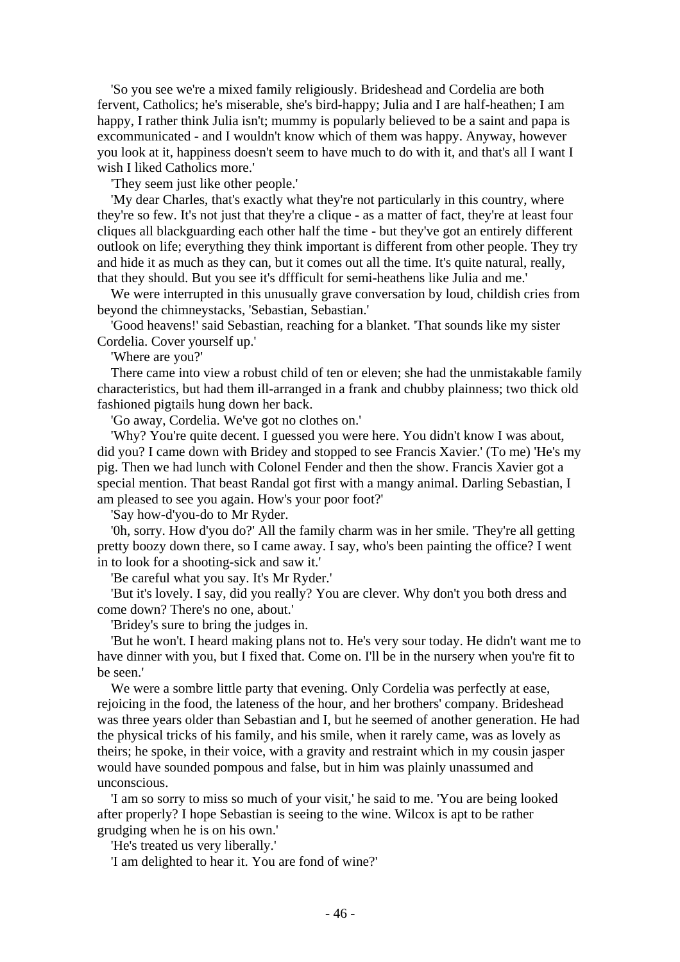'So you see we're a mixed family religiously. Brideshead and Cordelia are both fervent, Catholics; he's miserable, she's bird-happy; Julia and I are half-heathen; I am happy, I rather think Julia isn't; mummy is popularly believed to be a saint and papa is excommunicated - and I wouldn't know which of them was happy. Anyway, however you look at it, happiness doesn't seem to have much to do with it, and that's all I want I wish I liked Catholics more.'

'They seem just like other people.'

 'My dear Charles, that's exactly what they're not particularly in this country, where they're so few. It's not just that they're a clique - as a matter of fact, they're at least four cliques all blackguarding each other half the time - but they've got an entirely different outlook on life; everything they think important is different from other people. They try and hide it as much as they can, but it comes out all the time. It's quite natural, really, that they should. But you see it's dffficult for semi-heathens like Julia and me.'

 We were interrupted in this unusually grave conversation by loud, childish cries from beyond the chimneystacks, 'Sebastian, Sebastian.'

 'Good heavens!' said Sebastian, reaching for a blanket. 'That sounds like my sister Cordelia. Cover yourself up.'

'Where are you?'

 There came into view a robust child of ten or eleven; she had the unmistakable family characteristics, but had them ill-arranged in a frank and chubby plainness; two thick old fashioned pigtails hung down her back.

'Go away, Cordelia. We've got no clothes on.'

 'Why? You're quite decent. I guessed you were here. You didn't know I was about, did you? I came down with Bridey and stopped to see Francis Xavier.' (To me) 'He's my pig. Then we had lunch with Colonel Fender and then the show. Francis Xavier got a special mention. That beast Randal got first with a mangy animal. Darling Sebastian, I am pleased to see you again. How's your poor foot?'

'Say how-d'you-do to Mr Ryder.

 '0h, sorry. How d'you do?' All the family charm was in her smile. 'They're all getting pretty boozy down there, so I came away. I say, who's been painting the office? I went in to look for a shooting-sick and saw it.'

'Be careful what you say. It's Mr Ryder.'

 'But it's lovely. I say, did you really? You are clever. Why don't you both dress and come down? There's no one, about.'

'Bridey's sure to bring the judges in.

 'But he won't. I heard making plans not to. He's very sour today. He didn't want me to have dinner with you, but I fixed that. Come on. I'll be in the nursery when you're fit to be seen.'

We were a sombre little party that evening. Only Cordelia was perfectly at ease, rejoicing in the food, the lateness of the hour, and her brothers' company. Brideshead was three years older than Sebastian and I, but he seemed of another generation. He had the physical tricks of his family, and his smile, when it rarely came, was as lovely as theirs; he spoke, in their voice, with a gravity and restraint which in my cousin jasper would have sounded pompous and false, but in him was plainly unassumed and unconscious.

 'I am so sorry to miss so much of your visit,' he said to me. 'You are being looked after properly? I hope Sebastian is seeing to the wine. Wilcox is apt to be rather grudging when he is on his own.'

'He's treated us very liberally.'

'I am delighted to hear it. You are fond of wine?'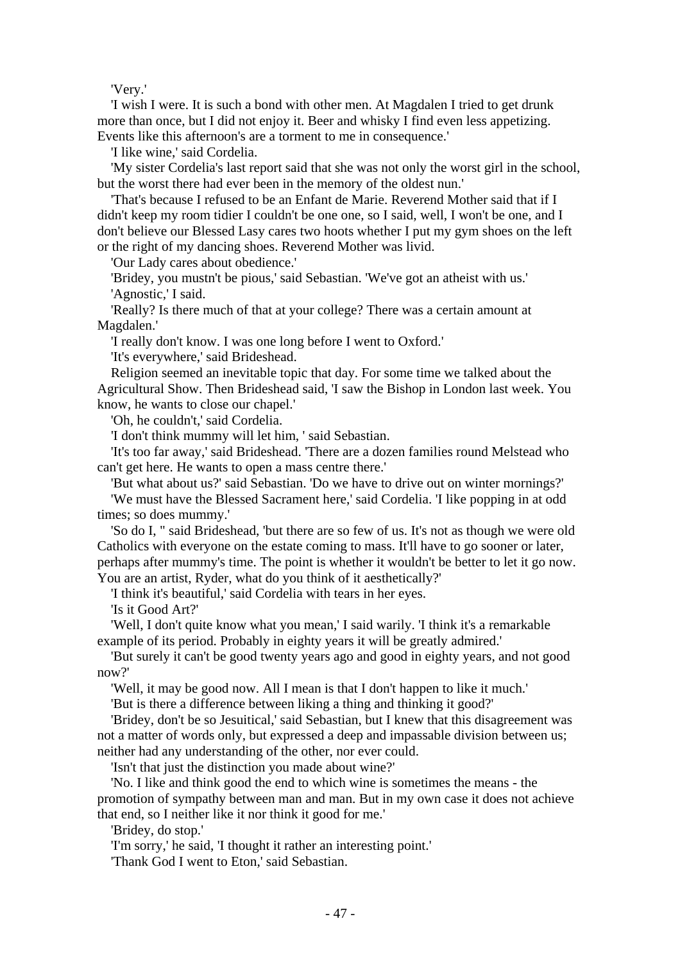'Very.'

 'I wish I were. It is such a bond with other men. At Magdalen I tried to get drunk more than once, but I did not enjoy it. Beer and whisky I find even less appetizing. Events like this afternoon's are a torment to me in consequence.'

'I like wine,' said Cordelia.

 'My sister Cordelia's last report said that she was not only the worst girl in the school, but the worst there had ever been in the memory of the oldest nun.'

 'That's because I refused to be an Enfant de Marie. Reverend Mother said that if I didn't keep my room tidier I couldn't be one one, so I said, well, I won't be one, and I don't believe our Blessed Lasy cares two hoots whether I put my gym shoes on the left or the right of my dancing shoes. Reverend Mother was livid.

'Our Lady cares about obedience.'

 'Bridey, you mustn't be pious,' said Sebastian. 'We've got an atheist with us.' 'Agnostic,' I said.

 'Really? Is there much of that at your college? There was a certain amount at Magdalen.'

'I really don't know. I was one long before I went to Oxford.'

'It's everywhere,' said Brideshead.

 Religion seemed an inevitable topic that day. For some time we talked about the Agricultural Show. Then Brideshead said, 'I saw the Bishop in London last week. You know, he wants to close our chapel.'

'Oh, he couldn't,' said Cordelia.

'I don't think mummy will let him, ' said Sebastian.

 'It's too far away,' said Brideshead. 'There are a dozen families round Melstead who can't get here. He wants to open a mass centre there.'

'But what about us?' said Sebastian. 'Do we have to drive out on winter mornings?'

 'We must have the Blessed Sacrament here,' said Cordelia. 'I like popping in at odd times; so does mummy.'

 'So do I, " said Brideshead, 'but there are so few of us. It's not as though we were old Catholics with everyone on the estate coming to mass. It'll have to go sooner or later, perhaps after mummy's time. The point is whether it wouldn't be better to let it go now. You are an artist, Ryder, what do you think of it aesthetically?'

'I think it's beautiful,' said Cordelia with tears in her eyes.

'Is it Good Art?'

 'Well, I don't quite know what you mean,' I said warily. 'I think it's a remarkable example of its period. Probably in eighty years it will be greatly admired.'

 'But surely it can't be good twenty years ago and good in eighty years, and not good now?'

'Well, it may be good now. All I mean is that I don't happen to like it much.'

'But is there a difference between liking a thing and thinking it good?'

 'Bridey, don't be so Jesuitical,' said Sebastian, but I knew that this disagreement was not a matter of words only, but expressed a deep and impassable division between us; neither had any understanding of the other, nor ever could.

'Isn't that just the distinction you made about wine?'

 'No. I like and think good the end to which wine is sometimes the means - the promotion of sympathy between man and man. But in my own case it does not achieve that end, so I neither like it nor think it good for me.'

'Bridey, do stop.'

'I'm sorry,' he said, 'I thought it rather an interesting point.'

'Thank God I went to Eton,' said Sebastian.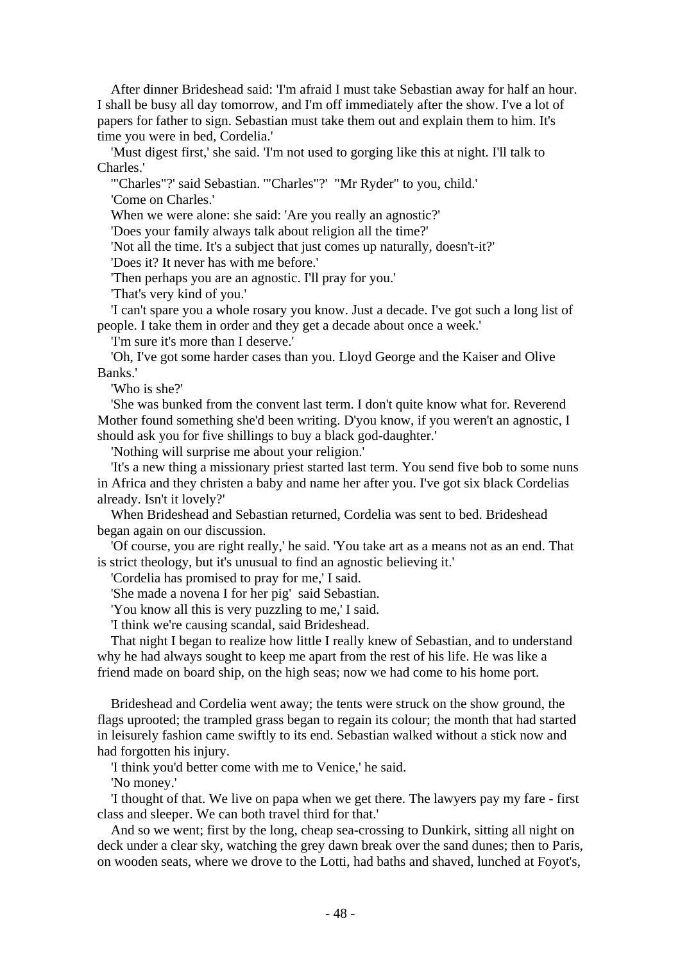After dinner Brideshead said: 'I'm afraid I must take Sebastian away for half an hour. I shall be busy all day tomorrow, and I'm off immediately after the show. I've a lot of papers for father to sign. Sebastian must take them out and explain them to him. It's time you were in bed, Cordelia.'

 'Must digest first,' she said. 'I'm not used to gorging like this at night. I'll talk to Charles.'

'"Charles"?' said Sebastian. '"Charles"?' "Mr Ryder" to you, child.'

'Come on Charles.'

When we were alone: she said: 'Are you really an agnostic?'

'Does your family always talk about religion all the time?'

'Not all the time. It's a subject that just comes up naturally, doesn't-it?'

'Does it? It never has with me before.'

'Then perhaps you are an agnostic. I'll pray for you.'

'That's very kind of you.'

 'I can't spare you a whole rosary you know. Just a decade. I've got such a long list of people. I take them in order and they get a decade about once a week.'

'I'm sure it's more than I deserve.'

 'Oh, I've got some harder cases than you. Lloyd George and the Kaiser and Olive Banks.'

'Who is she?'

 'She was bunked from the convent last term. I don't quite know what for. Reverend Mother found something she'd been writing. D'you know, if you weren't an agnostic, I should ask you for five shillings to buy a black god-daughter.'

'Nothing will surprise me about your religion.'

 'It's a new thing a missionary priest started last term. You send five bob to some nuns in Africa and they christen a baby and name her after you. I've got six black Cordelias already. Isn't it lovely?'

 When Brideshead and Sebastian returned, Cordelia was sent to bed. Brideshead began again on our discussion.

 'Of course, you are right really,' he said. 'You take art as a means not as an end. That is strict theology, but it's unusual to find an agnostic believing it.'

'Cordelia has promised to pray for me,' I said.

'She made a novena I for her pig' said Sebastian.

'You know all this is very puzzling to me,' I said.

'I think we're causing scandal, said Brideshead.

 That night I began to realize how little I really knew of Sebastian, and to understand why he had always sought to keep me apart from the rest of his life. He was like a friend made on board ship, on the high seas; now we had come to his home port.

 Brideshead and Cordelia went away; the tents were struck on the show ground, the flags uprooted; the trampled grass began to regain its colour; the month that had started in leisurely fashion came swiftly to its end. Sebastian walked without a stick now and had forgotten his injury.

'I think you'd better come with me to Venice,' he said.

'No money.'

 'I thought of that. We live on papa when we get there. The lawyers pay my fare - first class and sleeper. We can both travel third for that.'

 And so we went; first by the long, cheap sea-crossing to Dunkirk, sitting all night on deck under a clear sky, watching the grey dawn break over the sand dunes; then to Paris, on wooden seats, where we drove to the Lotti, had baths and shaved, lunched at Foyot's,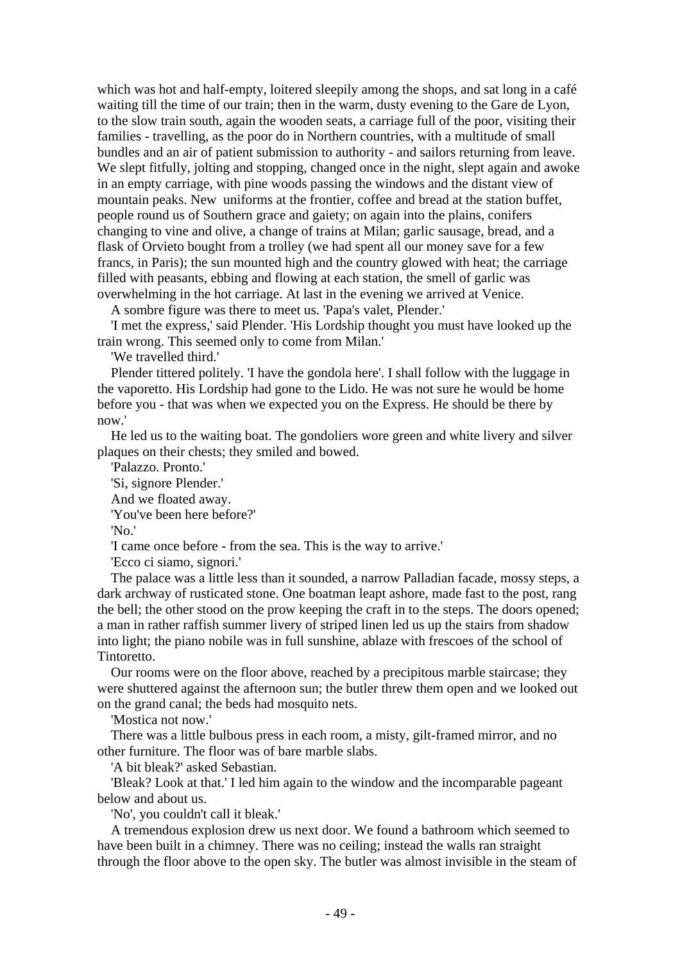which was hot and half-empty, loitered sleepily among the shops, and sat long in a café waiting till the time of our train; then in the warm, dusty evening to the Gare de Lyon, to the slow train south, again the wooden seats, a carriage full of the poor, visiting their families - travelling, as the poor do in Northern countries, with a multitude of small bundles and an air of patient submission to authority - and sailors returning from leave. We slept fitfully, jolting and stopping, changed once in the night, slept again and awoke in an empty carriage, with pine woods passing the windows and the distant view of mountain peaks. New uniforms at the frontier, coffee and bread at the station buffet, people round us of Southern grace and gaiety; on again into the plains, conifers changing to vine and olive, a change of trains at Milan; garlic sausage, bread, and a flask of Orvieto bought from a trolley (we had spent all our money save for a few francs, in Paris); the sun mounted high and the country glowed with heat; the carriage filled with peasants, ebbing and flowing at each station, the smell of garlic was overwhelming in the hot carriage. At last in the evening we arrived at Venice.

A sombre figure was there to meet us. 'Papa's valet, Plender.'

 'I met the express,' said Plender. 'His Lordship thought you must have looked up the train wrong. This seemed only to come from Milan.'

'We travelled third.'

 Plender tittered politely. 'I have the gondola here'. I shall follow with the luggage in the vaporetto. His Lordship had gone to the Lido. He was not sure he would be home before you - that was when we expected you on the Express. He should be there by now.'

 He led us to the waiting boat. The gondoliers wore green and white livery and silver plaques on their chests; they smiled and bowed.

'Palazzo. Pronto.'

'Si, signore Plender.'

And we floated away.

'You've been here before?'

'No.'

'I came once before - from the sea. This is the way to arrive.'

'Ecco ci siamo, signori.'

 The palace was a little less than it sounded, a narrow Palladian facade, mossy steps, a dark archway of rusticated stone. One boatman leapt ashore, made fast to the post, rang the bell; the other stood on the prow keeping the craft in to the steps. The doors opened; a man in rather raffish summer livery of striped linen led us up the stairs from shadow into light; the piano nobile was in full sunshine, ablaze with frescoes of the school of Tintoretto.

 Our rooms were on the floor above, reached by a precipitous marble staircase; they were shuttered against the afternoon sun; the butler threw them open and we looked out on the grand canal; the beds had mosquito nets.

'Mostica not now.'

 There was a little bulbous press in each room, a misty, gilt-framed mirror, and no other furniture. The floor was of bare marble slabs.

'A bit bleak?' asked Sebastian.

 'Bleak? Look at that.' I led him again to the window and the incomparable pageant below and about us.

'No', you couldn't call it bleak.'

 A tremendous explosion drew us next door. We found a bathroom which seemed to have been built in a chimney. There was no ceiling; instead the walls ran straight through the floor above to the open sky. The butler was almost invisible in the steam of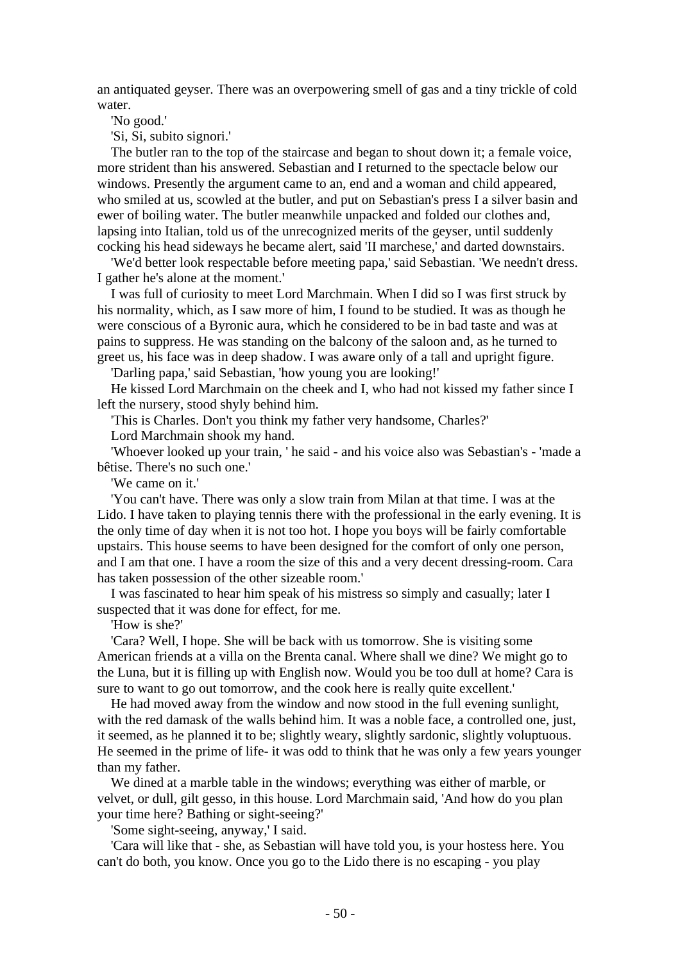an antiquated geyser. There was an overpowering smell of gas and a tiny trickle of cold water.

'No good.'

'Si, Si, subito signori.'

 The butler ran to the top of the staircase and began to shout down it; a female voice, more strident than his answered. Sebastian and I returned to the spectacle below our windows. Presently the argument came to an, end and a woman and child appeared, who smiled at us, scowled at the butler, and put on Sebastian's press I a silver basin and ewer of boiling water. The butler meanwhile unpacked and folded our clothes and, lapsing into Italian, told us of the unrecognized merits of the geyser, until suddenly cocking his head sideways he became alert, said 'II marchese,' and darted downstairs.

 'We'd better look respectable before meeting papa,' said Sebastian. 'We needn't dress. I gather he's alone at the moment.'

 I was full of curiosity to meet Lord Marchmain. When I did so I was first struck by his normality, which, as I saw more of him, I found to be studied. It was as though he were conscious of a Byronic aura, which he considered to be in bad taste and was at pains to suppress. He was standing on the balcony of the saloon and, as he turned to greet us, his face was in deep shadow. I was aware only of a tall and upright figure.

'Darling papa,' said Sebastian, 'how young you are looking!'

 He kissed Lord Marchmain on the cheek and I, who had not kissed my father since I left the nursery, stood shyly behind him.

 'This is Charles. Don't you think my father very handsome, Charles?' Lord Marchmain shook my hand.

 'Whoever looked up your train, ' he said - and his voice also was Sebastian's - 'made a bêtise. There's no such one.'

'We came on it.'

 'You can't have. There was only a slow train from Milan at that time. I was at the Lido. I have taken to playing tennis there with the professional in the early evening. It is the only time of day when it is not too hot. I hope you boys will be fairly comfortable upstairs. This house seems to have been designed for the comfort of only one person, and I am that one. I have a room the size of this and a very decent dressing-room. Cara has taken possession of the other sizeable room.'

 I was fascinated to hear him speak of his mistress so simply and casually; later I suspected that it was done for effect, for me.

'How is she?'

 'Cara? Well, I hope. She will be back with us tomorrow. She is visiting some American friends at a villa on the Brenta canal. Where shall we dine? We might go to the Luna, but it is filling up with English now. Would you be too dull at home? Cara is sure to want to go out tomorrow, and the cook here is really quite excellent.'

 He had moved away from the window and now stood in the full evening sunlight, with the red damask of the walls behind him. It was a noble face, a controlled one, just, it seemed, as he planned it to be; slightly weary, slightly sardonic, slightly voluptuous. He seemed in the prime of life- it was odd to think that he was only a few years younger than my father.

 We dined at a marble table in the windows; everything was either of marble, or velvet, or dull, gilt gesso, in this house. Lord Marchmain said, 'And how do you plan your time here? Bathing or sight-seeing?'

'Some sight-seeing, anyway,' I said.

 'Cara will like that - she, as Sebastian will have told you, is your hostess here. You can't do both, you know. Once you go to the Lido there is no escaping - you play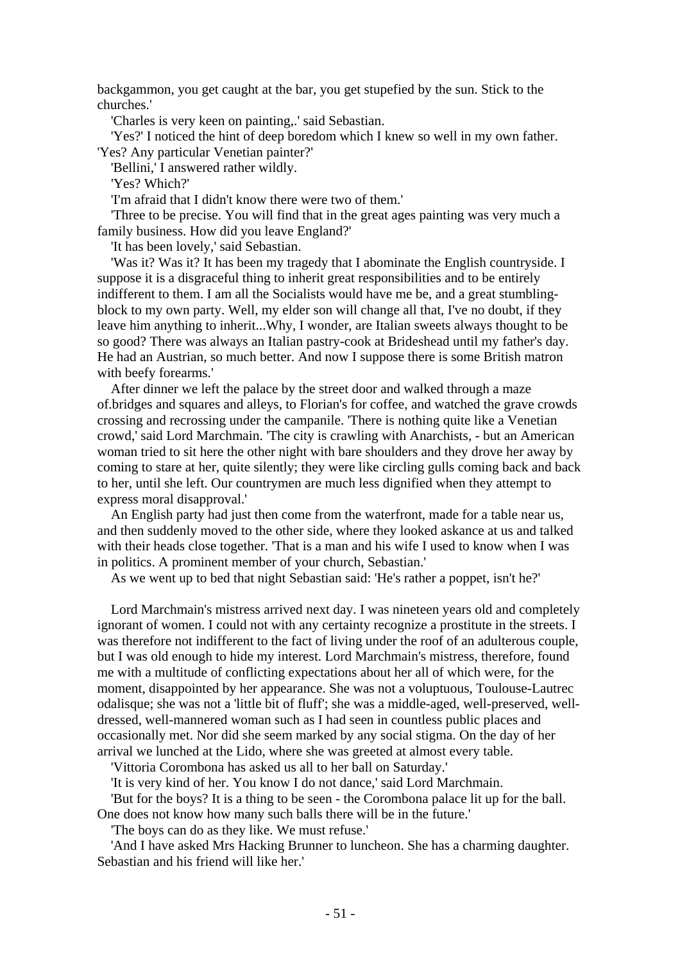backgammon, you get caught at the bar, you get stupefied by the sun. Stick to the churches.'

'Charles is very keen on painting,.' said Sebastian.

'Yes?' I noticed the hint of deep boredom which I knew so well in my own father.

'Yes? Any particular Venetian painter?'

'Bellini,' I answered rather wildly.

'Yes? Which?'

'I'm afraid that I didn't know there were two of them.'

 'Three to be precise. You will find that in the great ages painting was very much a family business. How did you leave England?'

'It has been lovely,' said Sebastian.

 'Was it? Was it? It has been my tragedy that I abominate the English countryside. I suppose it is a disgraceful thing to inherit great responsibilities and to be entirely indifferent to them. I am all the Socialists would have me be, and a great stumblingblock to my own party. Well, my elder son will change all that, I've no doubt, if they leave him anything to inherit...Why, I wonder, are Italian sweets always thought to be so good? There was always an Italian pastry-cook at Brideshead until my father's day. He had an Austrian, so much better. And now I suppose there is some British matron with beefy forearms.'

 After dinner we left the palace by the street door and walked through a maze of.bridges and squares and alleys, to Florian's for coffee, and watched the grave crowds crossing and recrossing under the campanile. 'There is nothing quite like a Venetian crowd,' said Lord Marchmain. 'The city is crawling with Anarchists, - but an American woman tried to sit here the other night with bare shoulders and they drove her away by coming to stare at her, quite silently; they were like circling gulls coming back and back to her, until she left. Our countrymen are much less dignified when they attempt to express moral disapproval.'

 An English party had just then come from the waterfront, made for a table near us, and then suddenly moved to the other side, where they looked askance at us and talked with their heads close together. 'That is a man and his wife I used to know when I was in politics. A prominent member of your church, Sebastian.'

As we went up to bed that night Sebastian said: 'He's rather a poppet, isn't he?'

 Lord Marchmain's mistress arrived next day. I was nineteen years old and completely ignorant of women. I could not with any certainty recognize a prostitute in the streets. I was therefore not indifferent to the fact of living under the roof of an adulterous couple, but I was old enough to hide my interest. Lord Marchmain's mistress, therefore, found me with a multitude of conflicting expectations about her all of which were, for the moment, disappointed by her appearance. She was not a voluptuous, Toulouse-Lautrec odalisque; she was not a 'little bit of fluff'; she was a middle-aged, well-preserved, welldressed, well-mannered woman such as I had seen in countless public places and occasionally met. Nor did she seem marked by any social stigma. On the day of her arrival we lunched at the Lido, where she was greeted at almost every table.

'Vittoria Corombona has asked us all to her ball on Saturday.'

'It is very kind of her. You know I do not dance,' said Lord Marchmain.

 'But for the boys? It is a thing to be seen - the Corombona palace lit up for the ball. One does not know how many such balls there will be in the future.'

'The boys can do as they like. We must refuse.'

 'And I have asked Mrs Hacking Brunner to luncheon. She has a charming daughter. Sebastian and his friend will like her.'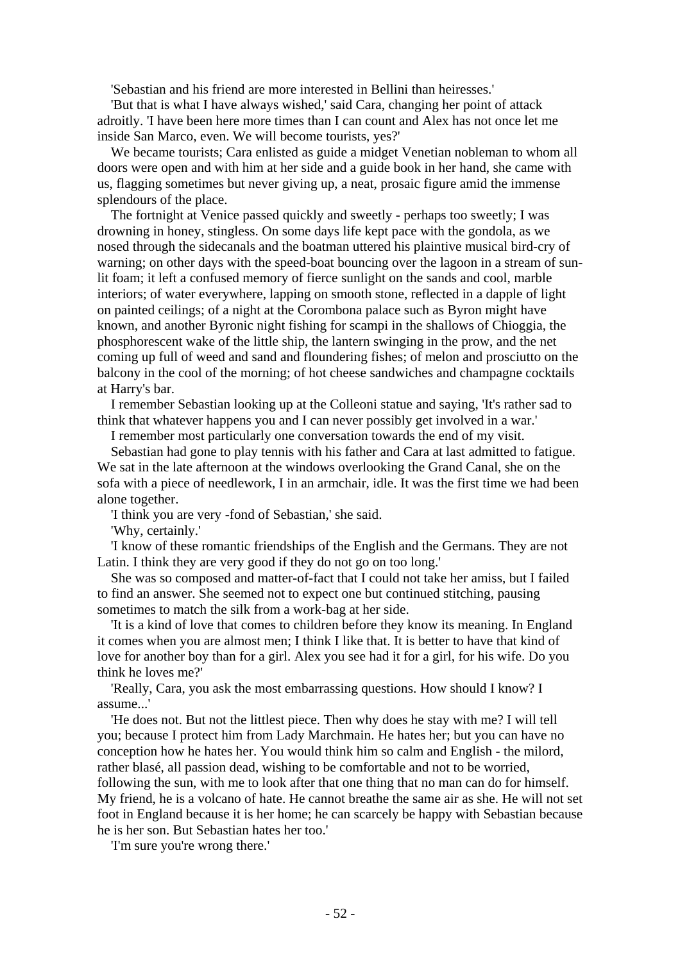'Sebastian and his friend are more interested in Bellini than heiresses.'

 'But that is what I have always wished,' said Cara, changing her point of attack adroitly. 'I have been here more times than I can count and Alex has not once let me inside San Marco, even. We will become tourists, yes?'

 We became tourists; Cara enlisted as guide a midget Venetian nobleman to whom all doors were open and with him at her side and a guide book in her hand, she came with us, flagging sometimes but never giving up, a neat, prosaic figure amid the immense splendours of the place.

 The fortnight at Venice passed quickly and sweetly - perhaps too sweetly; I was drowning in honey, stingless. On some days life kept pace with the gondola, as we nosed through the sidecanals and the boatman uttered his plaintive musical bird-cry of warning; on other days with the speed-boat bouncing over the lagoon in a stream of sunlit foam; it left a confused memory of fierce sunlight on the sands and cool, marble interiors; of water everywhere, lapping on smooth stone, reflected in a dapple of light on painted ceilings; of a night at the Corombona palace such as Byron might have known, and another Byronic night fishing for scampi in the shallows of Chioggia, the phosphorescent wake of the little ship, the lantern swinging in the prow, and the net coming up full of weed and sand and floundering fishes; of melon and prosciutto on the balcony in the cool of the morning; of hot cheese sandwiches and champagne cocktails at Harry's bar.

 I remember Sebastian looking up at the Colleoni statue and saying, 'It's rather sad to think that whatever happens you and I can never possibly get involved in a war.'

I remember most particularly one conversation towards the end of my visit.

 Sebastian had gone to play tennis with his father and Cara at last admitted to fatigue. We sat in the late afternoon at the windows overlooking the Grand Canal, she on the sofa with a piece of needlework, I in an armchair, idle. It was the first time we had been alone together.

'I think you are very -fond of Sebastian,' she said.

'Why, certainly.'

 'I know of these romantic friendships of the English and the Germans. They are not Latin. I think they are very good if they do not go on too long.'

 She was so composed and matter-of-fact that I could not take her amiss, but I failed to find an answer. She seemed not to expect one but continued stitching, pausing sometimes to match the silk from a work-bag at her side.

 'It is a kind of love that comes to children before they know its meaning. In England it comes when you are almost men; I think I like that. It is better to have that kind of love for another boy than for a girl. Alex you see had it for a girl, for his wife. Do you think he loves me?'

 'Really, Cara, you ask the most embarrassing questions. How should I know? I assume...'

 'He does not. But not the littlest piece. Then why does he stay with me? I will tell you; because I protect him from Lady Marchmain. He hates her; but you can have no conception how he hates her. You would think him so calm and English - the milord, rather blasé, all passion dead, wishing to be comfortable and not to be worried, following the sun, with me to look after that one thing that no man can do for himself. My friend, he is a volcano of hate. He cannot breathe the same air as she. He will not set foot in England because it is her home; he can scarcely be happy with Sebastian because he is her son. But Sebastian hates her too.'

'I'm sure you're wrong there.'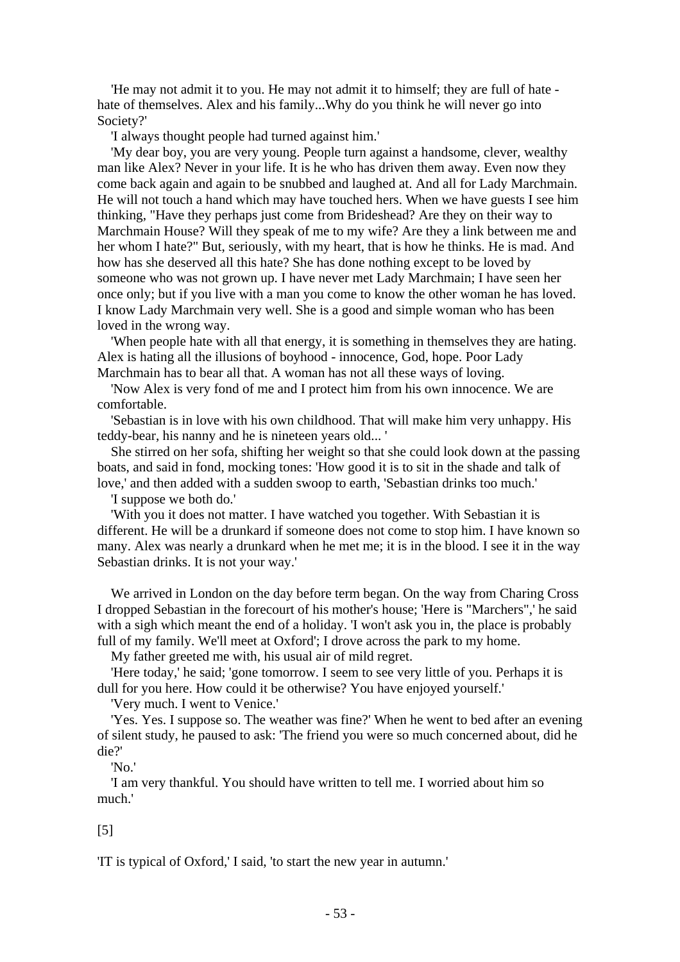'He may not admit it to you. He may not admit it to himself; they are full of hate hate of themselves. Alex and his family...Why do you think he will never go into Society?'

'I always thought people had turned against him.'

 'My dear boy, you are very young. People turn against a handsome, clever, wealthy man like Alex? Never in your life. It is he who has driven them away. Even now they come back again and again to be snubbed and laughed at. And all for Lady Marchmain. He will not touch a hand which may have touched hers. When we have guests I see him thinking, "Have they perhaps just come from Brideshead? Are they on their way to Marchmain House? Will they speak of me to my wife? Are they a link between me and her whom I hate?" But, seriously, with my heart, that is how he thinks. He is mad. And how has she deserved all this hate? She has done nothing except to be loved by someone who was not grown up. I have never met Lady Marchmain; I have seen her once only; but if you live with a man you come to know the other woman he has loved. I know Lady Marchmain very well. She is a good and simple woman who has been loved in the wrong way.

 'When people hate with all that energy, it is something in themselves they are hating. Alex is hating all the illusions of boyhood - innocence, God, hope. Poor Lady Marchmain has to bear all that. A woman has not all these ways of loving.

 'Now Alex is very fond of me and I protect him from his own innocence. We are comfortable.

 'Sebastian is in love with his own childhood. That will make him very unhappy. His teddy-bear, his nanny and he is nineteen years old... '

 She stirred on her sofa, shifting her weight so that she could look down at the passing boats, and said in fond, mocking tones: 'How good it is to sit in the shade and talk of love,' and then added with a sudden swoop to earth, 'Sebastian drinks too much.'

'I suppose we both do.'

 'With you it does not matter. I have watched you together. With Sebastian it is different. He will be a drunkard if someone does not come to stop him. I have known so many. Alex was nearly a drunkard when he met me; it is in the blood. I see it in the way Sebastian drinks. It is not your way.'

 We arrived in London on the day before term began. On the way from Charing Cross I dropped Sebastian in the forecourt of his mother's house; 'Here is "Marchers",' he said with a sigh which meant the end of a holiday. 'I won't ask you in, the place is probably full of my family. We'll meet at Oxford'; I drove across the park to my home.

My father greeted me with, his usual air of mild regret.

 'Here today,' he said; 'gone tomorrow. I seem to see very little of you. Perhaps it is dull for you here. How could it be otherwise? You have enjoyed yourself.'

'Very much. I went to Venice.'

 'Yes. Yes. I suppose so. The weather was fine?' When he went to bed after an evening of silent study, he paused to ask: 'The friend you were so much concerned about, did he die?'

'No.'

 'I am very thankful. You should have written to tell me. I worried about him so much.'

## [5]

'IT is typical of Oxford,' I said, 'to start the new year in autumn.'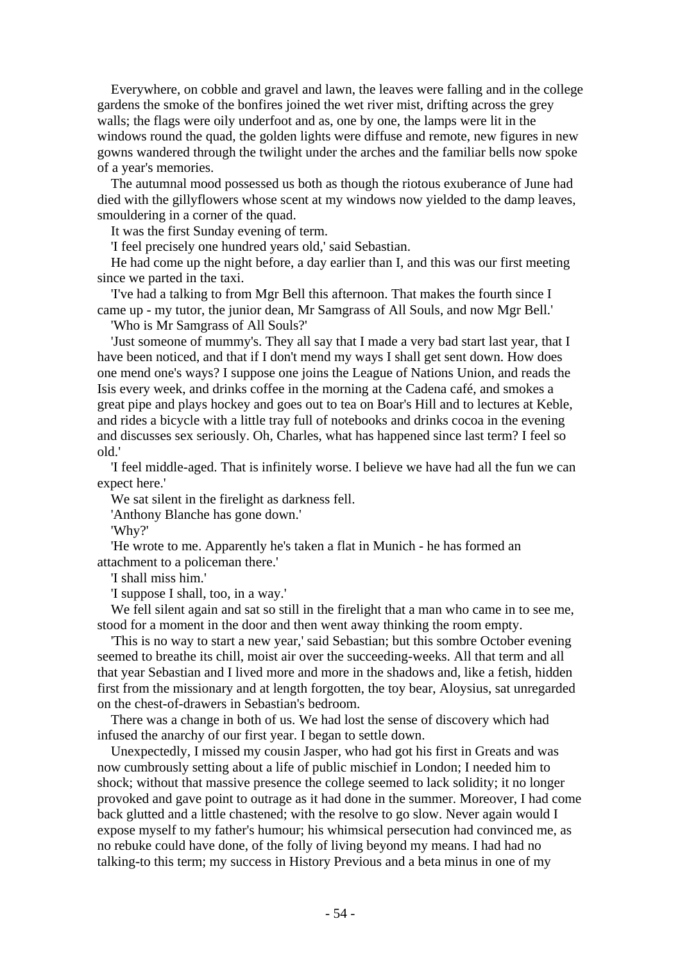Everywhere, on cobble and gravel and lawn, the leaves were falling and in the college gardens the smoke of the bonfires joined the wet river mist, drifting across the grey walls; the flags were oily underfoot and as, one by one, the lamps were lit in the windows round the quad, the golden lights were diffuse and remote, new figures in new gowns wandered through the twilight under the arches and the familiar bells now spoke of a year's memories.

 The autumnal mood possessed us both as though the riotous exuberance of June had died with the gillyflowers whose scent at my windows now yielded to the damp leaves, smouldering in a corner of the quad.

It was the first Sunday evening of term.

'I feel precisely one hundred years old,' said Sebastian.

 He had come up the night before, a day earlier than I, and this was our first meeting since we parted in the taxi.

 'I've had a talking to from Mgr Bell this afternoon. That makes the fourth since I came up - my tutor, the junior dean, Mr Samgrass of All Souls, and now Mgr Bell.'

'Who is Mr Samgrass of All Souls?'

 'Just someone of mummy's. They all say that I made a very bad start last year, that I have been noticed, and that if I don't mend my ways I shall get sent down. How does one mend one's ways? I suppose one joins the League of Nations Union, and reads the Isis every week, and drinks coffee in the morning at the Cadena café, and smokes a great pipe and plays hockey and goes out to tea on Boar's Hill and to lectures at Keble, and rides a bicycle with a little tray full of notebooks and drinks cocoa in the evening and discusses sex seriously. Oh, Charles, what has happened since last term? I feel so old.'

 'I feel middle-aged. That is infinitely worse. I believe we have had all the fun we can expect here.'

We sat silent in the firelight as darkness fell.

'Anthony Blanche has gone down.'

'Why?'

 'He wrote to me. Apparently he's taken a flat in Munich - he has formed an attachment to a policeman there.'

'I shall miss him.'

'I suppose I shall, too, in a way.'

We fell silent again and sat so still in the firelight that a man who came in to see me, stood for a moment in the door and then went away thinking the room empty.

 'This is no way to start a new year,' said Sebastian; but this sombre October evening seemed to breathe its chill, moist air over the succeeding-weeks. All that term and all that year Sebastian and I lived more and more in the shadows and, like a fetish, hidden first from the missionary and at length forgotten, the toy bear, Aloysius, sat unregarded on the chest-of-drawers in Sebastian's bedroom.

 There was a change in both of us. We had lost the sense of discovery which had infused the anarchy of our first year. I began to settle down.

 Unexpectedly, I missed my cousin Jasper, who had got his first in Greats and was now cumbrously setting about a life of public mischief in London; I needed him to shock; without that massive presence the college seemed to lack solidity; it no longer provoked and gave point to outrage as it had done in the summer. Moreover, I had come back glutted and a little chastened; with the resolve to go slow. Never again would I expose myself to my father's humour; his whimsical persecution had convinced me, as no rebuke could have done, of the folly of living beyond my means. I had had no talking-to this term; my success in History Previous and a beta minus in one of my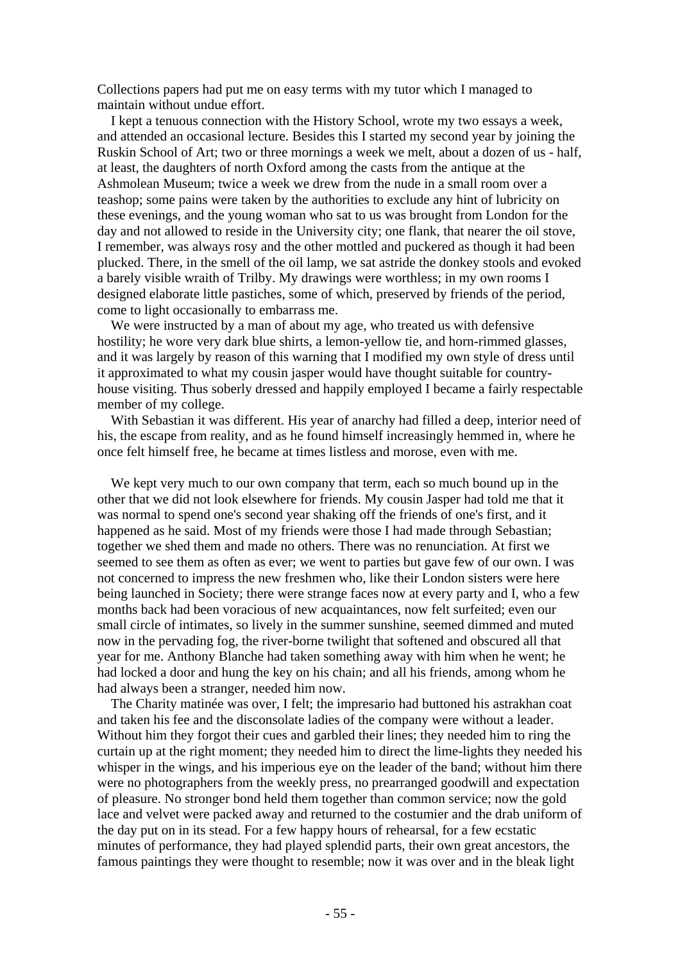Collections papers had put me on easy terms with my tutor which I managed to maintain without undue effort.

 I kept a tenuous connection with the History School, wrote my two essays a week, and attended an occasional lecture. Besides this I started my second year by joining the Ruskin School of Art; two or three mornings a week we melt, about a dozen of us - half, at least, the daughters of north Oxford among the casts from the antique at the Ashmolean Museum; twice a week we drew from the nude in a small room over a teashop; some pains were taken by the authorities to exclude any hint of lubricity on these evenings, and the young woman who sat to us was brought from London for the day and not allowed to reside in the University city; one flank, that nearer the oil stove, I remember, was always rosy and the other mottled and puckered as though it had been plucked. There, in the smell of the oil lamp, we sat astride the donkey stools and evoked a barely visible wraith of Trilby. My drawings were worthless; in my own rooms I designed elaborate little pastiches, some of which, preserved by friends of the period, come to light occasionally to embarrass me.

 We were instructed by a man of about my age, who treated us with defensive hostility; he wore very dark blue shirts, a lemon-yellow tie, and horn-rimmed glasses, and it was largely by reason of this warning that I modified my own style of dress until it approximated to what my cousin jasper would have thought suitable for countryhouse visiting. Thus soberly dressed and happily employed I became a fairly respectable member of my college.

 With Sebastian it was different. His year of anarchy had filled a deep, interior need of his, the escape from reality, and as he found himself increasingly hemmed in, where he once felt himself free, he became at times listless and morose, even with me.

We kept very much to our own company that term, each so much bound up in the other that we did not look elsewhere for friends. My cousin Jasper had told me that it was normal to spend one's second year shaking off the friends of one's first, and it happened as he said. Most of my friends were those I had made through Sebastian; together we shed them and made no others. There was no renunciation. At first we seemed to see them as often as ever; we went to parties but gave few of our own. I was not concerned to impress the new freshmen who, like their London sisters were here being launched in Society; there were strange faces now at every party and I, who a few months back had been voracious of new acquaintances, now felt surfeited; even our small circle of intimates, so lively in the summer sunshine, seemed dimmed and muted now in the pervading fog, the river-borne twilight that softened and obscured all that year for me. Anthony Blanche had taken something away with him when he went; he had locked a door and hung the key on his chain; and all his friends, among whom he had always been a stranger, needed him now.

 The Charity matinée was over, I felt; the impresario had buttoned his astrakhan coat and taken his fee and the disconsolate ladies of the company were without a leader. Without him they forgot their cues and garbled their lines; they needed him to ring the curtain up at the right moment; they needed him to direct the lime-lights they needed his whisper in the wings, and his imperious eye on the leader of the band; without him there were no photographers from the weekly press, no prearranged goodwill and expectation of pleasure. No stronger bond held them together than common service; now the gold lace and velvet were packed away and returned to the costumier and the drab uniform of the day put on in its stead. For a few happy hours of rehearsal, for a few ecstatic minutes of performance, they had played splendid parts, their own great ancestors, the famous paintings they were thought to resemble; now it was over and in the bleak light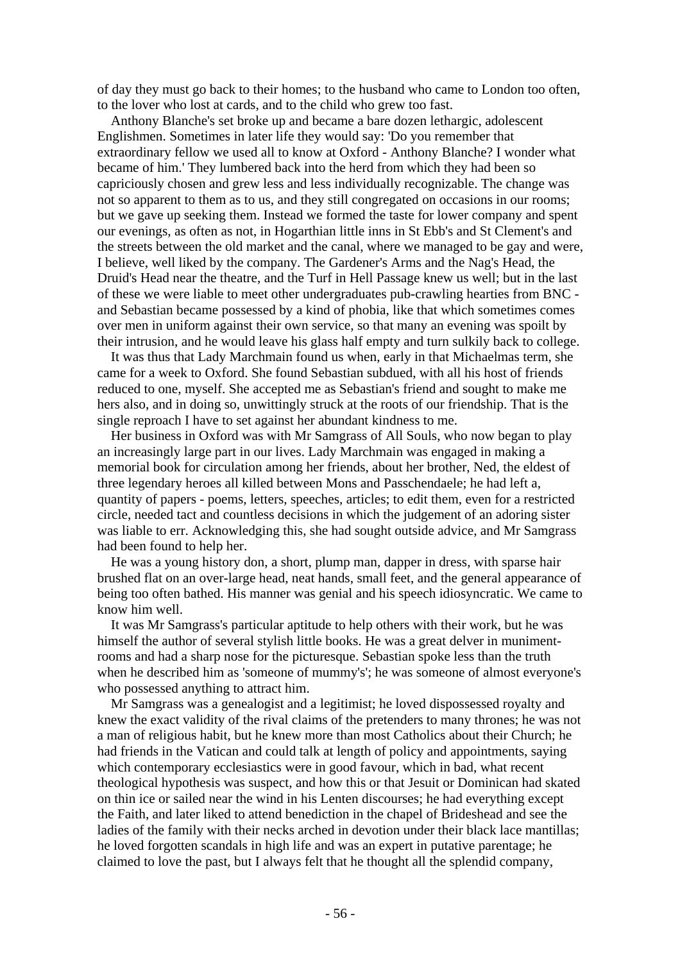of day they must go back to their homes; to the husband who came to London too often, to the lover who lost at cards, and to the child who grew too fast.

 Anthony Blanche's set broke up and became a bare dozen lethargic, adolescent Englishmen. Sometimes in later life they would say: 'Do you remember that extraordinary fellow we used all to know at Oxford - Anthony Blanche? I wonder what became of him.' They lumbered back into the herd from which they had been so capriciously chosen and grew less and less individually recognizable. The change was not so apparent to them as to us, and they still congregated on occasions in our rooms; but we gave up seeking them. Instead we formed the taste for lower company and spent our evenings, as often as not, in Hogarthian little inns in St Ebb's and St Clement's and the streets between the old market and the canal, where we managed to be gay and were, I believe, well liked by the company. The Gardener's Arms and the Nag's Head, the Druid's Head near the theatre, and the Turf in Hell Passage knew us well; but in the last of these we were liable to meet other undergraduates pub-crawling hearties from BNC and Sebastian became possessed by a kind of phobia, like that which sometimes comes over men in uniform against their own service, so that many an evening was spoilt by their intrusion, and he would leave his glass half empty and turn sulkily back to college.

 It was thus that Lady Marchmain found us when, early in that Michaelmas term, she came for a week to Oxford. She found Sebastian subdued, with all his host of friends reduced to one, myself. She accepted me as Sebastian's friend and sought to make me hers also, and in doing so, unwittingly struck at the roots of our friendship. That is the single reproach I have to set against her abundant kindness to me.

 Her business in Oxford was with Mr Samgrass of All Souls, who now began to play an increasingly large part in our lives. Lady Marchmain was engaged in making a memorial book for circulation among her friends, about her brother, Ned, the eldest of three legendary heroes all killed between Mons and Passchendaele; he had left a, quantity of papers - poems, letters, speeches, articles; to edit them, even for a restricted circle, needed tact and countless decisions in which the judgement of an adoring sister was liable to err. Acknowledging this, she had sought outside advice, and Mr Samgrass had been found to help her.

 He was a young history don, a short, plump man, dapper in dress, with sparse hair brushed flat on an over-large head, neat hands, small feet, and the general appearance of being too often bathed. His manner was genial and his speech idiosyncratic. We came to know him well.

 It was Mr Samgrass's particular aptitude to help others with their work, but he was himself the author of several stylish little books. He was a great delver in munimentrooms and had a sharp nose for the picturesque. Sebastian spoke less than the truth when he described him as 'someone of mummy's'; he was someone of almost everyone's who possessed anything to attract him.

 Mr Samgrass was a genealogist and a legitimist; he loved dispossessed royalty and knew the exact validity of the rival claims of the pretenders to many thrones; he was not a man of religious habit, but he knew more than most Catholics about their Church; he had friends in the Vatican and could talk at length of policy and appointments, saying which contemporary ecclesiastics were in good favour, which in bad, what recent theological hypothesis was suspect, and how this or that Jesuit or Dominican had skated on thin ice or sailed near the wind in his Lenten discourses; he had everything except the Faith, and later liked to attend benediction in the chapel of Brideshead and see the ladies of the family with their necks arched in devotion under their black lace mantillas; he loved forgotten scandals in high life and was an expert in putative parentage; he claimed to love the past, but I always felt that he thought all the splendid company,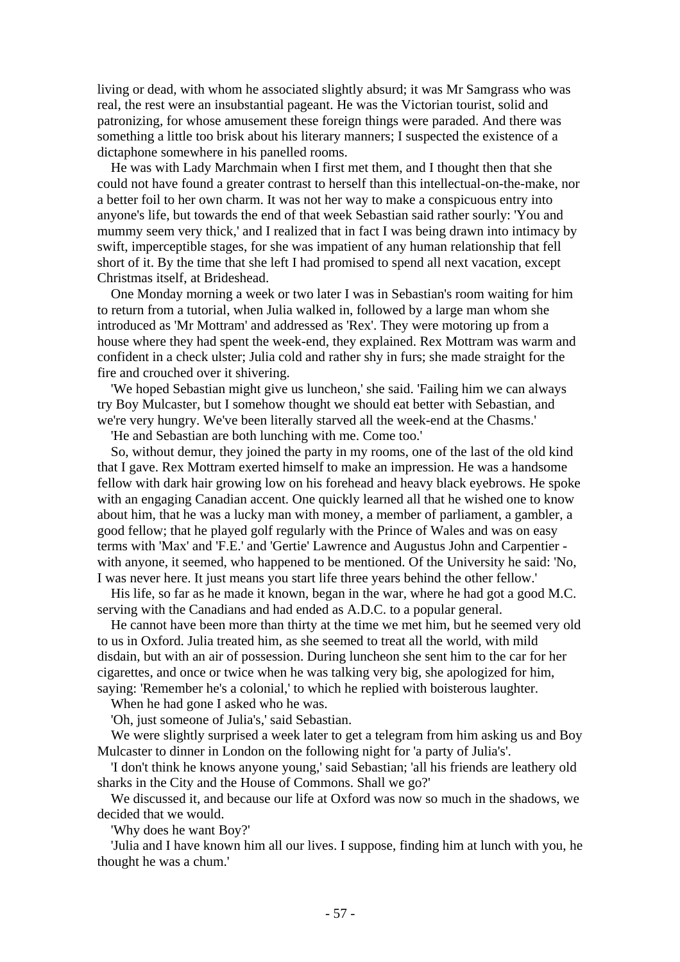living or dead, with whom he associated slightly absurd; it was Mr Samgrass who was real, the rest were an insubstantial pageant. He was the Victorian tourist, solid and patronizing, for whose amusement these foreign things were paraded. And there was something a little too brisk about his literary manners; I suspected the existence of a dictaphone somewhere in his panelled rooms.

 He was with Lady Marchmain when I first met them, and I thought then that she could not have found a greater contrast to herself than this intellectual-on-the-make, nor a better foil to her own charm. It was not her way to make a conspicuous entry into anyone's life, but towards the end of that week Sebastian said rather sourly: 'You and mummy seem very thick,' and I realized that in fact I was being drawn into intimacy by swift, imperceptible stages, for she was impatient of any human relationship that fell short of it. By the time that she left I had promised to spend all next vacation, except Christmas itself, at Brideshead.

 One Monday morning a week or two later I was in Sebastian's room waiting for him to return from a tutorial, when Julia walked in, followed by a large man whom she introduced as 'Mr Mottram' and addressed as 'Rex'. They were motoring up from a house where they had spent the week-end, they explained. Rex Mottram was warm and confident in a check ulster; Julia cold and rather shy in furs; she made straight for the fire and crouched over it shivering.

 'We hoped Sebastian might give us luncheon,' she said. 'Failing him we can always try Boy Mulcaster, but I somehow thought we should eat better with Sebastian, and we're very hungry. We've been literally starved all the week-end at the Chasms.'

'He and Sebastian are both lunching with me. Come too.'

 So, without demur, they joined the party in my rooms, one of the last of the old kind that I gave. Rex Mottram exerted himself to make an impression. He was a handsome fellow with dark hair growing low on his forehead and heavy black eyebrows. He spoke with an engaging Canadian accent. One quickly learned all that he wished one to know about him, that he was a lucky man with money, a member of parliament, a gambler, a good fellow; that he played golf regularly with the Prince of Wales and was on easy terms with 'Max' and 'F.E.' and 'Gertie' Lawrence and Augustus John and Carpentier with anyone, it seemed, who happened to be mentioned. Of the University he said: 'No, I was never here. It just means you start life three years behind the other fellow.'

His life, so far as he made it known, began in the war, where he had got a good M.C. serving with the Canadians and had ended as A.D.C. to a popular general.

 He cannot have been more than thirty at the time we met him, but he seemed very old to us in Oxford. Julia treated him, as she seemed to treat all the world, with mild disdain, but with an air of possession. During luncheon she sent him to the car for her cigarettes, and once or twice when he was talking very big, she apologized for him, saying: 'Remember he's a colonial,' to which he replied with boisterous laughter.

When he had gone I asked who he was.

'Oh, just someone of Julia's,' said Sebastian.

We were slightly surprised a week later to get a telegram from him asking us and Boy Mulcaster to dinner in London on the following night for 'a party of Julia's'.

 'I don't think he knows anyone young,' said Sebastian; 'all his friends are leathery old sharks in the City and the House of Commons. Shall we go?'

We discussed it, and because our life at Oxford was now so much in the shadows, we decided that we would.

'Why does he want Boy?'

 'Julia and I have known him all our lives. I suppose, finding him at lunch with you, he thought he was a chum.'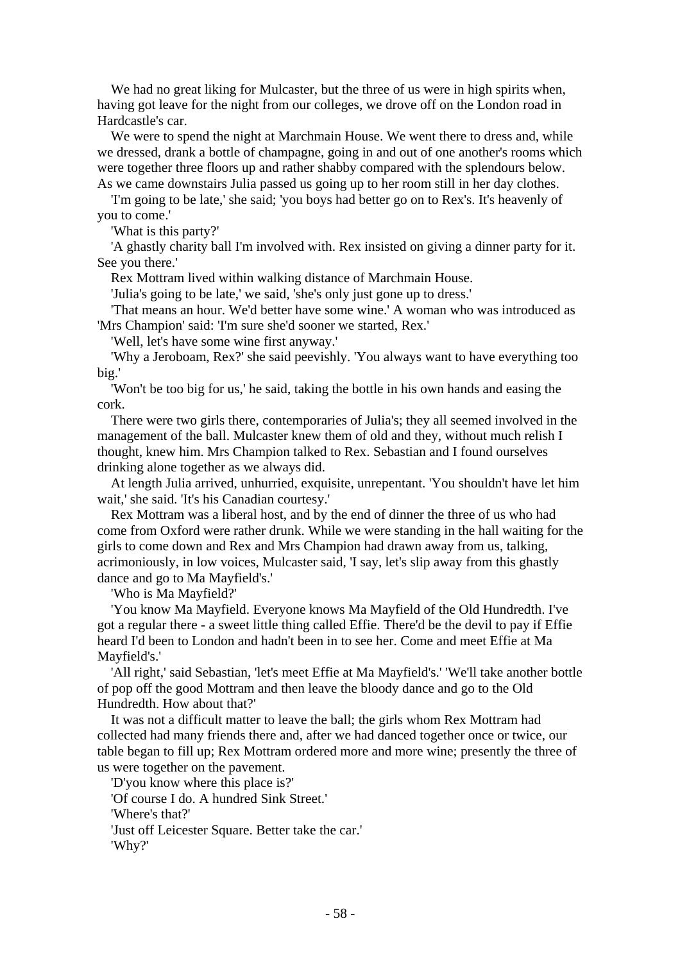We had no great liking for Mulcaster, but the three of us were in high spirits when, having got leave for the night from our colleges, we drove off on the London road in Hardcastle's car.

 We were to spend the night at Marchmain House. We went there to dress and, while we dressed, drank a bottle of champagne, going in and out of one another's rooms which were together three floors up and rather shabby compared with the splendours below. As we came downstairs Julia passed us going up to her room still in her day clothes.

 'I'm going to be late,' she said; 'you boys had better go on to Rex's. It's heavenly of you to come.'

'What is this party?'

 'A ghastly charity ball I'm involved with. Rex insisted on giving a dinner party for it. See you there.'

Rex Mottram lived within walking distance of Marchmain House.

'Julia's going to be late,' we said, 'she's only just gone up to dress.'

 'That means an hour. We'd better have some wine.' A woman who was introduced as 'Mrs Champion' said: 'I'm sure she'd sooner we started, Rex.'

'Well, let's have some wine first anyway.'

 'Why a Jeroboam, Rex?' she said peevishly. 'You always want to have everything too big.'

 'Won't be too big for us,' he said, taking the bottle in his own hands and easing the cork.

 There were two girls there, contemporaries of Julia's; they all seemed involved in the management of the ball. Mulcaster knew them of old and they, without much relish I thought, knew him. Mrs Champion talked to Rex. Sebastian and I found ourselves drinking alone together as we always did.

 At length Julia arrived, unhurried, exquisite, unrepentant. 'You shouldn't have let him wait,' she said. 'It's his Canadian courtesy.'

 Rex Mottram was a liberal host, and by the end of dinner the three of us who had come from Oxford were rather drunk. While we were standing in the hall waiting for the girls to come down and Rex and Mrs Champion had drawn away from us, talking, acrimoniously, in low voices, Mulcaster said, 'I say, let's slip away from this ghastly dance and go to Ma Mayfield's.'

'Who is Ma Mayfield?'

 'You know Ma Mayfield. Everyone knows Ma Mayfield of the Old Hundredth. I've got a regular there - a sweet little thing called Effie. There'd be the devil to pay if Effie heard I'd been to London and hadn't been in to see her. Come and meet Effie at Ma Mayfield's.'

 'All right,' said Sebastian, 'let's meet Effie at Ma Mayfield's.' 'We'll take another bottle of pop off the good Mottram and then leave the bloody dance and go to the Old Hundredth. How about that?'

 It was not a difficult matter to leave the ball; the girls whom Rex Mottram had collected had many friends there and, after we had danced together once or twice, our table began to fill up; Rex Mottram ordered more and more wine; presently the three of us were together on the pavement.

'D'you know where this place is?'

'Of course I do. A hundred Sink Street.'

'Where's that?'

'Just off Leicester Square. Better take the car.'

'Why?'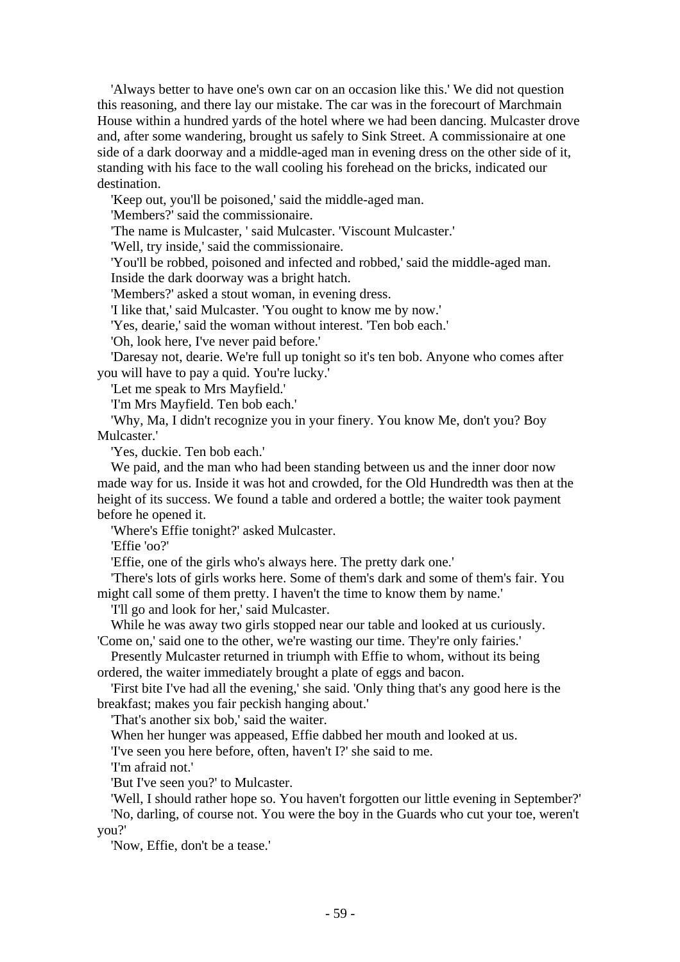'Always better to have one's own car on an occasion like this.' We did not question this reasoning, and there lay our mistake. The car was in the forecourt of Marchmain House within a hundred yards of the hotel where we had been dancing. Mulcaster drove and, after some wandering, brought us safely to Sink Street. A commissionaire at one side of a dark doorway and a middle-aged man in evening dress on the other side of it, standing with his face to the wall cooling his forehead on the bricks, indicated our destination.

'Keep out, you'll be poisoned,' said the middle-aged man.

'Members?' said the commissionaire.

'The name is Mulcaster, ' said Mulcaster. 'Viscount Mulcaster.'

'Well, try inside,' said the commissionaire.

'You'll be robbed, poisoned and infected and robbed,' said the middle-aged man.

Inside the dark doorway was a bright hatch.

'Members?' asked a stout woman, in evening dress.

'I like that,' said Mulcaster. 'You ought to know me by now.'

'Yes, dearie,' said the woman without interest. 'Ten bob each.'

'Oh, look here, I've never paid before.'

 'Daresay not, dearie. We're full up tonight so it's ten bob. Anyone who comes after you will have to pay a quid. You're lucky.'

'Let me speak to Mrs Mayfield.'

'I'm Mrs Mayfield. Ten bob each.'

 'Why, Ma, I didn't recognize you in your finery. You know Me, don't you? Boy Mulcaster.'

'Yes, duckie. Ten bob each.'

 We paid, and the man who had been standing between us and the inner door now made way for us. Inside it was hot and crowded, for the Old Hundredth was then at the height of its success. We found a table and ordered a bottle; the waiter took payment before he opened it.

'Where's Effie tonight?' asked Mulcaster.

'Effie 'oo?'

'Effie, one of the girls who's always here. The pretty dark one.'

 'There's lots of girls works here. Some of them's dark and some of them's fair. You might call some of them pretty. I haven't the time to know them by name.'

'I'll go and look for her,' said Mulcaster.

While he was away two girls stopped near our table and looked at us curiously. 'Come on,' said one to the other, we're wasting our time. They're only fairies.'

 Presently Mulcaster returned in triumph with Effie to whom, without its being ordered, the waiter immediately brought a plate of eggs and bacon.

 'First bite I've had all the evening,' she said. 'Only thing that's any good here is the breakfast; makes you fair peckish hanging about.'

'That's another six bob,' said the waiter.

When her hunger was appeased, Effie dabbed her mouth and looked at us.

'I've seen you here before, often, haven't I?' she said to me.

'I'm afraid not.'

'But I've seen you?' to Mulcaster.

 'Well, I should rather hope so. You haven't forgotten our little evening in September?' 'No, darling, of course not. You were the boy in the Guards who cut your toe, weren't you?'

'Now, Effie, don't be a tease.'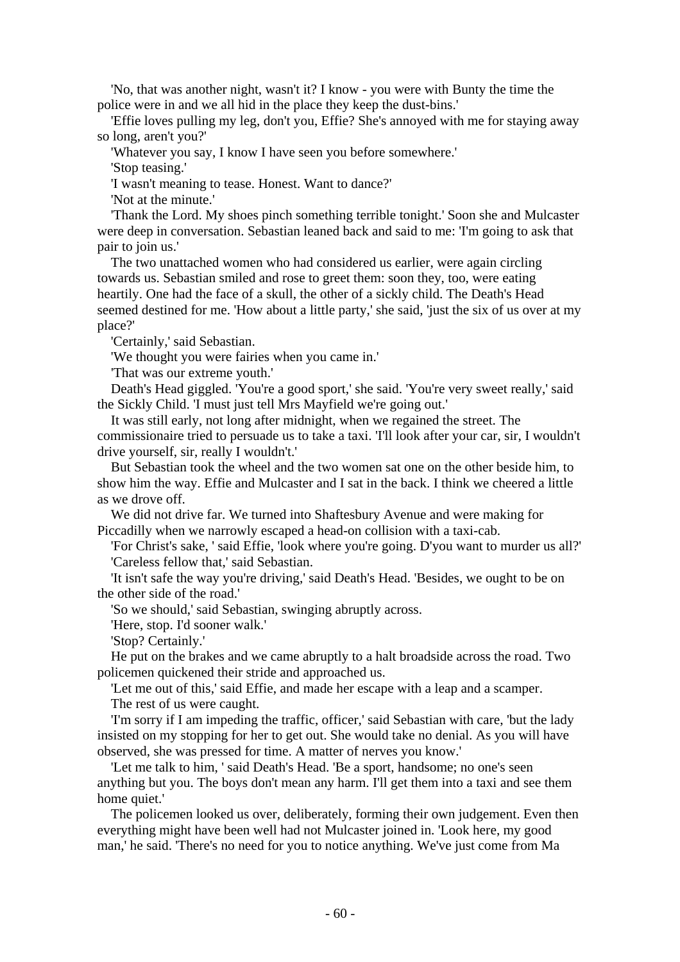'No, that was another night, wasn't it? I know - you were with Bunty the time the police were in and we all hid in the place they keep the dust-bins.'

 'Effie loves pulling my leg, don't you, Effie? She's annoyed with me for staying away so long, aren't you?'

'Whatever you say, I know I have seen you before somewhere.'

'Stop teasing.'

'I wasn't meaning to tease. Honest. Want to dance?'

'Not at the minute.'

 'Thank the Lord. My shoes pinch something terrible tonight.' Soon she and Mulcaster were deep in conversation. Sebastian leaned back and said to me: 'I'm going to ask that pair to join us.'

 The two unattached women who had considered us earlier, were again circling towards us. Sebastian smiled and rose to greet them: soon they, too, were eating heartily. One had the face of a skull, the other of a sickly child. The Death's Head seemed destined for me. 'How about a little party,' she said, 'just the six of us over at my place?'

'Certainly,' said Sebastian.

'We thought you were fairies when you came in.'

'That was our extreme youth.'

 Death's Head giggled. 'You're a good sport,' she said. 'You're very sweet really,' said the Sickly Child. 'I must just tell Mrs Mayfield we're going out.'

 It was still early, not long after midnight, when we regained the street. The commissionaire tried to persuade us to take a taxi. 'I'll look after your car, sir, I wouldn't drive yourself, sir, really I wouldn't.'

 But Sebastian took the wheel and the two women sat one on the other beside him, to show him the way. Effie and Mulcaster and I sat in the back. I think we cheered a little as we drove off.

 We did not drive far. We turned into Shaftesbury Avenue and were making for Piccadilly when we narrowly escaped a head-on collision with a taxi-cab.

 'For Christ's sake, ' said Effie, 'look where you're going. D'you want to murder us all?' 'Careless fellow that,' said Sebastian.

 'It isn't safe the way you're driving,' said Death's Head. 'Besides, we ought to be on the other side of the road.'

'So we should,' said Sebastian, swinging abruptly across.

'Here, stop. I'd sooner walk.'

'Stop? Certainly.'

 He put on the brakes and we came abruptly to a halt broadside across the road. Two policemen quickened their stride and approached us.

 'Let me out of this,' said Effie, and made her escape with a leap and a scamper. The rest of us were caught.

 'I'm sorry if I am impeding the traffic, officer,' said Sebastian with care, 'but the lady insisted on my stopping for her to get out. She would take no denial. As you will have observed, she was pressed for time. A matter of nerves you know.'

 'Let me talk to him, ' said Death's Head. 'Be a sport, handsome; no one's seen anything but you. The boys don't mean any harm. I'll get them into a taxi and see them home quiet.'

 The policemen looked us over, deliberately, forming their own judgement. Even then everything might have been well had not Mulcaster joined in. 'Look here, my good man,' he said. 'There's no need for you to notice anything. We've just come from Ma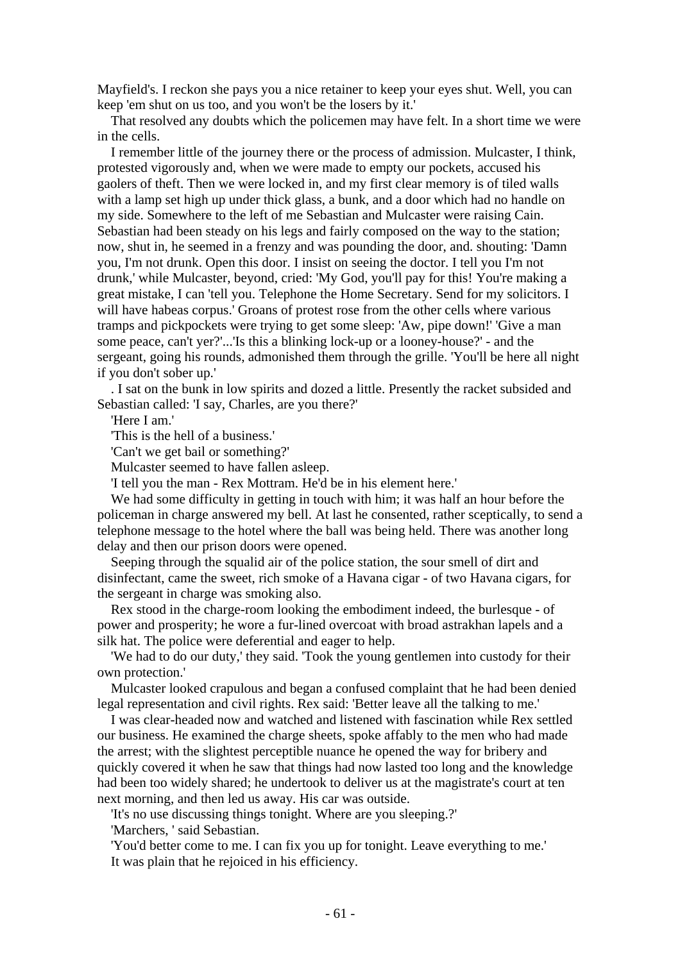Mayfield's. I reckon she pays you a nice retainer to keep your eyes shut. Well, you can keep 'em shut on us too, and you won't be the losers by it.'

 That resolved any doubts which the policemen may have felt. In a short time we were in the cells.

 I remember little of the journey there or the process of admission. Mulcaster, I think, protested vigorously and, when we were made to empty our pockets, accused his gaolers of theft. Then we were locked in, and my first clear memory is of tiled walls with a lamp set high up under thick glass, a bunk, and a door which had no handle on my side. Somewhere to the left of me Sebastian and Mulcaster were raising Cain. Sebastian had been steady on his legs and fairly composed on the way to the station; now, shut in, he seemed in a frenzy and was pounding the door, and. shouting: 'Damn you, I'm not drunk. Open this door. I insist on seeing the doctor. I tell you I'm not drunk,' while Mulcaster, beyond, cried: 'My God, you'll pay for this! You're making a great mistake, I can 'tell you. Telephone the Home Secretary. Send for my solicitors. I will have habeas corpus.' Groans of protest rose from the other cells where various tramps and pickpockets were trying to get some sleep: 'Aw, pipe down!' 'Give a man some peace, can't yer?'...'Is this a blinking lock-up or a looney-house?' - and the sergeant, going his rounds, admonished them through the grille. 'You'll be here all night if you don't sober up.'

 . I sat on the bunk in low spirits and dozed a little. Presently the racket subsided and Sebastian called: 'I say, Charles, are you there?'

'Here I am.'

'This is the hell of a business.'

'Can't we get bail or something?'

Mulcaster seemed to have fallen asleep.

'I tell you the man - Rex Mottram. He'd be in his element here.'

 We had some difficulty in getting in touch with him; it was half an hour before the policeman in charge answered my bell. At last he consented, rather sceptically, to send a telephone message to the hotel where the ball was being held. There was another long delay and then our prison doors were opened.

 Seeping through the squalid air of the police station, the sour smell of dirt and disinfectant, came the sweet, rich smoke of a Havana cigar - of two Havana cigars, for the sergeant in charge was smoking also.

 Rex stood in the charge-room looking the embodiment indeed, the burlesque - of power and prosperity; he wore a fur-lined overcoat with broad astrakhan lapels and a silk hat. The police were deferential and eager to help.

 'We had to do our duty,' they said. 'Took the young gentlemen into custody for their own protection.'

 Mulcaster looked crapulous and began a confused complaint that he had been denied legal representation and civil rights. Rex said: 'Better leave all the talking to me.'

 I was clear-headed now and watched and listened with fascination while Rex settled our business. He examined the charge sheets, spoke affably to the men who had made the arrest; with the slightest perceptible nuance he opened the way for bribery and quickly covered it when he saw that things had now lasted too long and the knowledge had been too widely shared; he undertook to deliver us at the magistrate's court at ten next morning, and then led us away. His car was outside.

'It's no use discussing things tonight. Where are you sleeping.?'

'Marchers, ' said Sebastian.

 'You'd better come to me. I can fix you up for tonight. Leave everything to me.' It was plain that he rejoiced in his efficiency.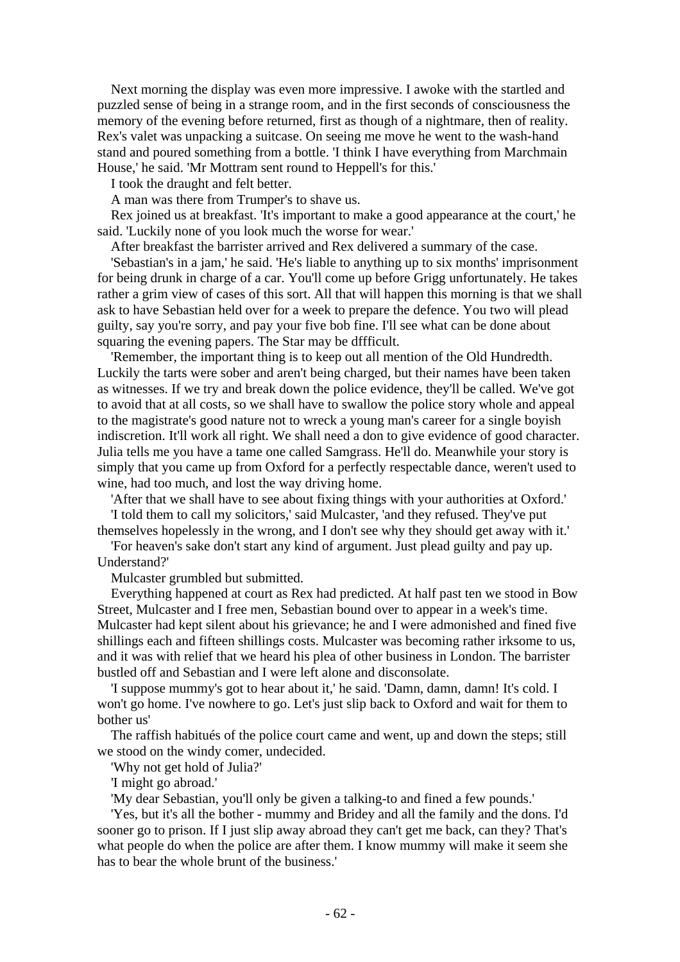Next morning the display was even more impressive. I awoke with the startled and puzzled sense of being in a strange room, and in the first seconds of consciousness the memory of the evening before returned, first as though of a nightmare, then of reality. Rex's valet was unpacking a suitcase. On seeing me move he went to the wash-hand stand and poured something from a bottle. 'I think I have everything from Marchmain House,' he said. 'Mr Mottram sent round to Heppell's for this.'

I took the draught and felt better.

A man was there from Trumper's to shave us.

 Rex joined us at breakfast. 'It's important to make a good appearance at the court,' he said. 'Luckily none of you look much the worse for wear.'

After breakfast the barrister arrived and Rex delivered a summary of the case.

 'Sebastian's in a jam,' he said. 'He's liable to anything up to six months' imprisonment for being drunk in charge of a car. You'll come up before Grigg unfortunately. He takes rather a grim view of cases of this sort. All that will happen this morning is that we shall ask to have Sebastian held over for a week to prepare the defence. You two will plead guilty, say you're sorry, and pay your five bob fine. I'll see what can be done about squaring the evening papers. The Star may be dffficult.

 'Remember, the important thing is to keep out all mention of the Old Hundredth. Luckily the tarts were sober and aren't being charged, but their names have been taken as witnesses. If we try and break down the police evidence, they'll be called. We've got to avoid that at all costs, so we shall have to swallow the police story whole and appeal to the magistrate's good nature not to wreck a young man's career for a single boyish indiscretion. It'll work all right. We shall need a don to give evidence of good character. Julia tells me you have a tame one called Samgrass. He'll do. Meanwhile your story is simply that you came up from Oxford for a perfectly respectable dance, weren't used to wine, had too much, and lost the way driving home.

 'After that we shall have to see about fixing things with your authorities at Oxford.' 'I told them to call my solicitors,' said Mulcaster, 'and they refused. They've put

themselves hopelessly in the wrong, and I don't see why they should get away with it.' 'For heaven's sake don't start any kind of argument. Just plead guilty and pay up.

Understand?'

Mulcaster grumbled but submitted.

 Everything happened at court as Rex had predicted. At half past ten we stood in Bow Street, Mulcaster and I free men, Sebastian bound over to appear in a week's time. Mulcaster had kept silent about his grievance; he and I were admonished and fined five shillings each and fifteen shillings costs. Mulcaster was becoming rather irksome to us, and it was with relief that we heard his plea of other business in London. The barrister bustled off and Sebastian and I were left alone and disconsolate.

 'I suppose mummy's got to hear about it,' he said. 'Damn, damn, damn! It's cold. I won't go home. I've nowhere to go. Let's just slip back to Oxford and wait for them to bother us'

 The raffish habitués of the police court came and went, up and down the steps; still we stood on the windy comer, undecided.

'Why not get hold of Julia?'

'I might go abroad.'

'My dear Sebastian, you'll only be given a talking-to and fined a few pounds.'

 'Yes, but it's all the bother - mummy and Bridey and all the family and the dons. I'd sooner go to prison. If I just slip away abroad they can't get me back, can they? That's what people do when the police are after them. I know mummy will make it seem she has to bear the whole brunt of the business.'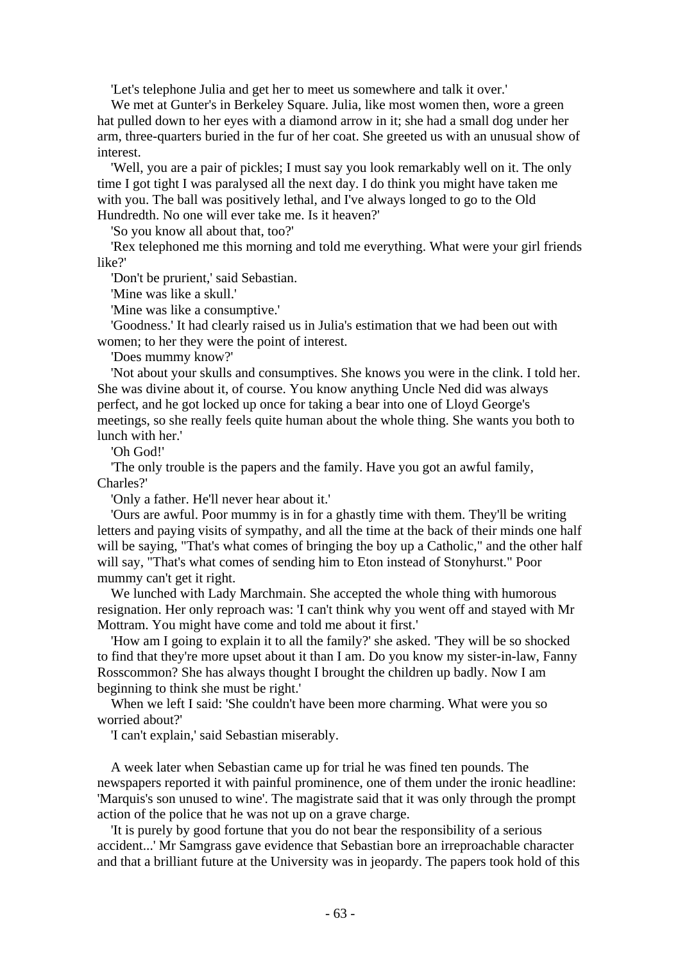'Let's telephone Julia and get her to meet us somewhere and talk it over.'

 We met at Gunter's in Berkeley Square. Julia, like most women then, wore a green hat pulled down to her eyes with a diamond arrow in it; she had a small dog under her arm, three-quarters buried in the fur of her coat. She greeted us with an unusual show of interest.

 'Well, you are a pair of pickles; I must say you look remarkably well on it. The only time I got tight I was paralysed all the next day. I do think you might have taken me with you. The ball was positively lethal, and I've always longed to go to the Old Hundredth. No one will ever take me. Is it heaven?'

'So you know all about that, too?'

 'Rex telephoned me this morning and told me everything. What were your girl friends like?'

'Don't be prurient,' said Sebastian.

'Mine was like a skull.'

'Mine was like a consumptive.'

 'Goodness.' It had clearly raised us in Julia's estimation that we had been out with women; to her they were the point of interest.

'Does mummy know?'

 'Not about your skulls and consumptives. She knows you were in the clink. I told her. She was divine about it, of course. You know anything Uncle Ned did was always perfect, and he got locked up once for taking a bear into one of Lloyd George's meetings, so she really feels quite human about the whole thing. She wants you both to lunch with her.'

'Oh God!'

 'The only trouble is the papers and the family. Have you got an awful family, Charles?'

'Only a father. He'll never hear about it.'

 'Ours are awful. Poor mummy is in for a ghastly time with them. They'll be writing letters and paying visits of sympathy, and all the time at the back of their minds one half will be saying, "That's what comes of bringing the boy up a Catholic," and the other half will say, "That's what comes of sending him to Eton instead of Stonyhurst." Poor mummy can't get it right.

 We lunched with Lady Marchmain. She accepted the whole thing with humorous resignation. Her only reproach was: 'I can't think why you went off and stayed with Mr Mottram. You might have come and told me about it first.'

 'How am I going to explain it to all the family?' she asked. 'They will be so shocked to find that they're more upset about it than I am. Do you know my sister-in-law, Fanny Rosscommon? She has always thought I brought the children up badly. Now I am beginning to think she must be right.'

 When we left I said: 'She couldn't have been more charming. What were you so worried about?'

'I can't explain,' said Sebastian miserably.

 A week later when Sebastian came up for trial he was fined ten pounds. The newspapers reported it with painful prominence, one of them under the ironic headline: 'Marquis's son unused to wine'. The magistrate said that it was only through the prompt action of the police that he was not up on a grave charge.

 'It is purely by good fortune that you do not bear the responsibility of a serious accident...' Mr Samgrass gave evidence that Sebastian bore an irreproachable character and that a brilliant future at the University was in jeopardy. The papers took hold of this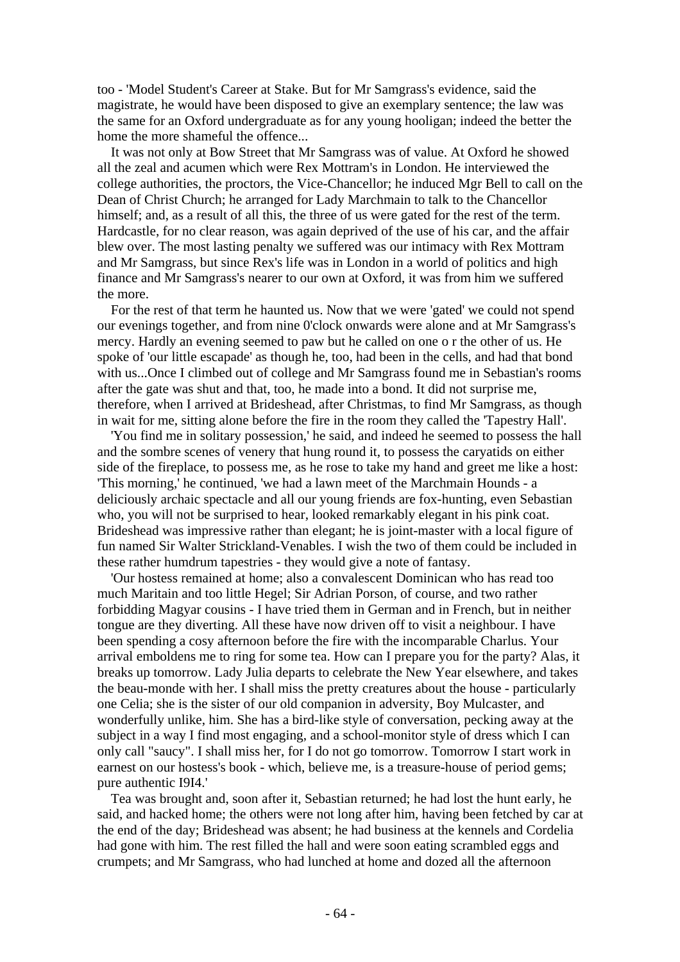too - 'Model Student's Career at Stake. But for Mr Samgrass's evidence, said the magistrate, he would have been disposed to give an exemplary sentence; the law was the same for an Oxford undergraduate as for any young hooligan; indeed the better the home the more shameful the offence...

 It was not only at Bow Street that Mr Samgrass was of value. At Oxford he showed all the zeal and acumen which were Rex Mottram's in London. He interviewed the college authorities, the proctors, the Vice-Chancellor; he induced Mgr Bell to call on the Dean of Christ Church; he arranged for Lady Marchmain to talk to the Chancellor himself; and, as a result of all this, the three of us were gated for the rest of the term. Hardcastle, for no clear reason, was again deprived of the use of his car, and the affair blew over. The most lasting penalty we suffered was our intimacy with Rex Mottram and Mr Samgrass, but since Rex's life was in London in a world of politics and high finance and Mr Samgrass's nearer to our own at Oxford, it was from him we suffered the more.

 For the rest of that term he haunted us. Now that we were 'gated' we could not spend our evenings together, and from nine 0'clock onwards were alone and at Mr Samgrass's mercy. Hardly an evening seemed to paw but he called on one o r the other of us. He spoke of 'our little escapade' as though he, too, had been in the cells, and had that bond with us...Once I climbed out of college and Mr Samgrass found me in Sebastian's rooms after the gate was shut and that, too, he made into a bond. It did not surprise me, therefore, when I arrived at Brideshead, after Christmas, to find Mr Samgrass, as though in wait for me, sitting alone before the fire in the room they called the 'Tapestry Hall'.

 'You find me in solitary possession,' he said, and indeed he seemed to possess the hall and the sombre scenes of venery that hung round it, to possess the caryatids on either side of the fireplace, to possess me, as he rose to take my hand and greet me like a host: 'This morning,' he continued, 'we had a lawn meet of the Marchmain Hounds - a deliciously archaic spectacle and all our young friends are fox-hunting, even Sebastian who, you will not be surprised to hear, looked remarkably elegant in his pink coat. Brideshead was impressive rather than elegant; he is joint-master with a local figure of fun named Sir Walter Strickland-Venables. I wish the two of them could be included in these rather humdrum tapestries - they would give a note of fantasy.

 'Our hostess remained at home; also a convalescent Dominican who has read too much Maritain and too little Hegel; Sir Adrian Porson, of course, and two rather forbidding Magyar cousins - I have tried them in German and in French, but in neither tongue are they diverting. All these have now driven off to visit a neighbour. I have been spending a cosy afternoon before the fire with the incomparable Charlus. Your arrival emboldens me to ring for some tea. How can I prepare you for the party? Alas, it breaks up tomorrow. Lady Julia departs to celebrate the New Year elsewhere, and takes the beau-monde with her. I shall miss the pretty creatures about the house - particularly one Celia; she is the sister of our old companion in adversity, Boy Mulcaster, and wonderfully unlike, him. She has a bird-like style of conversation, pecking away at the subject in a way I find most engaging, and a school-monitor style of dress which I can only call "saucy". I shall miss her, for I do not go tomorrow. Tomorrow I start work in earnest on our hostess's book - which, believe me, is a treasure-house of period gems; pure authentic I9I4.'

 Tea was brought and, soon after it, Sebastian returned; he had lost the hunt early, he said, and hacked home; the others were not long after him, having been fetched by car at the end of the day; Brideshead was absent; he had business at the kennels and Cordelia had gone with him. The rest filled the hall and were soon eating scrambled eggs and crumpets; and Mr Samgrass, who had lunched at home and dozed all the afternoon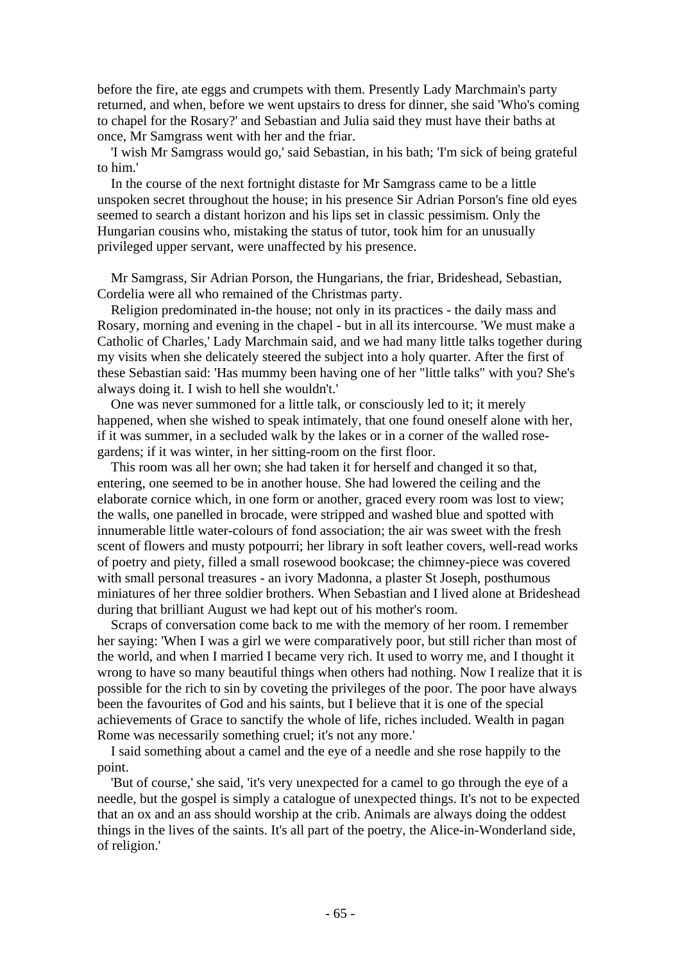before the fire, ate eggs and crumpets with them. Presently Lady Marchmain's party returned, and when, before we went upstairs to dress for dinner, she said 'Who's coming to chapel for the Rosary?' and Sebastian and Julia said they must have their baths at once, Mr Samgrass went with her and the friar.

 'I wish Mr Samgrass would go,' said Sebastian, in his bath; 'I'm sick of being grateful to him.'

 In the course of the next fortnight distaste for Mr Samgrass came to be a little unspoken secret throughout the house; in his presence Sir Adrian Porson's fine old eyes seemed to search a distant horizon and his lips set in classic pessimism. Only the Hungarian cousins who, mistaking the status of tutor, took him for an unusually privileged upper servant, were unaffected by his presence.

 Mr Samgrass, Sir Adrian Porson, the Hungarians, the friar, Brideshead, Sebastian, Cordelia were all who remained of the Christmas party.

 Religion predominated in-the house; not only in its practices - the daily mass and Rosary, morning and evening in the chapel - but in all its intercourse. 'We must make a Catholic of Charles,' Lady Marchmain said, and we had many little talks together during my visits when she delicately steered the subject into a holy quarter. After the first of these Sebastian said: 'Has mummy been having one of her "little talks" with you? She's always doing it. I wish to hell she wouldn't.'

 One was never summoned for a little talk, or consciously led to it; it merely happened, when she wished to speak intimately, that one found oneself alone with her, if it was summer, in a secluded walk by the lakes or in a corner of the walled rosegardens; if it was winter, in her sitting-room on the first floor.

 This room was all her own; she had taken it for herself and changed it so that, entering, one seemed to be in another house. She had lowered the ceiling and the elaborate cornice which, in one form or another, graced every room was lost to view; the walls, one panelled in brocade, were stripped and washed blue and spotted with innumerable little water-colours of fond association; the air was sweet with the fresh scent of flowers and musty potpourri; her library in soft leather covers, well-read works of poetry and piety, filled a small rosewood bookcase; the chimney-piece was covered with small personal treasures - an ivory Madonna, a plaster St Joseph, posthumous miniatures of her three soldier brothers. When Sebastian and I lived alone at Brideshead during that brilliant August we had kept out of his mother's room.

 Scraps of conversation come back to me with the memory of her room. I remember her saying: 'When I was a girl we were comparatively poor, but still richer than most of the world, and when I married I became very rich. It used to worry me, and I thought it wrong to have so many beautiful things when others had nothing. Now I realize that it is possible for the rich to sin by coveting the privileges of the poor. The poor have always been the favourites of God and his saints, but I believe that it is one of the special achievements of Grace to sanctify the whole of life, riches included. Wealth in pagan Rome was necessarily something cruel; it's not any more.'

 I said something about a camel and the eye of a needle and she rose happily to the point.

 'But of course,' she said, 'it's very unexpected for a camel to go through the eye of a needle, but the gospel is simply a catalogue of unexpected things. It's not to be expected that an ox and an ass should worship at the crib. Animals are always doing the oddest things in the lives of the saints. It's all part of the poetry, the Alice-in-Wonderland side, of religion.'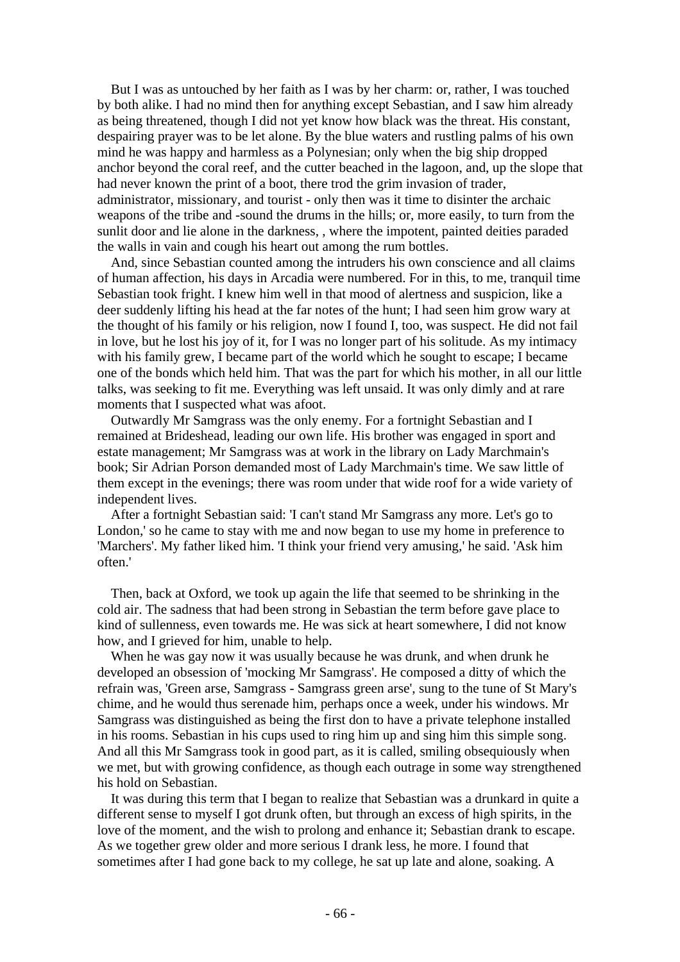But I was as untouched by her faith as I was by her charm: or, rather, I was touched by both alike. I had no mind then for anything except Sebastian, and I saw him already as being threatened, though I did not yet know how black was the threat. His constant, despairing prayer was to be let alone. By the blue waters and rustling palms of his own mind he was happy and harmless as a Polynesian; only when the big ship dropped anchor beyond the coral reef, and the cutter beached in the lagoon, and, up the slope that had never known the print of a boot, there trod the grim invasion of trader, administrator, missionary, and tourist - only then was it time to disinter the archaic weapons of the tribe and -sound the drums in the hills; or, more easily, to turn from the sunlit door and lie alone in the darkness, , where the impotent, painted deities paraded the walls in vain and cough his heart out among the rum bottles.

 And, since Sebastian counted among the intruders his own conscience and all claims of human affection, his days in Arcadia were numbered. For in this, to me, tranquil time Sebastian took fright. I knew him well in that mood of alertness and suspicion, like a deer suddenly lifting his head at the far notes of the hunt; I had seen him grow wary at the thought of his family or his religion, now I found I, too, was suspect. He did not fail in love, but he lost his joy of it, for I was no longer part of his solitude. As my intimacy with his family grew, I became part of the world which he sought to escape; I became one of the bonds which held him. That was the part for which his mother, in all our little talks, was seeking to fit me. Everything was left unsaid. It was only dimly and at rare moments that I suspected what was afoot.

 Outwardly Mr Samgrass was the only enemy. For a fortnight Sebastian and I remained at Brideshead, leading our own life. His brother was engaged in sport and estate management; Mr Samgrass was at work in the library on Lady Marchmain's book; Sir Adrian Porson demanded most of Lady Marchmain's time. We saw little of them except in the evenings; there was room under that wide roof for a wide variety of independent lives.

 After a fortnight Sebastian said: 'I can't stand Mr Samgrass any more. Let's go to London,' so he came to stay with me and now began to use my home in preference to 'Marchers'. My father liked him. 'I think your friend very amusing,' he said. 'Ask him often.'

 Then, back at Oxford, we took up again the life that seemed to be shrinking in the cold air. The sadness that had been strong in Sebastian the term before gave place to kind of sullenness, even towards me. He was sick at heart somewhere, I did not know how, and I grieved for him, unable to help.

When he was gay now it was usually because he was drunk, and when drunk he developed an obsession of 'mocking Mr Samgrass'. He composed a ditty of which the refrain was, 'Green arse, Samgrass - Samgrass green arse', sung to the tune of St Mary's chime, and he would thus serenade him, perhaps once a week, under his windows. Mr Samgrass was distinguished as being the first don to have a private telephone installed in his rooms. Sebastian in his cups used to ring him up and sing him this simple song. And all this Mr Samgrass took in good part, as it is called, smiling obsequiously when we met, but with growing confidence, as though each outrage in some way strengthened his hold on Sebastian.

 It was during this term that I began to realize that Sebastian was a drunkard in quite a different sense to myself I got drunk often, but through an excess of high spirits, in the love of the moment, and the wish to prolong and enhance it; Sebastian drank to escape. As we together grew older and more serious I drank less, he more. I found that sometimes after I had gone back to my college, he sat up late and alone, soaking. A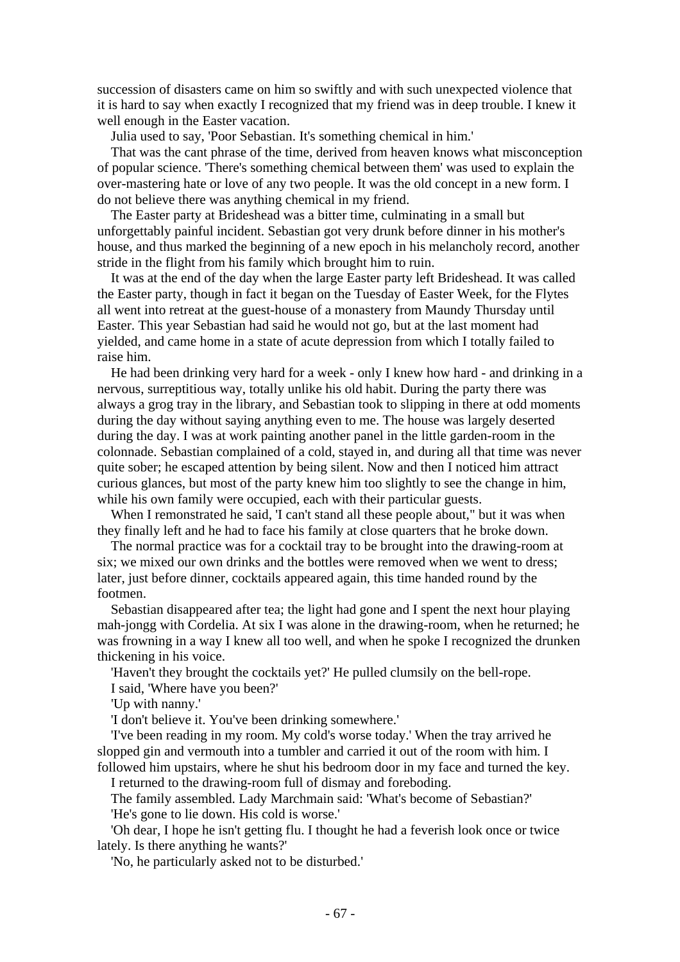succession of disasters came on him so swiftly and with such unexpected violence that it is hard to say when exactly I recognized that my friend was in deep trouble. I knew it well enough in the Easter vacation.

Julia used to say, 'Poor Sebastian. It's something chemical in him.'

 That was the cant phrase of the time, derived from heaven knows what misconception of popular science. 'There's something chemical between them' was used to explain the over-mastering hate or love of any two people. It was the old concept in a new form. I do not believe there was anything chemical in my friend.

 The Easter party at Brideshead was a bitter time, culminating in a small but unforgettably painful incident. Sebastian got very drunk before dinner in his mother's house, and thus marked the beginning of a new epoch in his melancholy record, another stride in the flight from his family which brought him to ruin.

 It was at the end of the day when the large Easter party left Brideshead. It was called the Easter party, though in fact it began on the Tuesday of Easter Week, for the Flytes all went into retreat at the guest-house of a monastery from Maundy Thursday until Easter. This year Sebastian had said he would not go, but at the last moment had yielded, and came home in a state of acute depression from which I totally failed to raise him.

 He had been drinking very hard for a week - only I knew how hard - and drinking in a nervous, surreptitious way, totally unlike his old habit. During the party there was always a grog tray in the library, and Sebastian took to slipping in there at odd moments during the day without saying anything even to me. The house was largely deserted during the day. I was at work painting another panel in the little garden-room in the colonnade. Sebastian complained of a cold, stayed in, and during all that time was never quite sober; he escaped attention by being silent. Now and then I noticed him attract curious glances, but most of the party knew him too slightly to see the change in him, while his own family were occupied, each with their particular guests.

 When I remonstrated he said, 'I can't stand all these people about," but it was when they finally left and he had to face his family at close quarters that he broke down.

 The normal practice was for a cocktail tray to be brought into the drawing-room at six; we mixed our own drinks and the bottles were removed when we went to dress; later, just before dinner, cocktails appeared again, this time handed round by the footmen.

 Sebastian disappeared after tea; the light had gone and I spent the next hour playing mah-jongg with Cordelia. At six I was alone in the drawing-room, when he returned; he was frowning in a way I knew all too well, and when he spoke I recognized the drunken thickening in his voice.

'Haven't they brought the cocktails yet?' He pulled clumsily on the bell-rope.

I said, 'Where have you been?'

'Up with nanny.'

'I don't believe it. You've been drinking somewhere.'

 'I've been reading in my room. My cold's worse today.' When the tray arrived he slopped gin and vermouth into a tumbler and carried it out of the room with him. I followed him upstairs, where he shut his bedroom door in my face and turned the key.

I returned to the drawing-room full of dismay and foreboding.

 The family assembled. Lady Marchmain said: 'What's become of Sebastian?' 'He's gone to lie down. His cold is worse.'

 'Oh dear, I hope he isn't getting flu. I thought he had a feverish look once or twice lately. Is there anything he wants?'

'No, he particularly asked not to be disturbed.'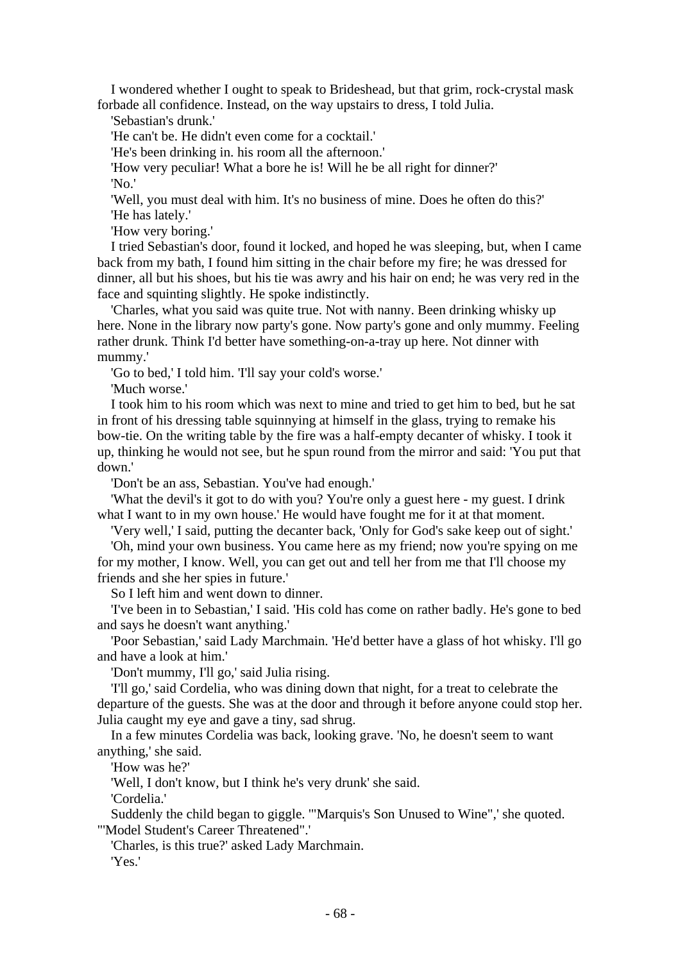I wondered whether I ought to speak to Brideshead, but that grim, rock-crystal mask forbade all confidence. Instead, on the way upstairs to dress, I told Julia.

'Sebastian's drunk.'

'He can't be. He didn't even come for a cocktail.'

'He's been drinking in. his room all the afternoon.'

 'How very peculiar! What a bore he is! Will he be all right for dinner?' 'No.'

 'Well, you must deal with him. It's no business of mine. Does he often do this?' 'He has lately.'

'How very boring.'

 I tried Sebastian's door, found it locked, and hoped he was sleeping, but, when I came back from my bath, I found him sitting in the chair before my fire; he was dressed for dinner, all but his shoes, but his tie was awry and his hair on end; he was very red in the face and squinting slightly. He spoke indistinctly.

 'Charles, what you said was quite true. Not with nanny. Been drinking whisky up here. None in the library now party's gone. Now party's gone and only mummy. Feeling rather drunk. Think I'd better have something-on-a-tray up here. Not dinner with mummy.'

'Go to bed,' I told him. T'll say your cold's worse.'

'Much worse.'

 I took him to his room which was next to mine and tried to get him to bed, but he sat in front of his dressing table squinnying at himself in the glass, trying to remake his bow-tie. On the writing table by the fire was a half-empty decanter of whisky. I took it up, thinking he would not see, but he spun round from the mirror and said: 'You put that down.'

'Don't be an ass, Sebastian. You've had enough.'

 'What the devil's it got to do with you? You're only a guest here - my guest. I drink what I want to in my own house.' He would have fought me for it at that moment.

'Very well,' I said, putting the decanter back, 'Only for God's sake keep out of sight.'

 'Oh, mind your own business. You came here as my friend; now you're spying on me for my mother, I know. Well, you can get out and tell her from me that I'll choose my friends and she her spies in future.'

So I left him and went down to dinner.

 'I've been in to Sebastian,' I said. 'His cold has come on rather badly. He's gone to bed and says he doesn't want anything.'

 'Poor Sebastian,' said Lady Marchmain. 'He'd better have a glass of hot whisky. I'll go and have a look at him.'

'Don't mummy, I'll go,' said Julia rising.

 'I'll go,' said Cordelia, who was dining down that night, for a treat to celebrate the departure of the guests. She was at the door and through it before anyone could stop her. Julia caught my eye and gave a tiny, sad shrug.

 In a few minutes Cordelia was back, looking grave. 'No, he doesn't seem to want anything,' she said.

'How was he?'

'Well, I don't know, but I think he's very drunk' she said.

'Cordelia.'

 Suddenly the child began to giggle. '"Marquis's Son Unused to Wine",' she quoted. "'Model Student's Career Threatened".'

 'Charles, is this true?' asked Lady Marchmain. 'Yes.'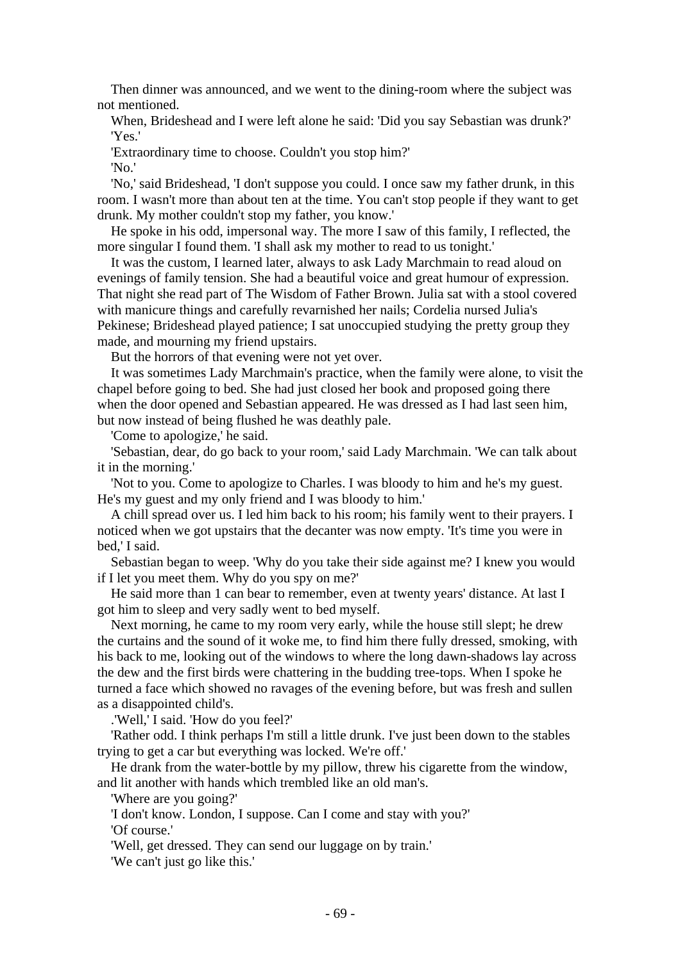Then dinner was announced, and we went to the dining-room where the subject was not mentioned.

 When, Brideshead and I were left alone he said: 'Did you say Sebastian was drunk?' 'Yes.'

'Extraordinary time to choose. Couldn't you stop him?'

'No.'

 'No,' said Brideshead, 'I don't suppose you could. I once saw my father drunk, in this room. I wasn't more than about ten at the time. You can't stop people if they want to get drunk. My mother couldn't stop my father, you know.'

 He spoke in his odd, impersonal way. The more I saw of this family, I reflected, the more singular I found them. 'I shall ask my mother to read to us tonight.'

 It was the custom, I learned later, always to ask Lady Marchmain to read aloud on evenings of family tension. She had a beautiful voice and great humour of expression. That night she read part of The Wisdom of Father Brown. Julia sat with a stool covered with manicure things and carefully revarnished her nails; Cordelia nursed Julia's Pekinese; Brideshead played patience; I sat unoccupied studying the pretty group they made, and mourning my friend upstairs.

But the horrors of that evening were not yet over.

 It was sometimes Lady Marchmain's practice, when the family were alone, to visit the chapel before going to bed. She had just closed her book and proposed going there when the door opened and Sebastian appeared. He was dressed as I had last seen him, but now instead of being flushed he was deathly pale.

'Come to apologize,' he said.

 'Sebastian, dear, do go back to your room,' said Lady Marchmain. 'We can talk about it in the morning.'

 'Not to you. Come to apologize to Charles. I was bloody to him and he's my guest. He's my guest and my only friend and I was bloody to him.'

 A chill spread over us. I led him back to his room; his family went to their prayers. I noticed when we got upstairs that the decanter was now empty. 'It's time you were in bed,' I said.

 Sebastian began to weep. 'Why do you take their side against me? I knew you would if I let you meet them. Why do you spy on me?'

 He said more than 1 can bear to remember, even at twenty years' distance. At last I got him to sleep and very sadly went to bed myself.

 Next morning, he came to my room very early, while the house still slept; he drew the curtains and the sound of it woke me, to find him there fully dressed, smoking, with his back to me, looking out of the windows to where the long dawn-shadows lay across the dew and the first birds were chattering in the budding tree-tops. When I spoke he turned a face which showed no ravages of the evening before, but was fresh and sullen as a disappointed child's.

.'Well,' I said. 'How do you feel?'

 'Rather odd. I think perhaps I'm still a little drunk. I've just been down to the stables trying to get a car but everything was locked. We're off.'

 He drank from the water-bottle by my pillow, threw his cigarette from the window, and lit another with hands which trembled like an old man's.

'Where are you going?'

 'I don't know. London, I suppose. Can I come and stay with you?' 'Of course.'

'Well, get dressed. They can send our luggage on by train.'

'We can't just go like this.'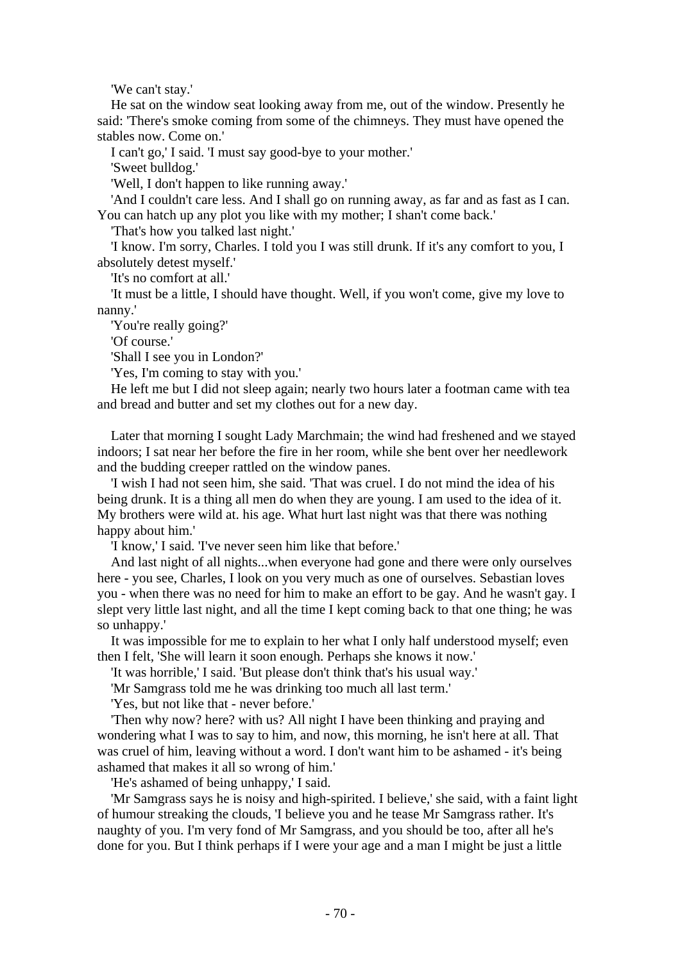'We can't stay.'

 He sat on the window seat looking away from me, out of the window. Presently he said: 'There's smoke coming from some of the chimneys. They must have opened the stables now. Come on.'

I can't go,' I said. 'I must say good-bye to your mother.'

'Sweet bulldog.'

'Well, I don't happen to like running away.'

 'And I couldn't care less. And I shall go on running away, as far and as fast as I can. You can hatch up any plot you like with my mother; I shan't come back.'

'That's how you talked last night.'

 'I know. I'm sorry, Charles. I told you I was still drunk. If it's any comfort to you, I absolutely detest myself.'

'It's no comfort at all.'

 'It must be a little, I should have thought. Well, if you won't come, give my love to nanny.'

'You're really going?'

'Of course.'

'Shall I see you in London?'

'Yes, I'm coming to stay with you.'

 He left me but I did not sleep again; nearly two hours later a footman came with tea and bread and butter and set my clothes out for a new day.

 Later that morning I sought Lady Marchmain; the wind had freshened and we stayed indoors; I sat near her before the fire in her room, while she bent over her needlework and the budding creeper rattled on the window panes.

 'I wish I had not seen him, she said. 'That was cruel. I do not mind the idea of his being drunk. It is a thing all men do when they are young. I am used to the idea of it. My brothers were wild at. his age. What hurt last night was that there was nothing happy about him.'

'I know,' I said. 'I've never seen him like that before.'

 And last night of all nights...when everyone had gone and there were only ourselves here - you see, Charles, I look on you very much as one of ourselves. Sebastian loves you - when there was no need for him to make an effort to be gay. And he wasn't gay. I slept very little last night, and all the time I kept coming back to that one thing; he was so unhappy.'

 It was impossible for me to explain to her what I only half understood myself; even then I felt, 'She will learn it soon enough. Perhaps she knows it now.'

'It was horrible,' I said. 'But please don't think that's his usual way.'

'Mr Samgrass told me he was drinking too much all last term.'

'Yes, but not like that - never before.'

 'Then why now? here? with us? All night I have been thinking and praying and wondering what I was to say to him, and now, this morning, he isn't here at all. That was cruel of him, leaving without a word. I don't want him to be ashamed - it's being ashamed that makes it all so wrong of him.'

'He's ashamed of being unhappy,' I said.

 'Mr Samgrass says he is noisy and high-spirited. I believe,' she said, with a faint light of humour streaking the clouds, 'I believe you and he tease Mr Samgrass rather. It's naughty of you. I'm very fond of Mr Samgrass, and you should be too, after all he's done for you. But I think perhaps if I were your age and a man I might be just a little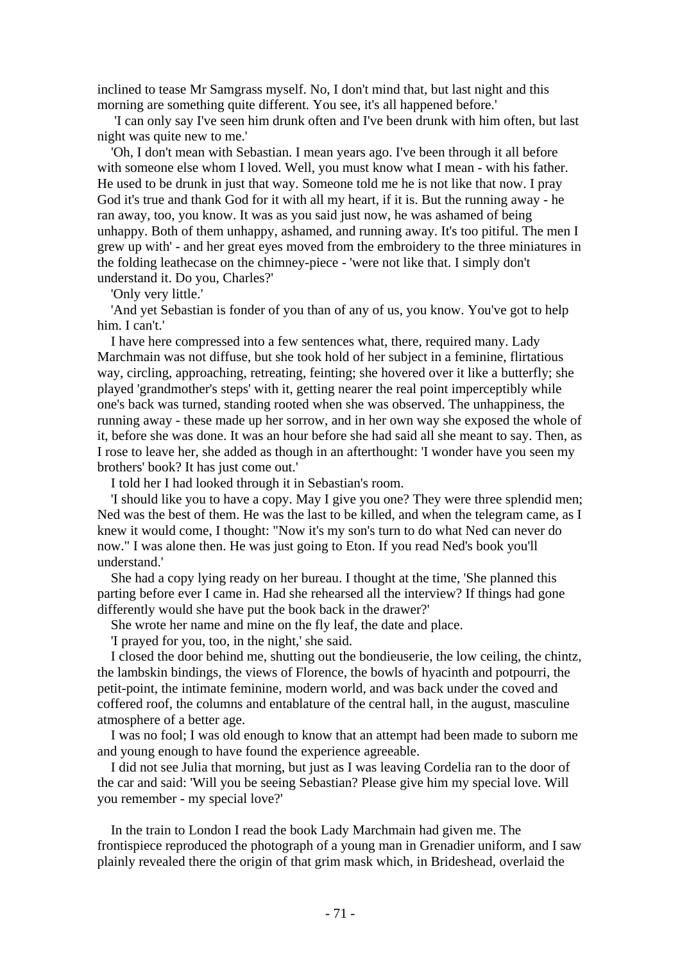inclined to tease Mr Samgrass myself. No, I don't mind that, but last night and this morning are something quite different. You see, it's all happened before.'

 'I can only say I've seen him drunk often and I've been drunk with him often, but last night was quite new to me.'

 'Oh, I don't mean with Sebastian. I mean years ago. I've been through it all before with someone else whom I loved. Well, you must know what I mean - with his father. He used to be drunk in just that way. Someone told me he is not like that now. I pray God it's true and thank God for it with all my heart, if it is. But the running away - he ran away, too, you know. It was as you said just now, he was ashamed of being unhappy. Both of them unhappy, ashamed, and running away. It's too pitiful. The men I grew up with' - and her great eyes moved from the embroidery to the three miniatures in the folding leathecase on the chimney-piece - 'were not like that. I simply don't understand it. Do you, Charles?'

'Only very little.'

 'And yet Sebastian is fonder of you than of any of us, you know. You've got to help him. I can't.'

 I have here compressed into a few sentences what, there, required many. Lady Marchmain was not diffuse, but she took hold of her subject in a feminine, flirtatious way, circling, approaching, retreating, feinting; she hovered over it like a butterfly; she played 'grandmother's steps' with it, getting nearer the real point imperceptibly while one's back was turned, standing rooted when she was observed. The unhappiness, the running away - these made up her sorrow, and in her own way she exposed the whole of it, before she was done. It was an hour before she had said all she meant to say. Then, as I rose to leave her, she added as though in an afterthought: 'I wonder have you seen my brothers' book? It has just come out.'

I told her I had looked through it in Sebastian's room.

 'I should like you to have a copy. May I give you one? They were three splendid men; Ned was the best of them. He was the last to be killed, and when the telegram came, as I knew it would come, I thought: "Now it's my son's turn to do what Ned can never do now." I was alone then. He was just going to Eton. If you read Ned's book you'll understand.'

 She had a copy lying ready on her bureau. I thought at the time, 'She planned this parting before ever I came in. Had she rehearsed all the interview? If things had gone differently would she have put the book back in the drawer?'

She wrote her name and mine on the fly leaf, the date and place.

'I prayed for you, too, in the night,' she said.

 I closed the door behind me, shutting out the bondieuserie, the low ceiling, the chintz, the lambskin bindings, the views of Florence, the bowls of hyacinth and potpourri, the petit-point, the intimate feminine, modern world, and was back under the coved and coffered roof, the columns and entablature of the central hall, in the august, masculine atmosphere of a better age.

 I was no fool; I was old enough to know that an attempt had been made to suborn me and young enough to have found the experience agreeable.

 I did not see Julia that morning, but just as I was leaving Cordelia ran to the door of the car and said: 'Will you be seeing Sebastian? Please give him my special love. Will you remember - my special love?'

 In the train to London I read the book Lady Marchmain had given me. The frontispiece reproduced the photograph of a young man in Grenadier uniform, and I saw plainly revealed there the origin of that grim mask which, in Brideshead, overlaid the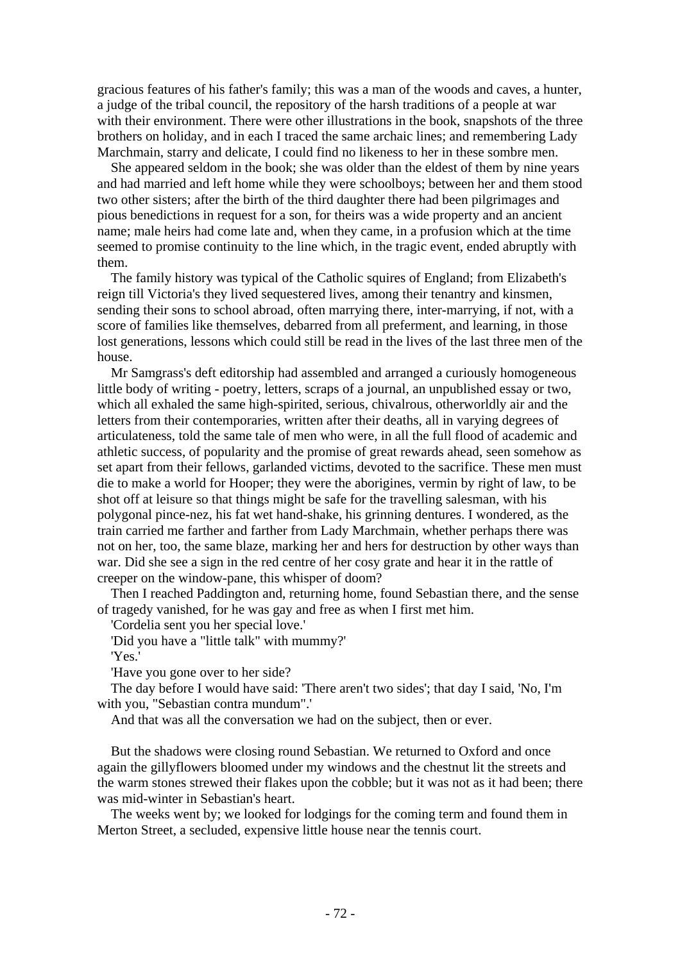gracious features of his father's family; this was a man of the woods and caves, a hunter, a judge of the tribal council, the repository of the harsh traditions of a people at war with their environment. There were other illustrations in the book, snapshots of the three brothers on holiday, and in each I traced the same archaic lines; and remembering Lady Marchmain, starry and delicate, I could find no likeness to her in these sombre men.

 She appeared seldom in the book; she was older than the eldest of them by nine years and had married and left home while they were schoolboys; between her and them stood two other sisters; after the birth of the third daughter there had been pilgrimages and pious benedictions in request for a son, for theirs was a wide property and an ancient name; male heirs had come late and, when they came, in a profusion which at the time seemed to promise continuity to the line which, in the tragic event, ended abruptly with them.

 The family history was typical of the Catholic squires of England; from Elizabeth's reign till Victoria's they lived sequestered lives, among their tenantry and kinsmen, sending their sons to school abroad, often marrying there, inter-marrying, if not, with a score of families like themselves, debarred from all preferment, and learning, in those lost generations, lessons which could still be read in the lives of the last three men of the house.

 Mr Samgrass's deft editorship had assembled and arranged a curiously homogeneous little body of writing - poetry, letters, scraps of a journal, an unpublished essay or two, which all exhaled the same high-spirited, serious, chivalrous, otherworldly air and the letters from their contemporaries, written after their deaths, all in varying degrees of articulateness, told the same tale of men who were, in all the full flood of academic and athletic success, of popularity and the promise of great rewards ahead, seen somehow as set apart from their fellows, garlanded victims, devoted to the sacrifice. These men must die to make a world for Hooper; they were the aborigines, vermin by right of law, to be shot off at leisure so that things might be safe for the travelling salesman, with his polygonal pince-nez, his fat wet hand-shake, his grinning dentures. I wondered, as the train carried me farther and farther from Lady Marchmain, whether perhaps there was not on her, too, the same blaze, marking her and hers for destruction by other ways than war. Did she see a sign in the red centre of her cosy grate and hear it in the rattle of creeper on the window-pane, this whisper of doom?

 Then I reached Paddington and, returning home, found Sebastian there, and the sense of tragedy vanished, for he was gay and free as when I first met him.

'Cordelia sent you her special love.'

'Did you have a "little talk" with mummy?'

'Yes.'

'Have you gone over to her side?

 The day before I would have said: 'There aren't two sides'; that day I said, 'No, I'm with you, "Sebastian contra mundum".'

And that was all the conversation we had on the subject, then or ever.

 But the shadows were closing round Sebastian. We returned to Oxford and once again the gillyflowers bloomed under my windows and the chestnut lit the streets and the warm stones strewed their flakes upon the cobble; but it was not as it had been; there was mid-winter in Sebastian's heart.

 The weeks went by; we looked for lodgings for the coming term and found them in Merton Street, a secluded, expensive little house near the tennis court.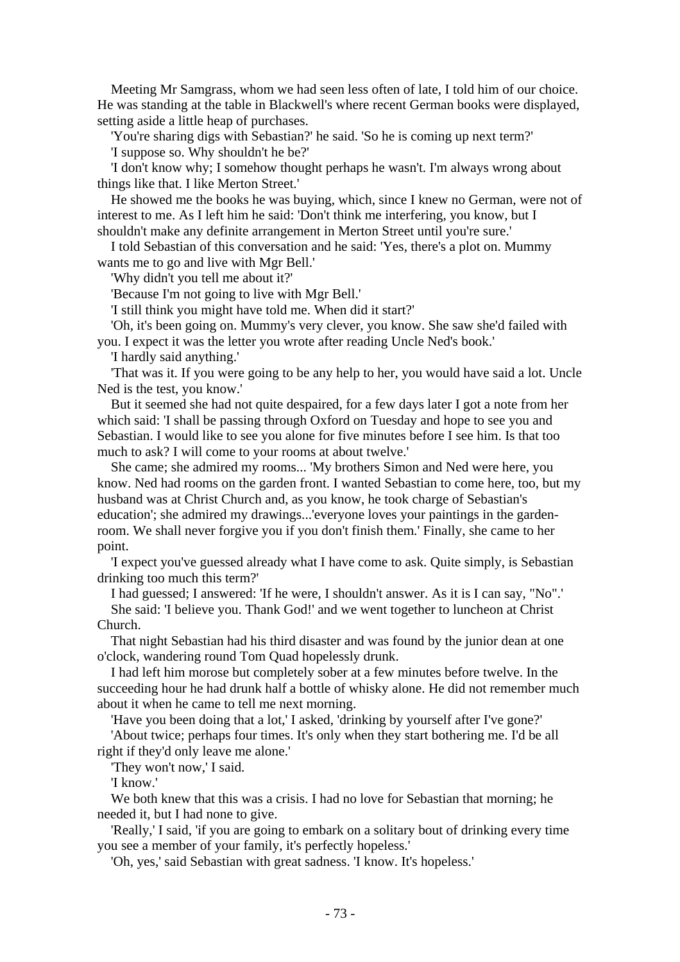Meeting Mr Samgrass, whom we had seen less often of late, I told him of our choice. He was standing at the table in Blackwell's where recent German books were displayed, setting aside a little heap of purchases.

 'You're sharing digs with Sebastian?' he said. 'So he is coming up next term?' 'I suppose so. Why shouldn't he be?'

 'I don't know why; I somehow thought perhaps he wasn't. I'm always wrong about things like that. I like Merton Street.'

 He showed me the books he was buying, which, since I knew no German, were not of interest to me. As I left him he said: 'Don't think me interfering, you know, but I shouldn't make any definite arrangement in Merton Street until you're sure.'

 I told Sebastian of this conversation and he said: 'Yes, there's a plot on. Mummy wants me to go and live with Mgr Bell.'

'Why didn't you tell me about it?'

'Because I'm not going to live with Mgr Bell.'

'I still think you might have told me. When did it start?'

 'Oh, it's been going on. Mummy's very clever, you know. She saw she'd failed with you. I expect it was the letter you wrote after reading Uncle Ned's book.'

'I hardly said anything.'

 'That was it. If you were going to be any help to her, you would have said a lot. Uncle Ned is the test, you know.'

 But it seemed she had not quite despaired, for a few days later I got a note from her which said: 'I shall be passing through Oxford on Tuesday and hope to see you and Sebastian. I would like to see you alone for five minutes before I see him. Is that too much to ask? I will come to your rooms at about twelve.'

 She came; she admired my rooms... 'My brothers Simon and Ned were here, you know. Ned had rooms on the garden front. I wanted Sebastian to come here, too, but my husband was at Christ Church and, as you know, he took charge of Sebastian's education'; she admired my drawings...'everyone loves your paintings in the gardenroom. We shall never forgive you if you don't finish them.' Finally, she came to her point.

 'I expect you've guessed already what I have come to ask. Quite simply, is Sebastian drinking too much this term?'

 I had guessed; I answered: 'If he were, I shouldn't answer. As it is I can say, "No".' She said: 'I believe you. Thank God!' and we went together to luncheon at Christ Church.

 That night Sebastian had his third disaster and was found by the junior dean at one o'clock, wandering round Tom Quad hopelessly drunk.

 I had left him morose but completely sober at a few minutes before twelve. In the succeeding hour he had drunk half a bottle of whisky alone. He did not remember much about it when he came to tell me next morning.

 'Have you been doing that a lot,' I asked, 'drinking by yourself after I've gone?' 'About twice; perhaps four times. It's only when they start bothering me. I'd be all right if they'd only leave me alone.'

'They won't now,' I said.

'I know.'

We both knew that this was a crisis. I had no love for Sebastian that morning; he needed it, but I had none to give.

 'Really,' I said, 'if you are going to embark on a solitary bout of drinking every time you see a member of your family, it's perfectly hopeless.'

'Oh, yes,' said Sebastian with great sadness. 'I know. It's hopeless.'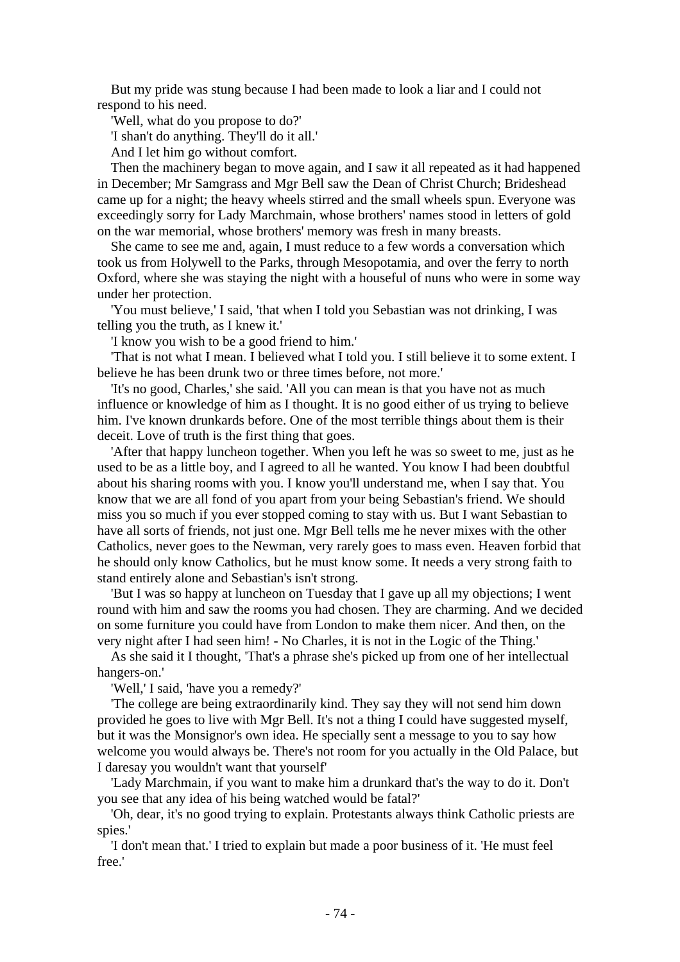But my pride was stung because I had been made to look a liar and I could not respond to his need.

'Well, what do you propose to do?'

'I shan't do anything. They'll do it all.'

And I let him go without comfort.

 Then the machinery began to move again, and I saw it all repeated as it had happened in December; Mr Samgrass and Mgr Bell saw the Dean of Christ Church; Brideshead came up for a night; the heavy wheels stirred and the small wheels spun. Everyone was exceedingly sorry for Lady Marchmain, whose brothers' names stood in letters of gold on the war memorial, whose brothers' memory was fresh in many breasts.

 She came to see me and, again, I must reduce to a few words a conversation which took us from Holywell to the Parks, through Mesopotamia, and over the ferry to north Oxford, where she was staying the night with a houseful of nuns who were in some way under her protection.

 'You must believe,' I said, 'that when I told you Sebastian was not drinking, I was telling you the truth, as I knew it.'

'I know you wish to be a good friend to him.'

 'That is not what I mean. I believed what I told you. I still believe it to some extent. I believe he has been drunk two or three times before, not more.'

 'It's no good, Charles,' she said. 'All you can mean is that you have not as much influence or knowledge of him as I thought. It is no good either of us trying to believe him. I've known drunkards before. One of the most terrible things about them is their deceit. Love of truth is the first thing that goes.

 'After that happy luncheon together. When you left he was so sweet to me, just as he used to be as a little boy, and I agreed to all he wanted. You know I had been doubtful about his sharing rooms with you. I know you'll understand me, when I say that. You know that we are all fond of you apart from your being Sebastian's friend. We should miss you so much if you ever stopped coming to stay with us. But I want Sebastian to have all sorts of friends, not just one. Mgr Bell tells me he never mixes with the other Catholics, never goes to the Newman, very rarely goes to mass even. Heaven forbid that he should only know Catholics, but he must know some. It needs a very strong faith to stand entirely alone and Sebastian's isn't strong.

 'But I was so happy at luncheon on Tuesday that I gave up all my objections; I went round with him and saw the rooms you had chosen. They are charming. And we decided on some furniture you could have from London to make them nicer. And then, on the very night after I had seen him! - No Charles, it is not in the Logic of the Thing.'

 As she said it I thought, 'That's a phrase she's picked up from one of her intellectual hangers-on.'

'Well,' I said, 'have you a remedy?'

 'The college are being extraordinarily kind. They say they will not send him down provided he goes to live with Mgr Bell. It's not a thing I could have suggested myself, but it was the Monsignor's own idea. He specially sent a message to you to say how welcome you would always be. There's not room for you actually in the Old Palace, but I daresay you wouldn't want that yourself'

 'Lady Marchmain, if you want to make him a drunkard that's the way to do it. Don't you see that any idea of his being watched would be fatal?'

 'Oh, dear, it's no good trying to explain. Protestants always think Catholic priests are spies.'

 'I don't mean that.' I tried to explain but made a poor business of it. 'He must feel free.'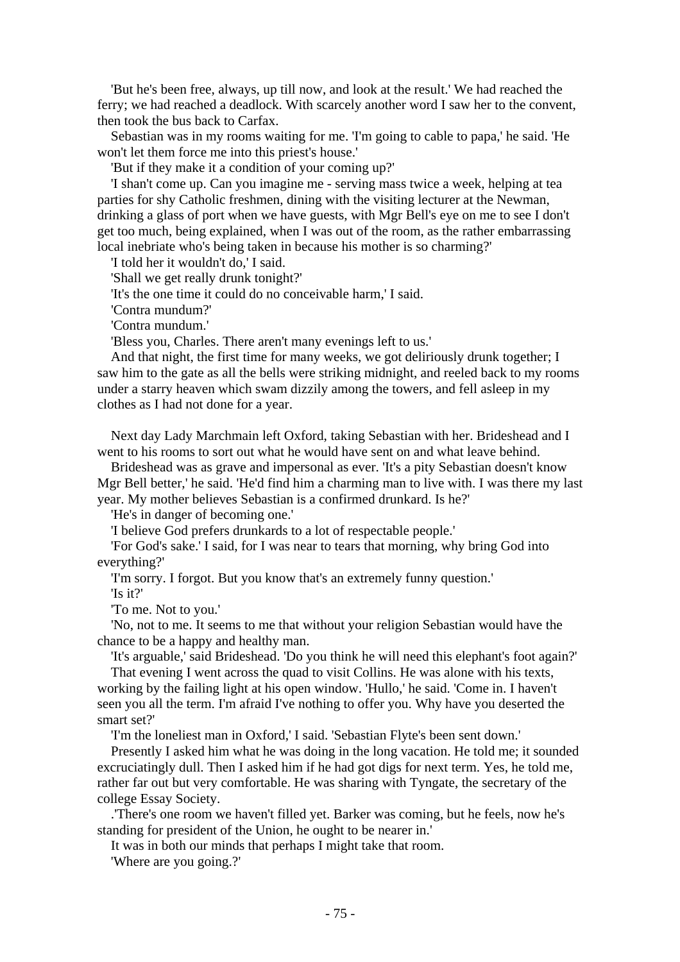'But he's been free, always, up till now, and look at the result.' We had reached the ferry; we had reached a deadlock. With scarcely another word I saw her to the convent, then took the bus back to Carfax.

Sebastian was in my rooms waiting for me. Tm going to cable to papa,' he said. 'He won't let them force me into this priest's house.'

'But if they make it a condition of your coming up?'

 'I shan't come up. Can you imagine me - serving mass twice a week, helping at tea parties for shy Catholic freshmen, dining with the visiting lecturer at the Newman, drinking a glass of port when we have guests, with Mgr Bell's eye on me to see I don't get too much, being explained, when I was out of the room, as the rather embarrassing local inebriate who's being taken in because his mother is so charming?'

'I told her it wouldn't do,' I said.

'Shall we get really drunk tonight?'

'It's the one time it could do no conceivable harm,' I said.

'Contra mundum?'

'Contra mundum.'

'Bless you, Charles. There aren't many evenings left to us.'

 And that night, the first time for many weeks, we got deliriously drunk together; I saw him to the gate as all the bells were striking midnight, and reeled back to my rooms under a starry heaven which swam dizzily among the towers, and fell asleep in my clothes as I had not done for a year.

 Next day Lady Marchmain left Oxford, taking Sebastian with her. Brideshead and I went to his rooms to sort out what he would have sent on and what leave behind.

 Brideshead was as grave and impersonal as ever. 'It's a pity Sebastian doesn't know Mgr Bell better,' he said. 'He'd find him a charming man to live with. I was there my last year. My mother believes Sebastian is a confirmed drunkard. Is he?'

'He's in danger of becoming one.'

'I believe God prefers drunkards to a lot of respectable people.'

 'For God's sake.' I said, for I was near to tears that morning, why bring God into everything?'

'I'm sorry. I forgot. But you know that's an extremely funny question.'

'Is it?'

'To me. Not to you.'

 'No, not to me. It seems to me that without your religion Sebastian would have the chance to be a happy and healthy man.

'It's arguable,' said Brideshead. 'Do you think he will need this elephant's foot again?'

 That evening I went across the quad to visit Collins. He was alone with his texts, working by the failing light at his open window. 'Hullo,' he said. 'Come in. I haven't seen you all the term. I'm afraid I've nothing to offer you. Why have you deserted the smart set?'

'I'm the loneliest man in Oxford,' I said. 'Sebastian Flyte's been sent down.'

 Presently I asked him what he was doing in the long vacation. He told me; it sounded excruciatingly dull. Then I asked him if he had got digs for next term. Yes, he told me, rather far out but very comfortable. He was sharing with Tyngate, the secretary of the college Essay Society.

 .'There's one room we haven't filled yet. Barker was coming, but he feels, now he's standing for president of the Union, he ought to be nearer in.'

It was in both our minds that perhaps I might take that room.

'Where are you going.?'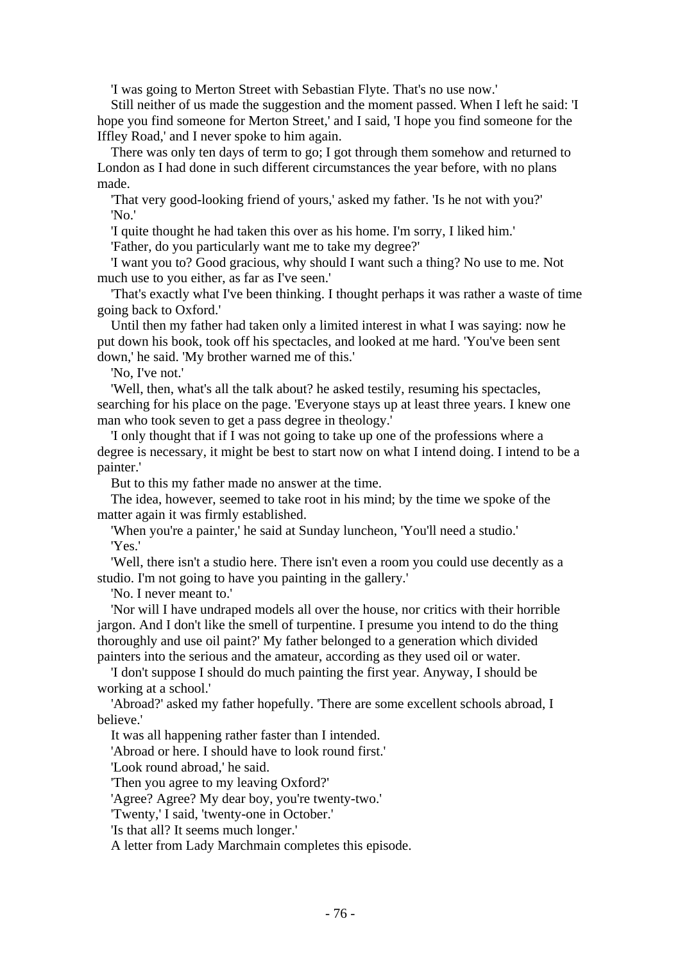'I was going to Merton Street with Sebastian Flyte. That's no use now.'

 Still neither of us made the suggestion and the moment passed. When I left he said: 'I hope you find someone for Merton Street,' and I said, 'I hope you find someone for the Iffley Road,' and I never spoke to him again.

 There was only ten days of term to go; I got through them somehow and returned to London as I had done in such different circumstances the year before, with no plans made.

 'That very good-looking friend of yours,' asked my father. 'Is he not with you?' 'No.'

'I quite thought he had taken this over as his home. I'm sorry, I liked him.'

'Father, do you particularly want me to take my degree?'

 'I want you to? Good gracious, why should I want such a thing? No use to me. Not much use to you either, as far as I've seen.'

 'That's exactly what I've been thinking. I thought perhaps it was rather a waste of time going back to Oxford.'

 Until then my father had taken only a limited interest in what I was saying: now he put down his book, took off his spectacles, and looked at me hard. 'You've been sent down,' he said. 'My brother warned me of this.'

'No, I've not.'

 'Well, then, what's all the talk about? he asked testily, resuming his spectacles, searching for his place on the page. 'Everyone stays up at least three years. I knew one man who took seven to get a pass degree in theology.'

 'I only thought that if I was not going to take up one of the professions where a degree is necessary, it might be best to start now on what I intend doing. I intend to be a painter.'

But to this my father made no answer at the time.

 The idea, however, seemed to take root in his mind; by the time we spoke of the matter again it was firmly established.

 'When you're a painter,' he said at Sunday luncheon, 'You'll need a studio.' 'Yes.'

 'Well, there isn't a studio here. There isn't even a room you could use decently as a studio. I'm not going to have you painting in the gallery.'

'No. I never meant to.'

 'Nor will I have undraped models all over the house, nor critics with their horrible jargon. And I don't like the smell of turpentine. I presume you intend to do the thing thoroughly and use oil paint?' My father belonged to a generation which divided painters into the serious and the amateur, according as they used oil or water.

 'I don't suppose I should do much painting the first year. Anyway, I should be working at a school.'

 'Abroad?' asked my father hopefully. 'There are some excellent schools abroad, I believe.'

It was all happening rather faster than I intended.

'Abroad or here. I should have to look round first.'

'Look round abroad,' he said.

'Then you agree to my leaving Oxford?'

'Agree? Agree? My dear boy, you're twenty-two.'

'Twenty,' I said, 'twenty-one in October.'

'Is that all? It seems much longer.'

A letter from Lady Marchmain completes this episode.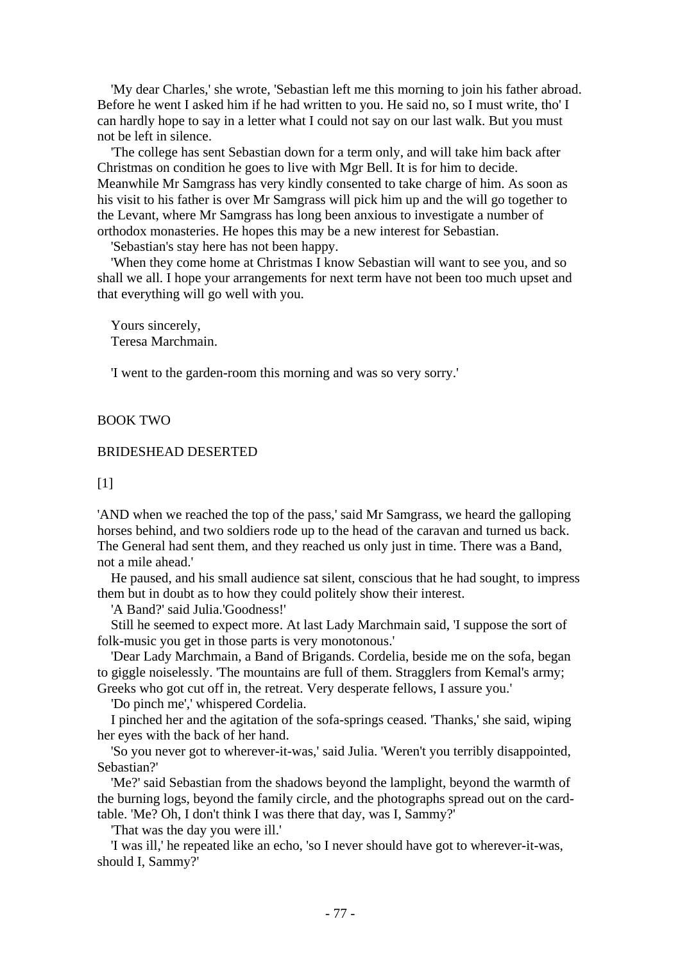'My dear Charles,' she wrote, 'Sebastian left me this morning to join his father abroad. Before he went I asked him if he had written to you. He said no, so I must write, tho' I can hardly hope to say in a letter what I could not say on our last walk. But you must not be left in silence.

 'The college has sent Sebastian down for a term only, and will take him back after Christmas on condition he goes to live with Mgr Bell. It is for him to decide. Meanwhile Mr Samgrass has very kindly consented to take charge of him. As soon as his visit to his father is over Mr Samgrass will pick him up and the will go together to the Levant, where Mr Samgrass has long been anxious to investigate a number of orthodox monasteries. He hopes this may be a new interest for Sebastian.

'Sebastian's stay here has not been happy.

 'When they come home at Christmas I know Sebastian will want to see you, and so shall we all. I hope your arrangements for next term have not been too much upset and that everything will go well with you.

 Yours sincerely, Teresa Marchmain.

'I went to the garden-room this morning and was so very sorry.'

## BOOK TWO

## BRIDESHEAD DESERTED

 $[1]$ 

'AND when we reached the top of the pass,' said Mr Samgrass, we heard the galloping horses behind, and two soldiers rode up to the head of the caravan and turned us back. The General had sent them, and they reached us only just in time. There was a Band, not a mile ahead.'

 He paused, and his small audience sat silent, conscious that he had sought, to impress them but in doubt as to how they could politely show their interest.

'A Band?' said Julia.'Goodness!'

 Still he seemed to expect more. At last Lady Marchmain said, 'I suppose the sort of folk-music you get in those parts is very monotonous.'

 'Dear Lady Marchmain, a Band of Brigands. Cordelia, beside me on the sofa, began to giggle noiselessly. 'The mountains are full of them. Stragglers from Kemal's army; Greeks who got cut off in, the retreat. Very desperate fellows, I assure you.'

'Do pinch me',' whispered Cordelia.

 I pinched her and the agitation of the sofa-springs ceased. 'Thanks,' she said, wiping her eyes with the back of her hand.

 'So you never got to wherever-it-was,' said Julia. 'Weren't you terribly disappointed, Sebastian?'

 'Me?' said Sebastian from the shadows beyond the lamplight, beyond the warmth of the burning logs, beyond the family circle, and the photographs spread out on the cardtable. 'Me? Oh, I don't think I was there that day, was I, Sammy?'

'That was the day you were ill.'

 'I was ill,' he repeated like an echo, 'so I never should have got to wherever-it-was, should I, Sammy?'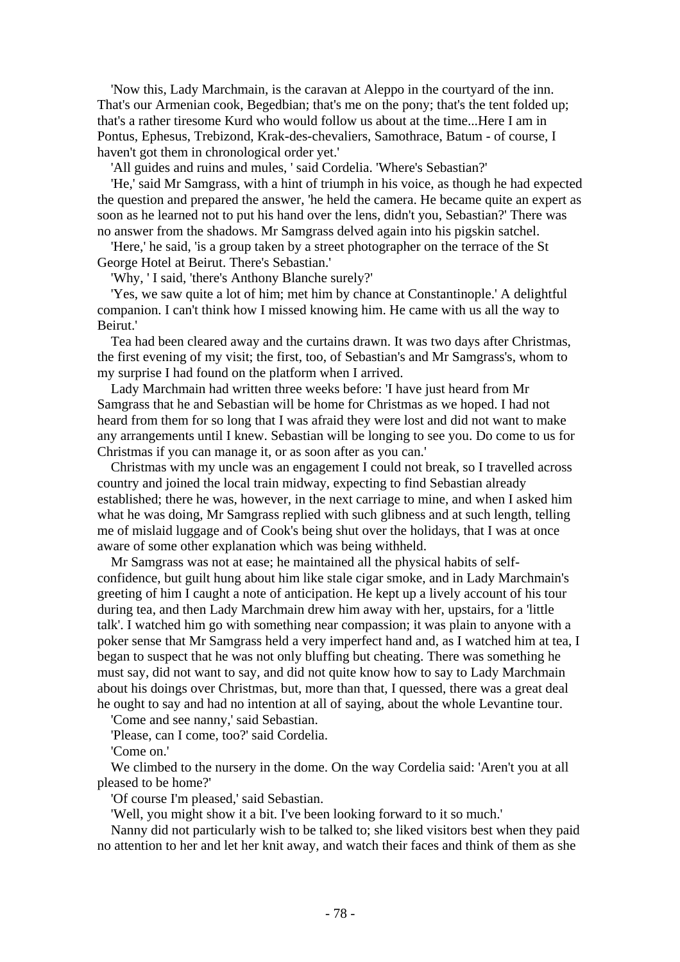'Now this, Lady Marchmain, is the caravan at Aleppo in the courtyard of the inn. That's our Armenian cook, Begedbian; that's me on the pony; that's the tent folded up; that's a rather tiresome Kurd who would follow us about at the time...Here I am in Pontus, Ephesus, Trebizond, Krak-des-chevaliers, Samothrace, Batum - of course, I haven't got them in chronological order yet.'

'All guides and ruins and mules, ' said Cordelia. 'Where's Sebastian?'

 'He,' said Mr Samgrass, with a hint of triumph in his voice, as though he had expected the question and prepared the answer, 'he held the camera. He became quite an expert as soon as he learned not to put his hand over the lens, didn't you, Sebastian?' There was no answer from the shadows. Mr Samgrass delved again into his pigskin satchel.

 'Here,' he said, 'is a group taken by a street photographer on the terrace of the St George Hotel at Beirut. There's Sebastian.'

'Why, ' I said, 'there's Anthony Blanche surely?'

 'Yes, we saw quite a lot of him; met him by chance at Constantinople.' A delightful companion. I can't think how I missed knowing him. He came with us all the way to Beirut.'

 Tea had been cleared away and the curtains drawn. It was two days after Christmas, the first evening of my visit; the first, too, of Sebastian's and Mr Samgrass's, whom to my surprise I had found on the platform when I arrived.

 Lady Marchmain had written three weeks before: 'I have just heard from Mr Samgrass that he and Sebastian will be home for Christmas as we hoped. I had not heard from them for so long that I was afraid they were lost and did not want to make any arrangements until I knew. Sebastian will be longing to see you. Do come to us for Christmas if you can manage it, or as soon after as you can.'

 Christmas with my uncle was an engagement I could not break, so I travelled across country and joined the local train midway, expecting to find Sebastian already established; there he was, however, in the next carriage to mine, and when I asked him what he was doing, Mr Samgrass replied with such glibness and at such length, telling me of mislaid luggage and of Cook's being shut over the holidays, that I was at once aware of some other explanation which was being withheld.

 Mr Samgrass was not at ease; he maintained all the physical habits of selfconfidence, but guilt hung about him like stale cigar smoke, and in Lady Marchmain's greeting of him I caught a note of anticipation. He kept up a lively account of his tour during tea, and then Lady Marchmain drew him away with her, upstairs, for a 'little talk'. I watched him go with something near compassion; it was plain to anyone with a poker sense that Mr Samgrass held a very imperfect hand and, as I watched him at tea, I began to suspect that he was not only bluffing but cheating. There was something he must say, did not want to say, and did not quite know how to say to Lady Marchmain about his doings over Christmas, but, more than that, I quessed, there was a great deal he ought to say and had no intention at all of saying, about the whole Levantine tour.

'Come and see nanny,' said Sebastian.

'Please, can I come, too?' said Cordelia.

'Come on.'

 We climbed to the nursery in the dome. On the way Cordelia said: 'Aren't you at all pleased to be home?'

'Of course I'm pleased,' said Sebastian.

'Well, you might show it a bit. I've been looking forward to it so much.'

 Nanny did not particularly wish to be talked to; she liked visitors best when they paid no attention to her and let her knit away, and watch their faces and think of them as she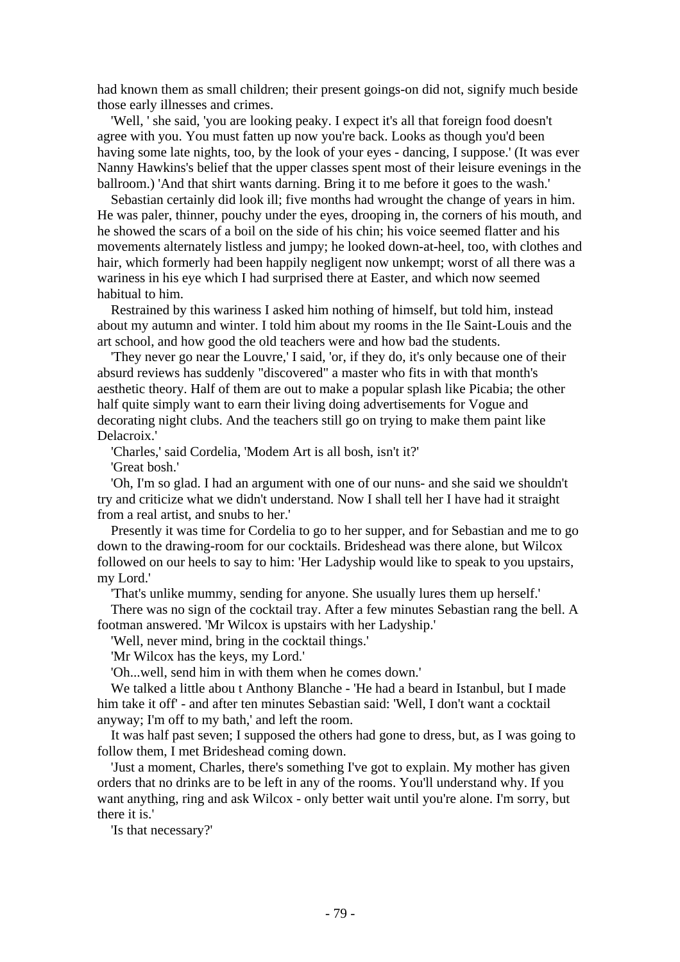had known them as small children; their present goings-on did not, signify much beside those early illnesses and crimes.

 'Well, ' she said, 'you are looking peaky. I expect it's all that foreign food doesn't agree with you. You must fatten up now you're back. Looks as though you'd been having some late nights, too, by the look of your eyes - dancing, I suppose.' (It was ever Nanny Hawkins's belief that the upper classes spent most of their leisure evenings in the ballroom.) 'And that shirt wants darning. Bring it to me before it goes to the wash.'

 Sebastian certainly did look ill; five months had wrought the change of years in him. He was paler, thinner, pouchy under the eyes, drooping in, the corners of his mouth, and he showed the scars of a boil on the side of his chin; his voice seemed flatter and his movements alternately listless and jumpy; he looked down-at-heel, too, with clothes and hair, which formerly had been happily negligent now unkempt; worst of all there was a wariness in his eye which I had surprised there at Easter, and which now seemed habitual to him.

 Restrained by this wariness I asked him nothing of himself, but told him, instead about my autumn and winter. I told him about my rooms in the Ile Saint-Louis and the art school, and how good the old teachers were and how bad the students.

 'They never go near the Louvre,' I said, 'or, if they do, it's only because one of their absurd reviews has suddenly "discovered" a master who fits in with that month's aesthetic theory. Half of them are out to make a popular splash like Picabia; the other half quite simply want to earn their living doing advertisements for Vogue and decorating night clubs. And the teachers still go on trying to make them paint like Delacroix.'

'Charles,' said Cordelia, 'Modem Art is all bosh, isn't it?'

'Great bosh.'

 'Oh, I'm so glad. I had an argument with one of our nuns- and she said we shouldn't try and criticize what we didn't understand. Now I shall tell her I have had it straight from a real artist, and snubs to her.'

 Presently it was time for Cordelia to go to her supper, and for Sebastian and me to go down to the drawing-room for our cocktails. Brideshead was there alone, but Wilcox followed on our heels to say to him: 'Her Ladyship would like to speak to you upstairs, my Lord.'

'That's unlike mummy, sending for anyone. She usually lures them up herself.'

 There was no sign of the cocktail tray. After a few minutes Sebastian rang the bell. A footman answered. 'Mr Wilcox is upstairs with her Ladyship.'

'Well, never mind, bring in the cocktail things.'

'Mr Wilcox has the keys, my Lord.'

'Oh...well, send him in with them when he comes down.'

 We talked a little abou t Anthony Blanche - 'He had a beard in Istanbul, but I made him take it off' - and after ten minutes Sebastian said: 'Well, I don't want a cocktail anyway; I'm off to my bath,' and left the room.

 It was half past seven; I supposed the others had gone to dress, but, as I was going to follow them, I met Brideshead coming down.

 'Just a moment, Charles, there's something I've got to explain. My mother has given orders that no drinks are to be left in any of the rooms. You'll understand why. If you want anything, ring and ask Wilcox - only better wait until you're alone. I'm sorry, but there it is.'

'Is that necessary?'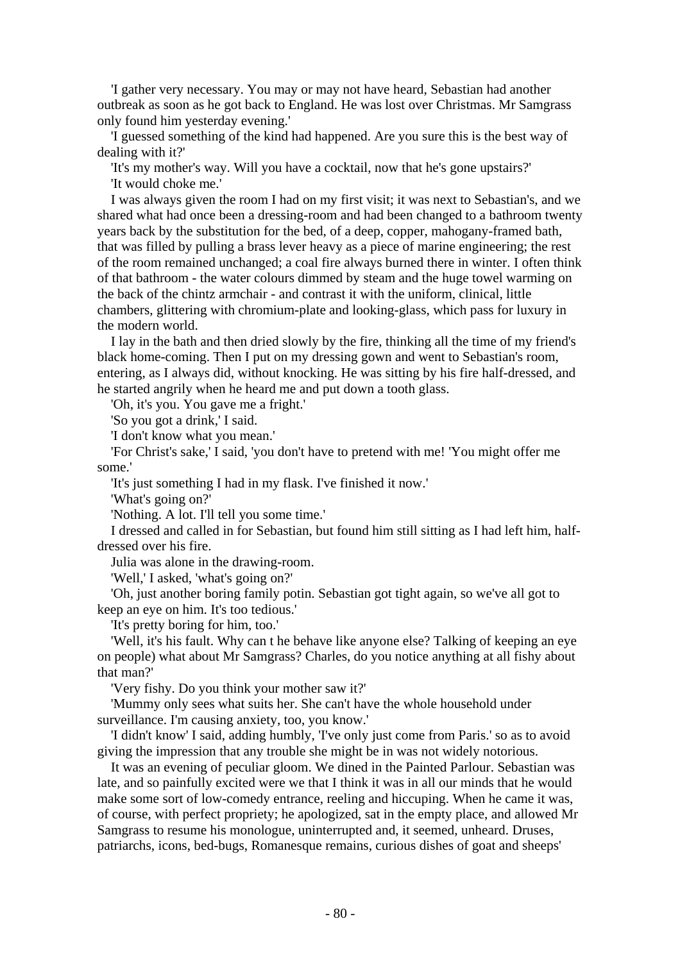'I gather very necessary. You may or may not have heard, Sebastian had another outbreak as soon as he got back to England. He was lost over Christmas. Mr Samgrass only found him yesterday evening.'

 'I guessed something of the kind had happened. Are you sure this is the best way of dealing with it?'

 'It's my mother's way. Will you have a cocktail, now that he's gone upstairs?' 'It would choke me.'

 I was always given the room I had on my first visit; it was next to Sebastian's, and we shared what had once been a dressing-room and had been changed to a bathroom twenty years back by the substitution for the bed, of a deep, copper, mahogany-framed bath, that was filled by pulling a brass lever heavy as a piece of marine engineering; the rest of the room remained unchanged; a coal fire always burned there in winter. I often think of that bathroom - the water colours dimmed by steam and the huge towel warming on the back of the chintz armchair - and contrast it with the uniform, clinical, little chambers, glittering with chromium-plate and looking-glass, which pass for luxury in the modern world.

 I lay in the bath and then dried slowly by the fire, thinking all the time of my friend's black home-coming. Then I put on my dressing gown and went to Sebastian's room, entering, as I always did, without knocking. He was sitting by his fire half-dressed, and he started angrily when he heard me and put down a tooth glass.

'Oh, it's you. You gave me a fright.'

'So you got a drink,' I said.

'I don't know what you mean.'

 'For Christ's sake,' I said, 'you don't have to pretend with me! 'You might offer me some.'

'It's just something I had in my flask. I've finished it now.'

'What's going on?'

'Nothing. A lot. I'll tell you some time.'

 I dressed and called in for Sebastian, but found him still sitting as I had left him, halfdressed over his fire.

Julia was alone in the drawing-room.

'Well,' I asked, 'what's going on?'

 'Oh, just another boring family potin. Sebastian got tight again, so we've all got to keep an eye on him. It's too tedious.'

'It's pretty boring for him, too.'

 'Well, it's his fault. Why can t he behave like anyone else? Talking of keeping an eye on people) what about Mr Samgrass? Charles, do you notice anything at all fishy about that man?'

'Very fishy. Do you think your mother saw it?'

 'Mummy only sees what suits her. She can't have the whole household under surveillance. I'm causing anxiety, too, you know.'

 'I didn't know' I said, adding humbly, 'I've only just come from Paris.' so as to avoid giving the impression that any trouble she might be in was not widely notorious.

 It was an evening of peculiar gloom. We dined in the Painted Parlour. Sebastian was late, and so painfully excited were we that I think it was in all our minds that he would make some sort of low-comedy entrance, reeling and hiccuping. When he came it was, of course, with perfect propriety; he apologized, sat in the empty place, and allowed Mr Samgrass to resume his monologue, uninterrupted and, it seemed, unheard. Druses, patriarchs, icons, bed-bugs, Romanesque remains, curious dishes of goat and sheeps'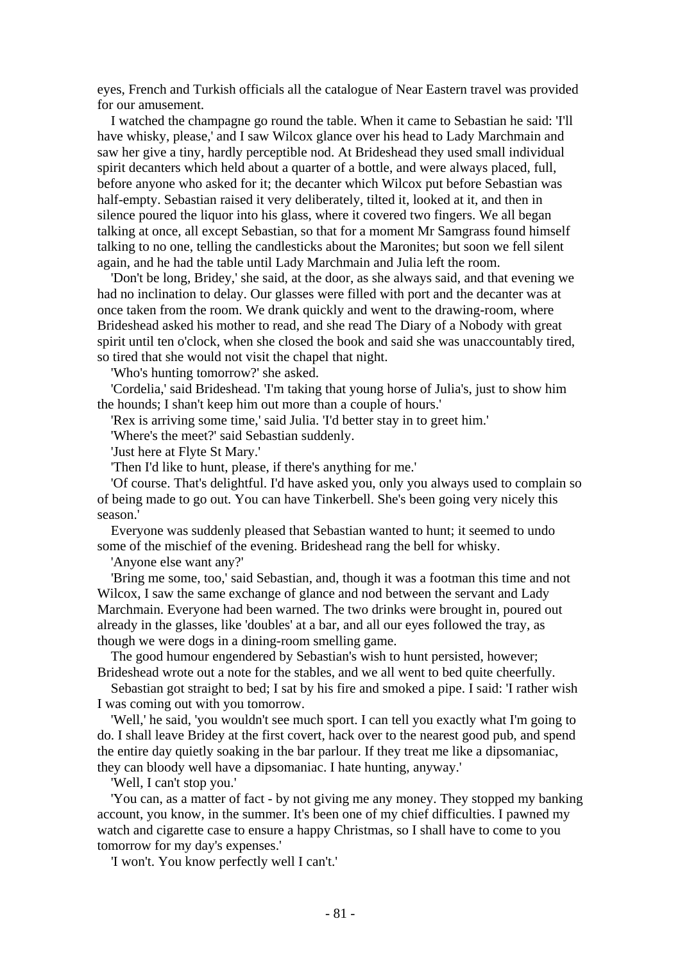eyes, French and Turkish officials all the catalogue of Near Eastern travel was provided for our amusement.

 I watched the champagne go round the table. When it came to Sebastian he said: 'I'll have whisky, please,' and I saw Wilcox glance over his head to Lady Marchmain and saw her give a tiny, hardly perceptible nod. At Brideshead they used small individual spirit decanters which held about a quarter of a bottle, and were always placed, full, before anyone who asked for it; the decanter which Wilcox put before Sebastian was half-empty. Sebastian raised it very deliberately, tilted it, looked at it, and then in silence poured the liquor into his glass, where it covered two fingers. We all began talking at once, all except Sebastian, so that for a moment Mr Samgrass found himself talking to no one, telling the candlesticks about the Maronites; but soon we fell silent again, and he had the table until Lady Marchmain and Julia left the room.

 'Don't be long, Bridey,' she said, at the door, as she always said, and that evening we had no inclination to delay. Our glasses were filled with port and the decanter was at once taken from the room. We drank quickly and went to the drawing-room, where Brideshead asked his mother to read, and she read The Diary of a Nobody with great spirit until ten o'clock, when she closed the book and said she was unaccountably tired, so tired that she would not visit the chapel that night.

'Who's hunting tomorrow?' she asked.

 'Cordelia,' said Brideshead. 'I'm taking that young horse of Julia's, just to show him the hounds; I shan't keep him out more than a couple of hours.'

'Rex is arriving some time,' said Julia. 'I'd better stay in to greet him.'

'Where's the meet?' said Sebastian suddenly.

'Just here at Flyte St Mary.'

'Then I'd like to hunt, please, if there's anything for me.'

 'Of course. That's delightful. I'd have asked you, only you always used to complain so of being made to go out. You can have Tinkerbell. She's been going very nicely this season.'

 Everyone was suddenly pleased that Sebastian wanted to hunt; it seemed to undo some of the mischief of the evening. Brideshead rang the bell for whisky.

'Anyone else want any?'

 'Bring me some, too,' said Sebastian, and, though it was a footman this time and not Wilcox, I saw the same exchange of glance and nod between the servant and Lady Marchmain. Everyone had been warned. The two drinks were brought in, poured out already in the glasses, like 'doubles' at a bar, and all our eyes followed the tray, as though we were dogs in a dining-room smelling game.

 The good humour engendered by Sebastian's wish to hunt persisted, however; Brideshead wrote out a note for the stables, and we all went to bed quite cheerfully.

 Sebastian got straight to bed; I sat by his fire and smoked a pipe. I said: 'I rather wish I was coming out with you tomorrow.

 'Well,' he said, 'you wouldn't see much sport. I can tell you exactly what I'm going to do. I shall leave Bridey at the first covert, hack over to the nearest good pub, and spend the entire day quietly soaking in the bar parlour. If they treat me like a dipsomaniac, they can bloody well have a dipsomaniac. I hate hunting, anyway.'

'Well, I can't stop you.'

 'You can, as a matter of fact - by not giving me any money. They stopped my banking account, you know, in the summer. It's been one of my chief difficulties. I pawned my watch and cigarette case to ensure a happy Christmas, so I shall have to come to you tomorrow for my day's expenses.'

'I won't. You know perfectly well I can't.'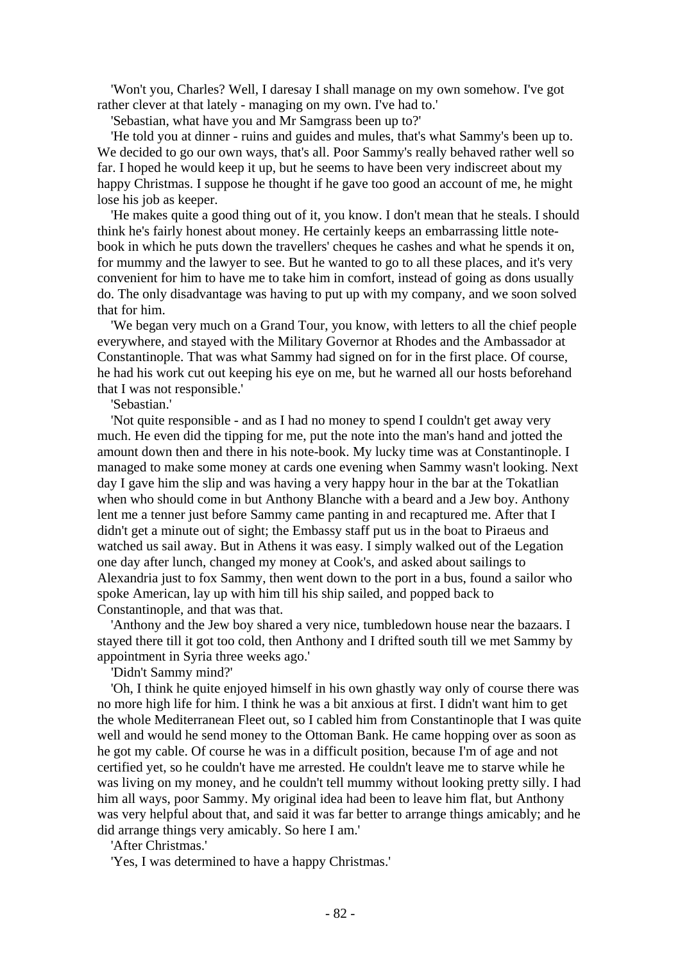'Won't you, Charles? Well, I daresay I shall manage on my own somehow. I've got rather clever at that lately - managing on my own. I've had to.'

'Sebastian, what have you and Mr Samgrass been up to?'

 'He told you at dinner - ruins and guides and mules, that's what Sammy's been up to. We decided to go our own ways, that's all. Poor Sammy's really behaved rather well so far. I hoped he would keep it up, but he seems to have been very indiscreet about my happy Christmas. I suppose he thought if he gave too good an account of me, he might lose his job as keeper.

 'He makes quite a good thing out of it, you know. I don't mean that he steals. I should think he's fairly honest about money. He certainly keeps an embarrassing little notebook in which he puts down the travellers' cheques he cashes and what he spends it on, for mummy and the lawyer to see. But he wanted to go to all these places, and it's very convenient for him to have me to take him in comfort, instead of going as dons usually do. The only disadvantage was having to put up with my company, and we soon solved that for him.

 'We began very much on a Grand Tour, you know, with letters to all the chief people everywhere, and stayed with the Military Governor at Rhodes and the Ambassador at Constantinople. That was what Sammy had signed on for in the first place. Of course, he had his work cut out keeping his eye on me, but he warned all our hosts beforehand that I was not responsible.'

'Sebastian.'

 'Not quite responsible - and as I had no money to spend I couldn't get away very much. He even did the tipping for me, put the note into the man's hand and jotted the amount down then and there in his note-book. My lucky time was at Constantinople. I managed to make some money at cards one evening when Sammy wasn't looking. Next day I gave him the slip and was having a very happy hour in the bar at the Tokatlian when who should come in but Anthony Blanche with a beard and a Jew boy. Anthony lent me a tenner just before Sammy came panting in and recaptured me. After that I didn't get a minute out of sight; the Embassy staff put us in the boat to Piraeus and watched us sail away. But in Athens it was easy. I simply walked out of the Legation one day after lunch, changed my money at Cook's, and asked about sailings to Alexandria just to fox Sammy, then went down to the port in a bus, found a sailor who spoke American, lay up with him till his ship sailed, and popped back to Constantinople, and that was that.

 'Anthony and the Jew boy shared a very nice, tumbledown house near the bazaars. I stayed there till it got too cold, then Anthony and I drifted south till we met Sammy by appointment in Syria three weeks ago.'

'Didn't Sammy mind?'

 'Oh, I think he quite enjoyed himself in his own ghastly way only of course there was no more high life for him. I think he was a bit anxious at first. I didn't want him to get the whole Mediterranean Fleet out, so I cabled him from Constantinople that I was quite well and would he send money to the Ottoman Bank. He came hopping over as soon as he got my cable. Of course he was in a difficult position, because I'm of age and not certified yet, so he couldn't have me arrested. He couldn't leave me to starve while he was living on my money, and he couldn't tell mummy without looking pretty silly. I had him all ways, poor Sammy. My original idea had been to leave him flat, but Anthony was very helpful about that, and said it was far better to arrange things amicably; and he did arrange things very amicably. So here I am.'

'After Christmas.'

'Yes, I was determined to have a happy Christmas.'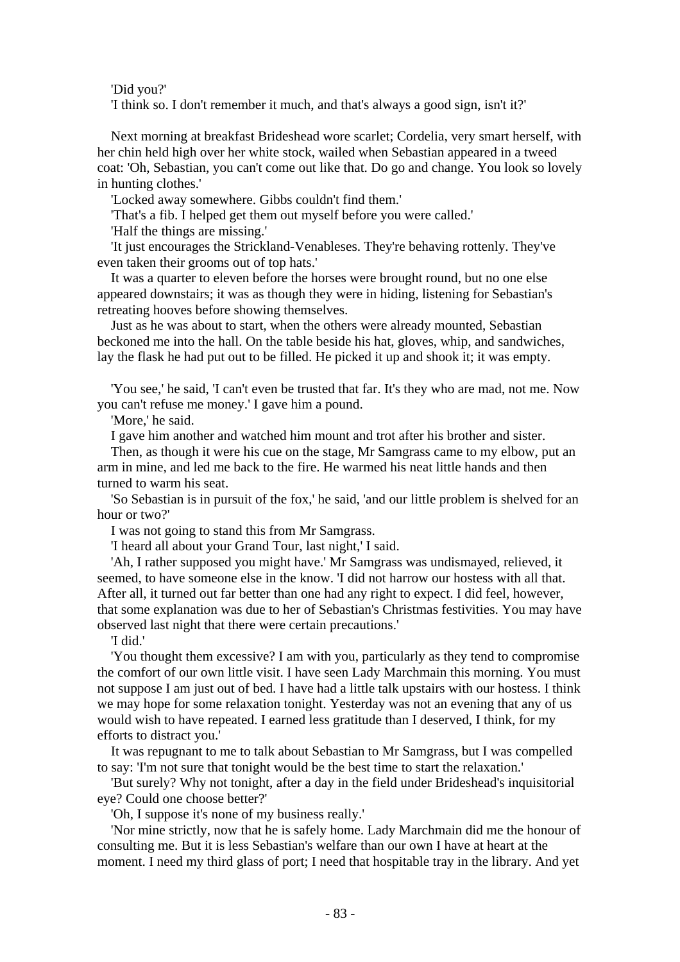'Did you?'

'I think so. I don't remember it much, and that's always a good sign, isn't it?'

 Next morning at breakfast Brideshead wore scarlet; Cordelia, very smart herself, with her chin held high over her white stock, wailed when Sebastian appeared in a tweed coat: 'Oh, Sebastian, you can't come out like that. Do go and change. You look so lovely in hunting clothes.'

'Locked away somewhere. Gibbs couldn't find them.'

'That's a fib. I helped get them out myself before you were called.'

'Half the things are missing.'

 'It just encourages the Strickland-Venableses. They're behaving rottenly. They've even taken their grooms out of top hats.'

 It was a quarter to eleven before the horses were brought round, but no one else appeared downstairs; it was as though they were in hiding, listening for Sebastian's retreating hooves before showing themselves.

 Just as he was about to start, when the others were already mounted, Sebastian beckoned me into the hall. On the table beside his hat, gloves, whip, and sandwiches, lay the flask he had put out to be filled. He picked it up and shook it; it was empty.

 'You see,' he said, 'I can't even be trusted that far. It's they who are mad, not me. Now you can't refuse me money.' I gave him a pound.

'More,' he said.

I gave him another and watched him mount and trot after his brother and sister.

 Then, as though it were his cue on the stage, Mr Samgrass came to my elbow, put an arm in mine, and led me back to the fire. He warmed his neat little hands and then turned to warm his seat.

 'So Sebastian is in pursuit of the fox,' he said, 'and our little problem is shelved for an hour or two?'

I was not going to stand this from Mr Samgrass.

'I heard all about your Grand Tour, last night,' I said.

 'Ah, I rather supposed you might have.' Mr Samgrass was undismayed, relieved, it seemed, to have someone else in the know. 'I did not harrow our hostess with all that. After all, it turned out far better than one had any right to expect. I did feel, however, that some explanation was due to her of Sebastian's Christmas festivities. You may have observed last night that there were certain precautions.'

'I did.'

 'You thought them excessive? I am with you, particularly as they tend to compromise the comfort of our own little visit. I have seen Lady Marchmain this morning. You must not suppose I am just out of bed. I have had a little talk upstairs with our hostess. I think we may hope for some relaxation tonight. Yesterday was not an evening that any of us would wish to have repeated. I earned less gratitude than I deserved, I think, for my efforts to distract you.'

 It was repugnant to me to talk about Sebastian to Mr Samgrass, but I was compelled to say: 'I'm not sure that tonight would be the best time to start the relaxation.'

 'But surely? Why not tonight, after a day in the field under Brideshead's inquisitorial eye? Could one choose better?'

'Oh, I suppose it's none of my business really.'

 'Nor mine strictly, now that he is safely home. Lady Marchmain did me the honour of consulting me. But it is less Sebastian's welfare than our own I have at heart at the moment. I need my third glass of port; I need that hospitable tray in the library. And yet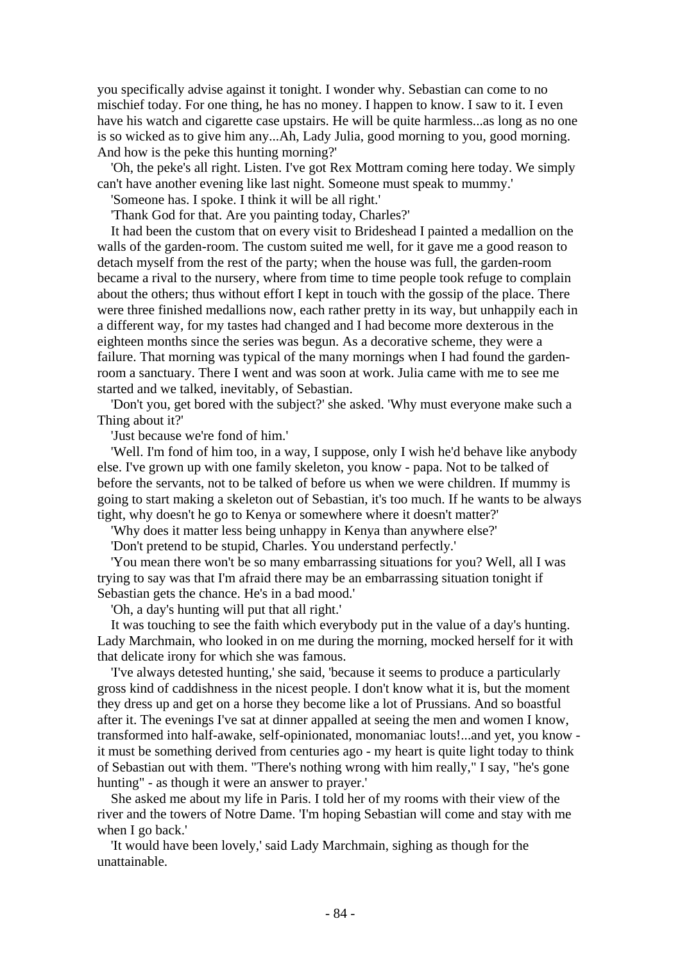you specifically advise against it tonight. I wonder why. Sebastian can come to no mischief today. For one thing, he has no money. I happen to know. I saw to it. I even have his watch and cigarette case upstairs. He will be quite harmless...as long as no one is so wicked as to give him any...Ah, Lady Julia, good morning to you, good morning. And how is the peke this hunting morning?'

 'Oh, the peke's all right. Listen. I've got Rex Mottram coming here today. We simply can't have another evening like last night. Someone must speak to mummy.'

'Someone has. I spoke. I think it will be all right.'

'Thank God for that. Are you painting today, Charles?'

 It had been the custom that on every visit to Brideshead I painted a medallion on the walls of the garden-room. The custom suited me well, for it gave me a good reason to detach myself from the rest of the party; when the house was full, the garden-room became a rival to the nursery, where from time to time people took refuge to complain about the others; thus without effort I kept in touch with the gossip of the place. There were three finished medallions now, each rather pretty in its way, but unhappily each in a different way, for my tastes had changed and I had become more dexterous in the eighteen months since the series was begun. As a decorative scheme, they were a failure. That morning was typical of the many mornings when I had found the gardenroom a sanctuary. There I went and was soon at work. Julia came with me to see me started and we talked, inevitably, of Sebastian.

 'Don't you, get bored with the subject?' she asked. 'Why must everyone make such a Thing about it?'

'Just because we're fond of him.'

 'Well. I'm fond of him too, in a way, I suppose, only I wish he'd behave like anybody else. I've grown up with one family skeleton, you know - papa. Not to be talked of before the servants, not to be talked of before us when we were children. If mummy is going to start making a skeleton out of Sebastian, it's too much. If he wants to be always tight, why doesn't he go to Kenya or somewhere where it doesn't matter?'

'Why does it matter less being unhappy in Kenya than anywhere else?'

'Don't pretend to be stupid, Charles. You understand perfectly.'

 'You mean there won't be so many embarrassing situations for you? Well, all I was trying to say was that I'm afraid there may be an embarrassing situation tonight if Sebastian gets the chance. He's in a bad mood.'

'Oh, a day's hunting will put that all right.'

 It was touching to see the faith which everybody put in the value of a day's hunting. Lady Marchmain, who looked in on me during the morning, mocked herself for it with that delicate irony for which she was famous.

 'I've always detested hunting,' she said, 'because it seems to produce a particularly gross kind of caddishness in the nicest people. I don't know what it is, but the moment they dress up and get on a horse they become like a lot of Prussians. And so boastful after it. The evenings I've sat at dinner appalled at seeing the men and women I know, transformed into half-awake, self-opinionated, monomaniac louts!...and yet, you know it must be something derived from centuries ago - my heart is quite light today to think of Sebastian out with them. "There's nothing wrong with him really," I say, "he's gone hunting" - as though it were an answer to prayer.'

 She asked me about my life in Paris. I told her of my rooms with their view of the river and the towers of Notre Dame. 'I'm hoping Sebastian will come and stay with me when I go back.'

 'It would have been lovely,' said Lady Marchmain, sighing as though for the unattainable.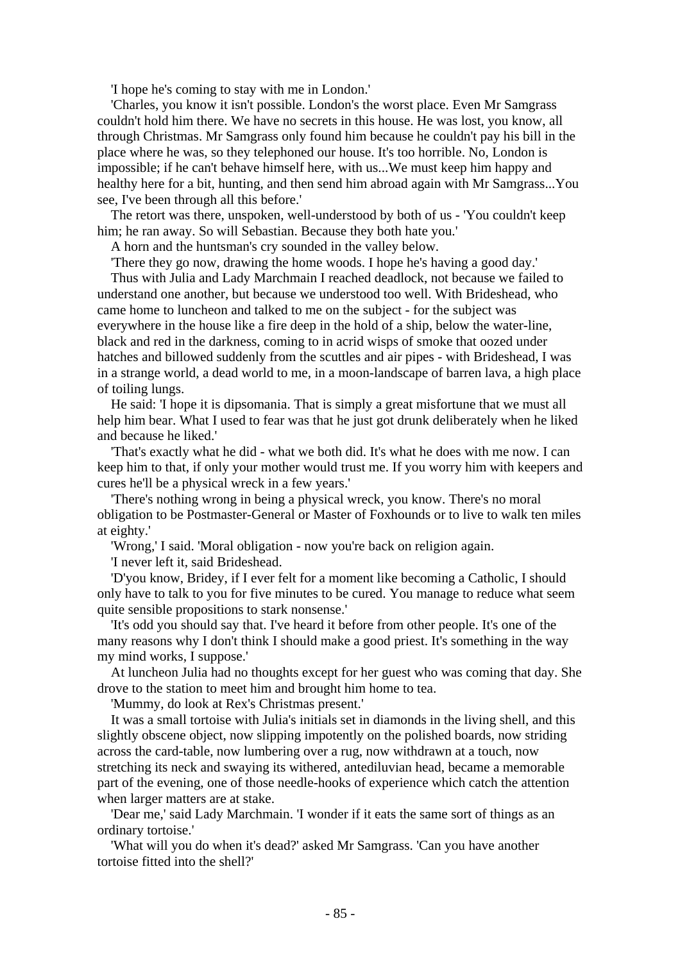'I hope he's coming to stay with me in London.'

 'Charles, you know it isn't possible. London's the worst place. Even Mr Samgrass couldn't hold him there. We have no secrets in this house. He was lost, you know, all through Christmas. Mr Samgrass only found him because he couldn't pay his bill in the place where he was, so they telephoned our house. It's too horrible. No, London is impossible; if he can't behave himself here, with us...We must keep him happy and healthy here for a bit, hunting, and then send him abroad again with Mr Samgrass...You see, I've been through all this before.'

 The retort was there, unspoken, well-understood by both of us - 'You couldn't keep him; he ran away. So will Sebastian. Because they both hate you.'

A horn and the huntsman's cry sounded in the valley below.

'There they go now, drawing the home woods. I hope he's having a good day.'

 Thus with Julia and Lady Marchmain I reached deadlock, not because we failed to understand one another, but because we understood too well. With Brideshead, who came home to luncheon and talked to me on the subject - for the subject was everywhere in the house like a fire deep in the hold of a ship, below the water-line, black and red in the darkness, coming to in acrid wisps of smoke that oozed under hatches and billowed suddenly from the scuttles and air pipes - with Brideshead, I was in a strange world, a dead world to me, in a moon-landscape of barren lava, a high place of toiling lungs.

 He said: 'I hope it is dipsomania. That is simply a great misfortune that we must all help him bear. What I used to fear was that he just got drunk deliberately when he liked and because he liked.'

 'That's exactly what he did - what we both did. It's what he does with me now. I can keep him to that, if only your mother would trust me. If you worry him with keepers and cures he'll be a physical wreck in a few years.'

 'There's nothing wrong in being a physical wreck, you know. There's no moral obligation to be Postmaster-General or Master of Foxhounds or to live to walk ten miles at eighty.'

'Wrong,' I said. 'Moral obligation - now you're back on religion again.

'I never left it, said Brideshead.

 'D'you know, Bridey, if I ever felt for a moment like becoming a Catholic, I should only have to talk to you for five minutes to be cured. You manage to reduce what seem quite sensible propositions to stark nonsense.'

 'It's odd you should say that. I've heard it before from other people. It's one of the many reasons why I don't think I should make a good priest. It's something in the way my mind works, I suppose.'

 At luncheon Julia had no thoughts except for her guest who was coming that day. She drove to the station to meet him and brought him home to tea.

'Mummy, do look at Rex's Christmas present.'

 It was a small tortoise with Julia's initials set in diamonds in the living shell, and this slightly obscene object, now slipping impotently on the polished boards, now striding across the card-table, now lumbering over a rug, now withdrawn at a touch, now stretching its neck and swaying its withered, antediluvian head, became a memorable part of the evening, one of those needle-hooks of experience which catch the attention when larger matters are at stake.

 'Dear me,' said Lady Marchmain. 'I wonder if it eats the same sort of things as an ordinary tortoise.'

 'What will you do when it's dead?' asked Mr Samgrass. 'Can you have another tortoise fitted into the shell?'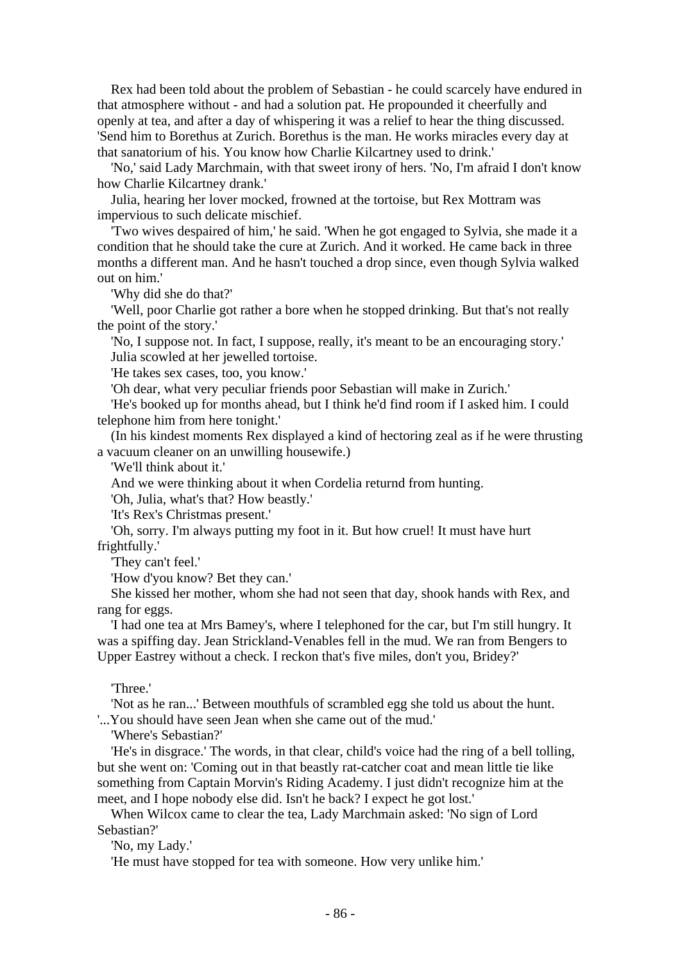Rex had been told about the problem of Sebastian - he could scarcely have endured in that atmosphere without - and had a solution pat. He propounded it cheerfully and openly at tea, and after a day of whispering it was a relief to hear the thing discussed. 'Send him to Borethus at Zurich. Borethus is the man. He works miracles every day at that sanatorium of his. You know how Charlie Kilcartney used to drink.'

 'No,' said Lady Marchmain, with that sweet irony of hers. 'No, I'm afraid I don't know how Charlie Kilcartney drank.'

 Julia, hearing her lover mocked, frowned at the tortoise, but Rex Mottram was impervious to such delicate mischief.

 'Two wives despaired of him,' he said. 'When he got engaged to Sylvia, she made it a condition that he should take the cure at Zurich. And it worked. He came back in three months a different man. And he hasn't touched a drop since, even though Sylvia walked out on him.'

'Why did she do that?'

 'Well, poor Charlie got rather a bore when he stopped drinking. But that's not really the point of the story.'

 'No, I suppose not. In fact, I suppose, really, it's meant to be an encouraging story.' Julia scowled at her jewelled tortoise.

'He takes sex cases, too, you know.'

'Oh dear, what very peculiar friends poor Sebastian will make in Zurich.'

 'He's booked up for months ahead, but I think he'd find room if I asked him. I could telephone him from here tonight.'

 (In his kindest moments Rex displayed a kind of hectoring zeal as if he were thrusting a vacuum cleaner on an unwilling housewife.)

'We'll think about it.'

And we were thinking about it when Cordelia returnd from hunting.

'Oh, Julia, what's that? How beastly.'

'It's Rex's Christmas present.'

 'Oh, sorry. I'm always putting my foot in it. But how cruel! It must have hurt frightfully.'

'They can't feel.'

'How d'you know? Bet they can.'

 She kissed her mother, whom she had not seen that day, shook hands with Rex, and rang for eggs.

 'I had one tea at Mrs Bamey's, where I telephoned for the car, but I'm still hungry. It was a spiffing day. Jean Strickland-Venables fell in the mud. We ran from Bengers to Upper Eastrey without a check. I reckon that's five miles, don't you, Bridey?'

'Three.'

 'Not as he ran...' Between mouthfuls of scrambled egg she told us about the hunt. '...You should have seen Jean when she came out of the mud.'

'Where's Sebastian?'

 'He's in disgrace.' The words, in that clear, child's voice had the ring of a bell tolling, but she went on: 'Coming out in that beastly rat-catcher coat and mean little tie like something from Captain Morvin's Riding Academy. I just didn't recognize him at the meet, and I hope nobody else did. Isn't he back? I expect he got lost.'

 When Wilcox came to clear the tea, Lady Marchmain asked: 'No sign of Lord Sebastian?'

'No, my Lady.'

'He must have stopped for tea with someone. How very unlike him.'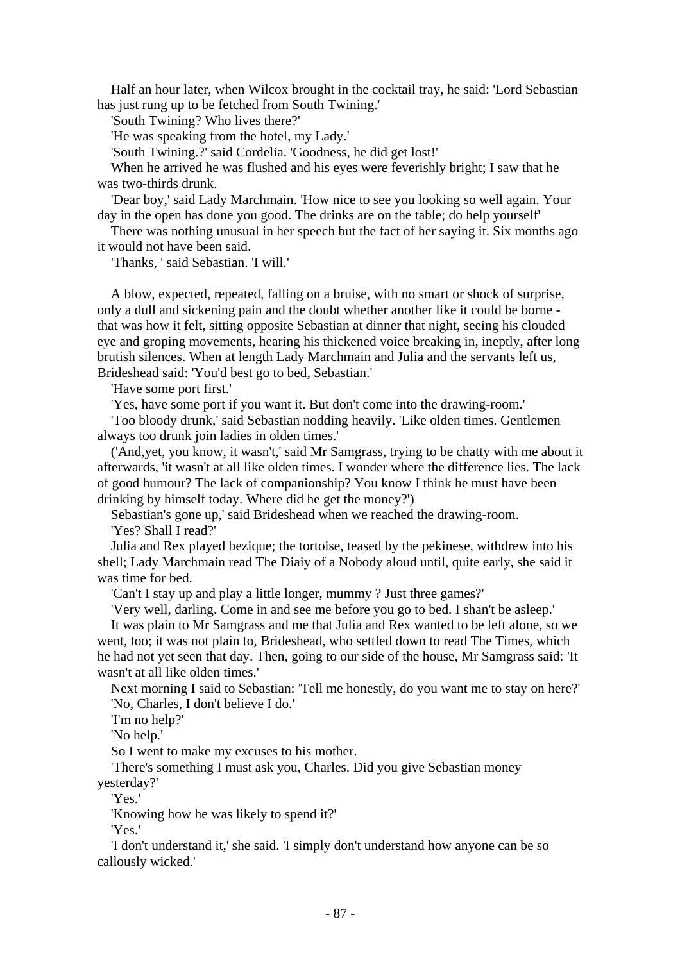Half an hour later, when Wilcox brought in the cocktail tray, he said: 'Lord Sebastian has just rung up to be fetched from South Twining.'

'South Twining? Who lives there?'

'He was speaking from the hotel, my Lady.'

'South Twining.?' said Cordelia. 'Goodness, he did get lost!'

 When he arrived he was flushed and his eyes were feverishly bright; I saw that he was two-thirds drunk.

 'Dear boy,' said Lady Marchmain. 'How nice to see you looking so well again. Your day in the open has done you good. The drinks are on the table; do help yourself'

 There was nothing unusual in her speech but the fact of her saying it. Six months ago it would not have been said.

'Thanks, ' said Sebastian. 'I will.'

 A blow, expected, repeated, falling on a bruise, with no smart or shock of surprise, only a dull and sickening pain and the doubt whether another like it could be borne that was how it felt, sitting opposite Sebastian at dinner that night, seeing his clouded eye and groping movements, hearing his thickened voice breaking in, ineptly, after long brutish silences. When at length Lady Marchmain and Julia and the servants left us, Brideshead said: 'You'd best go to bed, Sebastian.'

'Have some port first.'

'Yes, have some port if you want it. But don't come into the drawing-room.'

 'Too bloody drunk,' said Sebastian nodding heavily. 'Like olden times. Gentlemen always too drunk join ladies in olden times.'

 ('And,yet, you know, it wasn't,' said Mr Samgrass, trying to be chatty with me about it afterwards, 'it wasn't at all like olden times. I wonder where the difference lies. The lack of good humour? The lack of companionship? You know I think he must have been drinking by himself today. Where did he get the money?')

 Sebastian's gone up,' said Brideshead when we reached the drawing-room. 'Yes? Shall I read?'

 Julia and Rex played bezique; the tortoise, teased by the pekinese, withdrew into his shell; Lady Marchmain read The Diaiy of a Nobody aloud until, quite early, she said it was time for bed.

'Can't I stay up and play a little longer, mummy ? Just three games?'

'Very well, darling. Come in and see me before you go to bed. I shan't be asleep.'

 It was plain to Mr Samgrass and me that Julia and Rex wanted to be left alone, so we went, too; it was not plain to, Brideshead, who settled down to read The Times, which he had not yet seen that day. Then, going to our side of the house, Mr Samgrass said: 'It wasn't at all like olden times.'

 Next morning I said to Sebastian: 'Tell me honestly, do you want me to stay on here?' 'No, Charles, I don't believe I do.'

'I'm no help?'

'No help.'

So I went to make my excuses to his mother.

 'There's something I must ask you, Charles. Did you give Sebastian money yesterday?'

'Yes.'

'Knowing how he was likely to spend it?'

'Yes.'

 'I don't understand it,' she said. 'I simply don't understand how anyone can be so callously wicked.'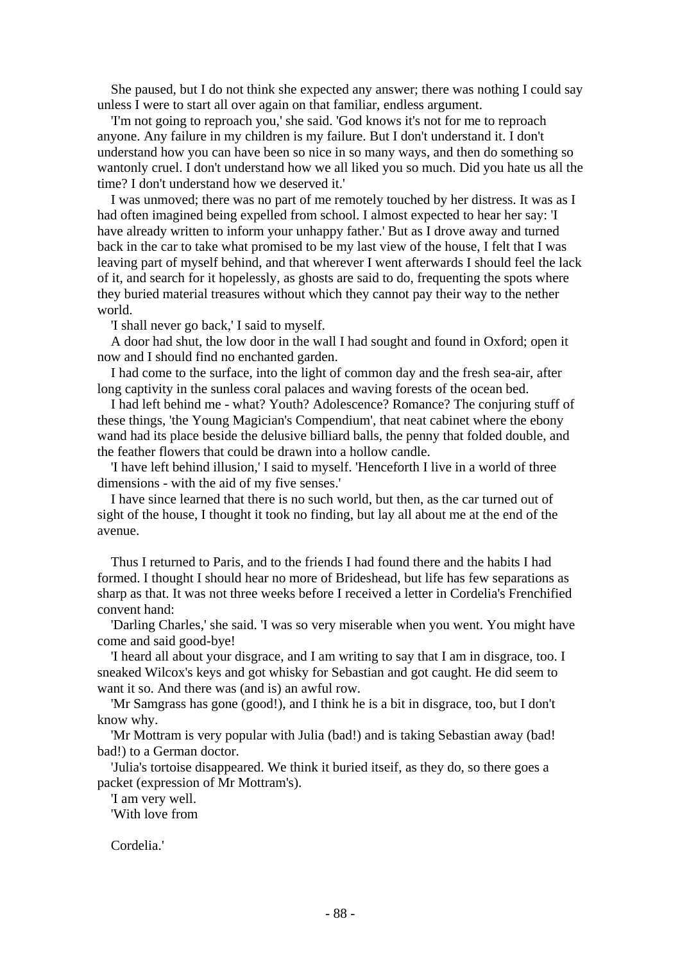She paused, but I do not think she expected any answer; there was nothing I could say unless I were to start all over again on that familiar, endless argument.

 'I'm not going to reproach you,' she said. 'God knows it's not for me to reproach anyone. Any failure in my children is my failure. But I don't understand it. I don't understand how you can have been so nice in so many ways, and then do something so wantonly cruel. I don't understand how we all liked you so much. Did you hate us all the time? I don't understand how we deserved it.'

 I was unmoved; there was no part of me remotely touched by her distress. It was as I had often imagined being expelled from school. I almost expected to hear her say: 'I have already written to inform your unhappy father.' But as I drove away and turned back in the car to take what promised to be my last view of the house, I felt that I was leaving part of myself behind, and that wherever I went afterwards I should feel the lack of it, and search for it hopelessly, as ghosts are said to do, frequenting the spots where they buried material treasures without which they cannot pay their way to the nether world.

'I shall never go back,' I said to myself.

 A door had shut, the low door in the wall I had sought and found in Oxford; open it now and I should find no enchanted garden.

 I had come to the surface, into the light of common day and the fresh sea-air, after long captivity in the sunless coral palaces and waving forests of the ocean bed.

 I had left behind me - what? Youth? Adolescence? Romance? The conjuring stuff of these things, 'the Young Magician's Compendium', that neat cabinet where the ebony wand had its place beside the delusive billiard balls, the penny that folded double, and the feather flowers that could be drawn into a hollow candle.

 'I have left behind illusion,' I said to myself. 'Henceforth I live in a world of three dimensions - with the aid of my five senses.'

 I have since learned that there is no such world, but then, as the car turned out of sight of the house, I thought it took no finding, but lay all about me at the end of the avenue.

 Thus I returned to Paris, and to the friends I had found there and the habits I had formed. I thought I should hear no more of Brideshead, but life has few separations as sharp as that. It was not three weeks before I received a letter in Cordelia's Frenchified convent hand:

 'Darling Charles,' she said. 'I was so very miserable when you went. You might have come and said good-bye!

 'I heard all about your disgrace, and I am writing to say that I am in disgrace, too. I sneaked Wilcox's keys and got whisky for Sebastian and got caught. He did seem to want it so. And there was (and is) an awful row.

 'Mr Samgrass has gone (good!), and I think he is a bit in disgrace, too, but I don't know why.

 'Mr Mottram is very popular with Julia (bad!) and is taking Sebastian away (bad! bad!) to a German doctor.

 'Julia's tortoise disappeared. We think it buried itseif, as they do, so there goes a packet (expression of Mr Mottram's).

'I am very well.

'With love from

Cordelia.'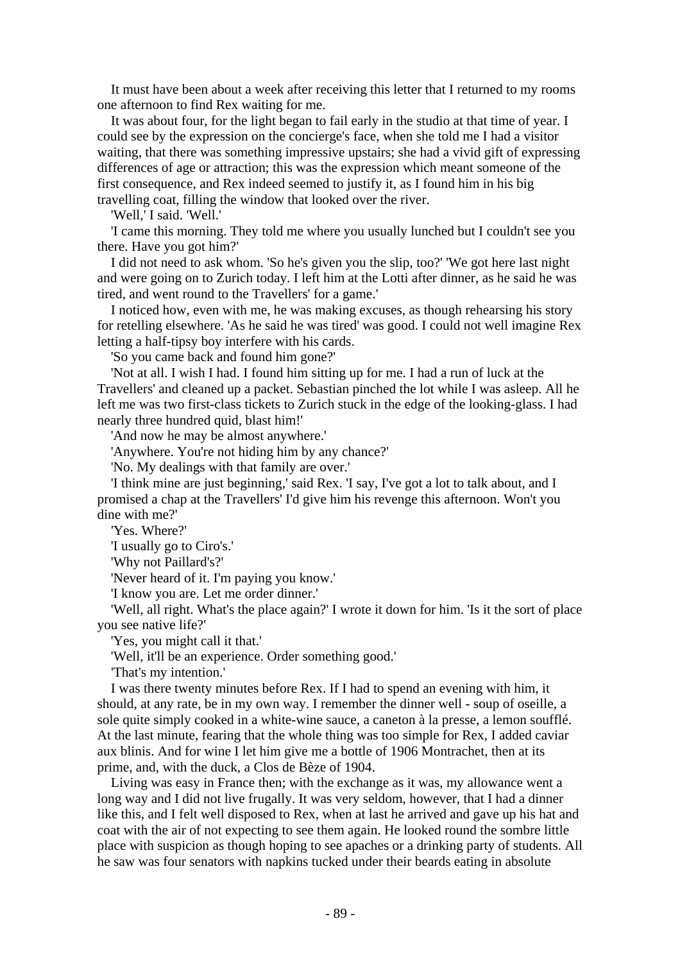It must have been about a week after receiving this letter that I returned to my rooms one afternoon to find Rex waiting for me.

 It was about four, for the light began to fail early in the studio at that time of year. I could see by the expression on the concierge's face, when she told me I had a visitor waiting, that there was something impressive upstairs; she had a vivid gift of expressing differences of age or attraction; this was the expression which meant someone of the first consequence, and Rex indeed seemed to justify it, as I found him in his big travelling coat, filling the window that looked over the river.

'Well,' I said. 'Well.'

 'I came this morning. They told me where you usually lunched but I couldn't see you there. Have you got him?'

 I did not need to ask whom. 'So he's given you the slip, too?' 'We got here last night and were going on to Zurich today. I left him at the Lotti after dinner, as he said he was tired, and went round to the Travellers' for a game.'

 I noticed how, even with me, he was making excuses, as though rehearsing his story for retelling elsewhere. 'As he said he was tired' was good. I could not well imagine Rex letting a half-tipsy boy interfere with his cards.

'So you came back and found him gone?'

 'Not at all. I wish I had. I found him sitting up for me. I had a run of luck at the Travellers' and cleaned up a packet. Sebastian pinched the lot while I was asleep. All he left me was two first-class tickets to Zurich stuck in the edge of the looking-glass. I had nearly three hundred quid, blast him!'

'And now he may be almost anywhere.'

'Anywhere. You're not hiding him by any chance?'

'No. My dealings with that family are over.'

 'I think mine are just beginning,' said Rex. 'I say, I've got a lot to talk about, and I promised a chap at the Travellers' I'd give him his revenge this afternoon. Won't you dine with me?'

'Yes. Where?'

'I usually go to Ciro's.'

'Why not Paillard's?'

'Never heard of it. I'm paying you know.'

'I know you are. Let me order dinner.'

 'Well, all right. What's the place again?' I wrote it down for him. 'Is it the sort of place you see native life?'

'Yes, you might call it that.'

'Well, it'll be an experience. Order something good.'

'That's my intention.'

 I was there twenty minutes before Rex. If I had to spend an evening with him, it should, at any rate, be in my own way. I remember the dinner well - soup of oseille, a sole quite simply cooked in a white-wine sauce, a caneton à la presse, a lemon soufflé. At the last minute, fearing that the whole thing was too simple for Rex, I added caviar aux blinis. And for wine I let him give me a bottle of 1906 Montrachet, then at its prime, and, with the duck, a Clos de Bèze of 1904.

 Living was easy in France then; with the exchange as it was, my allowance went a long way and I did not live frugally. It was very seldom, however, that I had a dinner like this, and I felt well disposed to Rex, when at last he arrived and gave up his hat and coat with the air of not expecting to see them again. He looked round the sombre little place with suspicion as though hoping to see apaches or a drinking party of students. All he saw was four senators with napkins tucked under their beards eating in absolute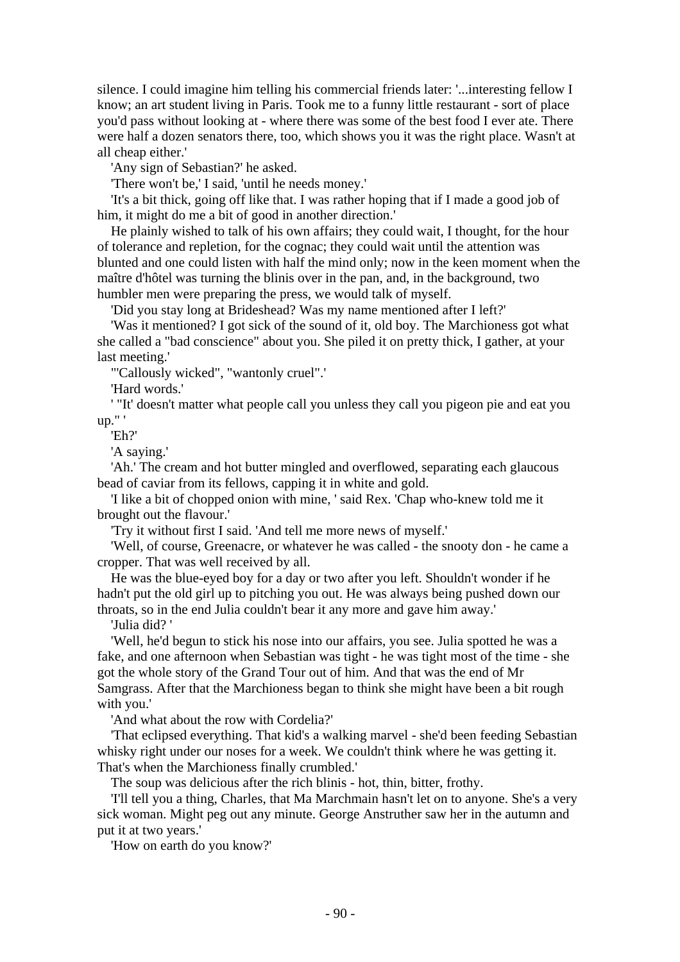silence. I could imagine him telling his commercial friends later: '...interesting fellow I know; an art student living in Paris. Took me to a funny little restaurant - sort of place you'd pass without looking at - where there was some of the best food I ever ate. There were half a dozen senators there, too, which shows you it was the right place. Wasn't at all cheap either.'

'Any sign of Sebastian?' he asked.

'There won't be,' I said, 'until he needs money.'

 'It's a bit thick, going off like that. I was rather hoping that if I made a good job of him, it might do me a bit of good in another direction.'

 He plainly wished to talk of his own affairs; they could wait, I thought, for the hour of tolerance and repletion, for the cognac; they could wait until the attention was blunted and one could listen with half the mind only; now in the keen moment when the maître d'hôtel was turning the blinis over in the pan, and, in the background, two humbler men were preparing the press, we would talk of myself.

'Did you stay long at Brideshead? Was my name mentioned after I left?'

 'Was it mentioned? I got sick of the sound of it, old boy. The Marchioness got what she called a "bad conscience" about you. She piled it on pretty thick, I gather, at your last meeting.'

"'Callously wicked", "wantonly cruel".'

'Hard words.'

 ' "It' doesn't matter what people call you unless they call you pigeon pie and eat you up." '

'Eh?'

'A saying.'

 'Ah.' The cream and hot butter mingled and overflowed, separating each glaucous bead of caviar from its fellows, capping it in white and gold.

 'I like a bit of chopped onion with mine, ' said Rex. 'Chap who-knew told me it brought out the flavour.'

'Try it without first I said. 'And tell me more news of myself.'

 'Well, of course, Greenacre, or whatever he was called - the snooty don - he came a cropper. That was well received by all.

 He was the blue-eyed boy for a day or two after you left. Shouldn't wonder if he hadn't put the old girl up to pitching you out. He was always being pushed down our throats, so in the end Julia couldn't bear it any more and gave him away.'

'Julia did? '

 'Well, he'd begun to stick his nose into our affairs, you see. Julia spotted he was a fake, and one afternoon when Sebastian was tight - he was tight most of the time - she got the whole story of the Grand Tour out of him. And that was the end of Mr Samgrass. After that the Marchioness began to think she might have been a bit rough with you.'

'And what about the row with Cordelia?'

 'That eclipsed everything. That kid's a walking marvel - she'd been feeding Sebastian whisky right under our noses for a week. We couldn't think where he was getting it. That's when the Marchioness finally crumbled.'

The soup was delicious after the rich blinis - hot, thin, bitter, frothy.

 'I'll tell you a thing, Charles, that Ma Marchmain hasn't let on to anyone. She's a very sick woman. Might peg out any minute. George Anstruther saw her in the autumn and put it at two years.'

'How on earth do you know?'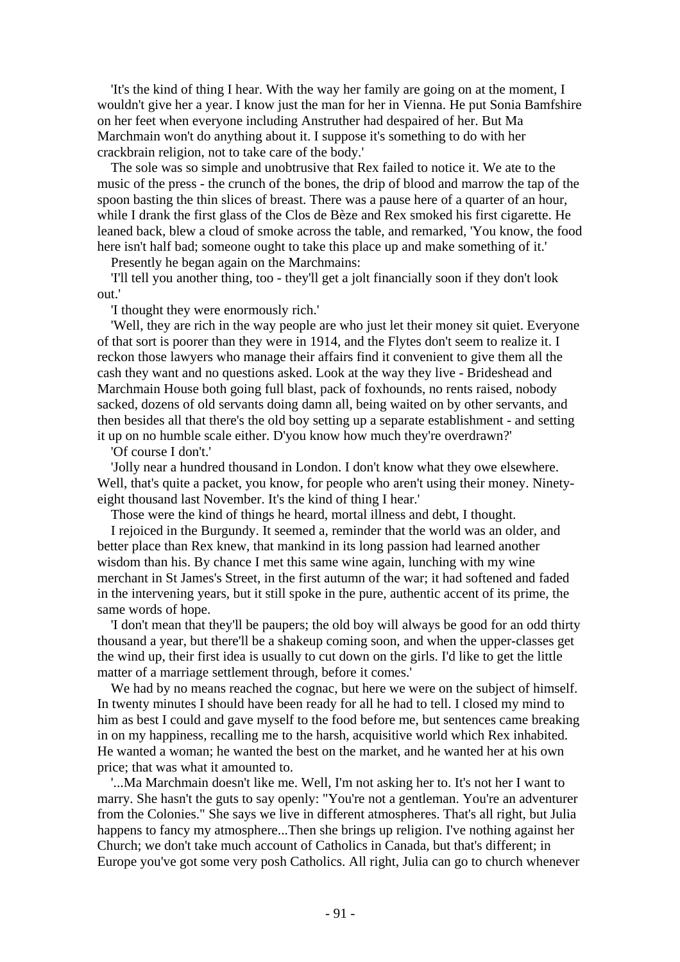'It's the kind of thing I hear. With the way her family are going on at the moment, I wouldn't give her a year. I know just the man for her in Vienna. He put Sonia Bamfshire on her feet when everyone including Anstruther had despaired of her. But Ma Marchmain won't do anything about it. I suppose it's something to do with her crackbrain religion, not to take care of the body.'

 The sole was so simple and unobtrusive that Rex failed to notice it. We ate to the music of the press - the crunch of the bones, the drip of blood and marrow the tap of the spoon basting the thin slices of breast. There was a pause here of a quarter of an hour, while I drank the first glass of the Clos de Bèze and Rex smoked his first cigarette. He leaned back, blew a cloud of smoke across the table, and remarked, 'You know, the food here isn't half bad; someone ought to take this place up and make something of it.'

Presently he began again on the Marchmains:

 'I'll tell you another thing, too - they'll get a jolt financially soon if they don't look out.'

'I thought they were enormously rich.'

 'Well, they are rich in the way people are who just let their money sit quiet. Everyone of that sort is poorer than they were in 1914, and the Flytes don't seem to realize it. I reckon those lawyers who manage their affairs find it convenient to give them all the cash they want and no questions asked. Look at the way they live - Brideshead and Marchmain House both going full blast, pack of foxhounds, no rents raised, nobody sacked, dozens of old servants doing damn all, being waited on by other servants, and then besides all that there's the old boy setting up a separate establishment - and setting it up on no humble scale either. D'you know how much they're overdrawn?'

'Of course I don't.'

 'Jolly near a hundred thousand in London. I don't know what they owe elsewhere. Well, that's quite a packet, you know, for people who aren't using their money. Ninetyeight thousand last November. It's the kind of thing I hear.'

Those were the kind of things he heard, mortal illness and debt, I thought.

 I rejoiced in the Burgundy. It seemed a, reminder that the world was an older, and better place than Rex knew, that mankind in its long passion had learned another wisdom than his. By chance I met this same wine again, lunching with my wine merchant in St James's Street, in the first autumn of the war; it had softened and faded in the intervening years, but it still spoke in the pure, authentic accent of its prime, the same words of hope.

 'I don't mean that they'll be paupers; the old boy will always be good for an odd thirty thousand a year, but there'll be a shakeup coming soon, and when the upper-classes get the wind up, their first idea is usually to cut down on the girls. I'd like to get the little matter of a marriage settlement through, before it comes.'

 We had by no means reached the cognac, but here we were on the subject of himself. In twenty minutes I should have been ready for all he had to tell. I closed my mind to him as best I could and gave myself to the food before me, but sentences came breaking in on my happiness, recalling me to the harsh, acquisitive world which Rex inhabited. He wanted a woman; he wanted the best on the market, and he wanted her at his own price; that was what it amounted to.

 '...Ma Marchmain doesn't like me. Well, I'm not asking her to. It's not her I want to marry. She hasn't the guts to say openly: "You're not a gentleman. You're an adventurer from the Colonies." She says we live in different atmospheres. That's all right, but Julia happens to fancy my atmosphere...Then she brings up religion. I've nothing against her Church; we don't take much account of Catholics in Canada, but that's different; in Europe you've got some very posh Catholics. All right, Julia can go to church whenever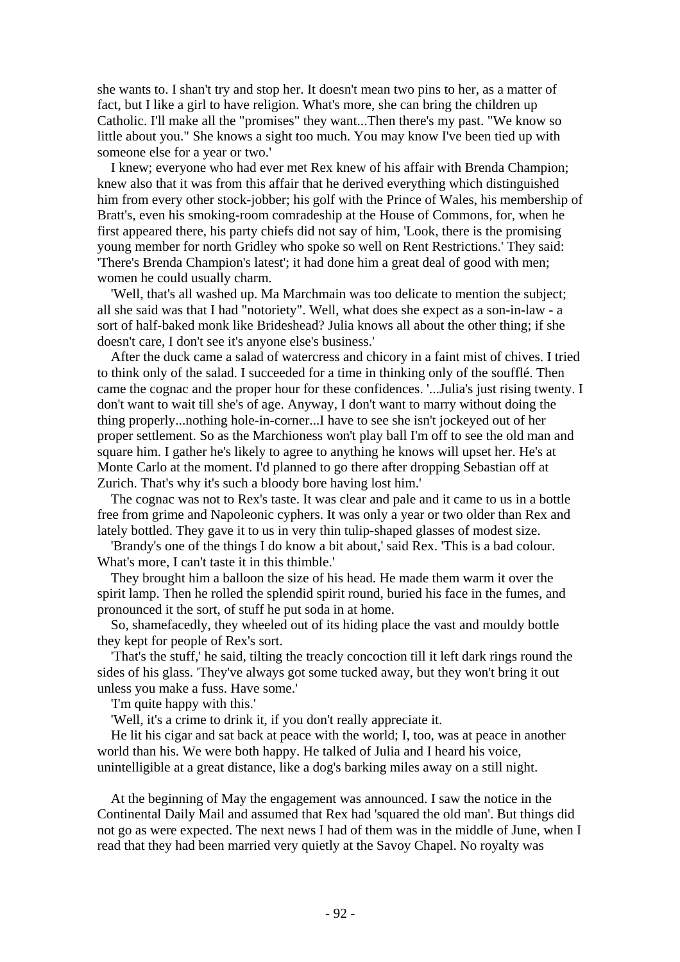she wants to. I shan't try and stop her. It doesn't mean two pins to her, as a matter of fact, but I like a girl to have religion. What's more, she can bring the children up Catholic. I'll make all the "promises" they want...Then there's my past. "We know so little about you." She knows a sight too much. You may know I've been tied up with someone else for a year or two.'

 I knew; everyone who had ever met Rex knew of his affair with Brenda Champion; knew also that it was from this affair that he derived everything which distinguished him from every other stock-jobber; his golf with the Prince of Wales, his membership of Bratt's, even his smoking-room comradeship at the House of Commons, for, when he first appeared there, his party chiefs did not say of him, 'Look, there is the promising young member for north Gridley who spoke so well on Rent Restrictions.' They said: 'There's Brenda Champion's latest'; it had done him a great deal of good with men; women he could usually charm.

 'Well, that's all washed up. Ma Marchmain was too delicate to mention the subject; all she said was that I had "notoriety". Well, what does she expect as a son-in-law - a sort of half-baked monk like Brideshead? Julia knows all about the other thing; if she doesn't care, I don't see it's anyone else's business.'

 After the duck came a salad of watercress and chicory in a faint mist of chives. I tried to think only of the salad. I succeeded for a time in thinking only of the soufflé. Then came the cognac and the proper hour for these confidences. '...Julia's just rising twenty. I don't want to wait till she's of age. Anyway, I don't want to marry without doing the thing properly...nothing hole-in-corner...I have to see she isn't jockeyed out of her proper settlement. So as the Marchioness won't play ball I'm off to see the old man and square him. I gather he's likely to agree to anything he knows will upset her. He's at Monte Carlo at the moment. I'd planned to go there after dropping Sebastian off at Zurich. That's why it's such a bloody bore having lost him.'

 The cognac was not to Rex's taste. It was clear and pale and it came to us in a bottle free from grime and Napoleonic cyphers. It was only a year or two older than Rex and lately bottled. They gave it to us in very thin tulip-shaped glasses of modest size.

 'Brandy's one of the things I do know a bit about,' said Rex. 'This is a bad colour. What's more, I can't taste it in this thimble.'

 They brought him a balloon the size of his head. He made them warm it over the spirit lamp. Then he rolled the splendid spirit round, buried his face in the fumes, and pronounced it the sort, of stuff he put soda in at home.

 So, shamefacedly, they wheeled out of its hiding place the vast and mouldy bottle they kept for people of Rex's sort.

 'That's the stuff,' he said, tilting the treacly concoction till it left dark rings round the sides of his glass. 'They've always got some tucked away, but they won't bring it out unless you make a fuss. Have some.'

'I'm quite happy with this.'

'Well, it's a crime to drink it, if you don't really appreciate it.

 He lit his cigar and sat back at peace with the world; I, too, was at peace in another world than his. We were both happy. He talked of Julia and I heard his voice, unintelligible at a great distance, like a dog's barking miles away on a still night.

 At the beginning of May the engagement was announced. I saw the notice in the Continental Daily Mail and assumed that Rex had 'squared the old man'. But things did not go as were expected. The next news I had of them was in the middle of June, when I read that they had been married very quietly at the Savoy Chapel. No royalty was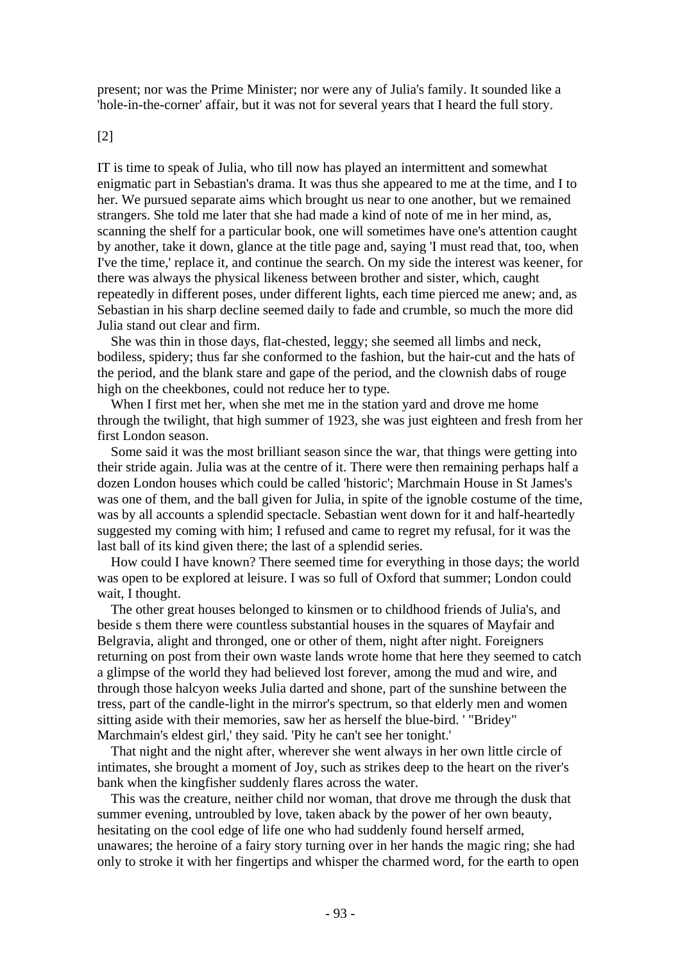present; nor was the Prime Minister; nor were any of Julia's family. It sounded like a 'hole-in-the-corner' affair, but it was not for several years that I heard the full story.

[2]

IT is time to speak of Julia, who till now has played an intermittent and somewhat enigmatic part in Sebastian's drama. It was thus she appeared to me at the time, and I to her. We pursued separate aims which brought us near to one another, but we remained strangers. She told me later that she had made a kind of note of me in her mind, as, scanning the shelf for a particular book, one will sometimes have one's attention caught by another, take it down, glance at the title page and, saying 'I must read that, too, when I've the time,' replace it, and continue the search. On my side the interest was keener, for there was always the physical likeness between brother and sister, which, caught repeatedly in different poses, under different lights, each time pierced me anew; and, as Sebastian in his sharp decline seemed daily to fade and crumble, so much the more did Julia stand out clear and firm.

 She was thin in those days, flat-chested, leggy; she seemed all limbs and neck, bodiless, spidery; thus far she conformed to the fashion, but the hair-cut and the hats of the period, and the blank stare and gape of the period, and the clownish dabs of rouge high on the cheekbones, could not reduce her to type.

 When I first met her, when she met me in the station yard and drove me home through the twilight, that high summer of 1923, she was just eighteen and fresh from her first London season.

 Some said it was the most brilliant season since the war, that things were getting into their stride again. Julia was at the centre of it. There were then remaining perhaps half a dozen London houses which could be called 'historic'; Marchmain House in St James's was one of them, and the ball given for Julia, in spite of the ignoble costume of the time, was by all accounts a splendid spectacle. Sebastian went down for it and half-heartedly suggested my coming with him; I refused and came to regret my refusal, for it was the last ball of its kind given there; the last of a splendid series.

 How could I have known? There seemed time for everything in those days; the world was open to be explored at leisure. I was so full of Oxford that summer; London could wait, I thought.

 The other great houses belonged to kinsmen or to childhood friends of Julia's, and beside s them there were countless substantial houses in the squares of Mayfair and Belgravia, alight and thronged, one or other of them, night after night. Foreigners returning on post from their own waste lands wrote home that here they seemed to catch a glimpse of the world they had believed lost forever, among the mud and wire, and through those halcyon weeks Julia darted and shone, part of the sunshine between the tress, part of the candle-light in the mirror's spectrum, so that elderly men and women sitting aside with their memories, saw her as herself the blue-bird. ' "Bridey" Marchmain's eldest girl,' they said. 'Pity he can't see her tonight.'

 That night and the night after, wherever she went always in her own little circle of intimates, she brought a moment of Joy, such as strikes deep to the heart on the river's bank when the kingfisher suddenly flares across the water.

 This was the creature, neither child nor woman, that drove me through the dusk that summer evening, untroubled by love, taken aback by the power of her own beauty, hesitating on the cool edge of life one who had suddenly found herself armed, unawares; the heroine of a fairy story turning over in her hands the magic ring; she had only to stroke it with her fingertips and whisper the charmed word, for the earth to open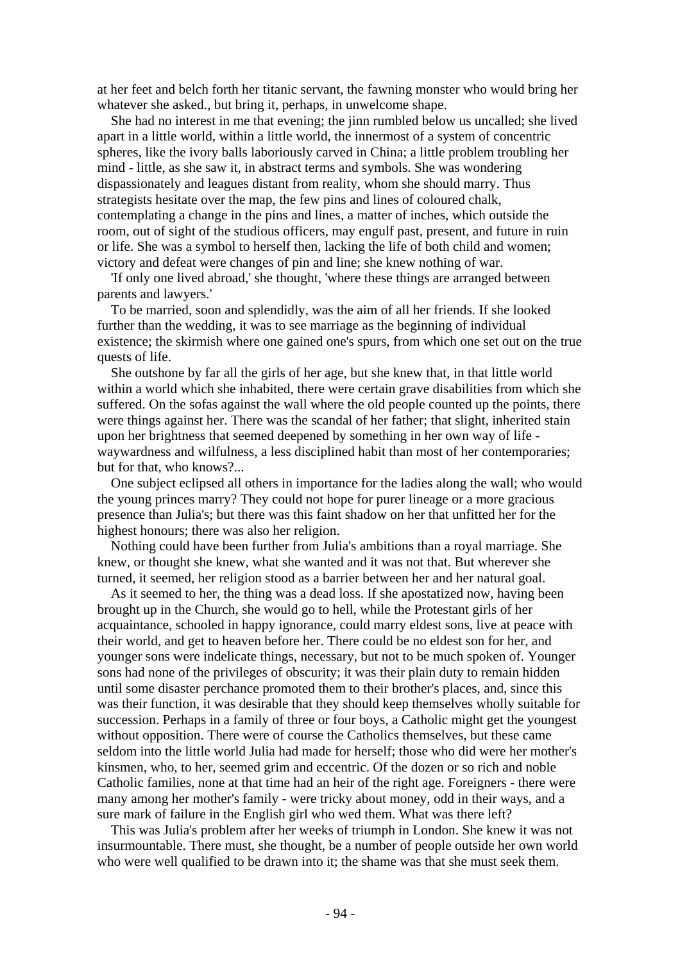at her feet and belch forth her titanic servant, the fawning monster who would bring her whatever she asked., but bring it, perhaps, in unwelcome shape.

 She had no interest in me that evening; the jinn rumbled below us uncalled; she lived apart in a little world, within a little world, the innermost of a system of concentric spheres, like the ivory balls laboriously carved in China; a little problem troubling her mind - little, as she saw it, in abstract terms and symbols. She was wondering dispassionately and leagues distant from reality, whom she should marry. Thus strategists hesitate over the map, the few pins and lines of coloured chalk, contemplating a change in the pins and lines, a matter of inches, which outside the room, out of sight of the studious officers, may engulf past, present, and future in ruin or life. She was a symbol to herself then, lacking the life of both child and women; victory and defeat were changes of pin and line; she knew nothing of war.

 'If only one lived abroad,' she thought, 'where these things are arranged between parents and lawyers.'

 To be married, soon and splendidly, was the aim of all her friends. If she looked further than the wedding, it was to see marriage as the beginning of individual existence; the skirmish where one gained one's spurs, from which one set out on the true quests of life.

 She outshone by far all the girls of her age, but she knew that, in that little world within a world which she inhabited, there were certain grave disabilities from which she suffered. On the sofas against the wall where the old people counted up the points, there were things against her. There was the scandal of her father; that slight, inherited stain upon her brightness that seemed deepened by something in her own way of life waywardness and wilfulness, a less disciplined habit than most of her contemporaries; but for that, who knows?...

 One subject eclipsed all others in importance for the ladies along the wall; who would the young princes marry? They could not hope for purer lineage or a more gracious presence than Julia's; but there was this faint shadow on her that unfitted her for the highest honours; there was also her religion.

 Nothing could have been further from Julia's ambitions than a royal marriage. She knew, or thought she knew, what she wanted and it was not that. But wherever she turned, it seemed, her religion stood as a barrier between her and her natural goal.

 As it seemed to her, the thing was a dead loss. If she apostatized now, having been brought up in the Church, she would go to hell, while the Protestant girls of her acquaintance, schooled in happy ignorance, could marry eldest sons, live at peace with their world, and get to heaven before her. There could be no eldest son for her, and younger sons were indelicate things, necessary, but not to be much spoken of. Younger sons had none of the privileges of obscurity; it was their plain duty to remain hidden until some disaster perchance promoted them to their brother's places, and, since this was their function, it was desirable that they should keep themselves wholly suitable for succession. Perhaps in a family of three or four boys, a Catholic might get the youngest without opposition. There were of course the Catholics themselves, but these came seldom into the little world Julia had made for herself; those who did were her mother's kinsmen, who, to her, seemed grim and eccentric. Of the dozen or so rich and noble Catholic families, none at that time had an heir of the right age. Foreigners - there were many among her mother's family - were tricky about money, odd in their ways, and a sure mark of failure in the English girl who wed them. What was there left?

 This was Julia's problem after her weeks of triumph in London. She knew it was not insurmountable. There must, she thought, be a number of people outside her own world who were well qualified to be drawn into it; the shame was that she must seek them.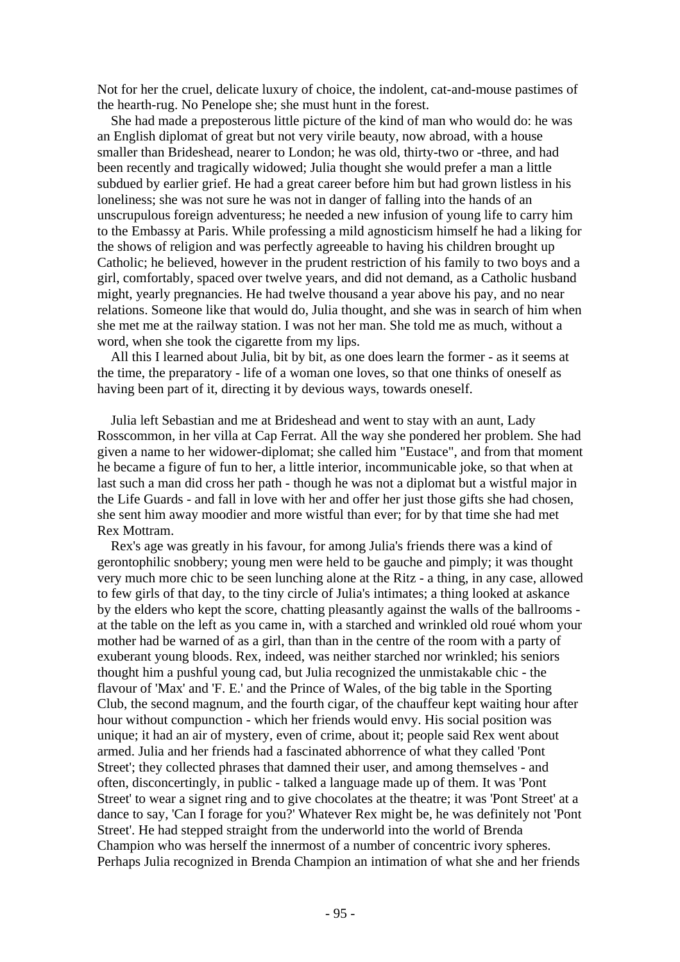Not for her the cruel, delicate luxury of choice, the indolent, cat-and-mouse pastimes of the hearth-rug. No Penelope she; she must hunt in the forest.

 She had made a preposterous little picture of the kind of man who would do: he was an English diplomat of great but not very virile beauty, now abroad, with a house smaller than Brideshead, nearer to London; he was old, thirty-two or -three, and had been recently and tragically widowed; Julia thought she would prefer a man a little subdued by earlier grief. He had a great career before him but had grown listless in his loneliness; she was not sure he was not in danger of falling into the hands of an unscrupulous foreign adventuress; he needed a new infusion of young life to carry him to the Embassy at Paris. While professing a mild agnosticism himself he had a liking for the shows of religion and was perfectly agreeable to having his children brought up Catholic; he believed, however in the prudent restriction of his family to two boys and a girl, comfortably, spaced over twelve years, and did not demand, as a Catholic husband might, yearly pregnancies. He had twelve thousand a year above his pay, and no near relations. Someone like that would do, Julia thought, and she was in search of him when she met me at the railway station. I was not her man. She told me as much, without a word, when she took the cigarette from my lips.

 All this I learned about Julia, bit by bit, as one does learn the former - as it seems at the time, the preparatory - life of a woman one loves, so that one thinks of oneself as having been part of it, directing it by devious ways, towards oneself.

 Julia left Sebastian and me at Brideshead and went to stay with an aunt, Lady Rosscommon, in her villa at Cap Ferrat. All the way she pondered her problem. She had given a name to her widower-diplomat; she called him "Eustace", and from that moment he became a figure of fun to her, a little interior, incommunicable joke, so that when at last such a man did cross her path - though he was not a diplomat but a wistful major in the Life Guards - and fall in love with her and offer her just those gifts she had chosen, she sent him away moodier and more wistful than ever; for by that time she had met Rex Mottram.

 Rex's age was greatly in his favour, for among Julia's friends there was a kind of gerontophilic snobbery; young men were held to be gauche and pimply; it was thought very much more chic to be seen lunching alone at the Ritz - a thing, in any case, allowed to few girls of that day, to the tiny circle of Julia's intimates; a thing looked at askance by the elders who kept the score, chatting pleasantly against the walls of the ballrooms at the table on the left as you came in, with a starched and wrinkled old roué whom your mother had be warned of as a girl, than than in the centre of the room with a party of exuberant young bloods. Rex, indeed, was neither starched nor wrinkled; his seniors thought him a pushful young cad, but Julia recognized the unmistakable chic - the flavour of 'Max' and 'F. E.' and the Prince of Wales, of the big table in the Sporting Club, the second magnum, and the fourth cigar, of the chauffeur kept waiting hour after hour without compunction - which her friends would envy. His social position was unique; it had an air of mystery, even of crime, about it; people said Rex went about armed. Julia and her friends had a fascinated abhorrence of what they called 'Pont Street'; they collected phrases that damned their user, and among themselves - and often, disconcertingly, in public - talked a language made up of them. It was 'Pont Street' to wear a signet ring and to give chocolates at the theatre; it was 'Pont Street' at a dance to say, 'Can I forage for you?' Whatever Rex might be, he was definitely not 'Pont Street'. He had stepped straight from the underworld into the world of Brenda Champion who was herself the innermost of a number of concentric ivory spheres. Perhaps Julia recognized in Brenda Champion an intimation of what she and her friends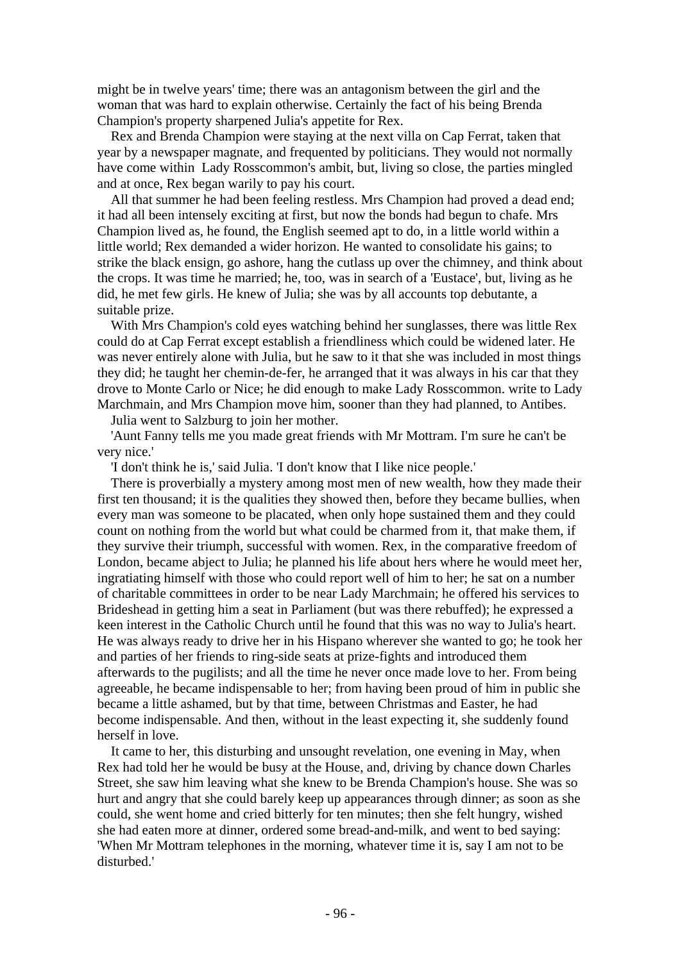might be in twelve years' time; there was an antagonism between the girl and the woman that was hard to explain otherwise. Certainly the fact of his being Brenda Champion's property sharpened Julia's appetite for Rex.

 Rex and Brenda Champion were staying at the next villa on Cap Ferrat, taken that year by a newspaper magnate, and frequented by politicians. They would not normally have come within Lady Rosscommon's ambit, but, living so close, the parties mingled and at once, Rex began warily to pay his court.

 All that summer he had been feeling restless. Mrs Champion had proved a dead end; it had all been intensely exciting at first, but now the bonds had begun to chafe. Mrs Champion lived as, he found, the English seemed apt to do, in a little world within a little world; Rex demanded a wider horizon. He wanted to consolidate his gains; to strike the black ensign, go ashore, hang the cutlass up over the chimney, and think about the crops. It was time he married; he, too, was in search of a 'Eustace', but, living as he did, he met few girls. He knew of Julia; she was by all accounts top debutante, a suitable prize.

 With Mrs Champion's cold eyes watching behind her sunglasses, there was little Rex could do at Cap Ferrat except establish a friendliness which could be widened later. He was never entirely alone with Julia, but he saw to it that she was included in most things they did; he taught her chemin-de-fer, he arranged that it was always in his car that they drove to Monte Carlo or Nice; he did enough to make Lady Rosscommon. write to Lady Marchmain, and Mrs Champion move him, sooner than they had planned, to Antibes.

Julia went to Salzburg to join her mother.

 'Aunt Fanny tells me you made great friends with Mr Mottram. I'm sure he can't be very nice.'

'I don't think he is,' said Julia. 'I don't know that I like nice people.'

 There is proverbially a mystery among most men of new wealth, how they made their first ten thousand; it is the qualities they showed then, before they became bullies, when every man was someone to be placated, when only hope sustained them and they could count on nothing from the world but what could be charmed from it, that make them, if they survive their triumph, successful with women. Rex, in the comparative freedom of London, became abject to Julia; he planned his life about hers where he would meet her, ingratiating himself with those who could report well of him to her; he sat on a number of charitable committees in order to be near Lady Marchmain; he offered his services to Brideshead in getting him a seat in Parliament (but was there rebuffed); he expressed a keen interest in the Catholic Church until he found that this was no way to Julia's heart. He was always ready to drive her in his Hispano wherever she wanted to go; he took her and parties of her friends to ring-side seats at prize-fights and introduced them afterwards to the pugilists; and all the time he never once made love to her. From being agreeable, he became indispensable to her; from having been proud of him in public she became a little ashamed, but by that time, between Christmas and Easter, he had become indispensable. And then, without in the least expecting it, she suddenly found herself in love.

 It came to her, this disturbing and unsought revelation, one evening in May, when Rex had told her he would be busy at the House, and, driving by chance down Charles Street, she saw him leaving what she knew to be Brenda Champion's house. She was so hurt and angry that she could barely keep up appearances through dinner; as soon as she could, she went home and cried bitterly for ten minutes; then she felt hungry, wished she had eaten more at dinner, ordered some bread-and-milk, and went to bed saying: 'When Mr Mottram telephones in the morning, whatever time it is, say I am not to be disturbed.'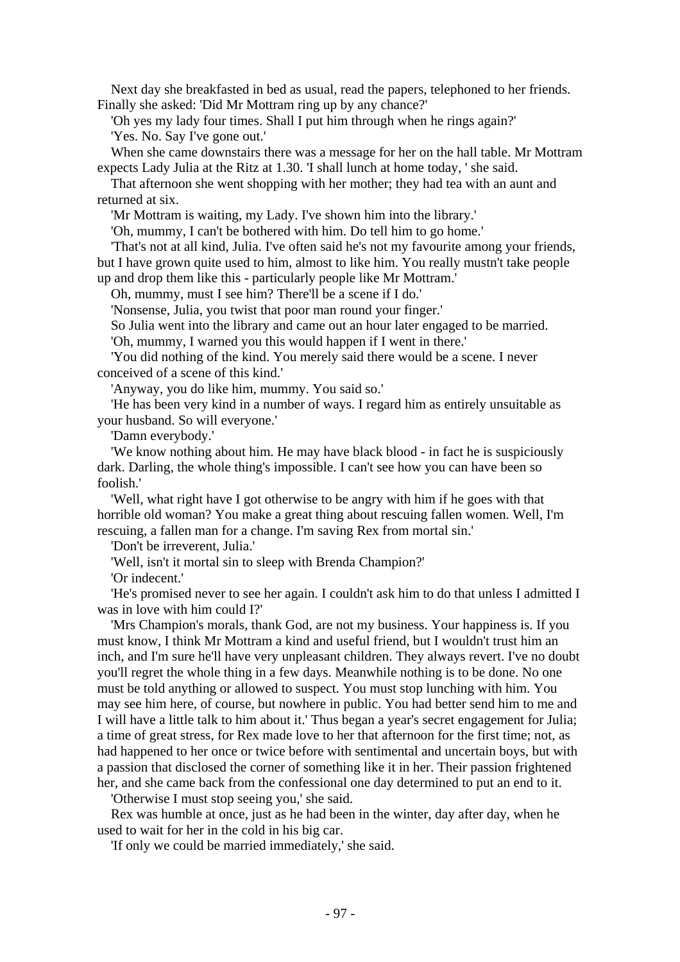Next day she breakfasted in bed as usual, read the papers, telephoned to her friends. Finally she asked: 'Did Mr Mottram ring up by any chance?'

 'Oh yes my lady four times. Shall I put him through when he rings again?' 'Yes. No. Say I've gone out.'

 When she came downstairs there was a message for her on the hall table. Mr Mottram expects Lady Julia at the Ritz at 1.30. 'I shall lunch at home today, ' she said.

 That afternoon she went shopping with her mother; they had tea with an aunt and returned at six.

'Mr Mottram is waiting, my Lady. I've shown him into the library.'

'Oh, mummy, I can't be bothered with him. Do tell him to go home.'

 'That's not at all kind, Julia. I've often said he's not my favourite among your friends, but I have grown quite used to him, almost to like him. You really mustn't take people up and drop them like this - particularly people like Mr Mottram.'

Oh, mummy, must I see him? There'll be a scene if I do.'

'Nonsense, Julia, you twist that poor man round your finger.'

So Julia went into the library and came out an hour later engaged to be married.

'Oh, mummy, I warned you this would happen if I went in there.'

 'You did nothing of the kind. You merely said there would be a scene. I never conceived of a scene of this kind.'

'Anyway, you do like him, mummy. You said so.'

 'He has been very kind in a number of ways. I regard him as entirely unsuitable as your husband. So will everyone.'

'Damn everybody.'

 'We know nothing about him. He may have black blood - in fact he is suspiciously dark. Darling, the whole thing's impossible. I can't see how you can have been so foolish.'

 'Well, what right have I got otherwise to be angry with him if he goes with that horrible old woman? You make a great thing about rescuing fallen women. Well, I'm rescuing, a fallen man for a change. I'm saving Rex from mortal sin.'

'Don't be irreverent, Julia.'

'Well, isn't it mortal sin to sleep with Brenda Champion?'

'Or indecent.'

 'He's promised never to see her again. I couldn't ask him to do that unless I admitted I was in love with him could I?'

 'Mrs Champion's morals, thank God, are not my business. Your happiness is. If you must know, I think Mr Mottram a kind and useful friend, but I wouldn't trust him an inch, and I'm sure he'll have very unpleasant children. They always revert. I've no doubt you'll regret the whole thing in a few days. Meanwhile nothing is to be done. No one must be told anything or allowed to suspect. You must stop lunching with him. You may see him here, of course, but nowhere in public. You had better send him to me and I will have a little talk to him about it.' Thus began a year's secret engagement for Julia; a time of great stress, for Rex made love to her that afternoon for the first time; not, as had happened to her once or twice before with sentimental and uncertain boys, but with a passion that disclosed the corner of something like it in her. Their passion frightened her, and she came back from the confessional one day determined to put an end to it.

'Otherwise I must stop seeing you,' she said.

 Rex was humble at once, just as he had been in the winter, day after day, when he used to wait for her in the cold in his big car.

'If only we could be married immediately,' she said.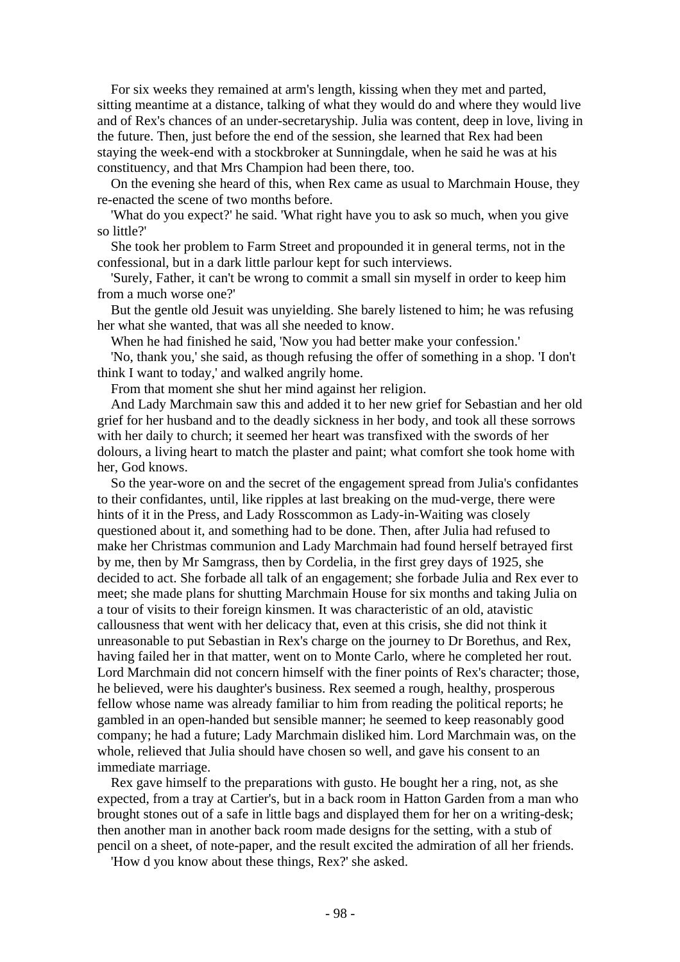For six weeks they remained at arm's length, kissing when they met and parted, sitting meantime at a distance, talking of what they would do and where they would live and of Rex's chances of an under-secretaryship. Julia was content, deep in love, living in the future. Then, just before the end of the session, she learned that Rex had been staying the week-end with a stockbroker at Sunningdale, when he said he was at his constituency, and that Mrs Champion had been there, too.

 On the evening she heard of this, when Rex came as usual to Marchmain House, they re-enacted the scene of two months before.

 'What do you expect?' he said. 'What right have you to ask so much, when you give so little?'

 She took her problem to Farm Street and propounded it in general terms, not in the confessional, but in a dark little parlour kept for such interviews.

 'Surely, Father, it can't be wrong to commit a small sin myself in order to keep him from a much worse one?'

 But the gentle old Jesuit was unyielding. She barely listened to him; he was refusing her what she wanted, that was all she needed to know.

When he had finished he said, 'Now you had better make your confession.'

 'No, thank you,' she said, as though refusing the offer of something in a shop. 'I don't think I want to today,' and walked angrily home.

From that moment she shut her mind against her religion.

 And Lady Marchmain saw this and added it to her new grief for Sebastian and her old grief for her husband and to the deadly sickness in her body, and took all these sorrows with her daily to church; it seemed her heart was transfixed with the swords of her dolours, a living heart to match the plaster and paint; what comfort she took home with her, God knows.

 So the year-wore on and the secret of the engagement spread from Julia's confidantes to their confidantes, until, like ripples at last breaking on the mud-verge, there were hints of it in the Press, and Lady Rosscommon as Lady-in-Waiting was closely questioned about it, and something had to be done. Then, after Julia had refused to make her Christmas communion and Lady Marchmain had found herself betrayed first by me, then by Mr Samgrass, then by Cordelia, in the first grey days of 1925, she decided to act. She forbade all talk of an engagement; she forbade Julia and Rex ever to meet; she made plans for shutting Marchmain House for six months and taking Julia on a tour of visits to their foreign kinsmen. It was characteristic of an old, atavistic callousness that went with her delicacy that, even at this crisis, she did not think it unreasonable to put Sebastian in Rex's charge on the journey to Dr Borethus, and Rex, having failed her in that matter, went on to Monte Carlo, where he completed her rout. Lord Marchmain did not concern himself with the finer points of Rex's character; those, he believed, were his daughter's business. Rex seemed a rough, healthy, prosperous fellow whose name was already familiar to him from reading the political reports; he gambled in an open-handed but sensible manner; he seemed to keep reasonably good company; he had a future; Lady Marchmain disliked him. Lord Marchmain was, on the whole, relieved that Julia should have chosen so well, and gave his consent to an immediate marriage.

 Rex gave himself to the preparations with gusto. He bought her a ring, not, as she expected, from a tray at Cartier's, but in a back room in Hatton Garden from a man who brought stones out of a safe in little bags and displayed them for her on a writing-desk; then another man in another back room made designs for the setting, with a stub of pencil on a sheet, of note-paper, and the result excited the admiration of all her friends.

'How d you know about these things, Rex?' she asked.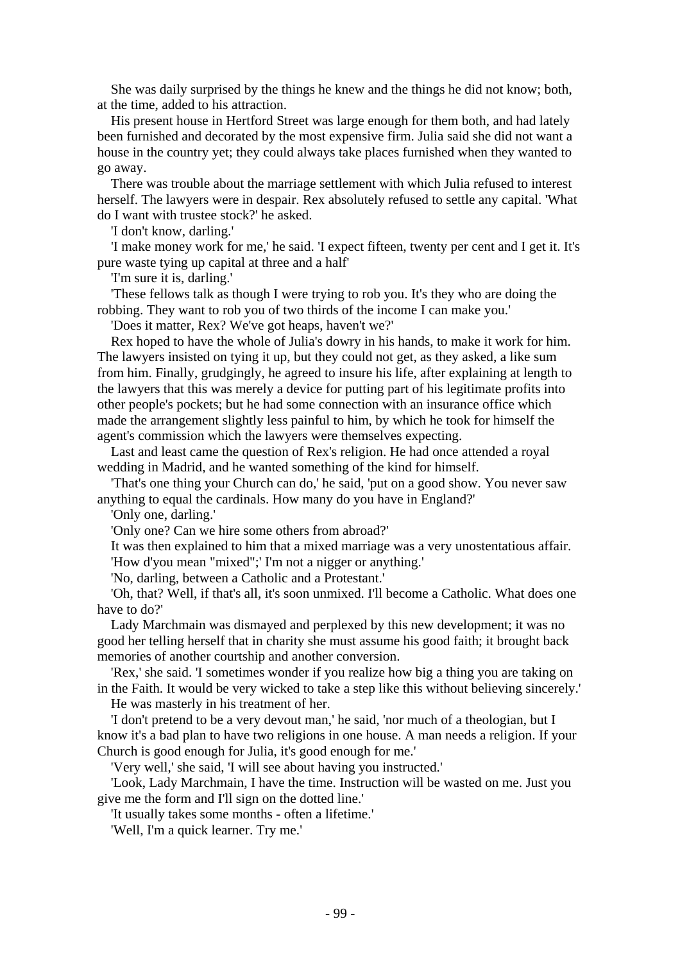She was daily surprised by the things he knew and the things he did not know; both, at the time, added to his attraction.

 His present house in Hertford Street was large enough for them both, and had lately been furnished and decorated by the most expensive firm. Julia said she did not want a house in the country yet; they could always take places furnished when they wanted to go away.

 There was trouble about the marriage settlement with which Julia refused to interest herself. The lawyers were in despair. Rex absolutely refused to settle any capital. 'What do I want with trustee stock?' he asked.

'I don't know, darling.'

 'I make money work for me,' he said. 'I expect fifteen, twenty per cent and I get it. It's pure waste tying up capital at three and a half'

'I'm sure it is, darling.'

 'These fellows talk as though I were trying to rob you. It's they who are doing the robbing. They want to rob you of two thirds of the income I can make you.'

'Does it matter, Rex? We've got heaps, haven't we?'

 Rex hoped to have the whole of Julia's dowry in his hands, to make it work for him. The lawyers insisted on tying it up, but they could not get, as they asked, a like sum from him. Finally, grudgingly, he agreed to insure his life, after explaining at length to the lawyers that this was merely a device for putting part of his legitimate profits into other people's pockets; but he had some connection with an insurance office which made the arrangement slightly less painful to him, by which he took for himself the agent's commission which the lawyers were themselves expecting.

 Last and least came the question of Rex's religion. He had once attended a royal wedding in Madrid, and he wanted something of the kind for himself.

 'That's one thing your Church can do,' he said, 'put on a good show. You never saw anything to equal the cardinals. How many do you have in England?'

'Only one, darling.'

'Only one? Can we hire some others from abroad?'

 It was then explained to him that a mixed marriage was a very unostentatious affair. 'How d'you mean "mixed";' I'm not a nigger or anything.'

'No, darling, between a Catholic and a Protestant.'

 'Oh, that? Well, if that's all, it's soon unmixed. I'll become a Catholic. What does one have to do?'

 Lady Marchmain was dismayed and perplexed by this new development; it was no good her telling herself that in charity she must assume his good faith; it brought back memories of another courtship and another conversion.

 'Rex,' she said. 'I sometimes wonder if you realize how big a thing you are taking on in the Faith. It would be very wicked to take a step like this without believing sincerely.'

He was masterly in his treatment of her.

 'I don't pretend to be a very devout man,' he said, 'nor much of a theologian, but I know it's a bad plan to have two religions in one house. A man needs a religion. If your Church is good enough for Julia, it's good enough for me.'

'Very well,' she said, 'I will see about having you instructed.'

 'Look, Lady Marchmain, I have the time. Instruction will be wasted on me. Just you give me the form and I'll sign on the dotted line.'

'It usually takes some months - often a lifetime.'

'Well, I'm a quick learner. Try me.'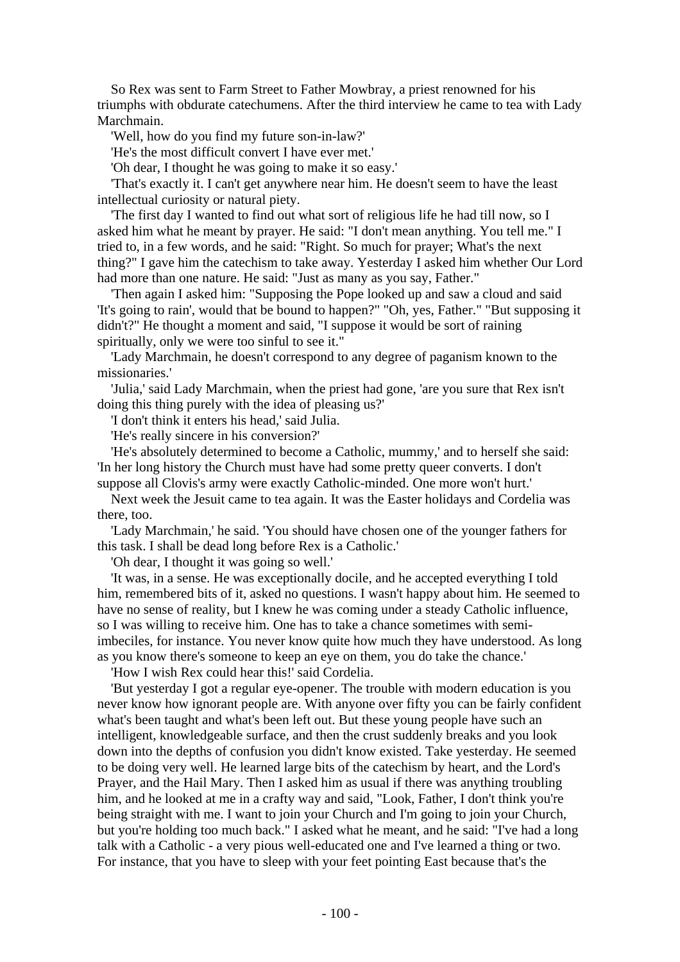So Rex was sent to Farm Street to Father Mowbray, a priest renowned for his triumphs with obdurate catechumens. After the third interview he came to tea with Lady Marchmain.

'Well, how do you find my future son-in-law?'

'He's the most difficult convert I have ever met.'

'Oh dear, I thought he was going to make it so easy.'

 'That's exactly it. I can't get anywhere near him. He doesn't seem to have the least intellectual curiosity or natural piety.

 'The first day I wanted to find out what sort of religious life he had till now, so I asked him what he meant by prayer. He said: "I don't mean anything. You tell me." I tried to, in a few words, and he said: "Right. So much for prayer; What's the next thing?" I gave him the catechism to take away. Yesterday I asked him whether Our Lord had more than one nature. He said: "Just as many as you say, Father."

 'Then again I asked him: "Supposing the Pope looked up and saw a cloud and said 'It's going to rain', would that be bound to happen?" "Oh, yes, Father." "But supposing it didn't?" He thought a moment and said, "I suppose it would be sort of raining spiritually, only we were too sinful to see it."

 'Lady Marchmain, he doesn't correspond to any degree of paganism known to the missionaries.'

 'Julia,' said Lady Marchmain, when the priest had gone, 'are you sure that Rex isn't doing this thing purely with the idea of pleasing us?'

'I don't think it enters his head,' said Julia.

'He's really sincere in his conversion?'

 'He's absolutely determined to become a Catholic, mummy,' and to herself she said: 'In her long history the Church must have had some pretty queer converts. I don't suppose all Clovis's army were exactly Catholic-minded. One more won't hurt.'

 Next week the Jesuit came to tea again. It was the Easter holidays and Cordelia was there, too.

 'Lady Marchmain,' he said. 'You should have chosen one of the younger fathers for this task. I shall be dead long before Rex is a Catholic.'

'Oh dear, I thought it was going so well.'

 'It was, in a sense. He was exceptionally docile, and he accepted everything I told him, remembered bits of it, asked no questions. I wasn't happy about him. He seemed to have no sense of reality, but I knew he was coming under a steady Catholic influence, so I was willing to receive him. One has to take a chance sometimes with semiimbeciles, for instance. You never know quite how much they have understood. As long as you know there's someone to keep an eye on them, you do take the chance.'

'How I wish Rex could hear this!' said Cordelia.

 'But yesterday I got a regular eye-opener. The trouble with modern education is you never know how ignorant people are. With anyone over fifty you can be fairly confident what's been taught and what's been left out. But these young people have such an intelligent, knowledgeable surface, and then the crust suddenly breaks and you look down into the depths of confusion you didn't know existed. Take yesterday. He seemed to be doing very well. He learned large bits of the catechism by heart, and the Lord's Prayer, and the Hail Mary. Then I asked him as usual if there was anything troubling him, and he looked at me in a crafty way and said, "Look, Father, I don't think you're being straight with me. I want to join your Church and I'm going to join your Church, but you're holding too much back." I asked what he meant, and he said: "I've had a long talk with a Catholic - a very pious well-educated one and I've learned a thing or two. For instance, that you have to sleep with your feet pointing East because that's the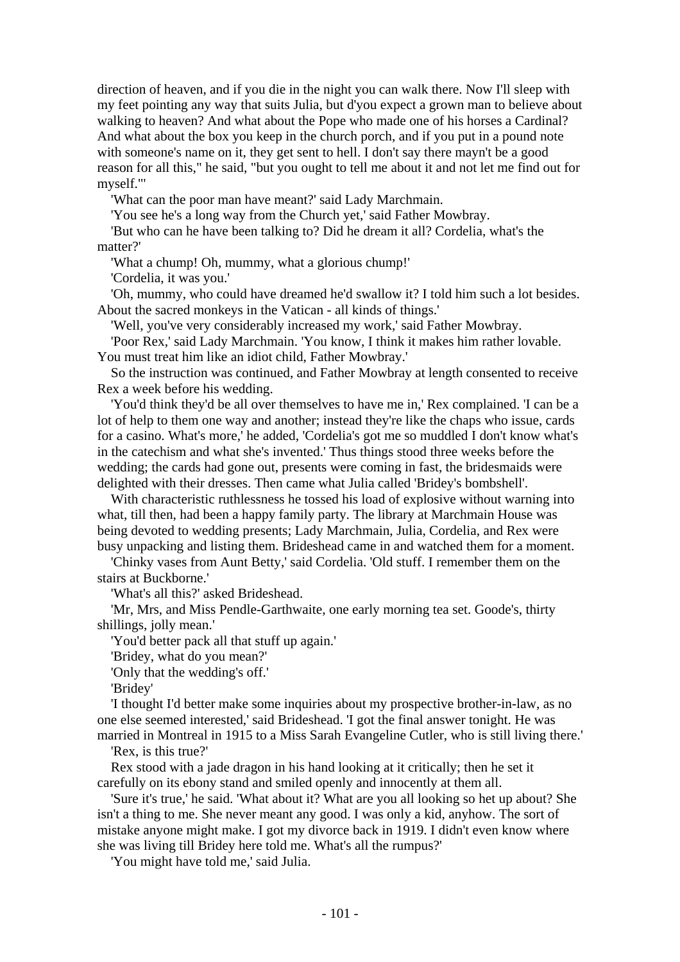direction of heaven, and if you die in the night you can walk there. Now I'll sleep with my feet pointing any way that suits Julia, but d'you expect a grown man to believe about walking to heaven? And what about the Pope who made one of his horses a Cardinal? And what about the box you keep in the church porch, and if you put in a pound note with someone's name on it, they get sent to hell. I don't say there mayn't be a good reason for all this," he said, "but you ought to tell me about it and not let me find out for myself."'

'What can the poor man have meant?' said Lady Marchmain.

'You see he's a long way from the Church yet,' said Father Mowbray.

 'But who can he have been talking to? Did he dream it all? Cordelia, what's the matter?'

'What a chump! Oh, mummy, what a glorious chump!'

'Cordelia, it was you.'

 'Oh, mummy, who could have dreamed he'd swallow it? I told him such a lot besides. About the sacred monkeys in the Vatican - all kinds of things.'

'Well, you've very considerably increased my work,' said Father Mowbray.

 'Poor Rex,' said Lady Marchmain. 'You know, I think it makes him rather lovable. You must treat him like an idiot child, Father Mowbray.'

 So the instruction was continued, and Father Mowbray at length consented to receive Rex a week before his wedding.

 'You'd think they'd be all over themselves to have me in,' Rex complained. 'I can be a lot of help to them one way and another; instead they're like the chaps who issue, cards for a casino. What's more,' he added, 'Cordelia's got me so muddled I don't know what's in the catechism and what she's invented.' Thus things stood three weeks before the wedding; the cards had gone out, presents were coming in fast, the bridesmaids were delighted with their dresses. Then came what Julia called 'Bridey's bombshell'.

 With characteristic ruthlessness he tossed his load of explosive without warning into what, till then, had been a happy family party. The library at Marchmain House was being devoted to wedding presents; Lady Marchmain, Julia, Cordelia, and Rex were busy unpacking and listing them. Brideshead came in and watched them for a moment.

 'Chinky vases from Aunt Betty,' said Cordelia. 'Old stuff. I remember them on the stairs at Buckborne.'

'What's all this?' asked Brideshead.

 'Mr, Mrs, and Miss Pendle-Garthwaite, one early morning tea set. Goode's, thirty shillings, jolly mean.'

'You'd better pack all that stuff up again.'

'Bridey, what do you mean?'

'Only that the wedding's off.'

'Bridey'

 'I thought I'd better make some inquiries about my prospective brother-in-law, as no one else seemed interested,' said Brideshead. 'I got the final answer tonight. He was married in Montreal in 1915 to a Miss Sarah Evangeline Cutler, who is still living there.'

'Rex, is this true?'

 Rex stood with a jade dragon in his hand looking at it critically; then he set it carefully on its ebony stand and smiled openly and innocently at them all.

 'Sure it's true,' he said. 'What about it? What are you all looking so het up about? She isn't a thing to me. She never meant any good. I was only a kid, anyhow. The sort of mistake anyone might make. I got my divorce back in 1919. I didn't even know where she was living till Bridey here told me. What's all the rumpus?'

'You might have told me,' said Julia.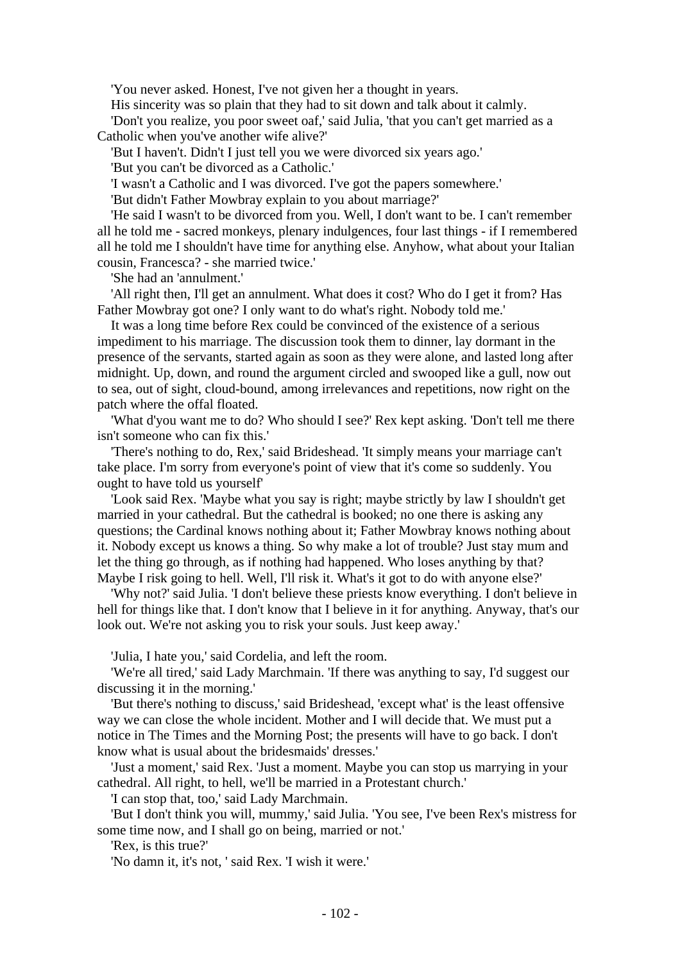'You never asked. Honest, I've not given her a thought in years.

His sincerity was so plain that they had to sit down and talk about it calmly.

 'Don't you realize, you poor sweet oaf,' said Julia, 'that you can't get married as a Catholic when you've another wife alive?'

'But I haven't. Didn't I just tell you we were divorced six years ago.'

'But you can't be divorced as a Catholic.'

'I wasn't a Catholic and I was divorced. I've got the papers somewhere.'

'But didn't Father Mowbray explain to you about marriage?'

 'He said I wasn't to be divorced from you. Well, I don't want to be. I can't remember all he told me - sacred monkeys, plenary indulgences, four last things - if I remembered all he told me I shouldn't have time for anything else. Anyhow, what about your Italian cousin, Francesca? - she married twice.'

'She had an 'annulment.'

 'All right then, I'll get an annulment. What does it cost? Who do I get it from? Has Father Mowbray got one? I only want to do what's right. Nobody told me.'

 It was a long time before Rex could be convinced of the existence of a serious impediment to his marriage. The discussion took them to dinner, lay dormant in the presence of the servants, started again as soon as they were alone, and lasted long after midnight. Up, down, and round the argument circled and swooped like a gull, now out to sea, out of sight, cloud-bound, among irrelevances and repetitions, now right on the patch where the offal floated.

 'What d'you want me to do? Who should I see?' Rex kept asking. 'Don't tell me there isn't someone who can fix this.'

 'There's nothing to do, Rex,' said Brideshead. 'It simply means your marriage can't take place. I'm sorry from everyone's point of view that it's come so suddenly. You ought to have told us yourself'

 'Look said Rex. 'Maybe what you say is right; maybe strictly by law I shouldn't get married in your cathedral. But the cathedral is booked; no one there is asking any questions; the Cardinal knows nothing about it; Father Mowbray knows nothing about it. Nobody except us knows a thing. So why make a lot of trouble? Just stay mum and let the thing go through, as if nothing had happened. Who loses anything by that? Maybe I risk going to hell. Well, I'll risk it. What's it got to do with anyone else?'

 'Why not?' said Julia. 'I don't believe these priests know everything. I don't believe in hell for things like that. I don't know that I believe in it for anything. Anyway, that's our look out. We're not asking you to risk your souls. Just keep away.'

'Julia, I hate you,' said Cordelia, and left the room.

 'We're all tired,' said Lady Marchmain. 'If there was anything to say, I'd suggest our discussing it in the morning.'

 'But there's nothing to discuss,' said Brideshead, 'except what' is the least offensive way we can close the whole incident. Mother and I will decide that. We must put a notice in The Times and the Morning Post; the presents will have to go back. I don't know what is usual about the bridesmaids' dresses.'

 'Just a moment,' said Rex. 'Just a moment. Maybe you can stop us marrying in your cathedral. All right, to hell, we'll be married in a Protestant church.'

'I can stop that, too,' said Lady Marchmain.

 'But I don't think you will, mummy,' said Julia. 'You see, I've been Rex's mistress for some time now, and I shall go on being, married or not.'

'Rex, is this true?'

'No damn it, it's not, ' said Rex. 'I wish it were.'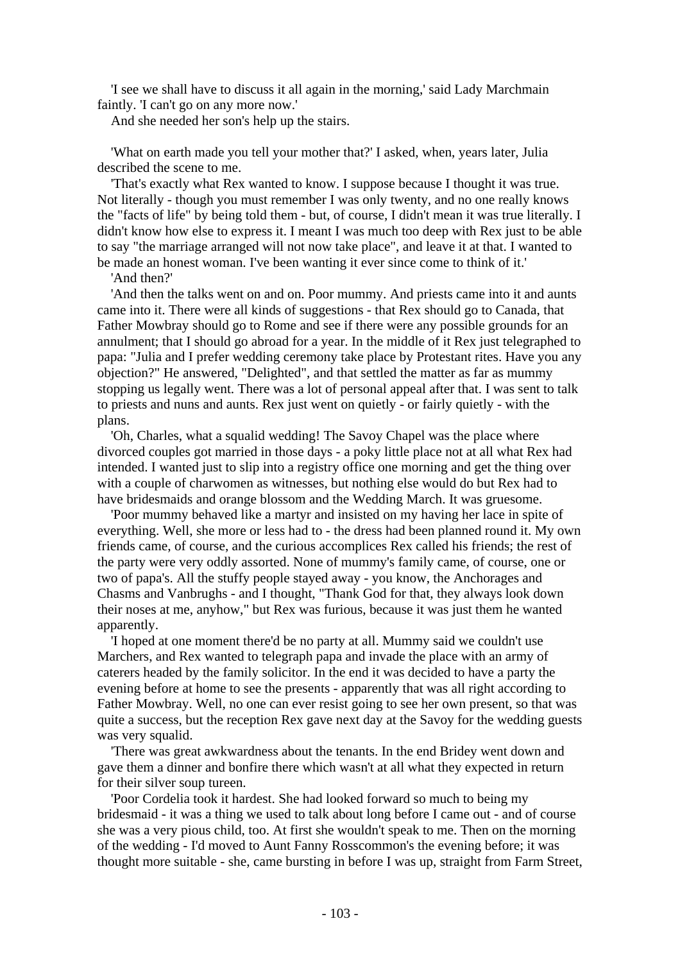'I see we shall have to discuss it all again in the morning,' said Lady Marchmain faintly. 'I can't go on any more now.'

And she needed her son's help up the stairs.

 'What on earth made you tell your mother that?' I asked, when, years later, Julia described the scene to me.

 'That's exactly what Rex wanted to know. I suppose because I thought it was true. Not literally - though you must remember I was only twenty, and no one really knows the "facts of life" by being told them - but, of course, I didn't mean it was true literally. I didn't know how else to express it. I meant I was much too deep with Rex just to be able to say "the marriage arranged will not now take place", and leave it at that. I wanted to be made an honest woman. I've been wanting it ever since come to think of it.'

'And then?'

 'And then the talks went on and on. Poor mummy. And priests came into it and aunts came into it. There were all kinds of suggestions - that Rex should go to Canada, that Father Mowbray should go to Rome and see if there were any possible grounds for an annulment; that I should go abroad for a year. In the middle of it Rex just telegraphed to papa: "Julia and I prefer wedding ceremony take place by Protestant rites. Have you any objection?" He answered, "Delighted", and that settled the matter as far as mummy stopping us legally went. There was a lot of personal appeal after that. I was sent to talk to priests and nuns and aunts. Rex just went on quietly - or fairly quietly - with the plans.

 'Oh, Charles, what a squalid wedding! The Savoy Chapel was the place where divorced couples got married in those days - a poky little place not at all what Rex had intended. I wanted just to slip into a registry office one morning and get the thing over with a couple of charwomen as witnesses, but nothing else would do but Rex had to have bridesmaids and orange blossom and the Wedding March. It was gruesome.

 'Poor mummy behaved like a martyr and insisted on my having her lace in spite of everything. Well, she more or less had to - the dress had been planned round it. My own friends came, of course, and the curious accomplices Rex called his friends; the rest of the party were very oddly assorted. None of mummy's family came, of course, one or two of papa's. All the stuffy people stayed away - you know, the Anchorages and Chasms and Vanbrughs - and I thought, "Thank God for that, they always look down their noses at me, anyhow," but Rex was furious, because it was just them he wanted apparently.

 'I hoped at one moment there'd be no party at all. Mummy said we couldn't use Marchers, and Rex wanted to telegraph papa and invade the place with an army of caterers headed by the family solicitor. In the end it was decided to have a party the evening before at home to see the presents - apparently that was all right according to Father Mowbray. Well, no one can ever resist going to see her own present, so that was quite a success, but the reception Rex gave next day at the Savoy for the wedding guests was very squalid.

 'There was great awkwardness about the tenants. In the end Bridey went down and gave them a dinner and bonfire there which wasn't at all what they expected in return for their silver soup tureen.

 'Poor Cordelia took it hardest. She had looked forward so much to being my bridesmaid - it was a thing we used to talk about long before I came out - and of course she was a very pious child, too. At first she wouldn't speak to me. Then on the morning of the wedding - I'd moved to Aunt Fanny Rosscommon's the evening before; it was thought more suitable - she, came bursting in before I was up, straight from Farm Street,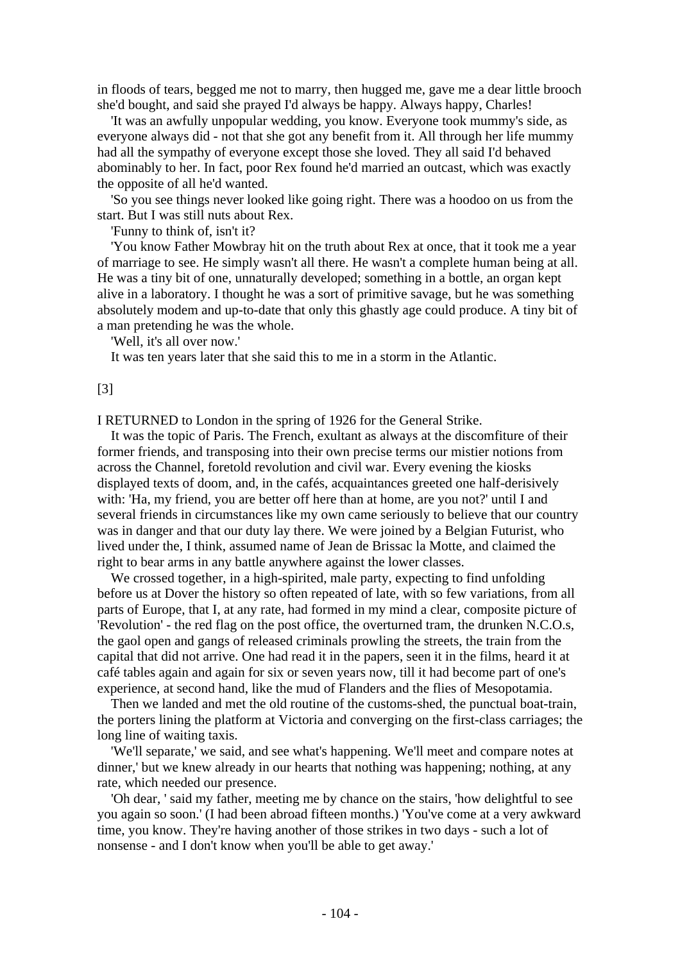in floods of tears, begged me not to marry, then hugged me, gave me a dear little brooch she'd bought, and said she prayed I'd always be happy. Always happy, Charles!

 'It was an awfully unpopular wedding, you know. Everyone took mummy's side, as everyone always did - not that she got any benefit from it. All through her life mummy had all the sympathy of everyone except those she loved. They all said I'd behaved abominably to her. In fact, poor Rex found he'd married an outcast, which was exactly the opposite of all he'd wanted.

 'So you see things never looked like going right. There was a hoodoo on us from the start. But I was still nuts about Rex.

'Funny to think of, isn't it?

 'You know Father Mowbray hit on the truth about Rex at once, that it took me a year of marriage to see. He simply wasn't all there. He wasn't a complete human being at all. He was a tiny bit of one, unnaturally developed; something in a bottle, an organ kept alive in a laboratory. I thought he was a sort of primitive savage, but he was something absolutely modem and up-to-date that only this ghastly age could produce. A tiny bit of a man pretending he was the whole.

'Well, it's all over now.'

It was ten years later that she said this to me in a storm in the Atlantic.

## [3]

I RETURNED to London in the spring of 1926 for the General Strike.

 It was the topic of Paris. The French, exultant as always at the discomfiture of their former friends, and transposing into their own precise terms our mistier notions from across the Channel, foretold revolution and civil war. Every evening the kiosks displayed texts of doom, and, in the cafés, acquaintances greeted one half-derisively with: 'Ha, my friend, you are better off here than at home, are you not?' until I and several friends in circumstances like my own came seriously to believe that our country was in danger and that our duty lay there. We were joined by a Belgian Futurist, who lived under the, I think, assumed name of Jean de Brissac la Motte, and claimed the right to bear arms in any battle anywhere against the lower classes.

 We crossed together, in a high-spirited, male party, expecting to find unfolding before us at Dover the history so often repeated of late, with so few variations, from all parts of Europe, that I, at any rate, had formed in my mind a clear, composite picture of 'Revolution' - the red flag on the post office, the overturned tram, the drunken N.C.O.s, the gaol open and gangs of released criminals prowling the streets, the train from the capital that did not arrive. One had read it in the papers, seen it in the films, heard it at café tables again and again for six or seven years now, till it had become part of one's experience, at second hand, like the mud of Flanders and the flies of Mesopotamia.

 Then we landed and met the old routine of the customs-shed, the punctual boat-train, the porters lining the platform at Victoria and converging on the first-class carriages; the long line of waiting taxis.

 'We'll separate,' we said, and see what's happening. We'll meet and compare notes at dinner,' but we knew already in our hearts that nothing was happening; nothing, at any rate, which needed our presence.

 'Oh dear, ' said my father, meeting me by chance on the stairs, 'how delightful to see you again so soon.' (I had been abroad fifteen months.) 'You've come at a very awkward time, you know. They're having another of those strikes in two days - such a lot of nonsense - and I don't know when you'll be able to get away.'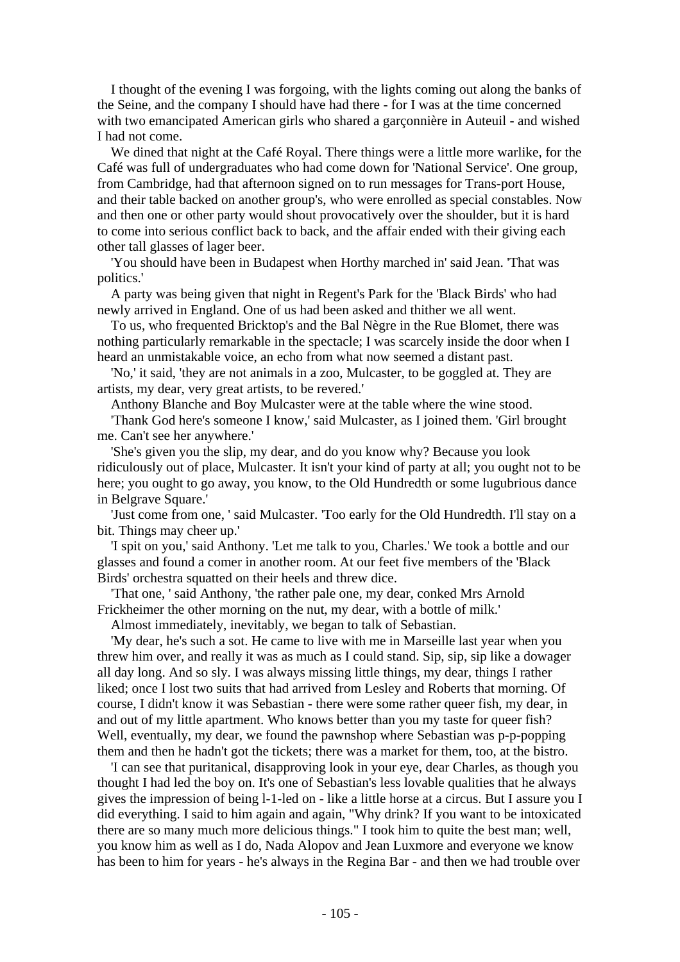I thought of the evening I was forgoing, with the lights coming out along the banks of the Seine, and the company I should have had there - for I was at the time concerned with two emancipated American girls who shared a garçonnière in Auteuil - and wished I had not come.

 We dined that night at the Café Royal. There things were a little more warlike, for the Café was full of undergraduates who had come down for 'National Service'. One group, from Cambridge, had that afternoon signed on to run messages for Trans-port House, and their table backed on another group's, who were enrolled as special constables. Now and then one or other party would shout provocatively over the shoulder, but it is hard to come into serious conflict back to back, and the affair ended with their giving each other tall glasses of lager beer.

 'You should have been in Budapest when Horthy marched in' said Jean. 'That was politics.'

 A party was being given that night in Regent's Park for the 'Black Birds' who had newly arrived in England. One of us had been asked and thither we all went.

 To us, who frequented Bricktop's and the Bal Nègre in the Rue Blomet, there was nothing particularly remarkable in the spectacle; I was scarcely inside the door when I heard an unmistakable voice, an echo from what now seemed a distant past.

 'No,' it said, 'they are not animals in a zoo, Mulcaster, to be goggled at. They are artists, my dear, very great artists, to be revered.'

Anthony Blanche and Boy Mulcaster were at the table where the wine stood.

 'Thank God here's someone I know,' said Mulcaster, as I joined them. 'Girl brought me. Can't see her anywhere.'

 'She's given you the slip, my dear, and do you know why? Because you look ridiculously out of place, Mulcaster. It isn't your kind of party at all; you ought not to be here; you ought to go away, you know, to the Old Hundredth or some lugubrious dance in Belgrave Square.'

 'Just come from one, ' said Mulcaster. 'Too early for the Old Hundredth. I'll stay on a bit. Things may cheer up.'

 'I spit on you,' said Anthony. 'Let me talk to you, Charles.' We took a bottle and our glasses and found a comer in another room. At our feet five members of the 'Black Birds' orchestra squatted on their heels and threw dice.

 'That one, ' said Anthony, 'the rather pale one, my dear, conked Mrs Arnold Frickheimer the other morning on the nut, my dear, with a bottle of milk.'

Almost immediately, inevitably, we began to talk of Sebastian.

 'My dear, he's such a sot. He came to live with me in Marseille last year when you threw him over, and really it was as much as I could stand. Sip, sip, sip like a dowager all day long. And so sly. I was always missing little things, my dear, things I rather liked; once I lost two suits that had arrived from Lesley and Roberts that morning. Of course, I didn't know it was Sebastian - there were some rather queer fish, my dear, in and out of my little apartment. Who knows better than you my taste for queer fish? Well, eventually, my dear, we found the pawnshop where Sebastian was p-p-popping them and then he hadn't got the tickets; there was a market for them, too, at the bistro.

 'I can see that puritanical, disapproving look in your eye, dear Charles, as though you thought I had led the boy on. It's one of Sebastian's less lovable qualities that he always gives the impression of being l-1-led on - like a little horse at a circus. But I assure you I did everything. I said to him again and again, "Why drink? If you want to be intoxicated there are so many much more delicious things." I took him to quite the best man; well, you know him as well as I do, Nada Alopov and Jean Luxmore and everyone we know has been to him for years - he's always in the Regina Bar - and then we had trouble over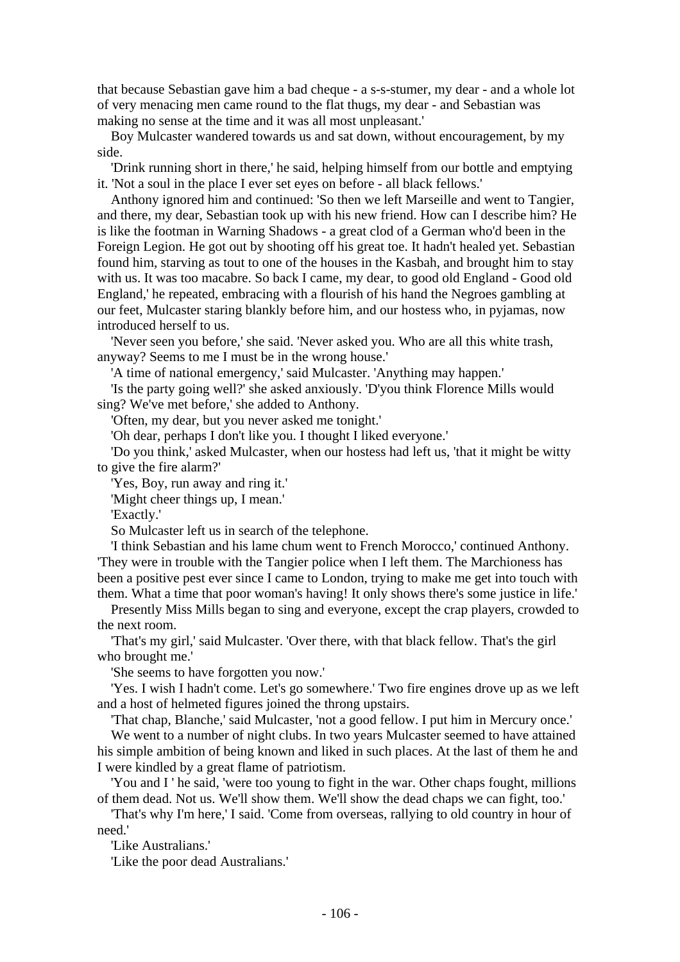that because Sebastian gave him a bad cheque - a s-s-stumer, my dear - and a whole lot of very menacing men came round to the flat thugs, my dear - and Sebastian was making no sense at the time and it was all most unpleasant.'

 Boy Mulcaster wandered towards us and sat down, without encouragement, by my side.

 'Drink running short in there,' he said, helping himself from our bottle and emptying it. 'Not a soul in the place I ever set eyes on before - all black fellows.'

 Anthony ignored him and continued: 'So then we left Marseille and went to Tangier, and there, my dear, Sebastian took up with his new friend. How can I describe him? He is like the footman in Warning Shadows - a great clod of a German who'd been in the Foreign Legion. He got out by shooting off his great toe. It hadn't healed yet. Sebastian found him, starving as tout to one of the houses in the Kasbah, and brought him to stay with us. It was too macabre. So back I came, my dear, to good old England - Good old England,' he repeated, embracing with a flourish of his hand the Negroes gambling at our feet, Mulcaster staring blankly before him, and our hostess who, in pyjamas, now introduced herself to us.

 'Never seen you before,' she said. 'Never asked you. Who are all this white trash, anyway? Seems to me I must be in the wrong house.'

'A time of national emergency,' said Mulcaster. 'Anything may happen.'

 'Is the party going well?' she asked anxiously. 'D'you think Florence Mills would sing? We've met before,' she added to Anthony.

'Often, my dear, but you never asked me tonight.'

'Oh dear, perhaps I don't like you. I thought I liked everyone.'

 'Do you think,' asked Mulcaster, when our hostess had left us, 'that it might be witty to give the fire alarm?'

'Yes, Boy, run away and ring it.'

'Might cheer things up, I mean.'

'Exactly.'

So Mulcaster left us in search of the telephone.

 'I think Sebastian and his lame chum went to French Morocco,' continued Anthony. 'They were in trouble with the Tangier police when I left them. The Marchioness has been a positive pest ever since I came to London, trying to make me get into touch with them. What a time that poor woman's having! It only shows there's some justice in life.'

 Presently Miss Mills began to sing and everyone, except the crap players, crowded to the next room.

 'That's my girl,' said Mulcaster. 'Over there, with that black fellow. That's the girl who brought me.'

'She seems to have forgotten you now.'

 'Yes. I wish I hadn't come. Let's go somewhere.' Two fire engines drove up as we left and a host of helmeted figures joined the throng upstairs.

'That chap, Blanche,' said Mulcaster, 'not a good fellow. I put him in Mercury once.'

 We went to a number of night clubs. In two years Mulcaster seemed to have attained his simple ambition of being known and liked in such places. At the last of them he and I were kindled by a great flame of patriotism.

 'You and I ' he said, 'were too young to fight in the war. Other chaps fought, millions of them dead. Not us. We'll show them. We'll show the dead chaps we can fight, too.'

 'That's why I'm here,' I said. 'Come from overseas, rallying to old country in hour of need.'

'Like Australians.'

'Like the poor dead Australians.'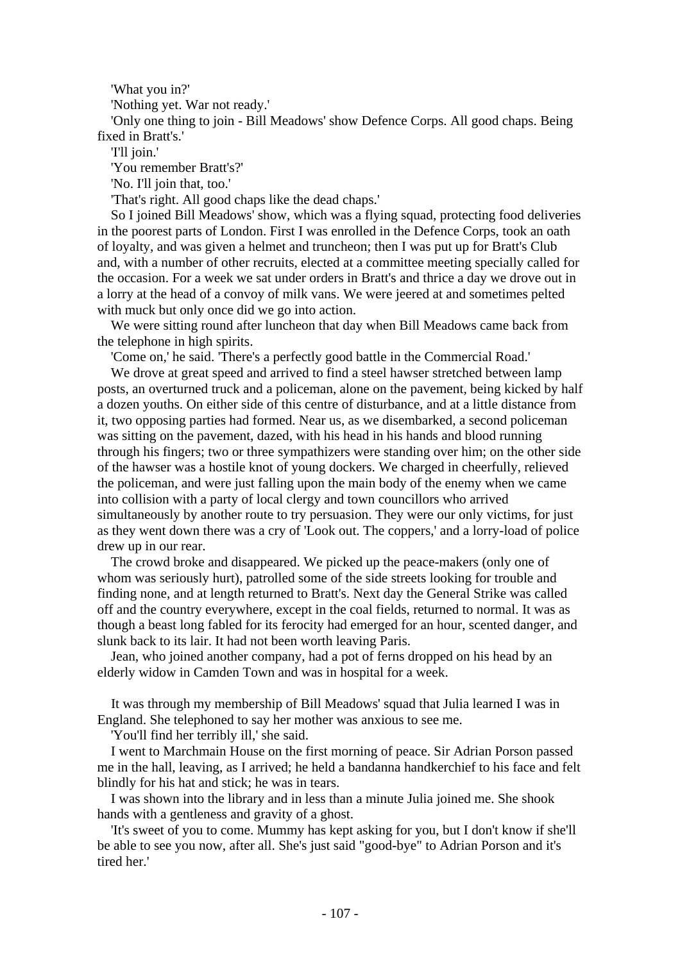'What you in?'

'Nothing yet. War not ready.'

 'Only one thing to join - Bill Meadows' show Defence Corps. All good chaps. Being fixed in Bratt's.'

'I'll join.'

'You remember Bratt's?'

'No. I'll join that, too.'

'That's right. All good chaps like the dead chaps.'

 So I joined Bill Meadows' show, which was a flying squad, protecting food deliveries in the poorest parts of London. First I was enrolled in the Defence Corps, took an oath of loyalty, and was given a helmet and truncheon; then I was put up for Bratt's Club and, with a number of other recruits, elected at a committee meeting specially called for the occasion. For a week we sat under orders in Bratt's and thrice a day we drove out in a lorry at the head of a convoy of milk vans. We were jeered at and sometimes pelted with muck but only once did we go into action.

 We were sitting round after luncheon that day when Bill Meadows came back from the telephone in high spirits.

'Come on,' he said. 'There's a perfectly good battle in the Commercial Road.'

 We drove at great speed and arrived to find a steel hawser stretched between lamp posts, an overturned truck and a policeman, alone on the pavement, being kicked by half a dozen youths. On either side of this centre of disturbance, and at a little distance from it, two opposing parties had formed. Near us, as we disembarked, a second policeman was sitting on the pavement, dazed, with his head in his hands and blood running through his fingers; two or three sympathizers were standing over him; on the other side of the hawser was a hostile knot of young dockers. We charged in cheerfully, relieved the policeman, and were just falling upon the main body of the enemy when we came into collision with a party of local clergy and town councillors who arrived simultaneously by another route to try persuasion. They were our only victims, for just as they went down there was a cry of 'Look out. The coppers,' and a lorry-load of police drew up in our rear.

 The crowd broke and disappeared. We picked up the peace-makers (only one of whom was seriously hurt), patrolled some of the side streets looking for trouble and finding none, and at length returned to Bratt's. Next day the General Strike was called off and the country everywhere, except in the coal fields, returned to normal. It was as though a beast long fabled for its ferocity had emerged for an hour, scented danger, and slunk back to its lair. It had not been worth leaving Paris.

 Jean, who joined another company, had a pot of ferns dropped on his head by an elderly widow in Camden Town and was in hospital for a week.

 It was through my membership of Bill Meadows' squad that Julia learned I was in England. She telephoned to say her mother was anxious to see me.

'You'll find her terribly ill,' she said.

 I went to Marchmain House on the first morning of peace. Sir Adrian Porson passed me in the hall, leaving, as I arrived; he held a bandanna handkerchief to his face and felt blindly for his hat and stick; he was in tears.

 I was shown into the library and in less than a minute Julia joined me. She shook hands with a gentleness and gravity of a ghost.

 'It's sweet of you to come. Mummy has kept asking for you, but I don't know if she'll be able to see you now, after all. She's just said "good-bye" to Adrian Porson and it's tired her.'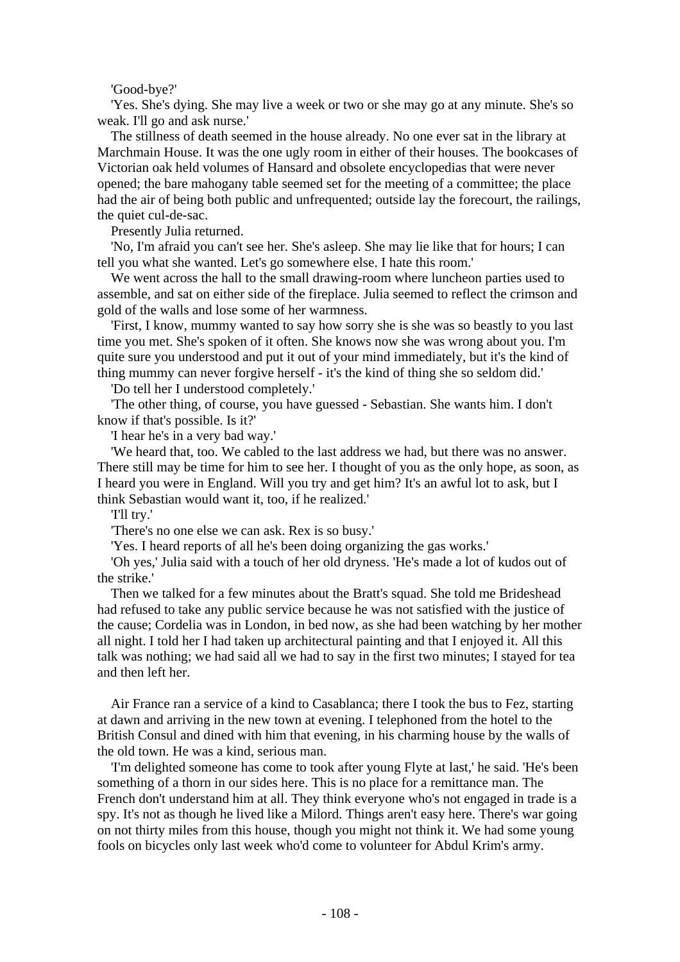## 'Good-bye?'

 'Yes. She's dying. She may live a week or two or she may go at any minute. She's so weak. I'll go and ask nurse.'

 The stillness of death seemed in the house already. No one ever sat in the library at Marchmain House. It was the one ugly room in either of their houses. The bookcases of Victorian oak held volumes of Hansard and obsolete encyclopedias that were never opened; the bare mahogany table seemed set for the meeting of a committee; the place had the air of being both public and unfrequented; outside lay the forecourt, the railings, the quiet cul-de-sac.

Presently Julia returned.

 'No, I'm afraid you can't see her. She's asleep. She may lie like that for hours; I can tell you what she wanted. Let's go somewhere else. I hate this room.'

 We went across the hall to the small drawing-room where luncheon parties used to assemble, and sat on either side of the fireplace. Julia seemed to reflect the crimson and gold of the walls and lose some of her warmness.

 'First, I know, mummy wanted to say how sorry she is she was so beastly to you last time you met. She's spoken of it often. She knows now she was wrong about you. I'm quite sure you understood and put it out of your mind immediately, but it's the kind of thing mummy can never forgive herself - it's the kind of thing she so seldom did.'

'Do tell her I understood completely.'

 'The other thing, of course, you have guessed - Sebastian. She wants him. I don't know if that's possible. Is it?'

'I hear he's in a very bad way.'

 'We heard that, too. We cabled to the last address we had, but there was no answer. There still may be time for him to see her. I thought of you as the only hope, as soon, as I heard you were in England. Will you try and get him? It's an awful lot to ask, but I think Sebastian would want it, too, if he realized.'

'I'll try.'

'There's no one else we can ask. Rex is so busy.'

'Yes. I heard reports of all he's been doing organizing the gas works.'

 'Oh yes,' Julia said with a touch of her old dryness. 'He's made a lot of kudos out of the strike.'

 Then we talked for a few minutes about the Bratt's squad. She told me Brideshead had refused to take any public service because he was not satisfied with the justice of the cause; Cordelia was in London, in bed now, as she had been watching by her mother all night. I told her I had taken up architectural painting and that I enjoyed it. All this talk was nothing; we had said all we had to say in the first two minutes; I stayed for tea and then left her.

 Air France ran a service of a kind to Casablanca; there I took the bus to Fez, starting at dawn and arriving in the new town at evening. I telephoned from the hotel to the British Consul and dined with him that evening, in his charming house by the walls of the old town. He was a kind, serious man.

 'I'm delighted someone has come to took after young Flyte at last,' he said. 'He's been something of a thorn in our sides here. This is no place for a remittance man. The French don't understand him at all. They think everyone who's not engaged in trade is a spy. It's not as though he lived like a Milord. Things aren't easy here. There's war going on not thirty miles from this house, though you might not think it. We had some young fools on bicycles only last week who'd come to volunteer for Abdul Krim's army.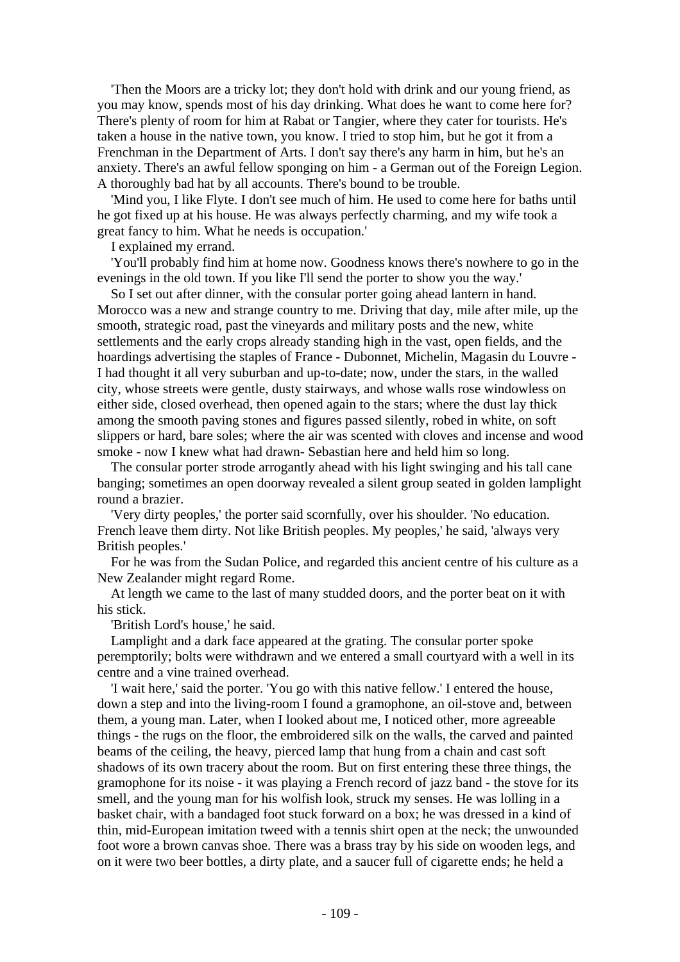'Then the Moors are a tricky lot; they don't hold with drink and our young friend, as you may know, spends most of his day drinking. What does he want to come here for? There's plenty of room for him at Rabat or Tangier, where they cater for tourists. He's taken a house in the native town, you know. I tried to stop him, but he got it from a Frenchman in the Department of Arts. I don't say there's any harm in him, but he's an anxiety. There's an awful fellow sponging on him - a German out of the Foreign Legion. A thoroughly bad hat by all accounts. There's bound to be trouble.

 'Mind you, I like Flyte. I don't see much of him. He used to come here for baths until he got fixed up at his house. He was always perfectly charming, and my wife took a great fancy to him. What he needs is occupation.'

I explained my errand.

 'You'll probably find him at home now. Goodness knows there's nowhere to go in the evenings in the old town. If you like I'll send the porter to show you the way.'

 So I set out after dinner, with the consular porter going ahead lantern in hand. Morocco was a new and strange country to me. Driving that day, mile after mile, up the smooth, strategic road, past the vineyards and military posts and the new, white settlements and the early crops already standing high in the vast, open fields, and the hoardings advertising the staples of France - Dubonnet, Michelin, Magasin du Louvre - I had thought it all very suburban and up-to-date; now, under the stars, in the walled city, whose streets were gentle, dusty stairways, and whose walls rose windowless on either side, closed overhead, then opened again to the stars; where the dust lay thick among the smooth paving stones and figures passed silently, robed in white, on soft slippers or hard, bare soles; where the air was scented with cloves and incense and wood smoke - now I knew what had drawn- Sebastian here and held him so long.

 The consular porter strode arrogantly ahead with his light swinging and his tall cane banging; sometimes an open doorway revealed a silent group seated in golden lamplight round a brazier.

 'Very dirty peoples,' the porter said scornfully, over his shoulder. 'No education. French leave them dirty. Not like British peoples. My peoples,' he said, 'always very British peoples.'

 For he was from the Sudan Police, and regarded this ancient centre of his culture as a New Zealander might regard Rome.

 At length we came to the last of many studded doors, and the porter beat on it with his stick.

'British Lord's house,' he said.

 Lamplight and a dark face appeared at the grating. The consular porter spoke peremptorily; bolts were withdrawn and we entered a small courtyard with a well in its centre and a vine trained overhead.

 'I wait here,' said the porter. 'You go with this native fellow.' I entered the house, down a step and into the living-room I found a gramophone, an oil-stove and, between them, a young man. Later, when I looked about me, I noticed other, more agreeable things - the rugs on the floor, the embroidered silk on the walls, the carved and painted beams of the ceiling, the heavy, pierced lamp that hung from a chain and cast soft shadows of its own tracery about the room. But on first entering these three things, the gramophone for its noise - it was playing a French record of jazz band - the stove for its smell, and the young man for his wolfish look, struck my senses. He was lolling in a basket chair, with a bandaged foot stuck forward on a box; he was dressed in a kind of thin, mid-European imitation tweed with a tennis shirt open at the neck; the unwounded foot wore a brown canvas shoe. There was a brass tray by his side on wooden legs, and on it were two beer bottles, a dirty plate, and a saucer full of cigarette ends; he held a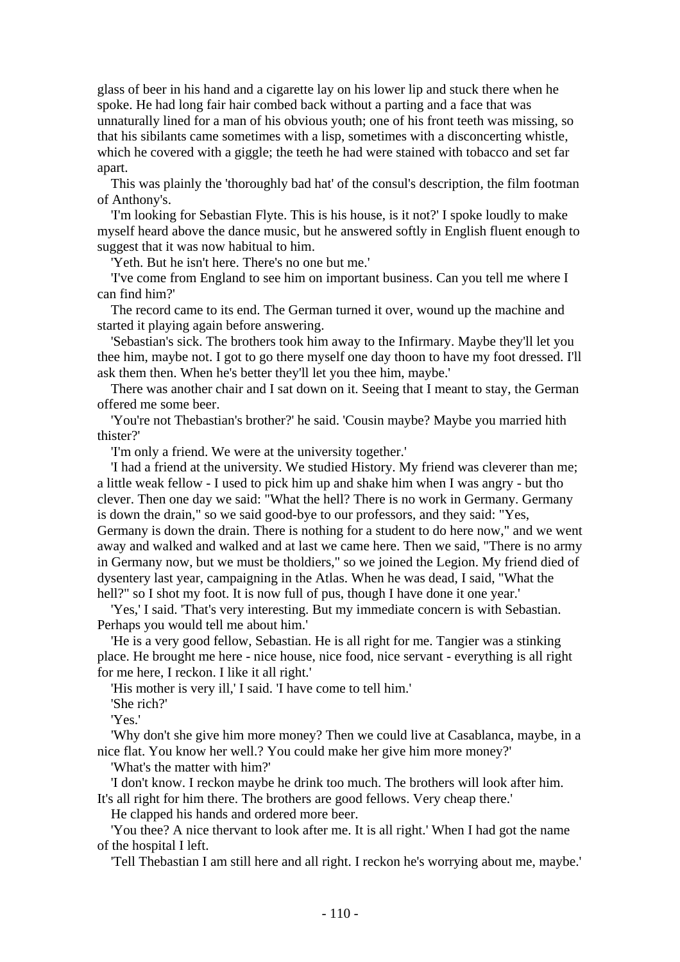glass of beer in his hand and a cigarette lay on his lower lip and stuck there when he spoke. He had long fair hair combed back without a parting and a face that was unnaturally lined for a man of his obvious youth; one of his front teeth was missing, so that his sibilants came sometimes with a lisp, sometimes with a disconcerting whistle, which he covered with a giggle; the teeth he had were stained with tobacco and set far apart.

 This was plainly the 'thoroughly bad hat' of the consul's description, the film footman of Anthony's.

 'I'm looking for Sebastian Flyte. This is his house, is it not?' I spoke loudly to make myself heard above the dance music, but he answered softly in English fluent enough to suggest that it was now habitual to him.

'Yeth. But he isn't here. There's no one but me.'

 'I've come from England to see him on important business. Can you tell me where I can find him?'

 The record came to its end. The German turned it over, wound up the machine and started it playing again before answering.

 'Sebastian's sick. The brothers took him away to the Infirmary. Maybe they'll let you thee him, maybe not. I got to go there myself one day thoon to have my foot dressed. I'll ask them then. When he's better they'll let you thee him, maybe.'

 There was another chair and I sat down on it. Seeing that I meant to stay, the German offered me some beer.

 'You're not Thebastian's brother?' he said. 'Cousin maybe? Maybe you married hith thister?'

'I'm only a friend. We were at the university together.'

 'I had a friend at the university. We studied History. My friend was cleverer than me; a little weak fellow - I used to pick him up and shake him when I was angry - but tho clever. Then one day we said: "What the hell? There is no work in Germany. Germany is down the drain," so we said good-bye to our professors, and they said: "Yes,

Germany is down the drain. There is nothing for a student to do here now," and we went away and walked and walked and at last we came here. Then we said, "There is no army in Germany now, but we must be tholdiers," so we joined the Legion. My friend died of dysentery last year, campaigning in the Atlas. When he was dead, I said, "What the hell?" so I shot my foot. It is now full of pus, though I have done it one year.'

 'Yes,' I said. 'That's very interesting. But my immediate concern is with Sebastian. Perhaps you would tell me about him.'

 'He is a very good fellow, Sebastian. He is all right for me. Tangier was a stinking place. He brought me here - nice house, nice food, nice servant - everything is all right for me here, I reckon. I like it all right.'

'His mother is very ill,' I said. 'I have come to tell him.'

'She rich?'

'Yes.'

 'Why don't she give him more money? Then we could live at Casablanca, maybe, in a nice flat. You know her well.? You could make her give him more money?'

'What's the matter with him?'

 'I don't know. I reckon maybe he drink too much. The brothers will look after him. It's all right for him there. The brothers are good fellows. Very cheap there.'

He clapped his hands and ordered more beer.

 'You thee? A nice thervant to look after me. It is all right.' When I had got the name of the hospital I left.

'Tell Thebastian I am still here and all right. I reckon he's worrying about me, maybe.'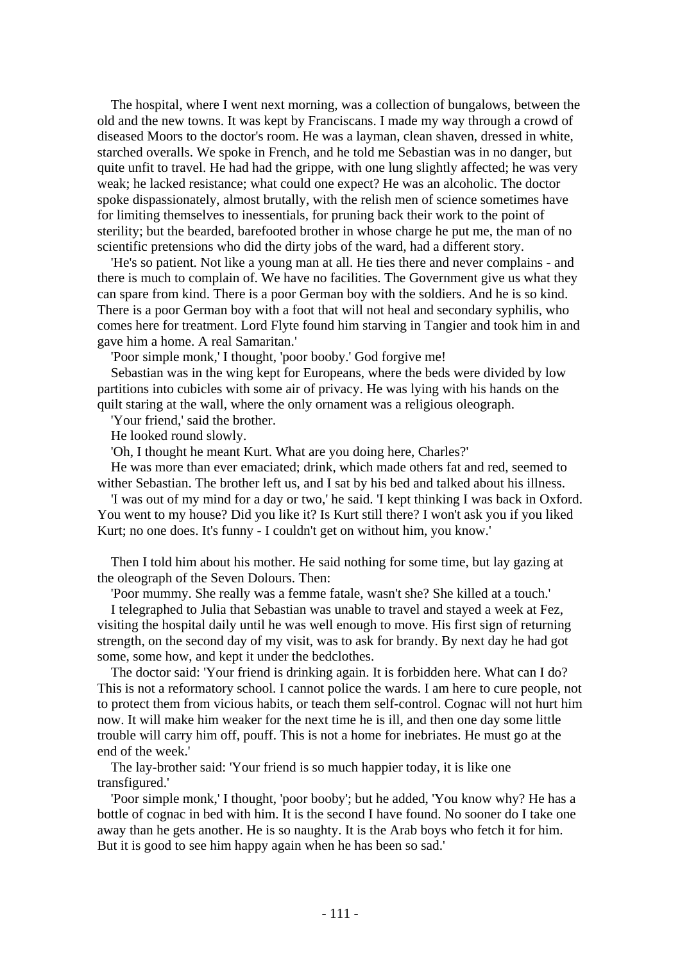The hospital, where I went next morning, was a collection of bungalows, between the old and the new towns. It was kept by Franciscans. I made my way through a crowd of diseased Moors to the doctor's room. He was a layman, clean shaven, dressed in white, starched overalls. We spoke in French, and he told me Sebastian was in no danger, but quite unfit to travel. He had had the grippe, with one lung slightly affected; he was very weak; he lacked resistance; what could one expect? He was an alcoholic. The doctor spoke dispassionately, almost brutally, with the relish men of science sometimes have for limiting themselves to inessentials, for pruning back their work to the point of sterility; but the bearded, barefooted brother in whose charge he put me, the man of no scientific pretensions who did the dirty jobs of the ward, had a different story.

 'He's so patient. Not like a young man at all. He ties there and never complains - and there is much to complain of. We have no facilities. The Government give us what they can spare from kind. There is a poor German boy with the soldiers. And he is so kind. There is a poor German boy with a foot that will not heal and secondary syphilis, who comes here for treatment. Lord Flyte found him starving in Tangier and took him in and gave him a home. A real Samaritan.'

'Poor simple monk,' I thought, 'poor booby.' God forgive me!

 Sebastian was in the wing kept for Europeans, where the beds were divided by low partitions into cubicles with some air of privacy. He was lying with his hands on the quilt staring at the wall, where the only ornament was a religious oleograph.

'Your friend,' said the brother.

He looked round slowly.

'Oh, I thought he meant Kurt. What are you doing here, Charles?'

 He was more than ever emaciated; drink, which made others fat and red, seemed to wither Sebastian. The brother left us, and I sat by his bed and talked about his illness.

 'I was out of my mind for a day or two,' he said. 'I kept thinking I was back in Oxford. You went to my house? Did you like it? Is Kurt still there? I won't ask you if you liked Kurt; no one does. It's funny - I couldn't get on without him, you know.'

 Then I told him about his mother. He said nothing for some time, but lay gazing at the oleograph of the Seven Dolours. Then:

'Poor mummy. She really was a femme fatale, wasn't she? She killed at a touch.'

 I telegraphed to Julia that Sebastian was unable to travel and stayed a week at Fez, visiting the hospital daily until he was well enough to move. His first sign of returning strength, on the second day of my visit, was to ask for brandy. By next day he had got some, some how, and kept it under the bedclothes.

 The doctor said: 'Your friend is drinking again. It is forbidden here. What can I do? This is not a reformatory school. I cannot police the wards. I am here to cure people, not to protect them from vicious habits, or teach them self-control. Cognac will not hurt him now. It will make him weaker for the next time he is ill, and then one day some little trouble will carry him off, pouff. This is not a home for inebriates. He must go at the end of the week.'

 The lay-brother said: 'Your friend is so much happier today, it is like one transfigured.'

 'Poor simple monk,' I thought, 'poor booby'; but he added, 'You know why? He has a bottle of cognac in bed with him. It is the second I have found. No sooner do I take one away than he gets another. He is so naughty. It is the Arab boys who fetch it for him. But it is good to see him happy again when he has been so sad.'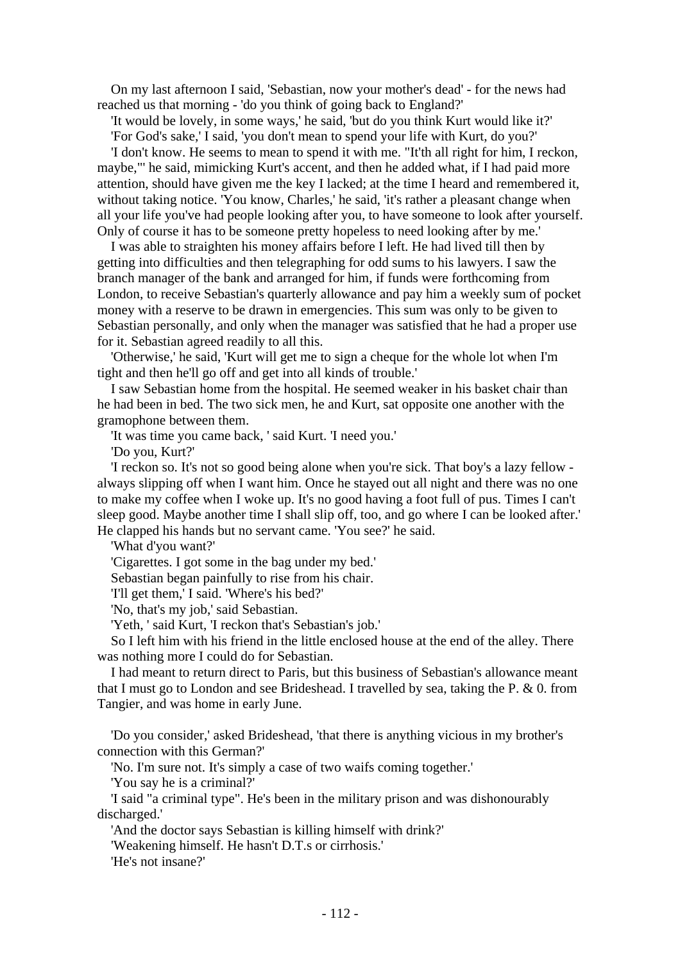On my last afternoon I said, 'Sebastian, now your mother's dead' - for the news had reached us that morning - 'do you think of going back to England?'

'It would be lovely, in some ways,' he said, 'but do you think Kurt would like it?'

'For God's sake,' I said, 'you don't mean to spend your life with Kurt, do you?'

 'I don't know. He seems to mean to spend it with me. "It'th all right for him, I reckon, maybe,"' he said, mimicking Kurt's accent, and then he added what, if I had paid more attention, should have given me the key I lacked; at the time I heard and remembered it, without taking notice. 'You know, Charles,' he said, 'it's rather a pleasant change when all your life you've had people looking after you, to have someone to look after yourself. Only of course it has to be someone pretty hopeless to need looking after by me.'

 I was able to straighten his money affairs before I left. He had lived till then by getting into difficulties and then telegraphing for odd sums to his lawyers. I saw the branch manager of the bank and arranged for him, if funds were forthcoming from London, to receive Sebastian's quarterly allowance and pay him a weekly sum of pocket money with a reserve to be drawn in emergencies. This sum was only to be given to Sebastian personally, and only when the manager was satisfied that he had a proper use for it. Sebastian agreed readily to all this.

 'Otherwise,' he said, 'Kurt will get me to sign a cheque for the whole lot when I'm tight and then he'll go off and get into all kinds of trouble.'

 I saw Sebastian home from the hospital. He seemed weaker in his basket chair than he had been in bed. The two sick men, he and Kurt, sat opposite one another with the gramophone between them.

'It was time you came back, ' said Kurt. 'I need you.'

'Do you, Kurt?'

 'I reckon so. It's not so good being alone when you're sick. That boy's a lazy fellow always slipping off when I want him. Once he stayed out all night and there was no one to make my coffee when I woke up. It's no good having a foot full of pus. Times I can't sleep good. Maybe another time I shall slip off, too, and go where I can be looked after.' He clapped his hands but no servant came. 'You see?' he said.

'What d'you want?'

'Cigarettes. I got some in the bag under my bed.'

Sebastian began painfully to rise from his chair.

'I'll get them,' I said. 'Where's his bed?'

'No, that's my job,' said Sebastian.

'Yeth, ' said Kurt, 'I reckon that's Sebastian's job.'

 So I left him with his friend in the little enclosed house at the end of the alley. There was nothing more I could do for Sebastian.

 I had meant to return direct to Paris, but this business of Sebastian's allowance meant that I must go to London and see Brideshead. I travelled by sea, taking the P. & 0. from Tangier, and was home in early June.

 'Do you consider,' asked Brideshead, 'that there is anything vicious in my brother's connection with this German?'

'No. I'm sure not. It's simply a case of two waifs coming together.'

'You say he is a criminal?'

 'I said "a criminal type". He's been in the military prison and was dishonourably discharged.'

'And the doctor says Sebastian is killing himself with drink?'

'Weakening himself. He hasn't D.T.s or cirrhosis.'

'He's not insane?'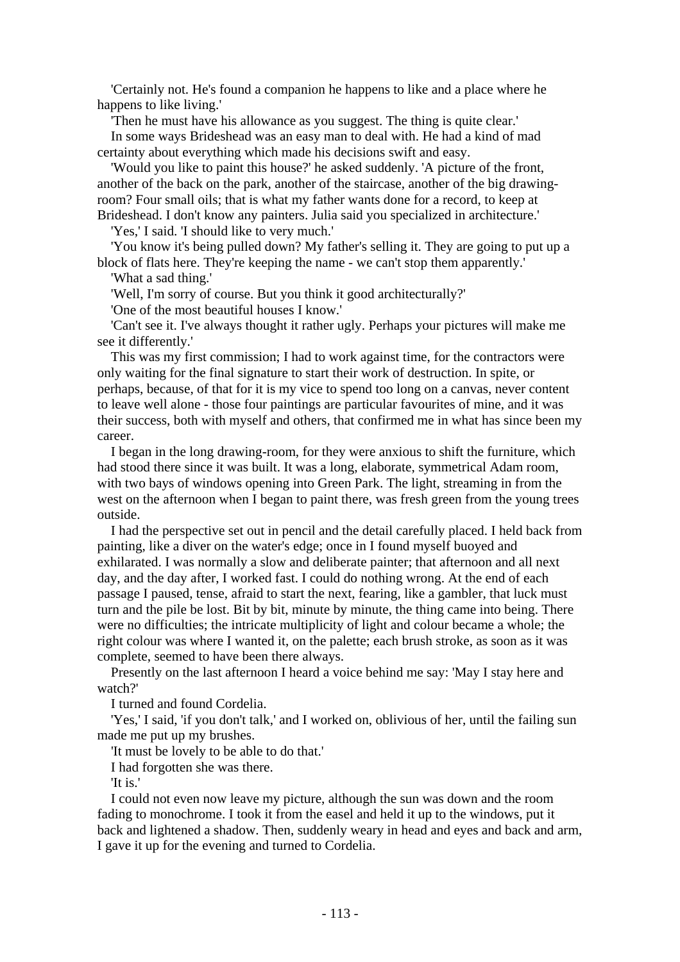'Certainly not. He's found a companion he happens to like and a place where he happens to like living.'

'Then he must have his allowance as you suggest. The thing is quite clear.'

 In some ways Brideshead was an easy man to deal with. He had a kind of mad certainty about everything which made his decisions swift and easy.

 'Would you like to paint this house?' he asked suddenly. 'A picture of the front, another of the back on the park, another of the staircase, another of the big drawingroom? Four small oils; that is what my father wants done for a record, to keep at Brideshead. I don't know any painters. Julia said you specialized in architecture.'

'Yes,' I said. 'I should like to very much.'

 'You know it's being pulled down? My father's selling it. They are going to put up a block of flats here. They're keeping the name - we can't stop them apparently.'

'What a sad thing.'

 'Well, I'm sorry of course. But you think it good architecturally?' 'One of the most beautiful houses I know.'

 'Can't see it. I've always thought it rather ugly. Perhaps your pictures will make me see it differently.'

 This was my first commission; I had to work against time, for the contractors were only waiting for the final signature to start their work of destruction. In spite, or perhaps, because, of that for it is my vice to spend too long on a canvas, never content to leave well alone - those four paintings are particular favourites of mine, and it was their success, both with myself and others, that confirmed me in what has since been my career.

 I began in the long drawing-room, for they were anxious to shift the furniture, which had stood there since it was built. It was a long, elaborate, symmetrical Adam room, with two bays of windows opening into Green Park. The light, streaming in from the west on the afternoon when I began to paint there, was fresh green from the young trees outside.

 I had the perspective set out in pencil and the detail carefully placed. I held back from painting, like a diver on the water's edge; once in I found myself buoyed and exhilarated. I was normally a slow and deliberate painter; that afternoon and all next day, and the day after, I worked fast. I could do nothing wrong. At the end of each passage I paused, tense, afraid to start the next, fearing, like a gambler, that luck must turn and the pile be lost. Bit by bit, minute by minute, the thing came into being. There were no difficulties; the intricate multiplicity of light and colour became a whole; the right colour was where I wanted it, on the palette; each brush stroke, as soon as it was complete, seemed to have been there always.

 Presently on the last afternoon I heard a voice behind me say: 'May I stay here and watch?'

I turned and found Cordelia.

 'Yes,' I said, 'if you don't talk,' and I worked on, oblivious of her, until the failing sun made me put up my brushes.

'It must be lovely to be able to do that.'

I had forgotten she was there.

'It is.'

 I could not even now leave my picture, although the sun was down and the room fading to monochrome. I took it from the easel and held it up to the windows, put it back and lightened a shadow. Then, suddenly weary in head and eyes and back and arm, I gave it up for the evening and turned to Cordelia.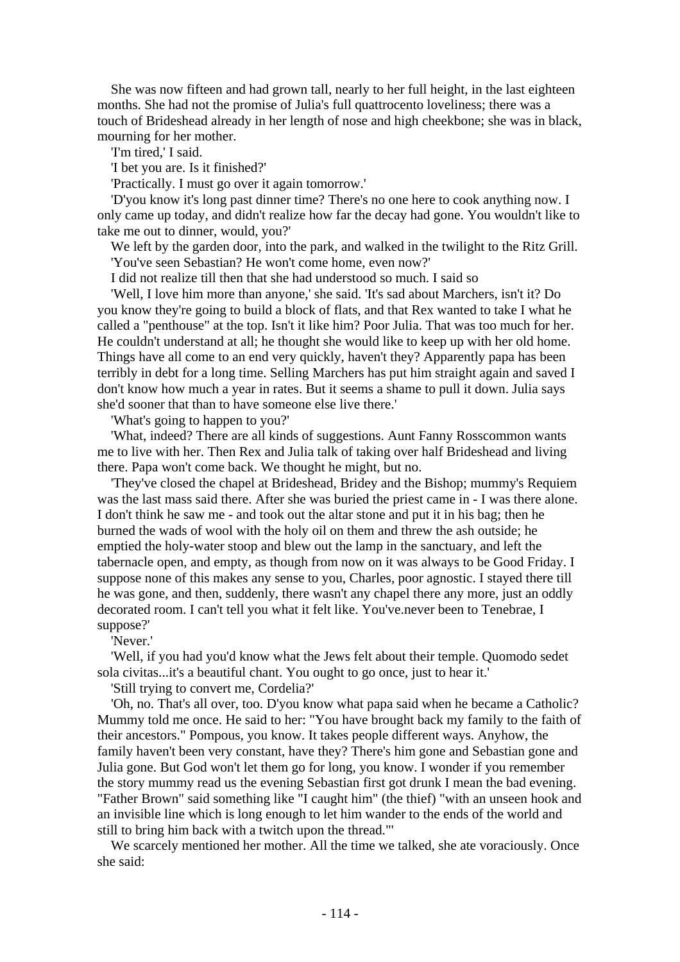She was now fifteen and had grown tall, nearly to her full height, in the last eighteen months. She had not the promise of Julia's full quattrocento loveliness; there was a touch of Brideshead already in her length of nose and high cheekbone; she was in black, mourning for her mother.

'I'm tired,' I said.

'I bet you are. Is it finished?'

'Practically. I must go over it again tomorrow.'

 'D'you know it's long past dinner time? There's no one here to cook anything now. I only came up today, and didn't realize how far the decay had gone. You wouldn't like to take me out to dinner, would, you?'

We left by the garden door, into the park, and walked in the twilight to the Ritz Grill. 'You've seen Sebastian? He won't come home, even now?'

I did not realize till then that she had understood so much. I said so

 'Well, I love him more than anyone,' she said. 'It's sad about Marchers, isn't it? Do you know they're going to build a block of flats, and that Rex wanted to take I what he called a "penthouse" at the top. Isn't it like him? Poor Julia. That was too much for her. He couldn't understand at all; he thought she would like to keep up with her old home. Things have all come to an end very quickly, haven't they? Apparently papa has been terribly in debt for a long time. Selling Marchers has put him straight again and saved I don't know how much a year in rates. But it seems a shame to pull it down. Julia says she'd sooner that than to have someone else live there.'

'What's going to happen to you?'

 'What, indeed? There are all kinds of suggestions. Aunt Fanny Rosscommon wants me to live with her. Then Rex and Julia talk of taking over half Brideshead and living there. Papa won't come back. We thought he might, but no.

 'They've closed the chapel at Brideshead, Bridey and the Bishop; mummy's Requiem was the last mass said there. After she was buried the priest came in - I was there alone. I don't think he saw me - and took out the altar stone and put it in his bag; then he burned the wads of wool with the holy oil on them and threw the ash outside; he emptied the holy-water stoop and blew out the lamp in the sanctuary, and left the tabernacle open, and empty, as though from now on it was always to be Good Friday. I suppose none of this makes any sense to you, Charles, poor agnostic. I stayed there till he was gone, and then, suddenly, there wasn't any chapel there any more, just an oddly decorated room. I can't tell you what it felt like. You've.never been to Tenebrae, I suppose?'

'Never.'

 'Well, if you had you'd know what the Jews felt about their temple. Quomodo sedet sola civitas...it's a beautiful chant. You ought to go once, just to hear it.'

'Still trying to convert me, Cordelia?'

 'Oh, no. That's all over, too. D'you know what papa said when he became a Catholic? Mummy told me once. He said to her: "You have brought back my family to the faith of their ancestors." Pompous, you know. It takes people different ways. Anyhow, the family haven't been very constant, have they? There's him gone and Sebastian gone and Julia gone. But God won't let them go for long, you know. I wonder if you remember the story mummy read us the evening Sebastian first got drunk I mean the bad evening. "Father Brown" said something like "I caught him" (the thief) "with an unseen hook and an invisible line which is long enough to let him wander to the ends of the world and still to bring him back with a twitch upon the thread."'

 We scarcely mentioned her mother. All the time we talked, she ate voraciously. Once she said: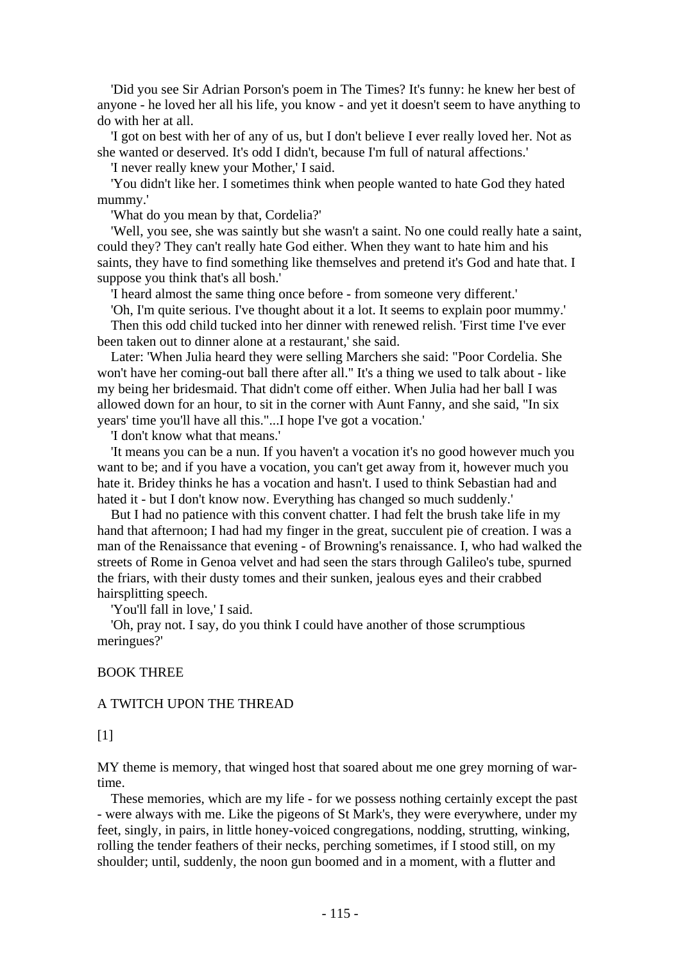'Did you see Sir Adrian Porson's poem in The Times? It's funny: he knew her best of anyone - he loved her all his life, you know - and yet it doesn't seem to have anything to do with her at all.

 'I got on best with her of any of us, but I don't believe I ever really loved her. Not as she wanted or deserved. It's odd I didn't, because I'm full of natural affections.'

'I never really knew your Mother,' I said.

 'You didn't like her. I sometimes think when people wanted to hate God they hated mummy.'

'What do you mean by that, Cordelia?'

 'Well, you see, she was saintly but she wasn't a saint. No one could really hate a saint, could they? They can't really hate God either. When they want to hate him and his saints, they have to find something like themselves and pretend it's God and hate that. I suppose you think that's all bosh.'

'I heard almost the same thing once before - from someone very different.'

'Oh, I'm quite serious. I've thought about it a lot. It seems to explain poor mummy.'

 Then this odd child tucked into her dinner with renewed relish. 'First time I've ever been taken out to dinner alone at a restaurant,' she said.

 Later: 'When Julia heard they were selling Marchers she said: "Poor Cordelia. She won't have her coming-out ball there after all." It's a thing we used to talk about - like my being her bridesmaid. That didn't come off either. When Julia had her ball I was allowed down for an hour, to sit in the corner with Aunt Fanny, and she said, "In six years' time you'll have all this."...I hope I've got a vocation.'

'I don't know what that means.'

 'It means you can be a nun. If you haven't a vocation it's no good however much you want to be; and if you have a vocation, you can't get away from it, however much you hate it. Bridey thinks he has a vocation and hasn't. I used to think Sebastian had and hated it - but I don't know now. Everything has changed so much suddenly.'

 But I had no patience with this convent chatter. I had felt the brush take life in my hand that afternoon; I had had my finger in the great, succulent pie of creation. I was a man of the Renaissance that evening - of Browning's renaissance. I, who had walked the streets of Rome in Genoa velvet and had seen the stars through Galileo's tube, spurned the friars, with their dusty tomes and their sunken, jealous eyes and their crabbed hairsplitting speech.

'You'll fall in love,' I said.

 'Oh, pray not. I say, do you think I could have another of those scrumptious meringues?'

### BOOK THREE

#### A TWITCH UPON THE THREAD

#### $[1]$

MY theme is memory, that winged host that soared about me one grey morning of wartime.

 These memories, which are my life - for we possess nothing certainly except the past - were always with me. Like the pigeons of St Mark's, they were everywhere, under my feet, singly, in pairs, in little honey-voiced congregations, nodding, strutting, winking, rolling the tender feathers of their necks, perching sometimes, if I stood still, on my shoulder; until, suddenly, the noon gun boomed and in a moment, with a flutter and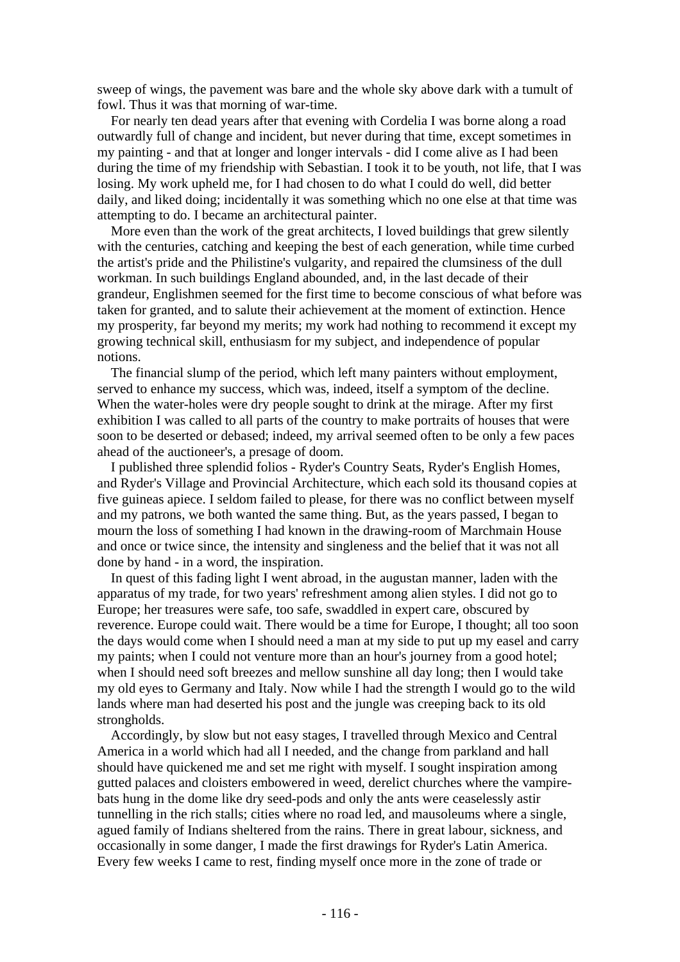sweep of wings, the pavement was bare and the whole sky above dark with a tumult of fowl. Thus it was that morning of war-time.

 For nearly ten dead years after that evening with Cordelia I was borne along a road outwardly full of change and incident, but never during that time, except sometimes in my painting - and that at longer and longer intervals - did I come alive as I had been during the time of my friendship with Sebastian. I took it to be youth, not life, that I was losing. My work upheld me, for I had chosen to do what I could do well, did better daily, and liked doing; incidentally it was something which no one else at that time was attempting to do. I became an architectural painter.

 More even than the work of the great architects, I loved buildings that grew silently with the centuries, catching and keeping the best of each generation, while time curbed the artist's pride and the Philistine's vulgarity, and repaired the clumsiness of the dull workman. In such buildings England abounded, and, in the last decade of their grandeur, Englishmen seemed for the first time to become conscious of what before was taken for granted, and to salute their achievement at the moment of extinction. Hence my prosperity, far beyond my merits; my work had nothing to recommend it except my growing technical skill, enthusiasm for my subject, and independence of popular notions.

 The financial slump of the period, which left many painters without employment, served to enhance my success, which was, indeed, itself a symptom of the decline. When the water-holes were dry people sought to drink at the mirage. After my first exhibition I was called to all parts of the country to make portraits of houses that were soon to be deserted or debased; indeed, my arrival seemed often to be only a few paces ahead of the auctioneer's, a presage of doom.

 I published three splendid folios - Ryder's Country Seats, Ryder's English Homes, and Ryder's Village and Provincial Architecture, which each sold its thousand copies at five guineas apiece. I seldom failed to please, for there was no conflict between myself and my patrons, we both wanted the same thing. But, as the years passed, I began to mourn the loss of something I had known in the drawing-room of Marchmain House and once or twice since, the intensity and singleness and the belief that it was not all done by hand - in a word, the inspiration.

 In quest of this fading light I went abroad, in the augustan manner, laden with the apparatus of my trade, for two years' refreshment among alien styles. I did not go to Europe; her treasures were safe, too safe, swaddled in expert care, obscured by reverence. Europe could wait. There would be a time for Europe, I thought; all too soon the days would come when I should need a man at my side to put up my easel and carry my paints; when I could not venture more than an hour's journey from a good hotel; when I should need soft breezes and mellow sunshine all day long; then I would take my old eyes to Germany and Italy. Now while I had the strength I would go to the wild lands where man had deserted his post and the jungle was creeping back to its old strongholds.

 Accordingly, by slow but not easy stages, I travelled through Mexico and Central America in a world which had all I needed, and the change from parkland and hall should have quickened me and set me right with myself. I sought inspiration among gutted palaces and cloisters embowered in weed, derelict churches where the vampirebats hung in the dome like dry seed-pods and only the ants were ceaselessly astir tunnelling in the rich stalls; cities where no road led, and mausoleums where a single, agued family of Indians sheltered from the rains. There in great labour, sickness, and occasionally in some danger, I made the first drawings for Ryder's Latin America. Every few weeks I came to rest, finding myself once more in the zone of trade or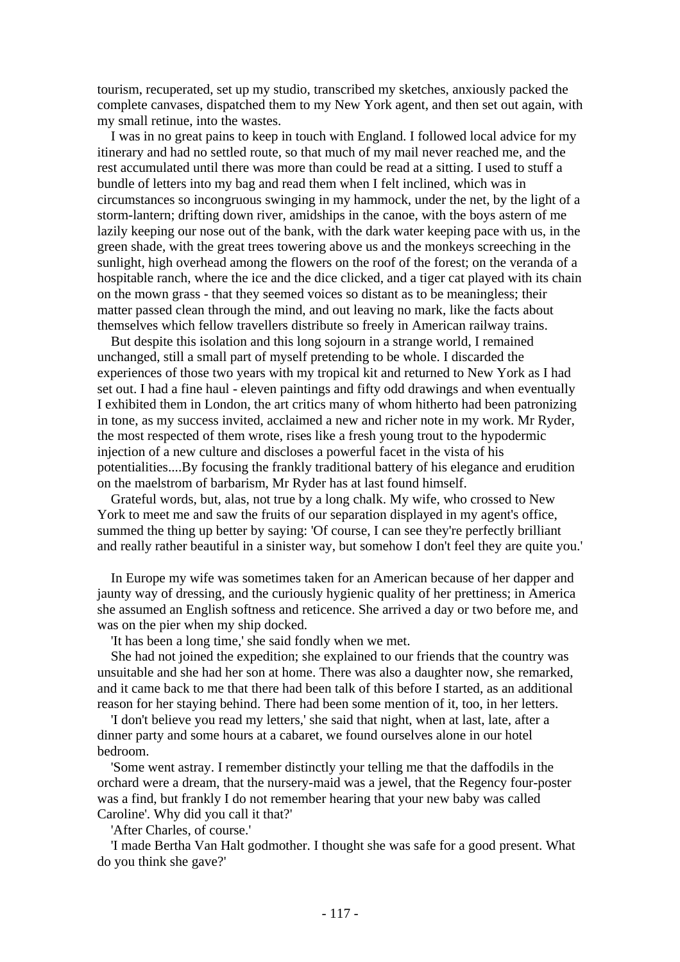tourism, recuperated, set up my studio, transcribed my sketches, anxiously packed the complete canvases, dispatched them to my New York agent, and then set out again, with my small retinue, into the wastes.

 I was in no great pains to keep in touch with England. I followed local advice for my itinerary and had no settled route, so that much of my mail never reached me, and the rest accumulated until there was more than could be read at a sitting. I used to stuff a bundle of letters into my bag and read them when I felt inclined, which was in circumstances so incongruous swinging in my hammock, under the net, by the light of a storm-lantern; drifting down river, amidships in the canoe, with the boys astern of me lazily keeping our nose out of the bank, with the dark water keeping pace with us, in the green shade, with the great trees towering above us and the monkeys screeching in the sunlight, high overhead among the flowers on the roof of the forest; on the veranda of a hospitable ranch, where the ice and the dice clicked, and a tiger cat played with its chain on the mown grass - that they seemed voices so distant as to be meaningless; their matter passed clean through the mind, and out leaving no mark, like the facts about themselves which fellow travellers distribute so freely in American railway trains.

 But despite this isolation and this long sojourn in a strange world, I remained unchanged, still a small part of myself pretending to be whole. I discarded the experiences of those two years with my tropical kit and returned to New York as I had set out. I had a fine haul - eleven paintings and fifty odd drawings and when eventually I exhibited them in London, the art critics many of whom hitherto had been patronizing in tone, as my success invited, acclaimed a new and richer note in my work. Mr Ryder, the most respected of them wrote, rises like a fresh young trout to the hypodermic injection of a new culture and discloses a powerful facet in the vista of his potentialities....By focusing the frankly traditional battery of his elegance and erudition on the maelstrom of barbarism, Mr Ryder has at last found himself.

 Grateful words, but, alas, not true by a long chalk. My wife, who crossed to New York to meet me and saw the fruits of our separation displayed in my agent's office, summed the thing up better by saying: 'Of course, I can see they're perfectly brilliant and really rather beautiful in a sinister way, but somehow I don't feel they are quite you.'

 In Europe my wife was sometimes taken for an American because of her dapper and jaunty way of dressing, and the curiously hygienic quality of her prettiness; in America she assumed an English softness and reticence. She arrived a day or two before me, and was on the pier when my ship docked.

'It has been a long time,' she said fondly when we met.

 She had not joined the expedition; she explained to our friends that the country was unsuitable and she had her son at home. There was also a daughter now, she remarked, and it came back to me that there had been talk of this before I started, as an additional reason for her staying behind. There had been some mention of it, too, in her letters.

 'I don't believe you read my letters,' she said that night, when at last, late, after a dinner party and some hours at a cabaret, we found ourselves alone in our hotel bedroom.

 'Some went astray. I remember distinctly your telling me that the daffodils in the orchard were a dream, that the nursery-maid was a jewel, that the Regency four-poster was a find, but frankly I do not remember hearing that your new baby was called Caroline'. Why did you call it that?'

'After Charles, of course.'

 'I made Bertha Van Halt godmother. I thought she was safe for a good present. What do you think she gave?'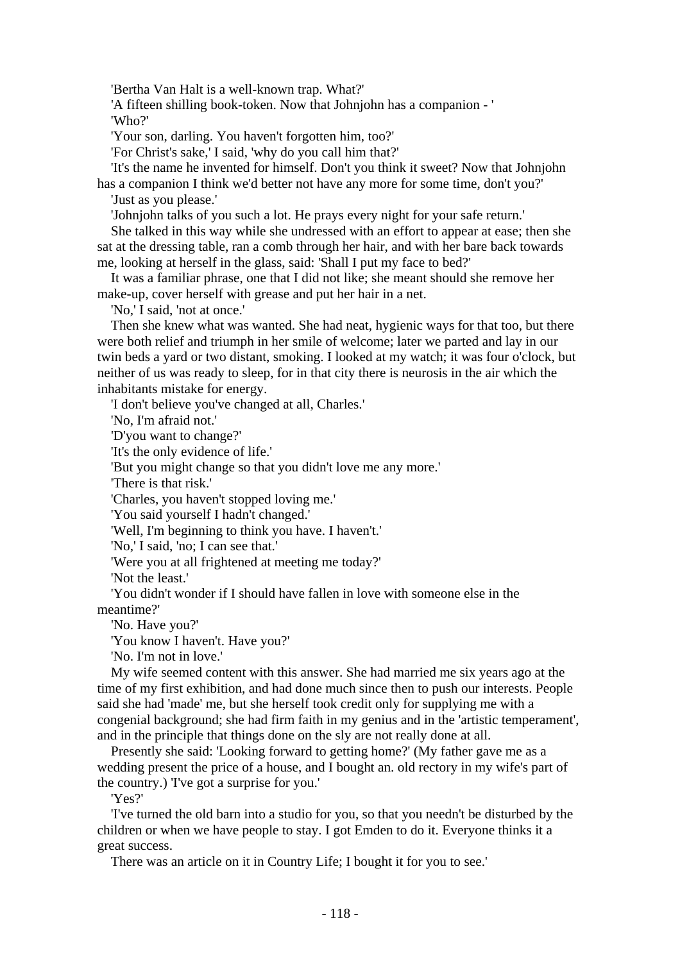'Bertha Van Halt is a well-known trap. What?'

 'A fifteen shilling book-token. Now that Johnjohn has a companion - ' 'Who?'

'Your son, darling. You haven't forgotten him, too?'

'For Christ's sake,' I said, 'why do you call him that?'

 'It's the name he invented for himself. Don't you think it sweet? Now that Johnjohn has a companion I think we'd better not have any more for some time, don't you?'

'Just as you please.'

'Johnjohn talks of you such a lot. He prays every night for your safe return.'

 She talked in this way while she undressed with an effort to appear at ease; then she sat at the dressing table, ran a comb through her hair, and with her bare back towards me, looking at herself in the glass, said: 'Shall I put my face to bed?'

 It was a familiar phrase, one that I did not like; she meant should she remove her make-up, cover herself with grease and put her hair in a net.

'No,' I said, 'not at once.'

 Then she knew what was wanted. She had neat, hygienic ways for that too, but there were both relief and triumph in her smile of welcome; later we parted and lay in our twin beds a yard or two distant, smoking. I looked at my watch; it was four o'clock, but neither of us was ready to sleep, for in that city there is neurosis in the air which the inhabitants mistake for energy.

'I don't believe you've changed at all, Charles.'

'No, I'm afraid not.'

'D'you want to change?'

'It's the only evidence of life.'

'But you might change so that you didn't love me any more.'

'There is that risk.'

'Charles, you haven't stopped loving me.'

'You said yourself I hadn't changed.'

'Well, I'm beginning to think you have. I haven't.'

'No,' I said, 'no; I can see that.'

'Were you at all frightened at meeting me today?'

'Not the least.'

 'You didn't wonder if I should have fallen in love with someone else in the meantime?'

'No. Have you?'

'You know I haven't. Have you?'

'No. I'm not in love.'

 My wife seemed content with this answer. She had married me six years ago at the time of my first exhibition, and had done much since then to push our interests. People said she had 'made' me, but she herself took credit only for supplying me with a congenial background; she had firm faith in my genius and in the 'artistic temperament', and in the principle that things done on the sly are not really done at all.

 Presently she said: 'Looking forward to getting home?' (My father gave me as a wedding present the price of a house, and I bought an. old rectory in my wife's part of the country.) 'I've got a surprise for you.'

'Yes?'

 'I've turned the old barn into a studio for you, so that you needn't be disturbed by the children or when we have people to stay. I got Emden to do it. Everyone thinks it a great success.

There was an article on it in Country Life; I bought it for you to see.'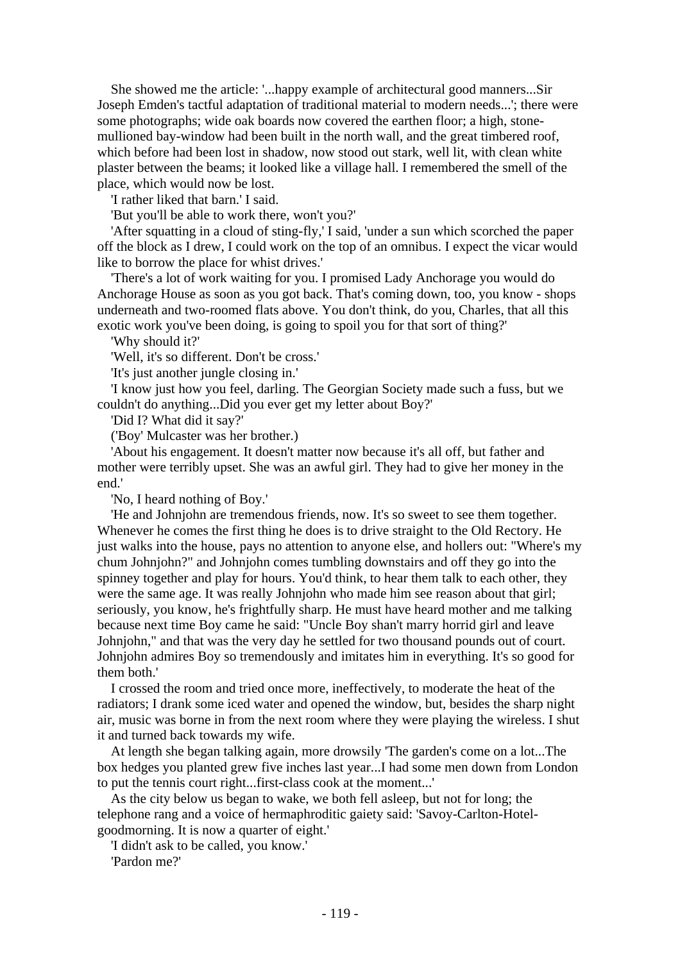She showed me the article: '...happy example of architectural good manners...Sir Joseph Emden's tactful adaptation of traditional material to modern needs...'; there were some photographs; wide oak boards now covered the earthen floor; a high, stonemullioned bay-window had been built in the north wall, and the great timbered roof, which before had been lost in shadow, now stood out stark, well lit, with clean white plaster between the beams; it looked like a village hall. I remembered the smell of the place, which would now be lost.

'I rather liked that barn.' I said.

'But you'll be able to work there, won't you?'

 'After squatting in a cloud of sting-fly,' I said, 'under a sun which scorched the paper off the block as I drew, I could work on the top of an omnibus. I expect the vicar would like to borrow the place for whist drives.'

 'There's a lot of work waiting for you. I promised Lady Anchorage you would do Anchorage House as soon as you got back. That's coming down, too, you know - shops underneath and two-roomed flats above. You don't think, do you, Charles, that all this exotic work you've been doing, is going to spoil you for that sort of thing?'

'Why should it?'

'Well, it's so different. Don't be cross.'

'It's just another jungle closing in.'

 'I know just how you feel, darling. The Georgian Society made such a fuss, but we couldn't do anything...Did you ever get my letter about Boy?'

'Did I? What did it say?'

('Boy' Mulcaster was her brother.)

 'About his engagement. It doesn't matter now because it's all off, but father and mother were terribly upset. She was an awful girl. They had to give her money in the end.'

'No, I heard nothing of Boy.'

 'He and Johnjohn are tremendous friends, now. It's so sweet to see them together. Whenever he comes the first thing he does is to drive straight to the Old Rectory. He just walks into the house, pays no attention to anyone else, and hollers out: "Where's my chum Johnjohn?" and Johnjohn comes tumbling downstairs and off they go into the spinney together and play for hours. You'd think, to hear them talk to each other, they were the same age. It was really Johnjohn who made him see reason about that girl; seriously, you know, he's frightfully sharp. He must have heard mother and me talking because next time Boy came he said: "Uncle Boy shan't marry horrid girl and leave Johnjohn," and that was the very day he settled for two thousand pounds out of court. Johnjohn admires Boy so tremendously and imitates him in everything. It's so good for them both.'

 I crossed the room and tried once more, ineffectively, to moderate the heat of the radiators; I drank some iced water and opened the window, but, besides the sharp night air, music was borne in from the next room where they were playing the wireless. I shut it and turned back towards my wife.

 At length she began talking again, more drowsily 'The garden's come on a lot...The box hedges you planted grew five inches last year...I had some men down from London to put the tennis court right...first-class cook at the moment...'

 As the city below us began to wake, we both fell asleep, but not for long; the telephone rang and a voice of hermaphroditic gaiety said: 'Savoy-Carlton-Hotelgoodmorning. It is now a quarter of eight.'

'I didn't ask to be called, you know.'

'Pardon me?'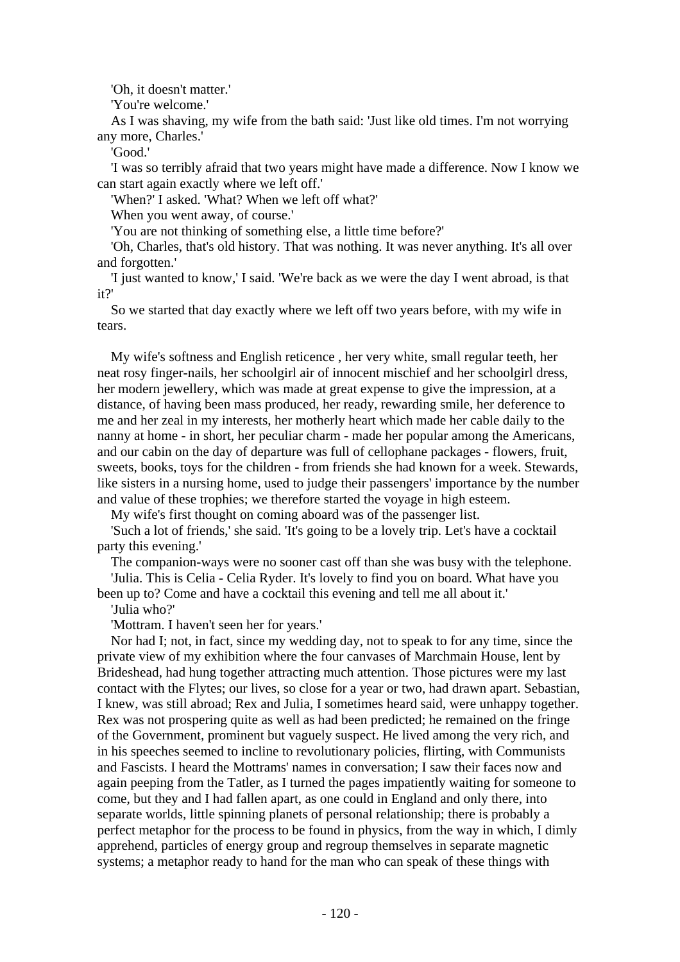'Oh, it doesn't matter.'

'You're welcome.'

 As I was shaving, my wife from the bath said: 'Just like old times. I'm not worrying any more, Charles.'

'Good.'

 'I was so terribly afraid that two years might have made a difference. Now I know we can start again exactly where we left off.'

'When?' I asked. 'What? When we left off what?'

When you went away, of course.'

'You are not thinking of something else, a little time before?'

 'Oh, Charles, that's old history. That was nothing. It was never anything. It's all over and forgotten.'

 'I just wanted to know,' I said. 'We're back as we were the day I went abroad, is that it?'

 So we started that day exactly where we left off two years before, with my wife in tears.

 My wife's softness and English reticence , her very white, small regular teeth, her neat rosy finger-nails, her schoolgirl air of innocent mischief and her schoolgirl dress, her modern jewellery, which was made at great expense to give the impression, at a distance, of having been mass produced, her ready, rewarding smile, her deference to me and her zeal in my interests, her motherly heart which made her cable daily to the nanny at home - in short, her peculiar charm - made her popular among the Americans, and our cabin on the day of departure was full of cellophane packages - flowers, fruit, sweets, books, toys for the children - from friends she had known for a week. Stewards, like sisters in a nursing home, used to judge their passengers' importance by the number and value of these trophies; we therefore started the voyage in high esteem.

My wife's first thought on coming aboard was of the passenger list.

 'Such a lot of friends,' she said. 'It's going to be a lovely trip. Let's have a cocktail party this evening.'

 The companion-ways were no sooner cast off than she was busy with the telephone. 'Julia. This is Celia - Celia Ryder. It's lovely to find you on board. What have you

been up to? Come and have a cocktail this evening and tell me all about it.'

'Julia who?'

'Mottram. I haven't seen her for years.'

 Nor had I; not, in fact, since my wedding day, not to speak to for any time, since the private view of my exhibition where the four canvases of Marchmain House, lent by Brideshead, had hung together attracting much attention. Those pictures were my last contact with the Flytes; our lives, so close for a year or two, had drawn apart. Sebastian, I knew, was still abroad; Rex and Julia, I sometimes heard said, were unhappy together. Rex was not prospering quite as well as had been predicted; he remained on the fringe of the Government, prominent but vaguely suspect. He lived among the very rich, and in his speeches seemed to incline to revolutionary policies, flirting, with Communists and Fascists. I heard the Mottrams' names in conversation; I saw their faces now and again peeping from the Tatler, as I turned the pages impatiently waiting for someone to come, but they and I had fallen apart, as one could in England and only there, into separate worlds, little spinning planets of personal relationship; there is probably a perfect metaphor for the process to be found in physics, from the way in which, I dimly apprehend, particles of energy group and regroup themselves in separate magnetic systems; a metaphor ready to hand for the man who can speak of these things with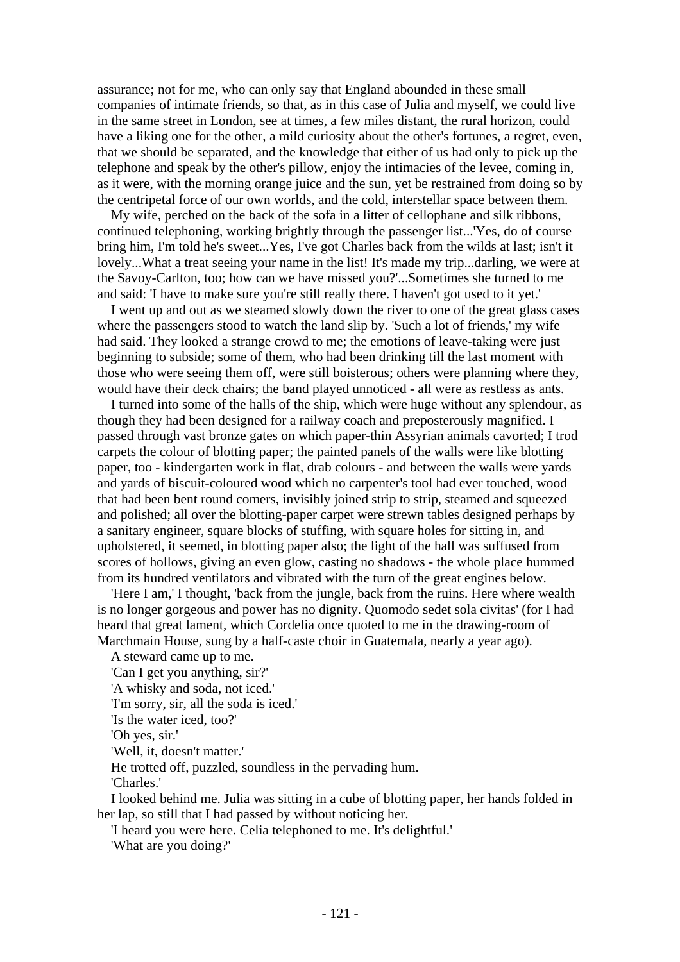assurance; not for me, who can only say that England abounded in these small companies of intimate friends, so that, as in this case of Julia and myself, we could live in the same street in London, see at times, a few miles distant, the rural horizon, could have a liking one for the other, a mild curiosity about the other's fortunes, a regret, even, that we should be separated, and the knowledge that either of us had only to pick up the telephone and speak by the other's pillow, enjoy the intimacies of the levee, coming in, as it were, with the morning orange juice and the sun, yet be restrained from doing so by the centripetal force of our own worlds, and the cold, interstellar space between them.

 My wife, perched on the back of the sofa in a litter of cellophane and silk ribbons, continued telephoning, working brightly through the passenger list...'Yes, do of course bring him, I'm told he's sweet...Yes, I've got Charles back from the wilds at last; isn't it lovely...What a treat seeing your name in the list! It's made my trip...darling, we were at the Savoy-Carlton, too; how can we have missed you?'...Sometimes she turned to me and said: 'I have to make sure you're still really there. I haven't got used to it yet.'

 I went up and out as we steamed slowly down the river to one of the great glass cases where the passengers stood to watch the land slip by. 'Such a lot of friends,' my wife had said. They looked a strange crowd to me; the emotions of leave-taking were just beginning to subside; some of them, who had been drinking till the last moment with those who were seeing them off, were still boisterous; others were planning where they, would have their deck chairs; the band played unnoticed - all were as restless as ants.

 I turned into some of the halls of the ship, which were huge without any splendour, as though they had been designed for a railway coach and preposterously magnified. I passed through vast bronze gates on which paper-thin Assyrian animals cavorted; I trod carpets the colour of blotting paper; the painted panels of the walls were like blotting paper, too - kindergarten work in flat, drab colours - and between the walls were yards and yards of biscuit-coloured wood which no carpenter's tool had ever touched, wood that had been bent round comers, invisibly joined strip to strip, steamed and squeezed and polished; all over the blotting-paper carpet were strewn tables designed perhaps by a sanitary engineer, square blocks of stuffing, with square holes for sitting in, and upholstered, it seemed, in blotting paper also; the light of the hall was suffused from scores of hollows, giving an even glow, casting no shadows - the whole place hummed from its hundred ventilators and vibrated with the turn of the great engines below.

 'Here I am,' I thought, 'back from the jungle, back from the ruins. Here where wealth is no longer gorgeous and power has no dignity. Quomodo sedet sola civitas' (for I had heard that great lament, which Cordelia once quoted to me in the drawing-room of Marchmain House, sung by a half-caste choir in Guatemala, nearly a year ago).

 A steward came up to me. 'Can I get you anything, sir?' 'A whisky and soda, not iced.' 'I'm sorry, sir, all the soda is iced.' 'Is the water iced, too?' 'Oh yes, sir.' 'Well, it, doesn't matter.' He trotted off, puzzled, soundless in the pervading hum. 'Charles.'

 I looked behind me. Julia was sitting in a cube of blotting paper, her hands folded in her lap, so still that I had passed by without noticing her.

'I heard you were here. Celia telephoned to me. It's delightful.'

'What are you doing?'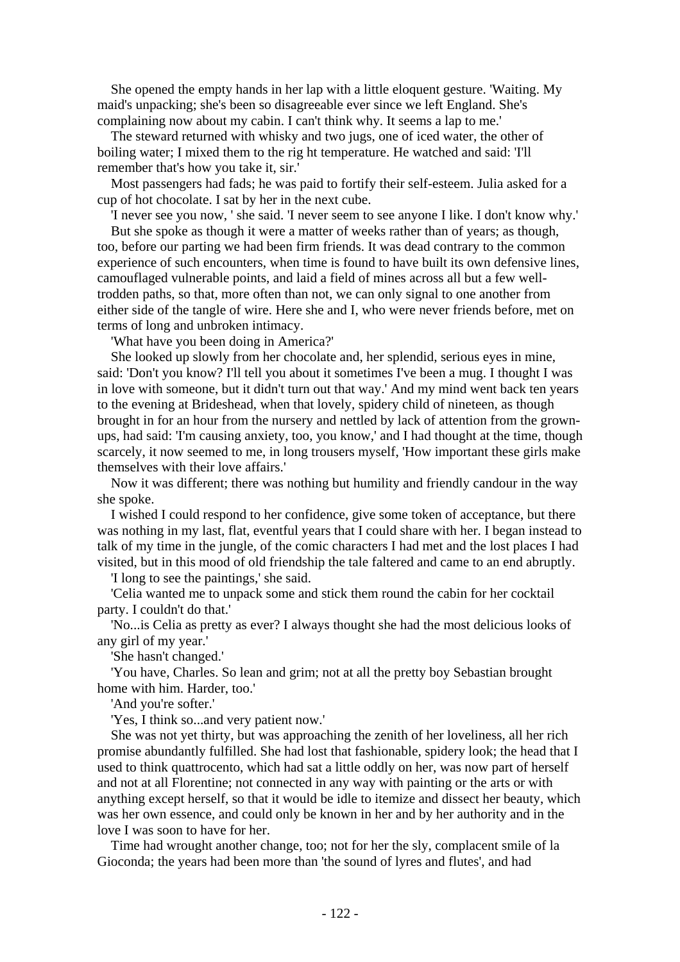She opened the empty hands in her lap with a little eloquent gesture. 'Waiting. My maid's unpacking; she's been so disagreeable ever since we left England. She's complaining now about my cabin. I can't think why. It seems a lap to me.'

 The steward returned with whisky and two jugs, one of iced water, the other of boiling water; I mixed them to the rig ht temperature. He watched and said: 'I'll remember that's how you take it, sir.'

 Most passengers had fads; he was paid to fortify their self-esteem. Julia asked for a cup of hot chocolate. I sat by her in the next cube.

 'I never see you now, ' she said. 'I never seem to see anyone I like. I don't know why.' But she spoke as though it were a matter of weeks rather than of years; as though,

too, before our parting we had been firm friends. It was dead contrary to the common experience of such encounters, when time is found to have built its own defensive lines, camouflaged vulnerable points, and laid a field of mines across all but a few welltrodden paths, so that, more often than not, we can only signal to one another from either side of the tangle of wire. Here she and I, who were never friends before, met on terms of long and unbroken intimacy.

'What have you been doing in America?'

 She looked up slowly from her chocolate and, her splendid, serious eyes in mine, said: 'Don't you know? I'll tell you about it sometimes I've been a mug. I thought I was in love with someone, but it didn't turn out that way.' And my mind went back ten years to the evening at Brideshead, when that lovely, spidery child of nineteen, as though brought in for an hour from the nursery and nettled by lack of attention from the grownups, had said: 'I'm causing anxiety, too, you know,' and I had thought at the time, though scarcely, it now seemed to me, in long trousers myself, 'How important these girls make themselves with their love affairs.'

 Now it was different; there was nothing but humility and friendly candour in the way she spoke.

 I wished I could respond to her confidence, give some token of acceptance, but there was nothing in my last, flat, eventful years that I could share with her. I began instead to talk of my time in the jungle, of the comic characters I had met and the lost places I had visited, but in this mood of old friendship the tale faltered and came to an end abruptly.

'I long to see the paintings,' she said.

 'Celia wanted me to unpack some and stick them round the cabin for her cocktail party. I couldn't do that.'

 'No...is Celia as pretty as ever? I always thought she had the most delicious looks of any girl of my year.'

'She hasn't changed.'

 'You have, Charles. So lean and grim; not at all the pretty boy Sebastian brought home with him. Harder, too.'

'And you're softer.'

'Yes, I think so...and very patient now.'

 She was not yet thirty, but was approaching the zenith of her loveliness, all her rich promise abundantly fulfilled. She had lost that fashionable, spidery look; the head that I used to think quattrocento, which had sat a little oddly on her, was now part of herself and not at all Florentine; not connected in any way with painting or the arts or with anything except herself, so that it would be idle to itemize and dissect her beauty, which was her own essence, and could only be known in her and by her authority and in the love I was soon to have for her.

 Time had wrought another change, too; not for her the sly, complacent smile of la Gioconda; the years had been more than 'the sound of lyres and flutes', and had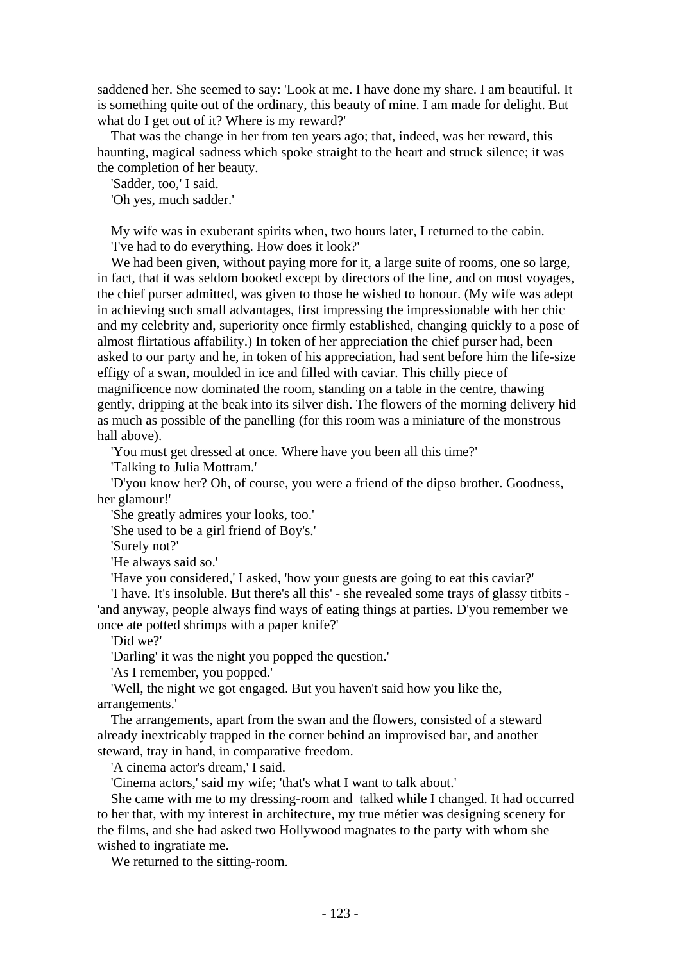saddened her. She seemed to say: 'Look at me. I have done my share. I am beautiful. It is something quite out of the ordinary, this beauty of mine. I am made for delight. But what do I get out of it? Where is my reward?'

 That was the change in her from ten years ago; that, indeed, was her reward, this haunting, magical sadness which spoke straight to the heart and struck silence; it was the completion of her beauty.

'Sadder, too,' I said.

'Oh yes, much sadder.'

 My wife was in exuberant spirits when, two hours later, I returned to the cabin. 'I've had to do everything. How does it look?'

 We had been given, without paying more for it, a large suite of rooms, one so large, in fact, that it was seldom booked except by directors of the line, and on most voyages, the chief purser admitted, was given to those he wished to honour. (My wife was adept in achieving such small advantages, first impressing the impressionable with her chic and my celebrity and, superiority once firmly established, changing quickly to a pose of almost flirtatious affability.) In token of her appreciation the chief purser had, been asked to our party and he, in token of his appreciation, had sent before him the life-size effigy of a swan, moulded in ice and filled with caviar. This chilly piece of magnificence now dominated the room, standing on a table in the centre, thawing gently, dripping at the beak into its silver dish. The flowers of the morning delivery hid as much as possible of the panelling (for this room was a miniature of the monstrous hall above).

'You must get dressed at once. Where have you been all this time?'

'Talking to Julia Mottram.'

 'D'you know her? Oh, of course, you were a friend of the dipso brother. Goodness, her glamour!'

'She greatly admires your looks, too.'

'She used to be a girl friend of Boy's.'

'Surely not?'

'He always said so.'

'Have you considered,' I asked, 'how your guests are going to eat this caviar?'

 'I have. It's insoluble. But there's all this' - she revealed some trays of glassy titbits - 'and anyway, people always find ways of eating things at parties. D'you remember we once ate potted shrimps with a paper knife?'

'Did we?'

'Darling' it was the night you popped the question.'

'As I remember, you popped.'

 'Well, the night we got engaged. But you haven't said how you like the, arrangements.'

 The arrangements, apart from the swan and the flowers, consisted of a steward already inextricably trapped in the corner behind an improvised bar, and another steward, tray in hand, in comparative freedom.

'A cinema actor's dream,' I said.

'Cinema actors,' said my wife; 'that's what I want to talk about.'

 She came with me to my dressing-room and talked while I changed. It had occurred to her that, with my interest in architecture, my true métier was designing scenery for the films, and she had asked two Hollywood magnates to the party with whom she wished to ingratiate me.

We returned to the sitting-room.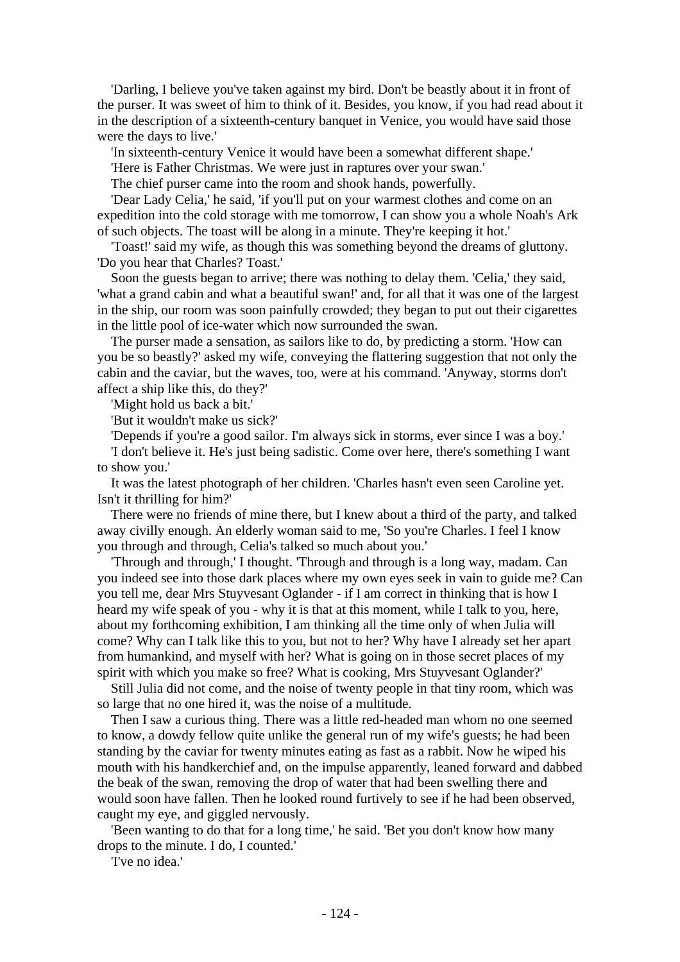'Darling, I believe you've taken against my bird. Don't be beastly about it in front of the purser. It was sweet of him to think of it. Besides, you know, if you had read about it in the description of a sixteenth-century banquet in Venice, you would have said those were the days to live.'

'In sixteenth-century Venice it would have been a somewhat different shape.'

'Here is Father Christmas. We were just in raptures over your swan.'

The chief purser came into the room and shook hands, powerfully.

 'Dear Lady Celia,' he said, 'if you'll put on your warmest clothes and come on an expedition into the cold storage with me tomorrow, I can show you a whole Noah's Ark of such objects. The toast will be along in a minute. They're keeping it hot.'

 'Toast!' said my wife, as though this was something beyond the dreams of gluttony. 'Do you hear that Charles? Toast.'

 Soon the guests began to arrive; there was nothing to delay them. 'Celia,' they said, 'what a grand cabin and what a beautiful swan!' and, for all that it was one of the largest in the ship, our room was soon painfully crowded; they began to put out their cigarettes in the little pool of ice-water which now surrounded the swan.

 The purser made a sensation, as sailors like to do, by predicting a storm. 'How can you be so beastly?' asked my wife, conveying the flattering suggestion that not only the cabin and the caviar, but the waves, too, were at his command. 'Anyway, storms don't affect a ship like this, do they?'

'Might hold us back a bit.'

'But it wouldn't make us sick?'

'Depends if you're a good sailor. I'm always sick in storms, ever since I was a boy.'

 'I don't believe it. He's just being sadistic. Come over here, there's something I want to show you.'

 It was the latest photograph of her children. 'Charles hasn't even seen Caroline yet. Isn't it thrilling for him?'

 There were no friends of mine there, but I knew about a third of the party, and talked away civilly enough. An elderly woman said to me, 'So you're Charles. I feel I know you through and through, Celia's talked so much about you.'

 'Through and through,' I thought. 'Through and through is a long way, madam. Can you indeed see into those dark places where my own eyes seek in vain to guide me? Can you tell me, dear Mrs Stuyvesant Oglander - if I am correct in thinking that is how I heard my wife speak of you - why it is that at this moment, while I talk to you, here, about my forthcoming exhibition, I am thinking all the time only of when Julia will come? Why can I talk like this to you, but not to her? Why have I already set her apart from humankind, and myself with her? What is going on in those secret places of my spirit with which you make so free? What is cooking, Mrs Stuyvesant Oglander?'

 Still Julia did not come, and the noise of twenty people in that tiny room, which was so large that no one hired it, was the noise of a multitude.

 Then I saw a curious thing. There was a little red-headed man whom no one seemed to know, a dowdy fellow quite unlike the general run of my wife's guests; he had been standing by the caviar for twenty minutes eating as fast as a rabbit. Now he wiped his mouth with his handkerchief and, on the impulse apparently, leaned forward and dabbed the beak of the swan, removing the drop of water that had been swelling there and would soon have fallen. Then he looked round furtively to see if he had been observed, caught my eye, and giggled nervously.

 'Been wanting to do that for a long time,' he said. 'Bet you don't know how many drops to the minute. I do, I counted.'

'I've no idea.'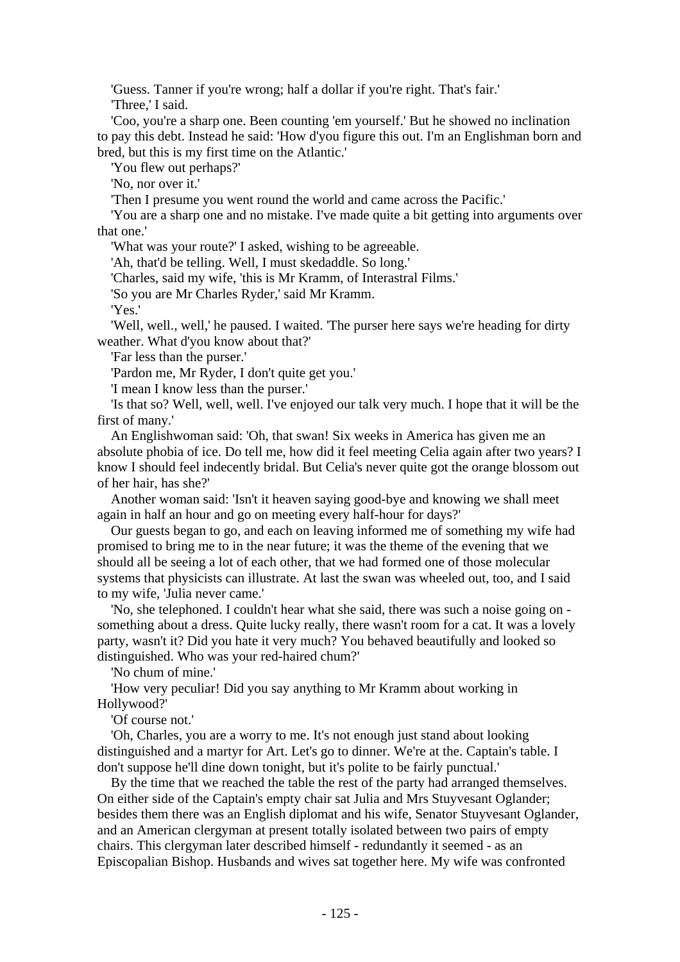'Guess. Tanner if you're wrong; half a dollar if you're right. That's fair.' 'Three,' I said.

 'Coo, you're a sharp one. Been counting 'em yourself.' But he showed no inclination to pay this debt. Instead he said: 'How d'you figure this out. I'm an Englishman born and bred, but this is my first time on the Atlantic.'

'You flew out perhaps?'

'No, nor over it.'

'Then I presume you went round the world and came across the Pacific.'

 'You are a sharp one and no mistake. I've made quite a bit getting into arguments over that one.'

'What was your route?' I asked, wishing to be agreeable.

'Ah, that'd be telling. Well, I must skedaddle. So long.'

'Charles, said my wife, 'this is Mr Kramm, of Interastral Films.'

'So you are Mr Charles Ryder,' said Mr Kramm.

'Yes.'

'Well, well., well,' he paused. I waited. 'The purser here says we're heading for dirty weather. What d'you know about that?'

'Far less than the purser.'

'Pardon me, Mr Ryder, I don't quite get you.'

'I mean I know less than the purser.'

 'Is that so? Well, well, well. I've enjoyed our talk very much. I hope that it will be the first of many.'

 An Englishwoman said: 'Oh, that swan! Six weeks in America has given me an absolute phobia of ice. Do tell me, how did it feel meeting Celia again after two years? I know I should feel indecently bridal. But Celia's never quite got the orange blossom out of her hair, has she?'

 Another woman said: 'Isn't it heaven saying good-bye and knowing we shall meet again in half an hour and go on meeting every half-hour for days?'

 Our guests began to go, and each on leaving informed me of something my wife had promised to bring me to in the near future; it was the theme of the evening that we should all be seeing a lot of each other, that we had formed one of those molecular systems that physicists can illustrate. At last the swan was wheeled out, too, and I said to my wife, 'Julia never came.'

 'No, she telephoned. I couldn't hear what she said, there was such a noise going on something about a dress. Quite lucky really, there wasn't room for a cat. It was a lovely party, wasn't it? Did you hate it very much? You behaved beautifully and looked so distinguished. Who was your red-haired chum?'

'No chum of mine.'

 'How very peculiar! Did you say anything to Mr Kramm about working in Hollywood?'

'Of course not.'

 'Oh, Charles, you are a worry to me. It's not enough just stand about looking distinguished and a martyr for Art. Let's go to dinner. We're at the. Captain's table. I don't suppose he'll dine down tonight, but it's polite to be fairly punctual.'

 By the time that we reached the table the rest of the party had arranged themselves. On either side of the Captain's empty chair sat Julia and Mrs Stuyvesant Oglander; besides them there was an English diplomat and his wife, Senator Stuyvesant Oglander, and an American clergyman at present totally isolated between two pairs of empty chairs. This clergyman later described himself - redundantly it seemed - as an Episcopalian Bishop. Husbands and wives sat together here. My wife was confronted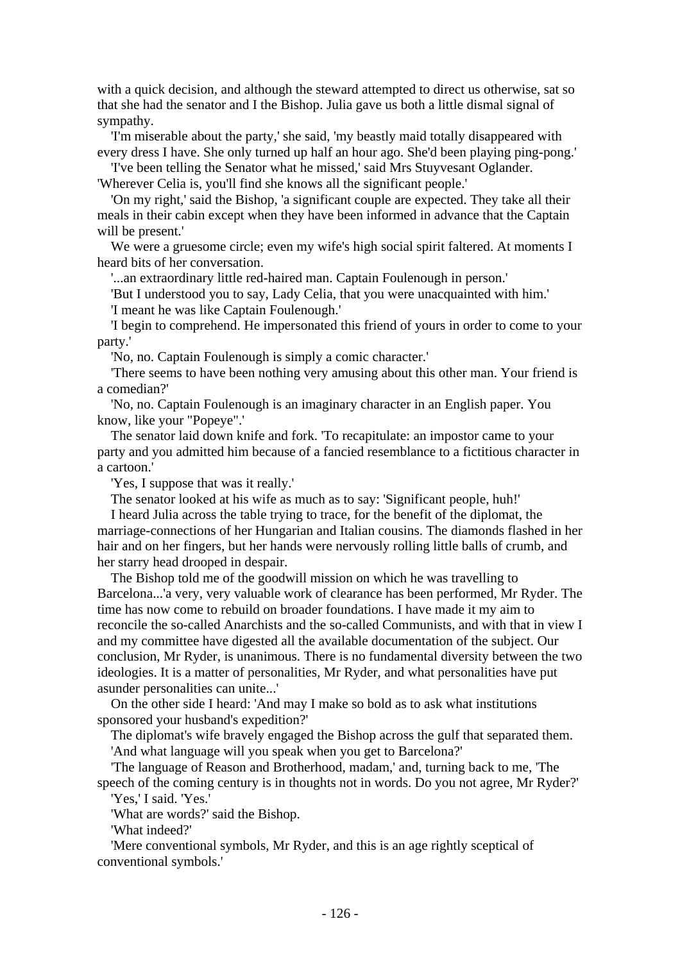with a quick decision, and although the steward attempted to direct us otherwise, sat so that she had the senator and I the Bishop. Julia gave us both a little dismal signal of sympathy.

 'I'm miserable about the party,' she said, 'my beastly maid totally disappeared with every dress I have. She only turned up half an hour ago. She'd been playing ping-pong.'

 'I've been telling the Senator what he missed,' said Mrs Stuyvesant Oglander. 'Wherever Celia is, you'll find she knows all the significant people.'

 'On my right,' said the Bishop, 'a significant couple are expected. They take all their meals in their cabin except when they have been informed in advance that the Captain will be present.'

We were a gruesome circle; even my wife's high social spirit faltered. At moments I heard bits of her conversation.

'...an extraordinary little red-haired man. Captain Foulenough in person.'

 'But I understood you to say, Lady Celia, that you were unacquainted with him.' 'I meant he was like Captain Foulenough.'

 'I begin to comprehend. He impersonated this friend of yours in order to come to your party.'

'No, no. Captain Foulenough is simply a comic character.'

 'There seems to have been nothing very amusing about this other man. Your friend is a comedian?'

 'No, no. Captain Foulenough is an imaginary character in an English paper. You know, like your "Popeye".'

 The senator laid down knife and fork. 'To recapitulate: an impostor came to your party and you admitted him because of a fancied resemblance to a fictitious character in a cartoon.'

'Yes, I suppose that was it really.'

The senator looked at his wife as much as to say: 'Significant people, huh!'

 I heard Julia across the table trying to trace, for the benefit of the diplomat, the marriage-connections of her Hungarian and Italian cousins. The diamonds flashed in her hair and on her fingers, but her hands were nervously rolling little balls of crumb, and her starry head drooped in despair.

 The Bishop told me of the goodwill mission on which he was travelling to Barcelona...'a very, very valuable work of clearance has been performed, Mr Ryder. The time has now come to rebuild on broader foundations. I have made it my aim to reconcile the so-called Anarchists and the so-called Communists, and with that in view I and my committee have digested all the available documentation of the subject. Our conclusion, Mr Ryder, is unanimous. There is no fundamental diversity between the two ideologies. It is a matter of personalities, Mr Ryder, and what personalities have put asunder personalities can unite...'

 On the other side I heard: 'And may I make so bold as to ask what institutions sponsored your husband's expedition?'

 The diplomat's wife bravely engaged the Bishop across the gulf that separated them. 'And what language will you speak when you get to Barcelona?'

 'The language of Reason and Brotherhood, madam,' and, turning back to me, 'The speech of the coming century is in thoughts not in words. Do you not agree, Mr Ryder?'

'Yes,' I said. 'Yes.'

'What are words?' said the Bishop.

'What indeed?'

 'Mere conventional symbols, Mr Ryder, and this is an age rightly sceptical of conventional symbols.'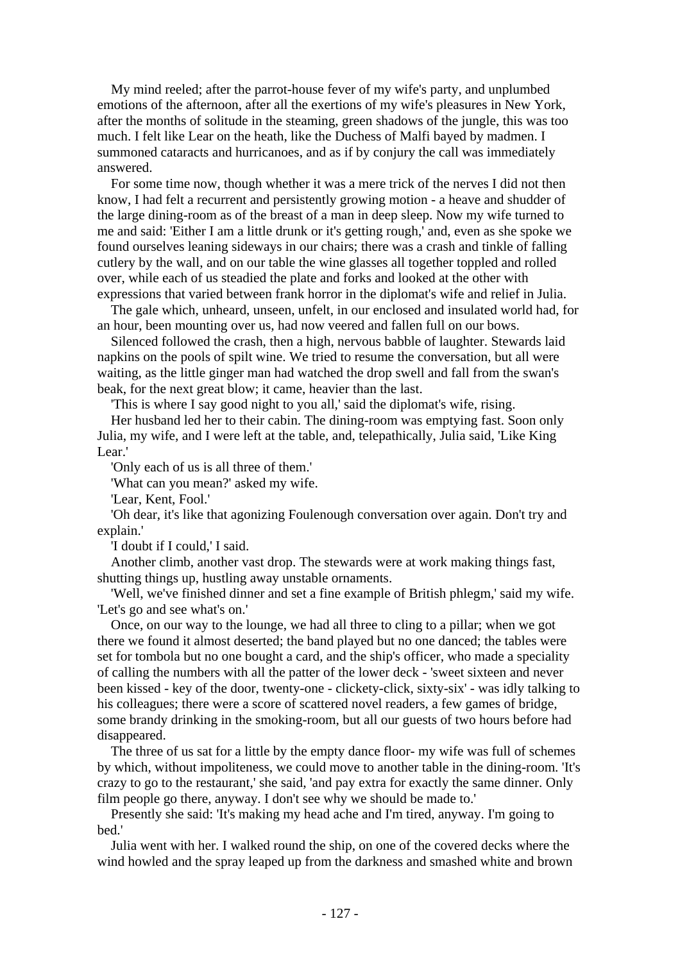My mind reeled; after the parrot-house fever of my wife's party, and unplumbed emotions of the afternoon, after all the exertions of my wife's pleasures in New York, after the months of solitude in the steaming, green shadows of the jungle, this was too much. I felt like Lear on the heath, like the Duchess of Malfi bayed by madmen. I summoned cataracts and hurricanoes, and as if by conjury the call was immediately answered.

 For some time now, though whether it was a mere trick of the nerves I did not then know, I had felt a recurrent and persistently growing motion - a heave and shudder of the large dining-room as of the breast of a man in deep sleep. Now my wife turned to me and said: 'Either I am a little drunk or it's getting rough,' and, even as she spoke we found ourselves leaning sideways in our chairs; there was a crash and tinkle of falling cutlery by the wall, and on our table the wine glasses all together toppled and rolled over, while each of us steadied the plate and forks and looked at the other with expressions that varied between frank horror in the diplomat's wife and relief in Julia.

 The gale which, unheard, unseen, unfelt, in our enclosed and insulated world had, for an hour, been mounting over us, had now veered and fallen full on our bows.

 Silenced followed the crash, then a high, nervous babble of laughter. Stewards laid napkins on the pools of spilt wine. We tried to resume the conversation, but all were waiting, as the little ginger man had watched the drop swell and fall from the swan's beak, for the next great blow; it came, heavier than the last.

'This is where I say good night to you all,' said the diplomat's wife, rising.

 Her husband led her to their cabin. The dining-room was emptying fast. Soon only Julia, my wife, and I were left at the table, and, telepathically, Julia said, 'Like King Lear.'

'Only each of us is all three of them.'

'What can you mean?' asked my wife.

'Lear, Kent, Fool.'

 'Oh dear, it's like that agonizing Foulenough conversation over again. Don't try and explain.'

'I doubt if I could,' I said.

 Another climb, another vast drop. The stewards were at work making things fast, shutting things up, hustling away unstable ornaments.

 'Well, we've finished dinner and set a fine example of British phlegm,' said my wife. 'Let's go and see what's on.'

 Once, on our way to the lounge, we had all three to cling to a pillar; when we got there we found it almost deserted; the band played but no one danced; the tables were set for tombola but no one bought a card, and the ship's officer, who made a speciality of calling the numbers with all the patter of the lower deck - 'sweet sixteen and never been kissed - key of the door, twenty-one - clickety-click, sixty-six' - was idly talking to his colleagues; there were a score of scattered novel readers, a few games of bridge, some brandy drinking in the smoking-room, but all our guests of two hours before had disappeared.

 The three of us sat for a little by the empty dance floor- my wife was full of schemes by which, without impoliteness, we could move to another table in the dining-room. 'It's crazy to go to the restaurant,' she said, 'and pay extra for exactly the same dinner. Only film people go there, anyway. I don't see why we should be made to.'

 Presently she said: 'It's making my head ache and I'm tired, anyway. I'm going to bed.'

 Julia went with her. I walked round the ship, on one of the covered decks where the wind howled and the spray leaped up from the darkness and smashed white and brown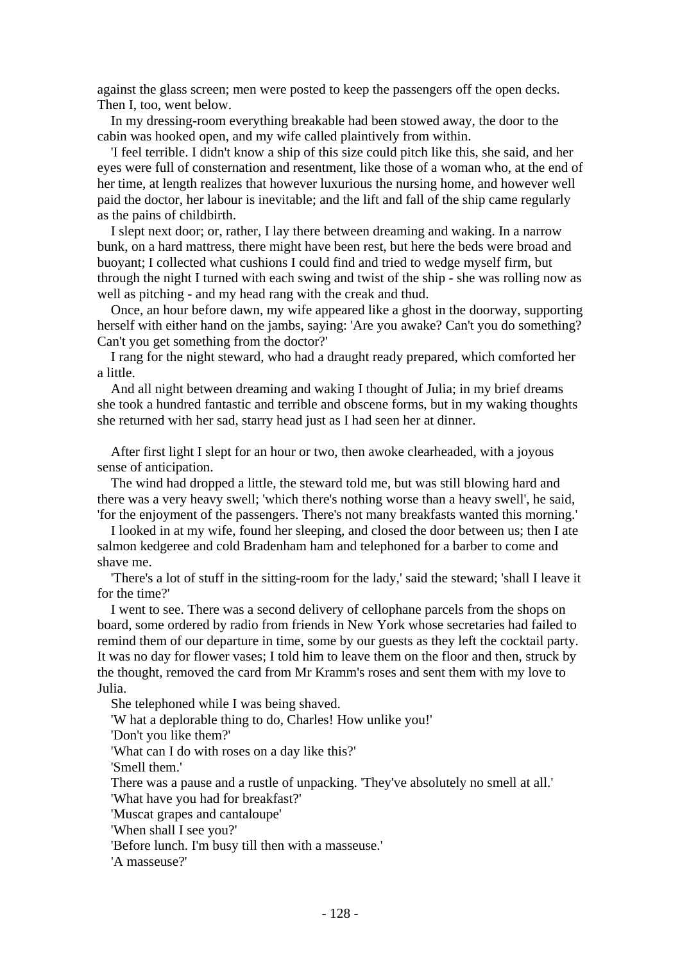against the glass screen; men were posted to keep the passengers off the open decks. Then I, too, went below.

 In my dressing-room everything breakable had been stowed away, the door to the cabin was hooked open, and my wife called plaintively from within.

 'I feel terrible. I didn't know a ship of this size could pitch like this, she said, and her eyes were full of consternation and resentment, like those of a woman who, at the end of her time, at length realizes that however luxurious the nursing home, and however well paid the doctor, her labour is inevitable; and the lift and fall of the ship came regularly as the pains of childbirth.

 I slept next door; or, rather, I lay there between dreaming and waking. In a narrow bunk, on a hard mattress, there might have been rest, but here the beds were broad and buoyant; I collected what cushions I could find and tried to wedge myself firm, but through the night I turned with each swing and twist of the ship - she was rolling now as well as pitching - and my head rang with the creak and thud.

 Once, an hour before dawn, my wife appeared like a ghost in the doorway, supporting herself with either hand on the jambs, saying: 'Are you awake? Can't you do something? Can't you get something from the doctor?'

 I rang for the night steward, who had a draught ready prepared, which comforted her a little.

 And all night between dreaming and waking I thought of Julia; in my brief dreams she took a hundred fantastic and terrible and obscene forms, but in my waking thoughts she returned with her sad, starry head just as I had seen her at dinner.

 After first light I slept for an hour or two, then awoke clearheaded, with a joyous sense of anticipation.

 The wind had dropped a little, the steward told me, but was still blowing hard and there was a very heavy swell; 'which there's nothing worse than a heavy swell', he said, 'for the enjoyment of the passengers. There's not many breakfasts wanted this morning.'

 I looked in at my wife, found her sleeping, and closed the door between us; then I ate salmon kedgeree and cold Bradenham ham and telephoned for a barber to come and shave me.

 'There's a lot of stuff in the sitting-room for the lady,' said the steward; 'shall I leave it for the time?'

 I went to see. There was a second delivery of cellophane parcels from the shops on board, some ordered by radio from friends in New York whose secretaries had failed to remind them of our departure in time, some by our guests as they left the cocktail party. It was no day for flower vases; I told him to leave them on the floor and then, struck by the thought, removed the card from Mr Kramm's roses and sent them with my love to Julia.

She telephoned while I was being shaved.

'W hat a deplorable thing to do, Charles! How unlike you!'

'Don't you like them?'

'What can I do with roses on a day like this?'

'Smell them.'

There was a pause and a rustle of unpacking. 'They've absolutely no smell at all.'

'What have you had for breakfast?'

'Muscat grapes and cantaloupe'

'When shall I see you?'

'Before lunch. I'm busy till then with a masseuse.'

'A masseuse?'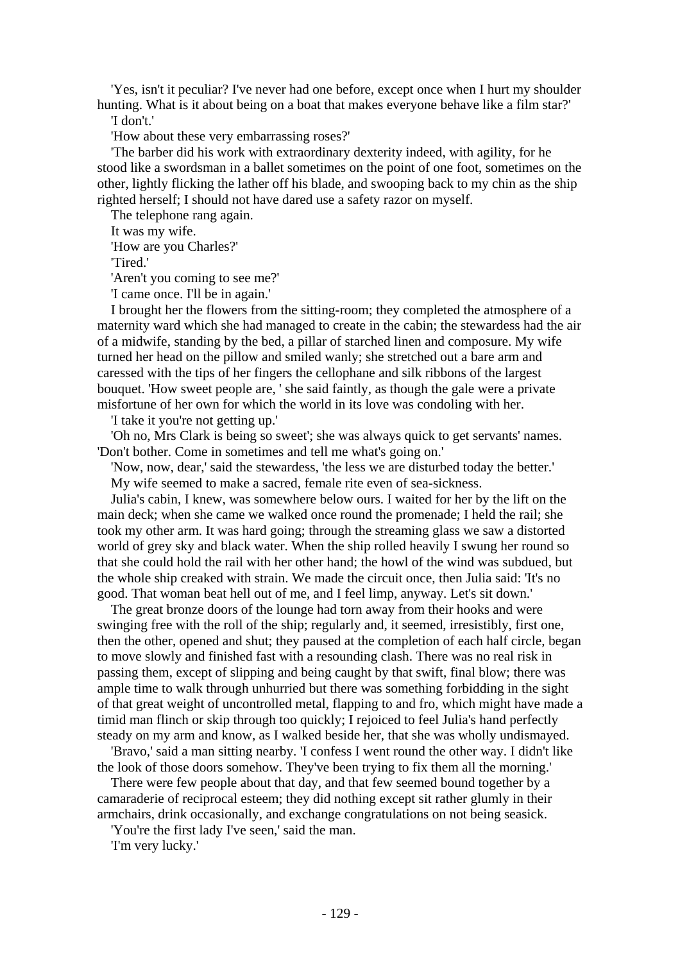'Yes, isn't it peculiar? I've never had one before, except once when I hurt my shoulder hunting. What is it about being on a boat that makes everyone behave like a film star?'

'I don't.'

'How about these very embarrassing roses?'

 'The barber did his work with extraordinary dexterity indeed, with agility, for he stood like a swordsman in a ballet sometimes on the point of one foot, sometimes on the other, lightly flicking the lather off his blade, and swooping back to my chin as the ship righted herself; I should not have dared use a safety razor on myself.

The telephone rang again.

It was my wife.

'How are you Charles?'

'Tired.'

'Aren't you coming to see me?'

'I came once. I'll be in again.'

 I brought her the flowers from the sitting-room; they completed the atmosphere of a maternity ward which she had managed to create in the cabin; the stewardess had the air of a midwife, standing by the bed, a pillar of starched linen and composure. My wife turned her head on the pillow and smiled wanly; she stretched out a bare arm and caressed with the tips of her fingers the cellophane and silk ribbons of the largest bouquet. 'How sweet people are, ' she said faintly, as though the gale were a private misfortune of her own for which the world in its love was condoling with her.

'I take it you're not getting up.'

 'Oh no, Mrs Clark is being so sweet'; she was always quick to get servants' names. 'Don't bother. Come in sometimes and tell me what's going on.'

 'Now, now, dear,' said the stewardess, 'the less we are disturbed today the better.' My wife seemed to make a sacred, female rite even of sea-sickness.

 Julia's cabin, I knew, was somewhere below ours. I waited for her by the lift on the main deck; when she came we walked once round the promenade; I held the rail; she took my other arm. It was hard going; through the streaming glass we saw a distorted world of grey sky and black water. When the ship rolled heavily I swung her round so that she could hold the rail with her other hand; the howl of the wind was subdued, but the whole ship creaked with strain. We made the circuit once, then Julia said: 'It's no good. That woman beat hell out of me, and I feel limp, anyway. Let's sit down.'

 The great bronze doors of the lounge had torn away from their hooks and were swinging free with the roll of the ship; regularly and, it seemed, irresistibly, first one, then the other, opened and shut; they paused at the completion of each half circle, began to move slowly and finished fast with a resounding clash. There was no real risk in passing them, except of slipping and being caught by that swift, final blow; there was ample time to walk through unhurried but there was something forbidding in the sight of that great weight of uncontrolled metal, flapping to and fro, which might have made a timid man flinch or skip through too quickly; I rejoiced to feel Julia's hand perfectly steady on my arm and know, as I walked beside her, that she was wholly undismayed.

 'Bravo,' said a man sitting nearby. 'I confess I went round the other way. I didn't like the look of those doors somehow. They've been trying to fix them all the morning.'

 There were few people about that day, and that few seemed bound together by a camaraderie of reciprocal esteem; they did nothing except sit rather glumly in their armchairs, drink occasionally, and exchange congratulations on not being seasick.

'You're the first lady I've seen,' said the man.

'I'm very lucky.'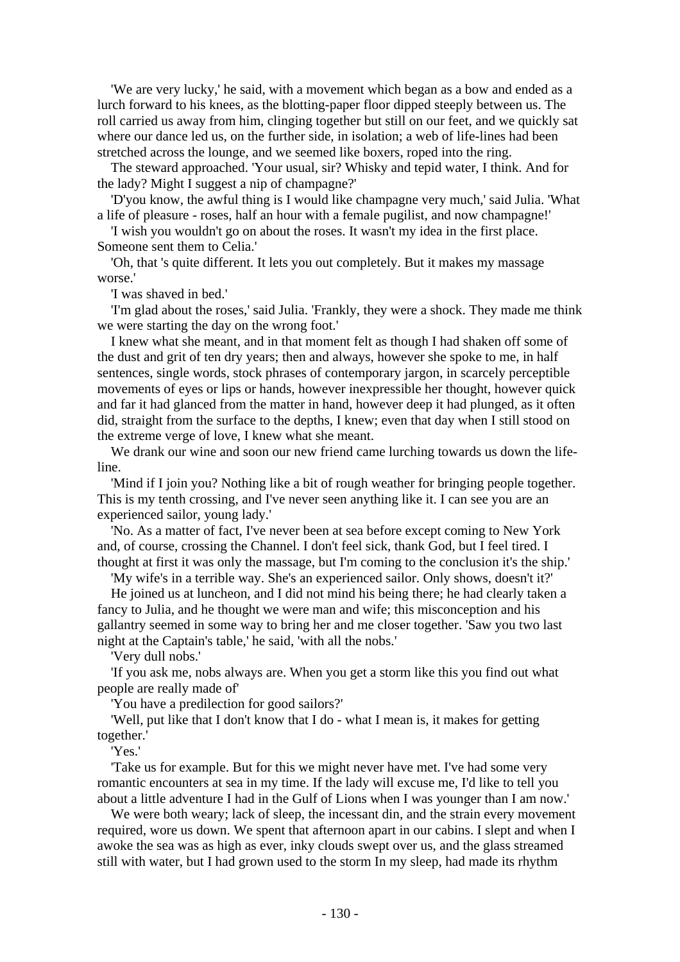'We are very lucky,' he said, with a movement which began as a bow and ended as a lurch forward to his knees, as the blotting-paper floor dipped steeply between us. The roll carried us away from him, clinging together but still on our feet, and we quickly sat where our dance led us, on the further side, in isolation; a web of life-lines had been stretched across the lounge, and we seemed like boxers, roped into the ring.

 The steward approached. 'Your usual, sir? Whisky and tepid water, I think. And for the lady? Might I suggest a nip of champagne?'

 'D'you know, the awful thing is I would like champagne very much,' said Julia. 'What a life of pleasure - roses, half an hour with a female pugilist, and now champagne!'

 'I wish you wouldn't go on about the roses. It wasn't my idea in the first place. Someone sent them to Celia.'

 'Oh, that 's quite different. It lets you out completely. But it makes my massage worse.'

'I was shaved in bed.'

 'I'm glad about the roses,' said Julia. 'Frankly, they were a shock. They made me think we were starting the day on the wrong foot.'

 I knew what she meant, and in that moment felt as though I had shaken off some of the dust and grit of ten dry years; then and always, however she spoke to me, in half sentences, single words, stock phrases of contemporary jargon, in scarcely perceptible movements of eyes or lips or hands, however inexpressible her thought, however quick and far it had glanced from the matter in hand, however deep it had plunged, as it often did, straight from the surface to the depths, I knew; even that day when I still stood on the extreme verge of love, I knew what she meant.

 We drank our wine and soon our new friend came lurching towards us down the lifeline.

 'Mind if I join you? Nothing like a bit of rough weather for bringing people together. This is my tenth crossing, and I've never seen anything like it. I can see you are an experienced sailor, young lady.'

 'No. As a matter of fact, I've never been at sea before except coming to New York and, of course, crossing the Channel. I don't feel sick, thank God, but I feel tired. I thought at first it was only the massage, but I'm coming to the conclusion it's the ship.'

'My wife's in a terrible way. She's an experienced sailor. Only shows, doesn't it?'

 He joined us at luncheon, and I did not mind his being there; he had clearly taken a fancy to Julia, and he thought we were man and wife; this misconception and his gallantry seemed in some way to bring her and me closer together. 'Saw you two last night at the Captain's table,' he said, 'with all the nobs.'

'Very dull nobs.'

 'If you ask me, nobs always are. When you get a storm like this you find out what people are really made of'

'You have a predilection for good sailors?'

 'Well, put like that I don't know that I do - what I mean is, it makes for getting together.'

'Yes.'

 'Take us for example. But for this we might never have met. I've had some very romantic encounters at sea in my time. If the lady will excuse me, I'd like to tell you about a little adventure I had in the Gulf of Lions when I was younger than I am now.'

We were both weary; lack of sleep, the incessant din, and the strain every movement required, wore us down. We spent that afternoon apart in our cabins. I slept and when I awoke the sea was as high as ever, inky clouds swept over us, and the glass streamed still with water, but I had grown used to the storm In my sleep, had made its rhythm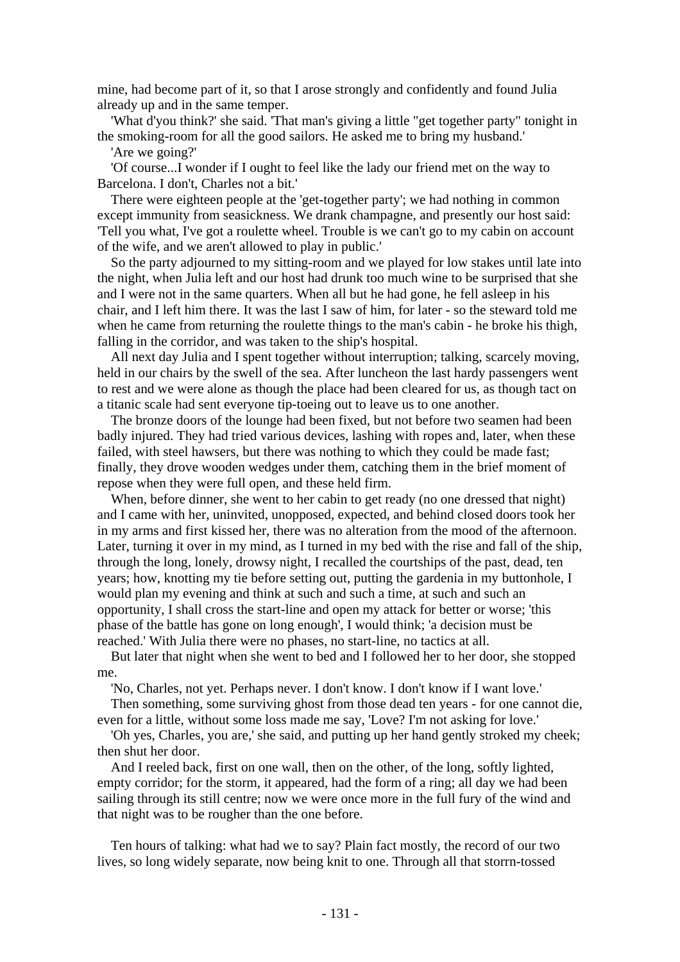mine, had become part of it, so that I arose strongly and confidently and found Julia already up and in the same temper.

 'What d'you think?' she said. 'That man's giving a little "get together party" tonight in the smoking-room for all the good sailors. He asked me to bring my husband.' 'Are we going?'

 'Of course...I wonder if I ought to feel like the lady our friend met on the way to Barcelona. I don't, Charles not a bit.'

 There were eighteen people at the 'get-together party'; we had nothing in common except immunity from seasickness. We drank champagne, and presently our host said: 'Tell you what, I've got a roulette wheel. Trouble is we can't go to my cabin on account of the wife, and we aren't allowed to play in public.'

 So the party adjourned to my sitting-room and we played for low stakes until late into the night, when Julia left and our host had drunk too much wine to be surprised that she and I were not in the same quarters. When all but he had gone, he fell asleep in his chair, and I left him there. It was the last I saw of him, for later - so the steward told me when he came from returning the roulette things to the man's cabin - he broke his thigh, falling in the corridor, and was taken to the ship's hospital.

 All next day Julia and I spent together without interruption; talking, scarcely moving, held in our chairs by the swell of the sea. After luncheon the last hardy passengers went to rest and we were alone as though the place had been cleared for us, as though tact on a titanic scale had sent everyone tip-toeing out to leave us to one another.

 The bronze doors of the lounge had been fixed, but not before two seamen had been badly injured. They had tried various devices, lashing with ropes and, later, when these failed, with steel hawsers, but there was nothing to which they could be made fast; finally, they drove wooden wedges under them, catching them in the brief moment of repose when they were full open, and these held firm.

When, before dinner, she went to her cabin to get ready (no one dressed that night) and I came with her, uninvited, unopposed, expected, and behind closed doors took her in my arms and first kissed her, there was no alteration from the mood of the afternoon. Later, turning it over in my mind, as I turned in my bed with the rise and fall of the ship, through the long, lonely, drowsy night, I recalled the courtships of the past, dead, ten years; how, knotting my tie before setting out, putting the gardenia in my buttonhole, I would plan my evening and think at such and such a time, at such and such an opportunity, I shall cross the start-line and open my attack for better or worse; 'this phase of the battle has gone on long enough', I would think; 'a decision must be reached.' With Julia there were no phases, no start-line, no tactics at all.

 But later that night when she went to bed and I followed her to her door, she stopped me.

'No, Charles, not yet. Perhaps never. I don't know. I don't know if I want love.'

 Then something, some surviving ghost from those dead ten years - for one cannot die, even for a little, without some loss made me say, 'Love? I'm not asking for love.'

 'Oh yes, Charles, you are,' she said, and putting up her hand gently stroked my cheek; then shut her door.

 And I reeled back, first on one wall, then on the other, of the long, softly lighted, empty corridor; for the storm, it appeared, had the form of a ring; all day we had been sailing through its still centre; now we were once more in the full fury of the wind and that night was to be rougher than the one before.

 Ten hours of talking: what had we to say? Plain fact mostly, the record of our two lives, so long widely separate, now being knit to one. Through all that storrn-tossed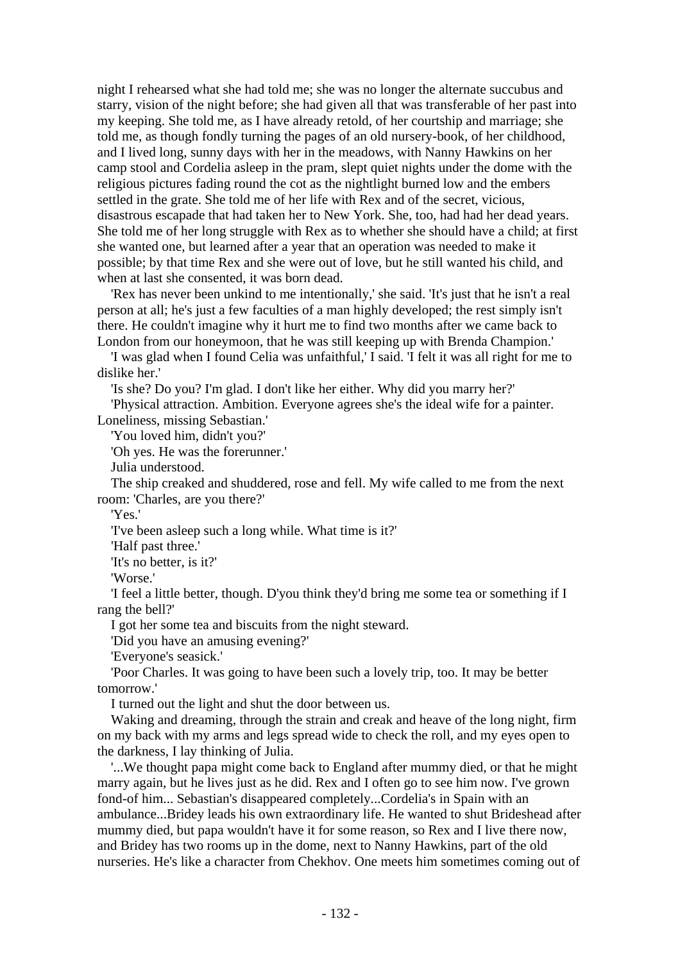night I rehearsed what she had told me; she was no longer the alternate succubus and starry, vision of the night before; she had given all that was transferable of her past into my keeping. She told me, as I have already retold, of her courtship and marriage; she told me, as though fondly turning the pages of an old nursery-book, of her childhood, and I lived long, sunny days with her in the meadows, with Nanny Hawkins on her camp stool and Cordelia asleep in the pram, slept quiet nights under the dome with the religious pictures fading round the cot as the nightlight burned low and the embers settled in the grate. She told me of her life with Rex and of the secret, vicious, disastrous escapade that had taken her to New York. She, too, had had her dead years. She told me of her long struggle with Rex as to whether she should have a child; at first she wanted one, but learned after a year that an operation was needed to make it possible; by that time Rex and she were out of love, but he still wanted his child, and when at last she consented, it was born dead.

 'Rex has never been unkind to me intentionally,' she said. 'It's just that he isn't a real person at all; he's just a few faculties of a man highly developed; the rest simply isn't there. He couldn't imagine why it hurt me to find two months after we came back to London from our honeymoon, that he was still keeping up with Brenda Champion.'

 'I was glad when I found Celia was unfaithful,' I said. 'I felt it was all right for me to dislike her.'

'Is she? Do you? I'm glad. I don't like her either. Why did you marry her?'

 'Physical attraction. Ambition. Everyone agrees she's the ideal wife for a painter. Loneliness, missing Sebastian.'

'You loved him, didn't you?'

'Oh yes. He was the forerunner.'

Julia understood.

 The ship creaked and shuddered, rose and fell. My wife called to me from the next room: 'Charles, are you there?'

'Yes.'

'I've been asleep such a long while. What time is it?'

'Half past three.'

'It's no better, is it?'

'Worse.'

 'I feel a little better, though. D'you think they'd bring me some tea or something if I rang the bell?'

I got her some tea and biscuits from the night steward.

'Did you have an amusing evening?'

'Everyone's seasick.'

 'Poor Charles. It was going to have been such a lovely trip, too. It may be better tomorrow.'

I turned out the light and shut the door between us.

 Waking and dreaming, through the strain and creak and heave of the long night, firm on my back with my arms and legs spread wide to check the roll, and my eyes open to the darkness, I lay thinking of Julia.

 '...We thought papa might come back to England after mummy died, or that he might marry again, but he lives just as he did. Rex and I often go to see him now. I've grown fond-of him... Sebastian's disappeared completely...Cordelia's in Spain with an ambulance...Bridey leads his own extraordinary life. He wanted to shut Brideshead after mummy died, but papa wouldn't have it for some reason, so Rex and I live there now, and Bridey has two rooms up in the dome, next to Nanny Hawkins, part of the old nurseries. He's like a character from Chekhov. One meets him sometimes coming out of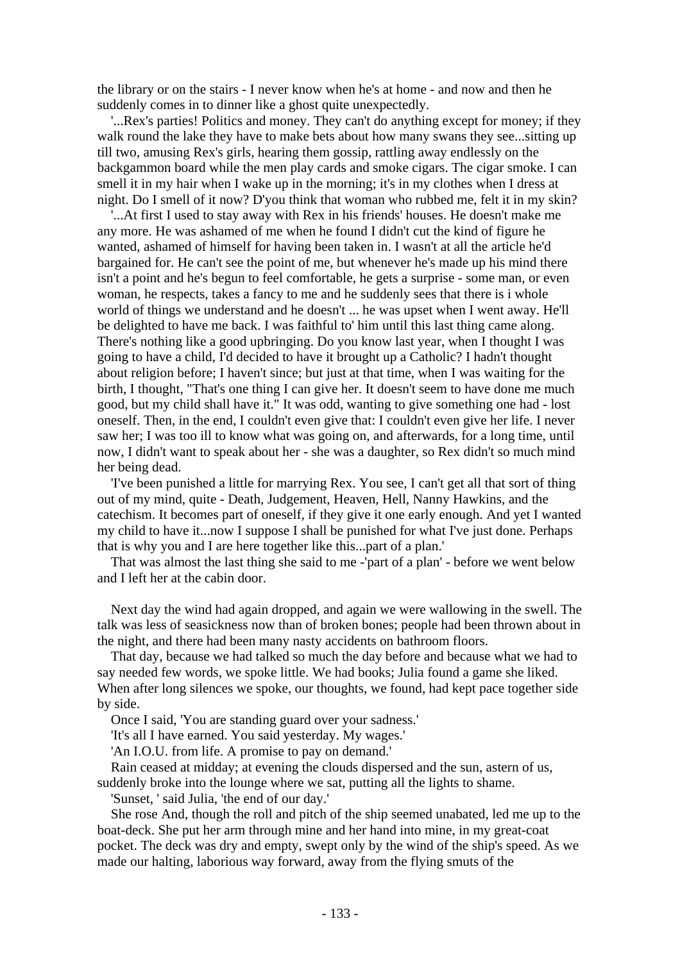the library or on the stairs - I never know when he's at home - and now and then he suddenly comes in to dinner like a ghost quite unexpectedly.

 '...Rex's parties! Politics and money. They can't do anything except for money; if they walk round the lake they have to make bets about how many swans they see...sitting up till two, amusing Rex's girls, hearing them gossip, rattling away endlessly on the backgammon board while the men play cards and smoke cigars. The cigar smoke. I can smell it in my hair when I wake up in the morning; it's in my clothes when I dress at night. Do I smell of it now? D'you think that woman who rubbed me, felt it in my skin?

 '...At first I used to stay away with Rex in his friends' houses. He doesn't make me any more. He was ashamed of me when he found I didn't cut the kind of figure he wanted, ashamed of himself for having been taken in. I wasn't at all the article he'd bargained for. He can't see the point of me, but whenever he's made up his mind there isn't a point and he's begun to feel comfortable, he gets a surprise - some man, or even woman, he respects, takes a fancy to me and he suddenly sees that there is i whole world of things we understand and he doesn't ... he was upset when I went away. He'll be delighted to have me back. I was faithful to' him until this last thing came along. There's nothing like a good upbringing. Do you know last year, when I thought I was going to have a child, I'd decided to have it brought up a Catholic? I hadn't thought about religion before; I haven't since; but just at that time, when I was waiting for the birth, I thought, "That's one thing I can give her. It doesn't seem to have done me much good, but my child shall have it." It was odd, wanting to give something one had - lost oneself. Then, in the end, I couldn't even give that: I couldn't even give her life. I never saw her; I was too ill to know what was going on, and afterwards, for a long time, until now, I didn't want to speak about her - she was a daughter, so Rex didn't so much mind her being dead.

 'I've been punished a little for marrying Rex. You see, I can't get all that sort of thing out of my mind, quite - Death, Judgement, Heaven, Hell, Nanny Hawkins, and the catechism. It becomes part of oneself, if they give it one early enough. And yet I wanted my child to have it...now I suppose I shall be punished for what I've just done. Perhaps that is why you and I are here together like this...part of a plan.'

 That was almost the last thing she said to me -'part of a plan' - before we went below and I left her at the cabin door.

 Next day the wind had again dropped, and again we were wallowing in the swell. The talk was less of seasickness now than of broken bones; people had been thrown about in the night, and there had been many nasty accidents on bathroom floors.

 That day, because we had talked so much the day before and because what we had to say needed few words, we spoke little. We had books; Julia found a game she liked. When after long silences we spoke, our thoughts, we found, had kept pace together side by side.

Once I said, 'You are standing guard over your sadness.'

'It's all I have earned. You said yesterday. My wages.'

'An I.O.U. from life. A promise to pay on demand.'

 Rain ceased at midday; at evening the clouds dispersed and the sun, astern of us, suddenly broke into the lounge where we sat, putting all the lights to shame.

'Sunset, ' said Julia, 'the end of our day.'

 She rose And, though the roll and pitch of the ship seemed unabated, led me up to the boat-deck. She put her arm through mine and her hand into mine, in my great-coat pocket. The deck was dry and empty, swept only by the wind of the ship's speed. As we made our halting, laborious way forward, away from the flying smuts of the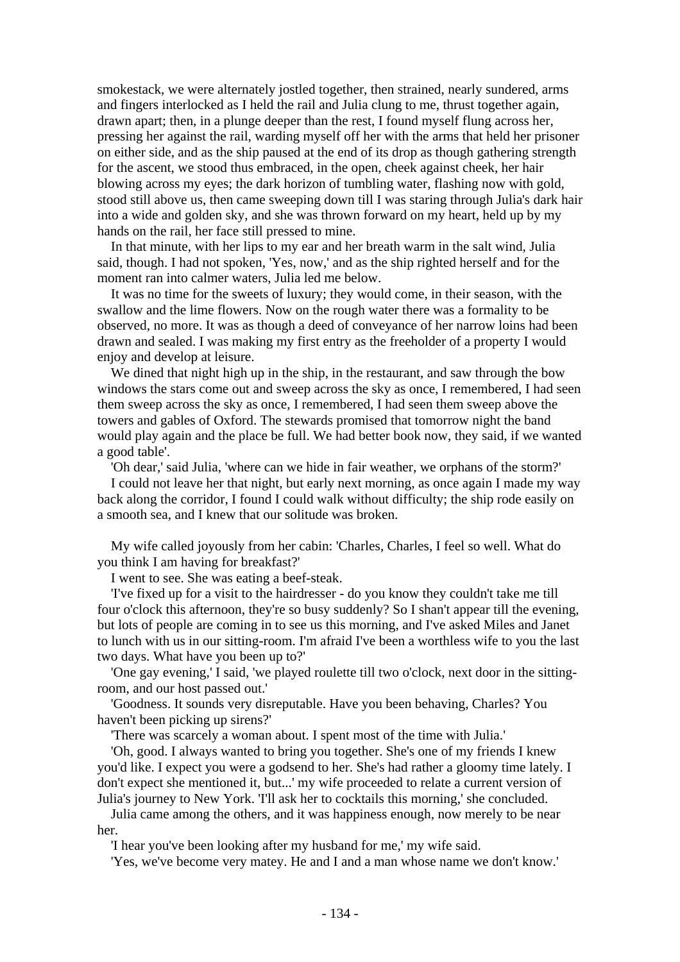smokestack, we were alternately jostled together, then strained, nearly sundered, arms and fingers interlocked as I held the rail and Julia clung to me, thrust together again, drawn apart; then, in a plunge deeper than the rest, I found myself flung across her, pressing her against the rail, warding myself off her with the arms that held her prisoner on either side, and as the ship paused at the end of its drop as though gathering strength for the ascent, we stood thus embraced, in the open, cheek against cheek, her hair blowing across my eyes; the dark horizon of tumbling water, flashing now with gold, stood still above us, then came sweeping down till I was staring through Julia's dark hair into a wide and golden sky, and she was thrown forward on my heart, held up by my hands on the rail, her face still pressed to mine.

 In that minute, with her lips to my ear and her breath warm in the salt wind, Julia said, though. I had not spoken, 'Yes, now,' and as the ship righted herself and for the moment ran into calmer waters, Julia led me below.

 It was no time for the sweets of luxury; they would come, in their season, with the swallow and the lime flowers. Now on the rough water there was a formality to be observed, no more. It was as though a deed of conveyance of her narrow loins had been drawn and sealed. I was making my first entry as the freeholder of a property I would enjoy and develop at leisure.

 We dined that night high up in the ship, in the restaurant, and saw through the bow windows the stars come out and sweep across the sky as once, I remembered, I had seen them sweep across the sky as once, I remembered, I had seen them sweep above the towers and gables of Oxford. The stewards promised that tomorrow night the band would play again and the place be full. We had better book now, they said, if we wanted a good table'.

'Oh dear,' said Julia, 'where can we hide in fair weather, we orphans of the storm?'

 I could not leave her that night, but early next morning, as once again I made my way back along the corridor, I found I could walk without difficulty; the ship rode easily on a smooth sea, and I knew that our solitude was broken.

 My wife called joyously from her cabin: 'Charles, Charles, I feel so well. What do you think I am having for breakfast?'

I went to see. She was eating a beef-steak.

 'I've fixed up for a visit to the hairdresser - do you know they couldn't take me till four o'clock this afternoon, they're so busy suddenly? So I shan't appear till the evening, but lots of people are coming in to see us this morning, and I've asked Miles and Janet to lunch with us in our sitting-room. I'm afraid I've been a worthless wife to you the last two days. What have you been up to?'

 'One gay evening,' I said, 'we played roulette till two o'clock, next door in the sittingroom, and our host passed out.'

 'Goodness. It sounds very disreputable. Have you been behaving, Charles? You haven't been picking up sirens?'

'There was scarcely a woman about. I spent most of the time with Julia.'

 'Oh, good. I always wanted to bring you together. She's one of my friends I knew you'd like. I expect you were a godsend to her. She's had rather a gloomy time lately. I don't expect she mentioned it, but...' my wife proceeded to relate a current version of Julia's journey to New York. 'I'll ask her to cocktails this morning,' she concluded.

 Julia came among the others, and it was happiness enough, now merely to be near her.

'I hear you've been looking after my husband for me,' my wife said.

'Yes, we've become very matey. He and I and a man whose name we don't know.'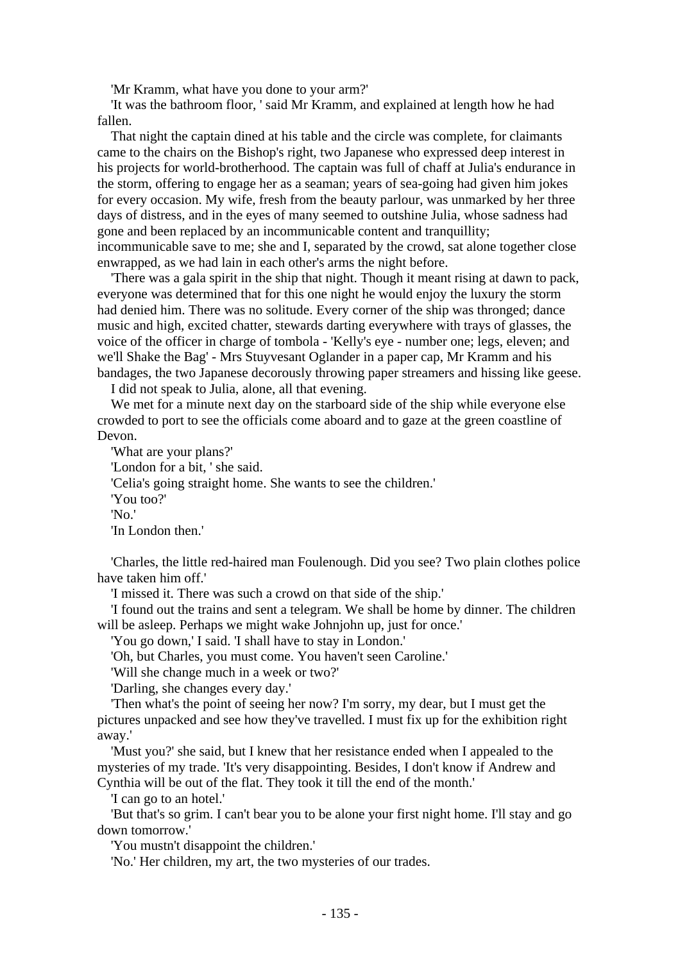'Mr Kramm, what have you done to your arm?'

 'It was the bathroom floor, ' said Mr Kramm, and explained at length how he had fallen.

 That night the captain dined at his table and the circle was complete, for claimants came to the chairs on the Bishop's right, two Japanese who expressed deep interest in his projects for world-brotherhood. The captain was full of chaff at Julia's endurance in the storm, offering to engage her as a seaman; years of sea-going had given him jokes for every occasion. My wife, fresh from the beauty parlour, was unmarked by her three days of distress, and in the eyes of many seemed to outshine Julia, whose sadness had gone and been replaced by an incommunicable content and tranquillity;

incommunicable save to me; she and I, separated by the crowd, sat alone together close enwrapped, as we had lain in each other's arms the night before.

 'There was a gala spirit in the ship that night. Though it meant rising at dawn to pack, everyone was determined that for this one night he would enjoy the luxury the storm had denied him. There was no solitude. Every corner of the ship was thronged; dance music and high, excited chatter, stewards darting everywhere with trays of glasses, the voice of the officer in charge of tombola - 'Kelly's eye - number one; legs, eleven; and we'll Shake the Bag' - Mrs Stuyvesant Oglander in a paper cap, Mr Kramm and his bandages, the two Japanese decorously throwing paper streamers and hissing like geese.

I did not speak to Julia, alone, all that evening.

 We met for a minute next day on the starboard side of the ship while everyone else crowded to port to see the officials come aboard and to gaze at the green coastline of Devon.

 'What are your plans?' 'London for a bit, ' she said. 'Celia's going straight home. She wants to see the children.' 'You too?' 'No.' 'In London then.'

 'Charles, the little red-haired man Foulenough. Did you see? Two plain clothes police have taken him off.'

'I missed it. There was such a crowd on that side of the ship.'

 'I found out the trains and sent a telegram. We shall be home by dinner. The children will be asleep. Perhaps we might wake Johnjohn up, just for once.'

'You go down,' I said. 'I shall have to stay in London.'

'Oh, but Charles, you must come. You haven't seen Caroline.'

'Will she change much in a week or two?'

'Darling, she changes every day.'

 'Then what's the point of seeing her now? I'm sorry, my dear, but I must get the pictures unpacked and see how they've travelled. I must fix up for the exhibition right away.'

 'Must you?' she said, but I knew that her resistance ended when I appealed to the mysteries of my trade. 'It's very disappointing. Besides, I don't know if Andrew and Cynthia will be out of the flat. They took it till the end of the month.'

'I can go to an hotel.'

 'But that's so grim. I can't bear you to be alone your first night home. I'll stay and go down tomorrow.'

'You mustn't disappoint the children.'

'No.' Her children, my art, the two mysteries of our trades.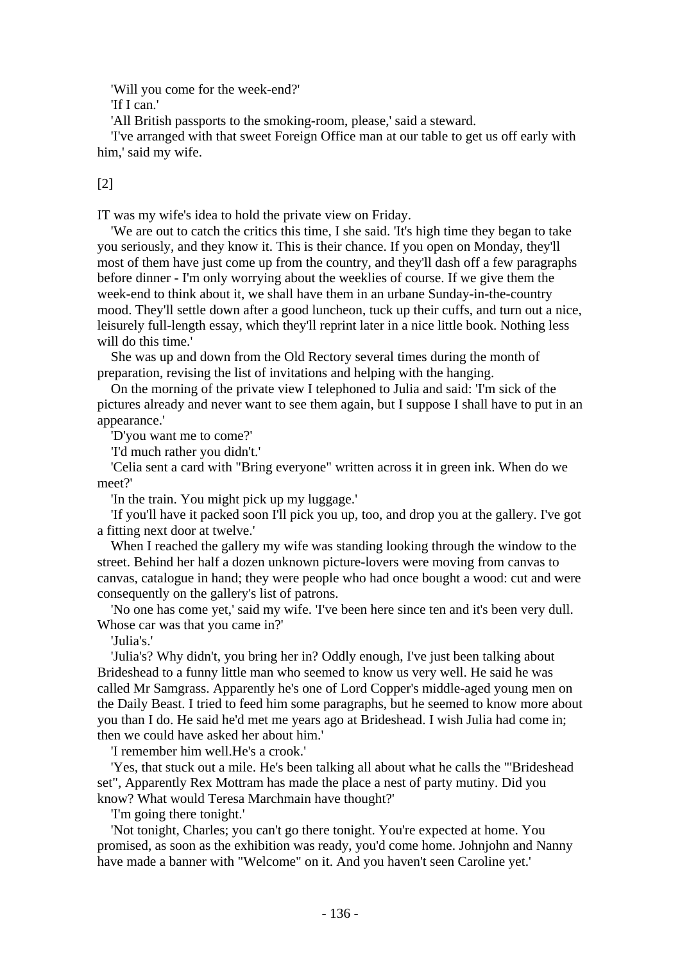'Will you come for the week-end?'

'If I can.'

'All British passports to the smoking-room, please,' said a steward.

 'I've arranged with that sweet Foreign Office man at our table to get us off early with him,' said my wife.

# [2]

IT was my wife's idea to hold the private view on Friday.

 'We are out to catch the critics this time, I she said. 'It's high time they began to take you seriously, and they know it. This is their chance. If you open on Monday, they'll most of them have just come up from the country, and they'll dash off a few paragraphs before dinner - I'm only worrying about the weeklies of course. If we give them the week-end to think about it, we shall have them in an urbane Sunday-in-the-country mood. They'll settle down after a good luncheon, tuck up their cuffs, and turn out a nice, leisurely full-length essay, which they'll reprint later in a nice little book. Nothing less will do this time.'

 She was up and down from the Old Rectory several times during the month of preparation, revising the list of invitations and helping with the hanging.

 On the morning of the private view I telephoned to Julia and said: 'I'm sick of the pictures already and never want to see them again, but I suppose I shall have to put in an appearance.'

'D'you want me to come?'

'I'd much rather you didn't.'

 'Celia sent a card with "Bring everyone" written across it in green ink. When do we meet?'

'In the train. You might pick up my luggage.'

 'If you'll have it packed soon I'll pick you up, too, and drop you at the gallery. I've got a fitting next door at twelve.'

When I reached the gallery my wife was standing looking through the window to the street. Behind her half a dozen unknown picture-lovers were moving from canvas to canvas, catalogue in hand; they were people who had once bought a wood: cut and were consequently on the gallery's list of patrons.

 'No one has come yet,' said my wife. 'I've been here since ten and it's been very dull. Whose car was that you came in?'

'Julia's.'

 'Julia's? Why didn't, you bring her in? Oddly enough, I've just been talking about Brideshead to a funny little man who seemed to know us very well. He said he was called Mr Samgrass. Apparently he's one of Lord Copper's middle-aged young men on the Daily Beast. I tried to feed him some paragraphs, but he seemed to know more about you than I do. He said he'd met me years ago at Brideshead. I wish Julia had come in; then we could have asked her about him.'

'I remember him well.He's a crook.'

 'Yes, that stuck out a mile. He's been talking all about what he calls the "'Brideshead set", Apparently Rex Mottram has made the place a nest of party mutiny. Did you know? What would Teresa Marchmain have thought?'

'I'm going there tonight.'

 'Not tonight, Charles; you can't go there tonight. You're expected at home. You promised, as soon as the exhibition was ready, you'd come home. Johnjohn and Nanny have made a banner with "Welcome" on it. And you haven't seen Caroline yet.'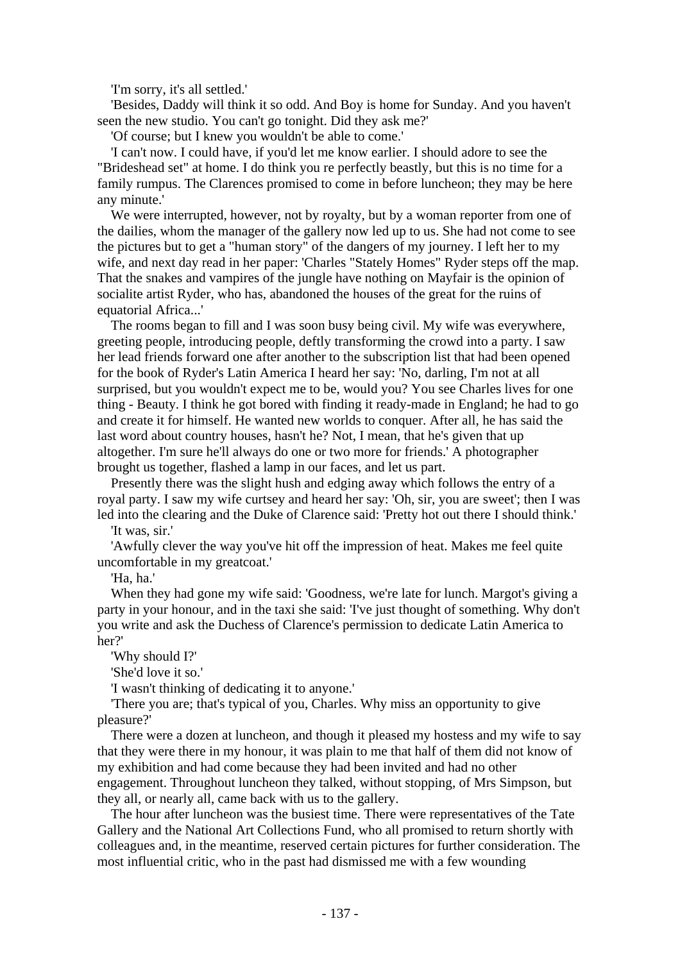'I'm sorry, it's all settled.'

 'Besides, Daddy will think it so odd. And Boy is home for Sunday. And you haven't seen the new studio. You can't go tonight. Did they ask me?'

'Of course; but I knew you wouldn't be able to come.'

 'I can't now. I could have, if you'd let me know earlier. I should adore to see the "Brideshead set" at home. I do think you re perfectly beastly, but this is no time for a family rumpus. The Clarences promised to come in before luncheon; they may be here any minute.'

 We were interrupted, however, not by royalty, but by a woman reporter from one of the dailies, whom the manager of the gallery now led up to us. She had not come to see the pictures but to get a "human story" of the dangers of my journey. I left her to my wife, and next day read in her paper: 'Charles "Stately Homes" Ryder steps off the map. That the snakes and vampires of the jungle have nothing on Mayfair is the opinion of socialite artist Ryder, who has, abandoned the houses of the great for the ruins of equatorial Africa...'

 The rooms began to fill and I was soon busy being civil. My wife was everywhere, greeting people, introducing people, deftly transforming the crowd into a party. I saw her lead friends forward one after another to the subscription list that had been opened for the book of Ryder's Latin America I heard her say: 'No, darling, I'm not at all surprised, but you wouldn't expect me to be, would you? You see Charles lives for one thing - Beauty. I think he got bored with finding it ready-made in England; he had to go and create it for himself. He wanted new worlds to conquer. After all, he has said the last word about country houses, hasn't he? Not, I mean, that he's given that up altogether. I'm sure he'll always do one or two more for friends.' A photographer brought us together, flashed a lamp in our faces, and let us part.

 Presently there was the slight hush and edging away which follows the entry of a royal party. I saw my wife curtsey and heard her say: 'Oh, sir, you are sweet'; then I was led into the clearing and the Duke of Clarence said: 'Pretty hot out there I should think.'

'It was, sir.'

 'Awfully clever the way you've hit off the impression of heat. Makes me feel quite uncomfortable in my greatcoat.'

'Ha, ha.'

 When they had gone my wife said: 'Goodness, we're late for lunch. Margot's giving a party in your honour, and in the taxi she said: 'I've just thought of something. Why don't you write and ask the Duchess of Clarence's permission to dedicate Latin America to her?'

'Why should I?'

'She'd love it so.'

'I wasn't thinking of dedicating it to anyone.'

 'There you are; that's typical of you, Charles. Why miss an opportunity to give pleasure?'

 There were a dozen at luncheon, and though it pleased my hostess and my wife to say that they were there in my honour, it was plain to me that half of them did not know of my exhibition and had come because they had been invited and had no other engagement. Throughout luncheon they talked, without stopping, of Mrs Simpson, but they all, or nearly all, came back with us to the gallery.

 The hour after luncheon was the busiest time. There were representatives of the Tate Gallery and the National Art Collections Fund, who all promised to return shortly with colleagues and, in the meantime, reserved certain pictures for further consideration. The most influential critic, who in the past had dismissed me with a few wounding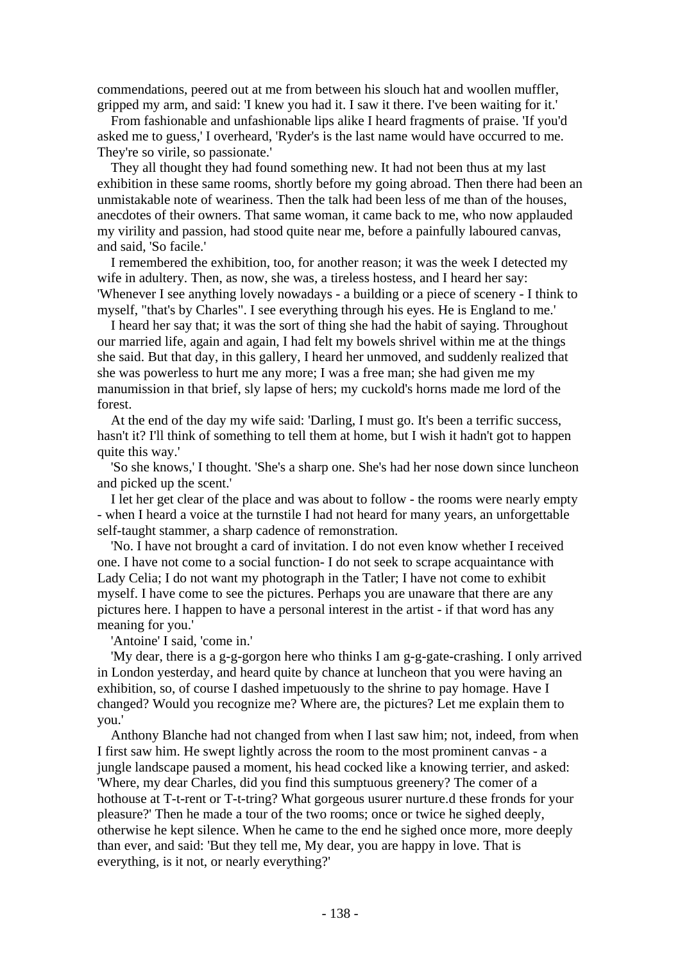commendations, peered out at me from between his slouch hat and woollen muffler, gripped my arm, and said: 'I knew you had it. I saw it there. I've been waiting for it.'

 From fashionable and unfashionable lips alike I heard fragments of praise. 'If you'd asked me to guess,' I overheard, 'Ryder's is the last name would have occurred to me. They're so virile, so passionate.'

 They all thought they had found something new. It had not been thus at my last exhibition in these same rooms, shortly before my going abroad. Then there had been an unmistakable note of weariness. Then the talk had been less of me than of the houses, anecdotes of their owners. That same woman, it came back to me, who now applauded my virility and passion, had stood quite near me, before a painfully laboured canvas, and said, 'So facile.'

 I remembered the exhibition, too, for another reason; it was the week I detected my wife in adultery. Then, as now, she was, a tireless hostess, and I heard her say: 'Whenever I see anything lovely nowadays - a building or a piece of scenery - I think to myself, "that's by Charles". I see everything through his eyes. He is England to me.'

 I heard her say that; it was the sort of thing she had the habit of saying. Throughout our married life, again and again, I had felt my bowels shrivel within me at the things she said. But that day, in this gallery, I heard her unmoved, and suddenly realized that she was powerless to hurt me any more; I was a free man; she had given me my manumission in that brief, sly lapse of hers; my cuckold's horns made me lord of the forest.

 At the end of the day my wife said: 'Darling, I must go. It's been a terrific success, hasn't it? I'll think of something to tell them at home, but I wish it hadn't got to happen quite this way.'

 'So she knows,' I thought. 'She's a sharp one. She's had her nose down since luncheon and picked up the scent.'

 I let her get clear of the place and was about to follow - the rooms were nearly empty - when I heard a voice at the turnstile I had not heard for many years, an unforgettable self-taught stammer, a sharp cadence of remonstration.

 'No. I have not brought a card of invitation. I do not even know whether I received one. I have not come to a social function- I do not seek to scrape acquaintance with Lady Celia; I do not want my photograph in the Tatler; I have not come to exhibit myself. I have come to see the pictures. Perhaps you are unaware that there are any pictures here. I happen to have a personal interest in the artist - if that word has any meaning for you.'

'Antoine' I said, 'come in.'

 'My dear, there is a g-g-gorgon here who thinks I am g-g-gate-crashing. I only arrived in London yesterday, and heard quite by chance at luncheon that you were having an exhibition, so, of course I dashed impetuously to the shrine to pay homage. Have I changed? Would you recognize me? Where are, the pictures? Let me explain them to you.'

 Anthony Blanche had not changed from when I last saw him; not, indeed, from when I first saw him. He swept lightly across the room to the most prominent canvas - a jungle landscape paused a moment, his head cocked like a knowing terrier, and asked: 'Where, my dear Charles, did you find this sumptuous greenery? The comer of a hothouse at T-t-rent or T-t-tring? What gorgeous usurer nurture.d these fronds for your pleasure?' Then he made a tour of the two rooms; once or twice he sighed deeply, otherwise he kept silence. When he came to the end he sighed once more, more deeply than ever, and said: 'But they tell me, My dear, you are happy in love. That is everything, is it not, or nearly everything?'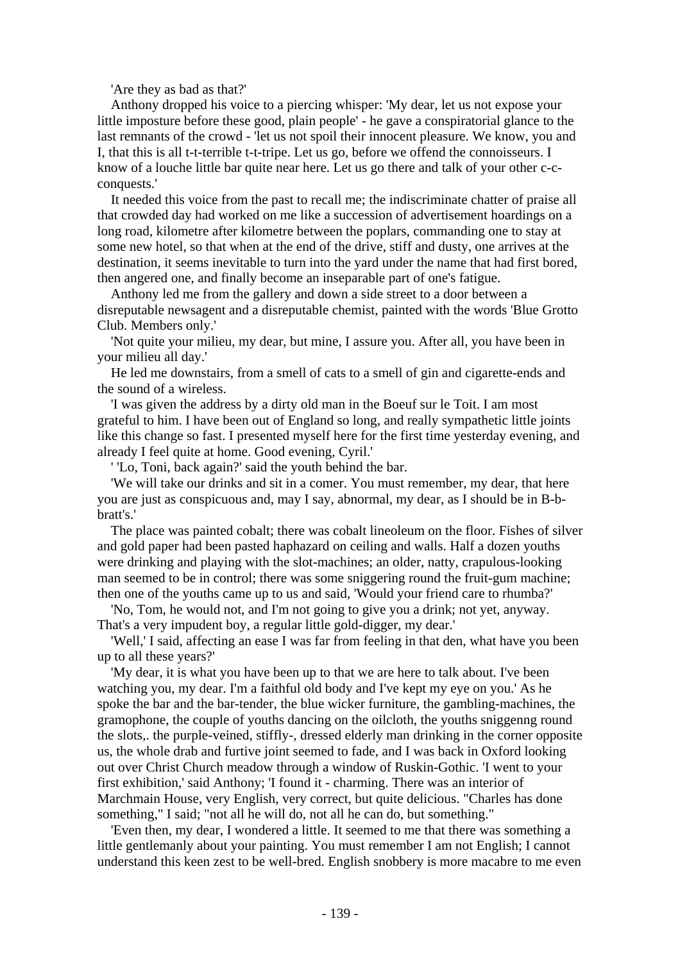'Are they as bad as that?'

 Anthony dropped his voice to a piercing whisper: 'My dear, let us not expose your little imposture before these good, plain people' - he gave a conspiratorial glance to the last remnants of the crowd - 'let us not spoil their innocent pleasure. We know, you and I, that this is all t-t-terrible t-t-tripe. Let us go, before we offend the connoisseurs. I know of a louche little bar quite near here. Let us go there and talk of your other c-cconquests.'

 It needed this voice from the past to recall me; the indiscriminate chatter of praise all that crowded day had worked on me like a succession of advertisement hoardings on a long road, kilometre after kilometre between the poplars, commanding one to stay at some new hotel, so that when at the end of the drive, stiff and dusty, one arrives at the destination, it seems inevitable to turn into the yard under the name that had first bored, then angered one, and finally become an inseparable part of one's fatigue.

 Anthony led me from the gallery and down a side street to a door between a disreputable newsagent and a disreputable chemist, painted with the words 'Blue Grotto Club. Members only.'

 'Not quite your milieu, my dear, but mine, I assure you. After all, you have been in your milieu all day.'

 He led me downstairs, from a smell of cats to a smell of gin and cigarette-ends and the sound of a wireless.

 'I was given the address by a dirty old man in the Boeuf sur le Toit. I am most grateful to him. I have been out of England so long, and really sympathetic little joints like this change so fast. I presented myself here for the first time yesterday evening, and already I feel quite at home. Good evening, Cyril.'

' 'Lo, Toni, back again?' said the youth behind the bar.

 'We will take our drinks and sit in a comer. You must remember, my dear, that here you are just as conspicuous and, may I say, abnormal, my dear, as I should be in B-bbratt's.'

 The place was painted cobalt; there was cobalt lineoleum on the floor. Fishes of silver and gold paper had been pasted haphazard on ceiling and walls. Half a dozen youths were drinking and playing with the slot-machines; an older, natty, crapulous-looking man seemed to be in control; there was some sniggering round the fruit-gum machine; then one of the youths came up to us and said, 'Would your friend care to rhumba?'

 'No, Tom, he would not, and I'm not going to give you a drink; not yet, anyway. That's a very impudent boy, a regular little gold-digger, my dear.'

 'Well,' I said, affecting an ease I was far from feeling in that den, what have you been up to all these years?'

 'My dear, it is what you have been up to that we are here to talk about. I've been watching you, my dear. I'm a faithful old body and I've kept my eye on you.' As he spoke the bar and the bar-tender, the blue wicker furniture, the gambling-machines, the gramophone, the couple of youths dancing on the oilcloth, the youths sniggenng round the slots,. the purple-veined, stiffly-, dressed elderly man drinking in the corner opposite us, the whole drab and furtive joint seemed to fade, and I was back in Oxford looking out over Christ Church meadow through a window of Ruskin-Gothic. 'I went to your first exhibition,' said Anthony; 'I found it - charming. There was an interior of Marchmain House, very English, very correct, but quite delicious. "Charles has done something," I said; "not all he will do, not all he can do, but something."

 'Even then, my dear, I wondered a little. It seemed to me that there was something a little gentlemanly about your painting. You must remember I am not English; I cannot understand this keen zest to be well-bred. English snobbery is more macabre to me even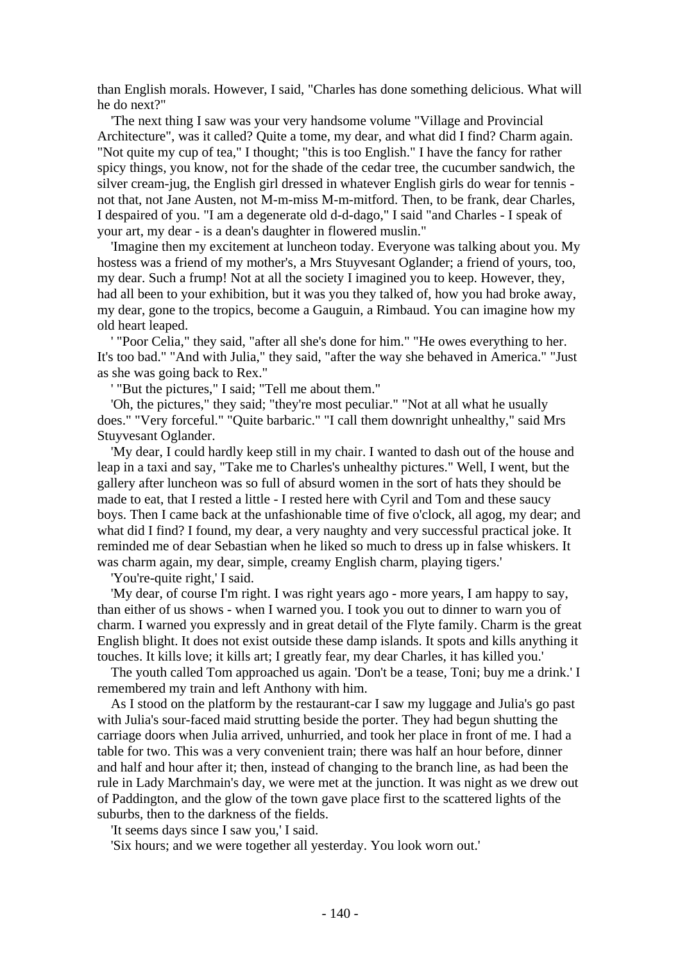than English morals. However, I said, "Charles has done something delicious. What will he do next?"

 'The next thing I saw was your very handsome volume "Village and Provincial Architecture", was it called? Quite a tome, my dear, and what did I find? Charm again. "Not quite my cup of tea," I thought; "this is too English." I have the fancy for rather spicy things, you know, not for the shade of the cedar tree, the cucumber sandwich, the silver cream-jug, the English girl dressed in whatever English girls do wear for tennis not that, not Jane Austen, not M-m-miss M-m-mitford. Then, to be frank, dear Charles, I despaired of you. "I am a degenerate old d-d-dago," I said "and Charles - I speak of your art, my dear - is a dean's daughter in flowered muslin."

 'Imagine then my excitement at luncheon today. Everyone was talking about you. My hostess was a friend of my mother's, a Mrs Stuyvesant Oglander; a friend of yours, too, my dear. Such a frump! Not at all the society I imagined you to keep. However, they, had all been to your exhibition, but it was you they talked of, how you had broke away, my dear, gone to the tropics, become a Gauguin, a Rimbaud. You can imagine how my old heart leaped.

 ' "Poor Celia," they said, "after all she's done for him." "He owes everything to her. It's too bad." "And with Julia," they said, "after the way she behaved in America." "Just as she was going back to Rex."

' "But the pictures," I said; "Tell me about them."

 'Oh, the pictures," they said; "they're most peculiar." "Not at all what he usually does." "Very forceful." "Quite barbaric." "I call them downright unhealthy," said Mrs Stuyvesant Oglander.

 'My dear, I could hardly keep still in my chair. I wanted to dash out of the house and leap in a taxi and say, "Take me to Charles's unhealthy pictures." Well, I went, but the gallery after luncheon was so full of absurd women in the sort of hats they should be made to eat, that I rested a little - I rested here with Cyril and Tom and these saucy boys. Then I came back at the unfashionable time of five o'clock, all agog, my dear; and what did I find? I found, my dear, a very naughty and very successful practical joke. It reminded me of dear Sebastian when he liked so much to dress up in false whiskers. It was charm again, my dear, simple, creamy English charm, playing tigers.'

'You're-quite right,' I said.

 'My dear, of course I'm right. I was right years ago - more years, I am happy to say, than either of us shows - when I warned you. I took you out to dinner to warn you of charm. I warned you expressly and in great detail of the Flyte family. Charm is the great English blight. It does not exist outside these damp islands. It spots and kills anything it touches. It kills love; it kills art; I greatly fear, my dear Charles, it has killed you.'

 The youth called Tom approached us again. 'Don't be a tease, Toni; buy me a drink.' I remembered my train and left Anthony with him.

 As I stood on the platform by the restaurant-car I saw my luggage and Julia's go past with Julia's sour-faced maid strutting beside the porter. They had begun shutting the carriage doors when Julia arrived, unhurried, and took her place in front of me. I had a table for two. This was a very convenient train; there was half an hour before, dinner and half and hour after it; then, instead of changing to the branch line, as had been the rule in Lady Marchmain's day, we were met at the junction. It was night as we drew out of Paddington, and the glow of the town gave place first to the scattered lights of the suburbs, then to the darkness of the fields.

'It seems days since I saw you,' I said.

'Six hours; and we were together all yesterday. You look worn out.'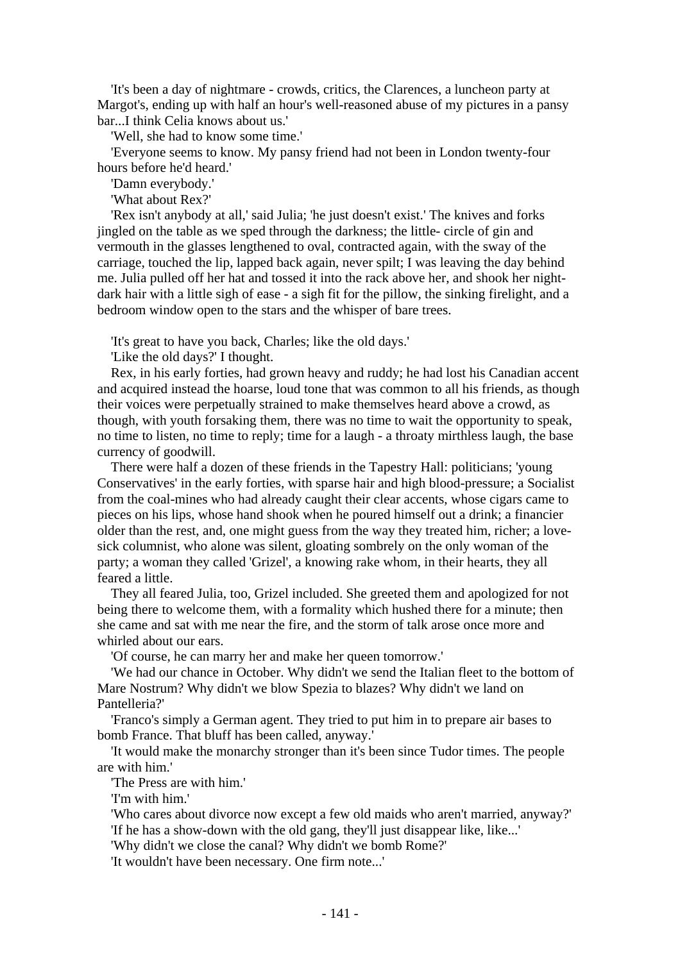'It's been a day of nightmare - crowds, critics, the Clarences, a luncheon party at Margot's, ending up with half an hour's well-reasoned abuse of my pictures in a pansy bar...I think Celia knows about us.'

'Well, she had to know some time.'

 'Everyone seems to know. My pansy friend had not been in London twenty-four hours before he'd heard.'

'Damn everybody.'

'What about Rex?'

 'Rex isn't anybody at all,' said Julia; 'he just doesn't exist.' The knives and forks jingled on the table as we sped through the darkness; the little- circle of gin and vermouth in the glasses lengthened to oval, contracted again, with the sway of the carriage, touched the lip, lapped back again, never spilt; I was leaving the day behind me. Julia pulled off her hat and tossed it into the rack above her, and shook her nightdark hair with a little sigh of ease - a sigh fit for the pillow, the sinking firelight, and a bedroom window open to the stars and the whisper of bare trees.

'It's great to have you back, Charles; like the old days.'

'Like the old days?' I thought.

 Rex, in his early forties, had grown heavy and ruddy; he had lost his Canadian accent and acquired instead the hoarse, loud tone that was common to all his friends, as though their voices were perpetually strained to make themselves heard above a crowd, as though, with youth forsaking them, there was no time to wait the opportunity to speak, no time to listen, no time to reply; time for a laugh - a throaty mirthless laugh, the base currency of goodwill.

 There were half a dozen of these friends in the Tapestry Hall: politicians; 'young Conservatives' in the early forties, with sparse hair and high blood-pressure; a Socialist from the coal-mines who had already caught their clear accents, whose cigars came to pieces on his lips, whose hand shook when he poured himself out a drink; a financier older than the rest, and, one might guess from the way they treated him, richer; a lovesick columnist, who alone was silent, gloating sombrely on the only woman of the party; a woman they called 'Grizel', a knowing rake whom, in their hearts, they all feared a little.

 They all feared Julia, too, Grizel included. She greeted them and apologized for not being there to welcome them, with a formality which hushed there for a minute; then she came and sat with me near the fire, and the storm of talk arose once more and whirled about our ears.

'Of course, he can marry her and make her queen tomorrow.'

 'We had our chance in October. Why didn't we send the Italian fleet to the bottom of Mare Nostrum? Why didn't we blow Spezia to blazes? Why didn't we land on Pantelleria?'

 'Franco's simply a German agent. They tried to put him in to prepare air bases to bomb France. That bluff has been called, anyway.'

 'It would make the monarchy stronger than it's been since Tudor times. The people are with him.'

'The Press are with him.'

'I'm with him.'

 'Who cares about divorce now except a few old maids who aren't married, anyway?' 'If he has a show-down with the old gang, they'll just disappear like, like...'

'Why didn't we close the canal? Why didn't we bomb Rome?'

'It wouldn't have been necessary. One firm note...'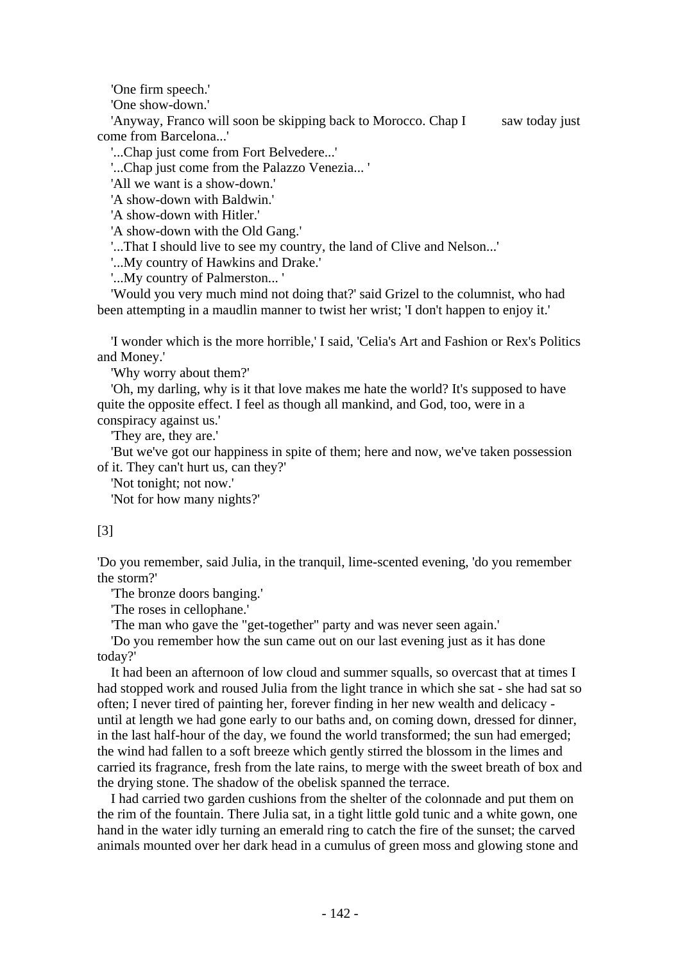'One firm speech.'

'One show-down.'

'Anyway, Franco will soon be skipping back to Morocco. Chap I saw today just come from Barcelona...'

'...Chap just come from Fort Belvedere...'

'...Chap just come from the Palazzo Venezia... '

'All we want is a show-down.'

'A show-down with Baldwin.'

'A show-down with Hitler.'

'A show-down with the Old Gang.'

'...That I should live to see my country, the land of Clive and Nelson...'

'...My country of Hawkins and Drake.'

'...My country of Palmerston... '

 'Would you very much mind not doing that?' said Grizel to the columnist, who had been attempting in a maudlin manner to twist her wrist; 'I don't happen to enjoy it.'

 'I wonder which is the more horrible,' I said, 'Celia's Art and Fashion or Rex's Politics and Money.'

'Why worry about them?'

 'Oh, my darling, why is it that love makes me hate the world? It's supposed to have quite the opposite effect. I feel as though all mankind, and God, too, were in a conspiracy against us.'

'They are, they are.'

 'But we've got our happiness in spite of them; here and now, we've taken possession of it. They can't hurt us, can they?'

'Not tonight; not now.'

'Not for how many nights?'

## [3]

'Do you remember, said Julia, in the tranquil, lime-scented evening, 'do you remember the storm?'

'The bronze doors banging.'

'The roses in cellophane.'

'The man who gave the "get-together" party and was never seen again.'

 'Do you remember how the sun came out on our last evening just as it has done today?'

 It had been an afternoon of low cloud and summer squalls, so overcast that at times I had stopped work and roused Julia from the light trance in which she sat - she had sat so often; I never tired of painting her, forever finding in her new wealth and delicacy until at length we had gone early to our baths and, on coming down, dressed for dinner, in the last half-hour of the day, we found the world transformed; the sun had emerged; the wind had fallen to a soft breeze which gently stirred the blossom in the limes and carried its fragrance, fresh from the late rains, to merge with the sweet breath of box and the drying stone. The shadow of the obelisk spanned the terrace.

 I had carried two garden cushions from the shelter of the colonnade and put them on the rim of the fountain. There Julia sat, in a tight little gold tunic and a white gown, one hand in the water idly turning an emerald ring to catch the fire of the sunset; the carved animals mounted over her dark head in a cumulus of green moss and glowing stone and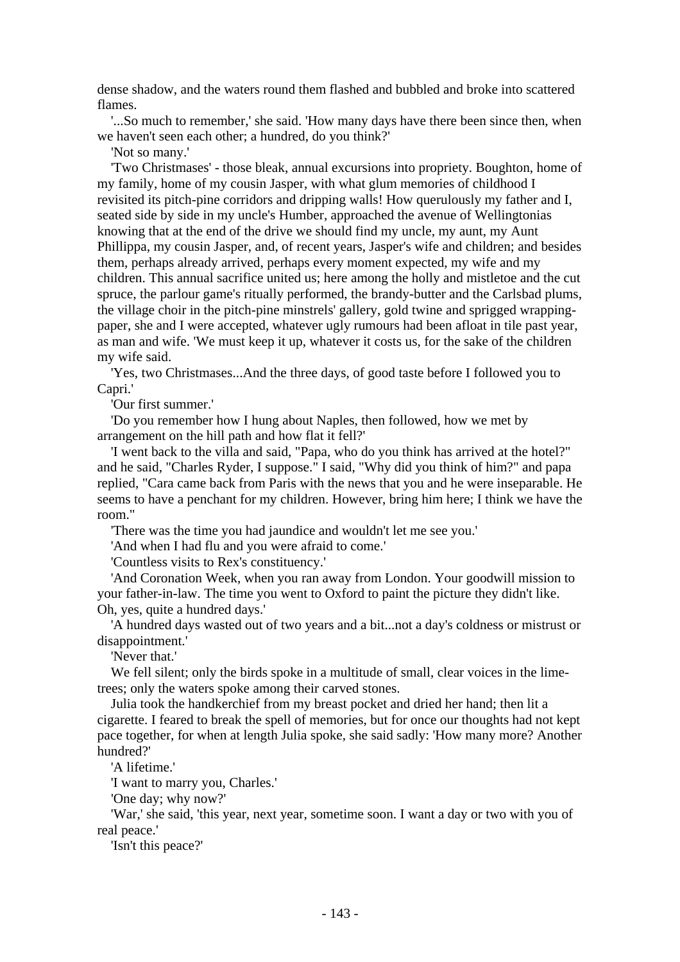dense shadow, and the waters round them flashed and bubbled and broke into scattered flames.

 '...So much to remember,' she said. 'How many days have there been since then, when we haven't seen each other; a hundred, do you think?'

'Not so many.'

 'Two Christmases' - those bleak, annual excursions into propriety. Boughton, home of my family, home of my cousin Jasper, with what glum memories of childhood I revisited its pitch-pine corridors and dripping walls! How querulously my father and I, seated side by side in my uncle's Humber, approached the avenue of Wellingtonias knowing that at the end of the drive we should find my uncle, my aunt, my Aunt Phillippa, my cousin Jasper, and, of recent years, Jasper's wife and children; and besides them, perhaps already arrived, perhaps every moment expected, my wife and my children. This annual sacrifice united us; here among the holly and mistletoe and the cut spruce, the parlour game's ritually performed, the brandy-butter and the Carlsbad plums, the village choir in the pitch-pine minstrels' gallery, gold twine and sprigged wrappingpaper, she and I were accepted, whatever ugly rumours had been afloat in tile past year, as man and wife. 'We must keep it up, whatever it costs us, for the sake of the children my wife said.

 'Yes, two Christmases...And the three days, of good taste before I followed you to Capri.'

'Our first summer.'

 'Do you remember how I hung about Naples, then followed, how we met by arrangement on the hill path and how flat it fell?'

 'I went back to the villa and said, "Papa, who do you think has arrived at the hotel?" and he said, "Charles Ryder, I suppose." I said, "Why did you think of him?" and papa replied, "Cara came back from Paris with the news that you and he were inseparable. He seems to have a penchant for my children. However, bring him here; I think we have the room."

'There was the time you had jaundice and wouldn't let me see you.'

'And when I had flu and you were afraid to come.'

'Countless visits to Rex's constituency.'

 'And Coronation Week, when you ran away from London. Your goodwill mission to your father-in-law. The time you went to Oxford to paint the picture they didn't like. Oh, yes, quite a hundred days.'

 'A hundred days wasted out of two years and a bit...not a day's coldness or mistrust or disappointment.'

'Never that.'

We fell silent; only the birds spoke in a multitude of small, clear voices in the limetrees; only the waters spoke among their carved stones.

 Julia took the handkerchief from my breast pocket and dried her hand; then lit a cigarette. I feared to break the spell of memories, but for once our thoughts had not kept pace together, for when at length Julia spoke, she said sadly: 'How many more? Another hundred?'

'A lifetime.'

'I want to marry you, Charles.'

'One day; why now?'

 'War,' she said, 'this year, next year, sometime soon. I want a day or two with you of real peace.'

'Isn't this peace?'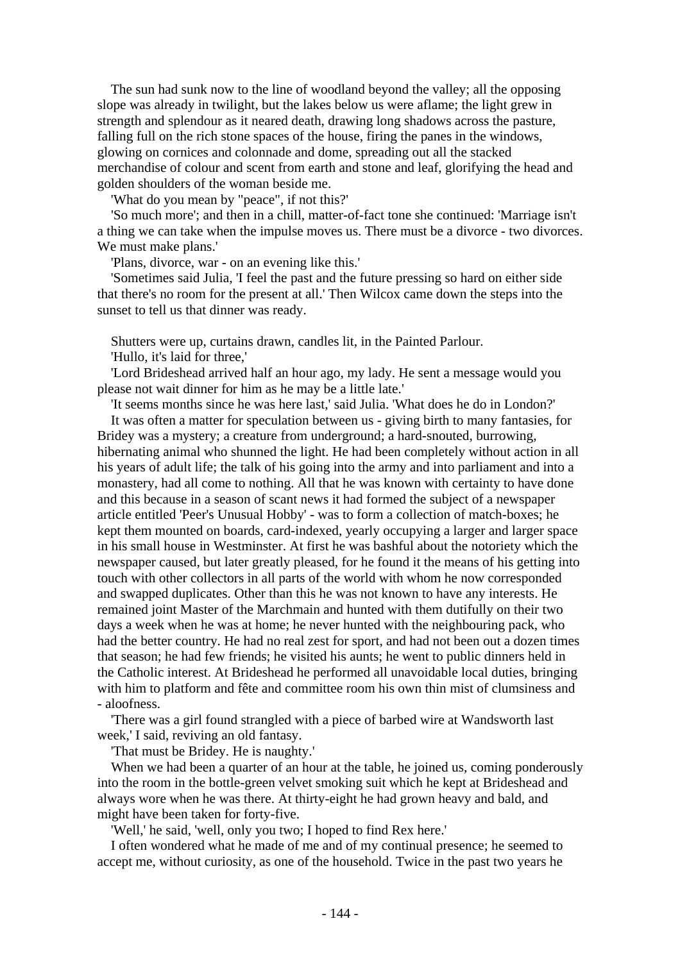The sun had sunk now to the line of woodland beyond the valley; all the opposing slope was already in twilight, but the lakes below us were aflame; the light grew in strength and splendour as it neared death, drawing long shadows across the pasture, falling full on the rich stone spaces of the house, firing the panes in the windows, glowing on cornices and colonnade and dome, spreading out all the stacked merchandise of colour and scent from earth and stone and leaf, glorifying the head and golden shoulders of the woman beside me.

'What do you mean by "peace", if not this?'

 'So much more'; and then in a chill, matter-of-fact tone she continued: 'Marriage isn't a thing we can take when the impulse moves us. There must be a divorce - two divorces. We must make plans.'

'Plans, divorce, war - on an evening like this.'

 'Sometimes said Julia, 'I feel the past and the future pressing so hard on either side that there's no room for the present at all.' Then Wilcox came down the steps into the sunset to tell us that dinner was ready.

Shutters were up, curtains drawn, candles lit, in the Painted Parlour.

'Hullo, it's laid for three,'

 'Lord Brideshead arrived half an hour ago, my lady. He sent a message would you please not wait dinner for him as he may be a little late.'

'It seems months since he was here last,' said Julia. 'What does he do in London?'

 It was often a matter for speculation between us - giving birth to many fantasies, for Bridey was a mystery; a creature from underground; a hard-snouted, burrowing, hibernating animal who shunned the light. He had been completely without action in all his years of adult life; the talk of his going into the army and into parliament and into a monastery, had all come to nothing. All that he was known with certainty to have done and this because in a season of scant news it had formed the subject of a newspaper article entitled 'Peer's Unusual Hobby' - was to form a collection of match-boxes; he kept them mounted on boards, card-indexed, yearly occupying a larger and larger space in his small house in Westminster. At first he was bashful about the notoriety which the newspaper caused, but later greatly pleased, for he found it the means of his getting into touch with other collectors in all parts of the world with whom he now corresponded and swapped duplicates. Other than this he was not known to have any interests. He remained joint Master of the Marchmain and hunted with them dutifully on their two days a week when he was at home; he never hunted with the neighbouring pack, who had the better country. He had no real zest for sport, and had not been out a dozen times that season; he had few friends; he visited his aunts; he went to public dinners held in the Catholic interest. At Brideshead he performed all unavoidable local duties, bringing with him to platform and fête and committee room his own thin mist of clumsiness and - aloofness.

 'There was a girl found strangled with a piece of barbed wire at Wandsworth last week,' I said, reviving an old fantasy.

'That must be Bridey. He is naughty.'

 When we had been a quarter of an hour at the table, he joined us, coming ponderously into the room in the bottle-green velvet smoking suit which he kept at Brideshead and always wore when he was there. At thirty-eight he had grown heavy and bald, and might have been taken for forty-five.

'Well,' he said, 'well, only you two; I hoped to find Rex here.'

 I often wondered what he made of me and of my continual presence; he seemed to accept me, without curiosity, as one of the household. Twice in the past two years he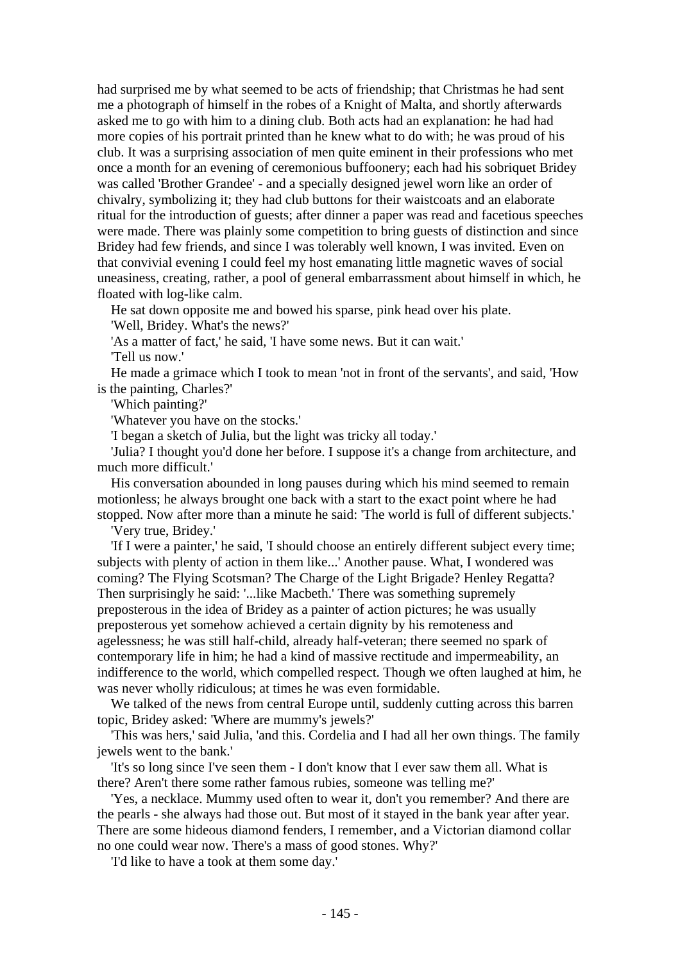had surprised me by what seemed to be acts of friendship; that Christmas he had sent me a photograph of himself in the robes of a Knight of Malta, and shortly afterwards asked me to go with him to a dining club. Both acts had an explanation: he had had more copies of his portrait printed than he knew what to do with; he was proud of his club. It was a surprising association of men quite eminent in their professions who met once a month for an evening of ceremonious buffoonery; each had his sobriquet Bridey was called 'Brother Grandee' - and a specially designed jewel worn like an order of chivalry, symbolizing it; they had club buttons for their waistcoats and an elaborate ritual for the introduction of guests; after dinner a paper was read and facetious speeches were made. There was plainly some competition to bring guests of distinction and since Bridey had few friends, and since I was tolerably well known, I was invited. Even on that convivial evening I could feel my host emanating little magnetic waves of social uneasiness, creating, rather, a pool of general embarrassment about himself in which, he floated with log-like calm.

He sat down opposite me and bowed his sparse, pink head over his plate.

'Well, Bridey. What's the news?'

'As a matter of fact,' he said, 'I have some news. But it can wait.'

'Tell us now.'

 He made a grimace which I took to mean 'not in front of the servants', and said, 'How is the painting, Charles?'

'Which painting?'

'Whatever you have on the stocks.'

'I began a sketch of Julia, but the light was tricky all today.'

 'Julia? I thought you'd done her before. I suppose it's a change from architecture, and much more difficult.'

 His conversation abounded in long pauses during which his mind seemed to remain motionless; he always brought one back with a start to the exact point where he had stopped. Now after more than a minute he said: 'The world is full of different subjects.'

'Very true, Bridey.'

 'If I were a painter,' he said, 'I should choose an entirely different subject every time; subjects with plenty of action in them like...' Another pause. What, I wondered was coming? The Flying Scotsman? The Charge of the Light Brigade? Henley Regatta? Then surprisingly he said: '...like Macbeth.' There was something supremely preposterous in the idea of Bridey as a painter of action pictures; he was usually preposterous yet somehow achieved a certain dignity by his remoteness and agelessness; he was still half-child, already half-veteran; there seemed no spark of contemporary life in him; he had a kind of massive rectitude and impermeability, an indifference to the world, which compelled respect. Though we often laughed at him, he was never wholly ridiculous; at times he was even formidable.

 We talked of the news from central Europe until, suddenly cutting across this barren topic, Bridey asked: 'Where are mummy's jewels?'

 'This was hers,' said Julia, 'and this. Cordelia and I had all her own things. The family jewels went to the bank.'

 'It's so long since I've seen them - I don't know that I ever saw them all. What is there? Aren't there some rather famous rubies, someone was telling me?'

 'Yes, a necklace. Mummy used often to wear it, don't you remember? And there are the pearls - she always had those out. But most of it stayed in the bank year after year. There are some hideous diamond fenders, I remember, and a Victorian diamond collar no one could wear now. There's a mass of good stones. Why?'

'I'd like to have a took at them some day.'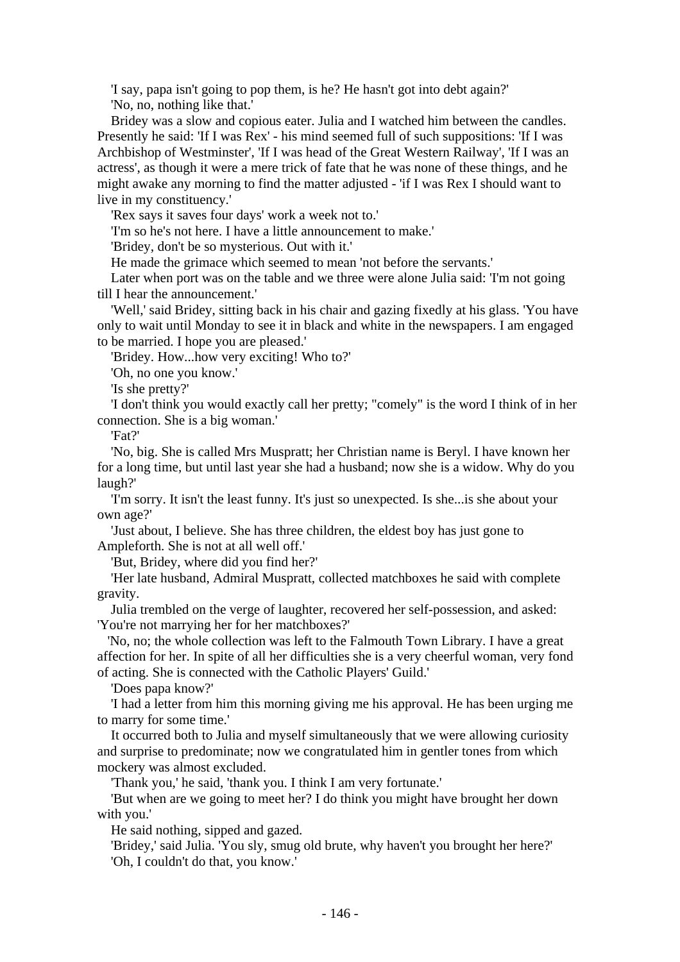'I say, papa isn't going to pop them, is he? He hasn't got into debt again?' 'No, no, nothing like that.'

 Bridey was a slow and copious eater. Julia and I watched him between the candles. Presently he said: 'If I was Rex' - his mind seemed full of such suppositions: 'If I was Archbishop of Westminster', 'If I was head of the Great Western Railway', 'If I was an actress', as though it were a mere trick of fate that he was none of these things, and he might awake any morning to find the matter adjusted - 'if I was Rex I should want to live in my constituency.'

'Rex says it saves four days' work a week not to.'

'I'm so he's not here. I have a little announcement to make.'

'Bridey, don't be so mysterious. Out with it.'

He made the grimace which seemed to mean 'not before the servants.'

 Later when port was on the table and we three were alone Julia said: 'I'm not going till I hear the announcement.'

 'Well,' said Bridey, sitting back in his chair and gazing fixedly at his glass. 'You have only to wait until Monday to see it in black and white in the newspapers. I am engaged to be married. I hope you are pleased.'

'Bridey. How...how very exciting! Who to?'

'Oh, no one you know.'

'Is she pretty?'

 'I don't think you would exactly call her pretty; "comely" is the word I think of in her connection. She is a big woman.'

'Fat?'

 'No, big. She is called Mrs Muspratt; her Christian name is Beryl. I have known her for a long time, but until last year she had a husband; now she is a widow. Why do you laugh?'

 'I'm sorry. It isn't the least funny. It's just so unexpected. Is she...is she about your own age?'

 'Just about, I believe. She has three children, the eldest boy has just gone to Ampleforth. She is not at all well off.'

'But, Bridey, where did you find her?'

 'Her late husband, Admiral Muspratt, collected matchboxes he said with complete gravity.

 Julia trembled on the verge of laughter, recovered her self-possession, and asked: 'You're not marrying her for her matchboxes?'

 'No, no; the whole collection was left to the Falmouth Town Library. I have a great affection for her. In spite of all her difficulties she is a very cheerful woman, very fond of acting. She is connected with the Catholic Players' Guild.'

'Does papa know?'

 'I had a letter from him this morning giving me his approval. He has been urging me to marry for some time.'

 It occurred both to Julia and myself simultaneously that we were allowing curiosity and surprise to predominate; now we congratulated him in gentler tones from which mockery was almost excluded.

'Thank you,' he said, 'thank you. I think I am very fortunate.'

 'But when are we going to meet her? I do think you might have brought her down with you.'

He said nothing, sipped and gazed.

 'Bridey,' said Julia. 'You sly, smug old brute, why haven't you brought her here?' 'Oh, I couldn't do that, you know.'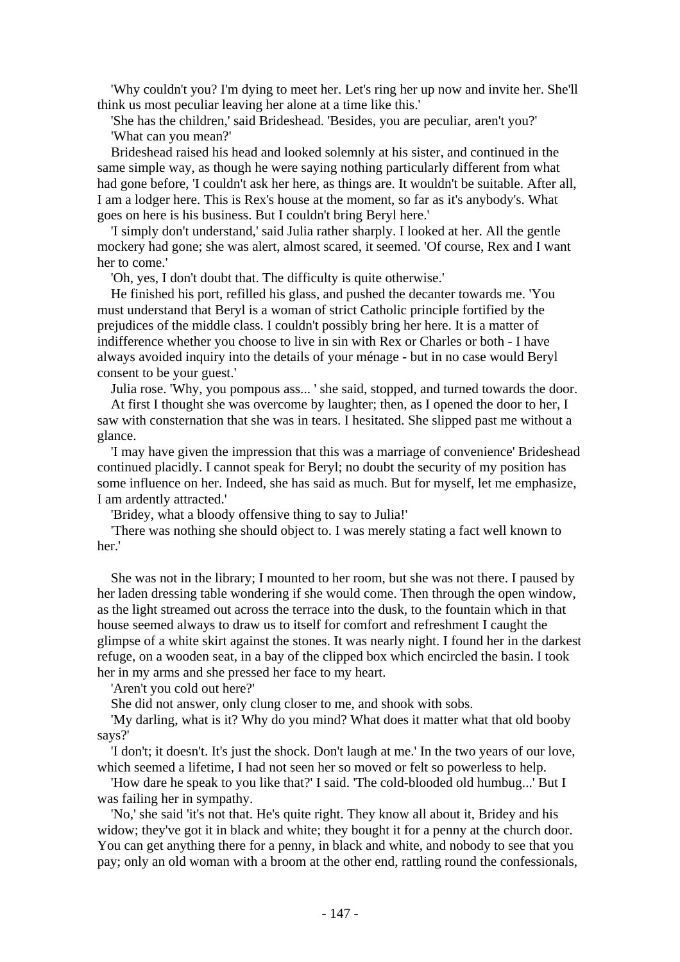'Why couldn't you? I'm dying to meet her. Let's ring her up now and invite her. She'll think us most peculiar leaving her alone at a time like this.'

 'She has the children,' said Brideshead. 'Besides, you are peculiar, aren't you?' 'What can you mean?'

 Brideshead raised his head and looked solemnly at his sister, and continued in the same simple way, as though he were saying nothing particularly different from what had gone before, 'I couldn't ask her here, as things are. It wouldn't be suitable. After all, I am a lodger here. This is Rex's house at the moment, so far as it's anybody's. What goes on here is his business. But I couldn't bring Beryl here.'

 'I simply don't understand,' said Julia rather sharply. I looked at her. All the gentle mockery had gone; she was alert, almost scared, it seemed. 'Of course, Rex and I want her to come.'

'Oh, yes, I don't doubt that. The difficulty is quite otherwise.'

 He finished his port, refilled his glass, and pushed the decanter towards me. 'You must understand that Beryl is a woman of strict Catholic principle fortified by the prejudices of the middle class. I couldn't possibly bring her here. It is a matter of indifference whether you choose to live in sin with Rex or Charles or both - I have always avoided inquiry into the details of your ménage - but in no case would Beryl consent to be your guest.'

Julia rose. 'Why, you pompous ass... ' she said, stopped, and turned towards the door.

 At first I thought she was overcome by laughter; then, as I opened the door to her, I saw with consternation that she was in tears. I hesitated. She slipped past me without a glance.

 'I may have given the impression that this was a marriage of convenience' Brideshead continued placidly. I cannot speak for Beryl; no doubt the security of my position has some influence on her. Indeed, she has said as much. But for myself, let me emphasize, I am ardently attracted.'

'Bridey, what a bloody offensive thing to say to Julia!'

 'There was nothing she should object to. I was merely stating a fact well known to her.'

 She was not in the library; I mounted to her room, but she was not there. I paused by her laden dressing table wondering if she would come. Then through the open window, as the light streamed out across the terrace into the dusk, to the fountain which in that house seemed always to draw us to itself for comfort and refreshment I caught the glimpse of a white skirt against the stones. It was nearly night. I found her in the darkest refuge, on a wooden seat, in a bay of the clipped box which encircled the basin. I took her in my arms and she pressed her face to my heart.

'Aren't you cold out here?'

She did not answer, only clung closer to me, and shook with sobs.

 'My darling, what is it? Why do you mind? What does it matter what that old booby says?'

 'I don't; it doesn't. It's just the shock. Don't laugh at me.' In the two years of our love, which seemed a lifetime, I had not seen her so moved or felt so powerless to help.

 'How dare he speak to you like that?' I said. 'The cold-blooded old humbug...' But I was failing her in sympathy.

 'No,' she said 'it's not that. He's quite right. They know all about it, Bridey and his widow; they've got it in black and white; they bought it for a penny at the church door. You can get anything there for a penny, in black and white, and nobody to see that you pay; only an old woman with a broom at the other end, rattling round the confessionals,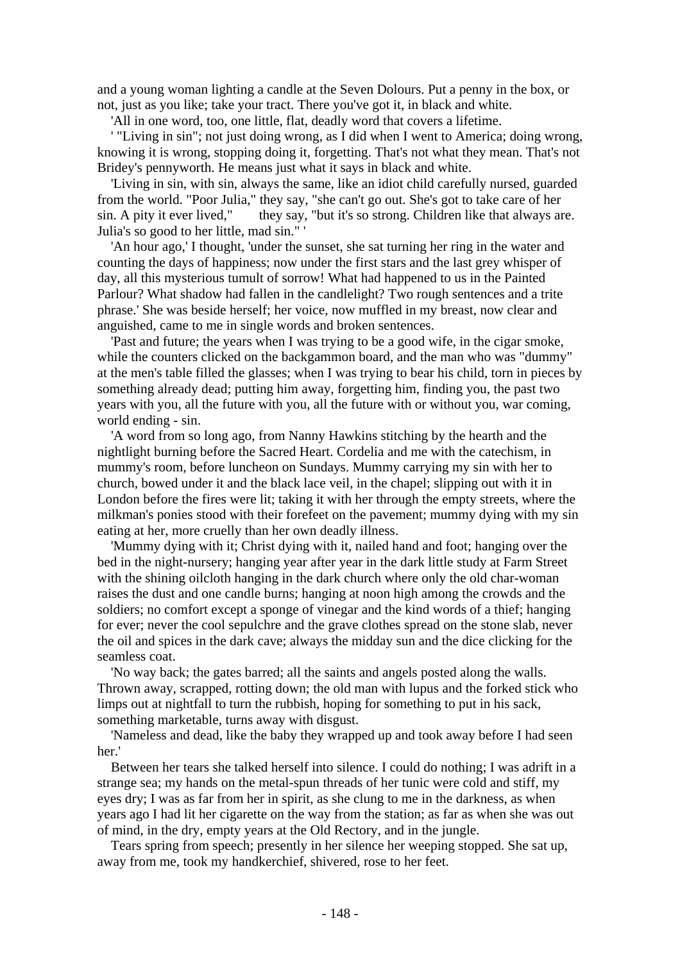and a young woman lighting a candle at the Seven Dolours. Put a penny in the box, or not, just as you like; take your tract. There you've got it, in black and white.

'All in one word, too, one little, flat, deadly word that covers a lifetime.

 ' "Living in sin"; not just doing wrong, as I did when I went to America; doing wrong, knowing it is wrong, stopping doing it, forgetting. That's not what they mean. That's not Bridey's pennyworth. He means just what it says in black and white.

 'Living in sin, with sin, always the same, like an idiot child carefully nursed, guarded from the world. "Poor Julia," they say, "she can't go out. She's got to take care of her sin. A pity it ever lived," they say, "but it's so strong. Children like that always are. Julia's so good to her little, mad sin." '

 'An hour ago,' I thought, 'under the sunset, she sat turning her ring in the water and counting the days of happiness; now under the first stars and the last grey whisper of day, all this mysterious tumult of sorrow! What had happened to us in the Painted Parlour? What shadow had fallen in the candlelight? Two rough sentences and a trite phrase.' She was beside herself; her voice, now muffled in my breast, now clear and anguished, came to me in single words and broken sentences.

 'Past and future; the years when I was trying to be a good wife, in the cigar smoke, while the counters clicked on the backgammon board, and the man who was "dummy" at the men's table filled the glasses; when I was trying to bear his child, torn in pieces by something already dead; putting him away, forgetting him, finding you, the past two years with you, all the future with you, all the future with or without you, war coming, world ending - sin.

 'A word from so long ago, from Nanny Hawkins stitching by the hearth and the nightlight burning before the Sacred Heart. Cordelia and me with the catechism, in mummy's room, before luncheon on Sundays. Mummy carrying my sin with her to church, bowed under it and the black lace veil, in the chapel; slipping out with it in London before the fires were lit; taking it with her through the empty streets, where the milkman's ponies stood with their forefeet on the pavement; mummy dying with my sin eating at her, more cruelly than her own deadly illness.

 'Mummy dying with it; Christ dying with it, nailed hand and foot; hanging over the bed in the night-nursery; hanging year after year in the dark little study at Farm Street with the shining oilcloth hanging in the dark church where only the old char-woman raises the dust and one candle burns; hanging at noon high among the crowds and the soldiers; no comfort except a sponge of vinegar and the kind words of a thief; hanging for ever; never the cool sepulchre and the grave clothes spread on the stone slab, never the oil and spices in the dark cave; always the midday sun and the dice clicking for the seamless coat.

 'No way back; the gates barred; all the saints and angels posted along the walls. Thrown away, scrapped, rotting down; the old man with lupus and the forked stick who limps out at nightfall to turn the rubbish, hoping for something to put in his sack, something marketable, turns away with disgust.

 'Nameless and dead, like the baby they wrapped up and took away before I had seen her<sup>'</sup>

 Between her tears she talked herself into silence. I could do nothing; I was adrift in a strange sea; my hands on the metal-spun threads of her tunic were cold and stiff, my eyes dry; I was as far from her in spirit, as she clung to me in the darkness, as when years ago I had lit her cigarette on the way from the station; as far as when she was out of mind, in the dry, empty years at the Old Rectory, and in the jungle.

 Tears spring from speech; presently in her silence her weeping stopped. She sat up, away from me, took my handkerchief, shivered, rose to her feet.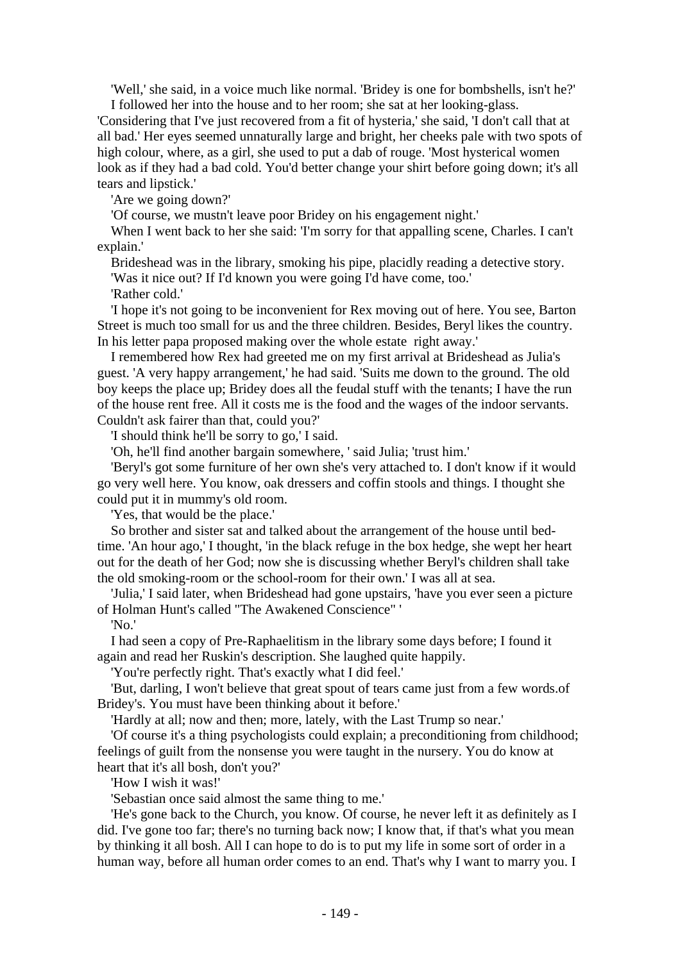'Well,' she said, in a voice much like normal. 'Bridey is one for bombshells, isn't he?' I followed her into the house and to her room; she sat at her looking-glass.

'Considering that I've just recovered from a fit of hysteria,' she said, 'I don't call that at all bad.' Her eyes seemed unnaturally large and bright, her cheeks pale with two spots of high colour, where, as a girl, she used to put a dab of rouge. 'Most hysterical women look as if they had a bad cold. You'd better change your shirt before going down; it's all tears and lipstick.'

'Are we going down?'

'Of course, we mustn't leave poor Bridey on his engagement night.'

When I went back to her she said: 'I'm sorry for that appalling scene, Charles. I can't explain.'

 Brideshead was in the library, smoking his pipe, placidly reading a detective story. 'Was it nice out? If I'd known you were going I'd have come, too.'

'Rather cold.'

 'I hope it's not going to be inconvenient for Rex moving out of here. You see, Barton Street is much too small for us and the three children. Besides, Beryl likes the country. In his letter papa proposed making over the whole estate right away.'

 I remembered how Rex had greeted me on my first arrival at Brideshead as Julia's guest. 'A very happy arrangement,' he had said. 'Suits me down to the ground. The old boy keeps the place up; Bridey does all the feudal stuff with the tenants; I have the run of the house rent free. All it costs me is the food and the wages of the indoor servants. Couldn't ask fairer than that, could you?'

'I should think he'll be sorry to go,' I said.

'Oh, he'll find another bargain somewhere, ' said Julia; 'trust him.'

 'Beryl's got some furniture of her own she's very attached to. I don't know if it would go very well here. You know, oak dressers and coffin stools and things. I thought she could put it in mummy's old room.

'Yes, that would be the place.'

 So brother and sister sat and talked about the arrangement of the house until bedtime. 'An hour ago,' I thought, 'in the black refuge in the box hedge, she wept her heart out for the death of her God; now she is discussing whether Beryl's children shall take the old smoking-room or the school-room for their own.' I was all at sea.

 'Julia,' I said later, when Brideshead had gone upstairs, 'have you ever seen a picture of Holman Hunt's called "The Awakened Conscience" '

'No.'

 I had seen a copy of Pre-Raphaelitism in the library some days before; I found it again and read her Ruskin's description. She laughed quite happily.

'You're perfectly right. That's exactly what I did feel.'

 'But, darling, I won't believe that great spout of tears came just from a few words.of Bridey's. You must have been thinking about it before.'

'Hardly at all; now and then; more, lately, with the Last Trump so near.'

 'Of course it's a thing psychologists could explain; a preconditioning from childhood; feelings of guilt from the nonsense you were taught in the nursery. You do know at heart that it's all bosh, don't you?'

'How I wish it was!'

'Sebastian once said almost the same thing to me.'

 'He's gone back to the Church, you know. Of course, he never left it as definitely as I did. I've gone too far; there's no turning back now; I know that, if that's what you mean by thinking it all bosh. All I can hope to do is to put my life in some sort of order in a human way, before all human order comes to an end. That's why I want to marry you. I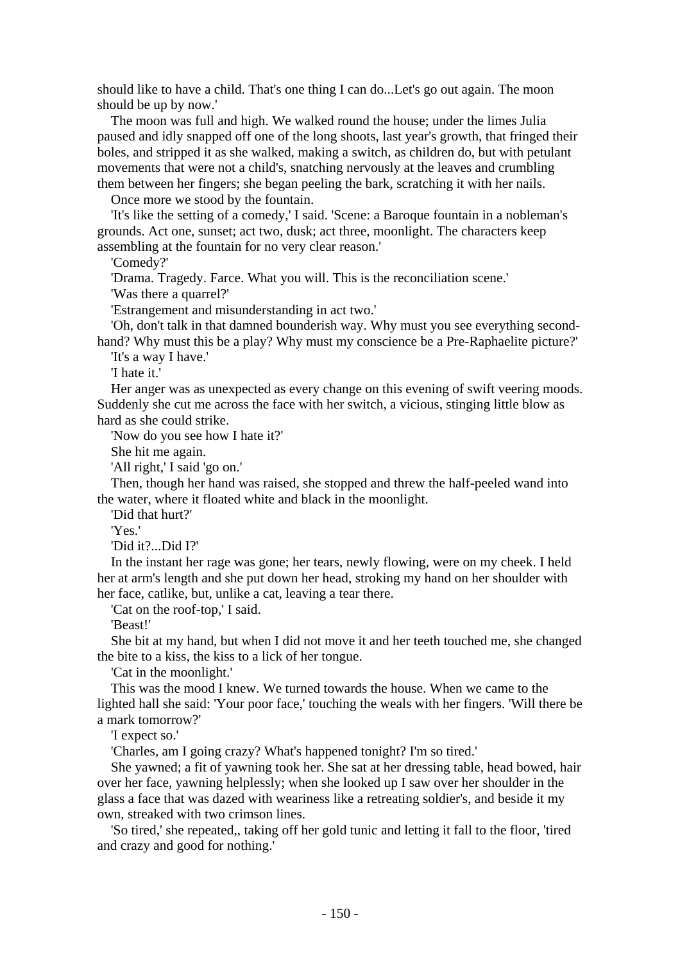should like to have a child. That's one thing I can do...Let's go out again. The moon should be up by now.'

 The moon was full and high. We walked round the house; under the limes Julia paused and idly snapped off one of the long shoots, last year's growth, that fringed their boles, and stripped it as she walked, making a switch, as children do, but with petulant movements that were not a child's, snatching nervously at the leaves and crumbling them between her fingers; she began peeling the bark, scratching it with her nails.

Once more we stood by the fountain.

 'It's like the setting of a comedy,' I said. 'Scene: a Baroque fountain in a nobleman's grounds. Act one, sunset; act two, dusk; act three, moonlight. The characters keep assembling at the fountain for no very clear reason.'

'Comedy?'

'Drama. Tragedy. Farce. What you will. This is the reconciliation scene.'

'Was there a quarrel?'

'Estrangement and misunderstanding in act two.'

 'Oh, don't talk in that damned bounderish way. Why must you see everything secondhand? Why must this be a play? Why must my conscience be a Pre-Raphaelite picture?'

'It's a way I have.'

'I hate it.'

 Her anger was as unexpected as every change on this evening of swift veering moods. Suddenly she cut me across the face with her switch, a vicious, stinging little blow as hard as she could strike.

'Now do you see how I hate it?'

She hit me again.

'All right,' I said 'go on.'

 Then, though her hand was raised, she stopped and threw the half-peeled wand into the water, where it floated white and black in the moonlight.

'Did that hurt?'

'Yes.'

'Did it?...Did I?'

 In the instant her rage was gone; her tears, newly flowing, were on my cheek. I held her at arm's length and she put down her head, stroking my hand on her shoulder with her face, catlike, but, unlike a cat, leaving a tear there.

'Cat on the roof-top,' I said.

'Beast!'

 She bit at my hand, but when I did not move it and her teeth touched me, she changed the bite to a kiss, the kiss to a lick of her tongue.

'Cat in the moonlight.'

 This was the mood I knew. We turned towards the house. When we came to the lighted hall she said: 'Your poor face,' touching the weals with her fingers. 'Will there be a mark tomorrow?'

'I expect so.'

'Charles, am I going crazy? What's happened tonight? I'm so tired.'

 She yawned; a fit of yawning took her. She sat at her dressing table, head bowed, hair over her face, yawning helplessly; when she looked up I saw over her shoulder in the glass a face that was dazed with weariness like a retreating soldier's, and beside it my own, streaked with two crimson lines.

 'So tired,' she repeated,, taking off her gold tunic and letting it fall to the floor, 'tired and crazy and good for nothing.'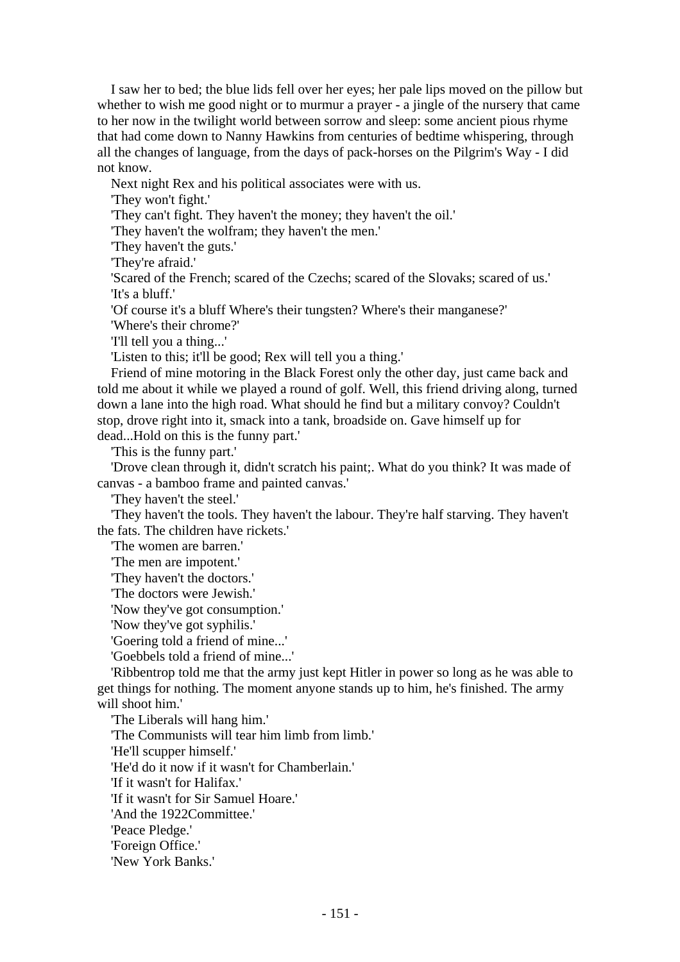I saw her to bed; the blue lids fell over her eyes; her pale lips moved on the pillow but whether to wish me good night or to murmur a prayer - a jingle of the nursery that came to her now in the twilight world between sorrow and sleep: some ancient pious rhyme that had come down to Nanny Hawkins from centuries of bedtime whispering, through all the changes of language, from the days of pack-horses on the Pilgrim's Way - I did not know.

Next night Rex and his political associates were with us.

'They won't fight.'

'They can't fight. They haven't the money; they haven't the oil.'

'They haven't the wolfram; they haven't the men.'

'They haven't the guts.'

'They're afraid.'

 'Scared of the French; scared of the Czechs; scared of the Slovaks; scared of us.' 'It's a bluff.'

'Of course it's a bluff Where's their tungsten? Where's their manganese?'

'Where's their chrome?'

'I'll tell you a thing...'

'Listen to this; it'll be good; Rex will tell you a thing.'

 Friend of mine motoring in the Black Forest only the other day, just came back and told me about it while we played a round of golf. Well, this friend driving along, turned down a lane into the high road. What should he find but a military convoy? Couldn't stop, drove right into it, smack into a tank, broadside on. Gave himself up for dead...Hold on this is the funny part.'

'This is the funny part.'

 'Drove clean through it, didn't scratch his paint;. What do you think? It was made of canvas - a bamboo frame and painted canvas.'

'They haven't the steel.'

 'They haven't the tools. They haven't the labour. They're half starving. They haven't the fats. The children have rickets.'

'The women are barren.'

'The men are impotent.'

'They haven't the doctors.'

'The doctors were Jewish.'

'Now they've got consumption.'

'Now they've got syphilis.'

'Goering told a friend of mine...'

'Goebbels told a friend of mine...'

 'Ribbentrop told me that the army just kept Hitler in power so long as he was able to get things for nothing. The moment anyone stands up to him, he's finished. The army will shoot him.'

'The Liberals will hang him.'

'The Communists will tear him limb from limb.'

'He'll scupper himself.'

'He'd do it now if it wasn't for Chamberlain.'

'If it wasn't for Halifax.'

'If it wasn't for Sir Samuel Hoare.'

'And the 1922Committee.'

'Peace Pledge.'

'Foreign Office.'

'New York Banks.'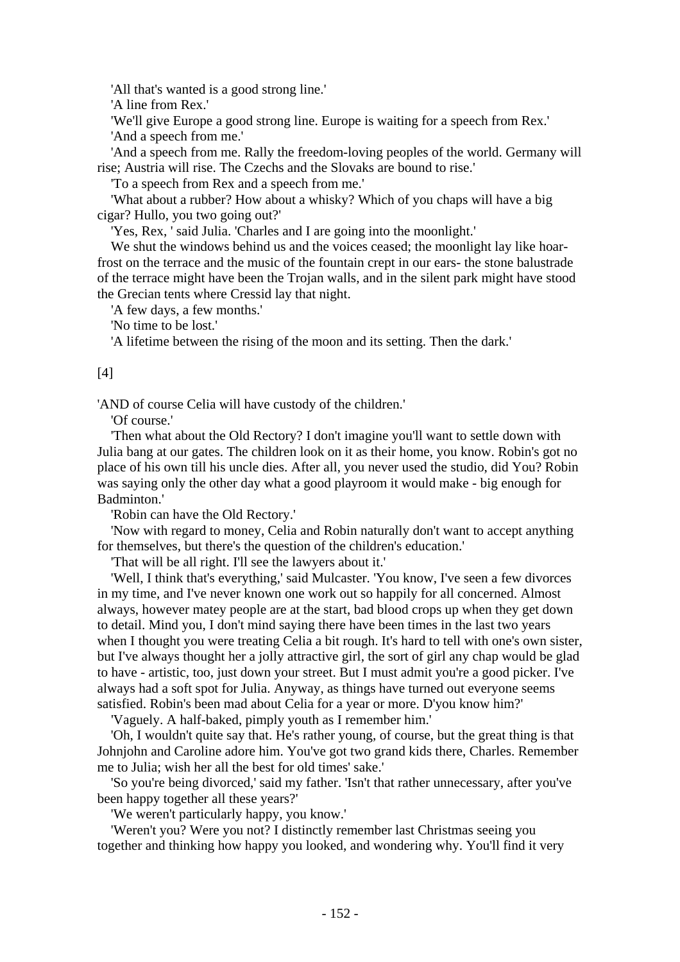'All that's wanted is a good strong line.'

'A line from Rex.'

'We'll give Europe a good strong line. Europe is waiting for a speech from Rex.'

'And a speech from me.'

 'And a speech from me. Rally the freedom-loving peoples of the world. Germany will rise; Austria will rise. The Czechs and the Slovaks are bound to rise.'

'To a speech from Rex and a speech from me.'

 'What about a rubber? How about a whisky? Which of you chaps will have a big cigar? Hullo, you two going out?'

'Yes, Rex, ' said Julia. 'Charles and I are going into the moonlight.'

We shut the windows behind us and the voices ceased; the moonlight lay like hoarfrost on the terrace and the music of the fountain crept in our ears- the stone balustrade of the terrace might have been the Trojan walls, and in the silent park might have stood the Grecian tents where Cressid lay that night.

'A few days, a few months.'

'No time to be lost.'

'A lifetime between the rising of the moon and its setting. Then the dark.'

# [4]

'AND of course Celia will have custody of the children.'

'Of course.'

 'Then what about the Old Rectory? I don't imagine you'll want to settle down with Julia bang at our gates. The children look on it as their home, you know. Robin's got no place of his own till his uncle dies. After all, you never used the studio, did You? Robin was saying only the other day what a good playroom it would make - big enough for Badminton.'

'Robin can have the Old Rectory.'

 'Now with regard to money, Celia and Robin naturally don't want to accept anything for themselves, but there's the question of the children's education.'

'That will be all right. I'll see the lawyers about it.'

 'Well, I think that's everything,' said Mulcaster. 'You know, I've seen a few divorces in my time, and I've never known one work out so happily for all concerned. Almost always, however matey people are at the start, bad blood crops up when they get down to detail. Mind you, I don't mind saying there have been times in the last two years when I thought you were treating Celia a bit rough. It's hard to tell with one's own sister, but I've always thought her a jolly attractive girl, the sort of girl any chap would be glad to have - artistic, too, just down your street. But I must admit you're a good picker. I've always had a soft spot for Julia. Anyway, as things have turned out everyone seems satisfied. Robin's been mad about Celia for a year or more. D'you know him?'

'Vaguely. A half-baked, pimply youth as I remember him.'

 'Oh, I wouldn't quite say that. He's rather young, of course, but the great thing is that Johnjohn and Caroline adore him. You've got two grand kids there, Charles. Remember me to Julia; wish her all the best for old times' sake.'

 'So you're being divorced,' said my father. 'Isn't that rather unnecessary, after you've been happy together all these years?'

'We weren't particularly happy, you know.'

 'Weren't you? Were you not? I distinctly remember last Christmas seeing you together and thinking how happy you looked, and wondering why. You'll find it very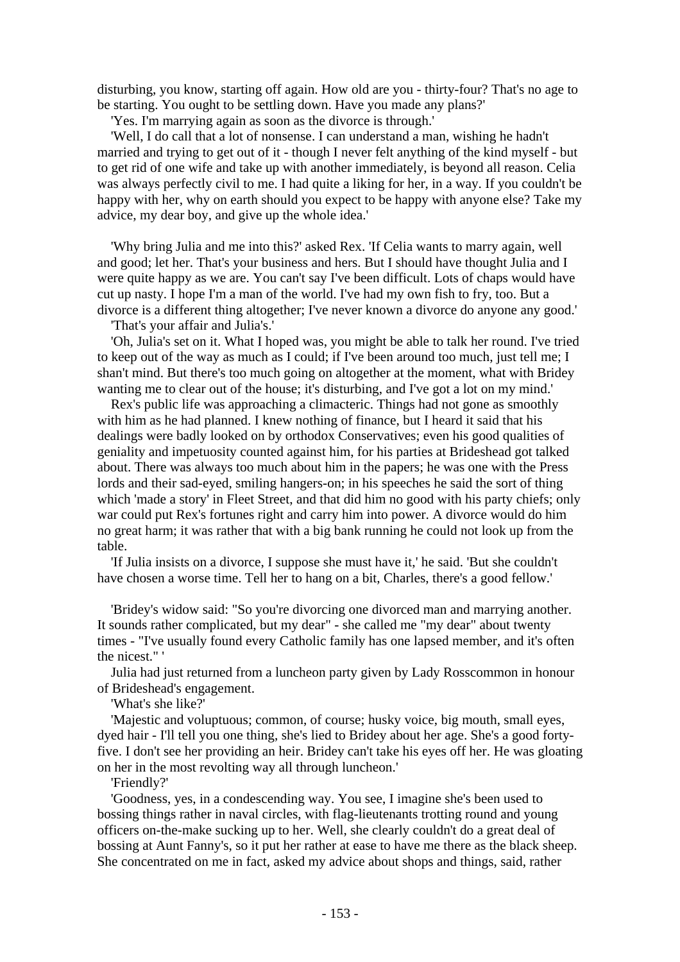disturbing, you know, starting off again. How old are you - thirty-four? That's no age to be starting. You ought to be settling down. Have you made any plans?'

'Yes. I'm marrying again as soon as the divorce is through.'

 'Well, I do call that a lot of nonsense. I can understand a man, wishing he hadn't married and trying to get out of it - though I never felt anything of the kind myself - but to get rid of one wife and take up with another immediately, is beyond all reason. Celia was always perfectly civil to me. I had quite a liking for her, in a way. If you couldn't be happy with her, why on earth should you expect to be happy with anyone else? Take my advice, my dear boy, and give up the whole idea.'

 'Why bring Julia and me into this?' asked Rex. 'If Celia wants to marry again, well and good; let her. That's your business and hers. But I should have thought Julia and I were quite happy as we are. You can't say I've been difficult. Lots of chaps would have cut up nasty. I hope I'm a man of the world. I've had my own fish to fry, too. But a divorce is a different thing altogether; I've never known a divorce do anyone any good.'

'That's your affair and Julia's.'

 'Oh, Julia's set on it. What I hoped was, you might be able to talk her round. I've tried to keep out of the way as much as I could; if I've been around too much, just tell me; I shan't mind. But there's too much going on altogether at the moment, what with Bridey wanting me to clear out of the house; it's disturbing, and I've got a lot on my mind.'

 Rex's public life was approaching a climacteric. Things had not gone as smoothly with him as he had planned. I knew nothing of finance, but I heard it said that his dealings were badly looked on by orthodox Conservatives; even his good qualities of geniality and impetuosity counted against him, for his parties at Brideshead got talked about. There was always too much about him in the papers; he was one with the Press lords and their sad-eyed, smiling hangers-on; in his speeches he said the sort of thing which 'made a story' in Fleet Street, and that did him no good with his party chiefs; only war could put Rex's fortunes right and carry him into power. A divorce would do him no great harm; it was rather that with a big bank running he could not look up from the table.

 'If Julia insists on a divorce, I suppose she must have it,' he said. 'But she couldn't have chosen a worse time. Tell her to hang on a bit, Charles, there's a good fellow.'

 'Bridey's widow said: "So you're divorcing one divorced man and marrying another. It sounds rather complicated, but my dear" - she called me "my dear" about twenty times - "I've usually found every Catholic family has one lapsed member, and it's often the nicest." '

 Julia had just returned from a luncheon party given by Lady Rosscommon in honour of Brideshead's engagement.

'What's she like?'

 'Majestic and voluptuous; common, of course; husky voice, big mouth, small eyes, dyed hair - I'll tell you one thing, she's lied to Bridey about her age. She's a good fortyfive. I don't see her providing an heir. Bridey can't take his eyes off her. He was gloating on her in the most revolting way all through luncheon.'

## 'Friendly?'

 'Goodness, yes, in a condescending way. You see, I imagine she's been used to bossing things rather in naval circles, with flag-lieutenants trotting round and young officers on-the-make sucking up to her. Well, she clearly couldn't do a great deal of bossing at Aunt Fanny's, so it put her rather at ease to have me there as the black sheep. She concentrated on me in fact, asked my advice about shops and things, said, rather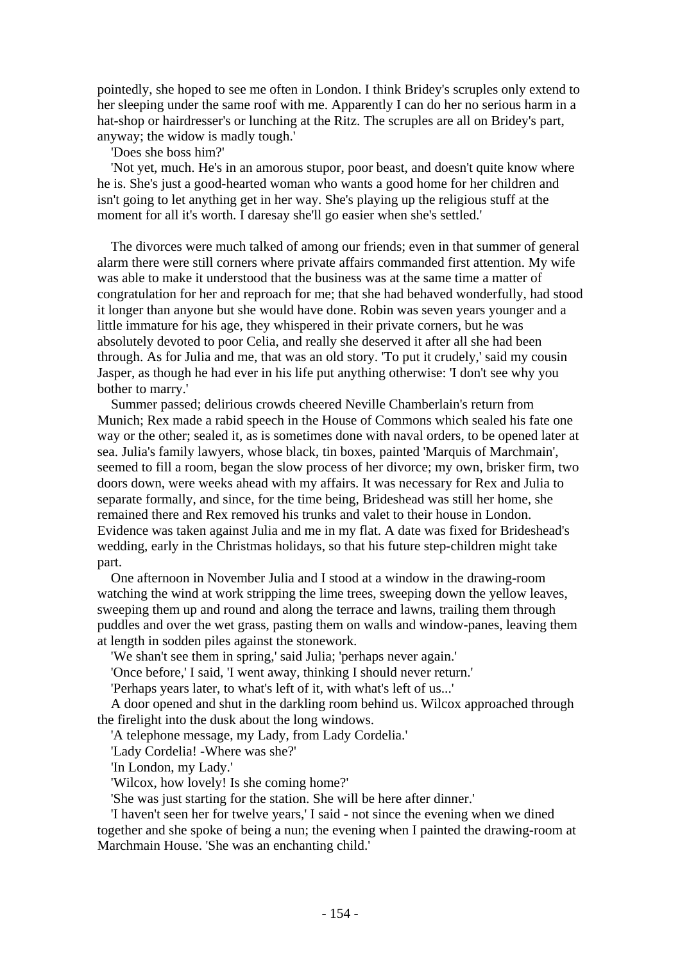pointedly, she hoped to see me often in London. I think Bridey's scruples only extend to her sleeping under the same roof with me. Apparently I can do her no serious harm in a hat-shop or hairdresser's or lunching at the Ritz. The scruples are all on Bridey's part, anyway; the widow is madly tough.'

'Does she boss him?'

 'Not yet, much. He's in an amorous stupor, poor beast, and doesn't quite know where he is. She's just a good-hearted woman who wants a good home for her children and isn't going to let anything get in her way. She's playing up the religious stuff at the moment for all it's worth. I daresay she'll go easier when she's settled.'

 The divorces were much talked of among our friends; even in that summer of general alarm there were still corners where private affairs commanded first attention. My wife was able to make it understood that the business was at the same time a matter of congratulation for her and reproach for me; that she had behaved wonderfully, had stood it longer than anyone but she would have done. Robin was seven years younger and a little immature for his age, they whispered in their private corners, but he was absolutely devoted to poor Celia, and really she deserved it after all she had been through. As for Julia and me, that was an old story. 'To put it crudely,' said my cousin Jasper, as though he had ever in his life put anything otherwise: 'I don't see why you bother to marry.'

 Summer passed; delirious crowds cheered Neville Chamberlain's return from Munich; Rex made a rabid speech in the House of Commons which sealed his fate one way or the other; sealed it, as is sometimes done with naval orders, to be opened later at sea. Julia's family lawyers, whose black, tin boxes, painted 'Marquis of Marchmain', seemed to fill a room, began the slow process of her divorce; my own, brisker firm, two doors down, were weeks ahead with my affairs. It was necessary for Rex and Julia to separate formally, and since, for the time being, Brideshead was still her home, she remained there and Rex removed his trunks and valet to their house in London. Evidence was taken against Julia and me in my flat. A date was fixed for Brideshead's wedding, early in the Christmas holidays, so that his future step-children might take part.

 One afternoon in November Julia and I stood at a window in the drawing-room watching the wind at work stripping the lime trees, sweeping down the yellow leaves, sweeping them up and round and along the terrace and lawns, trailing them through puddles and over the wet grass, pasting them on walls and window-panes, leaving them at length in sodden piles against the stonework.

'We shan't see them in spring,' said Julia; 'perhaps never again.'

'Once before,' I said, 'I went away, thinking I should never return.'

'Perhaps years later, to what's left of it, with what's left of us...'

 A door opened and shut in the darkling room behind us. Wilcox approached through the firelight into the dusk about the long windows.

'A telephone message, my Lady, from Lady Cordelia.'

'Lady Cordelia! -Where was she?'

'In London, my Lady.'

'Wilcox, how lovely! Is she coming home?'

'She was just starting for the station. She will be here after dinner.'

 'I haven't seen her for twelve years,' I said - not since the evening when we dined together and she spoke of being a nun; the evening when I painted the drawing-room at Marchmain House. 'She was an enchanting child.'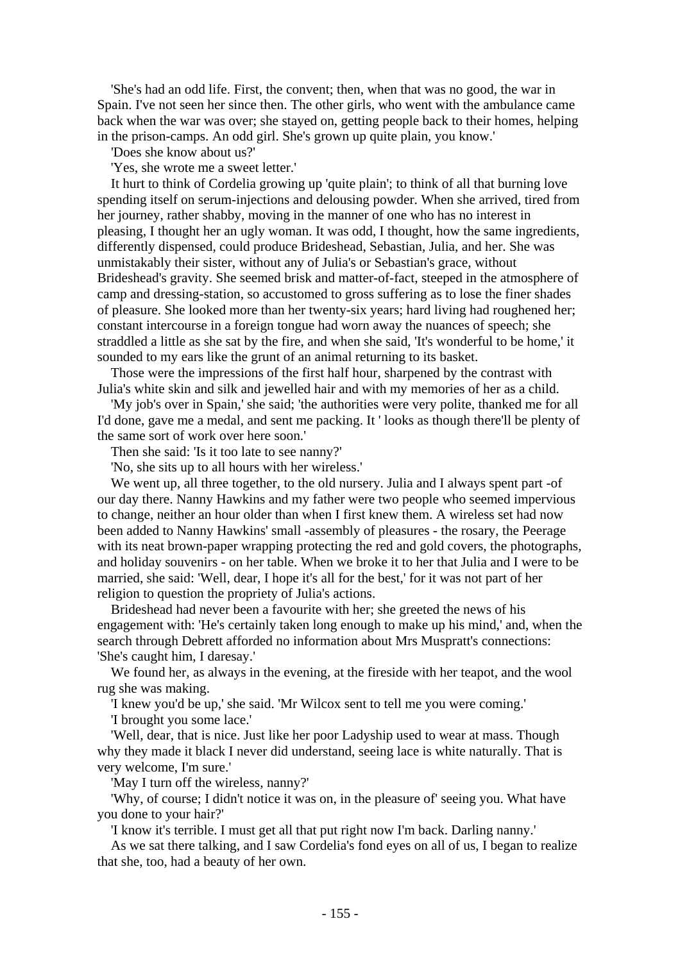'She's had an odd life. First, the convent; then, when that was no good, the war in Spain. I've not seen her since then. The other girls, who went with the ambulance came back when the war was over; she stayed on, getting people back to their homes, helping in the prison-camps. An odd girl. She's grown up quite plain, you know.'

'Does she know about us?'

'Yes, she wrote me a sweet letter.'

 It hurt to think of Cordelia growing up 'quite plain'; to think of all that burning love spending itself on serum-injections and delousing powder. When she arrived, tired from her journey, rather shabby, moving in the manner of one who has no interest in pleasing, I thought her an ugly woman. It was odd, I thought, how the same ingredients, differently dispensed, could produce Brideshead, Sebastian, Julia, and her. She was unmistakably their sister, without any of Julia's or Sebastian's grace, without Brideshead's gravity. She seemed brisk and matter-of-fact, steeped in the atmosphere of camp and dressing-station, so accustomed to gross suffering as to lose the finer shades of pleasure. She looked more than her twenty-six years; hard living had roughened her; constant intercourse in a foreign tongue had worn away the nuances of speech; she straddled a little as she sat by the fire, and when she said, 'It's wonderful to be home,' it sounded to my ears like the grunt of an animal returning to its basket.

 Those were the impressions of the first half hour, sharpened by the contrast with Julia's white skin and silk and jewelled hair and with my memories of her as a child.

 'My job's over in Spain,' she said; 'the authorities were very polite, thanked me for all I'd done, gave me a medal, and sent me packing. It ' looks as though there'll be plenty of the same sort of work over here soon.'

Then she said: 'Is it too late to see nanny?'

'No, she sits up to all hours with her wireless.'

We went up, all three together, to the old nursery. Julia and I always spent part -of our day there. Nanny Hawkins and my father were two people who seemed impervious to change, neither an hour older than when I first knew them. A wireless set had now been added to Nanny Hawkins' small -assembly of pleasures - the rosary, the Peerage with its neat brown-paper wrapping protecting the red and gold covers, the photographs, and holiday souvenirs - on her table. When we broke it to her that Julia and I were to be married, she said: 'Well, dear, I hope it's all for the best,' for it was not part of her religion to question the propriety of Julia's actions.

 Brideshead had never been a favourite with her; she greeted the news of his engagement with: 'He's certainly taken long enough to make up his mind,' and, when the search through Debrett afforded no information about Mrs Muspratt's connections: 'She's caught him, I daresay.'

 We found her, as always in the evening, at the fireside with her teapot, and the wool rug she was making.

'I knew you'd be up,' she said. 'Mr Wilcox sent to tell me you were coming.'

'I brought you some lace.'

 'Well, dear, that is nice. Just like her poor Ladyship used to wear at mass. Though why they made it black I never did understand, seeing lace is white naturally. That is very welcome, I'm sure.'

'May I turn off the wireless, nanny?'

 'Why, of course; I didn't notice it was on, in the pleasure of' seeing you. What have you done to your hair?'

'I know it's terrible. I must get all that put right now I'm back. Darling nanny.'

 As we sat there talking, and I saw Cordelia's fond eyes on all of us, I began to realize that she, too, had a beauty of her own.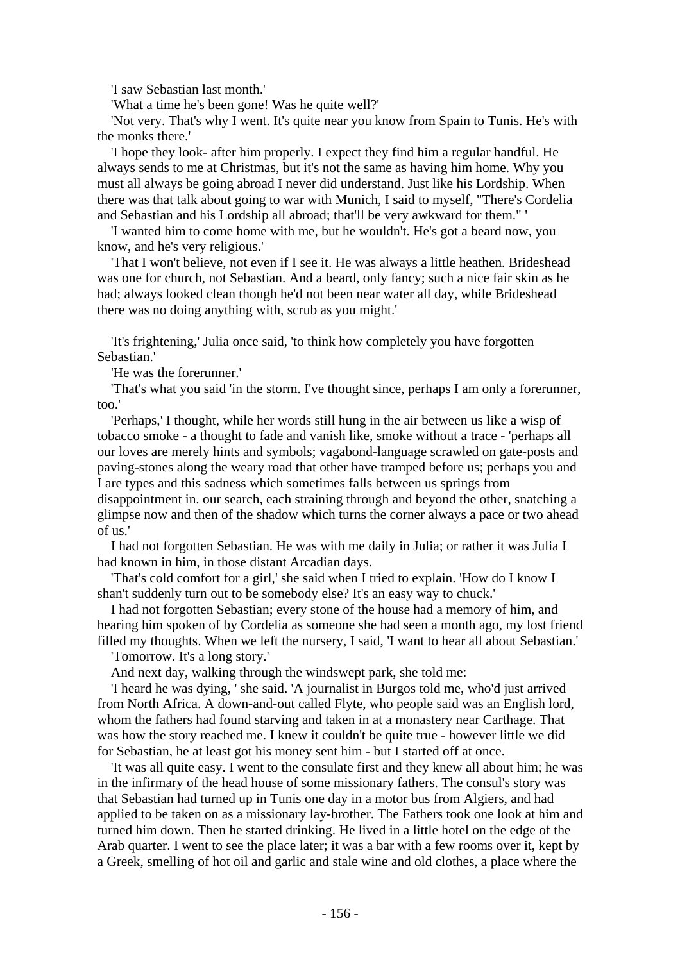'I saw Sebastian last month.'

'What a time he's been gone! Was he quite well?'

 'Not very. That's why I went. It's quite near you know from Spain to Tunis. He's with the monks there.'

 'I hope they look- after him properly. I expect they find him a regular handful. He always sends to me at Christmas, but it's not the same as having him home. Why you must all always be going abroad I never did understand. Just like his Lordship. When there was that talk about going to war with Munich, I said to myself, "There's Cordelia and Sebastian and his Lordship all abroad; that'll be very awkward for them." '

 'I wanted him to come home with me, but he wouldn't. He's got a beard now, you know, and he's very religious.'

 'That I won't believe, not even if I see it. He was always a little heathen. Brideshead was one for church, not Sebastian. And a beard, only fancy; such a nice fair skin as he had; always looked clean though he'd not been near water all day, while Brideshead there was no doing anything with, scrub as you might.'

 'It's frightening,' Julia once said, 'to think how completely you have forgotten Sebastian.'

'He was the forerunner.'

 'That's what you said 'in the storm. I've thought since, perhaps I am only a forerunner, too.'

 'Perhaps,' I thought, while her words still hung in the air between us like a wisp of tobacco smoke - a thought to fade and vanish like, smoke without a trace - 'perhaps all our loves are merely hints and symbols; vagabond-language scrawled on gate-posts and paving-stones along the weary road that other have tramped before us; perhaps you and I are types and this sadness which sometimes falls between us springs from disappointment in. our search, each straining through and beyond the other, snatching a glimpse now and then of the shadow which turns the corner always a pace or two ahead of us.'

 I had not forgotten Sebastian. He was with me daily in Julia; or rather it was Julia I had known in him, in those distant Arcadian days.

 'That's cold comfort for a girl,' she said when I tried to explain. 'How do I know I shan't suddenly turn out to be somebody else? It's an easy way to chuck.'

 I had not forgotten Sebastian; every stone of the house had a memory of him, and hearing him spoken of by Cordelia as someone she had seen a month ago, my lost friend filled my thoughts. When we left the nursery, I said, 'I want to hear all about Sebastian.'

'Tomorrow. It's a long story.'

And next day, walking through the windswept park, she told me:

 'I heard he was dying, ' she said. 'A journalist in Burgos told me, who'd just arrived from North Africa. A down-and-out called Flyte, who people said was an English lord, whom the fathers had found starving and taken in at a monastery near Carthage. That was how the story reached me. I knew it couldn't be quite true - however little we did for Sebastian, he at least got his money sent him - but I started off at once.

 'It was all quite easy. I went to the consulate first and they knew all about him; he was in the infirmary of the head house of some missionary fathers. The consul's story was that Sebastian had turned up in Tunis one day in a motor bus from Algiers, and had applied to be taken on as a missionary lay-brother. The Fathers took one look at him and turned him down. Then he started drinking. He lived in a little hotel on the edge of the Arab quarter. I went to see the place later; it was a bar with a few rooms over it, kept by a Greek, smelling of hot oil and garlic and stale wine and old clothes, a place where the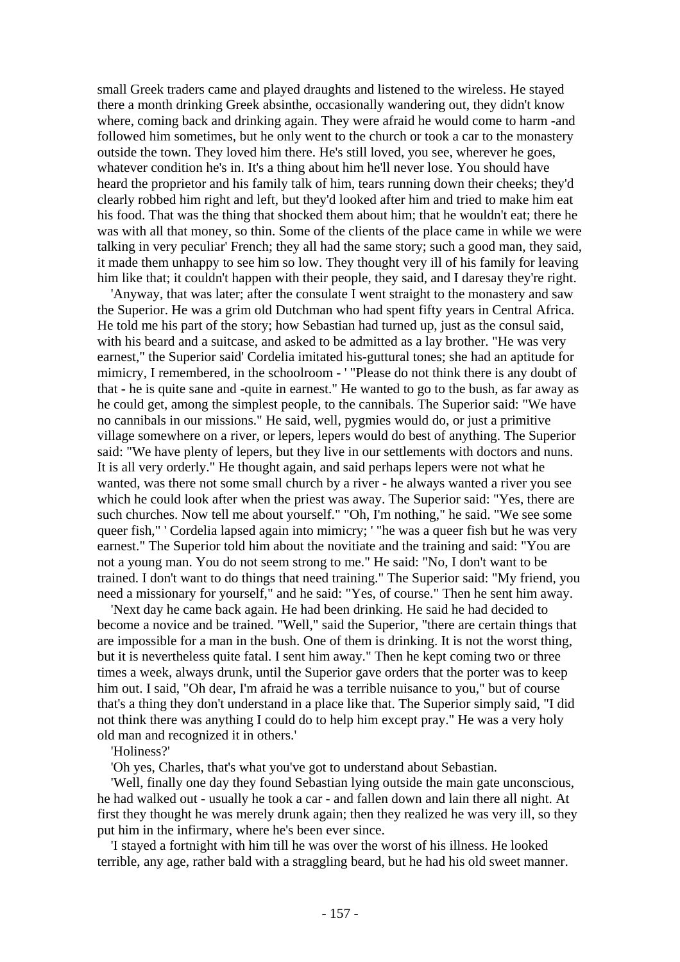small Greek traders came and played draughts and listened to the wireless. He stayed there a month drinking Greek absinthe, occasionally wandering out, they didn't know where, coming back and drinking again. They were afraid he would come to harm -and followed him sometimes, but he only went to the church or took a car to the monastery outside the town. They loved him there. He's still loved, you see, wherever he goes, whatever condition he's in. It's a thing about him he'll never lose. You should have heard the proprietor and his family talk of him, tears running down their cheeks; they'd clearly robbed him right and left, but they'd looked after him and tried to make him eat his food. That was the thing that shocked them about him; that he wouldn't eat; there he was with all that money, so thin. Some of the clients of the place came in while we were talking in very peculiar' French; they all had the same story; such a good man, they said, it made them unhappy to see him so low. They thought very ill of his family for leaving him like that; it couldn't happen with their people, they said, and I daresay they're right.

 'Anyway, that was later; after the consulate I went straight to the monastery and saw the Superior. He was a grim old Dutchman who had spent fifty years in Central Africa. He told me his part of the story; how Sebastian had turned up, just as the consul said, with his beard and a suitcase, and asked to be admitted as a lay brother. "He was very earnest," the Superior said' Cordelia imitated his-guttural tones; she had an aptitude for mimicry, I remembered, in the schoolroom - ' "Please do not think there is any doubt of that - he is quite sane and -quite in earnest." He wanted to go to the bush, as far away as he could get, among the simplest people, to the cannibals. The Superior said: "We have no cannibals in our missions." He said, well, pygmies would do, or just a primitive village somewhere on a river, or lepers, lepers would do best of anything. The Superior said: "We have plenty of lepers, but they live in our settlements with doctors and nuns. It is all very orderly." He thought again, and said perhaps lepers were not what he wanted, was there not some small church by a river - he always wanted a river you see which he could look after when the priest was away. The Superior said: "Yes, there are such churches. Now tell me about yourself." "Oh, I'm nothing," he said. "We see some queer fish," ' Cordelia lapsed again into mimicry; ' "he was a queer fish but he was very earnest." The Superior told him about the novitiate and the training and said: "You are not a young man. You do not seem strong to me." He said: "No, I don't want to be trained. I don't want to do things that need training." The Superior said: "My friend, you need a missionary for yourself," and he said: "Yes, of course." Then he sent him away.

 'Next day he came back again. He had been drinking. He said he had decided to become a novice and be trained. "Well," said the Superior, "there are certain things that are impossible for a man in the bush. One of them is drinking. It is not the worst thing, but it is nevertheless quite fatal. I sent him away." Then he kept coming two or three times a week, always drunk, until the Superior gave orders that the porter was to keep him out. I said, "Oh dear, I'm afraid he was a terrible nuisance to you," but of course that's a thing they don't understand in a place like that. The Superior simply said, "I did not think there was anything I could do to help him except pray." He was a very holy old man and recognized it in others.'

'Holiness?'

'Oh yes, Charles, that's what you've got to understand about Sebastian.

 'Well, finally one day they found Sebastian lying outside the main gate unconscious, he had walked out - usually he took a car - and fallen down and lain there all night. At first they thought he was merely drunk again; then they realized he was very ill, so they put him in the infirmary, where he's been ever since.

 'I stayed a fortnight with him till he was over the worst of his illness. He looked terrible, any age, rather bald with a straggling beard, but he had his old sweet manner.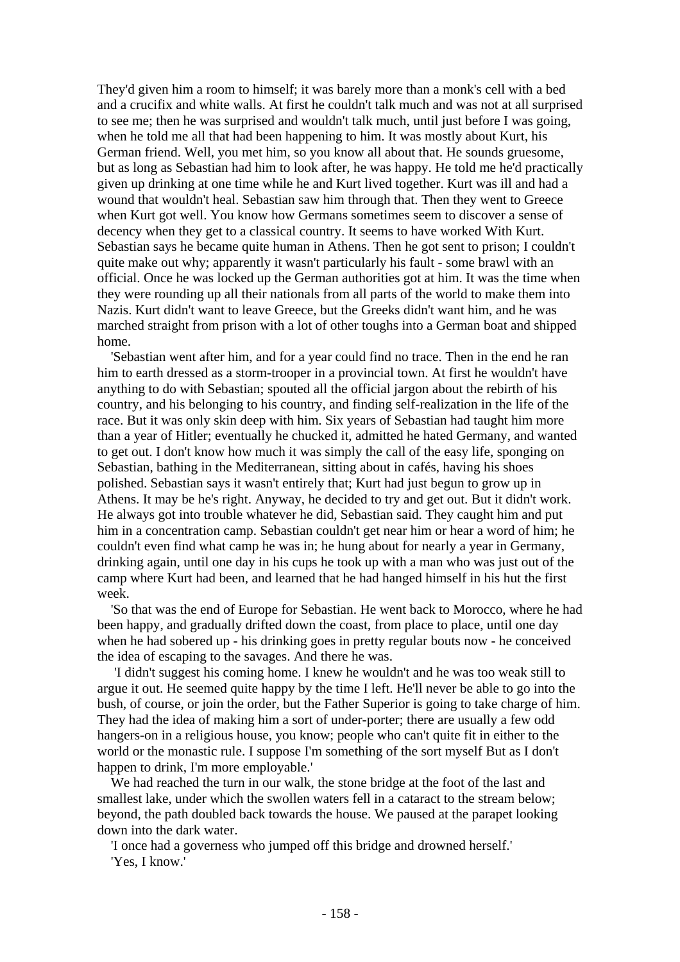They'd given him a room to himself; it was barely more than a monk's cell with a bed and a crucifix and white walls. At first he couldn't talk much and was not at all surprised to see me; then he was surprised and wouldn't talk much, until just before I was going, when he told me all that had been happening to him. It was mostly about Kurt, his German friend. Well, you met him, so you know all about that. He sounds gruesome, but as long as Sebastian had him to look after, he was happy. He told me he'd practically given up drinking at one time while he and Kurt lived together. Kurt was ill and had a wound that wouldn't heal. Sebastian saw him through that. Then they went to Greece when Kurt got well. You know how Germans sometimes seem to discover a sense of decency when they get to a classical country. It seems to have worked With Kurt. Sebastian says he became quite human in Athens. Then he got sent to prison: I couldn't quite make out why; apparently it wasn't particularly his fault - some brawl with an official. Once he was locked up the German authorities got at him. It was the time when they were rounding up all their nationals from all parts of the world to make them into Nazis. Kurt didn't want to leave Greece, but the Greeks didn't want him, and he was marched straight from prison with a lot of other toughs into a German boat and shipped home.

 'Sebastian went after him, and for a year could find no trace. Then in the end he ran him to earth dressed as a storm-trooper in a provincial town. At first he wouldn't have anything to do with Sebastian; spouted all the official jargon about the rebirth of his country, and his belonging to his country, and finding self-realization in the life of the race. But it was only skin deep with him. Six years of Sebastian had taught him more than a year of Hitler; eventually he chucked it, admitted he hated Germany, and wanted to get out. I don't know how much it was simply the call of the easy life, sponging on Sebastian, bathing in the Mediterranean, sitting about in cafés, having his shoes polished. Sebastian says it wasn't entirely that; Kurt had just begun to grow up in Athens. It may be he's right. Anyway, he decided to try and get out. But it didn't work. He always got into trouble whatever he did, Sebastian said. They caught him and put him in a concentration camp. Sebastian couldn't get near him or hear a word of him; he couldn't even find what camp he was in; he hung about for nearly a year in Germany, drinking again, until one day in his cups he took up with a man who was just out of the camp where Kurt had been, and learned that he had hanged himself in his hut the first week.

 'So that was the end of Europe for Sebastian. He went back to Morocco, where he had been happy, and gradually drifted down the coast, from place to place, until one day when he had sobered up - his drinking goes in pretty regular bouts now - he conceived the idea of escaping to the savages. And there he was.

 'I didn't suggest his coming home. I knew he wouldn't and he was too weak still to argue it out. He seemed quite happy by the time I left. He'll never be able to go into the bush, of course, or join the order, but the Father Superior is going to take charge of him. They had the idea of making him a sort of under-porter; there are usually a few odd hangers-on in a religious house, you know; people who can't quite fit in either to the world or the monastic rule. I suppose I'm something of the sort myself But as I don't happen to drink, I'm more employable.'

We had reached the turn in our walk, the stone bridge at the foot of the last and smallest lake, under which the swollen waters fell in a cataract to the stream below; beyond, the path doubled back towards the house. We paused at the parapet looking down into the dark water.

 'I once had a governess who jumped off this bridge and drowned herself.' 'Yes, I know.'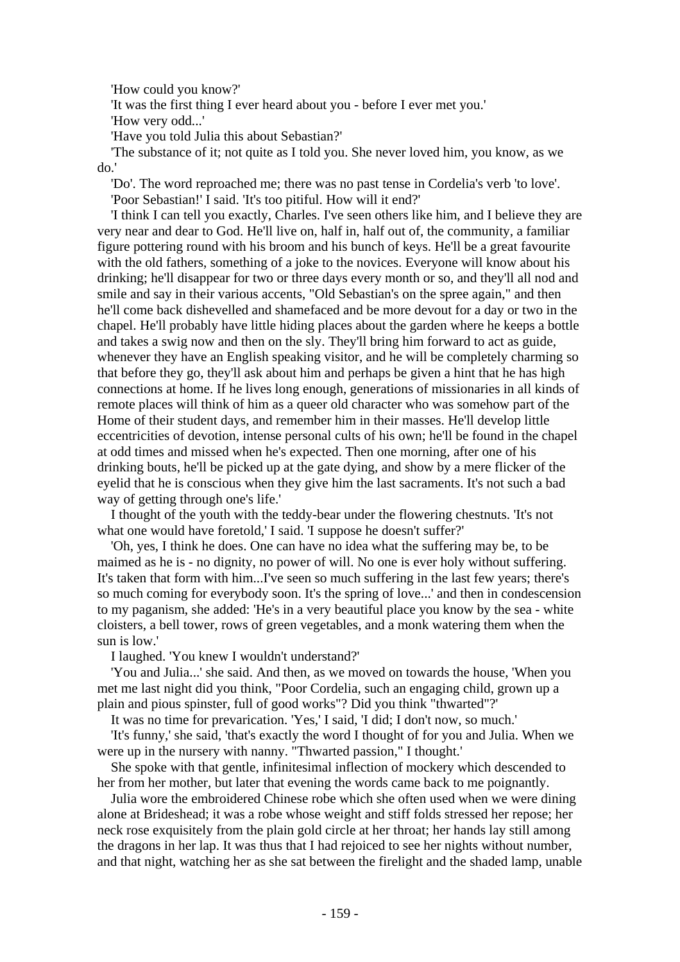'How could you know?'

'It was the first thing I ever heard about you - before I ever met you.'

'How very odd...'

'Have you told Julia this about Sebastian?'

 'The substance of it; not quite as I told you. She never loved him, you know, as we do.'

 'Do'. The word reproached me; there was no past tense in Cordelia's verb 'to love'. 'Poor Sebastian!' I said. 'It's too pitiful. How will it end?'

 'I think I can tell you exactly, Charles. I've seen others like him, and I believe they are very near and dear to God. He'll live on, half in, half out of, the community, a familiar figure pottering round with his broom and his bunch of keys. He'll be a great favourite with the old fathers, something of a joke to the novices. Everyone will know about his drinking; he'll disappear for two or three days every month or so, and they'll all nod and smile and say in their various accents, "Old Sebastian's on the spree again," and then he'll come back dishevelled and shamefaced and be more devout for a day or two in the chapel. He'll probably have little hiding places about the garden where he keeps a bottle and takes a swig now and then on the sly. They'll bring him forward to act as guide, whenever they have an English speaking visitor, and he will be completely charming so that before they go, they'll ask about him and perhaps be given a hint that he has high connections at home. If he lives long enough, generations of missionaries in all kinds of remote places will think of him as a queer old character who was somehow part of the Home of their student days, and remember him in their masses. He'll develop little eccentricities of devotion, intense personal cults of his own; he'll be found in the chapel at odd times and missed when he's expected. Then one morning, after one of his drinking bouts, he'll be picked up at the gate dying, and show by a mere flicker of the eyelid that he is conscious when they give him the last sacraments. It's not such a bad way of getting through one's life.'

 I thought of the youth with the teddy-bear under the flowering chestnuts. 'It's not what one would have foretold,' I said. 'I suppose he doesn't suffer?'

 'Oh, yes, I think he does. One can have no idea what the suffering may be, to be maimed as he is - no dignity, no power of will. No one is ever holy without suffering. It's taken that form with him...I've seen so much suffering in the last few years; there's so much coming for everybody soon. It's the spring of love...' and then in condescension to my paganism, she added: 'He's in a very beautiful place you know by the sea - white cloisters, a bell tower, rows of green vegetables, and a monk watering them when the sun is low.'

I laughed. 'You knew I wouldn't understand?'

 'You and Julia...' she said. And then, as we moved on towards the house, 'When you met me last night did you think, "Poor Cordelia, such an engaging child, grown up a plain and pious spinster, full of good works"? Did you think "thwarted"?'

It was no time for prevarication. 'Yes,' I said, 'I did; I don't now, so much.'

 'It's funny,' she said, 'that's exactly the word I thought of for you and Julia. When we were up in the nursery with nanny. "Thwarted passion," I thought.'

 She spoke with that gentle, infinitesimal inflection of mockery which descended to her from her mother, but later that evening the words came back to me poignantly.

 Julia wore the embroidered Chinese robe which she often used when we were dining alone at Brideshead; it was a robe whose weight and stiff folds stressed her repose; her neck rose exquisitely from the plain gold circle at her throat; her hands lay still among the dragons in her lap. It was thus that I had rejoiced to see her nights without number, and that night, watching her as she sat between the firelight and the shaded lamp, unable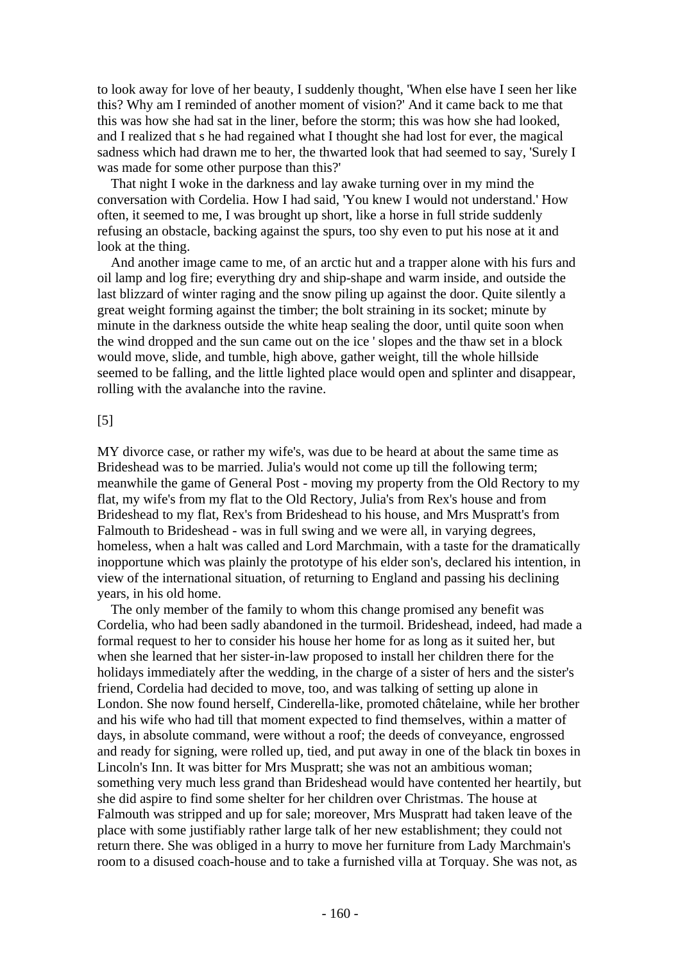to look away for love of her beauty, I suddenly thought, 'When else have I seen her like this? Why am I reminded of another moment of vision?' And it came back to me that this was how she had sat in the liner, before the storm; this was how she had looked, and I realized that s he had regained what I thought she had lost for ever, the magical sadness which had drawn me to her, the thwarted look that had seemed to say, 'Surely I was made for some other purpose than this?'

 That night I woke in the darkness and lay awake turning over in my mind the conversation with Cordelia. How I had said, 'You knew I would not understand.' How often, it seemed to me, I was brought up short, like a horse in full stride suddenly refusing an obstacle, backing against the spurs, too shy even to put his nose at it and look at the thing.

 And another image came to me, of an arctic hut and a trapper alone with his furs and oil lamp and log fire; everything dry and ship-shape and warm inside, and outside the last blizzard of winter raging and the snow piling up against the door. Quite silently a great weight forming against the timber; the bolt straining in its socket; minute by minute in the darkness outside the white heap sealing the door, until quite soon when the wind dropped and the sun came out on the ice ' slopes and the thaw set in a block would move, slide, and tumble, high above, gather weight, till the whole hillside seemed to be falling, and the little lighted place would open and splinter and disappear, rolling with the avalanche into the ravine.

## [5]

MY divorce case, or rather my wife's, was due to be heard at about the same time as Brideshead was to be married. Julia's would not come up till the following term; meanwhile the game of General Post - moving my property from the Old Rectory to my flat, my wife's from my flat to the Old Rectory, Julia's from Rex's house and from Brideshead to my flat, Rex's from Brideshead to his house, and Mrs Muspratt's from Falmouth to Brideshead - was in full swing and we were all, in varying degrees, homeless, when a halt was called and Lord Marchmain, with a taste for the dramatically inopportune which was plainly the prototype of his elder son's, declared his intention, in view of the international situation, of returning to England and passing his declining years, in his old home.

 The only member of the family to whom this change promised any benefit was Cordelia, who had been sadly abandoned in the turmoil. Brideshead, indeed, had made a formal request to her to consider his house her home for as long as it suited her, but when she learned that her sister-in-law proposed to install her children there for the holidays immediately after the wedding, in the charge of a sister of hers and the sister's friend, Cordelia had decided to move, too, and was talking of setting up alone in London. She now found herself, Cinderella-like, promoted châtelaine, while her brother and his wife who had till that moment expected to find themselves, within a matter of days, in absolute command, were without a roof; the deeds of conveyance, engrossed and ready for signing, were rolled up, tied, and put away in one of the black tin boxes in Lincoln's Inn. It was bitter for Mrs Muspratt; she was not an ambitious woman; something very much less grand than Brideshead would have contented her heartily, but she did aspire to find some shelter for her children over Christmas. The house at Falmouth was stripped and up for sale; moreover, Mrs Muspratt had taken leave of the place with some justifiably rather large talk of her new establishment; they could not return there. She was obliged in a hurry to move her furniture from Lady Marchmain's room to a disused coach-house and to take a furnished villa at Torquay. She was not, as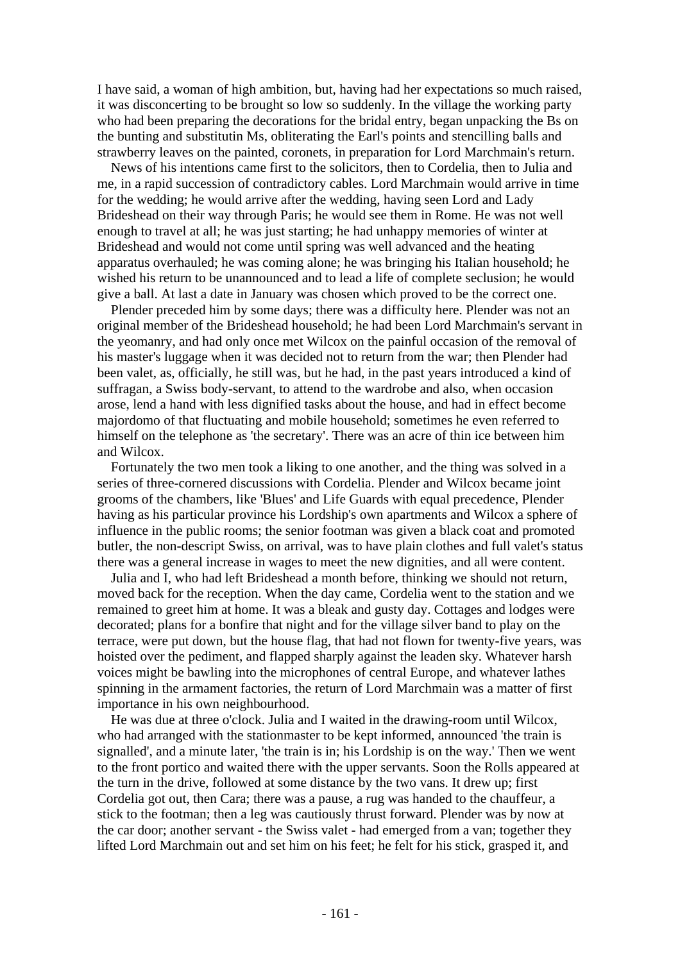I have said, a woman of high ambition, but, having had her expectations so much raised, it was disconcerting to be brought so low so suddenly. In the village the working party who had been preparing the decorations for the bridal entry, began unpacking the Bs on the bunting and substitutin Ms, obliterating the Earl's points and stencilling balls and strawberry leaves on the painted, coronets, in preparation for Lord Marchmain's return.

 News of his intentions came first to the solicitors, then to Cordelia, then to Julia and me, in a rapid succession of contradictory cables. Lord Marchmain would arrive in time for the wedding; he would arrive after the wedding, having seen Lord and Lady Brideshead on their way through Paris; he would see them in Rome. He was not well enough to travel at all; he was just starting; he had unhappy memories of winter at Brideshead and would not come until spring was well advanced and the heating apparatus overhauled; he was coming alone; he was bringing his Italian household; he wished his return to be unannounced and to lead a life of complete seclusion; he would give a ball. At last a date in January was chosen which proved to be the correct one.

 Plender preceded him by some days; there was a difficulty here. Plender was not an original member of the Brideshead household; he had been Lord Marchmain's servant in the yeomanry, and had only once met Wilcox on the painful occasion of the removal of his master's luggage when it was decided not to return from the war; then Plender had been valet, as, officially, he still was, but he had, in the past years introduced a kind of suffragan, a Swiss body-servant, to attend to the wardrobe and also, when occasion arose, lend a hand with less dignified tasks about the house, and had in effect become majordomo of that fluctuating and mobile household; sometimes he even referred to himself on the telephone as 'the secretary'. There was an acre of thin ice between him and Wilcox.

 Fortunately the two men took a liking to one another, and the thing was solved in a series of three-cornered discussions with Cordelia. Plender and Wilcox became joint grooms of the chambers, like 'Blues' and Life Guards with equal precedence, Plender having as his particular province his Lordship's own apartments and Wilcox a sphere of influence in the public rooms; the senior footman was given a black coat and promoted butler, the non-descript Swiss, on arrival, was to have plain clothes and full valet's status there was a general increase in wages to meet the new dignities, and all were content.

 Julia and I, who had left Brideshead a month before, thinking we should not return, moved back for the reception. When the day came, Cordelia went to the station and we remained to greet him at home. It was a bleak and gusty day. Cottages and lodges were decorated; plans for a bonfire that night and for the village silver band to play on the terrace, were put down, but the house flag, that had not flown for twenty-five years, was hoisted over the pediment, and flapped sharply against the leaden sky. Whatever harsh voices might be bawling into the microphones of central Europe, and whatever lathes spinning in the armament factories, the return of Lord Marchmain was a matter of first importance in his own neighbourhood.

 He was due at three o'clock. Julia and I waited in the drawing-room until Wilcox, who had arranged with the stationmaster to be kept informed, announced 'the train is signalled', and a minute later, 'the train is in; his Lordship is on the way.' Then we went to the front portico and waited there with the upper servants. Soon the Rolls appeared at the turn in the drive, followed at some distance by the two vans. It drew up; first Cordelia got out, then Cara; there was a pause, a rug was handed to the chauffeur, a stick to the footman; then a leg was cautiously thrust forward. Plender was by now at the car door; another servant - the Swiss valet - had emerged from a van; together they lifted Lord Marchmain out and set him on his feet; he felt for his stick, grasped it, and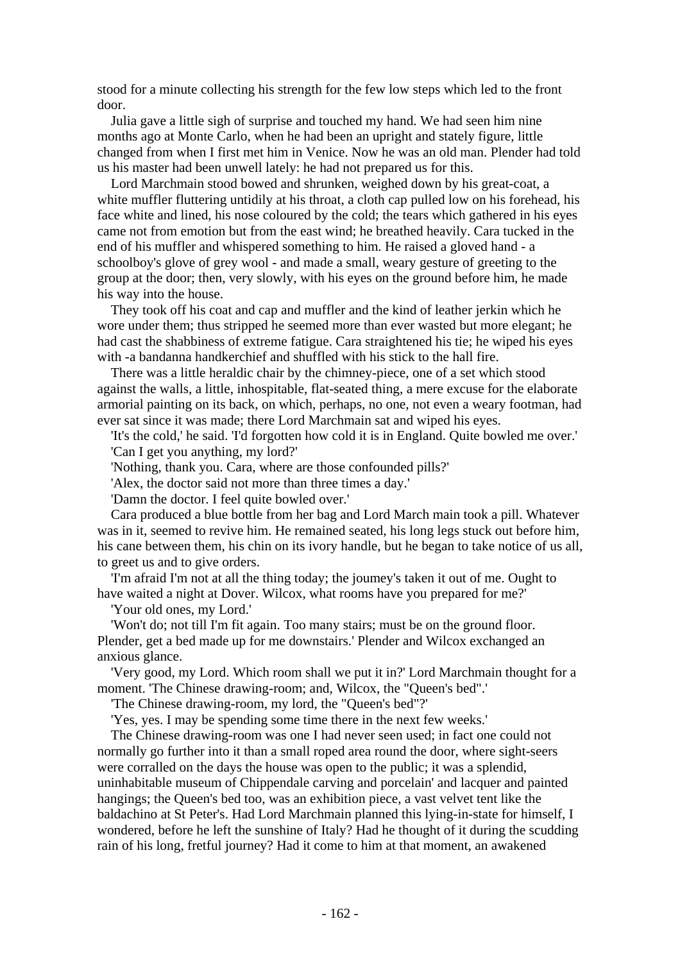stood for a minute collecting his strength for the few low steps which led to the front door.

 Julia gave a little sigh of surprise and touched my hand. We had seen him nine months ago at Monte Carlo, when he had been an upright and stately figure, little changed from when I first met him in Venice. Now he was an old man. Plender had told us his master had been unwell lately: he had not prepared us for this.

 Lord Marchmain stood bowed and shrunken, weighed down by his great-coat, a white muffler fluttering untidily at his throat, a cloth cap pulled low on his forehead, his face white and lined, his nose coloured by the cold; the tears which gathered in his eyes came not from emotion but from the east wind; he breathed heavily. Cara tucked in the end of his muffler and whispered something to him. He raised a gloved hand - a schoolboy's glove of grey wool - and made a small, weary gesture of greeting to the group at the door; then, very slowly, with his eyes on the ground before him, he made his way into the house.

 They took off his coat and cap and muffler and the kind of leather jerkin which he wore under them; thus stripped he seemed more than ever wasted but more elegant; he had cast the shabbiness of extreme fatigue. Cara straightened his tie; he wiped his eyes with -a bandanna handkerchief and shuffled with his stick to the hall fire.

 There was a little heraldic chair by the chimney-piece, one of a set which stood against the walls, a little, inhospitable, flat-seated thing, a mere excuse for the elaborate armorial painting on its back, on which, perhaps, no one, not even a weary footman, had ever sat since it was made; there Lord Marchmain sat and wiped his eyes.

 'It's the cold,' he said. 'I'd forgotten how cold it is in England. Quite bowled me over.' 'Can I get you anything, my lord?'

'Nothing, thank you. Cara, where are those confounded pills?'

'Alex, the doctor said not more than three times a day.'

'Damn the doctor. I feel quite bowled over.'

 Cara produced a blue bottle from her bag and Lord March main took a pill. Whatever was in it, seemed to revive him. He remained seated, his long legs stuck out before him, his cane between them, his chin on its ivory handle, but he began to take notice of us all, to greet us and to give orders.

 'I'm afraid I'm not at all the thing today; the joumey's taken it out of me. Ought to have waited a night at Dover. Wilcox, what rooms have you prepared for me?'

'Your old ones, my Lord.'

 'Won't do; not till I'm fit again. Too many stairs; must be on the ground floor. Plender, get a bed made up for me downstairs.' Plender and Wilcox exchanged an anxious glance.

 'Very good, my Lord. Which room shall we put it in?' Lord Marchmain thought for a moment. 'The Chinese drawing-room; and, Wilcox, the "Queen's bed".'

'The Chinese drawing-room, my lord, the "Queen's bed"?'

'Yes, yes. I may be spending some time there in the next few weeks.'

 The Chinese drawing-room was one I had never seen used; in fact one could not normally go further into it than a small roped area round the door, where sight-seers were corralled on the days the house was open to the public; it was a splendid, uninhabitable museum of Chippendale carving and porcelain' and lacquer and painted hangings; the Queen's bed too, was an exhibition piece, a vast velvet tent like the baldachino at St Peter's. Had Lord Marchmain planned this lying-in-state for himself, I wondered, before he left the sunshine of Italy? Had he thought of it during the scudding rain of his long, fretful journey? Had it come to him at that moment, an awakened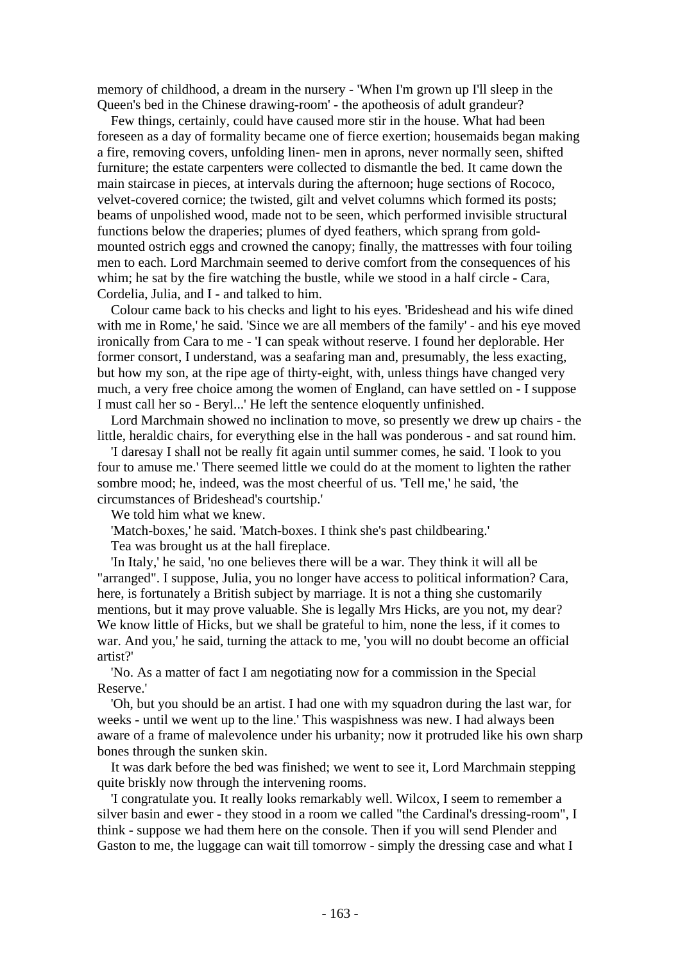memory of childhood, a dream in the nursery - 'When I'm grown up I'll sleep in the Queen's bed in the Chinese drawing-room' - the apotheosis of adult grandeur?

 Few things, certainly, could have caused more stir in the house. What had been foreseen as a day of formality became one of fierce exertion; housemaids began making a fire, removing covers, unfolding linen- men in aprons, never normally seen, shifted furniture; the estate carpenters were collected to dismantle the bed. It came down the main staircase in pieces, at intervals during the afternoon; huge sections of Rococo, velvet-covered cornice; the twisted, gilt and velvet columns which formed its posts; beams of unpolished wood, made not to be seen, which performed invisible structural functions below the draperies; plumes of dyed feathers, which sprang from goldmounted ostrich eggs and crowned the canopy; finally, the mattresses with four toiling men to each. Lord Marchmain seemed to derive comfort from the consequences of his whim; he sat by the fire watching the bustle, while we stood in a half circle - Cara, Cordelia, Julia, and I - and talked to him.

 Colour came back to his checks and light to his eyes. 'Brideshead and his wife dined with me in Rome,' he said. 'Since we are all members of the family' - and his eye moved ironically from Cara to me - 'I can speak without reserve. I found her deplorable. Her former consort, I understand, was a seafaring man and, presumably, the less exacting, but how my son, at the ripe age of thirty-eight, with, unless things have changed very much, a very free choice among the women of England, can have settled on - I suppose I must call her so - Beryl...' He left the sentence eloquently unfinished.

 Lord Marchmain showed no inclination to move, so presently we drew up chairs - the little, heraldic chairs, for everything else in the hall was ponderous - and sat round him.

 'I daresay I shall not be really fit again until summer comes, he said. 'I look to you four to amuse me.' There seemed little we could do at the moment to lighten the rather sombre mood; he, indeed, was the most cheerful of us. 'Tell me,' he said, 'the circumstances of Brideshead's courtship.'

We told him what we knew.

'Match-boxes,' he said. 'Match-boxes. I think she's past childbearing.'

Tea was brought us at the hall fireplace.

 'In Italy,' he said, 'no one believes there will be a war. They think it will all be "arranged". I suppose, Julia, you no longer have access to political information? Cara, here, is fortunately a British subject by marriage. It is not a thing she customarily mentions, but it may prove valuable. She is legally Mrs Hicks, are you not, my dear? We know little of Hicks, but we shall be grateful to him, none the less, if it comes to war. And you,' he said, turning the attack to me, 'you will no doubt become an official artist?'

 'No. As a matter of fact I am negotiating now for a commission in the Special Reserve.'

 'Oh, but you should be an artist. I had one with my squadron during the last war, for weeks - until we went up to the line.' This waspishness was new. I had always been aware of a frame of malevolence under his urbanity; now it protruded like his own sharp bones through the sunken skin.

 It was dark before the bed was finished; we went to see it, Lord Marchmain stepping quite briskly now through the intervening rooms.

 'I congratulate you. It really looks remarkably well. Wilcox, I seem to remember a silver basin and ewer - they stood in a room we called "the Cardinal's dressing-room", I think - suppose we had them here on the console. Then if you will send Plender and Gaston to me, the luggage can wait till tomorrow - simply the dressing case and what I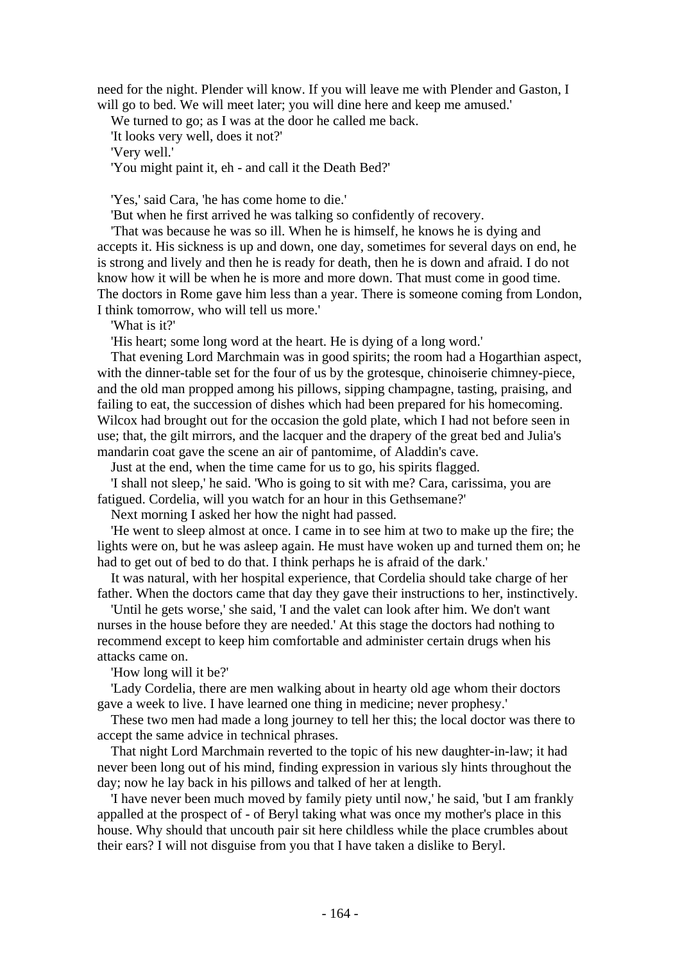need for the night. Plender will know. If you will leave me with Plender and Gaston, I will go to bed. We will meet later; you will dine here and keep me amused.'

We turned to go; as I was at the door he called me back.

'It looks very well, does it not?'

'Very well.'

'You might paint it, eh - and call it the Death Bed?'

'Yes,' said Cara, 'he has come home to die.'

'But when he first arrived he was talking so confidently of recovery.

 'That was because he was so ill. When he is himself, he knows he is dying and accepts it. His sickness is up and down, one day, sometimes for several days on end, he is strong and lively and then he is ready for death, then he is down and afraid. I do not know how it will be when he is more and more down. That must come in good time. The doctors in Rome gave him less than a year. There is someone coming from London, I think tomorrow, who will tell us more.'

'What is it?'

'His heart; some long word at the heart. He is dying of a long word.'

 That evening Lord Marchmain was in good spirits; the room had a Hogarthian aspect, with the dinner-table set for the four of us by the grotesque, chinoiserie chimney-piece, and the old man propped among his pillows, sipping champagne, tasting, praising, and failing to eat, the succession of dishes which had been prepared for his homecoming. Wilcox had brought out for the occasion the gold plate, which I had not before seen in use; that, the gilt mirrors, and the lacquer and the drapery of the great bed and Julia's mandarin coat gave the scene an air of pantomime, of Aladdin's cave.

Just at the end, when the time came for us to go, his spirits flagged.

 'I shall not sleep,' he said. 'Who is going to sit with me? Cara, carissima, you are fatigued. Cordelia, will you watch for an hour in this Gethsemane?'

Next morning I asked her how the night had passed.

 'He went to sleep almost at once. I came in to see him at two to make up the fire; the lights were on, but he was asleep again. He must have woken up and turned them on; he had to get out of bed to do that. I think perhaps he is afraid of the dark.'

 It was natural, with her hospital experience, that Cordelia should take charge of her father. When the doctors came that day they gave their instructions to her, instinctively.

 'Until he gets worse,' she said, 'I and the valet can look after him. We don't want nurses in the house before they are needed.' At this stage the doctors had nothing to recommend except to keep him comfortable and administer certain drugs when his attacks came on.

'How long will it be?'

 'Lady Cordelia, there are men walking about in hearty old age whom their doctors gave a week to live. I have learned one thing in medicine; never prophesy.'

 These two men had made a long journey to tell her this; the local doctor was there to accept the same advice in technical phrases.

 That night Lord Marchmain reverted to the topic of his new daughter-in-law; it had never been long out of his mind, finding expression in various sly hints throughout the day; now he lay back in his pillows and talked of her at length.

 'I have never been much moved by family piety until now,' he said, 'but I am frankly appalled at the prospect of - of Beryl taking what was once my mother's place in this house. Why should that uncouth pair sit here childless while the place crumbles about their ears? I will not disguise from you that I have taken a dislike to Beryl.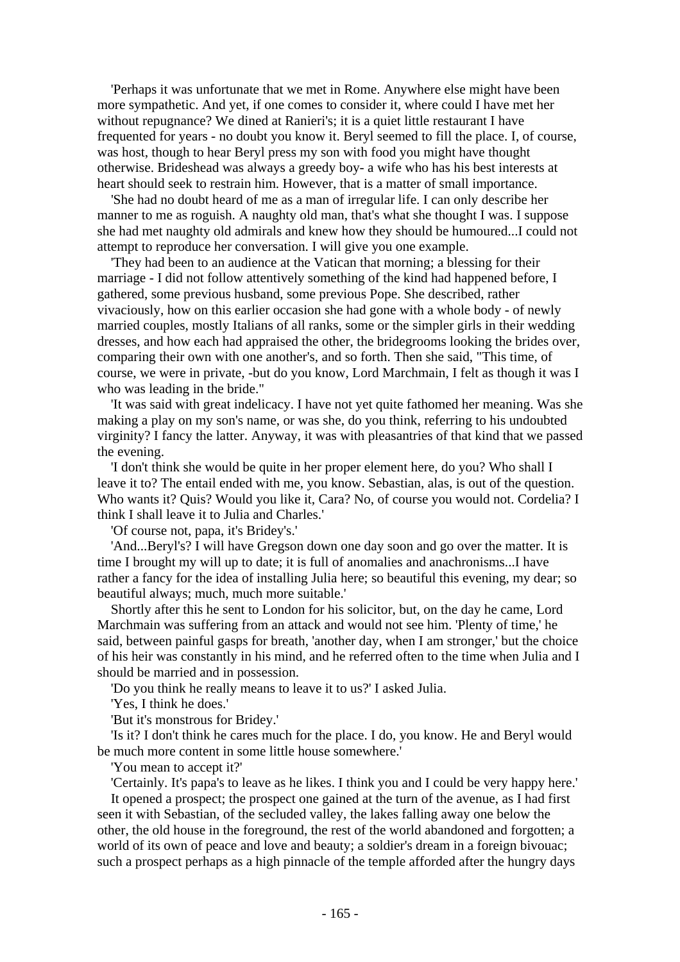'Perhaps it was unfortunate that we met in Rome. Anywhere else might have been more sympathetic. And yet, if one comes to consider it, where could I have met her without repugnance? We dined at Ranieri's; it is a quiet little restaurant I have frequented for years - no doubt you know it. Beryl seemed to fill the place. I, of course, was host, though to hear Beryl press my son with food you might have thought otherwise. Brideshead was always a greedy boy- a wife who has his best interests at heart should seek to restrain him. However, that is a matter of small importance.

 'She had no doubt heard of me as a man of irregular life. I can only describe her manner to me as roguish. A naughty old man, that's what she thought I was. I suppose she had met naughty old admirals and knew how they should be humoured...I could not attempt to reproduce her conversation. I will give you one example.

 'They had been to an audience at the Vatican that morning; a blessing for their marriage - I did not follow attentively something of the kind had happened before, I gathered, some previous husband, some previous Pope. She described, rather vivaciously, how on this earlier occasion she had gone with a whole body - of newly married couples, mostly Italians of all ranks, some or the simpler girls in their wedding dresses, and how each had appraised the other, the bridegrooms looking the brides over, comparing their own with one another's, and so forth. Then she said, "This time, of course, we were in private, -but do you know, Lord Marchmain, I felt as though it was I who was leading in the bride."

 'It was said with great indelicacy. I have not yet quite fathomed her meaning. Was she making a play on my son's name, or was she, do you think, referring to his undoubted virginity? I fancy the latter. Anyway, it was with pleasantries of that kind that we passed the evening.

 'I don't think she would be quite in her proper element here, do you? Who shall I leave it to? The entail ended with me, you know. Sebastian, alas, is out of the question. Who wants it? Quis? Would you like it, Cara? No, of course you would not. Cordelia? I think I shall leave it to Julia and Charles.'

'Of course not, papa, it's Bridey's.'

 'And...Beryl's? I will have Gregson down one day soon and go over the matter. It is time I brought my will up to date; it is full of anomalies and anachronisms...I have rather a fancy for the idea of installing Julia here; so beautiful this evening, my dear; so beautiful always; much, much more suitable.'

 Shortly after this he sent to London for his solicitor, but, on the day he came, Lord Marchmain was suffering from an attack and would not see him. 'Plenty of time,' he said, between painful gasps for breath, 'another day, when I am stronger,' but the choice of his heir was constantly in his mind, and he referred often to the time when Julia and I should be married and in possession.

'Do you think he really means to leave it to us?' I asked Julia.

'Yes, I think he does.'

'But it's monstrous for Bridey.'

 'Is it? I don't think he cares much for the place. I do, you know. He and Beryl would be much more content in some little house somewhere.'

'You mean to accept it?'

 'Certainly. It's papa's to leave as he likes. I think you and I could be very happy here.' It opened a prospect; the prospect one gained at the turn of the avenue, as I had first seen it with Sebastian, of the secluded valley, the lakes falling away one below the other, the old house in the foreground, the rest of the world abandoned and forgotten; a world of its own of peace and love and beauty; a soldier's dream in a foreign bivouac; such a prospect perhaps as a high pinnacle of the temple afforded after the hungry days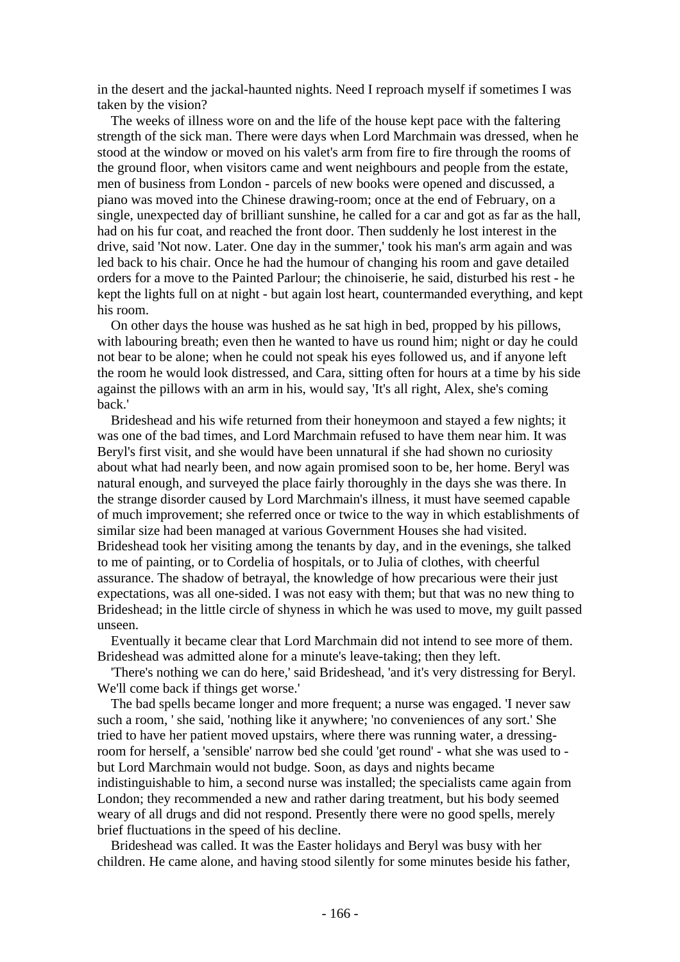in the desert and the jackal-haunted nights. Need I reproach myself if sometimes I was taken by the vision?

 The weeks of illness wore on and the life of the house kept pace with the faltering strength of the sick man. There were days when Lord Marchmain was dressed, when he stood at the window or moved on his valet's arm from fire to fire through the rooms of the ground floor, when visitors came and went neighbours and people from the estate, men of business from London - parcels of new books were opened and discussed, a piano was moved into the Chinese drawing-room; once at the end of February, on a single, unexpected day of brilliant sunshine, he called for a car and got as far as the hall, had on his fur coat, and reached the front door. Then suddenly he lost interest in the drive, said 'Not now. Later. One day in the summer,' took his man's arm again and was led back to his chair. Once he had the humour of changing his room and gave detailed orders for a move to the Painted Parlour; the chinoiserie, he said, disturbed his rest - he kept the lights full on at night - but again lost heart, countermanded everything, and kept his room.

 On other days the house was hushed as he sat high in bed, propped by his pillows, with labouring breath; even then he wanted to have us round him; night or day he could not bear to be alone; when he could not speak his eyes followed us, and if anyone left the room he would look distressed, and Cara, sitting often for hours at a time by his side against the pillows with an arm in his, would say, 'It's all right, Alex, she's coming back.'

 Brideshead and his wife returned from their honeymoon and stayed a few nights; it was one of the bad times, and Lord Marchmain refused to have them near him. It was Beryl's first visit, and she would have been unnatural if she had shown no curiosity about what had nearly been, and now again promised soon to be, her home. Beryl was natural enough, and surveyed the place fairly thoroughly in the days she was there. In the strange disorder caused by Lord Marchmain's illness, it must have seemed capable of much improvement; she referred once or twice to the way in which establishments of similar size had been managed at various Government Houses she had visited. Brideshead took her visiting among the tenants by day, and in the evenings, she talked to me of painting, or to Cordelia of hospitals, or to Julia of clothes, with cheerful assurance. The shadow of betrayal, the knowledge of how precarious were their just expectations, was all one-sided. I was not easy with them; but that was no new thing to Brideshead; in the little circle of shyness in which he was used to move, my guilt passed unseen.

 Eventually it became clear that Lord Marchmain did not intend to see more of them. Brideshead was admitted alone for a minute's leave-taking; then they left.

 'There's nothing we can do here,' said Brideshead, 'and it's very distressing for Beryl. We'll come back if things get worse.'

 The bad spells became longer and more frequent; a nurse was engaged. 'I never saw such a room, ' she said, 'nothing like it anywhere; 'no conveniences of any sort.' She tried to have her patient moved upstairs, where there was running water, a dressingroom for herself, a 'sensible' narrow bed she could 'get round' - what she was used to but Lord Marchmain would not budge. Soon, as days and nights became indistinguishable to him, a second nurse was installed; the specialists came again from London; they recommended a new and rather daring treatment, but his body seemed weary of all drugs and did not respond. Presently there were no good spells, merely brief fluctuations in the speed of his decline.

 Brideshead was called. It was the Easter holidays and Beryl was busy with her children. He came alone, and having stood silently for some minutes beside his father,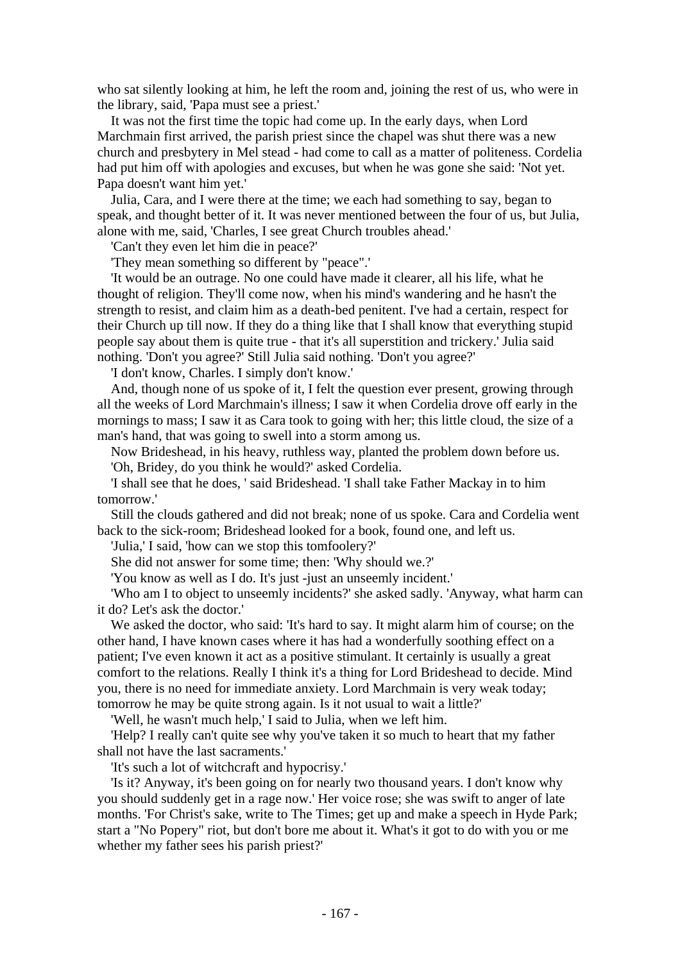who sat silently looking at him, he left the room and, joining the rest of us, who were in the library, said, 'Papa must see a priest.'

 It was not the first time the topic had come up. In the early days, when Lord Marchmain first arrived, the parish priest since the chapel was shut there was a new church and presbytery in Mel stead - had come to call as a matter of politeness. Cordelia had put him off with apologies and excuses, but when he was gone she said: 'Not yet. Papa doesn't want him yet.'

 Julia, Cara, and I were there at the time; we each had something to say, began to speak, and thought better of it. It was never mentioned between the four of us, but Julia, alone with me, said, 'Charles, I see great Church troubles ahead.'

'Can't they even let him die in peace?'

'They mean something so different by "peace".'

 'It would be an outrage. No one could have made it clearer, all his life, what he thought of religion. They'll come now, when his mind's wandering and he hasn't the strength to resist, and claim him as a death-bed penitent. I've had a certain, respect for their Church up till now. If they do a thing like that I shall know that everything stupid people say about them is quite true - that it's all superstition and trickery.' Julia said nothing. 'Don't you agree?' Still Julia said nothing. 'Don't you agree?'

'I don't know, Charles. I simply don't know.'

 And, though none of us spoke of it, I felt the question ever present, growing through all the weeks of Lord Marchmain's illness; I saw it when Cordelia drove off early in the mornings to mass; I saw it as Cara took to going with her; this little cloud, the size of a man's hand, that was going to swell into a storm among us.

 Now Brideshead, in his heavy, ruthless way, planted the problem down before us. 'Oh, Bridey, do you think he would?' asked Cordelia.

 'I shall see that he does, ' said Brideshead. 'I shall take Father Mackay in to him tomorrow.'

 Still the clouds gathered and did not break; none of us spoke. Cara and Cordelia went back to the sick-room; Brideshead looked for a book, found one, and left us.

'Julia,' I said, 'how can we stop this tomfoolery?'

She did not answer for some time; then: 'Why should we.?'

'You know as well as I do. It's just -just an unseemly incident.'

 'Who am I to object to unseemly incidents?' she asked sadly. 'Anyway, what harm can it do? Let's ask the doctor.'

 We asked the doctor, who said: 'It's hard to say. It might alarm him of course; on the other hand, I have known cases where it has had a wonderfully soothing effect on a patient; I've even known it act as a positive stimulant. It certainly is usually a great comfort to the relations. Really I think it's a thing for Lord Brideshead to decide. Mind you, there is no need for immediate anxiety. Lord Marchmain is very weak today; tomorrow he may be quite strong again. Is it not usual to wait a little?'

'Well, he wasn't much help,' I said to Julia, when we left him.

 'Help? I really can't quite see why you've taken it so much to heart that my father shall not have the last sacraments.'

'It's such a lot of witchcraft and hypocrisy.'

 'Is it? Anyway, it's been going on for nearly two thousand years. I don't know why you should suddenly get in a rage now.' Her voice rose; she was swift to anger of late months. 'For Christ's sake, write to The Times; get up and make a speech in Hyde Park; start a "No Popery" riot, but don't bore me about it. What's it got to do with you or me whether my father sees his parish priest?'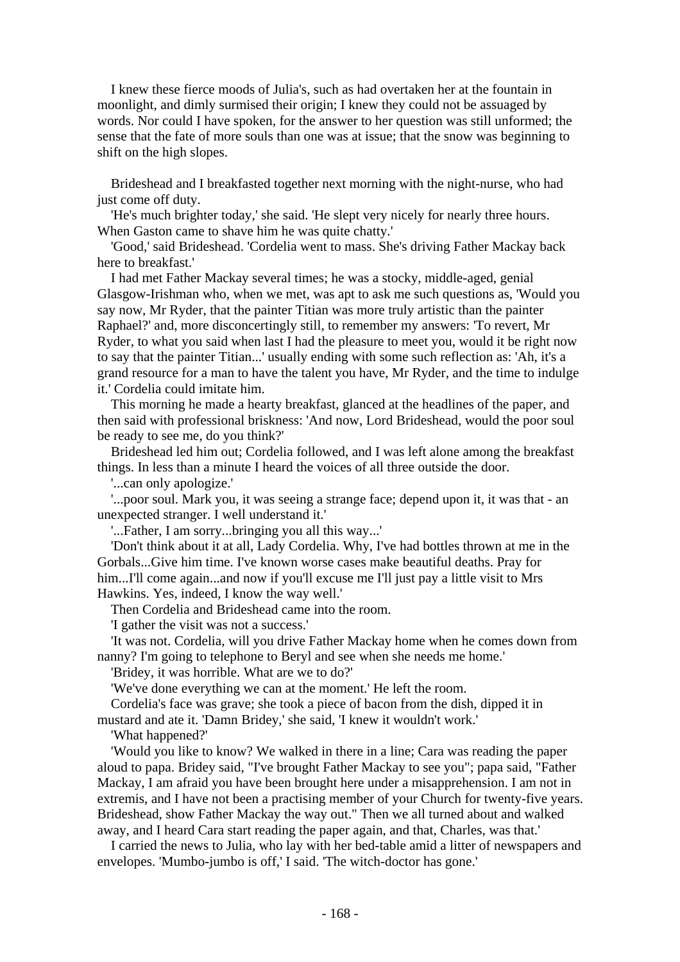I knew these fierce moods of Julia's, such as had overtaken her at the fountain in moonlight, and dimly surmised their origin; I knew they could not be assuaged by words. Nor could I have spoken, for the answer to her question was still unformed; the sense that the fate of more souls than one was at issue; that the snow was beginning to shift on the high slopes.

 Brideshead and I breakfasted together next morning with the night-nurse, who had just come off duty.

 'He's much brighter today,' she said. 'He slept very nicely for nearly three hours. When Gaston came to shave him he was quite chatty.'

 'Good,' said Brideshead. 'Cordelia went to mass. She's driving Father Mackay back here to breakfast.'

 I had met Father Mackay several times; he was a stocky, middle-aged, genial Glasgow-Irishman who, when we met, was apt to ask me such questions as, 'Would you say now, Mr Ryder, that the painter Titian was more truly artistic than the painter Raphael?' and, more disconcertingly still, to remember my answers: 'To revert, Mr Ryder, to what you said when last I had the pleasure to meet you, would it be right now to say that the painter Titian...' usually ending with some such reflection as: 'Ah, it's a grand resource for a man to have the talent you have, Mr Ryder, and the time to indulge it.' Cordelia could imitate him.

 This morning he made a hearty breakfast, glanced at the headlines of the paper, and then said with professional briskness: 'And now, Lord Brideshead, would the poor soul be ready to see me, do you think?'

 Brideshead led him out; Cordelia followed, and I was left alone among the breakfast things. In less than a minute I heard the voices of all three outside the door.

'...can only apologize.'

 '...poor soul. Mark you, it was seeing a strange face; depend upon it, it was that - an unexpected stranger. I well understand it.'

'...Father, I am sorry...bringing you all this way...'

 'Don't think about it at all, Lady Cordelia. Why, I've had bottles thrown at me in the Gorbals...Give him time. I've known worse cases make beautiful deaths. Pray for him...I'll come again...and now if you'll excuse me I'll just pay a little visit to Mrs Hawkins. Yes, indeed, I know the way well.'

Then Cordelia and Brideshead came into the room.

'I gather the visit was not a success.'

 'It was not. Cordelia, will you drive Father Mackay home when he comes down from nanny? I'm going to telephone to Beryl and see when she needs me home.'

'Bridey, it was horrible. What are we to do?'

'We've done everything we can at the moment.' He left the room.

 Cordelia's face was grave; she took a piece of bacon from the dish, dipped it in mustard and ate it. 'Damn Bridey,' she said, 'I knew it wouldn't work.'

'What happened?'

 'Would you like to know? We walked in there in a line; Cara was reading the paper aloud to papa. Bridey said, "I've brought Father Mackay to see you"; papa said, "Father Mackay, I am afraid you have been brought here under a misapprehension. I am not in extremis, and I have not been a practising member of your Church for twenty-five years. Brideshead, show Father Mackay the way out." Then we all turned about and walked away, and I heard Cara start reading the paper again, and that, Charles, was that.'

 I carried the news to Julia, who lay with her bed-table amid a litter of newspapers and envelopes. 'Mumbo-jumbo is off,' I said. 'The witch-doctor has gone.'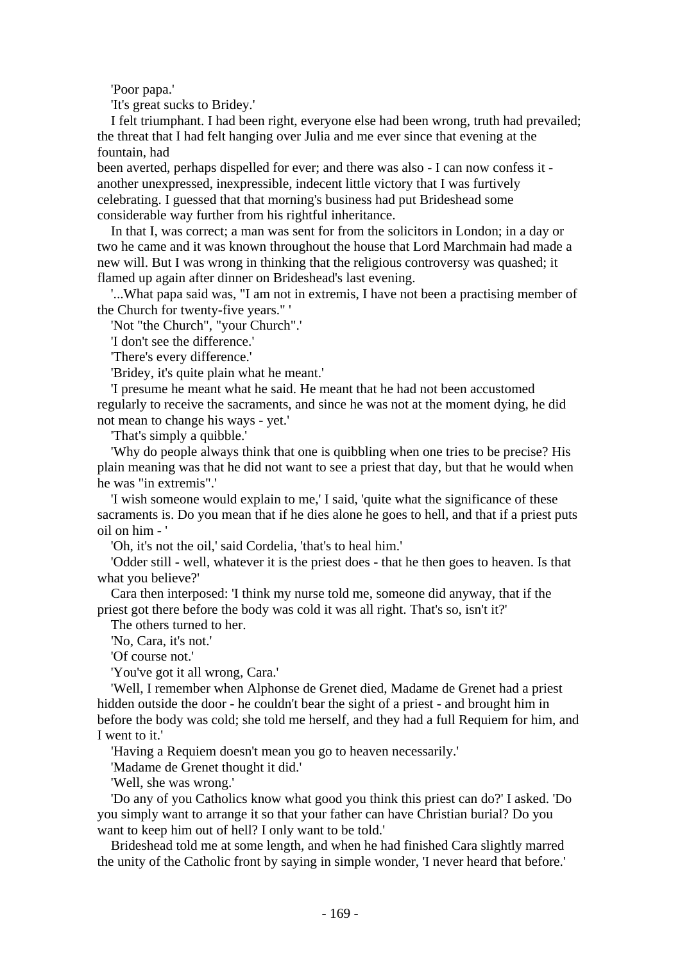'Poor papa.'

'It's great sucks to Bridey.'

 I felt triumphant. I had been right, everyone else had been wrong, truth had prevailed; the threat that I had felt hanging over Julia and me ever since that evening at the fountain, had

been averted, perhaps dispelled for ever; and there was also - I can now confess it another unexpressed, inexpressible, indecent little victory that I was furtively celebrating. I guessed that that morning's business had put Brideshead some considerable way further from his rightful inheritance.

 In that I, was correct; a man was sent for from the solicitors in London; in a day or two he came and it was known throughout the house that Lord Marchmain had made a new will. But I was wrong in thinking that the religious controversy was quashed; it flamed up again after dinner on Brideshead's last evening.

 '...What papa said was, "I am not in extremis, I have not been a practising member of the Church for twenty-five years." '

'Not "the Church", "your Church".'

'I don't see the difference.'

'There's every difference.'

'Bridey, it's quite plain what he meant.'

 'I presume he meant what he said. He meant that he had not been accustomed regularly to receive the sacraments, and since he was not at the moment dying, he did not mean to change his ways - yet.'

'That's simply a quibble.'

 'Why do people always think that one is quibbling when one tries to be precise? His plain meaning was that he did not want to see a priest that day, but that he would when he was "in extremis".'

 'I wish someone would explain to me,' I said, 'quite what the significance of these sacraments is. Do you mean that if he dies alone he goes to hell, and that if a priest puts oil on him - '

'Oh, it's not the oil,' said Cordelia, 'that's to heal him.'

 'Odder still - well, whatever it is the priest does - that he then goes to heaven. Is that what you believe?'

 Cara then interposed: 'I think my nurse told me, someone did anyway, that if the priest got there before the body was cold it was all right. That's so, isn't it?'

The others turned to her.

'No, Cara, it's not.'

'Of course not.'

'You've got it all wrong, Cara.'

 'Well, I remember when Alphonse de Grenet died, Madame de Grenet had a priest hidden outside the door - he couldn't bear the sight of a priest - and brought him in before the body was cold; she told me herself, and they had a full Requiem for him, and I went to it.'

'Having a Requiem doesn't mean you go to heaven necessarily.'

'Madame de Grenet thought it did.'

'Well, she was wrong.'

 'Do any of you Catholics know what good you think this priest can do?' I asked. 'Do you simply want to arrange it so that your father can have Christian burial? Do you want to keep him out of hell? I only want to be told.'

 Brideshead told me at some length, and when he had finished Cara slightly marred the unity of the Catholic front by saying in simple wonder, 'I never heard that before.'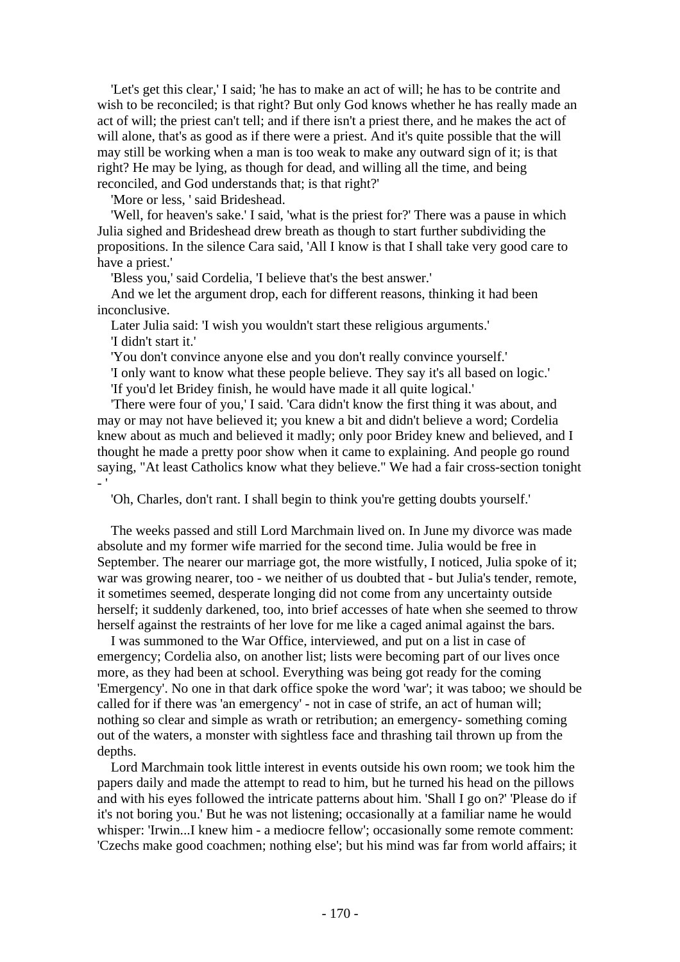'Let's get this clear,' I said; 'he has to make an act of will; he has to be contrite and wish to be reconciled; is that right? But only God knows whether he has really made an act of will; the priest can't tell; and if there isn't a priest there, and he makes the act of will alone, that's as good as if there were a priest. And it's quite possible that the will may still be working when a man is too weak to make any outward sign of it; is that right? He may be lying, as though for dead, and willing all the time, and being reconciled, and God understands that; is that right?'

'More or less, ' said Brideshead.

 'Well, for heaven's sake.' I said, 'what is the priest for?' There was a pause in which Julia sighed and Brideshead drew breath as though to start further subdividing the propositions. In the silence Cara said, 'All I know is that I shall take very good care to have a priest.'

'Bless you,' said Cordelia, 'I believe that's the best answer.'

 And we let the argument drop, each for different reasons, thinking it had been inconclusive.

 Later Julia said: 'I wish you wouldn't start these religious arguments.' 'I didn't start it.'

'You don't convince anyone else and you don't really convince yourself.'

 'I only want to know what these people believe. They say it's all based on logic.' 'If you'd let Bridey finish, he would have made it all quite logical.'

 'There were four of you,' I said. 'Cara didn't know the first thing it was about, and may or may not have believed it; you knew a bit and didn't believe a word; Cordelia knew about as much and believed it madly; only poor Bridey knew and believed, and I thought he made a pretty poor show when it came to explaining. And people go round saying, "At least Catholics know what they believe." We had a fair cross-section tonight - '

'Oh, Charles, don't rant. I shall begin to think you're getting doubts yourself.'

 The weeks passed and still Lord Marchmain lived on. In June my divorce was made absolute and my former wife married for the second time. Julia would be free in September. The nearer our marriage got, the more wistfully, I noticed, Julia spoke of it; war was growing nearer, too - we neither of us doubted that - but Julia's tender, remote, it sometimes seemed, desperate longing did not come from any uncertainty outside herself; it suddenly darkened, too, into brief accesses of hate when she seemed to throw herself against the restraints of her love for me like a caged animal against the bars.

 I was summoned to the War Office, interviewed, and put on a list in case of emergency; Cordelia also, on another list; lists were becoming part of our lives once more, as they had been at school. Everything was being got ready for the coming 'Emergency'. No one in that dark office spoke the word 'war'; it was taboo; we should be called for if there was 'an emergency' - not in case of strife, an act of human will; nothing so clear and simple as wrath or retribution; an emergency- something coming out of the waters, a monster with sightless face and thrashing tail thrown up from the depths.

 Lord Marchmain took little interest in events outside his own room; we took him the papers daily and made the attempt to read to him, but he turned his head on the pillows and with his eyes followed the intricate patterns about him. 'Shall I go on?' 'Please do if it's not boring you.' But he was not listening; occasionally at a familiar name he would whisper: 'Irwin...I knew him - a mediocre fellow'; occasionally some remote comment: 'Czechs make good coachmen; nothing else'; but his mind was far from world affairs; it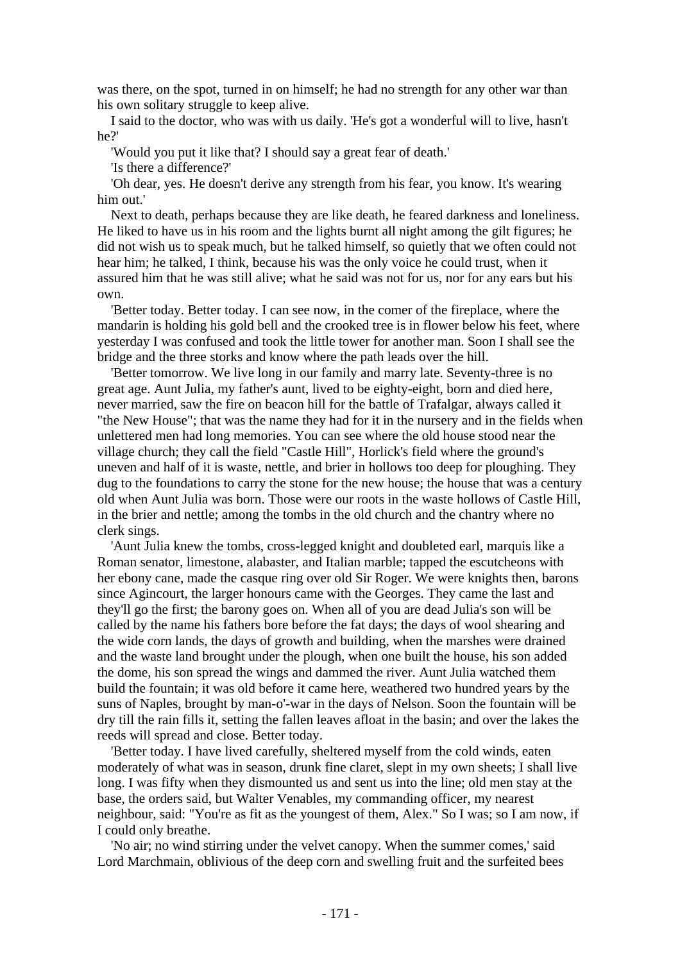was there, on the spot, turned in on himself; he had no strength for any other war than his own solitary struggle to keep alive.

 I said to the doctor, who was with us daily. 'He's got a wonderful will to live, hasn't he?'

'Would you put it like that? I should say a great fear of death.'

'Is there a difference?'

 'Oh dear, yes. He doesn't derive any strength from his fear, you know. It's wearing him out.'

 Next to death, perhaps because they are like death, he feared darkness and loneliness. He liked to have us in his room and the lights burnt all night among the gilt figures; he did not wish us to speak much, but he talked himself, so quietly that we often could not hear him; he talked, I think, because his was the only voice he could trust, when it assured him that he was still alive; what he said was not for us, nor for any ears but his own.

 'Better today. Better today. I can see now, in the comer of the fireplace, where the mandarin is holding his gold bell and the crooked tree is in flower below his feet, where yesterday I was confused and took the little tower for another man. Soon I shall see the bridge and the three storks and know where the path leads over the hill.

 'Better tomorrow. We live long in our family and marry late. Seventy-three is no great age. Aunt Julia, my father's aunt, lived to be eighty-eight, born and died here, never married, saw the fire on beacon hill for the battle of Trafalgar, always called it "the New House"; that was the name they had for it in the nursery and in the fields when unlettered men had long memories. You can see where the old house stood near the village church; they call the field "Castle Hill", Horlick's field where the ground's uneven and half of it is waste, nettle, and brier in hollows too deep for ploughing. They dug to the foundations to carry the stone for the new house; the house that was a century old when Aunt Julia was born. Those were our roots in the waste hollows of Castle Hill, in the brier and nettle; among the tombs in the old church and the chantry where no clerk sings.

 'Aunt Julia knew the tombs, cross-legged knight and doubleted earl, marquis like a Roman senator, limestone, alabaster, and Italian marble; tapped the escutcheons with her ebony cane, made the casque ring over old Sir Roger. We were knights then, barons since Agincourt, the larger honours came with the Georges. They came the last and they'll go the first; the barony goes on. When all of you are dead Julia's son will be called by the name his fathers bore before the fat days; the days of wool shearing and the wide corn lands, the days of growth and building, when the marshes were drained and the waste land brought under the plough, when one built the house, his son added the dome, his son spread the wings and dammed the river. Aunt Julia watched them build the fountain; it was old before it came here, weathered two hundred years by the suns of Naples, brought by man-o'-war in the days of Nelson. Soon the fountain will be dry till the rain fills it, setting the fallen leaves afloat in the basin; and over the lakes the reeds will spread and close. Better today.

 'Better today. I have lived carefully, sheltered myself from the cold winds, eaten moderately of what was in season, drunk fine claret, slept in my own sheets; I shall live long. I was fifty when they dismounted us and sent us into the line; old men stay at the base, the orders said, but Walter Venables, my commanding officer, my nearest neighbour, said: "You're as fit as the youngest of them, Alex." So I was; so I am now, if I could only breathe.

 'No air; no wind stirring under the velvet canopy. When the summer comes,' said Lord Marchmain, oblivious of the deep corn and swelling fruit and the surfeited bees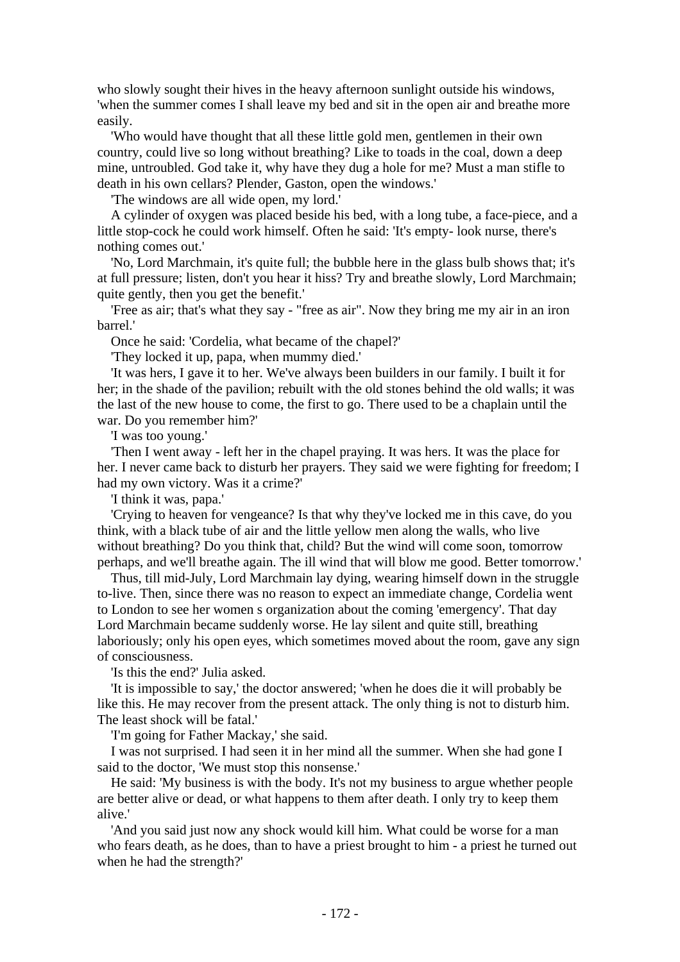who slowly sought their hives in the heavy afternoon sunlight outside his windows, 'when the summer comes I shall leave my bed and sit in the open air and breathe more easily.

 'Who would have thought that all these little gold men, gentlemen in their own country, could live so long without breathing? Like to toads in the coal, down a deep mine, untroubled. God take it, why have they dug a hole for me? Must a man stifle to death in his own cellars? Plender, Gaston, open the windows.'

'The windows are all wide open, my lord.'

 A cylinder of oxygen was placed beside his bed, with a long tube, a face-piece, and a little stop-cock he could work himself. Often he said: 'It's empty- look nurse, there's nothing comes out.'

 'No, Lord Marchmain, it's quite full; the bubble here in the glass bulb shows that; it's at full pressure; listen, don't you hear it hiss? Try and breathe slowly, Lord Marchmain; quite gently, then you get the benefit.'

 'Free as air; that's what they say - "free as air". Now they bring me my air in an iron barrel.'

Once he said: 'Cordelia, what became of the chapel?'

'They locked it up, papa, when mummy died.'

 'It was hers, I gave it to her. We've always been builders in our family. I built it for her; in the shade of the pavilion; rebuilt with the old stones behind the old walls; it was the last of the new house to come, the first to go. There used to be a chaplain until the war. Do you remember him?'

'I was too young.'

 'Then I went away - left her in the chapel praying. It was hers. It was the place for her. I never came back to disturb her prayers. They said we were fighting for freedom; I had my own victory. Was it a crime?'

'I think it was, papa.'

 'Crying to heaven for vengeance? Is that why they've locked me in this cave, do you think, with a black tube of air and the little yellow men along the walls, who live without breathing? Do you think that, child? But the wind will come soon, tomorrow perhaps, and we'll breathe again. The ill wind that will blow me good. Better tomorrow.'

 Thus, till mid-July, Lord Marchmain lay dying, wearing himself down in the struggle to-live. Then, since there was no reason to expect an immediate change, Cordelia went to London to see her women s organization about the coming 'emergency'. That day Lord Marchmain became suddenly worse. He lay silent and quite still, breathing laboriously; only his open eyes, which sometimes moved about the room, gave any sign of consciousness.

'Is this the end?' Julia asked.

 'It is impossible to say,' the doctor answered; 'when he does die it will probably be like this. He may recover from the present attack. The only thing is not to disturb him. The least shock will be fatal.'

'I'm going for Father Mackay,' she said.

 I was not surprised. I had seen it in her mind all the summer. When she had gone I said to the doctor, 'We must stop this nonsense.'

 He said: 'My business is with the body. It's not my business to argue whether people are better alive or dead, or what happens to them after death. I only try to keep them alive.'

 'And you said just now any shock would kill him. What could be worse for a man who fears death, as he does, than to have a priest brought to him - a priest he turned out when he had the strength?'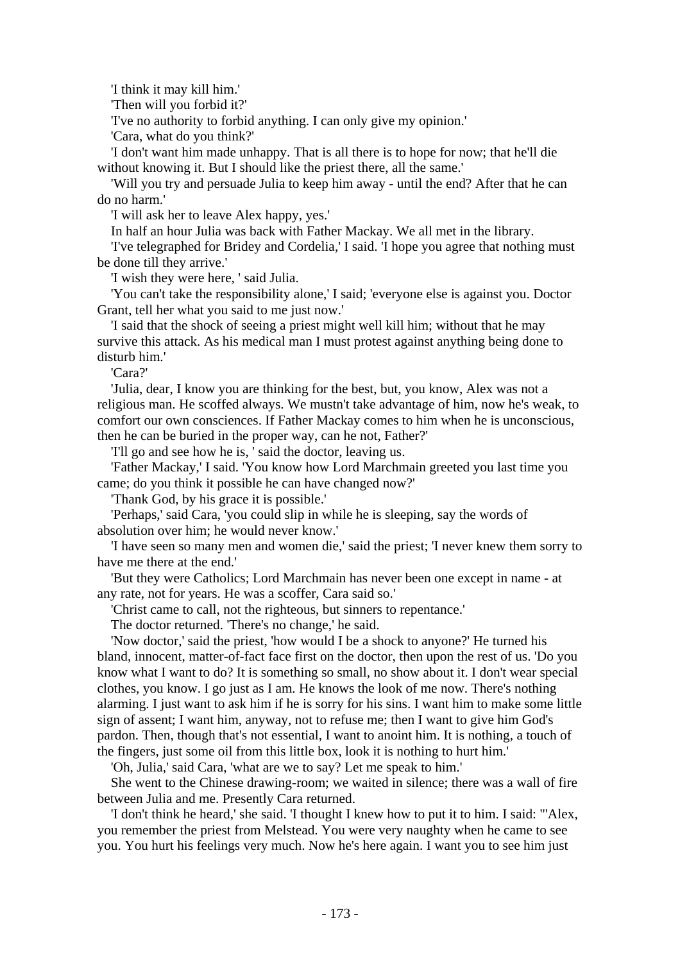'I think it may kill him.'

'Then will you forbid it?'

'I've no authority to forbid anything. I can only give my opinion.'

'Cara, what do you think?'

 'I don't want him made unhappy. That is all there is to hope for now; that he'll die without knowing it. But I should like the priest there, all the same.'

 'Will you try and persuade Julia to keep him away - until the end? After that he can do no harm.'

'I will ask her to leave Alex happy, yes.'

In half an hour Julia was back with Father Mackay. We all met in the library.

 'I've telegraphed for Bridey and Cordelia,' I said. 'I hope you agree that nothing must be done till they arrive.'

'I wish they were here, ' said Julia.

 'You can't take the responsibility alone,' I said; 'everyone else is against you. Doctor Grant, tell her what you said to me just now.'

 'I said that the shock of seeing a priest might well kill him; without that he may survive this attack. As his medical man I must protest against anything being done to disturb him.'

'Cara?'

 'Julia, dear, I know you are thinking for the best, but, you know, Alex was not a religious man. He scoffed always. We mustn't take advantage of him, now he's weak, to comfort our own consciences. If Father Mackay comes to him when he is unconscious, then he can be buried in the proper way, can he not, Father?'

'I'll go and see how he is, ' said the doctor, leaving us.

 'Father Mackay,' I said. 'You know how Lord Marchmain greeted you last time you came; do you think it possible he can have changed now?'

'Thank God, by his grace it is possible.'

 'Perhaps,' said Cara, 'you could slip in while he is sleeping, say the words of absolution over him; he would never know.'

 'I have seen so many men and women die,' said the priest; 'I never knew them sorry to have me there at the end.'

 'But they were Catholics; Lord Marchmain has never been one except in name - at any rate, not for years. He was a scoffer, Cara said so.'

'Christ came to call, not the righteous, but sinners to repentance.'

The doctor returned. 'There's no change,' he said.

 'Now doctor,' said the priest, 'how would I be a shock to anyone?' He turned his bland, innocent, matter-of-fact face first on the doctor, then upon the rest of us. 'Do you know what I want to do? It is something so small, no show about it. I don't wear special clothes, you know. I go just as I am. He knows the look of me now. There's nothing alarming. I just want to ask him if he is sorry for his sins. I want him to make some little sign of assent; I want him, anyway, not to refuse me; then I want to give him God's pardon. Then, though that's not essential, I want to anoint him. It is nothing, a touch of the fingers, just some oil from this little box, look it is nothing to hurt him.'

'Oh, Julia,' said Cara, 'what are we to say? Let me speak to him.'

 She went to the Chinese drawing-room; we waited in silence; there was a wall of fire between Julia and me. Presently Cara returned.

 'I don't think he heard,' she said. 'I thought I knew how to put it to him. I said: "'Alex, you remember the priest from Melstead. You were very naughty when he came to see you. You hurt his feelings very much. Now he's here again. I want you to see him just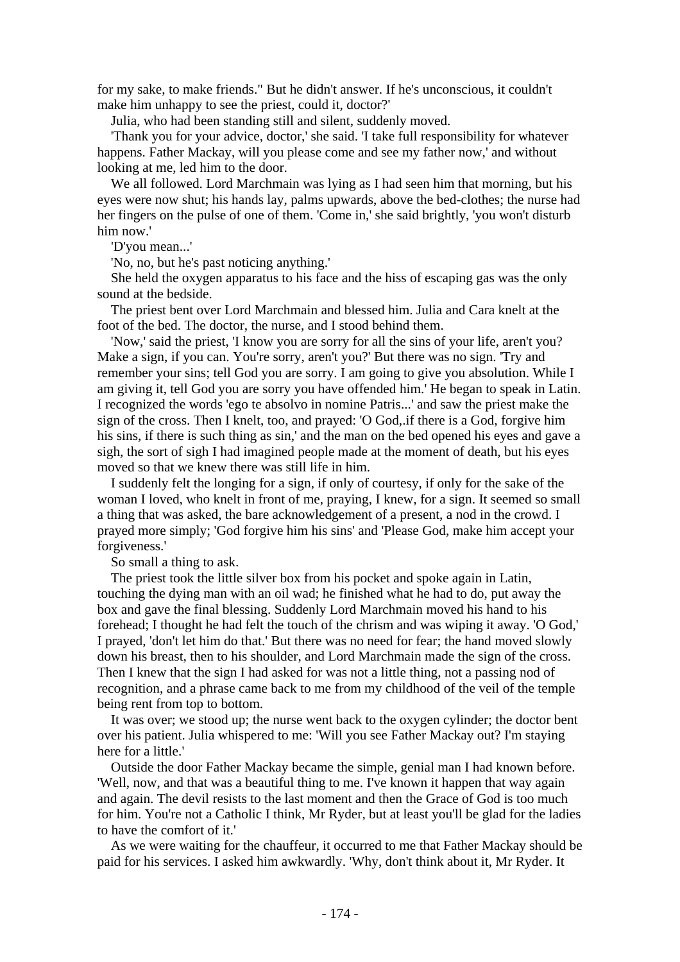for my sake, to make friends." But he didn't answer. If he's unconscious, it couldn't make him unhappy to see the priest, could it, doctor?'

Julia, who had been standing still and silent, suddenly moved.

 'Thank you for your advice, doctor,' she said. 'I take full responsibility for whatever happens. Father Mackay, will you please come and see my father now,' and without looking at me, led him to the door.

 We all followed. Lord Marchmain was lying as I had seen him that morning, but his eyes were now shut; his hands lay, palms upwards, above the bed-clothes; the nurse had her fingers on the pulse of one of them. 'Come in,' she said brightly, 'you won't disturb him now.'

'D'you mean...'

'No, no, but he's past noticing anything.'

 She held the oxygen apparatus to his face and the hiss of escaping gas was the only sound at the bedside.

 The priest bent over Lord Marchmain and blessed him. Julia and Cara knelt at the foot of the bed. The doctor, the nurse, and I stood behind them.

 'Now,' said the priest, 'I know you are sorry for all the sins of your life, aren't you? Make a sign, if you can. You're sorry, aren't you?' But there was no sign. 'Try and remember your sins; tell God you are sorry. I am going to give you absolution. While I am giving it, tell God you are sorry you have offended him.' He began to speak in Latin. I recognized the words 'ego te absolvo in nomine Patris...' and saw the priest make the sign of the cross. Then I knelt, too, and prayed: 'O God,.if there is a God, forgive him his sins, if there is such thing as sin,' and the man on the bed opened his eyes and gave a sigh, the sort of sigh I had imagined people made at the moment of death, but his eyes moved so that we knew there was still life in him.

 I suddenly felt the longing for a sign, if only of courtesy, if only for the sake of the woman I loved, who knelt in front of me, praying, I knew, for a sign. It seemed so small a thing that was asked, the bare acknowledgement of a present, a nod in the crowd. I prayed more simply; 'God forgive him his sins' and 'Please God, make him accept your forgiveness.'

So small a thing to ask.

 The priest took the little silver box from his pocket and spoke again in Latin, touching the dying man with an oil wad; he finished what he had to do, put away the box and gave the final blessing. Suddenly Lord Marchmain moved his hand to his forehead; I thought he had felt the touch of the chrism and was wiping it away. 'O God,' I prayed, 'don't let him do that.' But there was no need for fear; the hand moved slowly down his breast, then to his shoulder, and Lord Marchmain made the sign of the cross. Then I knew that the sign I had asked for was not a little thing, not a passing nod of recognition, and a phrase came back to me from my childhood of the veil of the temple being rent from top to bottom.

 It was over; we stood up; the nurse went back to the oxygen cylinder; the doctor bent over his patient. Julia whispered to me: 'Will you see Father Mackay out? I'm staying here for a little.'

 Outside the door Father Mackay became the simple, genial man I had known before. 'Well, now, and that was a beautiful thing to me. I've known it happen that way again and again. The devil resists to the last moment and then the Grace of God is too much for him. You're not a Catholic I think, Mr Ryder, but at least you'll be glad for the ladies to have the comfort of it.'

 As we were waiting for the chauffeur, it occurred to me that Father Mackay should be paid for his services. I asked him awkwardly. 'Why, don't think about it, Mr Ryder. It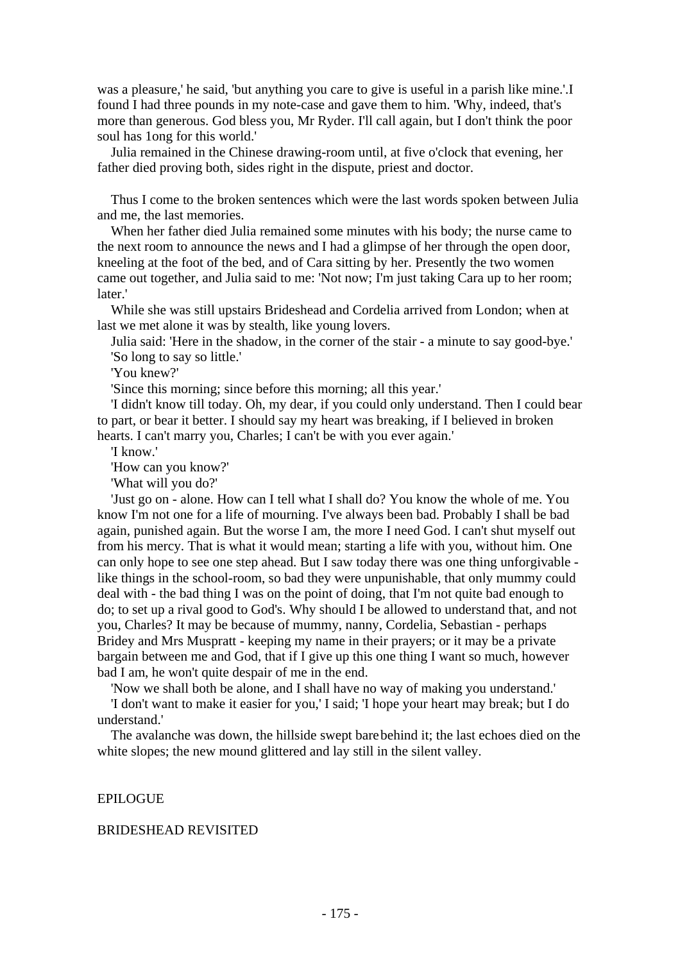was a pleasure,' he said, 'but anything you care to give is useful in a parish like mine.'.I found I had three pounds in my note-case and gave them to him. 'Why, indeed, that's more than generous. God bless you, Mr Ryder. I'll call again, but I don't think the poor soul has 1ong for this world.'

 Julia remained in the Chinese drawing-room until, at five o'clock that evening, her father died proving both, sides right in the dispute, priest and doctor.

 Thus I come to the broken sentences which were the last words spoken between Julia and me, the last memories.

 When her father died Julia remained some minutes with his body; the nurse came to the next room to announce the news and I had a glimpse of her through the open door, kneeling at the foot of the bed, and of Cara sitting by her. Presently the two women came out together, and Julia said to me: 'Not now; I'm just taking Cara up to her room; later.'

 While she was still upstairs Brideshead and Cordelia arrived from London; when at last we met alone it was by stealth, like young lovers.

 Julia said: 'Here in the shadow, in the corner of the stair - a minute to say good-bye.' 'So long to say so little.'

'You knew?'

'Since this morning; since before this morning; all this year.'

 'I didn't know till today. Oh, my dear, if you could only understand. Then I could bear to part, or bear it better. I should say my heart was breaking, if I believed in broken hearts. I can't marry you, Charles; I can't be with you ever again.'

'I know.'

'How can you know?'

'What will you do?'

 'Just go on - alone. How can I tell what I shall do? You know the whole of me. You know I'm not one for a life of mourning. I've always been bad. Probably I shall be bad again, punished again. But the worse I am, the more I need God. I can't shut myself out from his mercy. That is what it would mean; starting a life with you, without him. One can only hope to see one step ahead. But I saw today there was one thing unforgivable like things in the school-room, so bad they were unpunishable, that only mummy could deal with - the bad thing I was on the point of doing, that I'm not quite bad enough to do; to set up a rival good to God's. Why should I be allowed to understand that, and not you, Charles? It may be because of mummy, nanny, Cordelia, Sebastian - perhaps Bridey and Mrs Muspratt - keeping my name in their prayers; or it may be a private bargain between me and God, that if I give up this one thing I want so much, however bad I am, he won't quite despair of me in the end.

'Now we shall both be alone, and I shall have no way of making you understand.'

 'I don't want to make it easier for you,' I said; 'I hope your heart may break; but I do understand.'

 The avalanche was down, the hillside swept bare behind it; the last echoes died on the white slopes; the new mound glittered and lay still in the silent valley.

## EPILOGUE

#### BRIDESHEAD REVISITED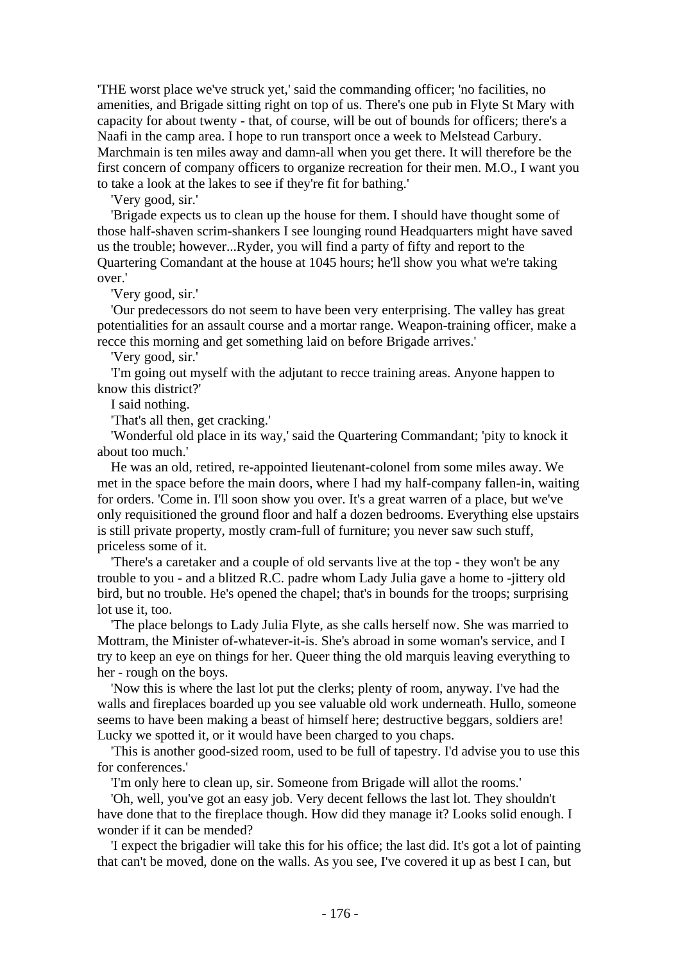'THE worst place we've struck yet,' said the commanding officer; 'no facilities, no amenities, and Brigade sitting right on top of us. There's one pub in Flyte St Mary with capacity for about twenty - that, of course, will be out of bounds for officers; there's a Naafi in the camp area. I hope to run transport once a week to Melstead Carbury. Marchmain is ten miles away and damn-all when you get there. It will therefore be the first concern of company officers to organize recreation for their men. M.O., I want you to take a look at the lakes to see if they're fit for bathing.'

'Very good, sir.'

 'Brigade expects us to clean up the house for them. I should have thought some of those half-shaven scrim-shankers I see lounging round Headquarters might have saved us the trouble; however...Ryder, you will find a party of fifty and report to the Quartering Comandant at the house at 1045 hours; he'll show you what we're taking over.'

'Very good, sir.'

 'Our predecessors do not seem to have been very enterprising. The valley has great potentialities for an assault course and a mortar range. Weapon-training officer, make a recce this morning and get something laid on before Brigade arrives.'

'Very good, sir.'

 'I'm going out myself with the adjutant to recce training areas. Anyone happen to know this district?'

I said nothing.

'That's all then, get cracking.'

 'Wonderful old place in its way,' said the Quartering Commandant; 'pity to knock it about too much.'

 He was an old, retired, re-appointed lieutenant-colonel from some miles away. We met in the space before the main doors, where I had my half-company fallen-in, waiting for orders. 'Come in. I'll soon show you over. It's a great warren of a place, but we've only requisitioned the ground floor and half a dozen bedrooms. Everything else upstairs is still private property, mostly cram-full of furniture; you never saw such stuff, priceless some of it.

 'There's a caretaker and a couple of old servants live at the top - they won't be any trouble to you - and a blitzed R.C. padre whom Lady Julia gave a home to -jittery old bird, but no trouble. He's opened the chapel; that's in bounds for the troops; surprising lot use it, too.

 'The place belongs to Lady Julia Flyte, as she calls herself now. She was married to Mottram, the Minister of-whatever-it-is. She's abroad in some woman's service, and I try to keep an eye on things for her. Queer thing the old marquis leaving everything to her - rough on the boys.

 'Now this is where the last lot put the clerks; plenty of room, anyway. I've had the walls and fireplaces boarded up you see valuable old work underneath. Hullo, someone seems to have been making a beast of himself here; destructive beggars, soldiers are! Lucky we spotted it, or it would have been charged to you chaps.

 'This is another good-sized room, used to be full of tapestry. I'd advise you to use this for conferences.'

'I'm only here to clean up, sir. Someone from Brigade will allot the rooms.'

 'Oh, well, you've got an easy job. Very decent fellows the last lot. They shouldn't have done that to the fireplace though. How did they manage it? Looks solid enough. I wonder if it can be mended?

 'I expect the brigadier will take this for his office; the last did. It's got a lot of painting that can't be moved, done on the walls. As you see, I've covered it up as best I can, but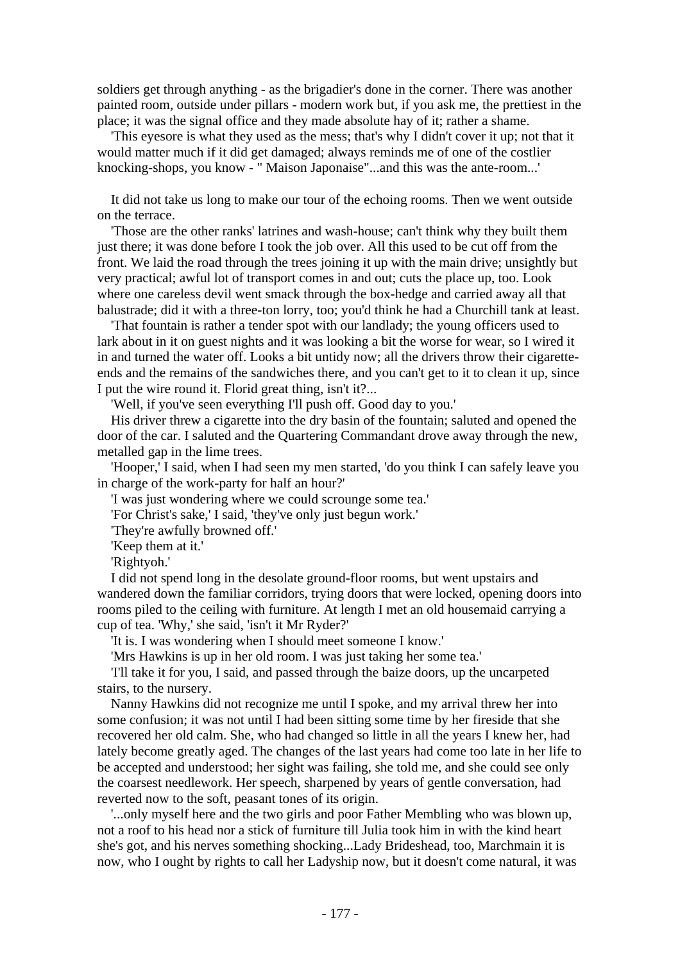soldiers get through anything - as the brigadier's done in the corner. There was another painted room, outside under pillars - modern work but, if you ask me, the prettiest in the place; it was the signal office and they made absolute hay of it; rather a shame.

 'This eyesore is what they used as the mess; that's why I didn't cover it up; not that it would matter much if it did get damaged; always reminds me of one of the costlier knocking-shops, you know - " Maison Japonaise"...and this was the ante-room...'

 It did not take us long to make our tour of the echoing rooms. Then we went outside on the terrace.

 'Those are the other ranks' latrines and wash-house; can't think why they built them just there; it was done before I took the job over. All this used to be cut off from the front. We laid the road through the trees joining it up with the main drive; unsightly but very practical; awful lot of transport comes in and out; cuts the place up, too. Look where one careless devil went smack through the box-hedge and carried away all that balustrade; did it with a three-ton lorry, too; you'd think he had a Churchill tank at least.

 'That fountain is rather a tender spot with our landlady; the young officers used to lark about in it on guest nights and it was looking a bit the worse for wear, so I wired it in and turned the water off. Looks a bit untidy now; all the drivers throw their cigaretteends and the remains of the sandwiches there, and you can't get to it to clean it up, since I put the wire round it. Florid great thing, isn't it?...

'Well, if you've seen everything I'll push off. Good day to you.'

 His driver threw a cigarette into the dry basin of the fountain; saluted and opened the door of the car. I saluted and the Quartering Commandant drove away through the new, metalled gap in the lime trees.

 'Hooper,' I said, when I had seen my men started, 'do you think I can safely leave you in charge of the work-party for half an hour?'

'I was just wondering where we could scrounge some tea.'

'For Christ's sake,' I said, 'they've only just begun work.'

'They're awfully browned off.'

'Keep them at it.'

'Rightyoh.'

 I did not spend long in the desolate ground-floor rooms, but went upstairs and wandered down the familiar corridors, trying doors that were locked, opening doors into rooms piled to the ceiling with furniture. At length I met an old housemaid carrying a cup of tea. 'Why,' she said, 'isn't it Mr Ryder?'

'It is. I was wondering when I should meet someone I know.'

'Mrs Hawkins is up in her old room. I was just taking her some tea.'

 'I'll take it for you, I said, and passed through the baize doors, up the uncarpeted stairs, to the nursery.

 Nanny Hawkins did not recognize me until I spoke, and my arrival threw her into some confusion; it was not until I had been sitting some time by her fireside that she recovered her old calm. She, who had changed so little in all the years I knew her, had lately become greatly aged. The changes of the last years had come too late in her life to be accepted and understood; her sight was failing, she told me, and she could see only the coarsest needlework. Her speech, sharpened by years of gentle conversation, had reverted now to the soft, peasant tones of its origin.

 '...only myself here and the two girls and poor Father Membling who was blown up, not a roof to his head nor a stick of furniture till Julia took him in with the kind heart she's got, and his nerves something shocking...Lady Brideshead, too, Marchmain it is now, who I ought by rights to call her Ladyship now, but it doesn't come natural, it was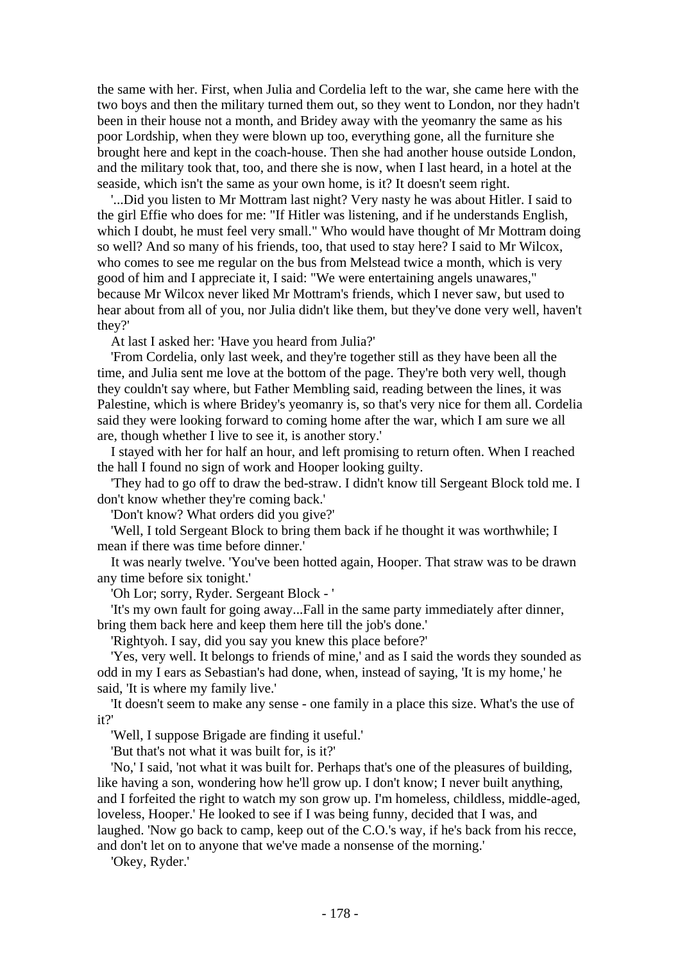the same with her. First, when Julia and Cordelia left to the war, she came here with the two boys and then the military turned them out, so they went to London, nor they hadn't been in their house not a month, and Bridey away with the yeomanry the same as his poor Lordship, when they were blown up too, everything gone, all the furniture she brought here and kept in the coach-house. Then she had another house outside London, and the military took that, too, and there she is now, when I last heard, in a hotel at the seaside, which isn't the same as your own home, is it? It doesn't seem right.

 '...Did you listen to Mr Mottram last night? Very nasty he was about Hitler. I said to the girl Effie who does for me: "If Hitler was listening, and if he understands English, which I doubt, he must feel very small." Who would have thought of Mr Mottram doing so well? And so many of his friends, too, that used to stay here? I said to Mr Wilcox, who comes to see me regular on the bus from Melstead twice a month, which is very good of him and I appreciate it, I said: "We were entertaining angels unawares," because Mr Wilcox never liked Mr Mottram's friends, which I never saw, but used to hear about from all of you, nor Julia didn't like them, but they've done very well, haven't they?'

At last I asked her: 'Have you heard from Julia?'

 'From Cordelia, only last week, and they're together still as they have been all the time, and Julia sent me love at the bottom of the page. They're both very well, though they couldn't say where, but Father Membling said, reading between the lines, it was Palestine, which is where Bridey's yeomanry is, so that's very nice for them all. Cordelia said they were looking forward to coming home after the war, which I am sure we all are, though whether I live to see it, is another story.'

 I stayed with her for half an hour, and left promising to return often. When I reached the hall I found no sign of work and Hooper looking guilty.

 'They had to go off to draw the bed-straw. I didn't know till Sergeant Block told me. I don't know whether they're coming back.'

'Don't know? What orders did you give?'

 'Well, I told Sergeant Block to bring them back if he thought it was worthwhile; I mean if there was time before dinner.'

 It was nearly twelve. 'You've been hotted again, Hooper. That straw was to be drawn any time before six tonight.'

'Oh Lor; sorry, Ryder. Sergeant Block - '

 'It's my own fault for going away...Fall in the same party immediately after dinner, bring them back here and keep them here till the job's done.'

'Rightyoh. I say, did you say you knew this place before?'

 'Yes, very well. It belongs to friends of mine,' and as I said the words they sounded as odd in my I ears as Sebastian's had done, when, instead of saying, 'It is my home,' he said, 'It is where my family live.'

 'It doesn't seem to make any sense - one family in a place this size. What's the use of it?'

'Well, I suppose Brigade are finding it useful.'

'But that's not what it was built for, is it?'

 'No,' I said, 'not what it was built for. Perhaps that's one of the pleasures of building, like having a son, wondering how he'll grow up. I don't know; I never built anything, and I forfeited the right to watch my son grow up. I'm homeless, childless, middle-aged, loveless, Hooper.' He looked to see if I was being funny, decided that I was, and laughed. 'Now go back to camp, keep out of the C.O.'s way, if he's back from his recce, and don't let on to anyone that we've made a nonsense of the morning.'

'Okey, Ryder.'